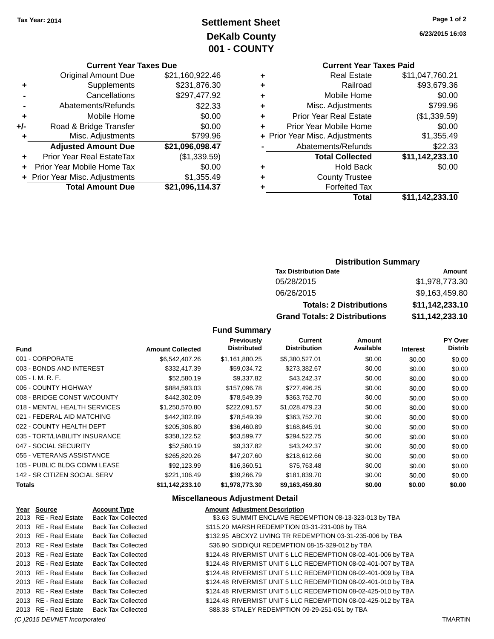# **Settlement Sheet Tax Year: 2014 Page 1 of 2 DeKalb County 001 - COUNTY**

**6/23/2015 16:03**

| <b>Current Year Taxes Due</b> |  |  |  |
|-------------------------------|--|--|--|
|-------------------------------|--|--|--|

|     | <b>Original Amount Due</b>     | \$21,160,922.46 |
|-----|--------------------------------|-----------------|
| ٠   | Supplements                    | \$231,876.30    |
|     | Cancellations                  | \$297,477.92    |
|     | Abatements/Refunds             | \$22.33         |
| ٠   | Mobile Home                    | \$0.00          |
| +/- | Road & Bridge Transfer         | \$0.00          |
| ٠   | Misc. Adjustments              | \$799.96        |
|     | <b>Adjusted Amount Due</b>     | \$21,096,098.47 |
|     | Prior Year Real EstateTax      | (\$1,339.59)    |
| ÷   | Prior Year Mobile Home Tax     | \$0.00          |
|     | + Prior Year Misc. Adjustments | \$1,355.49      |
|     | <b>Total Amount Due</b>        | \$21,096,114.37 |

# **Current Year Taxes Paid**

|   | <b>Real Estate</b>             | \$11,047,760.21 |
|---|--------------------------------|-----------------|
| ٠ | Railroad                       | \$93,679.36     |
| ٠ | Mobile Home                    | \$0.00          |
| ٠ | Misc. Adjustments              | \$799.96        |
| ٠ | <b>Prior Year Real Estate</b>  | (\$1,339.59)    |
| ٠ | Prior Year Mobile Home         | \$0.00          |
|   | + Prior Year Misc. Adjustments | \$1,355.49      |
|   | Abatements/Refunds             | \$22.33         |
|   | <b>Total Collected</b>         | \$11,142,233.10 |
| ٠ | <b>Hold Back</b>               | \$0.00          |
| ٠ | <b>County Trustee</b>          |                 |
|   | <b>Forfeited Tax</b>           |                 |
|   | Total                          | \$11,142,233.10 |
|   |                                |                 |

### **Distribution Summary**

| <b>Tax Distribution Date</b>         | Amount          |
|--------------------------------------|-----------------|
| 05/28/2015                           | \$1,978,773.30  |
| 06/26/2015                           | \$9,163,459.80  |
| <b>Totals: 2 Distributions</b>       | \$11,142,233.10 |
| <b>Grand Totals: 2 Distributions</b> | \$11,142,233.10 |

### **Fund Summary**

| <b>Fund</b>                    | <b>Amount Collected</b> | <b>Previously</b><br><b>Distributed</b> | Current<br><b>Distribution</b> | Amount<br>Available | <b>Interest</b> | <b>PY Over</b><br><b>Distrib</b> |
|--------------------------------|-------------------------|-----------------------------------------|--------------------------------|---------------------|-----------------|----------------------------------|
| 001 - CORPORATE                | \$6,542,407,26          | \$1,161,880.25                          | \$5,380,527.01                 | \$0.00              | \$0.00          | \$0.00                           |
| 003 - BONDS AND INTEREST       | \$332.417.39            | \$59,034.72                             | \$273,382.67                   | \$0.00              | \$0.00          | \$0.00                           |
| $005 - I. M. R. F.$            | \$52,580.19             | \$9,337.82                              | \$43,242.37                    | \$0.00              | \$0.00          | \$0.00                           |
| 006 - COUNTY HIGHWAY           | \$884,593.03            | \$157,096.78                            | \$727,496.25                   | \$0.00              | \$0.00          | \$0.00                           |
| 008 - BRIDGE CONST W/COUNTY    | \$442,302.09            | \$78,549.39                             | \$363,752.70                   | \$0.00              | \$0.00          | \$0.00                           |
| 018 - MENTAL HEALTH SERVICES   | \$1,250,570.80          | \$222,091.57                            | \$1,028,479.23                 | \$0.00              | \$0.00          | \$0.00                           |
| 021 - FEDERAL AID MATCHING     | \$442,302.09            | \$78,549.39                             | \$363,752.70                   | \$0.00              | \$0.00          | \$0.00                           |
| 022 - COUNTY HEALTH DEPT       | \$205,306.80            | \$36.460.89                             | \$168,845.91                   | \$0.00              | \$0.00          | \$0.00                           |
| 035 - TORT/LIABILITY INSURANCE | \$358.122.52            | \$63.599.77                             | \$294,522.75                   | \$0.00              | \$0.00          | \$0.00                           |
| 047 - SOCIAL SECURITY          | \$52,580.19             | \$9,337.82                              | \$43,242.37                    | \$0.00              | \$0.00          | \$0.00                           |
| 055 - VETERANS ASSISTANCE      | \$265,820,26            | \$47,207.60                             | \$218,612.66                   | \$0.00              | \$0.00          | \$0.00                           |
| 105 - PUBLIC BLDG COMM LEASE   | \$92,123.99             | \$16,360.51                             | \$75,763.48                    | \$0.00              | \$0.00          | \$0.00                           |
| 142 - SR CITIZEN SOCIAL SERV   | \$221,106.49            | \$39,266.79                             | \$181,839.70                   | \$0.00              | \$0.00          | \$0.00                           |
| <b>Totals</b>                  | \$11,142,233.10         | \$1,978,773.30                          | \$9,163,459.80                 | \$0.00              | \$0.00          | \$0.00                           |

### **Miscellaneous Adjustment Detail**

| <b>Account Type</b>                                                                                                                                                                                                                                                                            |                                                                                                                                                                                                                                                                                                                             | <b>Amount Adjustment Description</b>                          |
|------------------------------------------------------------------------------------------------------------------------------------------------------------------------------------------------------------------------------------------------------------------------------------------------|-----------------------------------------------------------------------------------------------------------------------------------------------------------------------------------------------------------------------------------------------------------------------------------------------------------------------------|---------------------------------------------------------------|
|                                                                                                                                                                                                                                                                                                |                                                                                                                                                                                                                                                                                                                             | \$3.63 SUMMIT ENCLAVE REDEMPTION 08-13-323-013 by TBA         |
|                                                                                                                                                                                                                                                                                                |                                                                                                                                                                                                                                                                                                                             | \$115.20 MARSH REDEMPTION 03-31-231-008 by TBA                |
|                                                                                                                                                                                                                                                                                                |                                                                                                                                                                                                                                                                                                                             | \$132.95 ABCXYZ LIVING TR REDEMPTION 03-31-235-006 by TBA     |
|                                                                                                                                                                                                                                                                                                |                                                                                                                                                                                                                                                                                                                             | \$36.90 SIDDIQUI REDEMPTION 08-15-329-012 by TBA              |
|                                                                                                                                                                                                                                                                                                |                                                                                                                                                                                                                                                                                                                             | \$124.48 RIVERMIST UNIT 5 LLC REDEMPTION 08-02-401-006 by TBA |
|                                                                                                                                                                                                                                                                                                |                                                                                                                                                                                                                                                                                                                             | \$124.48 RIVERMIST UNIT 5 LLC REDEMPTION 08-02-401-007 by TBA |
|                                                                                                                                                                                                                                                                                                |                                                                                                                                                                                                                                                                                                                             | \$124.48 RIVERMIST UNIT 5 LLC REDEMPTION 08-02-401-009 by TBA |
|                                                                                                                                                                                                                                                                                                |                                                                                                                                                                                                                                                                                                                             | \$124.48 RIVERMIST UNIT 5 LLC REDEMPTION 08-02-401-010 by TBA |
|                                                                                                                                                                                                                                                                                                |                                                                                                                                                                                                                                                                                                                             | \$124.48 RIVERMIST UNIT 5 LLC REDEMPTION 08-02-425-010 by TBA |
|                                                                                                                                                                                                                                                                                                |                                                                                                                                                                                                                                                                                                                             | \$124.48 RIVERMIST UNIT 5 LLC REDEMPTION 08-02-425-012 by TBA |
|                                                                                                                                                                                                                                                                                                |                                                                                                                                                                                                                                                                                                                             | \$88.38 STALEY REDEMPTION 09-29-251-051 by TBA                |
| Year Source<br>2013 RE - Real Estate<br>2013 RE - Real Estate<br>2013 RE - Real Estate<br>2013 RE - Real Estate<br>2013 RE - Real Estate<br>2013 RE - Real Estate<br>2013 RE - Real Estate<br>2013 RE - Real Estate<br>2013 RE - Real Estate<br>2013 RE - Real Estate<br>2013 RE - Real Estate | <b>Back Tax Collected</b><br><b>Back Tax Collected</b><br><b>Back Tax Collected</b><br><b>Back Tax Collected</b><br><b>Back Tax Collected</b><br><b>Back Tax Collected</b><br><b>Back Tax Collected</b><br><b>Back Tax Collected</b><br><b>Back Tax Collected</b><br><b>Back Tax Collected</b><br><b>Back Tax Collected</b> |                                                               |

*(C )2015 DEVNET Incorporated* TMARTIN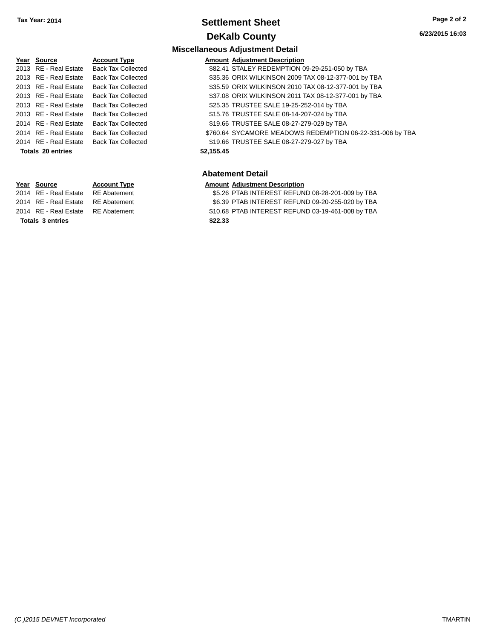### **Settlement Sheet Tax Year: 2014 Page 2 of 2 DeKalb County**

# **Year Source Account Type** 2013 RE - Real Estate Back Tax Collected **\$82.41 STALEY REDEMPTION 09-29-251-050 by TBA** 2013 RE - Real Estate Back Tax Collected \$25.35 TRUSTEE SALE 19-25-252-014 by TBA 2013 RE - Real Estate Back Tax Collected \$15.76 TRUSTEE SALE 08-14-207-024 by TBA 2014 RE - Real Estate Back Tax Collected \$19.66 TRUSTEE SALE 08-27-279-029 by TBA 2014 RE - Real Estate Back Tax Collected \$760.64 SYCAMORE MEADOWS REDEMPTION 06-22-331-006 by TBA **Totals \$2,155.45 20 entries**

**Totals \$22.33 3 entries**

# **Miscellaneous Adjustment Detail**

| <b>Amount Adiustment Description</b>     |
|------------------------------------------|
| <b>CO 41 CTALEV DENEMBTION 00.20.25:</b> |

- 2013 RE Real Estate Back Tax Collected \$35.36 ORIX WILKINSON 2009 TAX 08-12-377-001 by TBA
- 2013 RE Real Estate Back Tax Collected \$35.59 ORIX WILKINSON 2010 TAX 08-12-377-001 by TBA
- 2013 RE Real Estate Back Tax Collected \$37.08 ORIX WILKINSON 2011 TAX 08-12-377-001 by TBA
	-
	-
	-
	-
- 2014 RE Real Estate Back Tax Collected \$19.66 TRUSTEE SALE 08-27-279-027 by TBA

#### **Abatement Detail**

#### **Year Source Account Type Amount Adjustment Description**

2014 RE - Real Estate RE Abatement \$5.26 PTAB INTEREST REFUND 08-28-201-009 by TBA

- 2014 RE Real Estate RE Abatement \$6.39 PTAB INTEREST REFUND 09-20-255-020 by TBA
- 2014 RE Real Estate RE Abatement \$10.68 PTAB INTEREST REFUND 03-19-461-008 by TBA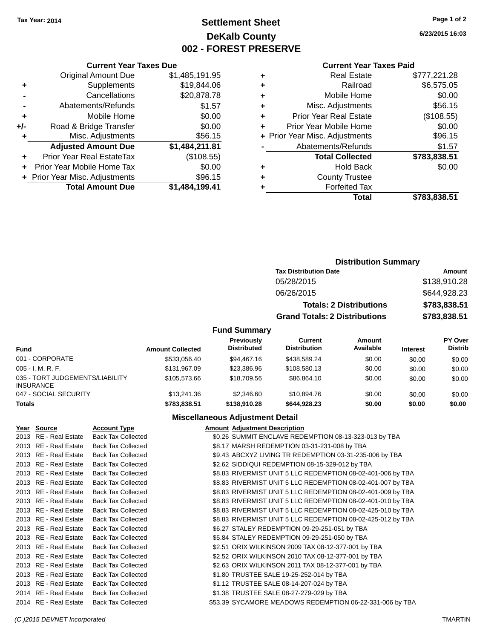# **Settlement Sheet Tax Year: 2014 Page 1 of 2 DeKalb County 002 - FOREST PRESERVE**

**6/23/2015 16:03**

#### **Current Year Taxes Paid**

|     | + Prior Year Misc. Adjustments | \$96.15        |
|-----|--------------------------------|----------------|
|     | Prior Year Mobile Home Tax     | \$0.00         |
| ÷   | Prior Year Real EstateTax      | (\$108.55)     |
|     | <b>Adjusted Amount Due</b>     | \$1,484,211.81 |
| ٠   | Misc. Adjustments              | \$56.15        |
| +/- | Road & Bridge Transfer         | \$0.00         |
| ٠   | Mobile Home                    | \$0.00         |
|     | Abatements/Refunds             | \$1.57         |
|     | Cancellations                  | \$20,878.78    |
| ÷   | Supplements                    | \$19,844.06    |
|     | <b>Original Amount Due</b>     | \$1,485,191.95 |
|     | <b>Current Year Taxes Due</b>  |                |

| ٠ | <b>Real Estate</b>             | \$777,221.28 |
|---|--------------------------------|--------------|
| ٠ | Railroad                       | \$6,575.05   |
| ٠ | Mobile Home                    | \$0.00       |
| ٠ | Misc. Adjustments              | \$56.15      |
| ٠ | <b>Prior Year Real Estate</b>  | (\$108.55)   |
| ٠ | Prior Year Mobile Home         | \$0.00       |
|   | + Prior Year Misc. Adjustments | \$96.15      |
|   | Abatements/Refunds             | \$1.57       |
|   | <b>Total Collected</b>         | \$783,838.51 |
| ٠ | Hold Back                      | \$0.00       |
| ٠ | <b>County Trustee</b>          |              |
| ٠ | <b>Forfeited Tax</b>           |              |
|   | Total                          | \$783.838.51 |
|   |                                |              |

### **Distribution Summary Tax Distribution Date Amount** 05/28/2015 \$138,910.28 06/26/2015 \$644,928.23 **Totals: 2 Distributions \$783,838.51 Grand Totals: 2 Distributions \$783,838.51**

### **Fund Summary**

| <b>Fund</b>                                         | <b>Amount Collected</b> | Previously<br><b>Distributed</b> | Current<br><b>Distribution</b> | Amount<br>Available | <b>Interest</b> | PY Over<br><b>Distrib</b> |
|-----------------------------------------------------|-------------------------|----------------------------------|--------------------------------|---------------------|-----------------|---------------------------|
| 001 - CORPORATE                                     | \$533,056.40            | \$94,467.16                      | \$438,589.24                   | \$0.00              | \$0.00          | \$0.00                    |
| $005 - I. M. R. F.$                                 | \$131.967.09            | \$23.386.96                      | \$108,580.13                   | \$0.00              | \$0.00          | \$0.00                    |
| 035 - TORT JUDGEMENTS/LIABILITY<br><b>INSURANCE</b> | \$105,573,66            | \$18,709.56                      | \$86.864.10                    | \$0.00              | \$0.00          | \$0.00                    |
| 047 - SOCIAL SECURITY                               | \$13,241.36             | \$2,346.60                       | \$10,894.76                    | \$0.00              | \$0.00          | \$0.00                    |
| <b>Totals</b>                                       | \$783,838.51            | \$138,910.28                     | \$644,928,23                   | \$0.00              | \$0.00          | \$0.00                    |

#### **Miscellaneous Adjustment Detail**

| Year Source           | <b>Account Type</b>       | <b>Amount Adjustment Description</b>                        |
|-----------------------|---------------------------|-------------------------------------------------------------|
| 2013 RE - Real Estate | <b>Back Tax Collected</b> | \$0.26 SUMMIT ENCLAVE REDEMPTION 08-13-323-013 by TBA       |
| 2013 RE - Real Estate | <b>Back Tax Collected</b> | \$8.17 MARSH REDEMPTION 03-31-231-008 by TBA                |
| 2013 RE - Real Estate | <b>Back Tax Collected</b> | \$9.43 ABCXYZ LIVING TR REDEMPTION 03-31-235-006 by TBA     |
| 2013 RE - Real Estate | <b>Back Tax Collected</b> | \$2.62 SIDDIQUI REDEMPTION 08-15-329-012 by TBA             |
| 2013 RE - Real Estate | <b>Back Tax Collected</b> | \$8.83 RIVERMIST UNIT 5 LLC REDEMPTION 08-02-401-006 by TBA |
| 2013 RE - Real Estate | <b>Back Tax Collected</b> | \$8.83 RIVERMIST UNIT 5 LLC REDEMPTION 08-02-401-007 by TBA |
| 2013 RE - Real Estate | <b>Back Tax Collected</b> | \$8.83 RIVERMIST UNIT 5 LLC REDEMPTION 08-02-401-009 by TBA |
| 2013 RE - Real Estate | <b>Back Tax Collected</b> | \$8.83 RIVERMIST UNIT 5 LLC REDEMPTION 08-02-401-010 by TBA |
| 2013 RE - Real Estate | <b>Back Tax Collected</b> | \$8.83 RIVERMIST UNIT 5 LLC REDEMPTION 08-02-425-010 by TBA |
| 2013 RE - Real Estate | <b>Back Tax Collected</b> | \$8.83 RIVERMIST UNIT 5 LLC REDEMPTION 08-02-425-012 by TBA |
| 2013 RE - Real Estate | <b>Back Tax Collected</b> | \$6.27 STALEY REDEMPTION 09-29-251-051 by TBA               |
| 2013 RE - Real Estate | <b>Back Tax Collected</b> | \$5.84 STALEY REDEMPTION 09-29-251-050 by TBA               |
| 2013 RE - Real Estate | <b>Back Tax Collected</b> | \$2.51 ORIX WILKINSON 2009 TAX 08-12-377-001 by TBA         |
| 2013 RE - Real Estate | <b>Back Tax Collected</b> | \$2.52 ORIX WILKINSON 2010 TAX 08-12-377-001 by TBA         |
| 2013 RE - Real Estate | <b>Back Tax Collected</b> | \$2.63 ORIX WILKINSON 2011 TAX 08-12-377-001 by TBA         |
| 2013 RE - Real Estate | <b>Back Tax Collected</b> | \$1.80 TRUSTEE SALE 19-25-252-014 by TBA                    |
| 2013 RE - Real Estate | <b>Back Tax Collected</b> | \$1.12 TRUSTEE SALE 08-14-207-024 by TBA                    |
| 2014 RE - Real Estate | <b>Back Tax Collected</b> | \$1.38 TRUSTEE SALE 08-27-279-029 by TBA                    |
| 2014 RE - Real Estate | <b>Back Tax Collected</b> | \$53.39 SYCAMORE MEADOWS REDEMPTION 06-22-331-006 by TBA    |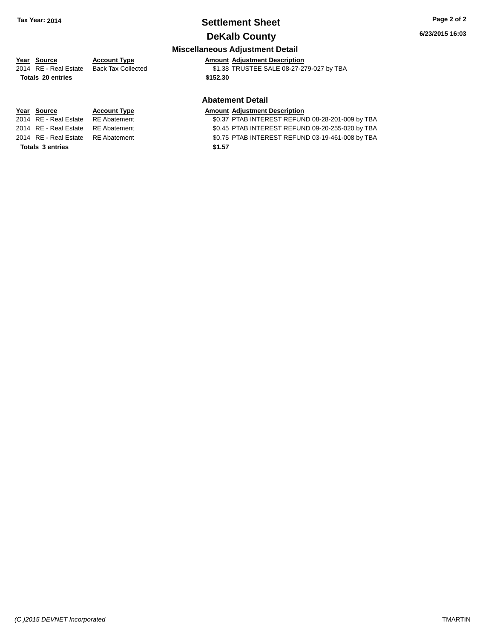# **Settlement Sheet Tax Year: 2014 Page 2 of 2**

### **DeKalb County**

**Miscellaneous Adjustment Detail**

**Year** Source **Account Type Account Adjustment Description** 2014 RE - Real Estate Back Tax Collected \$1.38 TRUSTEE SALE 08-27-279-027 by TBA **Totals \$152.30 20 entries**

#### **Abatement Detail**

### **Year** Source **Account Type Account Adjustment Description**

2014 RE - Real Estate RE Abatement \$0.37 PTAB INTEREST REFUND 08-28-201-009 by TBA 2014 RE - Real Estate RE Abatement \$0.45 PTAB INTEREST REFUND 09-20-255-020 by TBA 2014 RE - Real Estate RE Abatement \$0.75 PTAB INTEREST REFUND 03-19-461-008 by TBA

**Totals \$1.57 3 entries**

*(C )2015 DEVNET Incorporated* TMARTIN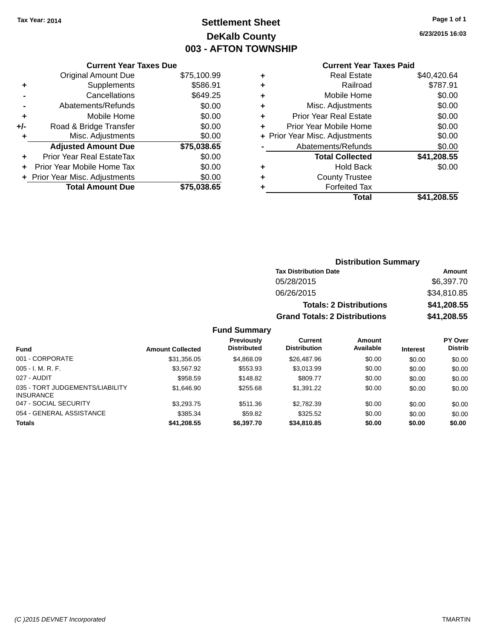# **Settlement Sheet Tax Year: 2014 Page 1 of 1 DeKalb County 003 - AFTON TOWNSHIP**

**6/23/2015 16:03**

### **Current Year Taxes Paid**

|     | <b>Current Year Taxes Due</b>  |             |  |  |  |
|-----|--------------------------------|-------------|--|--|--|
|     | <b>Original Amount Due</b>     | \$75,100.99 |  |  |  |
| ٠   | Supplements                    | \$586.91    |  |  |  |
|     | Cancellations                  | \$649.25    |  |  |  |
|     | Abatements/Refunds             | \$0.00      |  |  |  |
| ٠   | Mobile Home                    | \$0.00      |  |  |  |
| +/- | Road & Bridge Transfer         | \$0.00      |  |  |  |
|     | Misc. Adjustments              | \$0.00      |  |  |  |
|     | <b>Adjusted Amount Due</b>     | \$75,038.65 |  |  |  |
| ٠   | Prior Year Real EstateTax      | \$0.00      |  |  |  |
|     | Prior Year Mobile Home Tax     | \$0.00      |  |  |  |
|     | + Prior Year Misc. Adjustments | \$0.00      |  |  |  |
|     | <b>Total Amount Due</b>        | \$75,038,65 |  |  |  |
|     |                                |             |  |  |  |

| ٠ | <b>Real Estate</b>             | \$40,420.64 |
|---|--------------------------------|-------------|
| ٠ | Railroad                       | \$787.91    |
| ٠ | Mobile Home                    | \$0.00      |
| ٠ | Misc. Adjustments              | \$0.00      |
| ٠ | <b>Prior Year Real Estate</b>  | \$0.00      |
| ÷ | Prior Year Mobile Home         | \$0.00      |
|   | + Prior Year Misc. Adjustments | \$0.00      |
|   | Abatements/Refunds             | \$0.00      |
|   | <b>Total Collected</b>         | \$41,208.55 |
| ٠ | Hold Back                      | \$0.00      |
| ٠ | <b>County Trustee</b>          |             |
| ٠ | <b>Forfeited Tax</b>           |             |
|   | Total                          | \$41,208.55 |
|   |                                |             |

### **Distribution Summary Tax Distribution Date Amount** 05/28/2015 \$6,397.70 06/26/2015 \$34,810.85 **Totals: 2 Distributions \$41,208.55 Grand Totals: 2 Distributions \$41,208.55**

| <b>Fund</b>                                         | <b>Amount Collected</b> | <b>Previously</b><br><b>Distributed</b> | <b>Current</b><br><b>Distribution</b> | Amount<br>Available | <b>Interest</b> | PY Over<br><b>Distrib</b> |
|-----------------------------------------------------|-------------------------|-----------------------------------------|---------------------------------------|---------------------|-----------------|---------------------------|
| 001 - CORPORATE                                     | \$31.356.05             | \$4,868,09                              | \$26,487.96                           | \$0.00              | \$0.00          | \$0.00                    |
| $005 - I. M. R. F.$                                 | \$3,567.92              | \$553.93                                | \$3,013.99                            | \$0.00              | \$0.00          | \$0.00                    |
| 027 - AUDIT                                         | \$958.59                | \$148.82                                | \$809.77                              | \$0.00              | \$0.00          | \$0.00                    |
| 035 - TORT JUDGEMENTS/LIABILITY<br><b>INSURANCE</b> | \$1,646.90              | \$255.68                                | \$1.391.22                            | \$0.00              | \$0.00          | \$0.00                    |
| 047 - SOCIAL SECURITY                               | \$3,293.75              | \$511.36                                | \$2,782.39                            | \$0.00              | \$0.00          | \$0.00                    |
| 054 - GENERAL ASSISTANCE                            | \$385.34                | \$59.82                                 | \$325.52                              | \$0.00              | \$0.00          | \$0.00                    |
| <b>Totals</b>                                       | \$41,208.55             | \$6,397.70                              | \$34,810.85                           | \$0.00              | \$0.00          | \$0.00                    |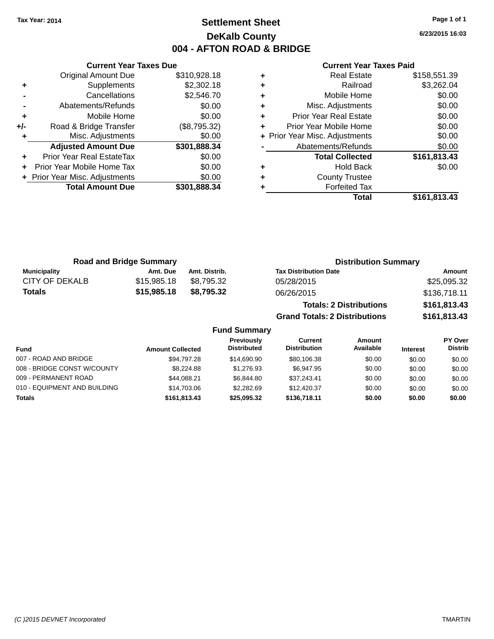# **Settlement Sheet Tax Year: 2014 Page 1 of 1 DeKalb County 004 - AFTON ROAD & BRIDGE**

**6/23/2015 16:03**

|     | <b>Current Year Taxes Due</b>  |              |
|-----|--------------------------------|--------------|
|     | Original Amount Due            | \$310,928.18 |
| ٠   | Supplements                    | \$2,302.18   |
|     | Cancellations                  | \$2,546.70   |
|     | Abatements/Refunds             | \$0.00       |
| ٠   | Mobile Home                    | \$0.00       |
| +/- | Road & Bridge Transfer         | (\$8,795.32) |
|     | Misc. Adjustments              | \$0.00       |
|     | <b>Adjusted Amount Due</b>     | \$301,888.34 |
|     | Prior Year Real EstateTax      | \$0.00       |
|     | Prior Year Mobile Home Tax     | \$0.00       |
|     | + Prior Year Misc. Adjustments | \$0.00       |
|     | <b>Total Amount Due</b>        | \$301,888.34 |
|     |                                |              |

#### **Current Year Taxes Paid**

|   | <b>Real Estate</b>             | \$158,551.39 |
|---|--------------------------------|--------------|
| ٠ | Railroad                       | \$3,262.04   |
| ٠ | Mobile Home                    | \$0.00       |
| ٠ | Misc. Adjustments              | \$0.00       |
| ٠ | <b>Prior Year Real Estate</b>  | \$0.00       |
|   | Prior Year Mobile Home         | \$0.00       |
|   | + Prior Year Misc. Adjustments | \$0.00       |
|   | Abatements/Refunds             | \$0.00       |
|   | <b>Total Collected</b>         | \$161,813.43 |
| ٠ | <b>Hold Back</b>               | \$0.00       |
| ٠ | <b>County Trustee</b>          |              |
|   | <b>Forfeited Tax</b>           |              |
|   | Total                          | \$161,813.43 |
|   |                                |              |

**Grand Totals: 2 Distributions \$161,813.43**

| <b>Road and Bridge Summary</b> |             |               | <b>Distribution Summary</b>    |              |  |
|--------------------------------|-------------|---------------|--------------------------------|--------------|--|
| <b>Municipality</b>            | Amt. Due    | Amt. Distrib. | <b>Tax Distribution Date</b>   | Amount       |  |
| <b>CITY OF DEKALB</b>          | \$15,985.18 | \$8.795.32    | 05/28/2015                     | \$25,095.32  |  |
| <b>Totals</b>                  | \$15,985.18 | \$8.795.32    | 06/26/2015                     | \$136,718.11 |  |
|                                |             |               | <b>Totals: 2 Distributions</b> | \$161,813.43 |  |

**Fund Summary Fund Interest Amount Collected Distributed PY Over Distrib Amount Available Current Distribution Previously** 007 - ROAD AND BRIDGE 60.00 \$94,797.28 \$14,690.90 \$80,106.38 \$0.00 \$0.00 \$0.00 \$0.00 008 - BRIDGE CONST W/COUNTY  $$8,224.88$   $$1,276.93$   $$6,947.95$  \$0.00  $$0.00$  \$0.00 \$0.00 009 - PERMANENT ROAD \$44,088.21 \$6,844.80 \$37,243.41 \$0.00 \$0.00 \$0.00 010 - EQUIPMENT AND BUILDING \$14,703.06 \$2,282.69 \$12,420.37 \$0.00 \$0.00 \$0.00 **Totals \$161,813.43 \$25,095.32 \$136,718.11 \$0.00 \$0.00 \$0.00**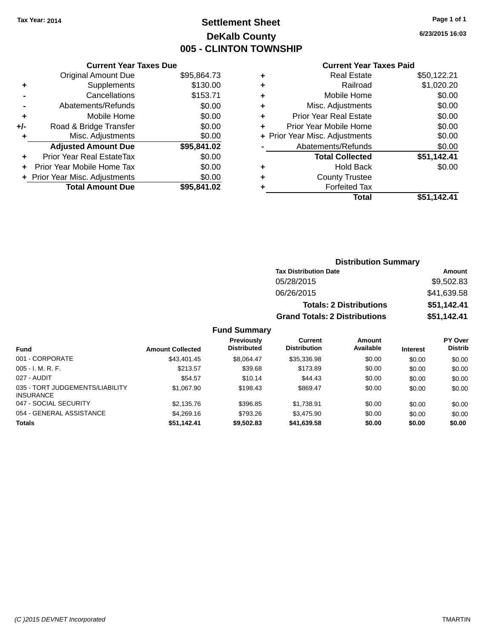# **Settlement Sheet Tax Year: 2014 Page 1 of 1 DeKalb County 005 - CLINTON TOWNSHIP**

**6/23/2015 16:03**

### **Current Year Taxes Paid**

|       | <b>Current Year Taxes Due</b>  |             |
|-------|--------------------------------|-------------|
|       | <b>Original Amount Due</b>     | \$95,864.73 |
| ٠     | Supplements                    | \$130.00    |
|       | Cancellations                  | \$153.71    |
|       | Abatements/Refunds             | \$0.00      |
| ٠     | Mobile Home                    | \$0.00      |
| $+/-$ | Road & Bridge Transfer         | \$0.00      |
|       | Misc. Adjustments              | \$0.00      |
|       | <b>Adjusted Amount Due</b>     | \$95,841.02 |
| ٠     | Prior Year Real EstateTax      | \$0.00      |
|       | Prior Year Mobile Home Tax     | \$0.00      |
|       | + Prior Year Misc. Adjustments | \$0.00      |
|       | <b>Total Amount Due</b>        | \$95,841.02 |
|       |                                |             |

|   | <b>Real Estate</b>             | \$50,122.21 |
|---|--------------------------------|-------------|
| ٠ | Railroad                       | \$1,020.20  |
| ٠ | Mobile Home                    | \$0.00      |
| ٠ | Misc. Adjustments              | \$0.00      |
| ٠ | <b>Prior Year Real Estate</b>  | \$0.00      |
| ٠ | Prior Year Mobile Home         | \$0.00      |
|   | + Prior Year Misc. Adjustments | \$0.00      |
|   | Abatements/Refunds             | \$0.00      |
|   | <b>Total Collected</b>         | \$51,142.41 |
| ٠ | Hold Back                      | \$0.00      |
| ٠ | <b>County Trustee</b>          |             |
|   | <b>Forfeited Tax</b>           |             |
|   | Total                          | \$51.142.41 |
|   |                                |             |

### **Distribution Summary Tax Distribution Date Amount** 05/28/2015 \$9,502.83 06/26/2015 \$41,639.58 **Totals: 2 Distributions \$51,142.41 Grand Totals: 2 Distributions \$51,142.41**

| <b>Fund</b>                                         | <b>Amount Collected</b> | <b>Previously</b><br><b>Distributed</b> | Current<br><b>Distribution</b> | Amount<br>Available | <b>Interest</b> | <b>PY Over</b><br><b>Distrib</b> |
|-----------------------------------------------------|-------------------------|-----------------------------------------|--------------------------------|---------------------|-----------------|----------------------------------|
| 001 - CORPORATE                                     | \$43,401.45             | \$8.064.47                              | \$35,336.98                    | \$0.00              | \$0.00          | \$0.00                           |
| $005 - I. M. R. F.$                                 | \$213.57                | \$39.68                                 | \$173.89                       | \$0.00              | \$0.00          | \$0.00                           |
| 027 - AUDIT                                         | \$54.57                 | \$10.14                                 | \$44.43                        | \$0.00              | \$0.00          | \$0.00                           |
| 035 - TORT JUDGEMENTS/LIABILITY<br><b>INSURANCE</b> | \$1.067.90              | \$198.43                                | \$869.47                       | \$0.00              | \$0.00          | \$0.00                           |
| 047 - SOCIAL SECURITY                               | \$2,135.76              | \$396.85                                | \$1.738.91                     | \$0.00              | \$0.00          | \$0.00                           |
| 054 - GENERAL ASSISTANCE                            | \$4,269.16              | \$793.26                                | \$3,475.90                     | \$0.00              | \$0.00          | \$0.00                           |
| <b>Totals</b>                                       | \$51,142.41             | \$9,502.83                              | \$41,639.58                    | \$0.00              | \$0.00          | \$0.00                           |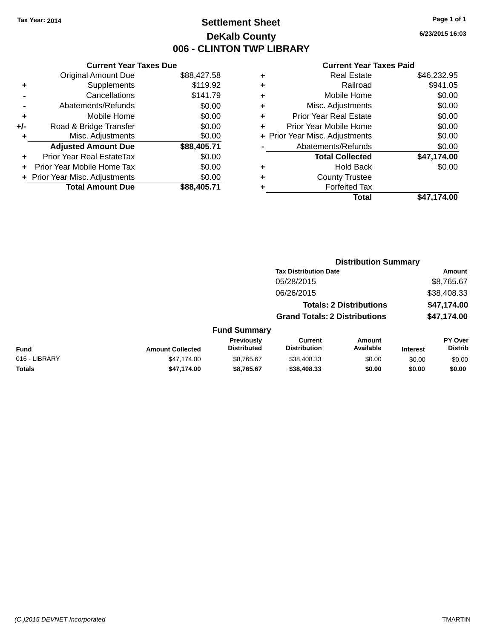# **Settlement Sheet Tax Year: 2014 Page 1 of 1 DeKalb County 006 - CLINTON TWP LIBRARY**

**6/23/2015 16:03**

|     | <b>Current Year Taxes Due</b>  |             |
|-----|--------------------------------|-------------|
|     | <b>Original Amount Due</b>     | \$88,427.58 |
| ٠   | Supplements                    | \$119.92    |
|     | Cancellations                  | \$141.79    |
|     | Abatements/Refunds             | \$0.00      |
| ٠   | Mobile Home                    | \$0.00      |
| +/- | Road & Bridge Transfer         | \$0.00      |
|     | Misc. Adjustments              | \$0.00      |
|     | <b>Adjusted Amount Due</b>     | \$88,405.71 |
| ÷   | Prior Year Real EstateTax      | \$0.00      |
|     | Prior Year Mobile Home Tax     | \$0.00      |
|     | + Prior Year Misc. Adjustments | \$0.00      |
|     | <b>Total Amount Due</b>        | \$88.405.71 |

| ٠ | <b>Real Estate</b>             | \$46,232.95 |
|---|--------------------------------|-------------|
| ٠ | Railroad                       | \$941.05    |
| ٠ | Mobile Home                    | \$0.00      |
| ٠ | Misc. Adjustments              | \$0.00      |
| ٠ | <b>Prior Year Real Estate</b>  | \$0.00      |
|   | Prior Year Mobile Home         | \$0.00      |
|   | + Prior Year Misc. Adjustments | \$0.00      |
|   | Abatements/Refunds             | \$0.00      |
|   | <b>Total Collected</b>         | \$47,174.00 |
| ٠ | <b>Hold Back</b>               | \$0.00      |
| ٠ | <b>County Trustee</b>          |             |
|   | <b>Forfeited Tax</b>           |             |
|   | Total                          | \$47,174.00 |
|   |                                |             |

|               |                         |                                  | <b>Distribution Summary</b>           |                                |                 |                           |
|---------------|-------------------------|----------------------------------|---------------------------------------|--------------------------------|-----------------|---------------------------|
|               |                         |                                  | <b>Tax Distribution Date</b>          |                                |                 | <b>Amount</b>             |
|               |                         |                                  | 05/28/2015                            |                                |                 | \$8,765.67                |
|               |                         |                                  | 06/26/2015                            |                                |                 | \$38,408.33               |
|               |                         |                                  |                                       | <b>Totals: 2 Distributions</b> |                 | \$47,174.00               |
|               |                         |                                  | <b>Grand Totals: 2 Distributions</b>  |                                |                 | \$47,174.00               |
|               |                         | <b>Fund Summary</b>              |                                       |                                |                 |                           |
| <b>Fund</b>   | <b>Amount Collected</b> | Previously<br><b>Distributed</b> | <b>Current</b><br><b>Distribution</b> | Amount<br>Available            | <b>Interest</b> | PY Over<br><b>Distrib</b> |
| 016 - LIBRARY | \$47,174.00             | \$8,765.67                       | \$38,408.33                           | \$0.00                         | \$0.00          | \$0.00                    |
| <b>Totals</b> | \$47,174.00             | \$8,765.67                       | \$38,408.33                           | \$0.00                         | \$0.00          | \$0.00                    |
|               |                         |                                  |                                       |                                |                 |                           |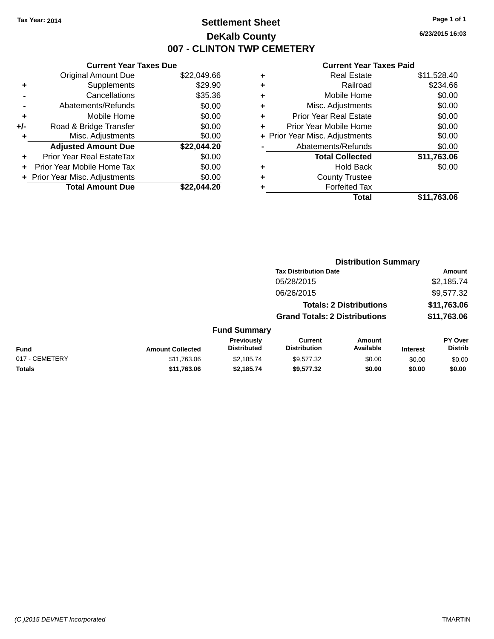# **Settlement Sheet Tax Year: 2014 Page 1 of 1 DeKalb County 007 - CLINTON TWP CEMETERY**

**6/23/2015 16:03**

|       | <b>Current Year Taxes Due</b>  |             |
|-------|--------------------------------|-------------|
|       | <b>Original Amount Due</b>     | \$22,049.66 |
| ÷     | Supplements                    | \$29.90     |
|       | Cancellations                  | \$35.36     |
|       | Abatements/Refunds             | \$0.00      |
| ٠     | Mobile Home                    | \$0.00      |
| $+/-$ | Road & Bridge Transfer         | \$0.00      |
|       | Misc. Adjustments              | \$0.00      |
|       | <b>Adjusted Amount Due</b>     | \$22,044.20 |
| ٠     | Prior Year Real EstateTax      | \$0.00      |
|       | Prior Year Mobile Home Tax     | \$0.00      |
|       | + Prior Year Misc. Adjustments | \$0.00      |
|       | <b>Total Amount Due</b>        | \$22,044.20 |
|       |                                |             |

| ٠ | <b>Real Estate</b>             | \$11,528.40 |
|---|--------------------------------|-------------|
| ٠ | Railroad                       | \$234.66    |
| ٠ | Mobile Home                    | \$0.00      |
| ٠ | Misc. Adjustments              | \$0.00      |
| ٠ | <b>Prior Year Real Estate</b>  | \$0.00      |
| ٠ | Prior Year Mobile Home         | \$0.00      |
|   | + Prior Year Misc. Adjustments | \$0.00      |
|   | Abatements/Refunds             | \$0.00      |
|   | <b>Total Collected</b>         | \$11,763.06 |
| ٠ | <b>Hold Back</b>               | \$0.00      |
| ٠ | <b>County Trustee</b>          |             |
| ٠ | <b>Forfeited Tax</b>           |             |
|   | Total                          | \$11,763.06 |
|   |                                |             |

|                |                         |                                         | <b>Distribution Summary</b>           |                                |                 |                                  |
|----------------|-------------------------|-----------------------------------------|---------------------------------------|--------------------------------|-----------------|----------------------------------|
|                |                         |                                         | <b>Tax Distribution Date</b>          |                                |                 | <b>Amount</b>                    |
|                |                         |                                         | 05/28/2015                            |                                |                 | \$2,185.74                       |
|                |                         |                                         | 06/26/2015                            |                                |                 | \$9,577.32                       |
|                |                         |                                         |                                       | <b>Totals: 2 Distributions</b> |                 | \$11,763.06                      |
|                |                         |                                         | <b>Grand Totals: 2 Distributions</b>  |                                |                 | \$11,763.06                      |
|                |                         | <b>Fund Summary</b>                     |                                       |                                |                 |                                  |
| <b>Fund</b>    | <b>Amount Collected</b> | <b>Previously</b><br><b>Distributed</b> | <b>Current</b><br><b>Distribution</b> | Amount<br>Available            | <b>Interest</b> | <b>PY Over</b><br><b>Distrib</b> |
| 017 - CEMETERY | \$11,763.06             | \$2,185.74                              | \$9,577.32                            | \$0.00                         | \$0.00          | \$0.00                           |
| <b>Totals</b>  | \$11,763.06             | \$2,185.74                              | \$9,577.32                            | \$0.00                         | \$0.00          | \$0.00                           |
|                |                         |                                         |                                       |                                |                 |                                  |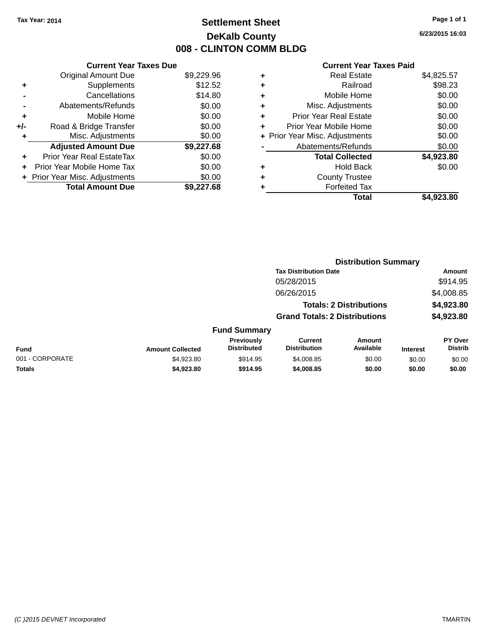# **Settlement Sheet Tax Year: 2014 Page 1 of 1 DeKalb County 008 - CLINTON COMM BLDG**

**6/23/2015 16:03**

|     | <b>Current Year Taxes Due</b>  |            |
|-----|--------------------------------|------------|
|     | <b>Original Amount Due</b>     | \$9,229.96 |
| ٠   | Supplements                    | \$12.52    |
|     | Cancellations                  | \$14.80    |
|     | Abatements/Refunds             | \$0.00     |
| ٠   | Mobile Home                    | \$0.00     |
| +/- | Road & Bridge Transfer         | \$0.00     |
| ٠   | Misc. Adjustments              | \$0.00     |
|     | <b>Adjusted Amount Due</b>     | \$9,227.68 |
| ÷   | Prior Year Real EstateTax      | \$0.00     |
|     | Prior Year Mobile Home Tax     | \$0.00     |
|     | + Prior Year Misc. Adjustments | \$0.00     |
|     | <b>Total Amount Due</b>        | \$9,227.68 |
|     |                                |            |

|   | <b>Real Estate</b>             | \$4,825.57 |
|---|--------------------------------|------------|
| ٠ | Railroad                       | \$98.23    |
| ٠ | Mobile Home                    | \$0.00     |
| ٠ | Misc. Adjustments              | \$0.00     |
| ٠ | <b>Prior Year Real Estate</b>  | \$0.00     |
| ٠ | Prior Year Mobile Home         | \$0.00     |
|   | + Prior Year Misc. Adjustments | \$0.00     |
|   | Abatements/Refunds             | \$0.00     |
|   | <b>Total Collected</b>         | \$4,923.80 |
| ٠ | <b>Hold Back</b>               | \$0.00     |
|   | <b>County Trustee</b>          |            |
| ٠ | <b>Forfeited Tax</b>           |            |
|   | Total                          | \$4,923.80 |
|   |                                |            |

|                 |                         |                                  | <b>Distribution Summary</b>           |                                |                 |                                  |
|-----------------|-------------------------|----------------------------------|---------------------------------------|--------------------------------|-----------------|----------------------------------|
|                 |                         |                                  | <b>Tax Distribution Date</b>          |                                |                 | Amount                           |
|                 |                         |                                  | 05/28/2015                            |                                |                 | \$914.95                         |
|                 |                         |                                  | 06/26/2015                            |                                |                 | \$4,008.85                       |
|                 |                         |                                  |                                       | <b>Totals: 2 Distributions</b> |                 | \$4,923.80                       |
|                 |                         |                                  | <b>Grand Totals: 2 Distributions</b>  |                                |                 | \$4,923.80                       |
|                 |                         | <b>Fund Summary</b>              |                                       |                                |                 |                                  |
| <b>Fund</b>     | <b>Amount Collected</b> | Previously<br><b>Distributed</b> | <b>Current</b><br><b>Distribution</b> | Amount<br>Available            | <b>Interest</b> | <b>PY Over</b><br><b>Distrib</b> |
| 001 - CORPORATE | \$4,923.80              | \$914.95                         | \$4,008.85                            | \$0.00                         | \$0.00          | \$0.00                           |
| <b>Totals</b>   | \$4,923.80              | \$914.95                         | \$4,008.85                            | \$0.00                         | \$0.00          | \$0.00                           |
|                 |                         |                                  |                                       |                                |                 |                                  |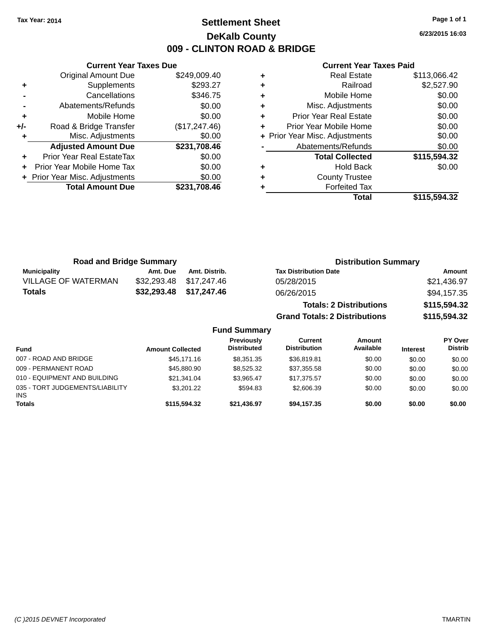# **Settlement Sheet Tax Year: 2014 Page 1 of 1 DeKalb County 009 - CLINTON ROAD & BRIDGE**

**6/23/2015 16:03**

|     | <b>Current Year Taxes Due</b>  |               |  |  |  |
|-----|--------------------------------|---------------|--|--|--|
|     | <b>Original Amount Due</b>     | \$249,009.40  |  |  |  |
| ٠   | Supplements                    | \$293.27      |  |  |  |
|     | Cancellations                  | \$346.75      |  |  |  |
|     | Abatements/Refunds             | \$0.00        |  |  |  |
| ٠   | Mobile Home                    | \$0.00        |  |  |  |
| +/- | Road & Bridge Transfer         | (\$17,247.46) |  |  |  |
|     | Misc. Adjustments              | \$0.00        |  |  |  |
|     | <b>Adjusted Amount Due</b>     | \$231,708.46  |  |  |  |
| ٠   | Prior Year Real EstateTax      | \$0.00        |  |  |  |
|     | Prior Year Mobile Home Tax     | \$0.00        |  |  |  |
|     | + Prior Year Misc. Adjustments | \$0.00        |  |  |  |
|     | <b>Total Amount Due</b>        | \$231,708.46  |  |  |  |
|     |                                |               |  |  |  |

|   | Real Estate                    | \$113,066.42 |
|---|--------------------------------|--------------|
| ٠ | Railroad                       | \$2,527.90   |
| ٠ | Mobile Home                    | \$0.00       |
| ٠ | Misc. Adjustments              | \$0.00       |
| ٠ | <b>Prior Year Real Estate</b>  | \$0.00       |
| ٠ | Prior Year Mobile Home         | \$0.00       |
|   | + Prior Year Misc. Adjustments | \$0.00       |
|   | Abatements/Refunds             | \$0.00       |
|   | <b>Total Collected</b>         | \$115,594.32 |
| ٠ | <b>Hold Back</b>               | \$0.00       |
| ٠ | <b>County Trustee</b>          |              |
|   | <b>Forfeited Tax</b>           |              |
|   | Total                          | \$115,594,32 |

| <b>Road and Bridge Summary</b> |             |               | <b>Distribution Summary</b>          |              |  |  |
|--------------------------------|-------------|---------------|--------------------------------------|--------------|--|--|
| <b>Municipality</b>            | Amt. Due    | Amt. Distrib. | <b>Tax Distribution Date</b>         | Amount       |  |  |
| <b>VILLAGE OF WATERMAN</b>     | \$32,293.48 | \$17,247.46   | 05/28/2015                           | \$21,436.97  |  |  |
| <b>Totals</b>                  | \$32,293.48 | \$17,247.46   | 06/26/2015                           | \$94,157.35  |  |  |
|                                |             |               | <b>Totals: 2 Distributions</b>       | \$115,594.32 |  |  |
|                                |             |               | <b>Grand Totals: 2 Distributions</b> | \$115,594.32 |  |  |
|                                |             | $\sim$<br>. . |                                      |              |  |  |

| <b>Fund Summary</b> |  |  |
|---------------------|--|--|
|---------------------|--|--|

| <b>Fund</b>                                   | <b>Amount Collected</b> | <b>Previously</b><br><b>Distributed</b> | Current<br><b>Distribution</b> | Amount<br>Available | <b>Interest</b> | PY Over<br><b>Distrib</b> |
|-----------------------------------------------|-------------------------|-----------------------------------------|--------------------------------|---------------------|-----------------|---------------------------|
| 007 - ROAD AND BRIDGE                         | \$45,171,16             | \$8,351,35                              | \$36,819.81                    | \$0.00              | \$0.00          | \$0.00                    |
| 009 - PERMANENT ROAD                          | \$45,880.90             | \$8,525,32                              | \$37,355.58                    | \$0.00              | \$0.00          | \$0.00                    |
| 010 - EQUIPMENT AND BUILDING                  | \$21.341.04             | \$3.965.47                              | \$17.375.57                    | \$0.00              | \$0.00          | \$0.00                    |
| 035 - TORT JUDGEMENTS/LIABILITY<br><b>INS</b> | \$3,201.22              | \$594.83                                | \$2,606.39                     | \$0.00              | \$0.00          | \$0.00                    |
| <b>Totals</b>                                 | \$115,594,32            | \$21.436.97                             | \$94.157.35                    | \$0.00              | \$0.00          | \$0.00                    |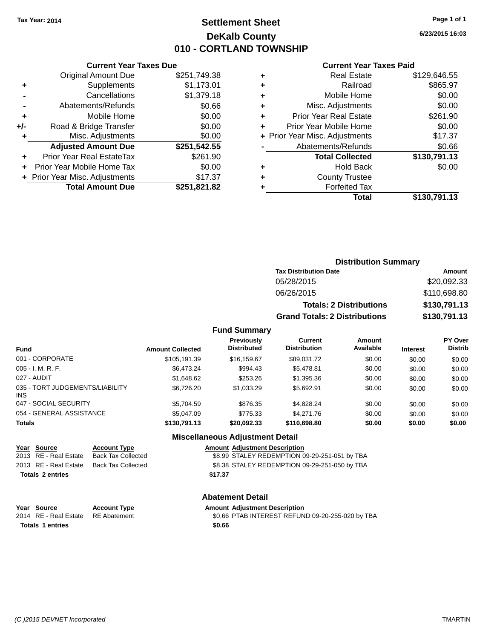# **Settlement Sheet Tax Year: 2014 Page 1 of 1 DeKalb County 010 - CORTLAND TOWNSHIP**

**6/23/2015 16:03**

### **Current Year Taxes Paid**

|       | <b>Current Year Taxes Due</b>  |              |  |  |  |
|-------|--------------------------------|--------------|--|--|--|
|       | <b>Original Amount Due</b>     | \$251,749.38 |  |  |  |
| ٠     | Supplements                    | \$1,173.01   |  |  |  |
|       | Cancellations                  | \$1,379.18   |  |  |  |
|       | \$0.66<br>Abatements/Refunds   |              |  |  |  |
| ٠     | Mobile Home                    | \$0.00       |  |  |  |
| $+/-$ | Road & Bridge Transfer         | \$0.00       |  |  |  |
| ٠     | Misc. Adjustments              | \$0.00       |  |  |  |
|       | <b>Adjusted Amount Due</b>     | \$251,542.55 |  |  |  |
| ÷     | Prior Year Real EstateTax      | \$261.90     |  |  |  |
|       | Prior Year Mobile Home Tax     | \$0.00       |  |  |  |
|       | + Prior Year Misc. Adjustments | \$17.37      |  |  |  |
|       | <b>Total Amount Due</b>        | \$251,821.82 |  |  |  |
|       |                                |              |  |  |  |

|   | Real Estate                    | \$129,646.55 |
|---|--------------------------------|--------------|
| ٠ | Railroad                       | \$865.97     |
| ٠ | Mobile Home                    | \$0.00       |
| ٠ | Misc. Adjustments              | \$0.00       |
| ٠ | <b>Prior Year Real Estate</b>  | \$261.90     |
| ÷ | Prior Year Mobile Home         | \$0.00       |
|   | + Prior Year Misc. Adjustments | \$17.37      |
|   | Abatements/Refunds             | \$0.66       |
|   | <b>Total Collected</b>         | \$130,791.13 |
| ٠ | <b>Hold Back</b>               | \$0.00       |
| ٠ | <b>County Trustee</b>          |              |
|   | <b>Forfeited Tax</b>           |              |
|   | Total                          | \$130,791.13 |
|   |                                |              |

| <b>Distribution Summary</b>          |              |
|--------------------------------------|--------------|
| <b>Tax Distribution Date</b>         | Amount       |
| 05/28/2015                           | \$20,092.33  |
| 06/26/2015                           | \$110,698.80 |
| <b>Totals: 2 Distributions</b>       | \$130,791.13 |
| <b>Grand Totals: 2 Distributions</b> | \$130,791.13 |

### **Fund Summary**

| <b>Fund</b>                                   | <b>Amount Collected</b> | <b>Previously</b><br><b>Distributed</b> | Current<br><b>Distribution</b> | Amount<br>Available | <b>Interest</b> | <b>PY Over</b><br><b>Distrib</b> |
|-----------------------------------------------|-------------------------|-----------------------------------------|--------------------------------|---------------------|-----------------|----------------------------------|
| 001 - CORPORATE                               | \$105.191.39            | \$16,159.67                             | \$89.031.72                    | \$0.00              | \$0.00          | \$0.00                           |
| $005 - I. M. R. F.$                           | \$6.473.24              | \$994.43                                | \$5.478.81                     | \$0.00              | \$0.00          | \$0.00                           |
| 027 - AUDIT                                   | \$1,648.62              | \$253.26                                | \$1,395.36                     | \$0.00              | \$0.00          | \$0.00                           |
| 035 - TORT JUDGEMENTS/LIABILITY<br><b>INS</b> | \$6,726,20              | \$1.033.29                              | \$5.692.91                     | \$0.00              | \$0.00          | \$0.00                           |
| 047 - SOCIAL SECURITY                         | \$5,704.59              | \$876.35                                | \$4.828.24                     | \$0.00              | \$0.00          | \$0.00                           |
| 054 - GENERAL ASSISTANCE                      | \$5,047.09              | \$775.33                                | \$4.271.76                     | \$0.00              | \$0.00          | \$0.00                           |
| <b>Totals</b>                                 | \$130,791.13            | \$20,092.33                             | \$110,698.80                   | \$0.00              | \$0.00          | \$0.00                           |

### **Miscellaneous Adjustment Detail**

| Year Source           | <b>Account Type</b> |         | <b>Amount Adiustment Description</b>          |
|-----------------------|---------------------|---------|-----------------------------------------------|
| 2013 RE - Real Estate | Back Tax Collected  |         | \$8.99 STALEY REDEMPTION 09-29-251-051 by TBA |
| 2013 RE - Real Estate | Back Tax Collected  |         | \$8.38 STALEY REDEMPTION 09-29-251-050 by TBA |
| Totals 2 entries      |                     | \$17.37 |                                               |

### **Abatement Detail**

| Year Source             | <b>Account Type</b> | <b>Amount Adiustment Description</b>             |
|-------------------------|---------------------|--------------------------------------------------|
| 2014 RE - Real Estate   | RE Abatement        | \$0.66 PTAB INTEREST REFUND 09-20-255-020 by TBA |
| <b>Totals 1 entries</b> |                     | \$0.66                                           |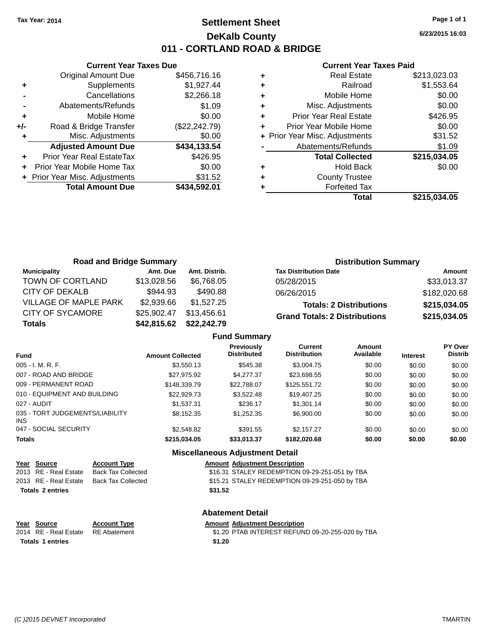# **Settlement Sheet Tax Year: 2014 Page 1 of 1 DeKalb County 011 - CORTLAND ROAD & BRIDGE**

**Current Year Taxes Due** Original Amount Due \$456,716.16 **+** Supplements \$1,927.44 **-** Cancellations \$2,266.18 **-** Abatements/Refunds \$1.09 **+** Mobile Home \$0.00 **+/-** Road & Bridge Transfer (\$22,242.79) **+** Misc. Adjustments \$0.00 **Adjusted Amount Due \$434,133.54 +** Prior Year Real EstateTax \$426.95 **+** Prior Year Mobile Home Tax \$0.00 **+** Prior Year Misc. Adjustments \$31.52 **Total Amount Due \$434,592.01**

#### **Current Year Taxes Paid**

|   | <b>Real Estate</b>             | \$213,023.03 |
|---|--------------------------------|--------------|
| ٠ | Railroad                       | \$1,553.64   |
| ٠ | Mobile Home                    | \$0.00       |
| ٠ | Misc. Adjustments              | \$0.00       |
| ٠ | <b>Prior Year Real Estate</b>  | \$426.95     |
|   | Prior Year Mobile Home         | \$0.00       |
|   | + Prior Year Misc. Adjustments | \$31.52      |
|   | Abatements/Refunds             | \$1.09       |
|   | <b>Total Collected</b>         | \$215,034.05 |
| ٠ | <b>Hold Back</b>               | \$0.00       |
|   | <b>County Trustee</b>          |              |
|   | <b>Forfeited Tax</b>           |              |
|   | Total                          | \$215,034.05 |
|   |                                |              |

| <b>Road and Bridge Summary</b> |             |               | <b>Distribution Summary</b>          |               |
|--------------------------------|-------------|---------------|--------------------------------------|---------------|
| <b>Municipality</b>            | Amt. Due    | Amt. Distrib. | <b>Tax Distribution Date</b>         | <b>Amount</b> |
| TOWN OF CORTLAND               | \$13,028.56 | \$6.768.05    | 05/28/2015                           | \$33,013.37   |
| CITY OF DEKALB                 | \$944.93    | \$490.88      | 06/26/2015                           | \$182,020.68  |
| <b>VILLAGE OF MAPLE PARK</b>   | \$2,939.66  | \$1,527.25    | <b>Totals: 2 Distributions</b>       | \$215,034.05  |
| <b>CITY OF SYCAMORE</b>        | \$25,902.47 | \$13.456.61   | <b>Grand Totals: 2 Distributions</b> | \$215,034.05  |
| <b>Totals</b>                  | \$42,815.62 | \$22,242.79   |                                      |               |

#### **Fund Summary**

| <b>Fund</b>                                   | <b>Amount Collected</b> | Previously<br><b>Distributed</b> | Current<br><b>Distribution</b> | Amount<br>Available | <b>Interest</b> | PY Over<br><b>Distrib</b> |
|-----------------------------------------------|-------------------------|----------------------------------|--------------------------------|---------------------|-----------------|---------------------------|
| $005 - I. M. R. F.$                           | \$3,550.13              | \$545.38                         | \$3,004.75                     | \$0.00              | \$0.00          | \$0.00                    |
| 007 - ROAD AND BRIDGE                         | \$27,975.92             | \$4,277.37                       | \$23,698.55                    | \$0.00              | \$0.00          | \$0.00                    |
| 009 - PERMANENT ROAD                          | \$148,339.79            | \$22,788,07                      | \$125,551.72                   | \$0.00              | \$0.00          | \$0.00                    |
| 010 - EQUIPMENT AND BUILDING                  | \$22,929.73             | \$3.522.48                       | \$19,407.25                    | \$0.00              | \$0.00          | \$0.00                    |
| 027 - AUDIT                                   | \$1.537.31              | \$236.17                         | \$1,301.14                     | \$0.00              | \$0.00          | \$0.00                    |
| 035 - TORT JUDGEMENTS/LIABILITY<br><b>INS</b> | \$8.152.35              | \$1.252.35                       | \$6,900,00                     | \$0.00              | \$0.00          | \$0.00                    |
| 047 - SOCIAL SECURITY                         | \$2,548.82              | \$391.55                         | \$2,157,27                     | \$0.00              | \$0.00          | \$0.00                    |
| <b>Totals</b>                                 | \$215,034.05            | \$33,013.37                      | \$182,020.68                   | \$0.00              | \$0.00          | \$0.00                    |

### **Miscellaneous Adjustment Detail**

| Year Source | <b>Account Type</b>                      | <b>Amount Adjustment Description</b> |
|-------------|------------------------------------------|--------------------------------------|
|             | 2013 RE - Real Estate Back Tax Collected | \$16.31 STALEY REDEMPTION 0          |
|             |                                          |                                      |

**Totals \$31.52 2 entries**

\$16.31 STALEY REDEMPTION 09-29-251-051 by TBA 2013 RE - Real Estate Back Tax Collected \$15.21 STALEY REDEMPTION 09-29-251-050 by TBA

#### **Abatement Detail**

# **Year Source Account Type Amount Adjustment Description**<br>2014 RE - Real Estate RE Abatement \$1.20 PTAB INTEREST REFUN

RE Abatement **2014 CHAB INTEREST REFUND 09-20-255-020 by TBA** RE Abatement **Totals 1 entries** \$1.20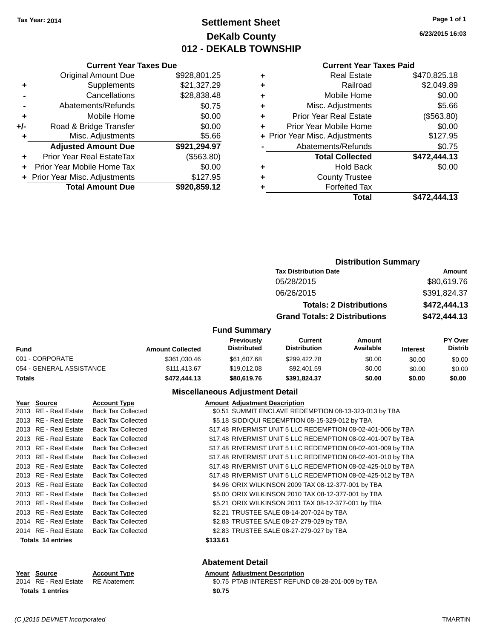# **Settlement Sheet Tax Year: 2014 Page 1 of 1 DeKalb County 012 - DEKALB TOWNSHIP**

**6/23/2015 16:03**

| <b>Current Year Taxes Paid</b> |  |  |  |
|--------------------------------|--|--|--|
|--------------------------------|--|--|--|

|     | <b>Current Year Taxes Due</b>  |              |  |  |  |
|-----|--------------------------------|--------------|--|--|--|
|     | <b>Original Amount Due</b>     | \$928,801.25 |  |  |  |
| ٠   | Supplements                    | \$21,327.29  |  |  |  |
|     | Cancellations                  | \$28,838.48  |  |  |  |
|     | Abatements/Refunds             | \$0.75       |  |  |  |
| ٠   | Mobile Home                    | \$0.00       |  |  |  |
| +/- | Road & Bridge Transfer         | \$0.00       |  |  |  |
| ٠   | \$5.66<br>Misc. Adjustments    |              |  |  |  |
|     | <b>Adjusted Amount Due</b>     | \$921,294.97 |  |  |  |
| ÷   | Prior Year Real EstateTax      | (\$563.80)   |  |  |  |
|     | Prior Year Mobile Home Tax     | \$0.00       |  |  |  |
|     | + Prior Year Misc. Adjustments | \$127.95     |  |  |  |
|     | <b>Total Amount Due</b>        | \$920,859.12 |  |  |  |

|   | <b>Real Estate</b>             | \$470,825.18 |
|---|--------------------------------|--------------|
| ٠ | Railroad                       | \$2,049.89   |
| ٠ | Mobile Home                    | \$0.00       |
| ٠ | Misc. Adjustments              | \$5.66       |
| ٠ | <b>Prior Year Real Estate</b>  | (\$563.80)   |
| ٠ | Prior Year Mobile Home         | \$0.00       |
|   | + Prior Year Misc. Adjustments | \$127.95     |
|   | Abatements/Refunds             | \$0.75       |
|   | <b>Total Collected</b>         | \$472,444.13 |
| ٠ | <b>Hold Back</b>               | \$0.00       |
|   |                                |              |
| ٠ | <b>County Trustee</b>          |              |
|   | <b>Forfeited Tax</b>           |              |
|   | Total                          | \$472,444.13 |

|                          |                         |                                        |                                      | <b>Distribution Summary</b>    |                 |                           |
|--------------------------|-------------------------|----------------------------------------|--------------------------------------|--------------------------------|-----------------|---------------------------|
|                          |                         |                                        | <b>Tax Distribution Date</b>         |                                |                 | Amount                    |
|                          |                         |                                        | 05/28/2015                           |                                |                 | \$80,619.76               |
|                          |                         |                                        | 06/26/2015                           |                                | \$391,824.37    |                           |
|                          |                         |                                        |                                      | <b>Totals: 2 Distributions</b> |                 | \$472,444.13              |
|                          |                         |                                        | <b>Grand Totals: 2 Distributions</b> |                                | \$472,444.13    |                           |
|                          |                         | <b>Fund Summary</b>                    |                                      |                                |                 |                           |
| <b>Fund</b>              | <b>Amount Collected</b> | Previously<br><b>Distributed</b>       | Current<br><b>Distribution</b>       | Amount<br>Available            | <b>Interest</b> | PY Over<br><b>Distrib</b> |
| 001 - CORPORATE          | \$361,030.46            | \$61,607.68                            | \$299,422.78                         | \$0.00                         | \$0.00          | \$0.00                    |
| 054 - GENERAL ASSISTANCE | \$111,413.67            | \$19,012.08                            | \$92,401.59                          | \$0.00                         | \$0.00          | \$0.00                    |
| <b>Totals</b>            | \$472,444.13            | \$80,619.76                            | \$391,824.37                         | \$0.00                         | \$0.00          | \$0.00                    |
|                          |                         | <b>Miscellaneous Adjustment Detail</b> |                                      |                                |                 |                           |

| Year Source              | <b>Account Type</b>       |          | <b>Amount Adjustment Description</b>                         |
|--------------------------|---------------------------|----------|--------------------------------------------------------------|
| 2013 RE - Real Estate    | <b>Back Tax Collected</b> |          | \$0.51 SUMMIT ENCLAVE REDEMPTION 08-13-323-013 by TBA        |
| 2013 RE - Real Estate    | <b>Back Tax Collected</b> |          | \$5.18 SIDDIQUI REDEMPTION 08-15-329-012 by TBA              |
| 2013 RE - Real Estate    | <b>Back Tax Collected</b> |          | \$17.48 RIVERMIST UNIT 5 LLC REDEMPTION 08-02-401-006 by TBA |
| 2013 RE - Real Estate    | <b>Back Tax Collected</b> |          | \$17.48 RIVERMIST UNIT 5 LLC REDEMPTION 08-02-401-007 by TBA |
| 2013 RE - Real Estate    | <b>Back Tax Collected</b> |          | \$17.48 RIVERMIST UNIT 5 LLC REDEMPTION 08-02-401-009 by TBA |
| 2013 RE - Real Estate    | <b>Back Tax Collected</b> |          | \$17.48 RIVERMIST UNIT 5 LLC REDEMPTION 08-02-401-010 by TBA |
| 2013 RE - Real Estate    | <b>Back Tax Collected</b> |          | \$17.48 RIVERMIST UNIT 5 LLC REDEMPTION 08-02-425-010 by TBA |
| 2013 RE - Real Estate    | <b>Back Tax Collected</b> |          | \$17.48 RIVERMIST UNIT 5 LLC REDEMPTION 08-02-425-012 by TBA |
| 2013 RE - Real Estate    | <b>Back Tax Collected</b> |          | \$4.96 ORIX WILKINSON 2009 TAX 08-12-377-001 by TBA          |
| 2013 RE - Real Estate    | <b>Back Tax Collected</b> |          | \$5.00 ORIX WILKINSON 2010 TAX 08-12-377-001 by TBA          |
| 2013 RE - Real Estate    | <b>Back Tax Collected</b> |          | \$5.21 ORIX WILKINSON 2011 TAX 08-12-377-001 by TBA          |
| 2013 RE - Real Estate    | <b>Back Tax Collected</b> |          | \$2.21 TRUSTEE SALE 08-14-207-024 by TBA                     |
| 2014 RE - Real Estate    | <b>Back Tax Collected</b> |          | \$2.83 TRUSTEE SALE 08-27-279-029 by TBA                     |
| 2014 RE - Real Estate    | <b>Back Tax Collected</b> |          | \$2.83 TRUSTEE SALE 08-27-279-027 by TBA                     |
| <b>Totals 14 entries</b> |                           | \$133.61 |                                                              |

#### **Abatement Detail**

| Year Source                        | <b>Account Type</b> | Amount |
|------------------------------------|---------------------|--------|
| 2014 RE - Real Estate RE Abatement |                     | \$0.75 |
| <b>Totals 1 entries</b>            |                     | \$0.75 |

batement **2014 REAL EST ABR** INTEREST REFUND 08-28-201-009 by TBA

**VEART THE SOLUTE ACCOUNT ADDETERT ADDETERT ACCOUNT ACCOUNT ACCOUNT ACCOUNT ACCOUNT ACCOUNT ACCOUNT ACCOUNT ACCOUNT**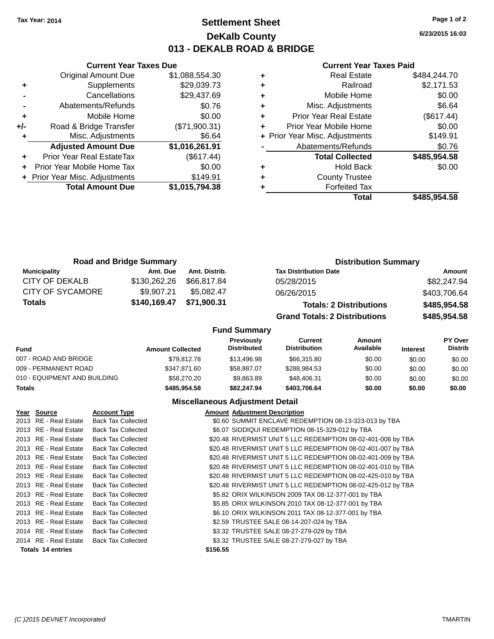### **Settlement Sheet Tax Year: 2014 Page 1 of 2 DeKalb County 013 - DEKALB ROAD & BRIDGE**

**6/23/2015 16:03**

#### **Current Year Taxes Paid**

|     | <b>Current Year Taxes Due</b>  |                |  |  |  |  |
|-----|--------------------------------|----------------|--|--|--|--|
|     | <b>Original Amount Due</b>     | \$1,088,554.30 |  |  |  |  |
| ٠   | Supplements                    | \$29,039.73    |  |  |  |  |
|     | Cancellations                  | \$29,437.69    |  |  |  |  |
|     | Abatements/Refunds             | \$0.76         |  |  |  |  |
| ٠   | Mobile Home                    | \$0.00         |  |  |  |  |
| +/- | Road & Bridge Transfer         | (\$71,900.31)  |  |  |  |  |
| ٠   | Misc. Adjustments              | \$6.64         |  |  |  |  |
|     | <b>Adjusted Amount Due</b>     | \$1,016,261.91 |  |  |  |  |
| ٠   | Prior Year Real EstateTax      | (\$617.44)     |  |  |  |  |
|     | Prior Year Mobile Home Tax     | \$0.00         |  |  |  |  |
|     | + Prior Year Misc. Adjustments | \$149.91       |  |  |  |  |
|     | <b>Total Amount Due</b>        | \$1,015,794.38 |  |  |  |  |
|     |                                |                |  |  |  |  |

|   | <b>Real Estate</b>             | \$484,244.70 |
|---|--------------------------------|--------------|
| ٠ | Railroad                       | \$2,171.53   |
| ٠ | Mobile Home                    | \$0.00       |
| ٠ | Misc. Adjustments              | \$6.64       |
| ٠ | Prior Year Real Estate         | (\$617.44)   |
|   | Prior Year Mobile Home         | \$0.00       |
|   | + Prior Year Misc. Adjustments | \$149.91     |
|   | Abatements/Refunds             | \$0.76       |
|   | <b>Total Collected</b>         | \$485,954.58 |
|   | Hold Back                      | \$0.00       |
|   | <b>County Trustee</b>          |              |
|   | <b>Forfeited Tax</b>           |              |
|   | Total                          | \$485,954.58 |
|   |                                |              |

| <b>Road and Bridge Summary</b> |              |               | <b>Distribution Summary</b>          |              |  |
|--------------------------------|--------------|---------------|--------------------------------------|--------------|--|
| <b>Municipality</b>            | Amt. Due     | Amt. Distrib. | <b>Tax Distribution Date</b>         | Amount       |  |
| CITY OF DEKALB                 | \$130,262.26 | \$66.817.84   | 05/28/2015                           | \$82,247.94  |  |
| <b>CITY OF SYCAMORE</b>        | \$9.907.21   | \$5.082.47    | 06/26/2015                           | \$403,706.64 |  |
| Totals                         | \$140,169.47 | \$71,900.31   | <b>Totals: 2 Distributions</b>       | \$485,954.58 |  |
|                                |              |               | <b>Grand Totals: 2 Distributions</b> | \$485,954.58 |  |

### **Fund Summary**

| <b>Fund</b>                  | <b>Amount Collected</b> | <b>Previously</b><br><b>Distributed</b> | Current<br><b>Distribution</b> | Amount<br>Available | <b>Interest</b> | <b>PY Over</b><br><b>Distrib</b> |
|------------------------------|-------------------------|-----------------------------------------|--------------------------------|---------------------|-----------------|----------------------------------|
| 007 - ROAD AND BRIDGE        | \$79.812.78             | \$13,496.98                             | \$66,315.80                    | \$0.00              | \$0.00          | \$0.00                           |
| 009 - PERMANENT ROAD         | \$347.871.60            | \$58,887,07                             | \$288.984.53                   | \$0.00              | \$0.00          | \$0.00                           |
| 010 - EQUIPMENT AND BUILDING | \$58,270,20             | \$9.863.89                              | \$48,406.31                    | \$0.00              | \$0.00          | \$0.00                           |
| <b>Totals</b>                | \$485.954.58            | \$82,247.94                             | \$403.706.64                   | \$0.00              | \$0.00          | \$0.00                           |

### **Miscellaneous Adjustment Detail**

| Year Source              | <b>Account Type</b>       | <b>Amount Adjustment Description</b>                         |
|--------------------------|---------------------------|--------------------------------------------------------------|
| 2013 RE - Real Estate    | <b>Back Tax Collected</b> | \$0.60 SUMMIT ENCLAVE REDEMPTION 08-13-323-013 by TBA        |
| 2013 RE - Real Estate    | <b>Back Tax Collected</b> | \$6.07 SIDDIQUI REDEMPTION 08-15-329-012 by TBA              |
| 2013 RE - Real Estate    | <b>Back Tax Collected</b> | \$20.48 RIVERMIST UNIT 5 LLC REDEMPTION 08-02-401-006 by TBA |
| 2013 RE - Real Estate    | <b>Back Tax Collected</b> | \$20.48 RIVERMIST UNIT 5 LLC REDEMPTION 08-02-401-007 by TBA |
| 2013 RE - Real Estate    | <b>Back Tax Collected</b> | \$20.48 RIVERMIST UNIT 5 LLC REDEMPTION 08-02-401-009 by TBA |
| 2013 RE - Real Estate    | <b>Back Tax Collected</b> | \$20.48 RIVERMIST UNIT 5 LLC REDEMPTION 08-02-401-010 by TBA |
| 2013 RE - Real Estate    | <b>Back Tax Collected</b> | \$20.48 RIVERMIST UNIT 5 LLC REDEMPTION 08-02-425-010 by TBA |
| 2013 RE - Real Estate    | <b>Back Tax Collected</b> | \$20.48 RIVERMIST UNIT 5 LLC REDEMPTION 08-02-425-012 by TBA |
| 2013 RE - Real Estate    | <b>Back Tax Collected</b> | \$5.82 ORIX WILKINSON 2009 TAX 08-12-377-001 by TBA          |
| 2013 RE - Real Estate    | <b>Back Tax Collected</b> | \$5.85 ORIX WILKINSON 2010 TAX 08-12-377-001 by TBA          |
| 2013 RE - Real Estate    | <b>Back Tax Collected</b> | \$6.10 ORIX WILKINSON 2011 TAX 08-12-377-001 by TBA          |
| 2013 RE - Real Estate    | <b>Back Tax Collected</b> | \$2.59 TRUSTEE SALE 08-14-207-024 by TBA                     |
| 2014 RE - Real Estate    | <b>Back Tax Collected</b> | \$3.32 TRUSTEE SALE 08-27-279-029 by TBA                     |
| 2014 RE - Real Estate    | <b>Back Tax Collected</b> | \$3.32 TRUSTEE SALE 08-27-279-027 by TBA                     |
| <b>Totals 14 entries</b> |                           | \$156.55                                                     |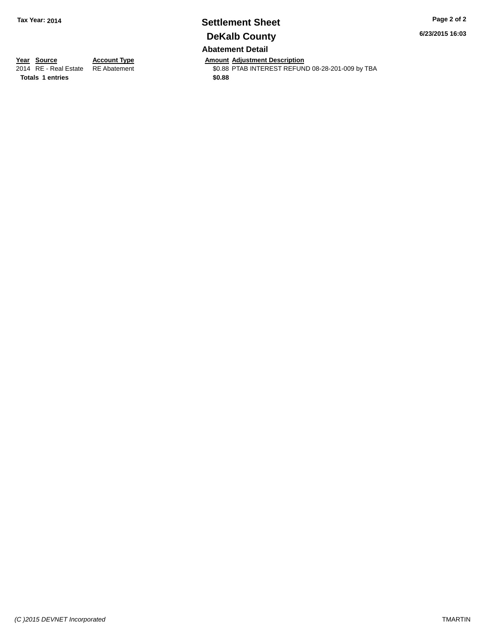# **Settlement Sheet Tax Year: 2014 Page 2 of 2 DeKalb County**

**6/23/2015 16:03**

**Abatement Detail**

**Totals \$0.88 1 entries**

**Year Source Account Type Account Type Amount Adjustment Description**<br>2014 RE - Real Estate RE Abatement **Account 1998 AMOUNTEREST REFUN** 

\$0.88 PTAB INTEREST REFUND 08-28-201-009 by TBA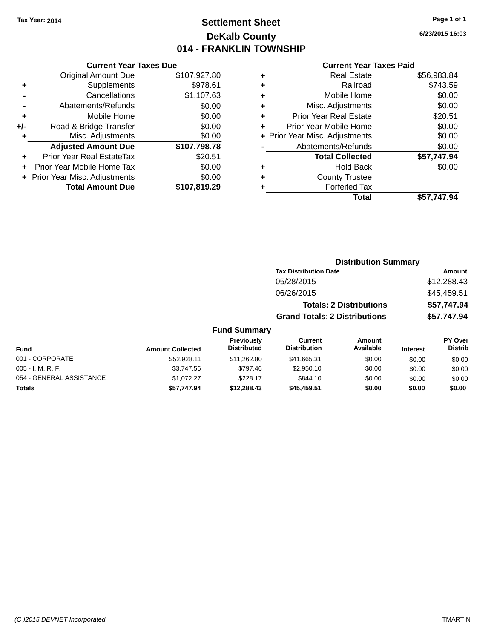# **Settlement Sheet Tax Year: 2014 Page 1 of 1 DeKalb County 014 - FRANKLIN TOWNSHIP**

**6/23/2015 16:03**

#### **Current Year Taxes Paid**

| ٠ | <b>Real Estate</b>             | \$56,983.84 |
|---|--------------------------------|-------------|
| ٠ | Railroad                       | \$743.59    |
| ٠ | Mobile Home                    | \$0.00      |
| ٠ | Misc. Adjustments              | \$0.00      |
| ٠ | <b>Prior Year Real Estate</b>  | \$20.51     |
| ٠ | Prior Year Mobile Home         | \$0.00      |
|   | + Prior Year Misc. Adjustments | \$0.00      |
|   | Abatements/Refunds             | \$0.00      |
|   | <b>Total Collected</b>         | \$57,747.94 |
| ٠ | Hold Back                      | \$0.00      |
| ٠ | <b>County Trustee</b>          |             |
| ٠ | <b>Forfeited Tax</b>           |             |
|   | Total                          | \$57,747.94 |
|   |                                |             |

### **Distribution Summary Tax Distribution Date Amount** 05/28/2015 \$12,288.43 06/26/2015 \$45,459.51 **Totals: 2 Distributions \$57,747.94 Grand Totals: 2 Distributions \$57,747.94 Fund Summary**

| <b>Fund</b>              | <b>Amount Collected</b> | Previously<br><b>Distributed</b> | Current<br><b>Distribution</b> | Amount<br>Available | <b>Interest</b> | <b>PY Over</b><br><b>Distrib</b> |
|--------------------------|-------------------------|----------------------------------|--------------------------------|---------------------|-----------------|----------------------------------|
| 001 - CORPORATE          | \$52,928.11             | \$11,262.80                      | \$41,665.31                    | \$0.00              | \$0.00          | \$0.00                           |
| 005 - I. M. R. F.        | \$3,747.56              | \$797.46                         | \$2.950.10                     | \$0.00              | \$0.00          | \$0.00                           |
| 054 - GENERAL ASSISTANCE | \$1,072.27              | \$228.17                         | \$844.10                       | \$0.00              | \$0.00          | \$0.00                           |
| <b>Totals</b>            | \$57.747.94             | \$12,288,43                      | \$45,459.51                    | \$0.00              | \$0.00          | \$0.00                           |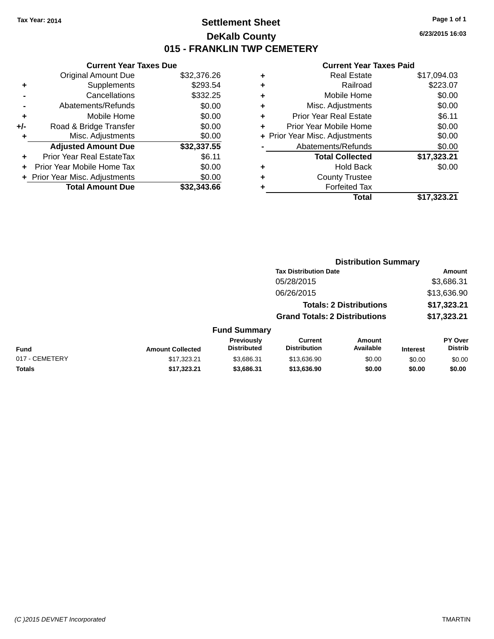# **Settlement Sheet Tax Year: 2014 Page 1 of 1 DeKalb County 015 - FRANKLIN TWP CEMETERY**

**6/23/2015 16:03**

| <b>Current Year Taxes Due</b> |                                |  |  |  |
|-------------------------------|--------------------------------|--|--|--|
| <b>Original Amount Due</b>    | \$32,376.26                    |  |  |  |
| Supplements                   | \$293.54                       |  |  |  |
| Cancellations                 | \$332.25                       |  |  |  |
| \$0.00<br>Abatements/Refunds  |                                |  |  |  |
| Mobile Home                   | \$0.00                         |  |  |  |
| Road & Bridge Transfer        | \$0.00                         |  |  |  |
| Misc. Adjustments             | \$0.00                         |  |  |  |
| <b>Adjusted Amount Due</b>    | \$32,337.55                    |  |  |  |
| Prior Year Real EstateTax     | \$6.11                         |  |  |  |
| Prior Year Mobile Home Tax    | \$0.00                         |  |  |  |
|                               | \$0.00                         |  |  |  |
|                               |                                |  |  |  |
|                               | + Prior Year Misc. Adjustments |  |  |  |

|   | <b>Real Estate</b>             | \$17,094.03 |
|---|--------------------------------|-------------|
| ٠ | Railroad                       | \$223.07    |
| ٠ | Mobile Home                    | \$0.00      |
| ٠ | Misc. Adjustments              | \$0.00      |
| ٠ | <b>Prior Year Real Estate</b>  | \$6.11      |
|   | Prior Year Mobile Home         | \$0.00      |
|   | + Prior Year Misc. Adjustments | \$0.00      |
|   | Abatements/Refunds             | \$0.00      |
|   | <b>Total Collected</b>         | \$17,323.21 |
| ٠ | <b>Hold Back</b>               | \$0.00      |
|   | <b>County Trustee</b>          |             |
| ٠ | <b>Forfeited Tax</b>           |             |
|   | Total                          | \$17,323.21 |
|   |                                |             |

|                |                         |                                  |                                       | <b>Distribution Summary</b>    |                 |                                  |
|----------------|-------------------------|----------------------------------|---------------------------------------|--------------------------------|-----------------|----------------------------------|
|                |                         |                                  | <b>Tax Distribution Date</b>          |                                |                 | <b>Amount</b>                    |
|                |                         |                                  | 05/28/2015                            |                                |                 | \$3,686.31                       |
|                |                         |                                  | 06/26/2015                            |                                |                 | \$13,636.90                      |
|                |                         |                                  |                                       | <b>Totals: 2 Distributions</b> |                 | \$17,323.21                      |
|                |                         |                                  | <b>Grand Totals: 2 Distributions</b>  |                                |                 | \$17,323.21                      |
|                |                         | <b>Fund Summary</b>              |                                       |                                |                 |                                  |
| <b>Fund</b>    | <b>Amount Collected</b> | Previously<br><b>Distributed</b> | <b>Current</b><br><b>Distribution</b> | Amount<br>Available            | <b>Interest</b> | <b>PY Over</b><br><b>Distrib</b> |
| 017 - CEMETERY | \$17.323.21             | \$3,686.31                       | \$13,636.90                           | \$0.00                         | \$0.00          | \$0.00                           |
| <b>Totals</b>  | \$17,323.21             | \$3,686.31                       | \$13,636.90                           | \$0.00                         | \$0.00          | \$0.00                           |
|                |                         |                                  |                                       |                                |                 |                                  |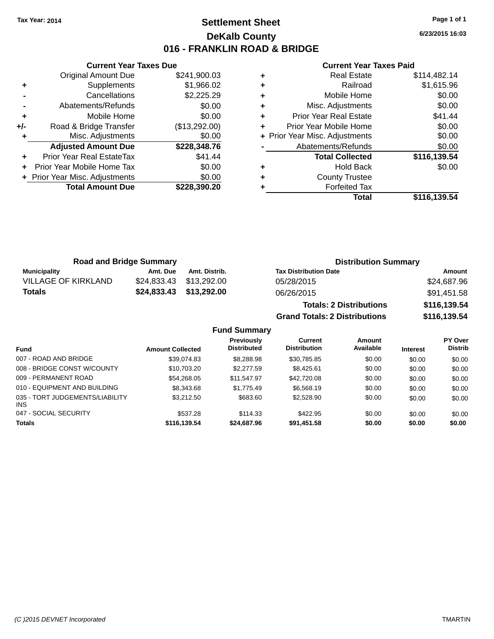# **Settlement Sheet Tax Year: 2014 Page 1 of 1 DeKalb County 016 - FRANKLIN ROAD & BRIDGE**

**6/23/2015 16:03**

#### **Current Year Taxes Paid**

|     | <b>Current Year Taxes Due</b>  |               |
|-----|--------------------------------|---------------|
|     | <b>Original Amount Due</b>     | \$241,900.03  |
| ٠   | Supplements                    | \$1,966.02    |
|     | Cancellations                  | \$2,225.29    |
|     | Abatements/Refunds             | \$0.00        |
| ٠   | Mobile Home                    | \$0.00        |
| +/- | Road & Bridge Transfer         | (\$13,292.00) |
|     | Misc. Adjustments              | \$0.00        |
|     | <b>Adjusted Amount Due</b>     | \$228,348.76  |
| ٠   | Prior Year Real EstateTax      | \$41.44       |
|     | Prior Year Mobile Home Tax     | \$0.00        |
|     | + Prior Year Misc. Adjustments | \$0.00        |
|     | <b>Total Amount Due</b>        | \$228.390.20  |
|     |                                |               |

| ٠ | <b>Real Estate</b>             | \$114,482.14 |
|---|--------------------------------|--------------|
| ٠ | Railroad                       | \$1,615.96   |
| ٠ | Mobile Home                    | \$0.00       |
| ٠ | Misc. Adjustments              | \$0.00       |
| ٠ | <b>Prior Year Real Estate</b>  | \$41.44      |
| ٠ | Prior Year Mobile Home         | \$0.00       |
|   | + Prior Year Misc. Adjustments | \$0.00       |
|   | Abatements/Refunds             | \$0.00       |
|   | <b>Total Collected</b>         | \$116,139.54 |
| ٠ | <b>Hold Back</b>               | \$0.00       |
| ٠ | <b>County Trustee</b>          |              |
| ٠ | <b>Forfeited Tax</b>           |              |
|   | Total                          | \$116,139.54 |

| <b>Road and Bridge Summary</b> |          | <b>Distribution Summary</b> |                                |              |
|--------------------------------|----------|-----------------------------|--------------------------------|--------------|
| Municipality                   | Amt. Due | Amt. Distrib.               | <b>Tax Distribution Date</b>   | Amount       |
| <b>VILLAGE OF KIRKLAND</b>     |          | \$24.833.43 \$13.292.00     | 05/28/2015                     | \$24,687.96  |
| Totals                         |          | \$24,833.43 \$13,292.00     | 06/26/2015                     | \$91,451.58  |
|                                |          |                             | <b>Totals: 2 Distributions</b> | \$116,139.54 |

**Grand Totals: 2 Distributions \$116,139.54**

| IDULIUIIS | <b>PIIV,</b> |
|-----------|--------------|
| ibutions  | \$116,7      |

|                                         |                         | Previously         | Current             | Amount    |                 | <b>PY Over</b> |
|-----------------------------------------|-------------------------|--------------------|---------------------|-----------|-----------------|----------------|
| <b>Fund</b>                             | <b>Amount Collected</b> | <b>Distributed</b> | <b>Distribution</b> | Available | <b>Interest</b> | <b>Distrib</b> |
| 007 - ROAD AND BRIDGE                   | \$39.074.83             | \$8,288.98         | \$30.785.85         | \$0.00    | \$0.00          | \$0.00         |
| 008 - BRIDGE CONST W/COUNTY             | \$10,703.20             | \$2,277.59         | \$8.425.61          | \$0.00    | \$0.00          | \$0.00         |
| 009 - PERMANENT ROAD                    | \$54.268.05             | \$11.547.97        | \$42,720.08         | \$0.00    | \$0.00          | \$0.00         |
| 010 - EQUIPMENT AND BUILDING            | \$8,343.68              | \$1,775.49         | \$6,568.19          | \$0.00    | \$0.00          | \$0.00         |
| 035 - TORT JUDGEMENTS/LIABILITY<br>INS. | \$3,212.50              | \$683.60           | \$2,528.90          | \$0.00    | \$0.00          | \$0.00         |
| 047 - SOCIAL SECURITY                   | \$537.28                | \$114.33           | \$422.95            | \$0.00    | \$0.00          | \$0.00         |
| <b>Totals</b>                           | \$116.139.54            | \$24,687.96        | \$91.451.58         | \$0.00    | \$0.00          | \$0.00         |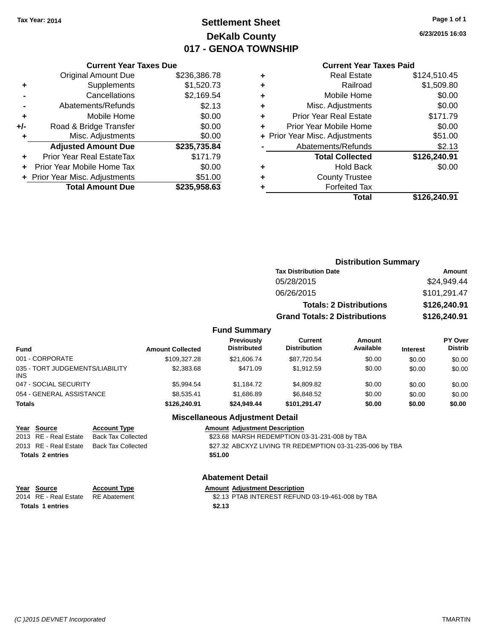# **Settlement Sheet Tax Year: 2014 Page 1 of 1 DeKalb County 017 - GENOA TOWNSHIP**

**6/23/2015 16:03**

#### **Current Year Taxes Paid**

|       | <b>Current Year Taxes Due</b>  |              |
|-------|--------------------------------|--------------|
|       | <b>Original Amount Due</b>     | \$236,386.78 |
| ٠     | Supplements                    | \$1,520.73   |
|       | Cancellations                  | \$2,169.54   |
|       | Abatements/Refunds             | \$2.13       |
| ٠     | Mobile Home                    | \$0.00       |
| $+/-$ | Road & Bridge Transfer         | \$0.00       |
| ٠     | Misc. Adjustments              | \$0.00       |
|       | <b>Adjusted Amount Due</b>     | \$235,735.84 |
| ٠     | Prior Year Real EstateTax      | \$171.79     |
|       | Prior Year Mobile Home Tax     | \$0.00       |
|       | + Prior Year Misc. Adjustments | \$51.00      |
|       | <b>Total Amount Due</b>        | \$235,958.63 |
|       |                                |              |

| ٠ | <b>Real Estate</b>             | \$124,510.45 |
|---|--------------------------------|--------------|
| ٠ | Railroad                       | \$1,509.80   |
| ٠ | Mobile Home                    | \$0.00       |
| ٠ | Misc. Adjustments              | \$0.00       |
| ٠ | <b>Prior Year Real Estate</b>  | \$171.79     |
| ÷ | Prior Year Mobile Home         | \$0.00       |
|   | + Prior Year Misc. Adjustments | \$51.00      |
|   | Abatements/Refunds             | \$2.13       |
|   | <b>Total Collected</b>         | \$126,240.91 |
| ٠ | <b>Hold Back</b>               | \$0.00       |
| ٠ | <b>County Trustee</b>          |              |
| ٠ | <b>Forfeited Tax</b>           |              |
|   | Total                          | \$126,240.91 |
|   |                                |              |

|                              | <b>Distribution Summary</b>          |               |
|------------------------------|--------------------------------------|---------------|
| <b>Tax Distribution Date</b> |                                      | <b>Amount</b> |
| 05/28/2015                   |                                      | \$24,949.44   |
| 06/26/2015                   |                                      | \$101,291.47  |
|                              | <b>Totals: 2 Distributions</b>       | \$126,240.91  |
|                              | <b>Grand Totals: 2 Distributions</b> | \$126,240.91  |
| <b>Fund Summary</b>          |                                      |               |

#### **Fund Interest Amount Collected Distributed PY Over Distrib Amount Available Current Distribution Previously** 001 - CORPORATE \$109,327.28 \$21,606.74 \$87,720.54 \$0.00 \$0.00 \$0.00 \$0.00 035 - TORT JUDGEMENTS/LIABILITY INS \$2,383.68 \$471.09 \$1,912.59 \$0.00 \$0.00 \$0.00 047 - SOCIAL SECURITY \$5,994.54 \$1,184.72 \$4,809.82 \$0.00 \$0.00 \$0.00 054 - GENERAL ASSISTANCE  $$8,535.41$   $$1,686.89$   $$6,848.52$   $$0.00$   $$0.00$   $$0.00$ **Totals \$126,240.91 \$24,949.44 \$101,291.47 \$0.00 \$0.00 \$0.00**

#### **Miscellaneous Adjustment Detail**

**Year Source Account Type Amount Adjustment Description** 2013 RE - Real Estate Back Tax Collected \$23.68 MARSH REDEMPTION 03-31-231-008 by TBA 2013 RE - Real Estate Back Tax Collected \$27.32 ABCXYZ LIVING TR REDEMPTION 03-31-235-006 by TBA **Totals \$51.00 2 entries**

**Abatement Detail**

| Year Source             | <b>Account Type</b> | <b>Amount Adjustment Description</b>             |
|-------------------------|---------------------|--------------------------------------------------|
| 2014 RE - Real Estate   | RE Abatement        | \$2.13 PTAB INTEREST REFUND 03-19-461-008 by TBA |
| <b>Totals 1 entries</b> |                     | \$2.13                                           |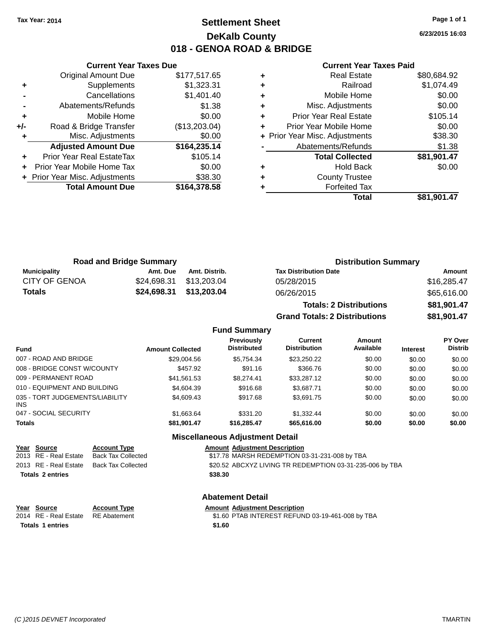# **Settlement Sheet Tax Year: 2014 Page 1 of 1 DeKalb County 018 - GENOA ROAD & BRIDGE**

**6/23/2015 16:03**

#### **Current Year Taxes Paid**

|     | <b>Current Year Taxes Due</b>  |               |
|-----|--------------------------------|---------------|
|     | <b>Original Amount Due</b>     | \$177,517.65  |
| ٠   | Supplements                    | \$1,323.31    |
|     | Cancellations                  | \$1,401.40    |
|     | Abatements/Refunds             | \$1.38        |
| ÷   | Mobile Home                    | \$0.00        |
| +/- | Road & Bridge Transfer         | (\$13,203.04) |
|     | Misc. Adjustments              | \$0.00        |
|     | <b>Adjusted Amount Due</b>     | \$164,235.14  |
| ÷   | Prior Year Real EstateTax      | \$105.14      |
|     | Prior Year Mobile Home Tax     | \$0.00        |
|     | + Prior Year Misc. Adjustments | \$38.30       |
|     | <b>Total Amount Due</b>        | \$164,378.58  |
|     |                                |               |

|   | <b>Real Estate</b>             | \$80,684.92 |
|---|--------------------------------|-------------|
| ٠ | Railroad                       | \$1,074.49  |
| ٠ | Mobile Home                    | \$0.00      |
| ٠ | Misc. Adjustments              | \$0.00      |
| ٠ | <b>Prior Year Real Estate</b>  | \$105.14    |
|   | Prior Year Mobile Home         | \$0.00      |
|   | + Prior Year Misc. Adjustments | \$38.30     |
|   | Abatements/Refunds             | \$1.38      |
|   | <b>Total Collected</b>         | \$81,901.47 |
| ٠ | <b>Hold Back</b>               | \$0.00      |
| ٠ | <b>County Trustee</b>          |             |
|   | <b>Forfeited Tax</b>           |             |
|   | Total                          | \$81,901.47 |
|   |                                |             |

|                      | <b>Road and Bridge Summary</b> |               | <b>Distribution Summary</b>    |             |
|----------------------|--------------------------------|---------------|--------------------------------|-------------|
| Municipality         | Amt. Due                       | Amt. Distrib. | <b>Tax Distribution Date</b>   | Amount      |
| <b>CITY OF GENOA</b> | \$24.698.31                    | \$13.203.04   | 05/28/2015                     | \$16,285.47 |
| Totals               | \$24,698.31                    | \$13,203.04   | 06/26/2015                     | \$65,616.00 |
|                      |                                |               | <b>Totals: 2 Distributions</b> | \$81,901.47 |

**Grand Totals: 2 Distributions \$81,901.47**

**Fund Summary**

| <b>Fund</b>                             | <b>Amount Collected</b> | <b>Previously</b><br><b>Distributed</b> | <b>Current</b><br><b>Distribution</b> | Amount<br>Available | <b>Interest</b> | PY Over<br><b>Distrib</b> |
|-----------------------------------------|-------------------------|-----------------------------------------|---------------------------------------|---------------------|-----------------|---------------------------|
| 007 - ROAD AND BRIDGE                   | \$29,004.56             | \$5,754.34                              | \$23.250.22                           | \$0.00              | \$0.00          | \$0.00                    |
| 008 - BRIDGE CONST W/COUNTY             | \$457.92                | \$91.16                                 | \$366.76                              | \$0.00              | \$0.00          | \$0.00                    |
| 009 - PERMANENT ROAD                    | \$41.561.53             | \$8.274.41                              | \$33,287.12                           | \$0.00              | \$0.00          | \$0.00                    |
| 010 - EQUIPMENT AND BUILDING            | \$4,604.39              | \$916.68                                | \$3.687.71                            | \$0.00              | \$0.00          | \$0.00                    |
| 035 - TORT JUDGEMENTS/LIABILITY<br>INS. | \$4,609.43              | \$917.68                                | \$3.691.75                            | \$0.00              | \$0.00          | \$0.00                    |
| 047 - SOCIAL SECURITY                   | \$1.663.64              | \$331.20                                | \$1,332.44                            | \$0.00              | \$0.00          | \$0.00                    |
| <b>Totals</b>                           | \$81,901.47             | \$16.285.47                             | \$65,616.00                           | \$0.00              | \$0.00          | \$0.00                    |

### **Miscellaneous Adjustment Detail**

| Year Source             | <b>Account Type</b> | <b>Amount Adjustment Description</b>                     |
|-------------------------|---------------------|----------------------------------------------------------|
| 2013 RE - Real Estate   | Back Tax Collected  | \$17.78 MARSH REDEMPTION 03-31-231-008 by TBA            |
| 2013 RE - Real Estate   | Back Tax Collected  | \$20.52 ABCXYZ LIVING TR REDEMPTION 03-31-235-006 by TBA |
| <b>Totals 2 entries</b> |                     | \$38.30                                                  |

### **Abatement Detail**

| Year Source             | <b>Account Type</b> | <b>Amount Adiustment Description</b>             |
|-------------------------|---------------------|--------------------------------------------------|
| 2014 RE - Real Estate   | RE Abatement        | \$1.60 PTAB INTEREST REFUND 03-19-461-008 by TBA |
| <b>Totals 1 entries</b> |                     | \$1.60                                           |
|                         |                     |                                                  |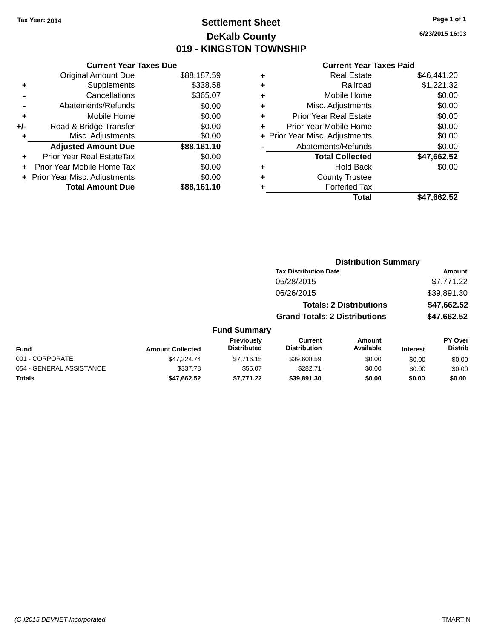# **Settlement Sheet Tax Year: 2014 Page 1 of 1 DeKalb County 019 - KINGSTON TOWNSHIP**

**6/23/2015 16:03**

|     | <b>Current Year Taxes Due</b>  |             |
|-----|--------------------------------|-------------|
|     | <b>Original Amount Due</b>     | \$88,187.59 |
| ٠   | Supplements                    | \$338.58    |
|     | Cancellations                  | \$365.07    |
|     | Abatements/Refunds             | \$0.00      |
| ٠   | Mobile Home                    | \$0.00      |
| +/- | Road & Bridge Transfer         | \$0.00      |
|     | Misc. Adjustments              | \$0.00      |
|     | <b>Adjusted Amount Due</b>     | \$88,161.10 |
| ÷   | Prior Year Real EstateTax      | \$0.00      |
|     | Prior Year Mobile Home Tax     | \$0.00      |
|     | + Prior Year Misc. Adjustments | \$0.00      |
|     | <b>Total Amount Due</b>        | \$88,161.10 |
|     |                                |             |

|   | <b>Real Estate</b>             | \$46,441.20 |
|---|--------------------------------|-------------|
| ٠ | Railroad                       | \$1,221.32  |
| ٠ | Mobile Home                    | \$0.00      |
| ٠ | Misc. Adjustments              | \$0.00      |
| ٠ | <b>Prior Year Real Estate</b>  | \$0.00      |
| ÷ | Prior Year Mobile Home         | \$0.00      |
|   | + Prior Year Misc. Adjustments | \$0.00      |
|   | Abatements/Refunds             | \$0.00      |
|   | <b>Total Collected</b>         | \$47,662.52 |
| ٠ | <b>Hold Back</b>               | \$0.00      |
| ٠ | <b>County Trustee</b>          |             |
| ٠ | <b>Forfeited Tax</b>           |             |
|   | Total                          | \$47,662.52 |
|   |                                |             |

|                         | <b>Distribution Summary</b>             |                                       |                                |                 |                                  |  |
|-------------------------|-----------------------------------------|---------------------------------------|--------------------------------|-----------------|----------------------------------|--|
|                         |                                         | <b>Tax Distribution Date</b>          |                                |                 | Amount                           |  |
|                         |                                         | 05/28/2015                            |                                |                 | \$7,771.22                       |  |
|                         |                                         | 06/26/2015                            |                                |                 | \$39,891.30                      |  |
|                         |                                         |                                       | <b>Totals: 2 Distributions</b> |                 | \$47,662.52                      |  |
|                         |                                         | <b>Grand Totals: 2 Distributions</b>  |                                |                 | \$47,662.52                      |  |
|                         | <b>Fund Summary</b>                     |                                       |                                |                 |                                  |  |
| <b>Amount Collected</b> | <b>Previously</b><br><b>Distributed</b> | <b>Current</b><br><b>Distribution</b> | Amount<br>Available            | <b>Interest</b> | <b>PY Over</b><br><b>Distrib</b> |  |
| $0.1700171$             | 0.771015                                | 0.000000                              | $\sim$ $\sim$                  | $\cdots$        | $\cdots$                         |  |

| Fund                     | <b>Amount Collected</b> | <b>Previously</b><br><b>Distributed</b> | Current<br><b>Distribution</b> | Amount<br>Available | <b>Interest</b> | <b>PY Over</b><br><b>Distrib</b> |
|--------------------------|-------------------------|-----------------------------------------|--------------------------------|---------------------|-----------------|----------------------------------|
| 001 - CORPORATE          | \$47.324.74             | \$7.716.15                              | \$39,608.59                    | \$0.00              | \$0.00          | \$0.00                           |
| 054 - GENERAL ASSISTANCE | \$337.78                | \$55.07                                 | \$282.71                       | \$0.00              | \$0.00          | \$0.00                           |
| <b>Totals</b>            | \$47,662.52             | \$7.771.22                              | \$39,891,30                    | \$0.00              | \$0.00          | \$0.00                           |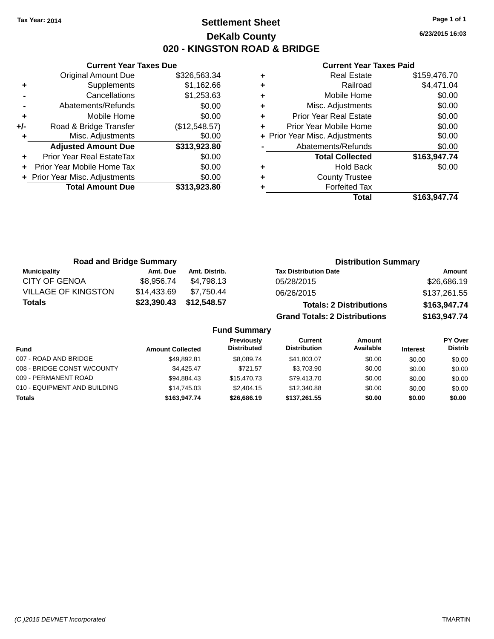# **Settlement Sheet Tax Year: 2014 Page 1 of 1 DeKalb County 020 - KINGSTON ROAD & BRIDGE**

**6/23/2015 16:03**

#### **Current Year Taxes Paid**

|     | <b>Current Year Taxes Due</b>  |               |
|-----|--------------------------------|---------------|
|     | <b>Original Amount Due</b>     | \$326,563.34  |
| ٠   | Supplements                    | \$1,162.66    |
|     | Cancellations                  | \$1,253.63    |
|     | Abatements/Refunds             | \$0.00        |
| ٠   | Mobile Home                    | \$0.00        |
| +/- | Road & Bridge Transfer         | (\$12,548.57) |
|     | Misc. Adjustments              | \$0.00        |
|     | <b>Adjusted Amount Due</b>     | \$313,923.80  |
|     | Prior Year Real EstateTax      | \$0.00        |
|     | Prior Year Mobile Home Tax     | \$0.00        |
|     | + Prior Year Misc. Adjustments | \$0.00        |
|     | <b>Total Amount Due</b>        | \$313,923.80  |
|     |                                |               |

| ٠ | <b>Real Estate</b>             | \$159,476.70 |
|---|--------------------------------|--------------|
| ٠ | Railroad                       | \$4,471.04   |
| ٠ | Mobile Home                    | \$0.00       |
| ٠ | Misc. Adjustments              | \$0.00       |
| ٠ | <b>Prior Year Real Estate</b>  | \$0.00       |
| ٠ | Prior Year Mobile Home         | \$0.00       |
|   | + Prior Year Misc. Adjustments | \$0.00       |
|   | Abatements/Refunds             | \$0.00       |
|   | <b>Total Collected</b>         | \$163,947.74 |
| ٠ | <b>Hold Back</b>               | \$0.00       |
| ٠ | <b>County Trustee</b>          |              |
| ٠ | <b>Forfeited Tax</b>           |              |
|   | Total                          | \$163,947.74 |
|   |                                |              |

| <b>Road and Bridge Summary</b> |             |               | <b>Distribution Summary</b>          |              |
|--------------------------------|-------------|---------------|--------------------------------------|--------------|
| <b>Municipality</b>            | Amt. Due    | Amt. Distrib. | <b>Tax Distribution Date</b>         | Amount       |
| <b>CITY OF GENOA</b>           | \$8.956.74  | \$4.798.13    | 05/28/2015                           | \$26,686.19  |
| <b>VILLAGE OF KINGSTON</b>     | \$14,433.69 | \$7.750.44    | 06/26/2015                           | \$137,261.55 |
| <b>Totals</b>                  | \$23,390.43 | \$12,548.57   | <b>Totals: 2 Distributions</b>       | \$163,947.74 |
|                                |             |               | <b>Grand Totals: 2 Distributions</b> | \$163,947.74 |

| <b>Fund</b>                  | <b>Amount Collected</b> | <b>Previously</b><br><b>Distributed</b> | Current<br><b>Distribution</b> | Amount<br>Available | <b>Interest</b> | PY Over<br><b>Distrib</b> |
|------------------------------|-------------------------|-----------------------------------------|--------------------------------|---------------------|-----------------|---------------------------|
| 007 - ROAD AND BRIDGE        | \$49.892.81             | \$8.089.74                              | \$41,803.07                    | \$0.00              | \$0.00          | \$0.00                    |
| 008 - BRIDGE CONST W/COUNTY  | \$4.425.47              | \$721.57                                | \$3,703.90                     | \$0.00              | \$0.00          | \$0.00                    |
| 009 - PERMANENT ROAD         | \$94.884.43             | \$15,470.73                             | \$79,413.70                    | \$0.00              | \$0.00          | \$0.00                    |
| 010 - EQUIPMENT AND BUILDING | \$14,745.03             | \$2,404.15                              | \$12,340.88                    | \$0.00              | \$0.00          | \$0.00                    |
| <b>Totals</b>                | \$163,947.74            | \$26,686.19                             | \$137.261.55                   | \$0.00              | \$0.00          | \$0.00                    |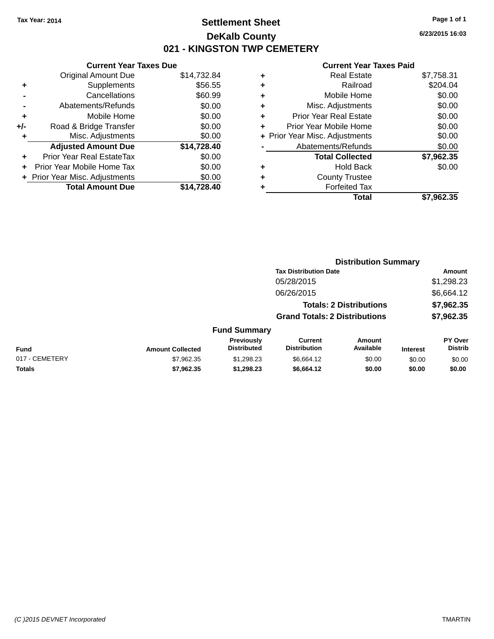# **Settlement Sheet Tax Year: 2014 Page 1 of 1 DeKalb County 021 - KINGSTON TWP CEMETERY**

**6/23/2015 16:03**

|     | <b>Current Year Taxes Due</b>  |             |  |  |  |  |
|-----|--------------------------------|-------------|--|--|--|--|
|     | <b>Original Amount Due</b>     | \$14,732.84 |  |  |  |  |
| ٠   | Supplements                    | \$56.55     |  |  |  |  |
|     | Cancellations                  | \$60.99     |  |  |  |  |
|     | Abatements/Refunds             | \$0.00      |  |  |  |  |
| ٠   | Mobile Home                    | \$0.00      |  |  |  |  |
| +/- | Road & Bridge Transfer         | \$0.00      |  |  |  |  |
|     | Misc. Adjustments              | \$0.00      |  |  |  |  |
|     | <b>Adjusted Amount Due</b>     | \$14,728.40 |  |  |  |  |
| ÷   | Prior Year Real EstateTax      | \$0.00      |  |  |  |  |
|     | Prior Year Mobile Home Tax     | \$0.00      |  |  |  |  |
|     | + Prior Year Misc. Adjustments | \$0.00      |  |  |  |  |
|     | <b>Total Amount Due</b>        | \$14,728.40 |  |  |  |  |
|     |                                |             |  |  |  |  |

|   | <b>Real Estate</b>             | \$7,758.31 |
|---|--------------------------------|------------|
| ٠ | Railroad                       | \$204.04   |
| ٠ | Mobile Home                    | \$0.00     |
| ٠ | Misc. Adjustments              | \$0.00     |
| ٠ | <b>Prior Year Real Estate</b>  | \$0.00     |
| ٠ | Prior Year Mobile Home         | \$0.00     |
|   | + Prior Year Misc. Adjustments | \$0.00     |
|   | Abatements/Refunds             | \$0.00     |
|   | <b>Total Collected</b>         | \$7,962.35 |
| ٠ | Hold Back                      | \$0.00     |
| ٠ | <b>County Trustee</b>          |            |
| ٠ | <b>Forfeited Tax</b>           |            |
|   | Total                          | \$7,962.35 |
|   |                                |            |

|                |                         |                                  | <b>Distribution Summary</b>           |                                |                 |                           |  |
|----------------|-------------------------|----------------------------------|---------------------------------------|--------------------------------|-----------------|---------------------------|--|
|                |                         |                                  | <b>Tax Distribution Date</b>          |                                |                 | Amount                    |  |
|                |                         |                                  | 05/28/2015                            |                                |                 | \$1,298.23                |  |
|                |                         |                                  | 06/26/2015                            |                                |                 | \$6,664.12                |  |
|                |                         |                                  |                                       | <b>Totals: 2 Distributions</b> |                 | \$7,962.35                |  |
|                |                         |                                  | <b>Grand Totals: 2 Distributions</b>  |                                |                 | \$7,962.35                |  |
|                |                         | <b>Fund Summary</b>              |                                       |                                |                 |                           |  |
| <b>Fund</b>    | <b>Amount Collected</b> | Previously<br><b>Distributed</b> | <b>Current</b><br><b>Distribution</b> | Amount<br>Available            | <b>Interest</b> | PY Over<br><b>Distrib</b> |  |
| 017 - CEMETERY | \$7,962.35              | \$1,298.23                       | \$6,664.12                            | \$0.00                         | \$0.00          | \$0.00                    |  |
| <b>Totals</b>  | \$7,962.35              | \$1,298.23                       | \$6,664.12                            | \$0.00                         | \$0.00          | \$0.00                    |  |
|                |                         |                                  |                                       |                                |                 |                           |  |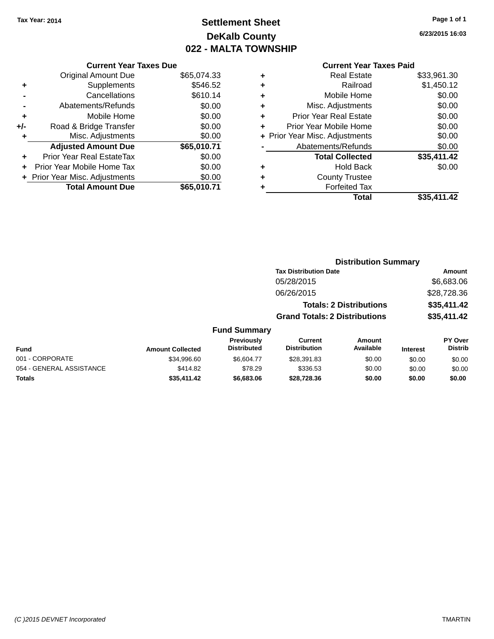# **Settlement Sheet Tax Year: 2014 Page 1 of 1 DeKalb County 022 - MALTA TOWNSHIP**

**6/23/2015 16:03**

|     | <b>Current Year Taxes Due</b>  |             |  |  |  |  |
|-----|--------------------------------|-------------|--|--|--|--|
|     | <b>Original Amount Due</b>     | \$65,074.33 |  |  |  |  |
| ٠   | Supplements                    | \$546.52    |  |  |  |  |
|     | Cancellations                  | \$610.14    |  |  |  |  |
|     | Abatements/Refunds             | \$0.00      |  |  |  |  |
| ٠   | Mobile Home                    | \$0.00      |  |  |  |  |
| +/- | Road & Bridge Transfer         | \$0.00      |  |  |  |  |
|     | Misc. Adjustments              | \$0.00      |  |  |  |  |
|     | <b>Adjusted Amount Due</b>     | \$65,010.71 |  |  |  |  |
| ٠   | Prior Year Real EstateTax      | \$0.00      |  |  |  |  |
|     | Prior Year Mobile Home Tax     | \$0.00      |  |  |  |  |
|     | + Prior Year Misc. Adjustments | \$0.00      |  |  |  |  |
|     | <b>Total Amount Due</b>        | \$65.010.71 |  |  |  |  |
|     |                                |             |  |  |  |  |

| ٠ | <b>Real Estate</b>             | \$33,961.30 |
|---|--------------------------------|-------------|
| ٠ | Railroad                       | \$1,450.12  |
| ٠ | Mobile Home                    | \$0.00      |
| ٠ | Misc. Adjustments              | \$0.00      |
| ٠ | <b>Prior Year Real Estate</b>  | \$0.00      |
| ÷ | Prior Year Mobile Home         | \$0.00      |
|   | + Prior Year Misc. Adjustments | \$0.00      |
|   | Abatements/Refunds             | \$0.00      |
|   | <b>Total Collected</b>         | \$35,411.42 |
| ٠ | <b>Hold Back</b>               | \$0.00      |
|   | <b>County Trustee</b>          |             |
| ٠ | <b>Forfeited Tax</b>           |             |
|   | Total                          | \$35.411.42 |
|   |                                |             |

|                  |                     |                                      | <b>Distribution Summary</b>  |                 |                |
|------------------|---------------------|--------------------------------------|------------------------------|-----------------|----------------|
|                  |                     |                                      | <b>Tax Distribution Date</b> |                 | Amount         |
|                  |                     | 05/28/2015                           |                              |                 | \$6,683.06     |
|                  |                     | 06/26/2015                           |                              |                 | \$28,728.36    |
|                  |                     | <b>Totals: 2 Distributions</b>       |                              | \$35,411.42     |                |
|                  |                     | <b>Grand Totals: 2 Distributions</b> |                              |                 | \$35,411.42    |
|                  | <b>Fund Summary</b> |                                      |                              |                 |                |
|                  | <b>Previously</b>   | Current                              | Amount                       |                 | <b>PY Over</b> |
| <b>Collected</b> | <b>Distributed</b>  | <b>Distribution</b>                  | Available                    | <b>Interest</b> | <b>Distrib</b> |

| Fund                     | <b>Amount Collected</b> | <b>Previously</b><br><b>Distributed</b> | Current<br><b>Distribution</b> | Amount<br>Available | <b>Interest</b> | <b>PY Over</b><br>Distrib |
|--------------------------|-------------------------|-----------------------------------------|--------------------------------|---------------------|-----------------|---------------------------|
| 001 - CORPORATE          | \$34,996.60             | \$6.604.77                              | \$28,391.83                    | \$0.00              | \$0.00          | \$0.00                    |
| 054 - GENERAL ASSISTANCE | \$414.82                | \$78.29                                 | \$336.53                       | \$0.00              | \$0.00          | \$0.00                    |
| <b>Totals</b>            | \$35,411.42             | \$6,683,06                              | \$28.728.36                    | \$0.00              | \$0.00          | \$0.00                    |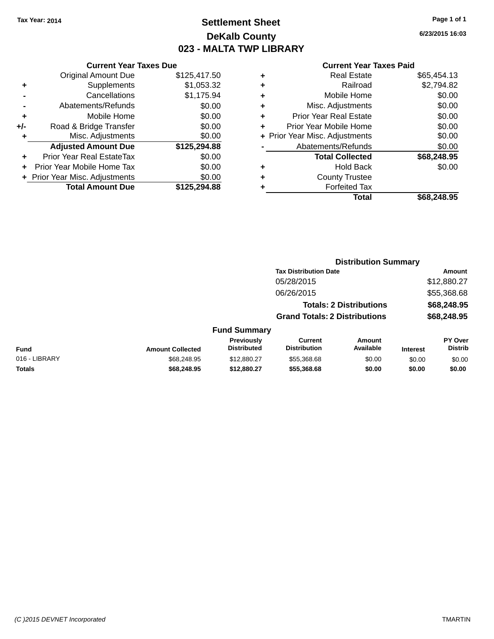# **Settlement Sheet Tax Year: 2014 Page 1 of 1 DeKalb County 023 - MALTA TWP LIBRARY**

**6/23/2015 16:03**

|       | <b>Current Year Taxes Due</b>  |              |  |  |  |  |
|-------|--------------------------------|--------------|--|--|--|--|
|       | <b>Original Amount Due</b>     | \$125,417.50 |  |  |  |  |
| ٠     | Supplements                    | \$1,053.32   |  |  |  |  |
|       | \$1,175.94<br>Cancellations    |              |  |  |  |  |
|       | \$0.00<br>Abatements/Refunds   |              |  |  |  |  |
| ٠     | Mobile Home                    | \$0.00       |  |  |  |  |
| $+/-$ | Road & Bridge Transfer         | \$0.00       |  |  |  |  |
|       | \$0.00<br>Misc. Adjustments    |              |  |  |  |  |
|       | <b>Adjusted Amount Due</b>     | \$125,294.88 |  |  |  |  |
| ٠     | Prior Year Real EstateTax      | \$0.00       |  |  |  |  |
|       | Prior Year Mobile Home Tax     | \$0.00       |  |  |  |  |
|       | + Prior Year Misc. Adjustments | \$0.00       |  |  |  |  |
|       | <b>Total Amount Due</b>        | \$125.294.88 |  |  |  |  |
|       |                                |              |  |  |  |  |

|   | <b>Real Estate</b>             | \$65,454.13 |
|---|--------------------------------|-------------|
| ٠ | Railroad                       | \$2,794.82  |
| ٠ | Mobile Home                    | \$0.00      |
| ٠ | Misc. Adjustments              | \$0.00      |
| ٠ | <b>Prior Year Real Estate</b>  | \$0.00      |
| ÷ | Prior Year Mobile Home         | \$0.00      |
|   | + Prior Year Misc. Adjustments | \$0.00      |
|   | Abatements/Refunds             | \$0.00      |
|   | <b>Total Collected</b>         | \$68,248.95 |
| ٠ | Hold Back                      | \$0.00      |
| ٠ | <b>County Trustee</b>          |             |
| ٠ | <b>Forfeited Tax</b>           |             |
|   | Total                          | \$68,248.95 |
|   |                                |             |

|                         |                                         | <b>Distribution Summary</b>           |                     |                                                                                                        |                                  |
|-------------------------|-----------------------------------------|---------------------------------------|---------------------|--------------------------------------------------------------------------------------------------------|----------------------------------|
|                         |                                         |                                       |                     |                                                                                                        | <b>Amount</b>                    |
|                         |                                         | 05/28/2015                            |                     |                                                                                                        | \$12,880.27                      |
|                         |                                         | 06/26/2015                            |                     |                                                                                                        | \$55,368.68                      |
|                         |                                         |                                       |                     |                                                                                                        | \$68,248.95                      |
|                         |                                         |                                       |                     |                                                                                                        | \$68,248.95                      |
|                         |                                         |                                       |                     |                                                                                                        |                                  |
| <b>Amount Collected</b> | <b>Previously</b><br><b>Distributed</b> | <b>Current</b><br><b>Distribution</b> | Amount<br>Available | <b>Interest</b>                                                                                        | <b>PY Over</b><br><b>Distrib</b> |
| \$68,248.95             | \$12,880.27                             | \$55,368,68                           | \$0.00              | \$0.00                                                                                                 | \$0.00                           |
| \$68,248.95             | \$12,880.27                             | \$55,368.68                           | \$0.00              | \$0.00                                                                                                 | \$0.00                           |
|                         |                                         |                                       | <b>Fund Summary</b> | <b>Tax Distribution Date</b><br><b>Totals: 2 Distributions</b><br><b>Grand Totals: 2 Distributions</b> |                                  |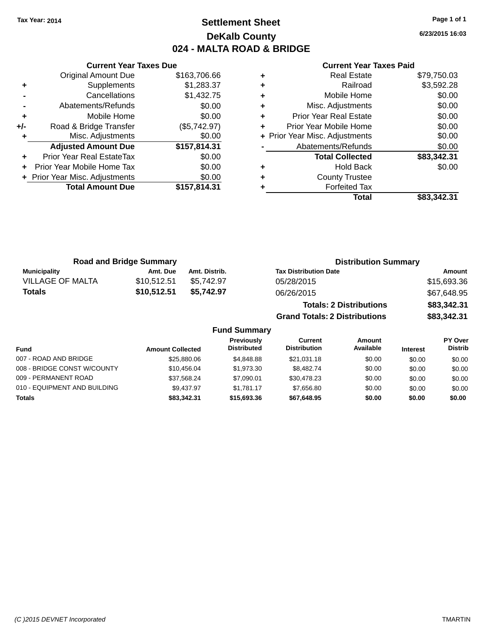# **Settlement Sheet Tax Year: 2014 Page 1 of 1 DeKalb County 024 - MALTA ROAD & BRIDGE**

**6/23/2015 16:03**

|     | <b>Current Year Taxes Due</b>  |              |  |  |  |  |
|-----|--------------------------------|--------------|--|--|--|--|
|     | <b>Original Amount Due</b>     | \$163,706.66 |  |  |  |  |
| ٠   | Supplements                    | \$1,283.37   |  |  |  |  |
|     | Cancellations                  | \$1,432.75   |  |  |  |  |
|     | \$0.00<br>Abatements/Refunds   |              |  |  |  |  |
| ٠   | \$0.00<br>Mobile Home          |              |  |  |  |  |
| +/- | Road & Bridge Transfer         | (\$5,742.97) |  |  |  |  |
| ٠   | Misc. Adjustments              |              |  |  |  |  |
|     | <b>Adjusted Amount Due</b>     | \$157,814.31 |  |  |  |  |
|     | Prior Year Real EstateTax      | \$0.00       |  |  |  |  |
|     | Prior Year Mobile Home Tax     | \$0.00       |  |  |  |  |
|     | + Prior Year Misc. Adjustments | \$0.00       |  |  |  |  |
|     | <b>Total Amount Due</b>        | \$157,814.31 |  |  |  |  |
|     |                                |              |  |  |  |  |

#### **Current Year Taxes Paid**

|   | <b>Real Estate</b>             | \$79,750.03 |
|---|--------------------------------|-------------|
| ٠ | Railroad                       | \$3,592.28  |
| ٠ | Mobile Home                    | \$0.00      |
| ٠ | Misc. Adjustments              | \$0.00      |
| ٠ | <b>Prior Year Real Estate</b>  | \$0.00      |
|   | Prior Year Mobile Home         | \$0.00      |
|   | + Prior Year Misc. Adjustments | \$0.00      |
|   | Abatements/Refunds             | \$0.00      |
|   | <b>Total Collected</b>         | \$83,342.31 |
| ٠ | <b>Hold Back</b>               | \$0.00      |
|   | <b>County Trustee</b>          |             |
|   | <b>Forfeited Tax</b>           |             |
|   | Total                          | \$83,342.31 |
|   |                                |             |

**Grand Totals: 2 Distributions \$83,342.31**

| <b>Road and Bridge Summary</b> |             |               | <b>Distribution Summary</b>    |             |  |
|--------------------------------|-------------|---------------|--------------------------------|-------------|--|
| <b>Municipality</b>            | Amt. Due    | Amt. Distrib. | <b>Tax Distribution Date</b>   | Amount      |  |
| VILLAGE OF MALTA               | \$10.512.51 | \$5.742.97    | 05/28/2015                     | \$15,693.36 |  |
| <b>Totals</b>                  | \$10,512.51 | \$5.742.97    | 06/26/2015                     | \$67,648.95 |  |
|                                |             |               | <b>Totals: 2 Distributions</b> | \$83,342.31 |  |

**Fund Summary Fund Interest Amount Collected Distributed PY Over Distrib Amount Available Current Distribution Previously** 007 - ROAD AND BRIDGE 60.00 \$25,880.06 \$4,848.88 \$21,031.18 \$0.00 \$0.00 \$0.00 \$0.00 008 - BRIDGE CONST W/COUNTY  $$10,456.04$   $$1,973.30$   $$8,482.74$   $$0.00$   $$0.00$   $$0.00$ 009 - PERMANENT ROAD \$37,568.24 \$7,090.01 \$30,478.23 \$0.00 \$0.00 \$0.00 \$0.00 010 - EQUIPMENT AND BUILDING \$9,437.97 \$1,781.17 \$7,656.80 \$0.00 \$0.00 \$0.00 \$0.00 **Totals \$83,342.31 \$15,693.36 \$67,648.95 \$0.00 \$0.00 \$0.00**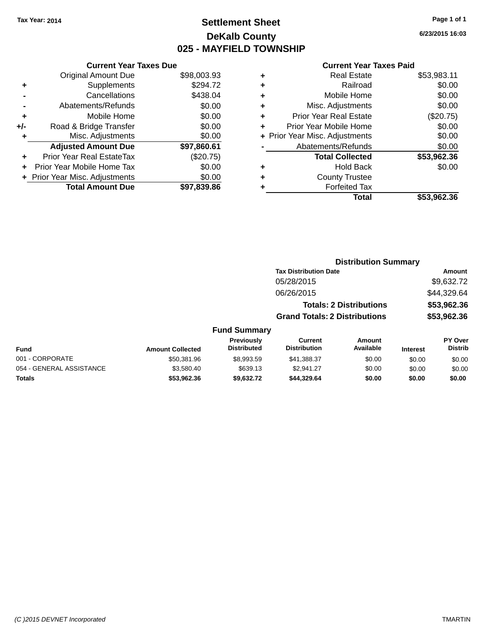# **Settlement Sheet Tax Year: 2014 Page 1 of 1 DeKalb County 025 - MAYFIELD TOWNSHIP**

**Totals \$53,962.36 \$9,632.72 \$44,329.64 \$0.00 \$0.00 \$0.00**

**6/23/2015 16:03**

#### **Current Year Taxes Paid**

|     | <b>Current Year Taxes Due</b>  |             |
|-----|--------------------------------|-------------|
|     | <b>Original Amount Due</b>     | \$98,003.93 |
| ٠   | Supplements                    | \$294.72    |
|     | Cancellations                  | \$438.04    |
|     | Abatements/Refunds             | \$0.00      |
| ٠   | Mobile Home                    | \$0.00      |
| +/- | Road & Bridge Transfer         | \$0.00      |
| ٠   | Misc. Adjustments              | \$0.00      |
|     | <b>Adjusted Amount Due</b>     | \$97,860.61 |
| ÷   | Prior Year Real EstateTax      | (\$20.75)   |
|     | Prior Year Mobile Home Tax     | \$0.00      |
|     | + Prior Year Misc. Adjustments | \$0.00      |
|     | <b>Total Amount Due</b>        | \$97.839.86 |

| <b>Real Estate</b>             | \$53,983.11 |
|--------------------------------|-------------|
| Railroad                       | \$0.00      |
| Mobile Home                    | \$0.00      |
| Misc. Adjustments              | \$0.00      |
| <b>Prior Year Real Estate</b>  | (\$20.75)   |
| Prior Year Mobile Home         | \$0.00      |
| + Prior Year Misc. Adjustments | \$0.00      |
| Abatements/Refunds             | \$0.00      |
| <b>Total Collected</b>         | \$53,962.36 |
| Hold Back                      | \$0.00      |
| <b>County Trustee</b>          |             |
| <b>Forfeited Tax</b>           |             |
| Total                          | \$53,962.36 |
|                                |             |

|                          |                         |                                         |                                      | <b>Distribution Summary</b>    |                 |                                  |
|--------------------------|-------------------------|-----------------------------------------|--------------------------------------|--------------------------------|-----------------|----------------------------------|
|                          |                         |                                         | <b>Tax Distribution Date</b>         |                                |                 | Amount                           |
|                          |                         |                                         | 05/28/2015                           |                                |                 | \$9,632.72                       |
|                          |                         |                                         | 06/26/2015                           |                                |                 | \$44,329.64                      |
|                          |                         |                                         |                                      | <b>Totals: 2 Distributions</b> |                 | \$53,962.36                      |
|                          |                         |                                         | <b>Grand Totals: 2 Distributions</b> |                                |                 | \$53,962.36                      |
|                          |                         | <b>Fund Summary</b>                     |                                      |                                |                 |                                  |
| Fund                     | <b>Amount Collected</b> | <b>Previously</b><br><b>Distributed</b> | Current<br><b>Distribution</b>       | Amount<br>Available            | <b>Interest</b> | <b>PY Over</b><br><b>Distrib</b> |
| 001 - CORPORATE          | \$50,381.96             | \$8,993.59                              | \$41,388.37                          | \$0.00                         | \$0.00          | \$0.00                           |
| 054 - GENERAL ASSISTANCE | \$3,580,40              | \$639.13                                | \$2.941.27                           | \$0.00                         | \$0.00          | \$0.00                           |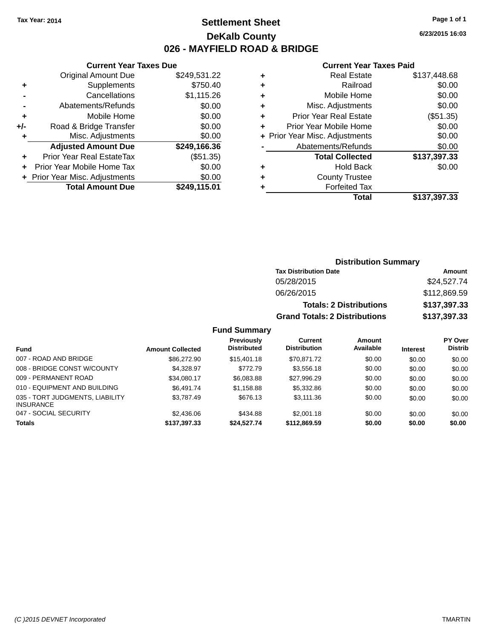## **Settlement Sheet Tax Year: 2014 Page 1 of 1 DeKalb County 026 - MAYFIELD ROAD & BRIDGE**

**6/23/2015 16:03**

#### **Current Year Taxes Paid**

|     | <b>Current Year Taxes Due</b>  |              |       |
|-----|--------------------------------|--------------|-------|
|     | <b>Original Amount Due</b>     | \$249,531.22 |       |
|     | Supplements                    | \$750.40     | ٠     |
|     | Cancellations                  | \$1,115.26   | ٠     |
|     | Abatements/Refunds             | \$0.00       |       |
|     | Mobile Home                    | \$0.00       |       |
| +/- | Road & Bridge Transfer         | \$0.00       |       |
|     | Misc. Adjustments              | \$0.00       | + Pri |
|     | <b>Adjusted Amount Due</b>     | \$249,166.36 |       |
|     | Prior Year Real EstateTax      | (\$51.35)    |       |
|     | Prior Year Mobile Home Tax     | \$0.00       |       |
|     | + Prior Year Misc. Adjustments | \$0.00       |       |
|     | <b>Total Amount Due</b>        | \$249,115.01 |       |
|     |                                |              |       |

| ٠ | <b>Real Estate</b>             | \$137,448.68 |
|---|--------------------------------|--------------|
| ٠ | Railroad                       | \$0.00       |
| ٠ | Mobile Home                    | \$0.00       |
| ٠ | Misc. Adjustments              | \$0.00       |
| ٠ | <b>Prior Year Real Estate</b>  | (\$51.35)    |
| ٠ | Prior Year Mobile Home         | \$0.00       |
|   | + Prior Year Misc. Adjustments | \$0.00       |
|   | Abatements/Refunds             | \$0.00       |
|   | <b>Total Collected</b>         | \$137,397.33 |
| ٠ | Hold Back                      | \$0.00       |
| ٠ | <b>County Trustee</b>          |              |
| ٠ | <b>Forfeited Tax</b>           |              |
|   | Total                          | \$137,397.33 |
|   |                                |              |

### **Distribution Summary Tax Distribution Date Amount** 05/28/2015 \$24,527.74 06/26/2015 \$112,869.59 **Totals: 2 Distributions \$137,397.33 Grand Totals: 2 Distributions \$137,397.33**

| Fund                                                | <b>Amount Collected</b> | <b>Previously</b><br><b>Distributed</b> | Current<br><b>Distribution</b> | Amount<br>Available | <b>Interest</b> | <b>PY Over</b><br><b>Distrib</b> |
|-----------------------------------------------------|-------------------------|-----------------------------------------|--------------------------------|---------------------|-----------------|----------------------------------|
| 007 - ROAD AND BRIDGE                               | \$86,272.90             | \$15,401.18                             | \$70.871.72                    | \$0.00              | \$0.00          | \$0.00                           |
| 008 - BRIDGE CONST W/COUNTY                         | \$4.328.97              | \$772.79                                | \$3,556.18                     | \$0.00              | \$0.00          | \$0.00                           |
| 009 - PERMANENT ROAD                                | \$34.080.17             | \$6,083.88                              | \$27.996.29                    | \$0.00              | \$0.00          | \$0.00                           |
| 010 - EQUIPMENT AND BUILDING                        | \$6.491.74              | \$1,158.88                              | \$5,332.86                     | \$0.00              | \$0.00          | \$0.00                           |
| 035 - TORT JUDGMENTS, LIABILITY<br><b>INSURANCE</b> | \$3.787.49              | \$676.13                                | \$3,111,36                     | \$0.00              | \$0.00          | \$0.00                           |
| 047 - SOCIAL SECURITY                               | \$2,436,06              | \$434.88                                | \$2,001.18                     | \$0.00              | \$0.00          | \$0.00                           |
| <b>Totals</b>                                       | \$137,397.33            | \$24,527.74                             | \$112,869.59                   | \$0.00              | \$0.00          | \$0.00                           |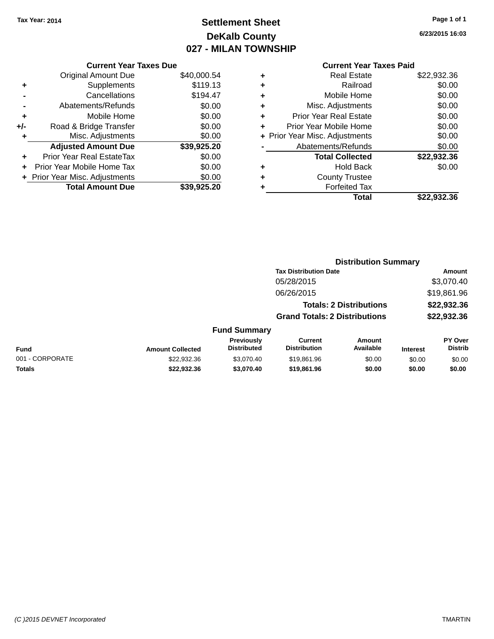# **Settlement Sheet Tax Year: 2014 Page 1 of 1 DeKalb County 027 - MILAN TOWNSHIP**

**6/23/2015 16:03**

| \$40,000.54<br>\$119.13 |
|-------------------------|
|                         |
|                         |
| \$194.47                |
| \$0.00                  |
| \$0.00                  |
| \$0.00                  |
| \$0.00                  |
| \$39,925.20             |
| \$0.00                  |
| \$0.00                  |
| \$0.00                  |
| \$39.925.20             |
|                         |

|   | <b>Real Estate</b>             | \$22,932.36 |
|---|--------------------------------|-------------|
| ٠ | Railroad                       | \$0.00      |
| ٠ | Mobile Home                    | \$0.00      |
| ٠ | Misc. Adjustments              | \$0.00      |
| ٠ | <b>Prior Year Real Estate</b>  | \$0.00      |
| ÷ | Prior Year Mobile Home         | \$0.00      |
|   | + Prior Year Misc. Adjustments | \$0.00      |
|   | Abatements/Refunds             | \$0.00      |
|   | <b>Total Collected</b>         | \$22,932.36 |
| ٠ | <b>Hold Back</b>               | \$0.00      |
| ٠ | <b>County Trustee</b>          |             |
| ٠ | <b>Forfeited Tax</b>           |             |
|   | Total                          | \$22.932.36 |
|   |                                |             |

|                 |                         |                                  | <b>Distribution Summary</b>           |                                |                 |                           |
|-----------------|-------------------------|----------------------------------|---------------------------------------|--------------------------------|-----------------|---------------------------|
|                 |                         |                                  | <b>Tax Distribution Date</b>          |                                |                 | Amount                    |
|                 |                         |                                  | 05/28/2015                            |                                |                 | \$3,070.40                |
|                 |                         |                                  | 06/26/2015                            |                                |                 | \$19,861.96               |
|                 |                         |                                  |                                       | <b>Totals: 2 Distributions</b> |                 | \$22,932.36               |
|                 |                         |                                  | <b>Grand Totals: 2 Distributions</b>  |                                |                 | \$22,932.36               |
|                 |                         | <b>Fund Summary</b>              |                                       |                                |                 |                           |
| <b>Fund</b>     | <b>Amount Collected</b> | Previously<br><b>Distributed</b> | <b>Current</b><br><b>Distribution</b> | <b>Amount</b><br>Available     | <b>Interest</b> | PY Over<br><b>Distrib</b> |
| 001 - CORPORATE | \$22,932.36             | \$3,070.40                       | \$19,861.96                           | \$0.00                         | \$0.00          | \$0.00                    |
| <b>Totals</b>   | \$22,932,36             | \$3,070.40                       | \$19,861.96                           | \$0.00                         | \$0.00          | \$0.00                    |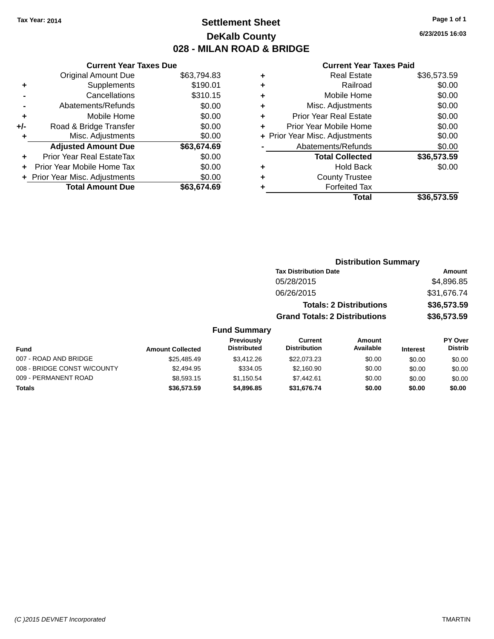# **Settlement Sheet Tax Year: 2014 Page 1 of 1 DeKalb County 028 - MILAN ROAD & BRIDGE**

**6/23/2015 16:03**

#### **Current Year Taxes Paid**

|     | <b>Current Year Taxes Due</b>  |             |
|-----|--------------------------------|-------------|
|     | <b>Original Amount Due</b>     | \$63,794.83 |
| ٠   | Supplements                    | \$190.01    |
|     | Cancellations                  | \$310.15    |
|     | Abatements/Refunds             | \$0.00      |
| ٠   | Mobile Home                    | \$0.00      |
| +/- | Road & Bridge Transfer         | \$0.00      |
|     | Misc. Adjustments              | \$0.00      |
|     | <b>Adjusted Amount Due</b>     | \$63,674.69 |
| ٠   | Prior Year Real EstateTax      | \$0.00      |
|     | Prior Year Mobile Home Tax     | \$0.00      |
|     | + Prior Year Misc. Adjustments | \$0.00      |
|     | <b>Total Amount Due</b>        | \$63.674.69 |
|     |                                |             |

|   | <b>Real Estate</b>             | \$36,573.59 |
|---|--------------------------------|-------------|
| ٠ | Railroad                       | \$0.00      |
| ٠ | Mobile Home                    | \$0.00      |
| ٠ | Misc. Adjustments              | \$0.00      |
| ٠ | <b>Prior Year Real Estate</b>  | \$0.00      |
| ٠ | Prior Year Mobile Home         | \$0.00      |
|   | + Prior Year Misc. Adjustments | \$0.00      |
|   | Abatements/Refunds             | \$0.00      |
|   | <b>Total Collected</b>         | \$36,573.59 |
| ٠ | Hold Back                      | \$0.00      |
| ٠ | <b>County Trustee</b>          |             |
| ٠ | <b>Forfeited Tax</b>           |             |
|   | Total                          | \$36,573.59 |
|   |                                |             |

| <b>Distribution Summary</b>          |             |
|--------------------------------------|-------------|
| <b>Tax Distribution Date</b>         | Amount      |
| 05/28/2015                           | \$4,896.85  |
| 06/26/2015                           | \$31,676.74 |
| <b>Totals: 2 Distributions</b>       | \$36,573.59 |
| <b>Grand Totals: 2 Distributions</b> | \$36,573.59 |
|                                      |             |

| Fund                        | <b>Amount Collected</b> | Previously<br><b>Distributed</b> | Current<br><b>Distribution</b> | Amount<br>Available | <b>Interest</b> | PY Over<br><b>Distrib</b> |
|-----------------------------|-------------------------|----------------------------------|--------------------------------|---------------------|-----------------|---------------------------|
| 007 - ROAD AND BRIDGE       | \$25,485.49             | \$3.412.26                       | \$22,073.23                    | \$0.00              | \$0.00          | \$0.00                    |
| 008 - BRIDGE CONST W/COUNTY | \$2,494.95              | \$334.05                         | \$2,160.90                     | \$0.00              | \$0.00          | \$0.00                    |
| 009 - PERMANENT ROAD        | \$8,593.15              | \$1.150.54                       | \$7.442.61                     | \$0.00              | \$0.00          | \$0.00                    |
| <b>Totals</b>               | \$36,573.59             | \$4,896,85                       | \$31.676.74                    | \$0.00              | \$0.00          | \$0.00                    |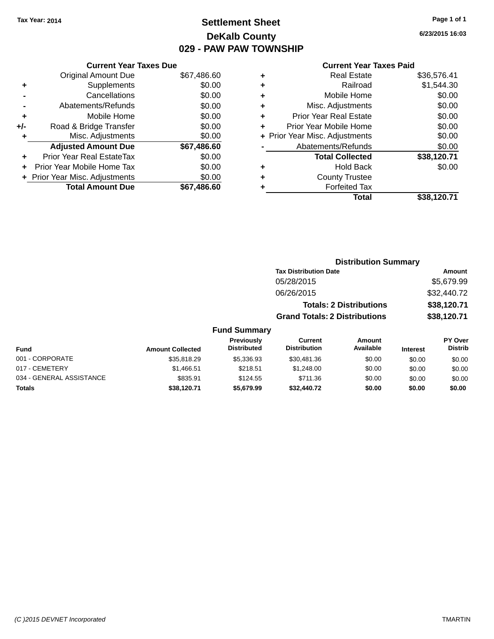# **Settlement Sheet Tax Year: 2014 Page 1 of 1 DeKalb County 029 - PAW PAW TOWNSHIP**

**6/23/2015 16:03**

|     | <b>Current Year Taxes Due</b>  |             |
|-----|--------------------------------|-------------|
|     | <b>Original Amount Due</b>     | \$67,486.60 |
| ٠   | Supplements                    | \$0.00      |
|     | Cancellations                  | \$0.00      |
|     | Abatements/Refunds             | \$0.00      |
| ٠   | Mobile Home                    | \$0.00      |
| +/- | Road & Bridge Transfer         | \$0.00      |
| ٠   | Misc. Adjustments              | \$0.00      |
|     | <b>Adjusted Amount Due</b>     | \$67,486.60 |
| ٠   | Prior Year Real EstateTax      | \$0.00      |
|     | Prior Year Mobile Home Tax     | \$0.00      |
|     | + Prior Year Misc. Adjustments | \$0.00      |
|     | <b>Total Amount Due</b>        | \$67,486,60 |
|     |                                |             |

| ٠ | <b>Real Estate</b>             | \$36,576.41 |
|---|--------------------------------|-------------|
| ٠ | Railroad                       | \$1,544.30  |
| ٠ | Mobile Home                    | \$0.00      |
| ٠ | Misc. Adjustments              | \$0.00      |
| ٠ | <b>Prior Year Real Estate</b>  | \$0.00      |
| ÷ | Prior Year Mobile Home         | \$0.00      |
|   | + Prior Year Misc. Adjustments | \$0.00      |
|   | Abatements/Refunds             | \$0.00      |
|   | <b>Total Collected</b>         | \$38,120.71 |
| ٠ | <b>Hold Back</b>               | \$0.00      |
| ٠ | <b>County Trustee</b>          |             |
| ٠ | <b>Forfeited Tax</b>           |             |
|   | Total                          | \$38,120.71 |
|   |                                |             |

|                     | <b>Distribution Summary</b>          |             |
|---------------------|--------------------------------------|-------------|
|                     | <b>Tax Distribution Date</b>         | Amount      |
|                     | 05/28/2015                           | \$5,679.99  |
|                     | 06/26/2015                           | \$32,440.72 |
|                     | <b>Totals: 2 Distributions</b>       | \$38,120.71 |
|                     | <b>Grand Totals: 2 Distributions</b> | \$38,120.71 |
| <b>Fund Summary</b> |                                      |             |

| <b>Fund</b>              | <b>Amount Collected</b> | Previously<br><b>Distributed</b> | Current<br><b>Distribution</b> | Amount<br>Available | <b>Interest</b> | PY Over<br><b>Distrib</b> |
|--------------------------|-------------------------|----------------------------------|--------------------------------|---------------------|-----------------|---------------------------|
| 001 - CORPORATE          | \$35,818,29             | \$5,336.93                       | \$30,481.36                    | \$0.00              | \$0.00          | \$0.00                    |
| 017 - CEMETERY           | \$1,466.51              | \$218.51                         | \$1,248.00                     | \$0.00              | \$0.00          | \$0.00                    |
| 034 - GENERAL ASSISTANCE | \$835.91                | \$124.55                         | \$711.36                       | \$0.00              | \$0.00          | \$0.00                    |
| <b>Totals</b>            | \$38,120.71             | \$5.679.99                       | \$32,440,72                    | \$0.00              | \$0.00          | \$0.00                    |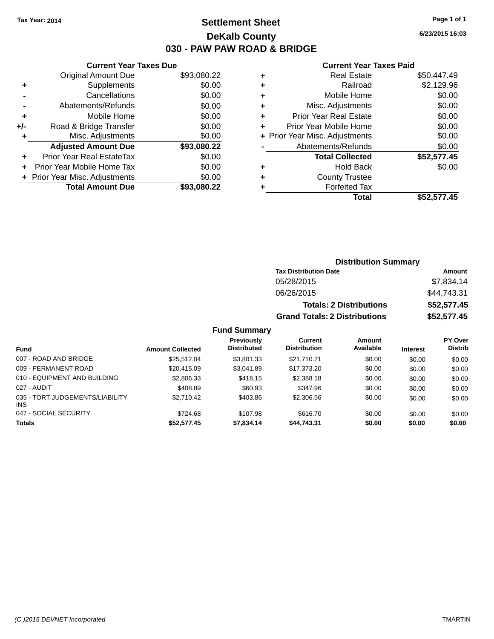# **Settlement Sheet Tax Year: 2014 Page 1 of 1 DeKalb County 030 - PAW PAW ROAD & BRIDGE**

**6/23/2015 16:03**

#### **Current Year Taxes Paid**

|     | <b>Current Year Taxes Due</b> |             |
|-----|-------------------------------|-------------|
|     | <b>Original Amount Due</b>    | \$93,080.22 |
| ٠   | Supplements                   | \$0.00      |
|     | Cancellations                 | \$0.00      |
|     | Abatements/Refunds            | \$0.00      |
| ٠   | Mobile Home                   | \$0.00      |
| +/- | Road & Bridge Transfer        | \$0.00      |
|     | Misc. Adjustments             | \$0.00      |
|     | <b>Adjusted Amount Due</b>    | \$93,080.22 |
| ÷   | Prior Year Real EstateTax     | \$0.00      |
|     | Prior Year Mobile Home Tax    | \$0.00      |
|     | Prior Year Misc. Adjustments  | \$0.00      |
|     | <b>Total Amount Due</b>       | \$93.080.22 |
|     |                               |             |

| ٠ | <b>Real Estate</b>             | \$50.447.49 |
|---|--------------------------------|-------------|
| ٠ | Railroad                       | \$2,129.96  |
| ٠ | Mobile Home                    | \$0.00      |
| ٠ | Misc. Adjustments              | \$0.00      |
| ٠ | <b>Prior Year Real Estate</b>  | \$0.00      |
| ÷ | Prior Year Mobile Home         | \$0.00      |
|   | + Prior Year Misc. Adjustments | \$0.00      |
|   | Abatements/Refunds             | \$0.00      |
|   | <b>Total Collected</b>         | \$52,577.45 |
| ٠ | <b>Hold Back</b>               | \$0.00      |
| ٠ | <b>County Trustee</b>          |             |
| ٠ | <b>Forfeited Tax</b>           |             |
|   | Total                          | \$52,577.45 |
|   |                                |             |

| <b>Distribution Summary</b>          |             |
|--------------------------------------|-------------|
| <b>Tax Distribution Date</b>         | Amount      |
| 05/28/2015                           | \$7,834.14  |
| 06/26/2015                           | \$44,743.31 |
| <b>Totals: 2 Distributions</b>       | \$52,577.45 |
| <b>Grand Totals: 2 Distributions</b> | \$52,577.45 |

| <b>Fund</b>                            | <b>Amount Collected</b> | Previously<br><b>Distributed</b> | Current<br><b>Distribution</b> | Amount<br>Available | <b>Interest</b> | <b>PY Over</b><br><b>Distrib</b> |
|----------------------------------------|-------------------------|----------------------------------|--------------------------------|---------------------|-----------------|----------------------------------|
| 007 - ROAD AND BRIDGE                  | \$25.512.04             | \$3,801.33                       | \$21,710,71                    | \$0.00              | \$0.00          | \$0.00                           |
| 009 - PERMANENT ROAD                   | \$20.415.09             | \$3.041.89                       | \$17,373,20                    | \$0.00              | \$0.00          | \$0.00                           |
| 010 - EQUIPMENT AND BUILDING           | \$2,806.33              | \$418.15                         | \$2,388.18                     | \$0.00              | \$0.00          | \$0.00                           |
| 027 - AUDIT                            | \$408.89                | \$60.93                          | \$347.96                       | \$0.00              | \$0.00          | \$0.00                           |
| 035 - TORT JUDGEMENTS/LIABILITY<br>INS | \$2.710.42              | \$403.86                         | \$2,306.56                     | \$0.00              | \$0.00          | \$0.00                           |
| 047 - SOCIAL SECURITY                  | \$724.68                | \$107.98                         | \$616.70                       | \$0.00              | \$0.00          | \$0.00                           |
| <b>Totals</b>                          | \$52,577.45             | \$7,834.14                       | \$44,743.31                    | \$0.00              | \$0.00          | \$0.00                           |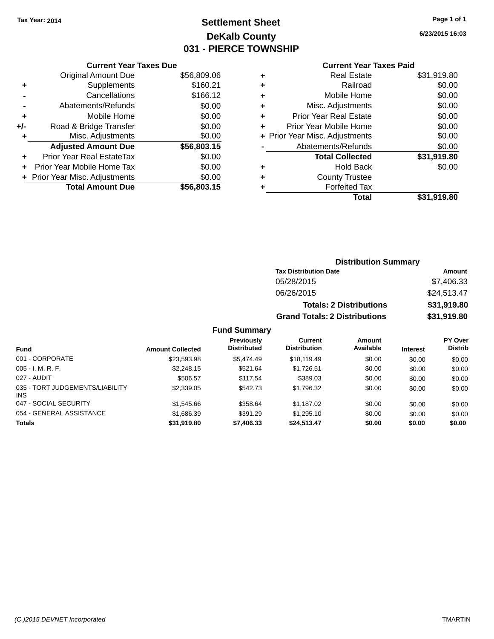# **Settlement Sheet Tax Year: 2014 Page 1 of 1 DeKalb County 031 - PIERCE TOWNSHIP**

**6/23/2015 16:03**

### **Current Year Taxes Paid**

| <b>Original Amount Due</b>     | \$56,809.06                   |
|--------------------------------|-------------------------------|
| Supplements                    | \$160.21                      |
| Cancellations                  | \$166.12                      |
| Abatements/Refunds             | \$0.00                        |
| Mobile Home                    | \$0.00                        |
| Road & Bridge Transfer         | \$0.00                        |
| Misc. Adjustments              | \$0.00                        |
| <b>Adjusted Amount Due</b>     | \$56,803.15                   |
| Prior Year Real EstateTax      | \$0.00                        |
| Prior Year Mobile Home Tax     | \$0.00                        |
| + Prior Year Misc. Adjustments | \$0.00                        |
| <b>Total Amount Due</b>        | \$56,803.15                   |
|                                | <b>Current Year Taxes Due</b> |

| ٠ | <b>Real Estate</b>             | \$31,919.80 |
|---|--------------------------------|-------------|
| ٠ | Railroad                       | \$0.00      |
| ٠ | Mobile Home                    | \$0.00      |
| ٠ | Misc. Adjustments              | \$0.00      |
| ٠ | <b>Prior Year Real Estate</b>  | \$0.00      |
| ٠ | Prior Year Mobile Home         | \$0.00      |
|   | + Prior Year Misc. Adjustments | \$0.00      |
|   | Abatements/Refunds             | \$0.00      |
|   | <b>Total Collected</b>         | \$31,919.80 |
| ٠ | Hold Back                      | \$0.00      |
| ٠ | <b>County Trustee</b>          |             |
| ٠ | <b>Forfeited Tax</b>           |             |
|   | Total                          | \$31,919.80 |
|   |                                |             |

### **Distribution Summary Tax Distribution Date Amount** 05/28/2015 \$7,406.33 06/26/2015 \$24,513.47 **Totals: 2 Distributions \$31,919.80 Grand Totals: 2 Distributions \$31,919.80**

| <b>Fund</b>                                   | <b>Amount Collected</b> | <b>Previously</b><br><b>Distributed</b> | Current<br><b>Distribution</b> | Amount<br>Available | <b>Interest</b> | <b>PY Over</b><br><b>Distrib</b> |
|-----------------------------------------------|-------------------------|-----------------------------------------|--------------------------------|---------------------|-----------------|----------------------------------|
| 001 - CORPORATE                               | \$23,593.98             | \$5,474.49                              | \$18,119.49                    | \$0.00              | \$0.00          | \$0.00                           |
| $005 - I. M. R. F.$                           | \$2,248.15              | \$521.64                                | \$1,726.51                     | \$0.00              | \$0.00          | \$0.00                           |
| 027 - AUDIT                                   | \$506.57                | \$117.54                                | \$389.03                       | \$0.00              | \$0.00          | \$0.00                           |
| 035 - TORT JUDGEMENTS/LIABILITY<br><b>INS</b> | \$2,339.05              | \$542.73                                | \$1,796.32                     | \$0.00              | \$0.00          | \$0.00                           |
| 047 - SOCIAL SECURITY                         | \$1,545.66              | \$358.64                                | \$1,187.02                     | \$0.00              | \$0.00          | \$0.00                           |
| 054 - GENERAL ASSISTANCE                      | \$1,686.39              | \$391.29                                | \$1,295.10                     | \$0.00              | \$0.00          | \$0.00                           |
| <b>Totals</b>                                 | \$31,919.80             | \$7,406.33                              | \$24,513.47                    | \$0.00              | \$0.00          | \$0.00                           |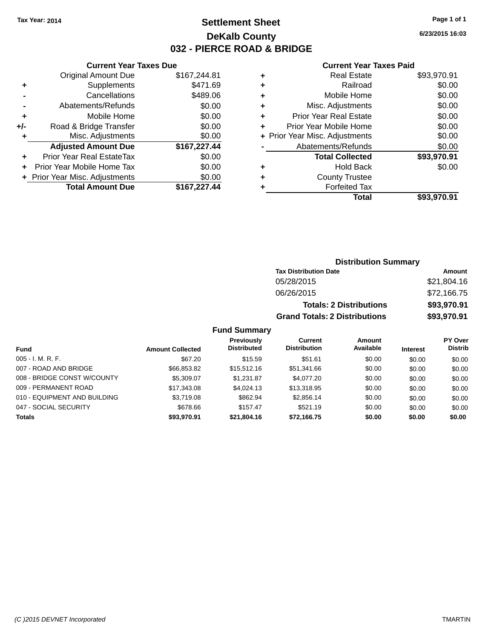# **Settlement Sheet Tax Year: 2014 Page 1 of 1 DeKalb County 032 - PIERCE ROAD & BRIDGE**

**6/23/2015 16:03**

### **Current Year Taxes Paid**

|     | <b>Current Year Taxes Due</b>  |              |
|-----|--------------------------------|--------------|
|     | <b>Original Amount Due</b>     | \$167,244.81 |
| ٠   | Supplements                    | \$471.69     |
|     | Cancellations                  | \$489.06     |
|     | Abatements/Refunds             | \$0.00       |
| ٠   | Mobile Home                    | \$0.00       |
| +/- | Road & Bridge Transfer         | \$0.00       |
|     | Misc. Adjustments              | \$0.00       |
|     | <b>Adjusted Amount Due</b>     | \$167,227.44 |
| ٠   | Prior Year Real EstateTax      | \$0.00       |
|     | Prior Year Mobile Home Tax     | \$0.00       |
|     | + Prior Year Misc. Adjustments | \$0.00       |
|     | <b>Total Amount Due</b>        | \$167,227.44 |
|     |                                |              |

| ٠ | <b>Real Estate</b>             | \$93,970.91 |
|---|--------------------------------|-------------|
| ٠ | Railroad                       | \$0.00      |
| ٠ | Mobile Home                    | \$0.00      |
| ٠ | Misc. Adjustments              | \$0.00      |
| ٠ | <b>Prior Year Real Estate</b>  | \$0.00      |
| ٠ | Prior Year Mobile Home         | \$0.00      |
|   | + Prior Year Misc. Adjustments | \$0.00      |
|   | Abatements/Refunds             | \$0.00      |
|   | <b>Total Collected</b>         | \$93,970.91 |
| ٠ | Hold Back                      | \$0.00      |
| ٠ | <b>County Trustee</b>          |             |
| ٠ | <b>Forfeited Tax</b>           |             |
|   | Total                          | \$93,970.91 |
|   |                                |             |

| <b>Distribution Summary</b>          |             |  |  |  |
|--------------------------------------|-------------|--|--|--|
| <b>Tax Distribution Date</b>         | Amount      |  |  |  |
| 05/28/2015                           | \$21,804.16 |  |  |  |
| 06/26/2015                           | \$72,166.75 |  |  |  |
| <b>Totals: 2 Distributions</b>       | \$93,970.91 |  |  |  |
| <b>Grand Totals: 2 Distributions</b> | \$93,970.91 |  |  |  |

|                              |                         | <b>Previously</b>  | Current             | <b>Amount</b> |                 | <b>PY Over</b> |
|------------------------------|-------------------------|--------------------|---------------------|---------------|-----------------|----------------|
| <b>Fund</b>                  | <b>Amount Collected</b> | <b>Distributed</b> | <b>Distribution</b> | Available     | <b>Interest</b> | <b>Distrib</b> |
| $005 - I. M. R. F.$          | \$67.20                 | \$15.59            | \$51.61             | \$0.00        | \$0.00          | \$0.00         |
| 007 - ROAD AND BRIDGE        | \$66,853.82             | \$15,512.16        | \$51,341.66         | \$0.00        | \$0.00          | \$0.00         |
| 008 - BRIDGE CONST W/COUNTY  | \$5,309.07              | \$1,231.87         | \$4,077.20          | \$0.00        | \$0.00          | \$0.00         |
| 009 - PERMANENT ROAD         | \$17,343.08             | \$4.024.13         | \$13,318.95         | \$0.00        | \$0.00          | \$0.00         |
| 010 - EQUIPMENT AND BUILDING | \$3.719.08              | \$862.94           | \$2,856.14          | \$0.00        | \$0.00          | \$0.00         |
| 047 - SOCIAL SECURITY        | \$678.66                | \$157.47           | \$521.19            | \$0.00        | \$0.00          | \$0.00         |
| <b>Totals</b>                | \$93,970.91             | \$21.804.16        | \$72.166.75         | \$0.00        | \$0.00          | \$0.00         |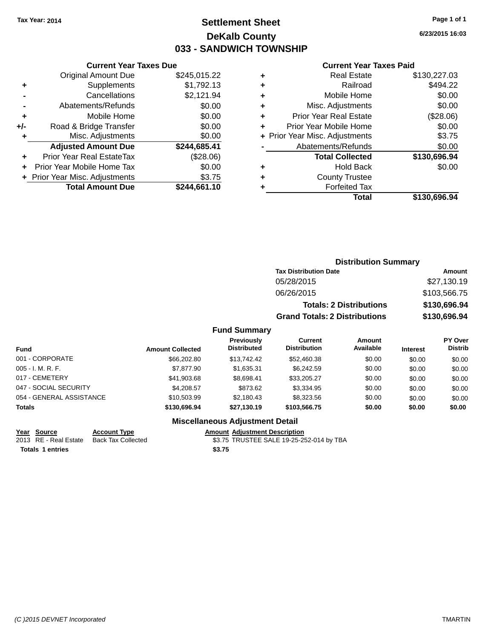# **Settlement Sheet Tax Year: 2014 Page 1 of 1 DeKalb County 033 - SANDWICH TOWNSHIP**

**6/23/2015 16:03**

#### **Current Year Taxes Paid**

|     | <b>Current Year Taxes Due</b>  |              |
|-----|--------------------------------|--------------|
|     | <b>Original Amount Due</b>     | \$245,015.22 |
| ٠   | Supplements                    | \$1,792.13   |
|     | Cancellations                  | \$2,121.94   |
|     | Abatements/Refunds             | \$0.00       |
| ٠   | Mobile Home                    | \$0.00       |
| +/- | Road & Bridge Transfer         | \$0.00       |
| ٠   | Misc. Adjustments              | \$0.00       |
|     | <b>Adjusted Amount Due</b>     | \$244,685.41 |
| ÷   | Prior Year Real EstateTax      | (\$28.06)    |
|     | Prior Year Mobile Home Tax     | \$0.00       |
|     | + Prior Year Misc. Adjustments | \$3.75       |
|     | <b>Total Amount Due</b>        | \$244.661.10 |

| \$494.22<br>Railroad<br>÷<br>\$0.00<br>Mobile Home<br>٠<br>\$0.00<br>Misc. Adjustments<br>٠<br>(\$28.06)<br><b>Prior Year Real Estate</b><br>٠<br>\$0.00<br>Prior Year Mobile Home<br>٠<br>\$3.75<br>+ Prior Year Misc. Adjustments<br>\$0.00<br>Abatements/Refunds<br>\$130,696.94<br><b>Total Collected</b><br>\$0.00<br>Hold Back<br>٠ |
|-------------------------------------------------------------------------------------------------------------------------------------------------------------------------------------------------------------------------------------------------------------------------------------------------------------------------------------------|
|                                                                                                                                                                                                                                                                                                                                           |
|                                                                                                                                                                                                                                                                                                                                           |
|                                                                                                                                                                                                                                                                                                                                           |
|                                                                                                                                                                                                                                                                                                                                           |
|                                                                                                                                                                                                                                                                                                                                           |
|                                                                                                                                                                                                                                                                                                                                           |
|                                                                                                                                                                                                                                                                                                                                           |
|                                                                                                                                                                                                                                                                                                                                           |
|                                                                                                                                                                                                                                                                                                                                           |
| <b>County Trustee</b><br>٠                                                                                                                                                                                                                                                                                                                |
| <b>Forfeited Tax</b><br>٠                                                                                                                                                                                                                                                                                                                 |
| \$130,696.94<br>Total                                                                                                                                                                                                                                                                                                                     |

| <b>Distribution Summary</b>          |              |
|--------------------------------------|--------------|
| <b>Tax Distribution Date</b>         | Amount       |
| 05/28/2015                           | \$27,130.19  |
| 06/26/2015                           | \$103,566.75 |
| <b>Totals: 2 Distributions</b>       | \$130,696.94 |
| <b>Grand Totals: 2 Distributions</b> | \$130,696.94 |

### **Fund Summary**

| Fund                     | <b>Amount Collected</b> | Previously<br><b>Distributed</b> | Current<br><b>Distribution</b> | Amount<br>Available | <b>Interest</b> | PY Over<br><b>Distrib</b> |
|--------------------------|-------------------------|----------------------------------|--------------------------------|---------------------|-----------------|---------------------------|
| 001 - CORPORATE          | \$66,202.80             | \$13,742,42                      | \$52,460.38                    | \$0.00              | \$0.00          | \$0.00                    |
| $005 - I. M. R. F.$      | \$7.877.90              | \$1.635.31                       | \$6,242.59                     | \$0.00              | \$0.00          | \$0.00                    |
| 017 - CEMETERY           | \$41.903.68             | \$8.698.41                       | \$33.205.27                    | \$0.00              | \$0.00          | \$0.00                    |
| 047 - SOCIAL SECURITY    | \$4.208.57              | \$873.62                         | \$3,334.95                     | \$0.00              | \$0.00          | \$0.00                    |
| 054 - GENERAL ASSISTANCE | \$10,503.99             | \$2.180.43                       | \$8,323,56                     | \$0.00              | \$0.00          | \$0.00                    |
| <b>Totals</b>            | \$130,696.94            | \$27.130.19                      | \$103,566.75                   | \$0.00              | \$0.00          | \$0.00                    |

### **Miscellaneous Adjustment Detail**

**Year Source Account Type Amount Adjustment Description** 2013 RE - Real Estate Back Tax Collected **63.75 TRUSTEE SALE 19-25-252-014 by TBA** Totals 1 entries \$3.75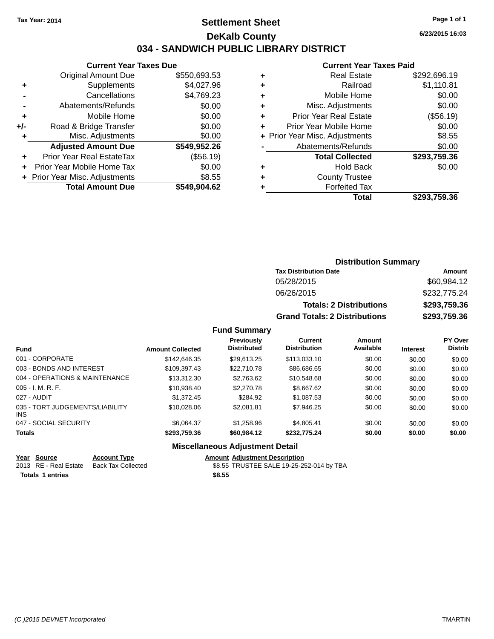## **Settlement Sheet Tax Year: 2014 Page 1 of 1 DeKalb County 034 - SANDWICH PUBLIC LIBRARY DISTRICT**

|  | <b>Current Year Taxes Due</b> |  |
|--|-------------------------------|--|
|--|-------------------------------|--|

|       | <b>Total Amount Due</b>          | \$549,904.62 |
|-------|----------------------------------|--------------|
|       | + Prior Year Misc. Adjustments   | \$8.55       |
|       | Prior Year Mobile Home Tax       | \$0.00       |
|       | <b>Prior Year Real EstateTax</b> | (\$56.19)    |
|       | <b>Adjusted Amount Due</b>       | \$549,952.26 |
| ٠     | Misc. Adjustments                | \$0.00       |
| $+/-$ | Road & Bridge Transfer           | \$0.00       |
| ÷     | Mobile Home                      | \$0.00       |
|       | Abatements/Refunds               | \$0.00       |
|       | Cancellations                    | \$4,769.23   |
| ٠     | Supplements                      | \$4,027.96   |
|       | <b>Original Amount Due</b>       | \$550,693.53 |
|       |                                  |              |

#### **Current Year Taxes Paid**

| ٠ | <b>Real Estate</b>             | \$292,696.19 |
|---|--------------------------------|--------------|
| ٠ | Railroad                       | \$1,110.81   |
| ٠ | Mobile Home                    | \$0.00       |
| ٠ | Misc. Adjustments              | \$0.00       |
| ٠ | <b>Prior Year Real Estate</b>  | (\$56.19)    |
| ٠ | Prior Year Mobile Home         | \$0.00       |
|   | + Prior Year Misc. Adjustments | \$8.55       |
|   | Abatements/Refunds             | \$0.00       |
|   | <b>Total Collected</b>         | \$293,759.36 |
| ٠ | <b>Hold Back</b>               | \$0.00       |
|   | <b>County Trustee</b>          |              |
|   | <b>Forfeited Tax</b>           |              |
|   | <b>Total</b>                   | \$293,759.36 |
|   |                                |              |

## **Distribution Summary Tax Distribution Date Amount** 05/28/2015 \$60,984.12 06/26/2015 \$232,775.24 **Totals: 2 Distributions \$293,759.36 Grand Totals: 2 Distributions \$293,759.36**

#### **Fund Summary**

| <b>Fund</b>                                   | <b>Amount Collected</b> | Previously<br><b>Distributed</b> | Current<br><b>Distribution</b> | Amount<br>Available | <b>Interest</b> | PY Over<br><b>Distrib</b> |
|-----------------------------------------------|-------------------------|----------------------------------|--------------------------------|---------------------|-----------------|---------------------------|
| 001 - CORPORATE                               | \$142,646.35            | \$29.613.25                      | \$113.033.10                   | \$0.00              | \$0.00          | \$0.00                    |
| 003 - BONDS AND INTEREST                      | \$109,397.43            | \$22,710.78                      | \$86,686.65                    | \$0.00              | \$0.00          | \$0.00                    |
| 004 - OPERATIONS & MAINTENANCE                | \$13,312.30             | \$2,763.62                       | \$10,548.68                    | \$0.00              | \$0.00          | \$0.00                    |
| $005 - I. M. R. F.$                           | \$10.938.40             | \$2,270.78                       | \$8,667.62                     | \$0.00              | \$0.00          | \$0.00                    |
| 027 - AUDIT                                   | \$1,372.45              | \$284.92                         | \$1,087.53                     | \$0.00              | \$0.00          | \$0.00                    |
| 035 - TORT JUDGEMENTS/LIABILITY<br><b>INS</b> | \$10,028,06             | \$2.081.81                       | \$7,946.25                     | \$0.00              | \$0.00          | \$0.00                    |
| 047 - SOCIAL SECURITY                         | \$6.064.37              | \$1,258.96                       | \$4,805.41                     | \$0.00              | \$0.00          | \$0.00                    |
| <b>Totals</b>                                 | \$293,759.36            | \$60,984.12                      | \$232,775.24                   | \$0.00              | \$0.00          | \$0.00                    |

#### **Miscellaneous Adjustment Detail**

#### **Year Source Account Type Amount Adjustment Description** \$8.55 TRUSTEE SALE 19-25-252-014 by TBA **Totals \$8.55 1 entries**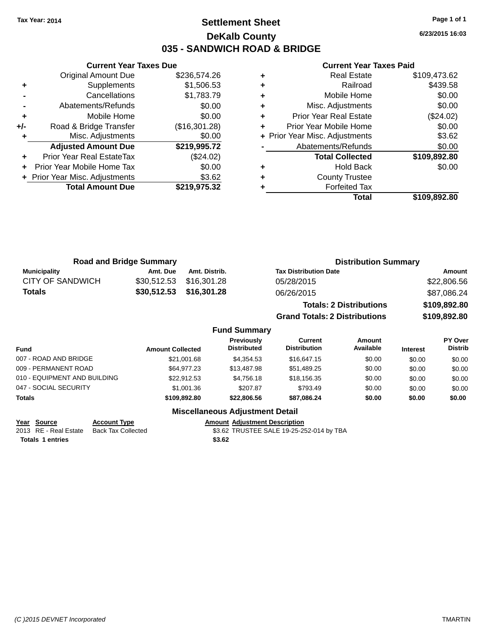## **Settlement Sheet Tax Year: 2014 Page 1 of 1 DeKalb County 035 - SANDWICH ROAD & BRIDGE**

| \$236,574.26<br><b>Original Amount Due</b>     |  |
|------------------------------------------------|--|
|                                                |  |
| \$1,506.53<br>Supplements<br>٠                 |  |
| \$1,783.79<br>Cancellations                    |  |
| \$0.00<br>Abatements/Refunds                   |  |
| \$0.00<br>Mobile Home<br>٠                     |  |
| Road & Bridge Transfer<br>(\$16,301.28)<br>+/- |  |
| Misc. Adjustments<br>\$0.00<br>٠               |  |
| \$219,995.72<br><b>Adjusted Amount Due</b>     |  |
| Prior Year Real EstateTax<br>(\$24.02)         |  |
| \$0.00<br>Prior Year Mobile Home Tax           |  |
| \$3.62<br>+ Prior Year Misc. Adjustments       |  |
| <b>Total Amount Due</b><br>\$219,975.32        |  |

#### **Current Year Taxes Paid**

|   | Real Estate                    | \$109,473.62 |
|---|--------------------------------|--------------|
| ٠ | Railroad                       | \$439.58     |
| ٠ | Mobile Home                    | \$0.00       |
| ٠ | Misc. Adjustments              | \$0.00       |
| ٠ | <b>Prior Year Real Estate</b>  | (\$24.02)    |
| ÷ | Prior Year Mobile Home         | \$0.00       |
|   | + Prior Year Misc. Adjustments | \$3.62       |
|   | Abatements/Refunds             | \$0.00       |
|   | <b>Total Collected</b>         | \$109,892.80 |
| ٠ | <b>Hold Back</b>               | \$0.00       |
| ٠ | <b>County Trustee</b>          |              |
|   | <b>Forfeited Tax</b>           |              |
|   | <b>Total</b>                   | \$109,892.80 |
|   |                                |              |

|                  | <b>Road and Bridge Summary</b> |                         | <b>Distribution Summary</b>    |              |
|------------------|--------------------------------|-------------------------|--------------------------------|--------------|
| Municipality     | Amt. Due                       | Amt. Distrib.           | <b>Tax Distribution Date</b>   | Amount       |
| CITY OF SANDWICH |                                | \$30,512.53 \$16,301.28 | 05/28/2015                     | \$22,806.56  |
| <b>Totals</b>    |                                | \$30,512.53 \$16,301.28 | 06/26/2015                     | \$87,086.24  |
|                  |                                |                         | <b>Totals: 2 Distributions</b> | \$109,892.80 |

**Grand Totals: 2 Distributions \$109,892.80**

## **Fund Summary**

| <b>Fund</b>                  | <b>Amount Collected</b> | Previously<br><b>Distributed</b> | Current<br><b>Distribution</b> | Amount<br>Available | <b>Interest</b> | PY Over<br><b>Distrib</b> |
|------------------------------|-------------------------|----------------------------------|--------------------------------|---------------------|-----------------|---------------------------|
| 007 - ROAD AND BRIDGE        | \$21,001.68             | \$4.354.53                       | \$16,647.15                    | \$0.00              | \$0.00          | \$0.00                    |
| 009 - PERMANENT ROAD         | \$64,977,23             | \$13,487.98                      | \$51.489.25                    | \$0.00              | \$0.00          | \$0.00                    |
| 010 - EQUIPMENT AND BUILDING | \$22.912.53             | \$4.756.18                       | \$18,156.35                    | \$0.00              | \$0.00          | \$0.00                    |
| 047 - SOCIAL SECURITY        | \$1,001.36              | \$207.87                         | \$793.49                       | \$0.00              | \$0.00          | \$0.00                    |
| <b>Totals</b>                | \$109.892.80            | \$22,806.56                      | \$87,086.24                    | \$0.00              | \$0.00          | \$0.00                    |

## **Miscellaneous Adjustment Detail**

**<u>Year Source</u> Account Type<br>
2013 RE - Real Estate Back Tax Collected** Totals 1 entries \$3.62

Amount Adjustment Description<br>\$3.62 TRUSTEE SALE 19-25-252-014 by TBA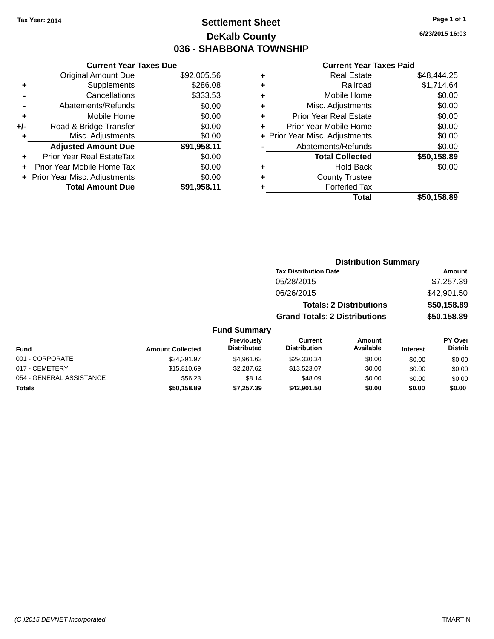## **Settlement Sheet Tax Year: 2014 Page 1 of 1 DeKalb County 036 - SHABBONA TOWNSHIP**

**6/23/2015 16:03**

|     | <b>Current Year Taxes Due</b>  |             |
|-----|--------------------------------|-------------|
|     | <b>Original Amount Due</b>     | \$92,005.56 |
| ٠   | Supplements                    | \$286.08    |
|     | Cancellations                  | \$333.53    |
|     | Abatements/Refunds             | \$0.00      |
| ٠   | Mobile Home                    | \$0.00      |
| +/- | Road & Bridge Transfer         | \$0.00      |
|     | Misc. Adjustments              | \$0.00      |
|     | <b>Adjusted Amount Due</b>     | \$91,958.11 |
|     | Prior Year Real EstateTax      | \$0.00      |
| ÷   | Prior Year Mobile Home Tax     | \$0.00      |
|     | + Prior Year Misc. Adjustments | \$0.00      |
|     | <b>Total Amount Due</b>        | \$91,958.11 |
|     |                                |             |

|   | <b>Real Estate</b>             | \$48,444.25 |
|---|--------------------------------|-------------|
| ٠ | Railroad                       | \$1,714.64  |
| ٠ | Mobile Home                    | \$0.00      |
| ٠ | Misc. Adjustments              | \$0.00      |
| ٠ | <b>Prior Year Real Estate</b>  | \$0.00      |
| ٠ | Prior Year Mobile Home         | \$0.00      |
|   | + Prior Year Misc. Adjustments | \$0.00      |
|   | Abatements/Refunds             | \$0.00      |
|   | <b>Total Collected</b>         | \$50,158.89 |
| ٠ | <b>Hold Back</b>               | \$0.00      |
| ٠ | <b>County Trustee</b>          |             |
|   | <b>Forfeited Tax</b>           |             |
|   | Total                          | \$50,158.89 |
|   |                                |             |

|                         |                                  |                                      | <b>Distribution Summary</b>    |                 |                                  |
|-------------------------|----------------------------------|--------------------------------------|--------------------------------|-----------------|----------------------------------|
|                         |                                  | <b>Tax Distribution Date</b>         |                                |                 | Amount                           |
|                         |                                  | 05/28/2015                           |                                |                 | \$7,257.39                       |
|                         |                                  | 06/26/2015                           |                                |                 | \$42,901.50                      |
|                         |                                  |                                      | <b>Totals: 2 Distributions</b> |                 | \$50,158.89                      |
|                         |                                  | <b>Grand Totals: 2 Distributions</b> |                                |                 | \$50,158.89                      |
|                         | <b>Fund Summary</b>              |                                      |                                |                 |                                  |
| <b>Amount Collected</b> | Previously<br><b>Distributed</b> | Current<br><b>Distribution</b>       | Amount<br>Available            | <b>Interest</b> | <b>PY Over</b><br><b>Distrib</b> |
| \$34.291.97             | $$4$ 961 63                      | \$29.330.34                          | <b>RO 00</b>                   | ድስ ሰሰ           | ድስ ሰሰ                            |

| Fund                     | <b>Amount Collected</b> | <b>FIGVIOUSIV</b><br><b>Distributed</b> | <b>UUITEN</b><br><b>Distribution</b> | AIIIOUIIL<br>Available | <b>Interest</b> | г г оvег<br><b>Distrib</b> |
|--------------------------|-------------------------|-----------------------------------------|--------------------------------------|------------------------|-----------------|----------------------------|
| 001 - CORPORATE          | \$34.291.97             | \$4.961.63                              | \$29,330,34                          | \$0.00                 | \$0.00          | \$0.00                     |
| 017 - CEMETERY           | \$15,810.69             | \$2,287.62                              | \$13,523,07                          | \$0.00                 | \$0.00          | \$0.00                     |
| 054 - GENERAL ASSISTANCE | \$56.23                 | \$8.14                                  | \$48.09                              | \$0.00                 | \$0.00          | \$0.00                     |
| <b>Totals</b>            | \$50,158.89             | \$7.257.39                              | \$42.901.50                          | \$0.00                 | \$0.00          | \$0.00                     |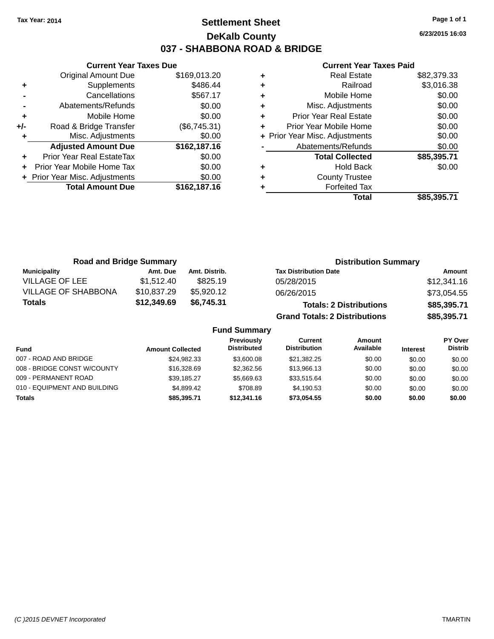## **Settlement Sheet Tax Year: 2014 Page 1 of 1 DeKalb County 037 - SHABBONA ROAD & BRIDGE**

**6/23/2015 16:03**

#### **Current Year Taxes Paid**

|     | <b>Current Year Taxes Due</b>  |              |
|-----|--------------------------------|--------------|
|     | <b>Original Amount Due</b>     | \$169,013.20 |
| ٠   | Supplements                    | \$486.44     |
|     | Cancellations                  | \$567.17     |
|     | Abatements/Refunds             | \$0.00       |
| ٠   | Mobile Home                    | \$0.00       |
| +/- | Road & Bridge Transfer         | (\$6,745.31) |
| ٠   | Misc. Adjustments              | \$0.00       |
|     | <b>Adjusted Amount Due</b>     | \$162,187.16 |
| ٠   | Prior Year Real EstateTax      | \$0.00       |
| ÷   | Prior Year Mobile Home Tax     | \$0.00       |
|     | + Prior Year Misc. Adjustments | \$0.00       |
|     | <b>Total Amount Due</b>        | \$162,187.16 |
|     |                                |              |

|   | Total                          | \$85,395.71 |
|---|--------------------------------|-------------|
| ٠ | <b>Forfeited Tax</b>           |             |
| ٠ | <b>County Trustee</b>          |             |
| ٠ | <b>Hold Back</b>               | \$0.00      |
|   | <b>Total Collected</b>         | \$85,395.71 |
|   | Abatements/Refunds             | \$0.00      |
|   | + Prior Year Misc. Adjustments | \$0.00      |
| ٠ | Prior Year Mobile Home         | \$0.00      |
| ٠ | <b>Prior Year Real Estate</b>  | \$0.00      |
| ٠ | Misc. Adjustments              | \$0.00      |
| ٠ | Mobile Home                    | \$0.00      |
| ÷ | Railroad                       | \$3,016.38  |
| ٠ | <b>Real Estate</b>             | \$82,379.33 |

| <b>Road and Bridge Summary</b> |             |               | <b>Distribution Summary</b>          |             |
|--------------------------------|-------------|---------------|--------------------------------------|-------------|
| <b>Municipality</b>            | Amt. Due    | Amt. Distrib. | <b>Tax Distribution Date</b>         | Amount      |
| <b>VILLAGE OF LEE</b>          | \$1,512.40  | \$825.19      | 05/28/2015                           | \$12,341.16 |
| <b>VILLAGE OF SHABBONA</b>     | \$10,837.29 | \$5,920.12    | 06/26/2015                           | \$73,054.55 |
| <b>Totals</b>                  | \$12,349.69 | \$6,745.31    | <b>Totals: 2 Distributions</b>       | \$85,395.71 |
|                                |             |               | <b>Grand Totals: 2 Distributions</b> | \$85,395.71 |

| <b>Fund</b>                  | <b>Amount Collected</b> | <b>Previously</b><br><b>Distributed</b> | Current<br><b>Distribution</b> | Amount<br>Available | <b>Interest</b> | <b>PY Over</b><br><b>Distrib</b> |
|------------------------------|-------------------------|-----------------------------------------|--------------------------------|---------------------|-----------------|----------------------------------|
| 007 - ROAD AND BRIDGE        | \$24,982.33             | \$3,600.08                              | \$21,382.25                    | \$0.00              | \$0.00          | \$0.00                           |
| 008 - BRIDGE CONST W/COUNTY  | \$16,328.69             | \$2,362.56                              | \$13,966.13                    | \$0.00              | \$0.00          | \$0.00                           |
| 009 - PERMANENT ROAD         | \$39.185.27             | \$5.669.63                              | \$33.515.64                    | \$0.00              | \$0.00          | \$0.00                           |
| 010 - EQUIPMENT AND BUILDING | \$4,899.42              | \$708.89                                | \$4.190.53                     | \$0.00              | \$0.00          | \$0.00                           |
| <b>Totals</b>                | \$85,395,71             | \$12,341.16                             | \$73.054.55                    | \$0.00              | \$0.00          | \$0.00                           |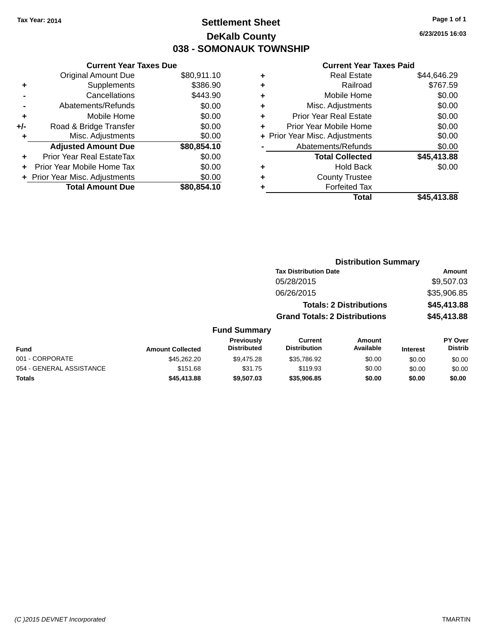## **Settlement Sheet Tax Year: 2014 Page 1 of 1 DeKalb County 038 - SOMONAUK TOWNSHIP**

**6/23/2015 16:03**

|     | <b>Current Year Taxes Due</b> |             |
|-----|-------------------------------|-------------|
|     | <b>Original Amount Due</b>    | \$80,911.10 |
| ٠   | Supplements                   | \$386.90    |
|     | Cancellations                 | \$443.90    |
|     | Abatements/Refunds            | \$0.00      |
| ٠   | Mobile Home                   | \$0.00      |
| +/- | Road & Bridge Transfer        | \$0.00      |
| ٠   | Misc. Adjustments             | \$0.00      |
|     | <b>Adjusted Amount Due</b>    | \$80,854.10 |
| ÷   | Prior Year Real EstateTax     | \$0.00      |
| ÷   | Prior Year Mobile Home Tax    | \$0.00      |
|     | Prior Year Misc. Adjustments  | \$0.00      |
|     | <b>Total Amount Due</b>       | \$80.854.10 |

| ٠ | <b>Real Estate</b>             | \$44,646.29 |
|---|--------------------------------|-------------|
| ٠ | Railroad                       | \$767.59    |
| ٠ | Mobile Home                    | \$0.00      |
| ٠ | Misc. Adjustments              | \$0.00      |
| ٠ | <b>Prior Year Real Estate</b>  | \$0.00      |
| ٠ | Prior Year Mobile Home         | \$0.00      |
|   | + Prior Year Misc. Adjustments | \$0.00      |
|   | Abatements/Refunds             | \$0.00      |
|   | <b>Total Collected</b>         | \$45,413.88 |
| ٠ | <b>Hold Back</b>               | \$0.00      |
| ٠ | <b>County Trustee</b>          |             |
|   | <b>Forfeited Tax</b>           |             |
|   | Total                          | \$45,413.88 |
|   |                                |             |

|                          |                         |                                  |                                       | <b>Distribution Summary</b>    |                 |                                  |
|--------------------------|-------------------------|----------------------------------|---------------------------------------|--------------------------------|-----------------|----------------------------------|
|                          |                         |                                  | <b>Tax Distribution Date</b>          |                                |                 | Amount                           |
|                          |                         |                                  | 05/28/2015                            |                                |                 | \$9,507.03                       |
|                          |                         |                                  | 06/26/2015                            |                                |                 | \$35,906.85                      |
|                          |                         |                                  |                                       | <b>Totals: 2 Distributions</b> |                 | \$45,413.88                      |
|                          |                         |                                  | <b>Grand Totals: 2 Distributions</b>  |                                |                 | \$45,413.88                      |
|                          |                         | <b>Fund Summary</b>              |                                       |                                |                 |                                  |
| Fund                     | <b>Amount Collected</b> | Previously<br><b>Distributed</b> | <b>Current</b><br><b>Distribution</b> | Amount<br>Available            | <b>Interest</b> | <b>PY Over</b><br><b>Distrib</b> |
| 001 - CORPORATE          | \$45,262.20             | \$9,475.28                       | \$35,786.92                           | \$0.00                         | \$0.00          | \$0.00                           |
| 054 - GENERAL ASSISTANCE | \$151.68                | \$31.75                          | \$119.93                              | \$0.00                         | \$0.00          | \$0.00                           |
| <b>Totals</b>            | \$45,413,88             | \$9,507.03                       | \$35.906.85                           | \$0.00                         | \$0.00          | \$0.00                           |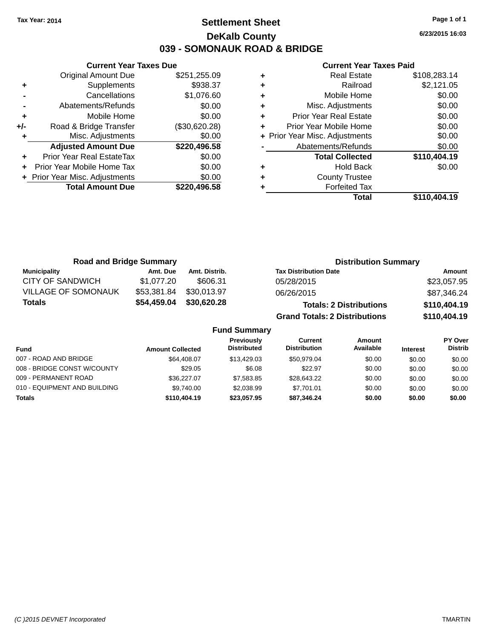## **Settlement Sheet Tax Year: 2014 Page 1 of 1 DeKalb County 039 - SOMONAUK ROAD & BRIDGE**

**6/23/2015 16:03**

|     | <b>Current Year Taxes Due</b>    |               |
|-----|----------------------------------|---------------|
|     | <b>Original Amount Due</b>       | \$251,255.09  |
| ٠   | Supplements                      | \$938.37      |
|     | Cancellations                    | \$1,076.60    |
|     | Abatements/Refunds               | \$0.00        |
| ٠   | Mobile Home                      | \$0.00        |
| +/- | Road & Bridge Transfer           | (\$30,620.28) |
| ٠   | Misc. Adjustments                | \$0.00        |
|     | <b>Adjusted Amount Due</b>       | \$220,496.58  |
| ٠   | <b>Prior Year Real EstateTax</b> | \$0.00        |
| ÷   | Prior Year Mobile Home Tax       | \$0.00        |
|     | + Prior Year Misc. Adjustments   | \$0.00        |
|     | <b>Total Amount Due</b>          | \$220,496.58  |
|     |                                  |               |

|   | <b>Real Estate</b>             | \$108,283.14 |
|---|--------------------------------|--------------|
| ٠ | Railroad                       | \$2,121.05   |
| ٠ | Mobile Home                    | \$0.00       |
| ٠ | Misc. Adjustments              | \$0.00       |
| ٠ | <b>Prior Year Real Estate</b>  | \$0.00       |
|   | Prior Year Mobile Home         | \$0.00       |
|   | + Prior Year Misc. Adjustments | \$0.00       |
|   | Abatements/Refunds             | \$0.00       |
|   | <b>Total Collected</b>         | \$110,404.19 |
| ٠ | <b>Hold Back</b>               | \$0.00       |
| ٠ | <b>County Trustee</b>          |              |
|   | <b>Forfeited Tax</b>           |              |
|   | Total                          | \$110,404.19 |
|   |                                |              |

| <b>Road and Bridge Summary</b> |             |                     | <b>Distribution Summary</b>          |  |              |
|--------------------------------|-------------|---------------------|--------------------------------------|--|--------------|
| <b>Municipality</b>            | Amt. Due    | Amt. Distrib.       | <b>Tax Distribution Date</b>         |  | Amount       |
| CITY OF SANDWICH               | \$1,077.20  | \$606.31            | 05/28/2015                           |  | \$23,057.95  |
| <b>VILLAGE OF SOMONAUK</b>     | \$53,381.84 | \$30,013.97         | 06/26/2015                           |  | \$87,346.24  |
| <b>Totals</b>                  | \$54,459.04 | \$30,620.28         | <b>Totals: 2 Distributions</b>       |  | \$110,404.19 |
|                                |             |                     | <b>Grand Totals: 2 Distributions</b> |  | \$110,404.19 |
|                                |             | <b>Fund Summary</b> |                                      |  |              |
|                                |             | .                   |                                      |  |              |

| <b>Fund</b>                  | <b>Amount Collected</b> | <b>Previously</b><br><b>Distributed</b> | Current<br><b>Distribution</b> | Amount<br>Available | <b>Interest</b> | <b>PY Over</b><br><b>Distrib</b> |
|------------------------------|-------------------------|-----------------------------------------|--------------------------------|---------------------|-----------------|----------------------------------|
| 007 - ROAD AND BRIDGE        | \$64,408.07             | \$13,429.03                             | \$50.979.04                    | \$0.00              | \$0.00          | \$0.00                           |
| 008 - BRIDGE CONST W/COUNTY  | \$29.05                 | \$6.08                                  | \$22.97                        | \$0.00              | \$0.00          | \$0.00                           |
| 009 - PERMANENT ROAD         | \$36,227.07             | \$7.583.85                              | \$28.643.22                    | \$0.00              | \$0.00          | \$0.00                           |
| 010 - EQUIPMENT AND BUILDING | \$9.740.00              | \$2,038.99                              | \$7.701.01                     | \$0.00              | \$0.00          | \$0.00                           |
| <b>Totals</b>                | \$110,404.19            | \$23,057.95                             | \$87,346.24                    | \$0.00              | \$0.00          | \$0.00                           |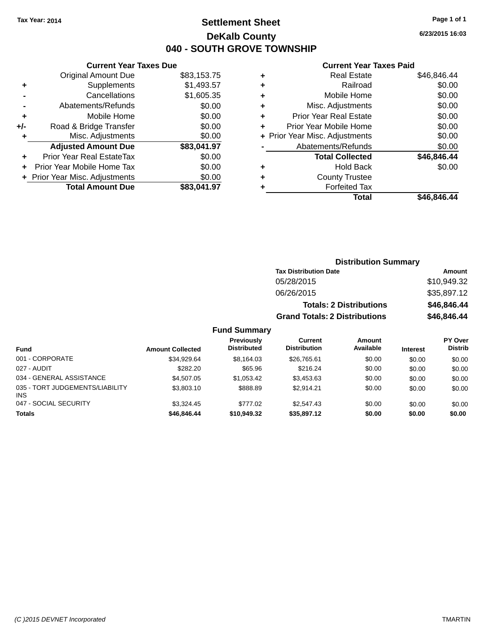## **Settlement Sheet Tax Year: 2014 Page 1 of 1 DeKalb County 040 - SOUTH GROVE TOWNSHIP**

**6/23/2015 16:03**

#### **Current Year Taxes Paid**

| <b>Current Year Taxes Due</b>  |             |
|--------------------------------|-------------|
| <b>Original Amount Due</b>     | \$83,153.75 |
| Supplements                    | \$1,493.57  |
| Cancellations                  | \$1,605.35  |
| Abatements/Refunds             | \$0.00      |
| Mobile Home                    | \$0.00      |
| Road & Bridge Transfer         | \$0.00      |
| Misc. Adjustments              | \$0.00      |
| <b>Adjusted Amount Due</b>     | \$83,041.97 |
| Prior Year Real EstateTax      | \$0.00      |
| Prior Year Mobile Home Tax     | \$0.00      |
| + Prior Year Misc. Adjustments | \$0.00      |
| <b>Total Amount Due</b>        | \$83,041.97 |
|                                |             |

| ٠ | <b>Real Estate</b>             | \$46,846.44 |
|---|--------------------------------|-------------|
| ٠ | Railroad                       | \$0.00      |
| ٠ | Mobile Home                    | \$0.00      |
| ٠ | Misc. Adjustments              | \$0.00      |
| ٠ | <b>Prior Year Real Estate</b>  | \$0.00      |
| ٠ | Prior Year Mobile Home         | \$0.00      |
|   | + Prior Year Misc. Adjustments | \$0.00      |
|   | Abatements/Refunds             | \$0.00      |
|   | <b>Total Collected</b>         | \$46,846.44 |
| ٠ | <b>Hold Back</b>               | \$0.00      |
| ٠ | <b>County Trustee</b>          |             |
| ٠ | <b>Forfeited Tax</b>           |             |
|   | Total                          | \$46,846.44 |
|   |                                |             |

| <b>Distribution Summary</b>          |             |
|--------------------------------------|-------------|
| <b>Tax Distribution Date</b>         | Amount      |
| 05/28/2015                           | \$10,949.32 |
| 06/26/2015                           | \$35,897.12 |
| <b>Totals: 2 Distributions</b>       | \$46,846.44 |
| <b>Grand Totals: 2 Distributions</b> | \$46,846.44 |

| <b>Fund</b>                                   | <b>Amount Collected</b> | Previously<br><b>Distributed</b> | Current<br><b>Distribution</b> | <b>Amount</b><br>Available | <b>Interest</b> | <b>PY Over</b><br><b>Distrib</b> |
|-----------------------------------------------|-------------------------|----------------------------------|--------------------------------|----------------------------|-----------------|----------------------------------|
| 001 - CORPORATE                               | \$34.929.64             | \$8.164.03                       | \$26.765.61                    | \$0.00                     | \$0.00          | \$0.00                           |
| 027 - AUDIT                                   | \$282.20                | \$65.96                          | \$216.24                       | \$0.00                     | \$0.00          | \$0.00                           |
| 034 - GENERAL ASSISTANCE                      | \$4,507.05              | \$1.053.42                       | \$3.453.63                     | \$0.00                     | \$0.00          | \$0.00                           |
| 035 - TORT JUDGEMENTS/LIABILITY<br><b>INS</b> | \$3,803.10              | \$888.89                         | \$2.914.21                     | \$0.00                     | \$0.00          | \$0.00                           |
| 047 - SOCIAL SECURITY                         | \$3,324.45              | \$777.02                         | \$2,547.43                     | \$0.00                     | \$0.00          | \$0.00                           |
| <b>Totals</b>                                 | \$46,846,44             | \$10,949,32                      | \$35,897.12                    | \$0.00                     | \$0.00          | \$0.00                           |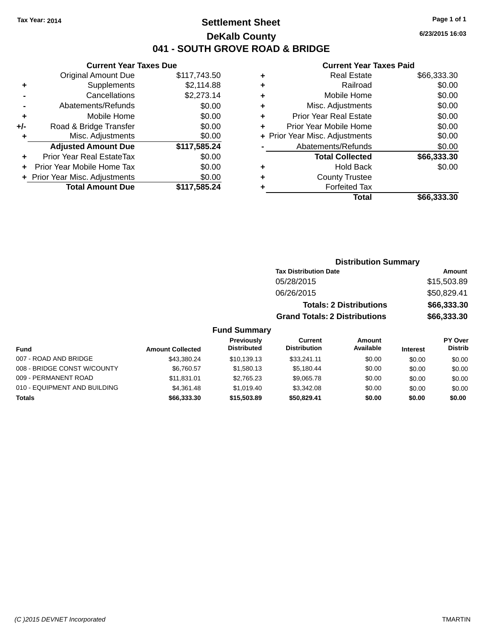## **Settlement Sheet Tax Year: 2014 Page 1 of 1 DeKalb County 041 - SOUTH GROVE ROAD & BRIDGE**

**6/23/2015 16:03**

| ٠ | <b>Real Estate</b>             | \$66,333.30 |
|---|--------------------------------|-------------|
| ٠ | Railroad                       | \$0.00      |
| ٠ | Mobile Home                    | \$0.00      |
| ٠ | Misc. Adjustments              | \$0.00      |
| ٠ | <b>Prior Year Real Estate</b>  | \$0.00      |
| ٠ | Prior Year Mobile Home         | \$0.00      |
|   | + Prior Year Misc. Adjustments | \$0.00      |
|   | Abatements/Refunds             | \$0.00      |
|   | <b>Total Collected</b>         | \$66,333.30 |
| ٠ | <b>Hold Back</b>               | \$0.00      |
|   | <b>County Trustee</b>          |             |
| ٠ | <b>Forfeited Tax</b>           |             |
|   | Total                          | \$66,333.30 |
|   |                                |             |

|                     | <b>Distribution Summary</b>          |               |
|---------------------|--------------------------------------|---------------|
|                     | <b>Tax Distribution Date</b>         | <b>Amount</b> |
|                     | 05/28/2015                           | \$15,503.89   |
|                     | 06/26/2015                           | \$50,829.41   |
|                     | <b>Totals: 2 Distributions</b>       | \$66,333.30   |
|                     | <b>Grand Totals: 2 Distributions</b> | \$66,333.30   |
| <b>Fund Summary</b> |                                      |               |

| Fund                         | <b>Amount Collected</b> | Previously<br><b>Distributed</b> | Current<br><b>Distribution</b> | Amount<br>Available | <b>Interest</b> | <b>PY Over</b><br><b>Distrib</b> |
|------------------------------|-------------------------|----------------------------------|--------------------------------|---------------------|-----------------|----------------------------------|
| 007 - ROAD AND BRIDGE        | \$43,380.24             | \$10,139.13                      | \$33.241.11                    | \$0.00              | \$0.00          | \$0.00                           |
| 008 - BRIDGE CONST W/COUNTY  | \$6.760.57              | \$1,580.13                       | \$5.180.44                     | \$0.00              | \$0.00          | \$0.00                           |
| 009 - PERMANENT ROAD         | \$11.831.01             | \$2.765.23                       | \$9.065.78                     | \$0.00              | \$0.00          | \$0.00                           |
| 010 - EQUIPMENT AND BUILDING | \$4,361.48              | \$1.019.40                       | \$3.342.08                     | \$0.00              | \$0.00          | \$0.00                           |
| <b>Totals</b>                | \$66,333.30             | \$15,503.89                      | \$50.829.41                    | \$0.00              | \$0.00          | \$0.00                           |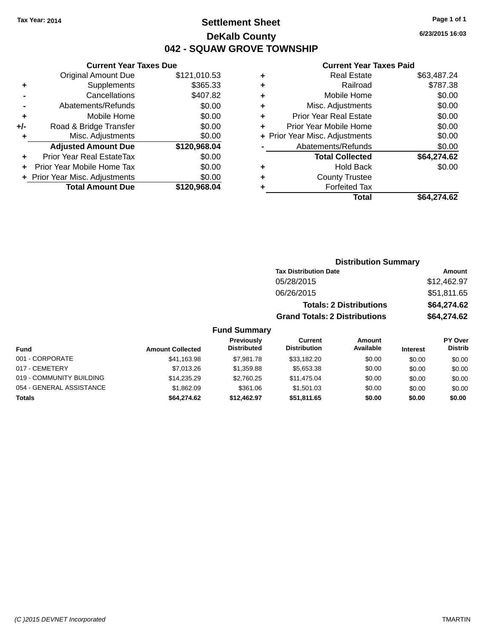## **Settlement Sheet Tax Year: 2014 Page 1 of 1 DeKalb County 042 - SQUAW GROVE TOWNSHIP**

**6/23/2015 16:03**

|       | <b>Current Year Taxes Due</b>  |              |  |  |  |
|-------|--------------------------------|--------------|--|--|--|
|       | <b>Original Amount Due</b>     | \$121,010.53 |  |  |  |
| ٠     | Supplements                    | \$365.33     |  |  |  |
|       | Cancellations                  | \$407.82     |  |  |  |
|       | Abatements/Refunds             | \$0.00       |  |  |  |
| ÷     | Mobile Home                    | \$0.00       |  |  |  |
| $+/-$ | Road & Bridge Transfer         | \$0.00       |  |  |  |
|       | Misc. Adjustments              | \$0.00       |  |  |  |
|       | <b>Adjusted Amount Due</b>     | \$120,968.04 |  |  |  |
| ÷     | Prior Year Real EstateTax      | \$0.00       |  |  |  |
|       | Prior Year Mobile Home Tax     | \$0.00       |  |  |  |
|       | + Prior Year Misc. Adjustments | \$0.00       |  |  |  |
|       | <b>Total Amount Due</b>        | \$120,968,04 |  |  |  |
|       |                                |              |  |  |  |
|       |                                |              |  |  |  |

| ٠ | <b>Real Estate</b>             | \$63,487.24 |
|---|--------------------------------|-------------|
| ٠ | Railroad                       | \$787.38    |
| ٠ | Mobile Home                    | \$0.00      |
| ٠ | Misc. Adjustments              | \$0.00      |
| ٠ | <b>Prior Year Real Estate</b>  | \$0.00      |
| ٠ | Prior Year Mobile Home         | \$0.00      |
|   | + Prior Year Misc. Adjustments | \$0.00      |
|   | Abatements/Refunds             | \$0.00      |
|   | <b>Total Collected</b>         | \$64,274.62 |
| ٠ | <b>Hold Back</b>               | \$0.00      |
| ٠ | <b>County Trustee</b>          |             |
| ٠ | <b>Forfeited Tax</b>           |             |
|   | Total                          | \$64.274.62 |
|   |                                |             |

|                     | <b>Distribution Summary</b>          |               |
|---------------------|--------------------------------------|---------------|
|                     | <b>Tax Distribution Date</b>         | <b>Amount</b> |
|                     | 05/28/2015                           | \$12,462.97   |
|                     | 06/26/2015                           | \$51,811.65   |
|                     | <b>Totals: 2 Distributions</b>       | \$64,274.62   |
|                     | <b>Grand Totals: 2 Distributions</b> | \$64,274.62   |
| <b>Fund Summary</b> |                                      |               |

| Fund                     | <b>Amount Collected</b> | Previously<br><b>Distributed</b> | Current<br><b>Distribution</b> | <b>Amount</b><br>Available | <b>Interest</b> | PY Over<br><b>Distrib</b> |
|--------------------------|-------------------------|----------------------------------|--------------------------------|----------------------------|-----------------|---------------------------|
| 001 - CORPORATE          | \$41,163.98             | \$7.981.78                       | \$33.182.20                    | \$0.00                     | \$0.00          | \$0.00                    |
| 017 - CEMETERY           | \$7.013.26              | \$1,359.88                       | \$5,653.38                     | \$0.00                     | \$0.00          | \$0.00                    |
| 019 - COMMUNITY BUILDING | \$14.235.29             | \$2,760.25                       | \$11,475.04                    | \$0.00                     | \$0.00          | \$0.00                    |
| 054 - GENERAL ASSISTANCE | \$1,862.09              | \$361.06                         | \$1,501.03                     | \$0.00                     | \$0.00          | \$0.00                    |
| <b>Totals</b>            | \$64,274.62             | \$12.462.97                      | \$51.811.65                    | \$0.00                     | \$0.00          | \$0.00                    |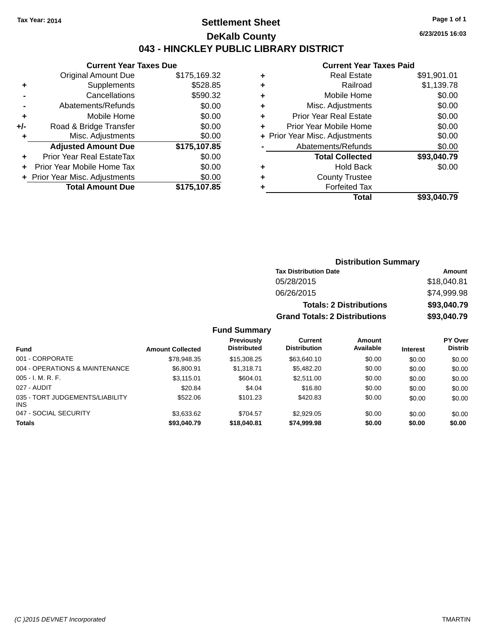## **Settlement Sheet Tax Year: 2014 Page 1 of 1 DeKalb County 043 - HINCKLEY PUBLIC LIBRARY DISTRICT**

**6/23/2015 16:03**

## **Current Year Taxes Paid**

|     | <b>Current Year Taxes Due</b>  |              |  |  |  |
|-----|--------------------------------|--------------|--|--|--|
|     | Original Amount Due            | \$175,169.32 |  |  |  |
| ٠   | Supplements                    | \$528.85     |  |  |  |
|     | Cancellations                  | \$590.32     |  |  |  |
|     | Abatements/Refunds             | \$0.00       |  |  |  |
| ٠   | Mobile Home                    | \$0.00       |  |  |  |
| +/- | Road & Bridge Transfer         | \$0.00       |  |  |  |
| ٠   | Misc. Adjustments              | \$0.00       |  |  |  |
|     | <b>Adjusted Amount Due</b>     | \$175,107.85 |  |  |  |
| ٠   | Prior Year Real EstateTax      | \$0.00       |  |  |  |
|     | Prior Year Mobile Home Tax     | \$0.00       |  |  |  |
|     | + Prior Year Misc. Adjustments | \$0.00       |  |  |  |
|     | <b>Total Amount Due</b>        | \$175.107.85 |  |  |  |
|     |                                |              |  |  |  |

|   | Total                          | \$93,040.79 |
|---|--------------------------------|-------------|
| ٠ | <b>Forfeited Tax</b>           |             |
| ٠ | <b>County Trustee</b>          |             |
| ٠ | Hold Back                      | \$0.00      |
|   | <b>Total Collected</b>         | \$93,040.79 |
|   | Abatements/Refunds             | \$0.00      |
|   | + Prior Year Misc. Adjustments | \$0.00      |
| ٠ | Prior Year Mobile Home         | \$0.00      |
| ÷ | <b>Prior Year Real Estate</b>  | \$0.00      |
| ٠ | Misc. Adjustments              | \$0.00      |
| ÷ | Mobile Home                    | \$0.00      |
| ٠ | Railroad                       | \$1,139.78  |
| ٠ | <b>Real Estate</b>             | \$91,901.01 |
|   |                                |             |

| <b>Distribution Summary</b>          |             |  |  |  |  |
|--------------------------------------|-------------|--|--|--|--|
| <b>Tax Distribution Date</b>         | Amount      |  |  |  |  |
| 05/28/2015                           | \$18,040.81 |  |  |  |  |
| 06/26/2015                           | \$74,999.98 |  |  |  |  |
| <b>Totals: 2 Distributions</b>       | \$93,040.79 |  |  |  |  |
| <b>Grand Totals: 2 Distributions</b> | \$93,040.79 |  |  |  |  |

| <b>Fund</b>                                   | <b>Amount Collected</b> | <b>Previously</b><br><b>Distributed</b> | Current<br><b>Distribution</b> | Amount<br>Available | <b>Interest</b> | PY Over<br><b>Distrib</b> |
|-----------------------------------------------|-------------------------|-----------------------------------------|--------------------------------|---------------------|-----------------|---------------------------|
| 001 - CORPORATE                               | \$78.948.35             | \$15,308,25                             | \$63,640.10                    | \$0.00              | \$0.00          | \$0.00                    |
| 004 - OPERATIONS & MAINTENANCE                | \$6,800.91              | \$1,318.71                              | \$5,482.20                     | \$0.00              | \$0.00          | \$0.00                    |
| $005 - I. M. R. F.$                           | \$3,115.01              | \$604.01                                | \$2,511.00                     | \$0.00              | \$0.00          | \$0.00                    |
| 027 - AUDIT                                   | \$20.84                 | \$4.04                                  | \$16.80                        | \$0.00              | \$0.00          | \$0.00                    |
| 035 - TORT JUDGEMENTS/LIABILITY<br><b>INS</b> | \$522.06                | \$101.23                                | \$420.83                       | \$0.00              | \$0.00          | \$0.00                    |
| 047 - SOCIAL SECURITY                         | \$3,633.62              | \$704.57                                | \$2,929.05                     | \$0.00              | \$0.00          | \$0.00                    |
| <b>Totals</b>                                 | \$93,040.79             | \$18,040.81                             | \$74,999.98                    | \$0.00              | \$0.00          | \$0.00                    |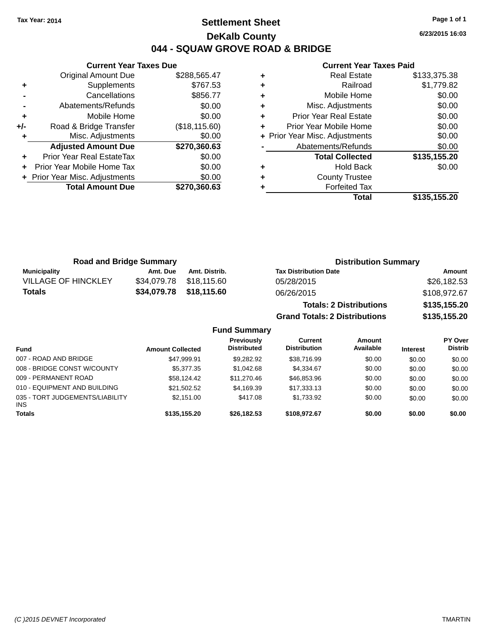## **Settlement Sheet Tax Year: 2014 Page 1 of 1 DeKalb County 044 - SQUAW GROVE ROAD & BRIDGE**

**6/23/2015 16:03**

## **Current Year Taxes Paid**

|     | <b>Current Year Taxes Due</b>    |                |
|-----|----------------------------------|----------------|
|     | <b>Original Amount Due</b>       | \$288,565.47   |
| ٠   | Supplements                      | \$767.53       |
|     | Cancellations                    | \$856.77       |
|     | Abatements/Refunds               | \$0.00         |
| ٠   | Mobile Home                      | \$0.00         |
| +/- | Road & Bridge Transfer           | (\$18, 115.60) |
|     | Misc. Adjustments                | \$0.00         |
|     | <b>Adjusted Amount Due</b>       | \$270,360.63   |
|     | <b>Prior Year Real EstateTax</b> | \$0.00         |
|     | Prior Year Mobile Home Tax       | \$0.00         |
|     | + Prior Year Misc. Adjustments   | \$0.00         |
|     | <b>Total Amount Due</b>          | \$270,360.63   |
|     |                                  |                |

| <b>Real Estate</b>             | \$133,375.38 |
|--------------------------------|--------------|
| Railroad                       | \$1,779.82   |
| Mobile Home                    | \$0.00       |
| Misc. Adjustments              | \$0.00       |
| <b>Prior Year Real Estate</b>  | \$0.00       |
| Prior Year Mobile Home         | \$0.00       |
| + Prior Year Misc. Adjustments | \$0.00       |
| Abatements/Refunds             | \$0.00       |
| <b>Total Collected</b>         | \$135,155.20 |
| <b>Hold Back</b>               | \$0.00       |
| <b>County Trustee</b>          |              |
| <b>Forfeited Tax</b>           |              |
| Total                          | \$135,155.20 |
|                                |              |

| <b>Road and Bridge Summary</b> |             |               | <b>Distribution Summary</b>          |              |  |
|--------------------------------|-------------|---------------|--------------------------------------|--------------|--|
| <b>Municipality</b>            | Amt. Due    | Amt. Distrib. | <b>Tax Distribution Date</b>         | Amount       |  |
| <b>VILLAGE OF HINCKLEY</b>     | \$34,079.78 | \$18,115.60   | 05/28/2015                           | \$26,182.53  |  |
| Totals                         | \$34,079.78 | \$18,115.60   | 06/26/2015                           | \$108,972.67 |  |
|                                |             |               | <b>Totals: 2 Distributions</b>       | \$135,155.20 |  |
|                                |             |               | <b>Grand Totals: 2 Distributions</b> | \$135,155.20 |  |

#### **Fund Summary Fund Interest Amount Collected Distributed PY Over Distrib Amount Available Current Distribution Previously** 007 - ROAD AND BRIDGE 60.00 \$47,999.91 \$9,282.92 \$38,716.99 \$0.00 \$0.00 \$0.00 \$0.00 008 - BRIDGE CONST W/COUNTY  $$5,377.35$   $$1,042.68$   $$4,334.67$   $$0.00$   $$0.00$   $$0.00$ 009 - PERMANENT ROAD \$58,124.42 \$11,270.46 \$46,853.96 \$0.00 \$0.00 \$0.00 \$0.00 010 - EQUIPMENT AND BUILDING \$21,502.52 \$4,169.39 \$17,333.13 \$0.00 \$0.00 \$0.00 035 - TORT JUDGEMENTS/LIABILITY INS \$2,151.00 \$417.08 \$1,733.92 \$0.00 \$0.00 \$0.00 **Totals \$135,155.20 \$26,182.53 \$108,972.67 \$0.00 \$0.00 \$0.00**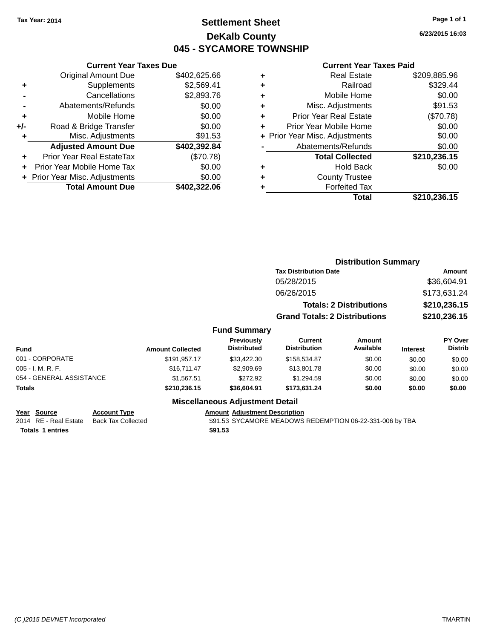## **Settlement Sheet Tax Year: 2014 Page 1 of 1 DeKalb County 045 - SYCAMORE TOWNSHIP**

**6/23/2015 16:03**

#### **Current Year Taxes Paid**

|     | <b>Current Year Taxes Due</b>  |              |  |  |  |
|-----|--------------------------------|--------------|--|--|--|
|     | <b>Original Amount Due</b>     | \$402,625.66 |  |  |  |
| ٠   | Supplements                    | \$2,569.41   |  |  |  |
|     | Cancellations                  | \$2,893.76   |  |  |  |
|     | Abatements/Refunds             | \$0.00       |  |  |  |
| ٠   | Mobile Home                    | \$0.00       |  |  |  |
| +/- | Road & Bridge Transfer         | \$0.00       |  |  |  |
| ٠   | Misc. Adjustments              | \$91.53      |  |  |  |
|     | <b>Adjusted Amount Due</b>     | \$402,392.84 |  |  |  |
| ٠   | Prior Year Real EstateTax      | (\$70.78)    |  |  |  |
| ٠   | Prior Year Mobile Home Tax     | \$0.00       |  |  |  |
|     | + Prior Year Misc. Adjustments | \$0.00       |  |  |  |
|     | <b>Total Amount Due</b>        | \$402,322.06 |  |  |  |
|     |                                |              |  |  |  |

|   | <b>Real Estate</b>             | \$209,885.96 |
|---|--------------------------------|--------------|
| ٠ | Railroad                       | \$329.44     |
| ٠ | Mobile Home                    | \$0.00       |
| ٠ | Misc. Adjustments              | \$91.53      |
| ٠ | <b>Prior Year Real Estate</b>  | (\$70.78)    |
| ٠ | Prior Year Mobile Home         | \$0.00       |
|   | + Prior Year Misc. Adjustments | \$0.00       |
|   | Abatements/Refunds             | \$0.00       |
|   | <b>Total Collected</b>         | \$210,236.15 |
| ٠ | <b>Hold Back</b>               | \$0.00       |
| ٠ | <b>County Trustee</b>          |              |
| ٠ | <b>Forfeited Tax</b>           |              |
|   | Total                          | \$210,236.15 |
|   |                                |              |

|                            |                                  | <b>Distribution Summary</b>              |                                |                 |                                  |
|----------------------------|----------------------------------|------------------------------------------|--------------------------------|-----------------|----------------------------------|
|                            |                                  |                                          | <b>Tax Distribution Date</b>   |                 |                                  |
|                            |                                  | 05/28/2015                               |                                |                 | \$36,604.91                      |
|                            |                                  | 06/26/2015                               |                                |                 | \$173,631.24                     |
|                            |                                  |                                          | <b>Totals: 2 Distributions</b> |                 | \$210,236.15                     |
|                            |                                  | <b>Grand Totals: 2 Distributions</b>     |                                |                 | \$210,236.15                     |
|                            | <b>Fund Summary</b>              |                                          |                                |                 |                                  |
| <b>Amount Collected</b>    | Previously<br><b>Distributed</b> | <b>Current</b><br><b>Distribution</b>    | Amount<br>Available            | <b>Interest</b> | <b>PY Over</b><br><b>Distrib</b> |
| \$191.957.17               | \$33,422.30                      | \$158,534.87                             | \$0.00                         | \$0.00          | \$0.00                           |
| $Q$ <sub>16</sub> 711 $17$ | <b>CO QOO GO</b>                 | <b>C<sub>12</sub></b> Q <sub>01</sub> 70 | ¢∩ ∩∩                          | 0000            | 0000                             |

| <b>Amount Collected</b> | <b>Previously</b><br><b>Distributed</b> | Current<br><b>Distribution</b> | Amount<br>Available | <b>Interest</b> | <b>PY Over</b><br><b>Distrib</b> |
|-------------------------|-----------------------------------------|--------------------------------|---------------------|-----------------|----------------------------------|
| \$191,957.17            | \$33,422,30                             | \$158,534.87                   | \$0.00              | \$0.00          | \$0.00                           |
| \$16,711.47             | \$2,909.69                              | \$13,801.78                    | \$0.00              | \$0.00          | \$0.00                           |
| \$1.567.51              | \$272.92                                | \$1.294.59                     | \$0.00              | \$0.00          | \$0.00                           |
| \$210,236.15            | \$36,604.91                             | \$173.631.24                   | \$0.00              | \$0.00          | \$0.00                           |
|                         |                                         |                                |                     |                 |                                  |

## **Miscellaneous Adjustment Detail**

| Year Source | <b>Account Type</b>                      | <b>Amount Adiustment Description</b> |
|-------------|------------------------------------------|--------------------------------------|
|             | 2014 RE - Real Estate Back Tax Collected | \$91.53 SYCAMORE MEADOWS             |

**Totals \$91.53 1 entries**

2014 RE - Real Estate Back Tax Collected **EADOWS REDEMPTION 06-22-331-006 by TBA**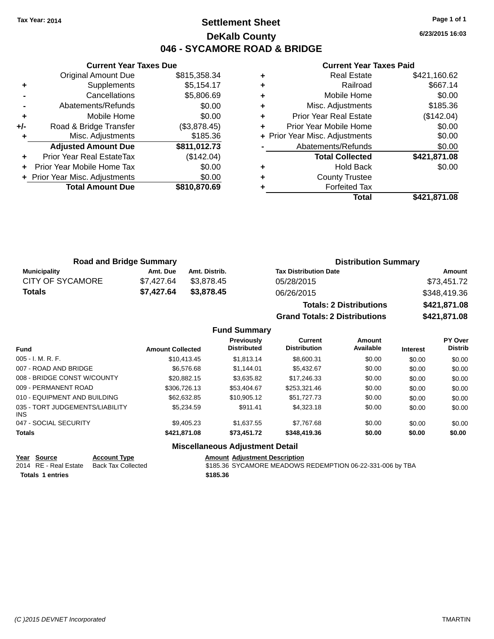## **Settlement Sheet Tax Year: 2014 Page 1 of 1 DeKalb County 046 - SYCAMORE ROAD & BRIDGE**

**6/23/2015 16:03**

#### **Current Year Taxes Paid**

|     | <b>Current Year Taxes Due</b>  |              |
|-----|--------------------------------|--------------|
|     | <b>Original Amount Due</b>     | \$815,358.34 |
| ٠   | Supplements                    | \$5,154.17   |
|     | Cancellations                  | \$5,806.69   |
|     | Abatements/Refunds             | \$0.00       |
| ٠   | Mobile Home                    | \$0.00       |
| +/- | Road & Bridge Transfer         | (\$3,878.45) |
|     | Misc. Adjustments              | \$185.36     |
|     | <b>Adjusted Amount Due</b>     | \$811,012.73 |
| ٠   | Prior Year Real EstateTax      | (\$142.04)   |
|     | Prior Year Mobile Home Tax     | \$0.00       |
|     | + Prior Year Misc. Adjustments | \$0.00       |
|     | <b>Total Amount Due</b>        | \$810,870.69 |
|     |                                |              |

| ٠ | Misc. Adjustments              | \$0.00<br>\$185.36 |
|---|--------------------------------|--------------------|
| ٠ | <b>Prior Year Real Estate</b>  | (\$142.04)         |
| ٠ | Prior Year Mobile Home         | \$0.00             |
|   | + Prior Year Misc. Adjustments | \$0.00             |
|   | Abatements/Refunds             | \$0.00             |
|   | <b>Total Collected</b>         | \$421,871.08       |
|   |                                |                    |
|   | <b>Hold Back</b>               | \$0.00             |
| ٠ | <b>County Trustee</b>          |                    |
|   | <b>Forfeited Tax</b>           |                    |

| <b>Road and Bridge Summary</b> |            |               | <b>Distribution Summary</b>  |              |  |
|--------------------------------|------------|---------------|------------------------------|--------------|--|
| Municipality                   | Amt. Due   | Amt. Distrib. | <b>Tax Distribution Date</b> | Amount       |  |
| CITY OF SYCAMORE               | \$7.427.64 | \$3,878.45    | 05/28/2015                   | \$73,451.72  |  |
| Totals                         | \$7.427.64 | \$3,878.45    | 06/26/2015                   | \$348,419.36 |  |
|                                |            |               |                              |              |  |

| <b>Totals: 2 Distributions</b> | \$421,871.08 |
|--------------------------------|--------------|
| Grand Totals: 2 Distributions  | \$421,871.08 |

## **Fund Summary**

| <b>Fund</b>                             | <b>Amount Collected</b> | Previously<br><b>Distributed</b> | Current<br><b>Distribution</b> | Amount<br>Available | <b>Interest</b> | <b>PY Over</b><br><b>Distrib</b> |
|-----------------------------------------|-------------------------|----------------------------------|--------------------------------|---------------------|-----------------|----------------------------------|
| $005 - I. M. R. F.$                     | \$10.413.45             | \$1.813.14                       | \$8,600.31                     | \$0.00              | \$0.00          | \$0.00                           |
| 007 - ROAD AND BRIDGE                   | \$6,576.68              | \$1,144.01                       | \$5,432,67                     | \$0.00              | \$0.00          | \$0.00                           |
| 008 - BRIDGE CONST W/COUNTY             | \$20.882.15             | \$3,635.82                       | \$17,246.33                    | \$0.00              | \$0.00          | \$0.00                           |
| 009 - PERMANENT ROAD                    | \$306,726.13            | \$53,404.67                      | \$253,321.46                   | \$0.00              | \$0.00          | \$0.00                           |
| 010 - EQUIPMENT AND BUILDING            | \$62,632,85             | \$10,905.12                      | \$51,727,73                    | \$0.00              | \$0.00          | \$0.00                           |
| 035 - TORT JUDGEMENTS/LIABILITY<br>INS. | \$5,234.59              | \$911.41                         | \$4,323.18                     | \$0.00              | \$0.00          | \$0.00                           |
| 047 - SOCIAL SECURITY                   | \$9.405.23              | \$1.637.55                       | \$7.767.68                     | \$0.00              | \$0.00          | \$0.00                           |
| <b>Totals</b>                           | \$421,871.08            | \$73,451.72                      | \$348,419.36                   | \$0.00              | \$0.00          | \$0.00                           |

## **Miscellaneous Adjustment Detail**

|                  | Year Source           | <b>Account Type</b> |  | <b>Amount Adiustment Description</b>                      |
|------------------|-----------------------|---------------------|--|-----------------------------------------------------------|
|                  | 2014 RE - Real Estate | Back Tax Collected  |  | \$185.36 SYCAMORE MEADOWS REDEMPTION 06-22-331-006 by TBA |
| Totals 1 entries |                       | \$185.36            |  |                                                           |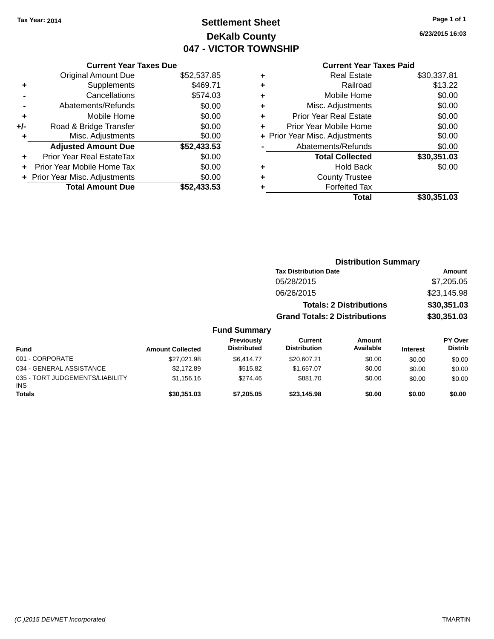## **Settlement Sheet Tax Year: 2014 Page 1 of 1 DeKalb County 047 - VICTOR TOWNSHIP**

**6/23/2015 16:03**

## **Current Year Taxes Paid**

|     | <b>Current Year Taxes Due</b>  |             |
|-----|--------------------------------|-------------|
|     | <b>Original Amount Due</b>     | \$52,537.85 |
| ٠   | Supplements                    | \$469.71    |
|     | Cancellations                  | \$574.03    |
|     | Abatements/Refunds             | \$0.00      |
| ٠   | Mobile Home                    | \$0.00      |
| +/- | Road & Bridge Transfer         | \$0.00      |
|     | Misc. Adjustments              | \$0.00      |
|     | <b>Adjusted Amount Due</b>     | \$52,433.53 |
| ÷   | Prior Year Real EstateTax      | \$0.00      |
| ÷   | Prior Year Mobile Home Tax     | \$0.00      |
|     | + Prior Year Misc. Adjustments | \$0.00      |
|     | <b>Total Amount Due</b>        | \$52.433.53 |

|   | <b>Real Estate</b>             | \$30,337.81 |
|---|--------------------------------|-------------|
| ٠ | Railroad                       | \$13.22     |
| ٠ | Mobile Home                    | \$0.00      |
| ٠ | Misc. Adjustments              | \$0.00      |
| ٠ | <b>Prior Year Real Estate</b>  | \$0.00      |
| ٠ | Prior Year Mobile Home         | \$0.00      |
|   | + Prior Year Misc. Adjustments | \$0.00      |
|   | Abatements/Refunds             | \$0.00      |
|   | <b>Total Collected</b>         | \$30,351.03 |
| ٠ | <b>Hold Back</b>               | \$0.00      |
| ٠ | <b>County Trustee</b>          |             |
|   | <b>Forfeited Tax</b>           |             |
|   | Total                          | \$30,351.03 |
|   |                                |             |

|                                         |                         |                                  | <b>Distribution Summary</b>          |                                |                 |                                  |
|-----------------------------------------|-------------------------|----------------------------------|--------------------------------------|--------------------------------|-----------------|----------------------------------|
|                                         |                         |                                  | <b>Tax Distribution Date</b>         |                                |                 | <b>Amount</b>                    |
|                                         |                         |                                  | 05/28/2015                           |                                |                 | \$7,205.05                       |
|                                         |                         |                                  | 06/26/2015                           |                                |                 | \$23,145.98                      |
|                                         |                         |                                  |                                      | <b>Totals: 2 Distributions</b> |                 | \$30,351.03                      |
|                                         |                         |                                  | <b>Grand Totals: 2 Distributions</b> |                                |                 | \$30,351.03                      |
|                                         |                         | <b>Fund Summary</b>              |                                      |                                |                 |                                  |
| <b>Fund</b>                             | <b>Amount Collected</b> | Previously<br><b>Distributed</b> | Current<br><b>Distribution</b>       | Amount<br>Available            | <b>Interest</b> | <b>PY Over</b><br><b>Distrib</b> |
| 001 - CORPORATE                         | \$27,021.98             | \$6,414.77                       | \$20,607.21                          | \$0.00                         | \$0.00          | \$0.00                           |
| 034 - GENERAL ASSISTANCE                | \$2,172.89              | \$515.82                         | \$1,657.07                           | \$0.00                         | \$0.00          | \$0.00                           |
| 035 - TORT JUDGEMENTS/LIABILITY<br>INS. | \$1,156.16              | \$274.46                         | \$881.70                             | \$0.00                         | \$0.00          | \$0.00                           |
| <b>Totals</b>                           | \$30,351,03             | \$7,205.05                       | \$23,145.98                          | \$0.00                         | \$0.00          | \$0.00                           |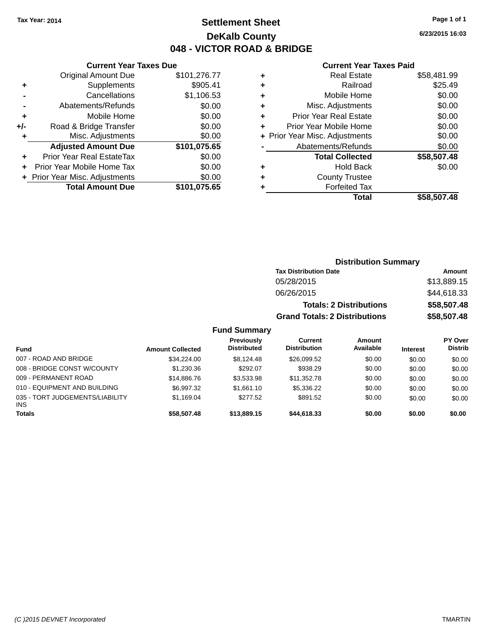## **Settlement Sheet Tax Year: 2014 Page 1 of 1 DeKalb County 048 - VICTOR ROAD & BRIDGE**

**6/23/2015 16:03**

#### **Current Year Taxes Paid**

| Cuı                   |   | <b>Current Year Taxes Due</b> |                                |       |
|-----------------------|---|-------------------------------|--------------------------------|-------|
| R                     | ٠ | \$101,276.77                  | <b>Original Amount Due</b>     |       |
|                       | ٠ | \$905.41                      | Supplements                    | ٠     |
| Mo                    | ٠ | \$1,106.53                    | Cancellations                  |       |
| Misc. Ao              | ٠ | \$0.00                        | Abatements/Refunds             |       |
| Prior Year R          | ٠ | \$0.00                        | Mobile Home                    | ٠     |
| Prior Year Mo         |   | \$0.00                        | Road & Bridge Transfer         | $+/-$ |
| + Prior Year Misc. Ao |   | \$0.00                        | Misc. Adjustments              |       |
| Abatement             |   | \$101,075.65                  | <b>Adjusted Amount Due</b>     |       |
| Total                 |   | \$0.00                        | Prior Year Real EstateTax      |       |
|                       | ٠ | \$0.00                        | Prior Year Mobile Home Tax     |       |
| Cour                  | ٠ | \$0.00                        | + Prior Year Misc. Adjustments |       |
| Fo                    |   | \$101,075.65                  | <b>Total Amount Due</b>        |       |
|                       |   |                               |                                |       |

|   | Total                          | \$58,507.48 |
|---|--------------------------------|-------------|
|   | <b>Forfeited Tax</b>           |             |
| ٠ | <b>County Trustee</b>          |             |
| ٠ | <b>Hold Back</b>               | \$0.00      |
|   | <b>Total Collected</b>         | \$58,507.48 |
|   | Abatements/Refunds             | \$0.00      |
|   | + Prior Year Misc. Adjustments | \$0.00      |
| ٠ | Prior Year Mobile Home         | \$0.00      |
| ٠ | <b>Prior Year Real Estate</b>  | \$0.00      |
| ٠ | Misc. Adjustments              | \$0.00      |
| ٠ | Mobile Home                    | \$0.00      |
| ÷ | Railroad                       | \$25.49     |
|   | Real Estate                    | \$58,481.99 |

|                     | <b>Distribution Summary</b>          |             |
|---------------------|--------------------------------------|-------------|
|                     | <b>Tax Distribution Date</b>         | Amount      |
|                     | 05/28/2015                           | \$13,889.15 |
|                     | 06/26/2015                           | \$44,618.33 |
|                     | <b>Totals: 2 Distributions</b>       | \$58,507.48 |
|                     | <b>Grand Totals: 2 Distributions</b> | \$58,507.48 |
| <b>Fund Summary</b> |                                      |             |

#### **Fund Interest Amount Collected Distributed PY Over Distrib Amount Available Current Distribution Previously** 007 - ROAD AND BRIDGE 60.00 \$34,224.00 \$8,124.48 \$26,099.52 \$0.00 \$0.00 \$0.00 \$0.00 008 - BRIDGE CONST W/COUNTY  $$1,230.36$   $$292.07$   $$938.29$   $$0.00$   $$0.00$   $$0.00$ 009 - PERMANENT ROAD \$14,886.76 \$3,533.98 \$11,352.78 \$0.00 \$0.00 \$0.00 \$0.00 010 - EQUIPMENT AND BUILDING \$6,997.32 \$1,661.10 \$5,336.22 \$0.00 \$0.00 \$0.00 \$0.00 035 - TORT JUDGEMENTS/LIABILITY INS \$1,169.04 \$277.52 \$891.52 \$0.00 \$0.00 \$0.00 **Totals \$58,507.48 \$13,889.15 \$44,618.33 \$0.00 \$0.00 \$0.00**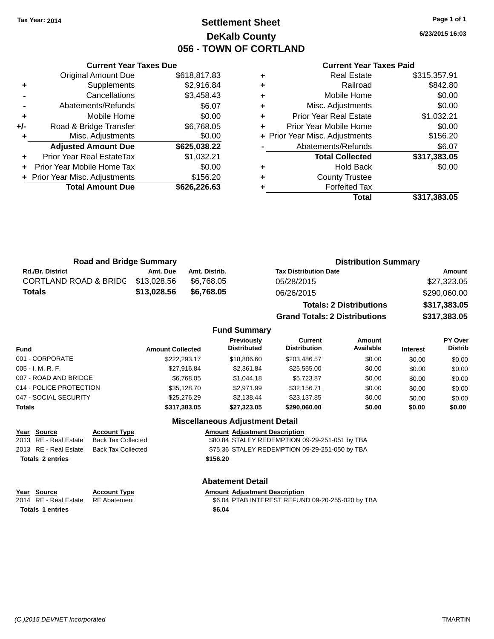## **Settlement Sheet Tax Year: 2014 Page 1 of 1 DeKalb County 056 - TOWN OF CORTLAND**

**6/23/2015 16:03**

#### **Current Year Taxes Paid**

|     | <b>Current Year Taxes Due</b>  |              |
|-----|--------------------------------|--------------|
|     | <b>Original Amount Due</b>     | \$618,817.83 |
| ٠   | Supplements                    | \$2,916.84   |
|     | Cancellations                  | \$3,458.43   |
|     | Abatements/Refunds             | \$6.07       |
| ٠   | Mobile Home                    | \$0.00       |
| +/- | Road & Bridge Transfer         | \$6,768.05   |
|     | Misc. Adjustments              | \$0.00       |
|     | <b>Adjusted Amount Due</b>     | \$625,038.22 |
|     | Prior Year Real EstateTax      | \$1,032.21   |
|     | Prior Year Mobile Home Tax     | \$0.00       |
|     | + Prior Year Misc. Adjustments | \$156.20     |
|     | <b>Total Amount Due</b>        | \$626,226.63 |
|     |                                |              |

|   | <b>Real Estate</b>             | \$315,357.91 |
|---|--------------------------------|--------------|
| ٠ | Railroad                       | \$842.80     |
| ٠ | Mobile Home                    | \$0.00       |
| ٠ | Misc. Adjustments              | \$0.00       |
| ٠ | <b>Prior Year Real Estate</b>  | \$1,032.21   |
|   | Prior Year Mobile Home         | \$0.00       |
|   | + Prior Year Misc. Adjustments | \$156.20     |
|   | Abatements/Refunds             | \$6.07       |
|   | <b>Total Collected</b>         | \$317,383.05 |
| ٠ | <b>Hold Back</b>               | \$0.00       |
| ٠ | <b>County Trustee</b>          |              |
|   | <b>Forfeited Tax</b>           |              |
|   | Total                          | \$317,383.05 |
|   |                                |              |

| <b>Road and Bridge Summary</b> |             |               | <b>Distribution Summary</b>    |              |  |
|--------------------------------|-------------|---------------|--------------------------------|--------------|--|
| <b>Rd./Br. District</b>        | Amt. Due    | Amt. Distrib. | <b>Tax Distribution Date</b>   | Amount       |  |
| CORTLAND ROAD & BRIDG          | \$13.028.56 | \$6.768.05    | 05/28/2015                     | \$27,323.05  |  |
| Totals                         | \$13,028.56 | \$6.768.05    | 06/26/2015                     | \$290,060.00 |  |
|                                |             |               | <b>Totals: 2 Distributions</b> | \$317,383.05 |  |

**Grand Totals: 2 Distributions \$317,383.05**

#### **Fund Summary**

| <b>Fund</b>             | <b>Amount Collected</b> | Previously<br>Distributed | Current<br><b>Distribution</b> | <b>Amount</b><br>Available | <b>Interest</b> | <b>PY Over</b><br><b>Distrib</b> |
|-------------------------|-------------------------|---------------------------|--------------------------------|----------------------------|-----------------|----------------------------------|
| 001 - CORPORATE         | \$222.293.17            | \$18,806,60               | \$203,486.57                   | \$0.00                     | \$0.00          | \$0.00                           |
| 005 - I. M. R. F.       | \$27.916.84             | \$2,361.84                | \$25,555,00                    | \$0.00                     | \$0.00          | \$0.00                           |
| 007 - ROAD AND BRIDGE   | \$6.768.05              | \$1,044.18                | \$5.723.87                     | \$0.00                     | \$0.00          | \$0.00                           |
| 014 - POLICE PROTECTION | \$35,128,70             | \$2,971.99                | \$32,156.71                    | \$0.00                     | \$0.00          | \$0.00                           |
| 047 - SOCIAL SECURITY   | \$25,276.29             | \$2.138.44                | \$23.137.85                    | \$0.00                     | \$0.00          | \$0.00                           |
| <b>Totals</b>           | \$317,383.05            | \$27,323.05               | \$290,060,00                   | \$0.00                     | \$0.00          | \$0.00                           |
|                         |                         |                           |                                |                            |                 |                                  |

#### **Miscellaneous Adjustment Detail**

|                         | Year Source           | <b>Account Type</b> | <b>Amount Adjustment Description</b>           |
|-------------------------|-----------------------|---------------------|------------------------------------------------|
|                         | 2013 RE - Real Estate | Back Tax Collected  | \$80.84 STALEY REDEMPTION 09-29-251-051 by TBA |
|                         | 2013 RE - Real Estate | Back Tax Collected  | \$75.36 STALEY REDEMPTION 09-29-251-050 by TBA |
| <b>Totals 2 entries</b> |                       |                     | \$156.20                                       |
|                         |                       |                     |                                                |

**Totals \$6.04 1 entries**

## **Abatement Detail**

#### **Year Source Account Type Amount Adjustment Description**

2014 RE - Real Estate RE Abatement \$6.04 PTAB INTEREST REFUND 09-20-255-020 by TBA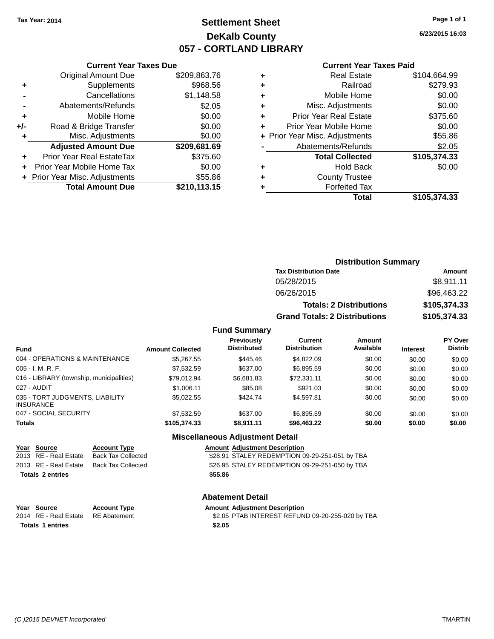## **Settlement Sheet Tax Year: 2014 Page 1 of 1 DeKalb County 057 - CORTLAND LIBRARY**

**6/23/2015 16:03**

## **Current Year Taxes Paid**

|       | <b>Current Year Taxes Due</b>  |              |  |  |
|-------|--------------------------------|--------------|--|--|
|       | <b>Original Amount Due</b>     | \$209,863.76 |  |  |
| ٠     | Supplements                    | \$968.56     |  |  |
|       | Cancellations                  | \$1,148.58   |  |  |
|       | Abatements/Refunds             | \$2.05       |  |  |
| ٠     | Mobile Home                    | \$0.00       |  |  |
| $+/-$ | Road & Bridge Transfer         | \$0.00       |  |  |
| ٠     | Misc. Adjustments              | \$0.00       |  |  |
|       | <b>Adjusted Amount Due</b>     | \$209,681.69 |  |  |
|       | Prior Year Real EstateTax      | \$375.60     |  |  |
|       | Prior Year Mobile Home Tax     | \$0.00       |  |  |
|       | + Prior Year Misc. Adjustments | \$55.86      |  |  |
|       | <b>Total Amount Due</b>        | \$210.113.15 |  |  |
|       |                                |              |  |  |

| ٠ | <b>Real Estate</b>             | \$104,664.99 |
|---|--------------------------------|--------------|
|   | Railroad                       | \$279.93     |
| ٠ | Mobile Home                    | \$0.00       |
| ٠ | Misc. Adjustments              | \$0.00       |
| ٠ | <b>Prior Year Real Estate</b>  | \$375.60     |
| ٠ | Prior Year Mobile Home         | \$0.00       |
|   | + Prior Year Misc. Adjustments | \$55.86      |
|   | Abatements/Refunds             | \$2.05       |
|   | <b>Total Collected</b>         | \$105,374.33 |
| ٠ | <b>Hold Back</b>               | \$0.00       |
|   | <b>County Trustee</b>          |              |
|   | <b>Forfeited Tax</b>           |              |
|   | Total                          | \$105,374.33 |
|   |                                |              |

| <b>Distribution Summary</b>          |              |  |  |
|--------------------------------------|--------------|--|--|
| <b>Tax Distribution Date</b>         | Amount       |  |  |
| 05/28/2015                           | \$8,911.11   |  |  |
| 06/26/2015                           | \$96,463.22  |  |  |
| <b>Totals: 2 Distributions</b>       | \$105,374.33 |  |  |
| <b>Grand Totals: 2 Distributions</b> | \$105,374.33 |  |  |

#### **Fund Summary**

| <b>Fund</b>                                         | <b>Amount Collected</b> | <b>Previously</b><br><b>Distributed</b> | Current<br><b>Distribution</b> | Amount<br>Available | <b>Interest</b> | <b>PY Over</b><br><b>Distrib</b> |
|-----------------------------------------------------|-------------------------|-----------------------------------------|--------------------------------|---------------------|-----------------|----------------------------------|
| 004 - OPERATIONS & MAINTENANCE                      | \$5,267.55              | \$445.46                                | \$4.822.09                     | \$0.00              | \$0.00          | \$0.00                           |
| $005 - I. M. R. F.$                                 | \$7,532.59              | \$637.00                                | \$6.895.59                     | \$0.00              | \$0.00          | \$0.00                           |
| 016 - LIBRARY (township, municipalities)            | \$79.012.94             | \$6,681.83                              | \$72,331.11                    | \$0.00              | \$0.00          | \$0.00                           |
| 027 - AUDIT                                         | \$1,006.11              | \$85.08                                 | \$921.03                       | \$0.00              | \$0.00          | \$0.00                           |
| 035 - TORT JUDGMENTS, LIABILITY<br><b>INSURANCE</b> | \$5.022.55              | \$424.74                                | \$4,597.81                     | \$0.00              | \$0.00          | \$0.00                           |
| 047 - SOCIAL SECURITY                               | \$7,532.59              | \$637.00                                | \$6.895.59                     | \$0.00              | \$0.00          | \$0.00                           |
| <b>Totals</b>                                       | \$105,374,33            | \$8.911.11                              | \$96,463.22                    | \$0.00              | \$0.00          | \$0.00                           |

## **Miscellaneous Adjustment Detail**

| Year Source             | <b>Account Type</b>                      | <b>Amount Adjustment Description</b>           |
|-------------------------|------------------------------------------|------------------------------------------------|
| 2013 RE - Real Estate   | Back Tax Collected                       | \$28.91 STALEY REDEMPTION 09-29-251-051 by TBA |
|                         | 2013 RE - Real Estate Back Tax Collected | \$26.95 STALEY REDEMPTION 09-29-251-050 by TBA |
| <b>Totals 2 entries</b> |                                          | \$55.86                                        |

#### **Abatement Detail**

| Year Source             | <b>Account Type</b> | <b>Amount Adiustment Description</b>             |
|-------------------------|---------------------|--------------------------------------------------|
| 2014 RE - Real Estate   | RE Abatement        | \$2.05 PTAB INTEREST REFUND 09-20-255-020 by TBA |
| <b>Totals 1 entries</b> |                     | \$2.05                                           |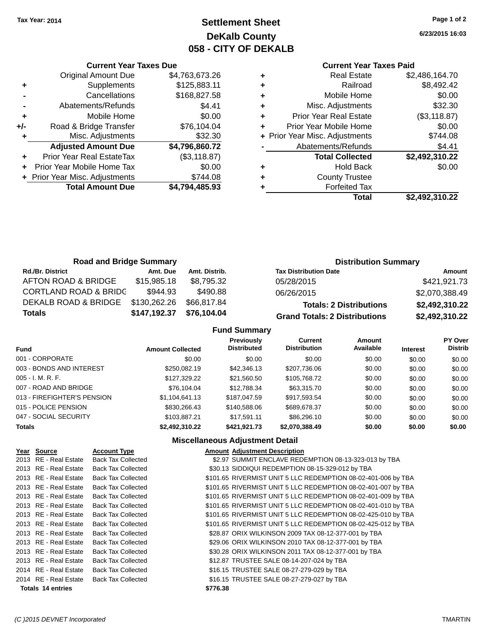## **Settlement Sheet Tax Year: 2014 Page 1 of 2 DeKalb County 058 - CITY OF DEKALB**

**6/23/2015 16:03**

#### **Current Year Taxes Paid**

|     | <b>Current Year Taxes Due</b>  |                |  |  |
|-----|--------------------------------|----------------|--|--|
|     | <b>Original Amount Due</b>     | \$4,763,673.26 |  |  |
| ٠   | Supplements                    | \$125,883.11   |  |  |
|     | Cancellations                  | \$168,827.58   |  |  |
|     | Abatements/Refunds             | \$4.41         |  |  |
| ٠   | Mobile Home                    | \$0.00         |  |  |
| +/- | Road & Bridge Transfer         | \$76,104.04    |  |  |
| ٠   | Misc. Adjustments              | \$32.30        |  |  |
|     | <b>Adjusted Amount Due</b>     | \$4,796,860.72 |  |  |
|     | Prior Year Real EstateTax      | (\$3,118.87)   |  |  |
| ÷   | Prior Year Mobile Home Tax     | \$0.00         |  |  |
|     | + Prior Year Misc. Adjustments | \$744.08       |  |  |
|     | <b>Total Amount Due</b>        | \$4,794,485.93 |  |  |
|     |                                |                |  |  |

|   | <b>Real Estate</b>             | \$2,486,164.70 |
|---|--------------------------------|----------------|
| ٠ | Railroad                       | \$8,492.42     |
| ٠ | Mobile Home                    | \$0.00         |
| ٠ | Misc. Adjustments              | \$32.30        |
| ٠ | <b>Prior Year Real Estate</b>  | (\$3,118.87)   |
|   | Prior Year Mobile Home         | \$0.00         |
|   | + Prior Year Misc. Adjustments | \$744.08       |
|   | Abatements/Refunds             | \$4.41         |
|   | <b>Total Collected</b>         | \$2,492,310.22 |
| ٠ | <b>Hold Back</b>               | \$0.00         |
| ٠ | <b>County Trustee</b>          |                |
|   | <b>Forfeited Tax</b>           |                |
|   | Total                          | \$2,492,310.22 |
|   |                                |                |

| <b>Road and Bridge Summary</b>   |              |               | <b>Distribution Summary</b>          |                |  |
|----------------------------------|--------------|---------------|--------------------------------------|----------------|--|
| <b>Rd./Br. District</b>          | Amt. Due     | Amt. Distrib. | <b>Tax Distribution Date</b>         | Amount         |  |
| AFTON ROAD & BRIDGE              | \$15,985.18  | \$8,795.32    | 05/28/2015                           | \$421,921.73   |  |
| <b>CORTLAND ROAD &amp; BRIDC</b> | \$944.93     | \$490.88      | 06/26/2015                           | \$2,070,388.49 |  |
| DEKALB ROAD & BRIDGE             | \$130,262.26 | \$66,817.84   | <b>Totals: 2 Distributions</b>       | \$2,492,310.22 |  |
| <b>Totals</b>                    | \$147,192.37 | \$76,104.04   | <b>Grand Totals: 2 Distributions</b> | \$2,492,310.22 |  |

## **Fund Summary**

|                             |                         | <b>Previously</b>  | Current             | Amount    |                 | PY Over        |
|-----------------------------|-------------------------|--------------------|---------------------|-----------|-----------------|----------------|
| <b>Fund</b>                 | <b>Amount Collected</b> | <b>Distributed</b> | <b>Distribution</b> | Available | <b>Interest</b> | <b>Distrib</b> |
| 001 - CORPORATE             | \$0.00                  | \$0.00             | \$0.00              | \$0.00    | \$0.00          | \$0.00         |
| 003 - BONDS AND INTEREST    | \$250,082.19            | \$42,346.13        | \$207,736.06        | \$0.00    | \$0.00          | \$0.00         |
| $005 - I. M. R. F.$         | \$127,329.22            | \$21,560.50        | \$105,768.72        | \$0.00    | \$0.00          | \$0.00         |
| 007 - ROAD AND BRIDGE       | \$76,104.04             | \$12,788.34        | \$63,315.70         | \$0.00    | \$0.00          | \$0.00         |
| 013 - FIREFIGHTER'S PENSION | \$1,104,641.13          | \$187,047.59       | \$917,593.54        | \$0.00    | \$0.00          | \$0.00         |
| 015 - POLICE PENSION        | \$830,266.43            | \$140,588,06       | \$689,678,37        | \$0.00    | \$0.00          | \$0.00         |
| 047 - SOCIAL SECURITY       | \$103.887.21            | \$17.591.11        | \$86,296.10         | \$0.00    | \$0.00          | \$0.00         |
| <b>Totals</b>               | \$2.492.310.22          | \$421.921.73       | \$2.070.388.49      | \$0.00    | \$0.00          | \$0.00         |

## **Miscellaneous Adjustment Detail**

| Year Source           | <b>Account Type</b>       |          | <b>Amount Adjustment Description</b>                          |
|-----------------------|---------------------------|----------|---------------------------------------------------------------|
| 2013 RE - Real Estate | <b>Back Tax Collected</b> |          | \$2.97 SUMMIT ENCLAVE REDEMPTION 08-13-323-013 by TBA         |
| 2013 RE - Real Estate | <b>Back Tax Collected</b> |          | \$30.13 SIDDIQUI REDEMPTION 08-15-329-012 by TBA              |
| 2013 RE - Real Estate | <b>Back Tax Collected</b> |          | \$101.65 RIVERMIST UNIT 5 LLC REDEMPTION 08-02-401-006 by TBA |
| 2013 RE - Real Estate | <b>Back Tax Collected</b> |          | \$101.65 RIVERMIST UNIT 5 LLC REDEMPTION 08-02-401-007 by TBA |
| 2013 RE - Real Estate | <b>Back Tax Collected</b> |          | \$101.65 RIVERMIST UNIT 5 LLC REDEMPTION 08-02-401-009 by TBA |
| 2013 RE - Real Estate | <b>Back Tax Collected</b> |          | \$101.65 RIVERMIST UNIT 5 LLC REDEMPTION 08-02-401-010 by TBA |
| 2013 RE - Real Estate | <b>Back Tax Collected</b> |          | \$101.65 RIVERMIST UNIT 5 LLC REDEMPTION 08-02-425-010 by TBA |
| 2013 RE - Real Estate | <b>Back Tax Collected</b> |          | \$101.65 RIVERMIST UNIT 5 LLC REDEMPTION 08-02-425-012 by TBA |
| 2013 RE - Real Estate | <b>Back Tax Collected</b> |          | \$28.87 ORIX WILKINSON 2009 TAX 08-12-377-001 by TBA          |
| 2013 RE - Real Estate | <b>Back Tax Collected</b> |          | \$29.06 ORIX WILKINSON 2010 TAX 08-12-377-001 by TBA          |
| 2013 RE - Real Estate | <b>Back Tax Collected</b> |          | \$30.28 ORIX WILKINSON 2011 TAX 08-12-377-001 by TBA          |
| 2013 RE - Real Estate | <b>Back Tax Collected</b> |          | \$12.87 TRUSTEE SALE 08-14-207-024 by TBA                     |
| 2014 RE - Real Estate | <b>Back Tax Collected</b> |          | \$16.15 TRUSTEE SALE 08-27-279-029 by TBA                     |
| 2014 RE - Real Estate | <b>Back Tax Collected</b> |          | \$16.15 TRUSTEE SALE 08-27-279-027 by TBA                     |
| Totals 14 entries     |                           | \$776.38 |                                                               |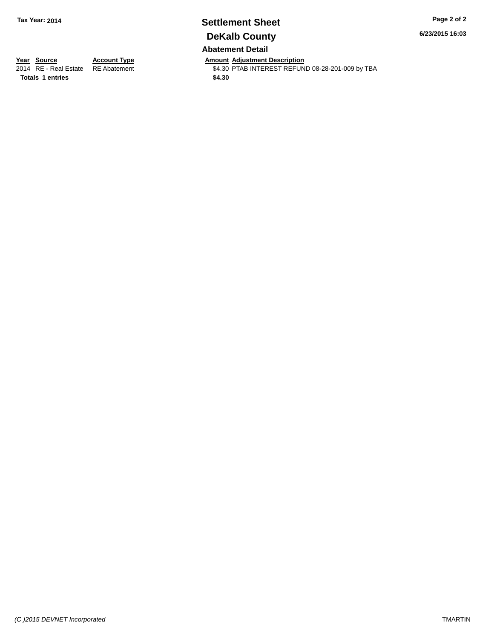## **Settlement Sheet Tax Year: 2014 Page 2 of 2 DeKalb County Abatement Detail**

**6/23/2015 16:03**

**Totals 1 entries** \$4.30

**Year Source Account Type Account Type Amount Adjustment Description**<br>2014 RE - Real Estate RE Abatement **Account 1991 ACCOUNTEREST REFUN** \$4.30 PTAB INTEREST REFUND 08-28-201-009 by TBA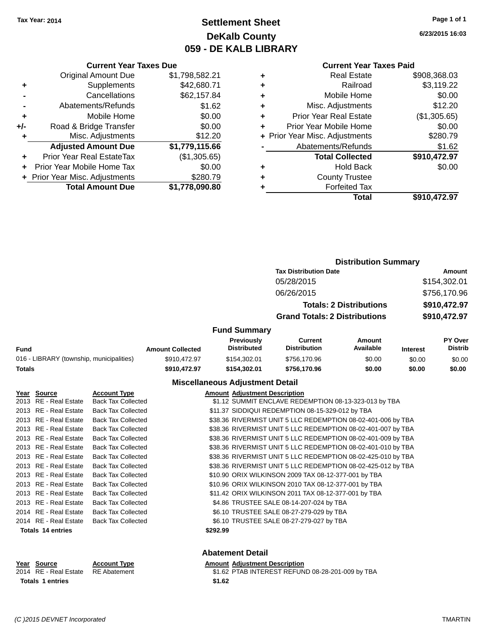## **Settlement Sheet Tax Year: 2014 Page 1 of 1 DeKalb County 059 - DE KALB LIBRARY**

**6/23/2015 16:03**

#### **Current Year Taxes Paid**

|     | <b>Current Year Taxes Due</b>  |                |  |  |  |  |  |
|-----|--------------------------------|----------------|--|--|--|--|--|
|     | <b>Original Amount Due</b>     | \$1,798,582.21 |  |  |  |  |  |
| ٠   | Supplements                    | \$42,680.71    |  |  |  |  |  |
|     | Cancellations                  | \$62,157.84    |  |  |  |  |  |
|     | Abatements/Refunds             | \$1.62         |  |  |  |  |  |
| ٠   | Mobile Home                    | \$0.00         |  |  |  |  |  |
| +/- | Road & Bridge Transfer         | \$0.00         |  |  |  |  |  |
| ٠   | Misc. Adjustments              | \$12.20        |  |  |  |  |  |
|     | <b>Adjusted Amount Due</b>     | \$1,779,115.66 |  |  |  |  |  |
| ٠   | Prior Year Real EstateTax      | (\$1,305.65)   |  |  |  |  |  |
|     | Prior Year Mobile Home Tax     | \$0.00         |  |  |  |  |  |
|     | + Prior Year Misc. Adjustments | \$280.79       |  |  |  |  |  |
|     | <b>Total Amount Due</b>        | \$1,778,090.80 |  |  |  |  |  |
|     |                                |                |  |  |  |  |  |

|   | <b>Real Estate</b>             | \$908,368.03 |
|---|--------------------------------|--------------|
| ٠ | Railroad                       | \$3,119.22   |
| ٠ | Mobile Home                    | \$0.00       |
| ٠ | Misc. Adjustments              | \$12.20      |
| ٠ | <b>Prior Year Real Estate</b>  | (\$1,305.65) |
| ÷ | Prior Year Mobile Home         | \$0.00       |
|   | + Prior Year Misc. Adjustments | \$280.79     |
|   | Abatements/Refunds             | \$1.62       |
|   | <b>Total Collected</b>         | \$910,472.97 |
| ٠ | <b>Hold Back</b>               | \$0.00       |
| ٠ | <b>County Trustee</b>          |              |
| ٠ | <b>Forfeited Tax</b>           |              |
|   | Total                          | \$910,472.97 |
|   |                                |              |

|                                          |                         | <b>Distribution Summary</b>      |                                       |                                |                 |                                  |
|------------------------------------------|-------------------------|----------------------------------|---------------------------------------|--------------------------------|-----------------|----------------------------------|
|                                          |                         |                                  | <b>Tax Distribution Date</b>          |                                |                 | Amount                           |
|                                          |                         |                                  | 05/28/2015                            |                                |                 | \$154,302.01                     |
|                                          |                         |                                  | 06/26/2015                            |                                |                 | \$756,170.96                     |
|                                          |                         |                                  |                                       | <b>Totals: 2 Distributions</b> |                 | \$910,472.97                     |
|                                          |                         |                                  | <b>Grand Totals: 2 Distributions</b>  |                                |                 | \$910,472.97                     |
|                                          |                         | <b>Fund Summary</b>              |                                       |                                |                 |                                  |
| <b>Fund</b>                              | <b>Amount Collected</b> | Previously<br><b>Distributed</b> | <b>Current</b><br><b>Distribution</b> | Amount<br>Available            | <b>Interest</b> | <b>PY Over</b><br><b>Distrib</b> |
| 016 - LIBRARY (township, municipalities) | \$910,472.97            | \$154,302.01                     | \$756,170.96                          | \$0.00                         | \$0.00          | \$0.00                           |
| <b>Totals</b>                            | \$910,472.97            | \$154,302.01                     | \$756,170.96                          | \$0.00                         | \$0.00          | \$0.00                           |
|                                          |                         |                                  |                                       |                                |                 |                                  |

## **Miscellaneous Adjustment Detail**

| Year Source              | <b>Account Type</b>       | <b>Amount Adjustment Description</b>                         |
|--------------------------|---------------------------|--------------------------------------------------------------|
| 2013 RE - Real Estate    | <b>Back Tax Collected</b> | \$1.12 SUMMIT ENCLAVE REDEMPTION 08-13-323-013 by TBA        |
| 2013 RE - Real Estate    | <b>Back Tax Collected</b> | \$11.37 SIDDIQUI REDEMPTION 08-15-329-012 by TBA             |
| 2013 RE - Real Estate    | <b>Back Tax Collected</b> | \$38.36 RIVERMIST UNIT 5 LLC REDEMPTION 08-02-401-006 by TBA |
| 2013 RE - Real Estate    | <b>Back Tax Collected</b> | \$38.36 RIVERMIST UNIT 5 LLC REDEMPTION 08-02-401-007 by TBA |
| 2013 RE - Real Estate    | <b>Back Tax Collected</b> | \$38.36 RIVERMIST UNIT 5 LLC REDEMPTION 08-02-401-009 by TBA |
| 2013 RE - Real Estate    | <b>Back Tax Collected</b> | \$38.36 RIVERMIST UNIT 5 LLC REDEMPTION 08-02-401-010 by TBA |
| 2013 RE - Real Estate    | <b>Back Tax Collected</b> | \$38.36 RIVERMIST UNIT 5 LLC REDEMPTION 08-02-425-010 by TBA |
| 2013 RE - Real Estate    | <b>Back Tax Collected</b> | \$38.36 RIVERMIST UNIT 5 LLC REDEMPTION 08-02-425-012 by TBA |
| 2013 RE - Real Estate    | <b>Back Tax Collected</b> | \$10.90 ORIX WILKINSON 2009 TAX 08-12-377-001 by TBA         |
| 2013 RE - Real Estate    | <b>Back Tax Collected</b> | \$10.96 ORIX WILKINSON 2010 TAX 08-12-377-001 by TBA         |
| 2013 RE - Real Estate    | <b>Back Tax Collected</b> | \$11.42 ORIX WILKINSON 2011 TAX 08-12-377-001 by TBA         |
| 2013 RE - Real Estate    | <b>Back Tax Collected</b> | \$4.86 TRUSTEE SALE 08-14-207-024 by TBA                     |
| 2014 RE - Real Estate    | <b>Back Tax Collected</b> | \$6.10 TRUSTEE SALE 08-27-279-029 by TBA                     |
| 2014 RE - Real Estate    | <b>Back Tax Collected</b> | \$6.10 TRUSTEE SALE 08-27-279-027 by TBA                     |
| <b>Totals 14 entries</b> |                           | \$292.99                                                     |

## **Abatement Detail**

# **Year Source Account Type Amount Adjustment Description**<br>2014 RE - Real Estate RE Abatement \$1.62 PTAB INTEREST REFUN

\$1.62 PTAB INTEREST REFUND 08-28-201-009 by TBA Totals 1 entries \$1.62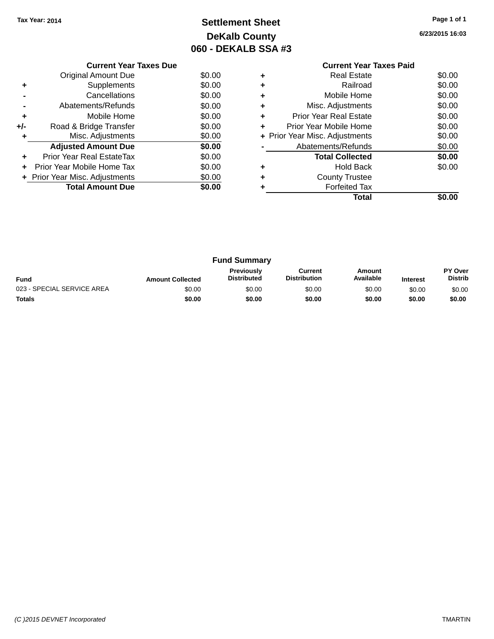## **Settlement Sheet Tax Year: 2014 Page 1 of 1 DeKalb County 060 - DEKALB SSA #3**

**6/23/2015 16:03**

|     | <b>Current Year Taxes Due</b>  |        |
|-----|--------------------------------|--------|
|     | Original Amount Due            | \$0.00 |
|     | Supplements                    | \$0.00 |
|     | Cancellations                  | \$0.00 |
|     | Abatements/Refunds             | \$0.00 |
| ٠   | Mobile Home                    | \$0.00 |
| +/- | Road & Bridge Transfer         | \$0.00 |
| ٠   | Misc. Adjustments              | \$0.00 |
|     | <b>Adjusted Amount Due</b>     | \$0.00 |
| ÷   | Prior Year Real EstateTax      | \$0.00 |
| ÷   | Prior Year Mobile Home Tax     | \$0.00 |
|     | + Prior Year Misc. Adjustments | \$0.00 |
|     | <b>Total Amount Due</b>        | \$0.00 |
|     |                                |        |

## **Current Year Taxes Paid +** Real Estate \$0.00 **+** Railroad \$0.00 **+** Mobile Home \$0.00 **+** Misc. Adjustments \$0.00 **+** Prior Year Real Estate \$0.00 **+** Prior Year Mobile Home \$0.00<br> **+** Prior Year Misc. Adjustments \$0.00 **+ Prior Year Misc. Adjustments -** Abatements/Refunds \$0.00 **Total Collected \$0.00 +** Hold Back \$0.00 **+** County Trustee **+** Forfeited Tax **Total \$0.00**

|                            |                         | <b>Fund Summary</b>                     |                                |                     |                 |                           |
|----------------------------|-------------------------|-----------------------------------------|--------------------------------|---------------------|-----------------|---------------------------|
| <b>Fund</b>                | <b>Amount Collected</b> | <b>Previously</b><br><b>Distributed</b> | Current<br><b>Distribution</b> | Amount<br>Available | <b>Interest</b> | PY Over<br><b>Distrib</b> |
| 023 - SPECIAL SERVICE AREA | \$0.00                  | \$0.00                                  | \$0.00                         | \$0.00              | \$0.00          | \$0.00                    |
| <b>Totals</b>              | \$0.00                  | \$0.00                                  | \$0.00                         | \$0.00              | \$0.00          | \$0.00                    |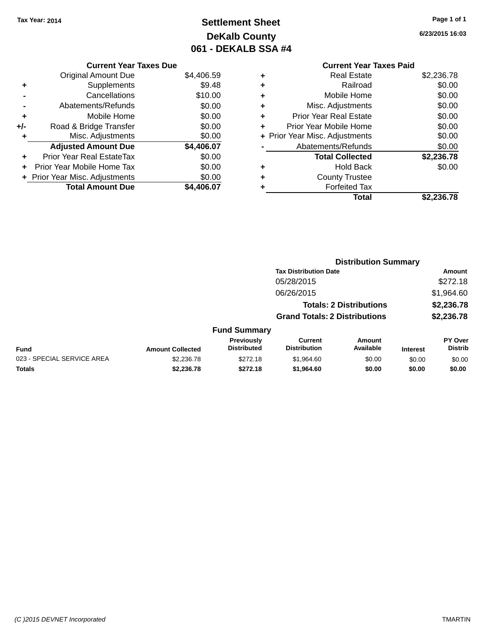## **Settlement Sheet Tax Year: 2014 Page 1 of 1 DeKalb County 061 - DEKALB SSA #4**

**6/23/2015 16:03**

|     | <b>Current Year Taxes Due</b>  |            |
|-----|--------------------------------|------------|
|     | <b>Original Amount Due</b>     | \$4,406.59 |
| ٠   | Supplements                    | \$9.48     |
|     | Cancellations                  | \$10.00    |
|     | Abatements/Refunds             | \$0.00     |
| ٠   | Mobile Home                    | \$0.00     |
| +/- | Road & Bridge Transfer         | \$0.00     |
| ٠   | Misc. Adjustments              | \$0.00     |
|     | <b>Adjusted Amount Due</b>     | \$4,406.07 |
| ÷   | Prior Year Real EstateTax      | \$0.00     |
| ÷   | Prior Year Mobile Home Tax     | \$0.00     |
|     | + Prior Year Misc. Adjustments | \$0.00     |
|     | <b>Total Amount Due</b>        | \$4.406.07 |

| ٠ | <b>Real Estate</b>             | \$2,236.78 |
|---|--------------------------------|------------|
| ٠ | Railroad                       | \$0.00     |
| ٠ | Mobile Home                    | \$0.00     |
| ٠ | Misc. Adjustments              | \$0.00     |
| ٠ | <b>Prior Year Real Estate</b>  | \$0.00     |
| ٠ | Prior Year Mobile Home         | \$0.00     |
|   | + Prior Year Misc. Adjustments | \$0.00     |
|   | Abatements/Refunds             | \$0.00     |
|   | <b>Total Collected</b>         | \$2,236.78 |
| ٠ | <b>Hold Back</b>               | \$0.00     |
| ٠ | <b>County Trustee</b>          |            |
| ٠ | <b>Forfeited Tax</b>           |            |
|   | Total                          | \$2,236.78 |
|   |                                |            |

|                            |                         |                                  |                                       |                                | <b>Distribution Summary</b> |                                  |
|----------------------------|-------------------------|----------------------------------|---------------------------------------|--------------------------------|-----------------------------|----------------------------------|
|                            |                         |                                  | <b>Tax Distribution Date</b>          |                                |                             | Amount                           |
|                            |                         |                                  | 05/28/2015                            |                                |                             | \$272.18                         |
|                            |                         |                                  | 06/26/2015                            |                                |                             | \$1,964.60                       |
|                            |                         |                                  |                                       | <b>Totals: 2 Distributions</b> |                             | \$2,236.78                       |
|                            |                         |                                  | <b>Grand Totals: 2 Distributions</b>  |                                |                             | \$2,236.78                       |
|                            |                         | <b>Fund Summary</b>              |                                       |                                |                             |                                  |
| <b>Fund</b>                | <b>Amount Collected</b> | Previously<br><b>Distributed</b> | <b>Current</b><br><b>Distribution</b> | <b>Amount</b><br>Available     | <b>Interest</b>             | <b>PY Over</b><br><b>Distrib</b> |
| 023 - SPECIAL SERVICE AREA | \$2,236.78              | \$272.18                         | \$1,964.60                            | \$0.00                         | \$0.00                      | \$0.00                           |
| <b>Totals</b>              | \$2,236.78              | \$272.18                         | \$1,964.60                            | \$0.00                         | \$0.00                      | \$0.00                           |
|                            |                         |                                  |                                       |                                |                             |                                  |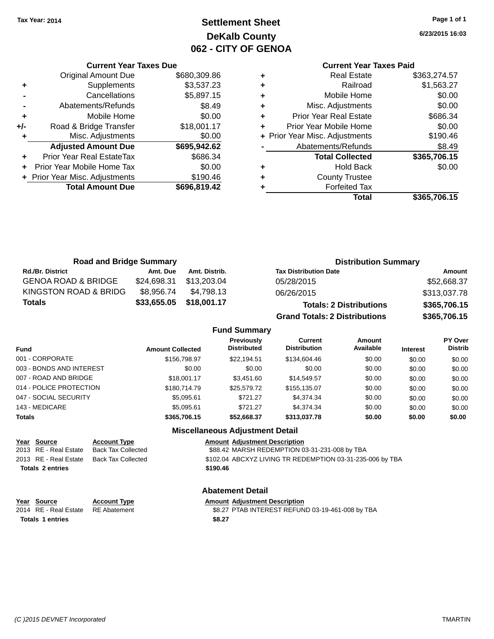## **Settlement Sheet Tax Year: 2014 Page 1 of 1 DeKalb County 062 - CITY OF GENOA**

**6/23/2015 16:03**

## **Current Year Taxes Paid**

|       | <b>Current Year Taxes Due</b>  |              |
|-------|--------------------------------|--------------|
|       | <b>Original Amount Due</b>     | \$680,309.86 |
| ٠     | Supplements                    | \$3,537.23   |
|       | Cancellations                  | \$5,897.15   |
|       | Abatements/Refunds             | \$8.49       |
| ÷     | Mobile Home                    | \$0.00       |
| $+/-$ | Road & Bridge Transfer         | \$18,001.17  |
|       | Misc. Adjustments              | \$0.00       |
|       | <b>Adjusted Amount Due</b>     | \$695,942.62 |
|       | Prior Year Real EstateTax      | \$686.34     |
|       | Prior Year Mobile Home Tax     | \$0.00       |
|       | + Prior Year Misc. Adjustments | \$190.46     |
|       | <b>Total Amount Due</b>        | \$696,819.42 |
|       |                                |              |

|   | <b>Real Estate</b>             | \$363,274.57 |
|---|--------------------------------|--------------|
| ٠ | Railroad                       | \$1,563.27   |
| ٠ | Mobile Home                    | \$0.00       |
| ٠ | Misc. Adjustments              | \$0.00       |
| ٠ | <b>Prior Year Real Estate</b>  | \$686.34     |
| ٠ | Prior Year Mobile Home         | \$0.00       |
|   | + Prior Year Misc. Adjustments | \$190.46     |
|   | Abatements/Refunds             | \$8.49       |
|   | <b>Total Collected</b>         | \$365,706.15 |
| ٠ | <b>Hold Back</b>               | \$0.00       |
|   | <b>County Trustee</b>          |              |
| ٠ | <b>Forfeited Tax</b>           |              |
|   | Total                          | \$365,706.15 |
|   |                                |              |

| <b>Road and Bridge Summary</b> |             |               | <b>Distribution Summary</b>          |              |
|--------------------------------|-------------|---------------|--------------------------------------|--------------|
| <b>Rd./Br. District</b>        | Amt. Due    | Amt. Distrib. | <b>Tax Distribution Date</b>         | Amount       |
| <b>GENOA ROAD &amp; BRIDGE</b> | \$24,698.31 | \$13.203.04   | 05/28/2015                           | \$52,668.37  |
| KINGSTON ROAD & BRIDG          | \$8.956.74  | \$4.798.13    | 06/26/2015                           | \$313,037.78 |
| <b>Totals</b>                  | \$33,655.05 | \$18,001.17   | <b>Totals: 2 Distributions</b>       | \$365,706.15 |
|                                |             |               | <b>Grand Totals: 2 Distributions</b> | \$365,706.15 |

#### **Fund Summary**

| Fund                     | <b>Amount Collected</b> | <b>Previously</b><br><b>Distributed</b> | Current<br><b>Distribution</b> | Amount<br>Available | <b>Interest</b> | PY Over<br><b>Distrib</b> |
|--------------------------|-------------------------|-----------------------------------------|--------------------------------|---------------------|-----------------|---------------------------|
| 001 - CORPORATE          | \$156,798,97            | \$22,194.51                             | \$134,604.46                   | \$0.00              | \$0.00          | \$0.00                    |
| 003 - BONDS AND INTEREST | \$0.00                  | \$0.00                                  | \$0.00                         | \$0.00              | \$0.00          | \$0.00                    |
| 007 - ROAD AND BRIDGE    | \$18,001.17             | \$3,451.60                              | \$14.549.57                    | \$0.00              | \$0.00          | \$0.00                    |
| 014 - POLICE PROTECTION  | \$180,714.79            | \$25,579,72                             | \$155,135,07                   | \$0.00              | \$0.00          | \$0.00                    |
| 047 - SOCIAL SECURITY    | \$5,095.61              | \$721.27                                | \$4,374,34                     | \$0.00              | \$0.00          | \$0.00                    |
| 143 - MEDICARE           | \$5.095.61              | \$721.27                                | \$4,374,34                     | \$0.00              | \$0.00          | \$0.00                    |
| <b>Totals</b>            | \$365,706.15            | \$52,668.37                             | \$313,037.78                   | \$0.00              | \$0.00          | \$0.00                    |

## **Miscellaneous Adjustment Detail**

| Year Source           | <b>Account Type</b> | <b>Amount Adjustment Description</b>                      |
|-----------------------|---------------------|-----------------------------------------------------------|
| 2013 RE - Real Estate | Back Tax Collected  | \$88.42 MARSH REDEMPTION 03-31-231-008 by TBA             |
| 2013 RE - Real Estate | Back Tax Collected  | \$102.04 ABCXYZ LIVING TR REDEMPTION 03-31-235-006 by TBA |
| Totals 2 entries      |                     | \$190.46                                                  |

#### **Abatement Detail**

| <u>Year Source</u>                 | <b>Account Type</b> | <b>Amount Adjustment Description</b>             |
|------------------------------------|---------------------|--------------------------------------------------|
| 2014 RE - Real Estate RE Abatement |                     | \$8.27 PTAB INTEREST REFUND 03-19-461-008 by TBA |
| <b>Totals 1 entries</b>            |                     | \$8.27                                           |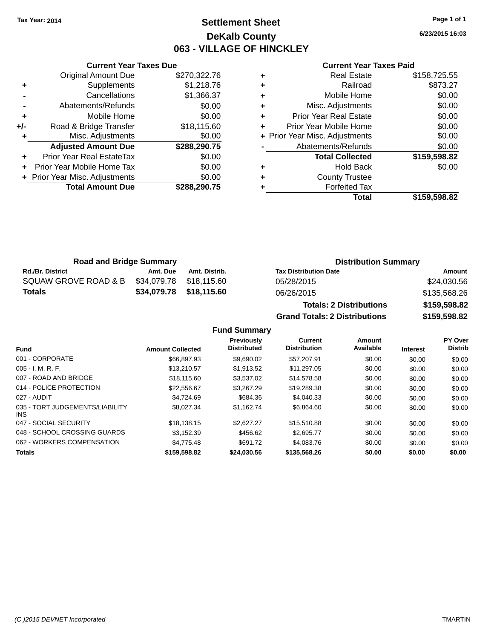## **Settlement Sheet Tax Year: 2014 Page 1 of 1 DeKalb County 063 - VILLAGE OF HINCKLEY**

**6/23/2015 16:03**

#### **Current Year Taxes Paid**

|     | <b>Original Amount Due</b>     | \$270,322.76 |
|-----|--------------------------------|--------------|
| ٠   | Supplements                    | \$1,218.76   |
|     | Cancellations                  | \$1,366.37   |
|     | Abatements/Refunds             | \$0.00       |
| ٠   | Mobile Home                    | \$0.00       |
| +/- | Road & Bridge Transfer         | \$18,115.60  |
|     | Misc. Adjustments              | \$0.00       |
|     | <b>Adjusted Amount Due</b>     | \$288,290.75 |
| ÷   | Prior Year Real EstateTax      | \$0.00       |
| ÷   | Prior Year Mobile Home Tax     | \$0.00       |
|     | + Prior Year Misc. Adjustments | \$0.00       |
|     | <b>Total Amount Due</b>        | \$288,290.75 |
|     |                                |              |

**Current Year Taxes Due**

|   | + Prior Year Misc. Adjustments | \$0.00       |
|---|--------------------------------|--------------|
| ٠ | Prior Year Mobile Home         | \$0.00       |
|   |                                |              |
|   | Abatements/Refunds             | \$0.00       |
|   | <b>Total Collected</b>         | \$159,598.82 |
|   |                                | \$0.00       |
| ٠ | <b>Hold Back</b>               |              |
| ٠ | <b>County Trustee</b>          |              |
| ٠ | <b>Forfeited Tax</b>           |              |
|   |                                |              |

**Grand Totals: 2 Distributions \$159,598.82**

| <b>Road and Bridge Summary</b> |          |                         | <b>Distribution Summary</b>    |              |
|--------------------------------|----------|-------------------------|--------------------------------|--------------|
| <b>Rd./Br. District</b>        | Amt. Due | Amt. Distrib.           | <b>Tax Distribution Date</b>   | Amount       |
| SQUAW GROVE ROAD & B           |          | \$34,079.78 \$18,115.60 | 05/28/2015                     | \$24,030.56  |
| Totals                         |          | \$34,079.78 \$18,115.60 | 06/26/2015                     | \$135,568.26 |
|                                |          |                         | <b>Totals: 2 Distributions</b> | \$159,598.82 |

**Fund Summary Fund Interest Amount Collected Distributed PY Over Distrib Amount Available Current Distribution Previously** 001 - CORPORATE \$66,897.93 \$9,690.02 \$57,207.91 \$0.00 \$0.00 \$0.00 005 - I. M. R. F. \$13,210.57 \$1,913.52 \$11,297.05 \$0.00 \$0.00 \$0.00 007 - ROAD AND BRIDGE \$18,115.60 \$3,537.02 \$14,578.58 \$0.00 \$0.00 \$0.00 \$0.00 014 - POLICE PROTECTION \$22,556.67 \$3,267.29 \$19,289.38 \$0.00 \$0.00 \$0.00 \$0.00 027 - AUDIT \$4,724.69 \$684.36 \$4,040.33 \$0.00 \$0.00 \$0.00 035 - TORT JUDGEMENTS/LIABILITY INS \$8,027.34 \$1,162.74 \$6,864.60 \$0.00 \$0.00 \$0.00 047 - SOCIAL SECURITY \$18,138.15 \$2,627.27 \$15,510.88 \$0.00 \$0.00 \$0.00 048 - SCHOOL CROSSING GUARDS \$3,152.39 \$456.62 \$2,695.77 \$0.00 \$0.00 \$0.00 \$0.00 062 - WORKERS COMPENSATION \$4,775.48 \$691.72 \$4,083.76 \$0.00 \$0.00 \$0.00 \$0.00 **Totals \$159,598.82 \$24,030.56 \$135,568.26 \$0.00 \$0.00 \$0.00**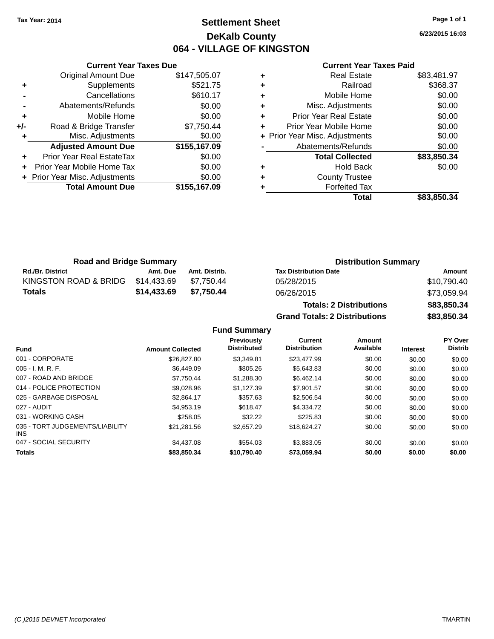## **Settlement Sheet Tax Year: 2014 Page 1 of 1 DeKalb County 064 - VILLAGE OF KINGSTON**

**6/23/2015 16:03**

#### **Current Year Taxes Paid**

|     | <b>Current Year Taxes Due</b>  |              |
|-----|--------------------------------|--------------|
|     | <b>Original Amount Due</b>     | \$147,505.07 |
| ٠   | Supplements                    | \$521.75     |
|     | Cancellations                  | \$610.17     |
|     | Abatements/Refunds             | \$0.00       |
| ٠   | Mobile Home                    | \$0.00       |
| +/- | Road & Bridge Transfer         | \$7,750.44   |
| ٠   | Misc. Adjustments              | \$0.00       |
|     | <b>Adjusted Amount Due</b>     | \$155,167.09 |
| ٠   | Prior Year Real EstateTax      | \$0.00       |
| ÷   | Prior Year Mobile Home Tax     | \$0.00       |
|     | + Prior Year Misc. Adjustments | \$0.00       |
|     | <b>Total Amount Due</b>        | \$155,167.09 |
|     |                                |              |

| <b>Real Estate</b>             | \$83,481.97 |
|--------------------------------|-------------|
| Railroad                       | \$368.37    |
| Mobile Home                    | \$0.00      |
| Misc. Adjustments              | \$0.00      |
| <b>Prior Year Real Estate</b>  | \$0.00      |
| Prior Year Mobile Home         | \$0.00      |
| + Prior Year Misc. Adjustments | \$0.00      |
| Abatements/Refunds             | \$0.00      |
| <b>Total Collected</b>         | \$83,850.34 |
| <b>Hold Back</b>               | \$0.00      |
| <b>County Trustee</b>          |             |
| <b>Forfeited Tax</b>           |             |
| Total                          | \$83,850.34 |
|                                |             |

| <b>Road and Bridge Summary</b> |             |               | <b>Distribution Summary</b>  |             |
|--------------------------------|-------------|---------------|------------------------------|-------------|
| <b>Rd./Br. District</b>        | Amt. Due    | Amt. Distrib. | <b>Tax Distribution Date</b> | Amount      |
| KINGSTON ROAD & BRIDG          | \$14.433.69 | \$7.750.44    | 05/28/2015                   | \$10,790.40 |
| Totals                         | \$14,433,69 | \$7.750.44    | 06/26/2015                   | \$73,059.94 |

| <b>Totals: 2 Distributions</b>       | \$83,850.34 |
|--------------------------------------|-------------|
| <b>Grand Totals: 2 Distributions</b> | \$83,850.34 |

|                                         |                         | <b>Previously</b><br><b>Distributed</b> | Current<br><b>Distribution</b> | Amount<br>Available |                 | <b>PY Over</b><br><b>Distrib</b> |
|-----------------------------------------|-------------------------|-----------------------------------------|--------------------------------|---------------------|-----------------|----------------------------------|
| <b>Fund</b>                             | <b>Amount Collected</b> |                                         |                                |                     | <b>Interest</b> |                                  |
| 001 - CORPORATE                         | \$26,827.80             | \$3.349.81                              | \$23,477.99                    | \$0.00              | \$0.00          | \$0.00                           |
| $005 - I. M. R. F.$                     | \$6,449.09              | \$805.26                                | \$5,643.83                     | \$0.00              | \$0.00          | \$0.00                           |
| 007 - ROAD AND BRIDGE                   | \$7.750.44              | \$1,288,30                              | \$6.462.14                     | \$0.00              | \$0.00          | \$0.00                           |
| 014 - POLICE PROTECTION                 | \$9.028.96              | \$1.127.39                              | \$7.901.57                     | \$0.00              | \$0.00          | \$0.00                           |
| 025 - GARBAGE DISPOSAL                  | \$2.864.17              | \$357.63                                | \$2,506.54                     | \$0.00              | \$0.00          | \$0.00                           |
| 027 - AUDIT                             | \$4.953.19              | \$618.47                                | \$4,334.72                     | \$0.00              | \$0.00          | \$0.00                           |
| 031 - WORKING CASH                      | \$258.05                | \$32.22                                 | \$225.83                       | \$0.00              | \$0.00          | \$0.00                           |
| 035 - TORT JUDGEMENTS/LIABILITY<br>INS. | \$21.281.56             | \$2,657.29                              | \$18.624.27                    | \$0.00              | \$0.00          | \$0.00                           |
| 047 - SOCIAL SECURITY                   | \$4.437.08              | \$554.03                                | \$3.883.05                     | \$0.00              | \$0.00          | \$0.00                           |
| <b>Totals</b>                           | \$83,850,34             | \$10.790.40                             | \$73.059.94                    | \$0.00              | \$0.00          | \$0.00                           |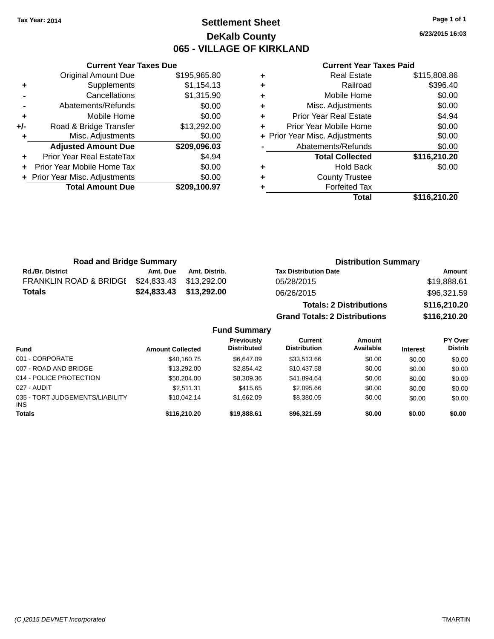## **Settlement Sheet Tax Year: 2014 Page 1 of 1 DeKalb County 065 - VILLAGE OF KIRKLAND**

**6/23/2015 16:03**

#### **Current Year Taxes Paid**

|     | <b>Current Year Taxes Due</b>  |              |
|-----|--------------------------------|--------------|
|     | <b>Original Amount Due</b>     | \$195,965.80 |
| ٠   | Supplements                    | \$1,154.13   |
|     | Cancellations                  | \$1,315.90   |
|     | Abatements/Refunds             | \$0.00       |
| ٠   | Mobile Home                    | \$0.00       |
| +/- | Road & Bridge Transfer         | \$13,292.00  |
|     | Misc. Adjustments              | \$0.00       |
|     | <b>Adjusted Amount Due</b>     | \$209,096.03 |
|     | Prior Year Real EstateTax      | \$4.94       |
|     | Prior Year Mobile Home Tax     | \$0.00       |
|     | + Prior Year Misc. Adjustments | \$0.00       |
|     | <b>Total Amount Due</b>        | \$209,100.97 |
|     |                                |              |

| ٠ | <b>Real Estate</b>             | \$115,808.86 |
|---|--------------------------------|--------------|
| ٠ | Railroad                       | \$396.40     |
| ٠ | Mobile Home                    | \$0.00       |
| ٠ | Misc. Adjustments              | \$0.00       |
| ٠ | <b>Prior Year Real Estate</b>  | \$4.94       |
| ٠ | Prior Year Mobile Home         | \$0.00       |
|   | + Prior Year Misc. Adjustments | \$0.00       |
|   | Abatements/Refunds             | \$0.00       |
|   | <b>Total Collected</b>         | \$116,210.20 |
| ٠ | <b>Hold Back</b>               | \$0.00       |
| ٠ | <b>County Trustee</b>          |              |
| ٠ | <b>Forfeited Tax</b>           |              |
|   | Total                          | \$116,210.20 |
|   |                                |              |

| <b>Road and Bridge Summary</b>    |             | <b>Distribution Summary</b> |                                      |              |
|-----------------------------------|-------------|-----------------------------|--------------------------------------|--------------|
| <b>Rd./Br. District</b>           | Amt. Due    | Amt. Distrib.               | <b>Tax Distribution Date</b>         | Amount       |
| <b>FRANKLIN ROAD &amp; BRIDGE</b> | \$24,833.43 | \$13,292.00                 | 05/28/2015                           | \$19,888.61  |
| <b>Totals</b>                     | \$24,833.43 | \$13,292.00                 | 06/26/2015                           | \$96,321.59  |
|                                   |             |                             | <b>Totals: 2 Distributions</b>       | \$116,210.20 |
|                                   |             |                             | <b>Grand Totals: 2 Distributions</b> | \$116,210.20 |

| <b>Fund</b>                                   | <b>Amount Collected</b> | <b>Previously</b><br><b>Distributed</b> | Current<br><b>Distribution</b> | Amount<br>Available | <b>Interest</b> | <b>PY Over</b><br><b>Distrib</b> |
|-----------------------------------------------|-------------------------|-----------------------------------------|--------------------------------|---------------------|-----------------|----------------------------------|
| 001 - CORPORATE                               | \$40,160.75             | \$6.647.09                              | \$33.513.66                    | \$0.00              | \$0.00          | \$0.00                           |
| 007 - ROAD AND BRIDGE                         | \$13,292,00             | \$2.854.42                              | \$10.437.58                    | \$0.00              | \$0.00          | \$0.00                           |
| 014 - POLICE PROTECTION                       | \$50,204.00             | \$8,309.36                              | \$41.894.64                    | \$0.00              | \$0.00          | \$0.00                           |
| 027 - AUDIT                                   | \$2.511.31              | \$415.65                                | \$2.095.66                     | \$0.00              | \$0.00          | \$0.00                           |
| 035 - TORT JUDGEMENTS/LIABILITY<br><b>INS</b> | \$10.042.14             | \$1.662.09                              | \$8,380.05                     | \$0.00              | \$0.00          | \$0.00                           |
| <b>Totals</b>                                 | \$116,210.20            | \$19,888.61                             | \$96,321.59                    | \$0.00              | \$0.00          | \$0.00                           |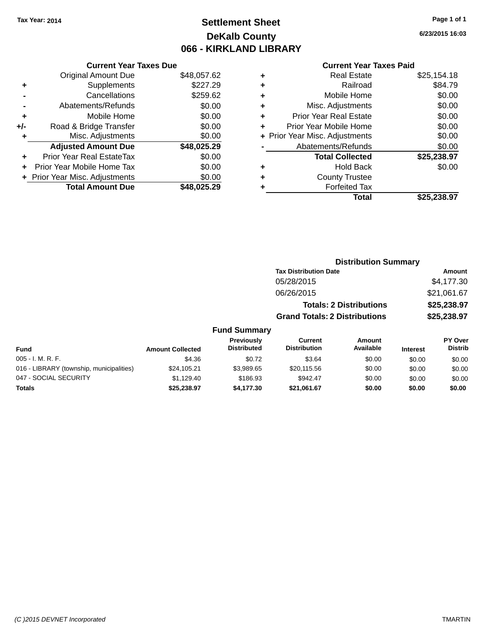## **Settlement Sheet Tax Year: 2014 Page 1 of 1 DeKalb County 066 - KIRKLAND LIBRARY**

**6/23/2015 16:03**

#### **Current Year Taxes Paid**

|     | <b>Current Year Taxes Due</b>  |             |
|-----|--------------------------------|-------------|
|     | <b>Original Amount Due</b>     | \$48,057.62 |
| ٠   | Supplements                    | \$227.29    |
|     | Cancellations                  | \$259.62    |
|     | Abatements/Refunds             | \$0.00      |
| ٠   | Mobile Home                    | \$0.00      |
| +/- | Road & Bridge Transfer         | \$0.00      |
| ٠   | Misc. Adjustments              | \$0.00      |
|     | <b>Adjusted Amount Due</b>     | \$48,025.29 |
| ÷   | Prior Year Real EstateTax      | \$0.00      |
|     | Prior Year Mobile Home Tax     | \$0.00      |
|     | + Prior Year Misc. Adjustments | \$0.00      |
|     | <b>Total Amount Due</b>        | \$48,025.29 |
|     |                                |             |

| \$25,154.18 |
|-------------|
| \$84.79     |
| \$0.00      |
| \$0.00      |
| \$0.00      |
| \$0.00      |
| \$0.00      |
| \$0.00      |
| \$25,238.97 |
| \$0.00      |
|             |
|             |
| \$25,238.97 |
|             |

| <b>Distribution Summary</b>          |             |  |  |
|--------------------------------------|-------------|--|--|
| <b>Tax Distribution Date</b>         | Amount      |  |  |
| 05/28/2015                           | \$4,177.30  |  |  |
| 06/26/2015                           | \$21,061.67 |  |  |
| <b>Totals: 2 Distributions</b>       | \$25,238.97 |  |  |
| <b>Grand Totals: 2 Distributions</b> | \$25,238.97 |  |  |

| Fund                                     | <b>Amount Collected</b> | Previously<br><b>Distributed</b> | Current<br><b>Distribution</b> | Amount<br>Available | <b>Interest</b> | <b>PY Over</b><br><b>Distrib</b> |
|------------------------------------------|-------------------------|----------------------------------|--------------------------------|---------------------|-----------------|----------------------------------|
| 005 - I. M. R. F.                        | \$4.36                  | \$0.72                           | \$3.64                         | \$0.00              | \$0.00          | \$0.00                           |
| 016 - LIBRARY (township, municipalities) | \$24.105.21             | \$3.989.65                       | \$20,115.56                    | \$0.00              | \$0.00          | \$0.00                           |
| 047 - SOCIAL SECURITY                    | \$1.129.40              | \$186.93                         | \$942.47                       | \$0.00              | \$0.00          | \$0.00                           |
| <b>Totals</b>                            | \$25,238.97             | \$4.177.30                       | \$21.061.67                    | \$0.00              | \$0.00          | \$0.00                           |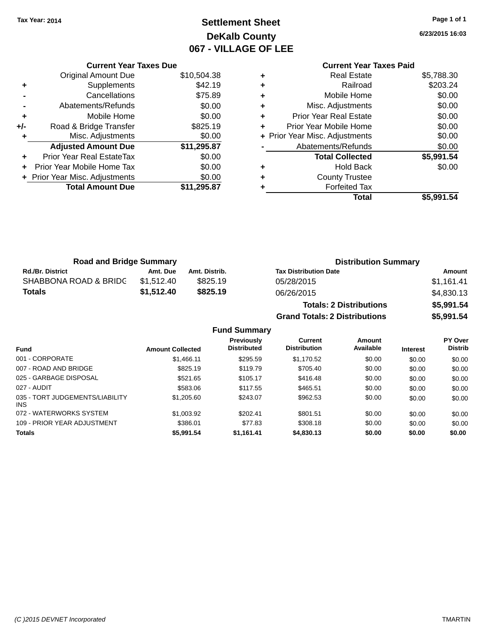## **Settlement Sheet Tax Year: 2014 Page 1 of 1 DeKalb County 067 - VILLAGE OF LEE**

**6/23/2015 16:03**

# **Current Year Taxes Paid**

|       | <b>Current Year Taxes Due</b>  |             |
|-------|--------------------------------|-------------|
|       | <b>Original Amount Due</b>     | \$10,504.38 |
| ٠     | Supplements                    | \$42.19     |
|       | Cancellations                  | \$75.89     |
|       | Abatements/Refunds             | \$0.00      |
| ٠     | Mobile Home                    | \$0.00      |
| $+/-$ | Road & Bridge Transfer         | \$825.19    |
|       | Misc. Adjustments              | \$0.00      |
|       | <b>Adjusted Amount Due</b>     | \$11,295.87 |
| ÷     | Prior Year Real EstateTax      | \$0.00      |
|       | Prior Year Mobile Home Tax     | \$0.00      |
|       | + Prior Year Misc. Adjustments | \$0.00      |
|       | <b>Total Amount Due</b>        | \$11,295.87 |
|       |                                |             |

|   | Total                          | \$5,991.54 |
|---|--------------------------------|------------|
| ٠ | <b>Forfeited Tax</b>           |            |
| ٠ | <b>County Trustee</b>          |            |
| ٠ | <b>Hold Back</b>               | \$0.00     |
|   | <b>Total Collected</b>         | \$5,991.54 |
|   | Abatements/Refunds             | \$0.00     |
|   | + Prior Year Misc. Adjustments | \$0.00     |
| ٠ | Prior Year Mobile Home         | \$0.00     |
| ٠ | <b>Prior Year Real Estate</b>  | \$0.00     |
| ٠ | Misc. Adjustments              | \$0.00     |
| ٠ | Mobile Home                    | \$0.00     |
| ٠ | Railroad                       | \$203.24   |
| ٠ | <b>Real Estate</b>             | \$5,788.30 |

| <b>Road and Bridge Summary</b> |            |               | <b>Distribution Summary</b>  |            |  |
|--------------------------------|------------|---------------|------------------------------|------------|--|
| <b>Rd./Br. District</b>        | Amt. Due   | Amt. Distrib. | <b>Tax Distribution Date</b> | Amount     |  |
| SHABBONA ROAD & BRIDC          | \$1.512.40 | \$825.19      | 05/28/2015                   | \$1.161.41 |  |
| Totals                         | \$1,512,40 | \$825.19      | 06/26/2015                   | \$4,830.13 |  |
|                                |            |               |                              | --------   |  |

| <b>Totals: 2 Distributions</b>       | \$5,991.54 |
|--------------------------------------|------------|
| <b>Grand Totals: 2 Distributions</b> | \$5,991.54 |

|                                               |                         | <b>Previously</b>  | Current             | Amount    |                 | <b>PY Over</b> |
|-----------------------------------------------|-------------------------|--------------------|---------------------|-----------|-----------------|----------------|
| <b>Fund</b>                                   | <b>Amount Collected</b> | <b>Distributed</b> | <b>Distribution</b> | Available | <b>Interest</b> | <b>Distrib</b> |
| 001 - CORPORATE                               | \$1,466.11              | \$295.59           | \$1,170.52          | \$0.00    | \$0.00          | \$0.00         |
| 007 - ROAD AND BRIDGE                         | \$825.19                | \$119.79           | \$705.40            | \$0.00    | \$0.00          | \$0.00         |
| 025 - GARBAGE DISPOSAL                        | \$521.65                | \$105.17           | \$416.48            | \$0.00    | \$0.00          | \$0.00         |
| 027 - AUDIT                                   | \$583.06                | \$117.55           | \$465.51            | \$0.00    | \$0.00          | \$0.00         |
| 035 - TORT JUDGEMENTS/LIABILITY<br><b>INS</b> | \$1,205.60              | \$243.07           | \$962.53            | \$0.00    | \$0.00          | \$0.00         |
| 072 - WATERWORKS SYSTEM                       | \$1,003.92              | \$202.41           | \$801.51            | \$0.00    | \$0.00          | \$0.00         |
| 109 - PRIOR YEAR ADJUSTMENT                   | \$386.01                | \$77.83            | \$308.18            | \$0.00    | \$0.00          | \$0.00         |
| <b>Totals</b>                                 | \$5.991.54              | \$1,161.41         | \$4,830.13          | \$0.00    | \$0.00          | \$0.00         |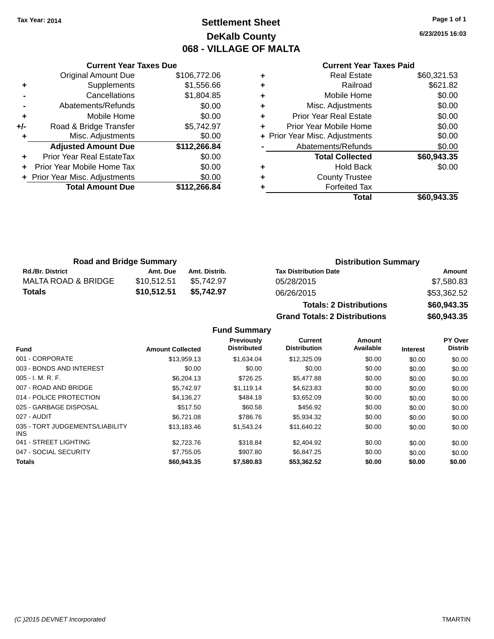## **Settlement Sheet Tax Year: 2014 Page 1 of 1 DeKalb County 068 - VILLAGE OF MALTA**

**6/23/2015 16:03**

## **Current Year Taxes Paid**

| <b>Current Year Taxes Due</b> |                                |              |  |  |  |  |
|-------------------------------|--------------------------------|--------------|--|--|--|--|
|                               | Original Amount Due            | \$106,772.06 |  |  |  |  |
| ٠                             | Supplements                    | \$1,556.66   |  |  |  |  |
|                               | Cancellations                  | \$1,804.85   |  |  |  |  |
|                               | Abatements/Refunds             | \$0.00       |  |  |  |  |
| ٠                             | Mobile Home                    | \$0.00       |  |  |  |  |
| +/-                           | Road & Bridge Transfer         | \$5,742.97   |  |  |  |  |
|                               | Misc. Adjustments              | \$0.00       |  |  |  |  |
|                               | <b>Adjusted Amount Due</b>     | \$112,266.84 |  |  |  |  |
| ٠                             | Prior Year Real EstateTax      | \$0.00       |  |  |  |  |
| ÷                             | Prior Year Mobile Home Tax     | \$0.00       |  |  |  |  |
|                               | + Prior Year Misc. Adjustments | \$0.00       |  |  |  |  |
|                               | <b>Total Amount Due</b>        | \$112,266.84 |  |  |  |  |
|                               |                                |              |  |  |  |  |

| ٠ | <b>Real Estate</b>             | \$60,321.53 |
|---|--------------------------------|-------------|
| ÷ | Railroad                       | \$621.82    |
| ٠ | Mobile Home                    | \$0.00      |
| ٠ | Misc. Adjustments              | \$0.00      |
| ٠ | <b>Prior Year Real Estate</b>  | \$0.00      |
| ٠ | Prior Year Mobile Home         | \$0.00      |
|   | + Prior Year Misc. Adjustments | \$0.00      |
|   | Abatements/Refunds             | \$0.00      |
|   | <b>Total Collected</b>         | \$60,943.35 |
| ٠ | <b>Hold Back</b>               | \$0.00      |
| ٠ | <b>County Trustee</b>          |             |
|   | <b>Forfeited Tax</b>           |             |
|   | Total                          | \$60,943.35 |
|   |                                |             |

| <b>Road and Bridge Summary</b> |             |               | <b>Distribution Summary</b>  |             |  |
|--------------------------------|-------------|---------------|------------------------------|-------------|--|
| <b>Rd./Br. District</b>        | Amt. Due    | Amt. Distrib. | <b>Tax Distribution Date</b> | Amount      |  |
| MALTA ROAD & BRIDGE            | \$10.512.51 | \$5.742.97    | 05/28/2015                   | \$7,580.83  |  |
| Totals                         | \$10,512.51 | \$5.742.97    | 06/26/2015                   | \$53,362.52 |  |

| <b>Totals: 2 Distributions</b>       | \$60,943.35 |
|--------------------------------------|-------------|
| <b>Grand Totals: 2 Distributions</b> | \$60,943.35 |

|                                               |                         | Previously         | Current             | <b>Amount</b> |                 | PY Over        |
|-----------------------------------------------|-------------------------|--------------------|---------------------|---------------|-----------------|----------------|
| <b>Fund</b>                                   | <b>Amount Collected</b> | <b>Distributed</b> | <b>Distribution</b> | Available     | <b>Interest</b> | <b>Distrib</b> |
| 001 - CORPORATE                               | \$13,959.13             | \$1.634.04         | \$12,325.09         | \$0.00        | \$0.00          | \$0.00         |
| 003 - BONDS AND INTEREST                      | \$0.00                  | \$0.00             | \$0.00              | \$0.00        | \$0.00          | \$0.00         |
| $005 - I. M. R. F.$                           | \$6,204.13              | \$726.25           | \$5,477.88          | \$0.00        | \$0.00          | \$0.00         |
| 007 - ROAD AND BRIDGE                         | \$5.742.97              | \$1.119.14         | \$4,623.83          | \$0.00        | \$0.00          | \$0.00         |
| 014 - POLICE PROTECTION                       | \$4,136.27              | \$484.18           | \$3,652.09          | \$0.00        | \$0.00          | \$0.00         |
| 025 - GARBAGE DISPOSAL                        | \$517.50                | \$60.58            | \$456.92            | \$0.00        | \$0.00          | \$0.00         |
| 027 - AUDIT                                   | \$6.721.08              | \$786.76           | \$5,934.32          | \$0.00        | \$0.00          | \$0.00         |
| 035 - TORT JUDGEMENTS/LIABILITY<br><b>INS</b> | \$13,183.46             | \$1,543.24         | \$11,640.22         | \$0.00        | \$0.00          | \$0.00         |
| 041 - STREET LIGHTING                         | \$2,723,76              | \$318.84           | \$2,404.92          | \$0.00        | \$0.00          | \$0.00         |
| 047 - SOCIAL SECURITY                         | \$7.755.05              | \$907.80           | \$6,847,25          | \$0.00        | \$0.00          | \$0.00         |
| <b>Totals</b>                                 | \$60,943,35             | \$7,580.83         | \$53.362.52         | \$0.00        | \$0.00          | \$0.00         |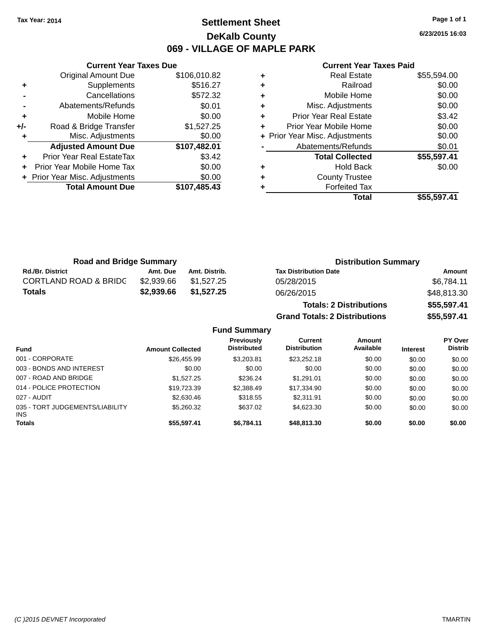## **Settlement Sheet Tax Year: 2014 Page 1 of 1 DeKalb County 069 - VILLAGE OF MAPLE PARK**

**6/23/2015 16:03**

|     | <b>Current Year Taxes Due</b>  |              |
|-----|--------------------------------|--------------|
|     | <b>Original Amount Due</b>     | \$106,010.82 |
|     | Supplements                    | \$516.27     |
|     | Cancellations                  | \$572.32     |
|     | Abatements/Refunds             | \$0.01       |
| ÷   | Mobile Home                    | \$0.00       |
| +/- | Road & Bridge Transfer         | \$1,527.25   |
|     | Misc. Adjustments              | \$0.00       |
|     | <b>Adjusted Amount Due</b>     | \$107,482.01 |
| ÷   | Prior Year Real EstateTax      | \$3.42       |
|     | Prior Year Mobile Home Tax     | \$0.00       |
|     | + Prior Year Misc. Adjustments | \$0.00       |
|     | <b>Total Amount Due</b>        | \$107,485.43 |
|     |                                |              |

#### **Current Year Taxes Paid**

| <b>Road and Bridge Summary</b>   |            |               | <b>Distribution Summary</b>    |             |  |
|----------------------------------|------------|---------------|--------------------------------|-------------|--|
| <b>Rd./Br. District</b>          | Amt. Due   | Amt. Distrib. | <b>Tax Distribution Date</b>   | Amount      |  |
| <b>CORTLAND ROAD &amp; BRIDC</b> | \$2.939.66 | \$1.527.25    | 05/28/2015                     | \$6,784.11  |  |
| <b>Totals</b>                    | \$2,939,66 | \$1.527.25    | 06/26/2015                     | \$48,813.30 |  |
|                                  |            |               | <b>Totals: 2 Distributions</b> | \$55,597.41 |  |

**Grand Totals: 2 Distributions \$55,597.41**

|                                               |                         | Previously         | Current             | <b>Amount</b> |                 | <b>PY Over</b> |
|-----------------------------------------------|-------------------------|--------------------|---------------------|---------------|-----------------|----------------|
| <b>Fund</b>                                   | <b>Amount Collected</b> | <b>Distributed</b> | <b>Distribution</b> | Available     | <b>Interest</b> | <b>Distrib</b> |
| 001 - CORPORATE                               | \$26,455.99             | \$3.203.81         | \$23,252.18         | \$0.00        | \$0.00          | \$0.00         |
| 003 - BONDS AND INTEREST                      | \$0.00                  | \$0.00             | \$0.00              | \$0.00        | \$0.00          | \$0.00         |
| 007 - ROAD AND BRIDGE                         | \$1.527.25              | \$236.24           | \$1.291.01          | \$0.00        | \$0.00          | \$0.00         |
| 014 - POLICE PROTECTION                       | \$19,723.39             | \$2,388.49         | \$17,334.90         | \$0.00        | \$0.00          | \$0.00         |
| 027 - AUDIT                                   | \$2,630.46              | \$318.55           | \$2.311.91          | \$0.00        | \$0.00          | \$0.00         |
| 035 - TORT JUDGEMENTS/LIABILITY<br><b>INS</b> | \$5,260.32              | \$637.02           | \$4,623,30          | \$0.00        | \$0.00          | \$0.00         |
| <b>Totals</b>                                 | \$55,597.41             | \$6.784.11         | \$48,813,30         | \$0.00        | \$0.00          | \$0.00         |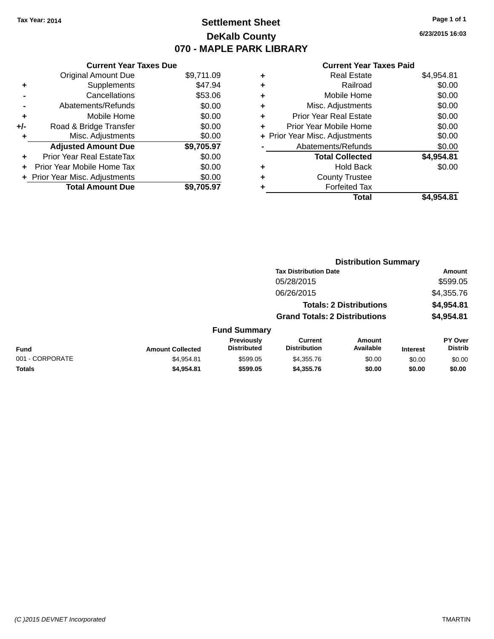## **Settlement Sheet Tax Year: 2014 Page 1 of 1 DeKalb County 070 - MAPLE PARK LIBRARY**

**6/23/2015 16:03**

|     | <b>Current Year Taxes Due</b>  |            |
|-----|--------------------------------|------------|
|     | <b>Original Amount Due</b>     | \$9,711.09 |
| ٠   | Supplements                    | \$47.94    |
|     | Cancellations                  | \$53.06    |
|     | Abatements/Refunds             | \$0.00     |
| ٠   | Mobile Home                    | \$0.00     |
| +/- | Road & Bridge Transfer         | \$0.00     |
| ٠   | Misc. Adjustments              | \$0.00     |
|     | <b>Adjusted Amount Due</b>     | \$9,705.97 |
| ÷   | Prior Year Real EstateTax      | \$0.00     |
| ÷   | Prior Year Mobile Home Tax     | \$0.00     |
|     | + Prior Year Misc. Adjustments | \$0.00     |
|     | <b>Total Amount Due</b>        | \$9.705.97 |

|   | <b>Real Estate</b>             | \$4,954.81 |
|---|--------------------------------|------------|
| ٠ | Railroad                       | \$0.00     |
| ٠ | Mobile Home                    | \$0.00     |
| ٠ | Misc. Adjustments              | \$0.00     |
| ٠ | <b>Prior Year Real Estate</b>  | \$0.00     |
| ٠ | Prior Year Mobile Home         | \$0.00     |
|   | + Prior Year Misc. Adjustments | \$0.00     |
|   | Abatements/Refunds             | \$0.00     |
|   | <b>Total Collected</b>         | \$4,954.81 |
| ٠ | Hold Back                      | \$0.00     |
| ٠ | <b>County Trustee</b>          |            |
| ٠ | <b>Forfeited Tax</b>           |            |
|   | Total                          | \$4.954.81 |
|   |                                |            |

|                 |                         |                                  | <b>Distribution Summary</b>           |                                |                 |                           |
|-----------------|-------------------------|----------------------------------|---------------------------------------|--------------------------------|-----------------|---------------------------|
|                 |                         |                                  | <b>Tax Distribution Date</b>          |                                |                 | Amount                    |
|                 |                         |                                  | 05/28/2015                            |                                |                 | \$599.05                  |
|                 |                         |                                  | 06/26/2015                            |                                |                 | \$4,355.76                |
|                 |                         |                                  |                                       | <b>Totals: 2 Distributions</b> |                 | \$4,954.81                |
|                 |                         |                                  | <b>Grand Totals: 2 Distributions</b>  |                                |                 | \$4,954.81                |
|                 |                         | <b>Fund Summary</b>              |                                       |                                |                 |                           |
| <b>Fund</b>     | <b>Amount Collected</b> | Previously<br><b>Distributed</b> | <b>Current</b><br><b>Distribution</b> | Amount<br>Available            | <b>Interest</b> | PY Over<br><b>Distrib</b> |
| 001 - CORPORATE | \$4,954.81              | \$599.05                         | \$4,355.76                            | \$0.00                         | \$0.00          | \$0.00                    |
| <b>Totals</b>   | \$4,954.81              | \$599.05                         | \$4,355.76                            | \$0.00                         | \$0.00          | \$0.00                    |
|                 |                         |                                  |                                       |                                |                 |                           |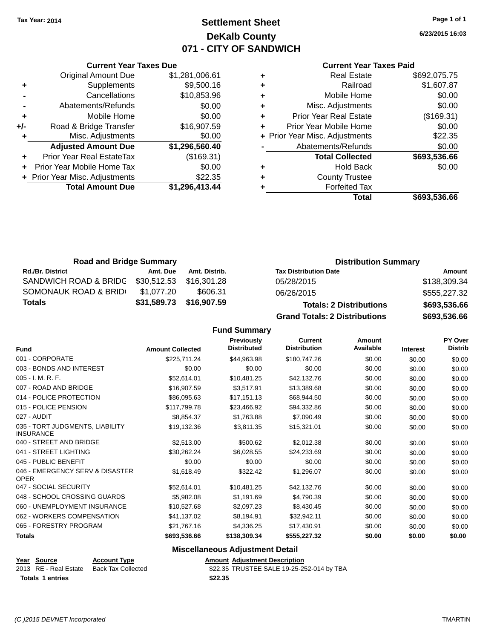## **Settlement Sheet Tax Year: 2014 Page 1 of 1 DeKalb County 071 - CITY OF SANDWICH**

**6/23/2015 16:03**

#### **Current Year Taxes Paid**

|     | <b>Current Year Taxes Due</b>  |                |  |  |  |
|-----|--------------------------------|----------------|--|--|--|
|     | <b>Original Amount Due</b>     | \$1,281,006.61 |  |  |  |
| ٠   | \$9,500.16<br>Supplements      |                |  |  |  |
|     | \$10,853.96<br>Cancellations   |                |  |  |  |
|     | Abatements/Refunds             | \$0.00         |  |  |  |
| ٠   | Mobile Home                    | \$0.00         |  |  |  |
| +/- | Road & Bridge Transfer         | \$16,907.59    |  |  |  |
|     | Misc. Adjustments              | \$0.00         |  |  |  |
|     | <b>Adjusted Amount Due</b>     | \$1,296,560.40 |  |  |  |
| ٠   | Prior Year Real EstateTax      | (\$169.31)     |  |  |  |
|     | Prior Year Mobile Home Tax     | \$0.00         |  |  |  |
|     | + Prior Year Misc. Adjustments | \$22.35        |  |  |  |
|     | <b>Total Amount Due</b>        | \$1,296,413.44 |  |  |  |
|     |                                |                |  |  |  |

| ٠ | <b>Real Estate</b>             | \$692,075.75 |
|---|--------------------------------|--------------|
| ٠ | Railroad                       | \$1,607.87   |
| ٠ | Mobile Home                    | \$0.00       |
| ٠ | Misc. Adjustments              | \$0.00       |
| ٠ | <b>Prior Year Real Estate</b>  | (\$169.31)   |
| ٠ | Prior Year Mobile Home         | \$0.00       |
|   | + Prior Year Misc. Adjustments | \$22.35      |
|   | Abatements/Refunds             | \$0.00       |
|   | <b>Total Collected</b>         | \$693,536.66 |
| ٠ | <b>Hold Back</b>               | \$0.00       |
| ٠ | <b>County Trustee</b>          |              |
| ٠ | <b>Forfeited Tax</b>           |              |
|   | Total                          | \$693,536.66 |
|   |                                |              |

| <b>Road and Bridge Summary</b> |             |               | <b>Distribution Summary</b>          |              |  |
|--------------------------------|-------------|---------------|--------------------------------------|--------------|--|
| <b>Rd./Br. District</b>        | Amt. Due    | Amt. Distrib. | <b>Tax Distribution Date</b>         | Amount       |  |
| SANDWICH ROAD & BRIDG          | \$30,512.53 | \$16.301.28   | 05/28/2015                           | \$138,309.34 |  |
| SOMONAUK ROAD & BRIDI          | \$1.077.20  | \$606.31      | 06/26/2015                           | \$555,227.32 |  |
| <b>Totals</b>                  | \$31,589.73 | \$16,907.59   | <b>Totals: 2 Distributions</b>       | \$693,536.66 |  |
|                                |             |               | <b>Grand Totals: 2 Distributions</b> | \$693,536.66 |  |

## **Fund Summary**

| <b>Fund</b>                                         | <b>Amount Collected</b> | Previously<br><b>Distributed</b> | <b>Current</b><br><b>Distribution</b> | <b>Amount</b><br>Available | <b>Interest</b> | PY Over<br><b>Distrib</b> |
|-----------------------------------------------------|-------------------------|----------------------------------|---------------------------------------|----------------------------|-----------------|---------------------------|
| 001 - CORPORATE                                     | \$225,711.24            | \$44,963.98                      | \$180,747.26                          | \$0.00                     | \$0.00          | \$0.00                    |
| 003 - BONDS AND INTEREST                            | \$0.00                  | \$0.00                           | \$0.00                                | \$0.00                     | \$0.00          | \$0.00                    |
| $005 - I. M. R. F.$                                 | \$52,614.01             | \$10,481.25                      | \$42,132.76                           | \$0.00                     | \$0.00          | \$0.00                    |
| 007 - ROAD AND BRIDGE                               | \$16,907.59             | \$3,517.91                       | \$13,389.68                           | \$0.00                     | \$0.00          | \$0.00                    |
| 014 - POLICE PROTECTION                             | \$86,095.63             | \$17,151.13                      | \$68,944.50                           | \$0.00                     | \$0.00          | \$0.00                    |
| 015 - POLICE PENSION                                | \$117,799.78            | \$23,466.92                      | \$94,332.86                           | \$0.00                     | \$0.00          | \$0.00                    |
| 027 - AUDIT                                         | \$8,854.37              | \$1,763.88                       | \$7,090.49                            | \$0.00                     | \$0.00          | \$0.00                    |
| 035 - TORT JUDGMENTS, LIABILITY<br><b>INSURANCE</b> | \$19,132.36             | \$3,811.35                       | \$15,321.01                           | \$0.00                     | \$0.00          | \$0.00                    |
| 040 - STREET AND BRIDGE                             | \$2,513.00              | \$500.62                         | \$2,012.38                            | \$0.00                     | \$0.00          | \$0.00                    |
| 041 - STREET LIGHTING                               | \$30,262.24             | \$6,028.55                       | \$24,233.69                           | \$0.00                     | \$0.00          | \$0.00                    |
| 045 - PUBLIC BENEFIT                                | \$0.00                  | \$0.00                           | \$0.00                                | \$0.00                     | \$0.00          | \$0.00                    |
| 046 - EMERGENCY SERV & DISASTER<br><b>OPER</b>      | \$1,618.49              | \$322.42                         | \$1,296.07                            | \$0.00                     | \$0.00          | \$0.00                    |
| 047 - SOCIAL SECURITY                               | \$52,614.01             | \$10,481.25                      | \$42,132.76                           | \$0.00                     | \$0.00          | \$0.00                    |
| 048 - SCHOOL CROSSING GUARDS                        | \$5,982.08              | \$1,191.69                       | \$4,790.39                            | \$0.00                     | \$0.00          | \$0.00                    |
| 060 - UNEMPLOYMENT INSURANCE                        | \$10,527.68             | \$2,097.23                       | \$8,430.45                            | \$0.00                     | \$0.00          | \$0.00                    |
| 062 - WORKERS COMPENSATION                          | \$41,137.02             | \$8,194.91                       | \$32,942.11                           | \$0.00                     | \$0.00          | \$0.00                    |
| 065 - FORESTRY PROGRAM                              | \$21,767.16             | \$4,336.25                       | \$17,430.91                           | \$0.00                     | \$0.00          | \$0.00                    |
| <b>Totals</b>                                       | \$693,536.66            | \$138,309.34                     | \$555,227.32                          | \$0.00                     | \$0.00          | \$0.00                    |

## **Miscellaneous Adjustment Detail**

#### Year Source **Account Type Account Adjustment Description** 2013 RE - Real Estate Back Tax Collected \$22.35 TRUSTEE SALE 19-25-252-014 by TBA **Totals \$22.35 1 entries**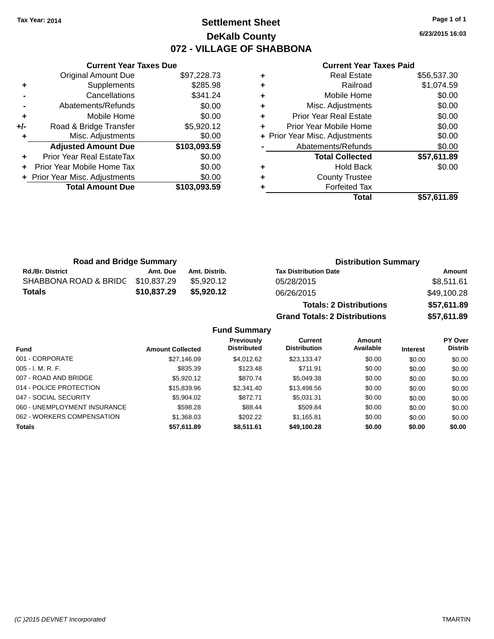## **Settlement Sheet Tax Year: 2014 Page 1 of 1 DeKalb County 072 - VILLAGE OF SHABBONA**

**6/23/2015 16:03**

#### **Current Year Taxes Paid**

|     | <b>Original Amount Due</b>     | \$97,228.73  |
|-----|--------------------------------|--------------|
| ٠   | Supplements                    | \$285.98     |
|     | Cancellations                  | \$341.24     |
|     | Abatements/Refunds             | \$0.00       |
| ٠   | Mobile Home                    | \$0.00       |
| +/- | Road & Bridge Transfer         | \$5,920.12   |
|     | Misc. Adjustments              | \$0.00       |
| ٠   |                                |              |
|     | <b>Adjusted Amount Due</b>     | \$103,093.59 |
| ÷   | Prior Year Real EstateTax      | \$0.00       |
|     | Prior Year Mobile Home Tax     | \$0.00       |
|     | + Prior Year Misc. Adjustments | \$0.00       |
|     | <b>Total Amount Due</b>        | \$103,093.59 |

**Current Year Taxes Due**

|   | <b>Real Estate</b>             | \$56,537.30 |
|---|--------------------------------|-------------|
| ٠ | Railroad                       | \$1,074.59  |
| ٠ | Mobile Home                    | \$0.00      |
| ٠ | Misc. Adjustments              | \$0.00      |
| ٠ | <b>Prior Year Real Estate</b>  | \$0.00      |
| ÷ | Prior Year Mobile Home         | \$0.00      |
|   | + Prior Year Misc. Adjustments | \$0.00      |
|   | Abatements/Refunds             | \$0.00      |
|   | <b>Total Collected</b>         | \$57,611.89 |
| ٠ | <b>Hold Back</b>               | \$0.00      |
| ٠ | <b>County Trustee</b>          |             |
| ٠ | <b>Forfeited Tax</b>           |             |
|   | Total                          | \$57,611.89 |
|   |                                |             |

**Grand Totals: 2 Distributions \$57,611.89**

| <b>Road and Bridge Summary</b> |             |               | <b>Distribution Summary</b>    |             |  |
|--------------------------------|-------------|---------------|--------------------------------|-------------|--|
| <b>Rd./Br. District</b>        | Amt. Due    | Amt. Distrib. | <b>Tax Distribution Date</b>   | Amount      |  |
| SHABBONA ROAD & BRIDG          | \$10,837.29 | \$5.920.12    | 05/28/2015                     | \$8.511.61  |  |
| Totals                         | \$10,837.29 | \$5,920.12    | 06/26/2015                     | \$49,100.28 |  |
|                                |             |               | <b>Totals: 2 Distributions</b> | \$57,611.89 |  |

**Fund Summary Fund Interest Amount Collected Distributed PY Over Distrib Amount Available Current Distribution Previously** 001 - CORPORATE \$27,146.09 \$4,012.62 \$23,133.47 \$0.00 \$0.00 \$0.00 005 - I. M. R. F. \$835.39 \$123.48 \$711.91 \$0.00 \$0.00 \$0.00 007 - ROAD AND BRIDGE \$5,020.12 \$5,920.12 \$870.74 \$5,049.38 \$0.00 \$0.00 \$0.00 \$0.00 014 - POLICE PROTECTION \$15,839.96 \$2,341.40 \$13,498.56 \$0.00 \$0.00 \$0.00 \$0.00 047 - SOCIAL SECURITY \$5,904.02 \$572.71 \$5,031.31 \$0.00 \$0.00 \$0.00 060 - UNEMPLOYMENT INSURANCE \$598.28 \$509.84 \$0.00 \$0.00 \$0.00 062 - WORKERS COMPENSATION \$1,368.03 \$202.22 \$1,165.81 \$0.00 \$0.00 \$0.00 \$0.00 **Totals \$57,611.89 \$8,511.61 \$49,100.28 \$0.00 \$0.00 \$0.00**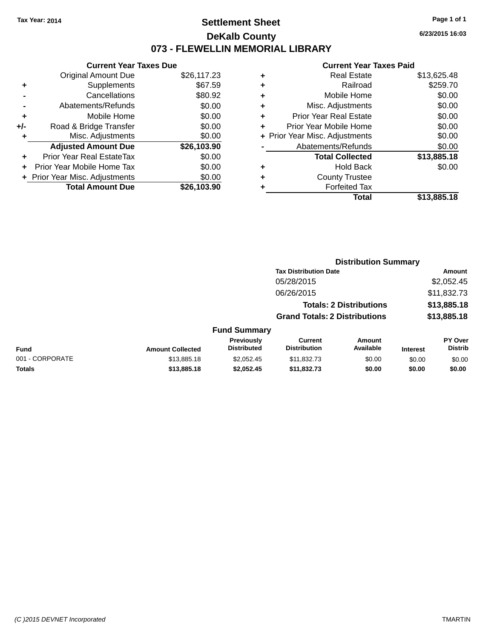## **Settlement Sheet Tax Year: 2014 Page 1 of 1 DeKalb County 073 - FLEWELLIN MEMORIAL LIBRARY**

**6/23/2015 16:03**

|     | <b>Current Year Taxes Due</b>  |             |
|-----|--------------------------------|-------------|
|     | <b>Original Amount Due</b>     | \$26,117.23 |
| ٠   | Supplements                    | \$67.59     |
|     | Cancellations                  | \$80.92     |
|     | Abatements/Refunds             | \$0.00      |
| ٠   | Mobile Home                    | \$0.00      |
| +/- | Road & Bridge Transfer         | \$0.00      |
| ٠   | Misc. Adjustments              | \$0.00      |
|     | <b>Adjusted Amount Due</b>     | \$26,103.90 |
| ÷   | Prior Year Real EstateTax      | \$0.00      |
| ÷   | Prior Year Mobile Home Tax     | \$0.00      |
|     | + Prior Year Misc. Adjustments | \$0.00      |
|     | <b>Total Amount Due</b>        | \$26.103.90 |

| ٠ | <b>Real Estate</b>             | \$13,625.48 |
|---|--------------------------------|-------------|
| ٠ | Railroad                       | \$259.70    |
| ٠ | Mobile Home                    | \$0.00      |
| ٠ | Misc. Adjustments              | \$0.00      |
| ٠ | <b>Prior Year Real Estate</b>  | \$0.00      |
| ٠ | Prior Year Mobile Home         | \$0.00      |
|   | + Prior Year Misc. Adjustments | \$0.00      |
|   | Abatements/Refunds             | \$0.00      |
|   | <b>Total Collected</b>         | \$13,885.18 |
| ٠ | Hold Back                      | \$0.00      |
|   | <b>County Trustee</b>          |             |
| ٠ | <b>Forfeited Tax</b>           |             |
|   | Total                          | \$13,885.18 |
|   |                                |             |

|                 |                         |                                  | <b>Distribution Summary</b>           |                                |                 |                                  |
|-----------------|-------------------------|----------------------------------|---------------------------------------|--------------------------------|-----------------|----------------------------------|
|                 |                         |                                  | <b>Tax Distribution Date</b>          |                                |                 | Amount                           |
|                 |                         |                                  | 05/28/2015                            |                                |                 | \$2,052.45                       |
|                 |                         |                                  | 06/26/2015                            |                                |                 | \$11,832.73                      |
|                 |                         |                                  |                                       | <b>Totals: 2 Distributions</b> |                 | \$13,885.18                      |
|                 |                         |                                  | <b>Grand Totals: 2 Distributions</b>  |                                |                 | \$13,885.18                      |
|                 |                         | <b>Fund Summary</b>              |                                       |                                |                 |                                  |
| <b>Fund</b>     | <b>Amount Collected</b> | Previously<br><b>Distributed</b> | <b>Current</b><br><b>Distribution</b> | <b>Amount</b><br>Available     | <b>Interest</b> | <b>PY Over</b><br><b>Distrib</b> |
| 001 - CORPORATE | \$13,885.18             | \$2.052.45                       | \$11,832.73                           | \$0.00                         | \$0.00          | \$0.00                           |
| <b>Totals</b>   | \$13,885.18             | \$2,052.45                       | \$11,832.73                           | \$0.00                         | \$0.00          | \$0.00                           |
|                 |                         |                                  |                                       |                                |                 |                                  |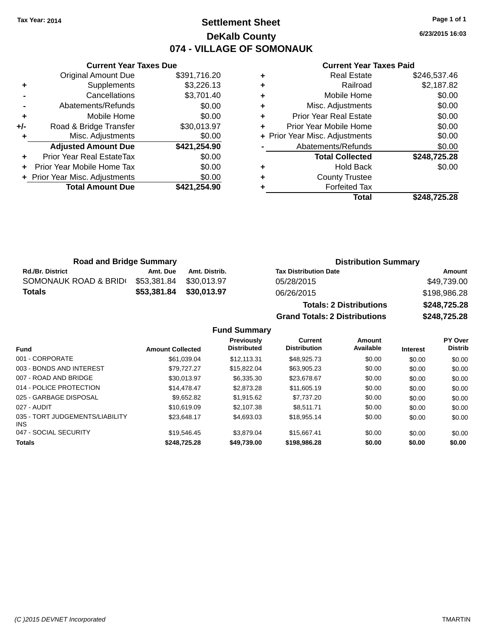## **Settlement Sheet Tax Year: 2014 Page 1 of 1 DeKalb County 074 - VILLAGE OF SOMONAUK**

**6/23/2015 16:03**

#### **Current Year Taxes Paid**

|     | <b>Current Year Taxes Due</b>    |              |
|-----|----------------------------------|--------------|
|     | <b>Original Amount Due</b>       | \$391,716.20 |
| ٠   | Supplements                      | \$3,226.13   |
|     | Cancellations                    | \$3,701.40   |
|     | Abatements/Refunds               | \$0.00       |
| ٠   | Mobile Home                      | \$0.00       |
| +/- | Road & Bridge Transfer           | \$30,013.97  |
| ٠   | Misc. Adjustments                | \$0.00       |
|     | <b>Adjusted Amount Due</b>       | \$421,254.90 |
| ٠   | <b>Prior Year Real EstateTax</b> | \$0.00       |
| ÷   | Prior Year Mobile Home Tax       | \$0.00       |
|     | + Prior Year Misc. Adjustments   | \$0.00       |
|     | <b>Total Amount Due</b>          | \$421.254.90 |
|     |                                  |              |

| <b>Real Estate</b>            | \$246,537.46                   |
|-------------------------------|--------------------------------|
| Railroad                      | \$2,187.82                     |
| Mobile Home                   | \$0.00                         |
| Misc. Adjustments             | \$0.00                         |
| <b>Prior Year Real Estate</b> | \$0.00                         |
| Prior Year Mobile Home        | \$0.00                         |
|                               | \$0.00                         |
| Abatements/Refunds            | \$0.00                         |
| <b>Total Collected</b>        | \$248,725.28                   |
| <b>Hold Back</b>              | \$0.00                         |
| <b>County Trustee</b>         |                                |
| <b>Forfeited Tax</b>          |                                |
| Total                         | \$248,725.28                   |
|                               | + Prior Year Misc. Adjustments |

| <b>Road and Bridge Summary</b> |                         |               | <b>Distribution Summary</b>                                                                                                                                                                                                    |                |  |
|--------------------------------|-------------------------|---------------|--------------------------------------------------------------------------------------------------------------------------------------------------------------------------------------------------------------------------------|----------------|--|
| <b>Rd./Br. District</b>        | Amt. Due                | Amt. Distrib. | <b>Tax Distribution Date</b>                                                                                                                                                                                                   | Amount         |  |
| SOMONAUK ROAD & BRIDI          | \$53,381.84             | \$30.013.97   | 05/28/2015                                                                                                                                                                                                                     | \$49,739.00    |  |
| <b>Totals</b>                  | \$53,381.84 \$30,013.97 |               | 06/26/2015                                                                                                                                                                                                                     | \$198,986.28   |  |
|                                |                         |               | The second contract of the second contract of the second contract of the second contract of the second contract of the second contract of the second contract of the second contract of the second contract of the second cont | $A = 10 = 205$ |  |

**Totals: 2 Distributions \$248,725.28 Grand Totals: 2 Distributions \$248,725.28**

| <b>Fund</b>                             | <b>Amount Collected</b> | <b>Previously</b><br><b>Distributed</b> | Current<br><b>Distribution</b> | Amount<br>Available | <b>Interest</b> | <b>PY Over</b><br><b>Distrib</b> |
|-----------------------------------------|-------------------------|-----------------------------------------|--------------------------------|---------------------|-----------------|----------------------------------|
| 001 - CORPORATE                         | \$61,039.04             | \$12.113.31                             | \$48,925.73                    | \$0.00              | \$0.00          | \$0.00                           |
| 003 - BONDS AND INTEREST                | \$79.727.27             | \$15,822,04                             | \$63.905.23                    | \$0.00              | \$0.00          | \$0.00                           |
| 007 - ROAD AND BRIDGE                   | \$30,013.97             | \$6,335,30                              | \$23,678.67                    | \$0.00              | \$0.00          | \$0.00                           |
| 014 - POLICE PROTECTION                 | \$14,478,47             | \$2,873.28                              | \$11,605.19                    | \$0.00              | \$0.00          | \$0.00                           |
| 025 - GARBAGE DISPOSAL                  | \$9.652.82              | \$1.915.62                              | \$7.737.20                     | \$0.00              | \$0.00          | \$0.00                           |
| 027 - AUDIT                             | \$10,619.09             | \$2,107.38                              | \$8.511.71                     | \$0.00              | \$0.00          | \$0.00                           |
| 035 - TORT JUDGEMENTS/LIABILITY<br>INS. | \$23.648.17             | \$4,693.03                              | \$18.955.14                    | \$0.00              | \$0.00          | \$0.00                           |
| 047 - SOCIAL SECURITY                   | \$19.546.45             | \$3.879.04                              | \$15.667.41                    | \$0.00              | \$0.00          | \$0.00                           |
| <b>Totals</b>                           | \$248,725.28            | \$49,739.00                             | \$198,986,28                   | \$0.00              | \$0.00          | \$0.00                           |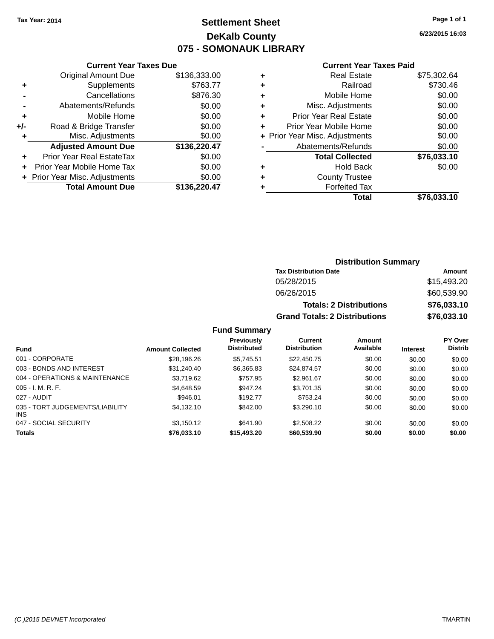## **Settlement Sheet Tax Year: 2014 Page 1 of 1 DeKalb County 075 - SOMONAUK LIBRARY**

**6/23/2015 16:03**

#### **Current Year Taxes Paid**

|     | <b>Current Year Taxes Due</b>  |              |
|-----|--------------------------------|--------------|
|     | <b>Original Amount Due</b>     | \$136,333.00 |
| ٠   | Supplements                    | \$763.77     |
|     | Cancellations                  | \$876.30     |
|     | Abatements/Refunds             | \$0.00       |
| ٠   | Mobile Home                    | \$0.00       |
| +/- | Road & Bridge Transfer         | \$0.00       |
|     | Misc. Adjustments              | \$0.00       |
|     | <b>Adjusted Amount Due</b>     | \$136,220.47 |
| ٠   | Prior Year Real EstateTax      | \$0.00       |
| ÷   | Prior Year Mobile Home Tax     | \$0.00       |
|     | + Prior Year Misc. Adjustments | \$0.00       |
|     | <b>Total Amount Due</b>        | \$136,220.47 |
|     |                                |              |

|   | <b>Real Estate</b>             | \$75,302.64 |
|---|--------------------------------|-------------|
| ٠ | Railroad                       | \$730.46    |
| ٠ | Mobile Home                    | \$0.00      |
| ٠ | Misc. Adjustments              | \$0.00      |
| ٠ | <b>Prior Year Real Estate</b>  | \$0.00      |
| ٠ | Prior Year Mobile Home         | \$0.00      |
|   | + Prior Year Misc. Adjustments | \$0.00      |
|   | Abatements/Refunds             | \$0.00      |
|   | <b>Total Collected</b>         | \$76,033.10 |
| ٠ | <b>Hold Back</b>               | \$0.00      |
| ٠ | <b>County Trustee</b>          |             |
| ٠ | <b>Forfeited Tax</b>           |             |
|   | Total                          | \$76,033.10 |
|   |                                |             |

## **Distribution Summary Tax Distribution Date Amount** 05/28/2015 \$15,493.20 06/26/2015 \$60,539.90 **Totals: 2 Distributions \$76,033.10 Grand Totals: 2 Distributions \$76,033.10**

| <b>Fund</b>                                   | <b>Amount Collected</b> | <b>Previously</b><br><b>Distributed</b> | Current<br><b>Distribution</b> | Amount<br>Available | <b>Interest</b> | <b>PY Over</b><br><b>Distrib</b> |
|-----------------------------------------------|-------------------------|-----------------------------------------|--------------------------------|---------------------|-----------------|----------------------------------|
| 001 - CORPORATE                               | \$28,196.26             | \$5.745.51                              | \$22,450.75                    | \$0.00              | \$0.00          | \$0.00                           |
| 003 - BONDS AND INTEREST                      | \$31,240.40             | \$6,365.83                              | \$24,874.57                    | \$0.00              | \$0.00          | \$0.00                           |
| 004 - OPERATIONS & MAINTENANCE                | \$3.719.62              | \$757.95                                | \$2,961.67                     | \$0.00              | \$0.00          | \$0.00                           |
| $005 - I. M. R. F.$                           | \$4,648.59              | \$947.24                                | \$3,701.35                     | \$0.00              | \$0.00          | \$0.00                           |
| 027 - AUDIT                                   | \$946.01                | \$192.77                                | \$753.24                       | \$0.00              | \$0.00          | \$0.00                           |
| 035 - TORT JUDGEMENTS/LIABILITY<br><b>INS</b> | \$4,132.10              | \$842.00                                | \$3,290.10                     | \$0.00              | \$0.00          | \$0.00                           |
| 047 - SOCIAL SECURITY                         | \$3,150.12              | \$641.90                                | \$2,508.22                     | \$0.00              | \$0.00          | \$0.00                           |
| <b>Totals</b>                                 | \$76,033.10             | \$15,493.20                             | \$60,539.90                    | \$0.00              | \$0.00          | \$0.00                           |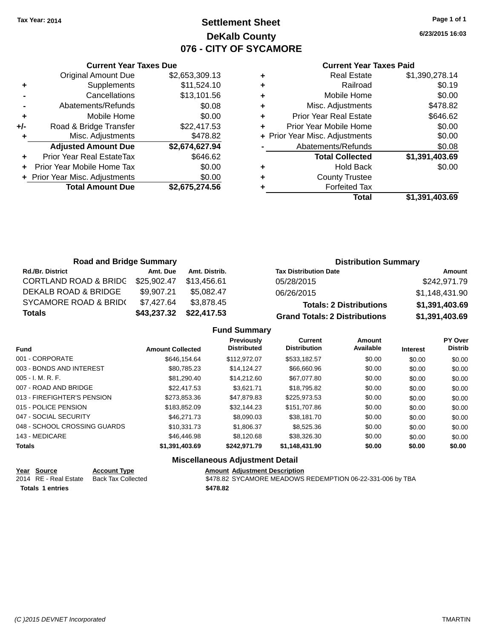# **Settlement Sheet Tax Year: 2014 Page 1 of 1 DeKalb County 076 - CITY OF SYCAMORE**

**6/23/2015 16:03**

| <b>Current Year Taxes Paid</b> |  |  |
|--------------------------------|--|--|
|                                |  |  |

|       | <b>Current Year Taxes Due</b>  |                |
|-------|--------------------------------|----------------|
|       | <b>Original Amount Due</b>     | \$2,653,309.13 |
| ٠     | Supplements                    | \$11,524.10    |
|       | Cancellations                  | \$13,101.56    |
|       | Abatements/Refunds             | \$0.08         |
| ٠     | Mobile Home                    | \$0.00         |
| $+/-$ | Road & Bridge Transfer         | \$22,417.53    |
| ٠     | Misc. Adjustments              | \$478.82       |
|       | <b>Adjusted Amount Due</b>     | \$2,674,627.94 |
| ٠     | Prior Year Real EstateTax      | \$646.62       |
|       | Prior Year Mobile Home Tax     | \$0.00         |
|       | + Prior Year Misc. Adjustments | \$0.00         |
|       | <b>Total Amount Due</b>        | \$2,675,274.56 |
|       |                                |                |

|   | <b>Real Estate</b>             | \$1,390,278.14 |
|---|--------------------------------|----------------|
| ٠ | Railroad                       | \$0.19         |
| ٠ | Mobile Home                    | \$0.00         |
| ٠ | Misc. Adjustments              | \$478.82       |
| ٠ | <b>Prior Year Real Estate</b>  | \$646.62       |
| ٠ | Prior Year Mobile Home         | \$0.00         |
|   | + Prior Year Misc. Adjustments | \$0.00         |
|   | Abatements/Refunds             | \$0.08         |
|   | <b>Total Collected</b>         | \$1,391,403.69 |
| ٠ | <b>Hold Back</b>               | \$0.00         |
|   | <b>County Trustee</b>          |                |
| ٠ | <b>Forfeited Tax</b>           |                |
|   | Total                          | \$1,391,403.69 |
|   |                                |                |

| <b>Road and Bridge Summary</b>   |             |               | <b>Distribution Summary</b>          |                |  |
|----------------------------------|-------------|---------------|--------------------------------------|----------------|--|
| <b>Rd./Br. District</b>          | Amt. Due    | Amt. Distrib. | <b>Tax Distribution Date</b>         | Amount         |  |
| <b>CORTLAND ROAD &amp; BRIDG</b> | \$25.902.47 | \$13,456.61   | 05/28/2015                           | \$242,971.79   |  |
| <b>DEKALB ROAD &amp; BRIDGE</b>  | \$9,907.21  | \$5.082.47    | 06/26/2015                           | \$1,148,431.90 |  |
| <b>SYCAMORE ROAD &amp; BRID(</b> | \$7.427.64  | \$3,878.45    | <b>Totals: 2 Distributions</b>       | \$1,391,403.69 |  |
| Totals                           | \$43,237.32 | \$22,417.53   | <b>Grand Totals: 2 Distributions</b> | \$1,391,403.69 |  |

### **Fund Summary**

| <b>Fund</b>                  | <b>Amount Collected</b> | <b>Previously</b><br><b>Distributed</b> | Current<br><b>Distribution</b> | Amount<br>Available | <b>Interest</b> | <b>PY Over</b><br><b>Distrib</b> |
|------------------------------|-------------------------|-----------------------------------------|--------------------------------|---------------------|-----------------|----------------------------------|
| 001 - CORPORATE              | \$646.154.64            | \$112,972.07                            | \$533.182.57                   | \$0.00              | \$0.00          | \$0.00                           |
| 003 - BONDS AND INTEREST     | \$80.785.23             | \$14.124.27                             | \$66,660.96                    | \$0.00              | \$0.00          | \$0.00                           |
| $005 - I. M. R. F.$          | \$81,290.40             | \$14,212.60                             | \$67,077.80                    | \$0.00              | \$0.00          | \$0.00                           |
| 007 - ROAD AND BRIDGE        | \$22,417.53             | \$3.621.71                              | \$18,795.82                    | \$0.00              | \$0.00          | \$0.00                           |
| 013 - FIREFIGHTER'S PENSION  | \$273.853.36            | \$47.879.83                             | \$225.973.53                   | \$0.00              | \$0.00          | \$0.00                           |
| 015 - POLICE PENSION         | \$183.852.09            | \$32.144.23                             | \$151,707.86                   | \$0.00              | \$0.00          | \$0.00                           |
| 047 - SOCIAL SECURITY        | \$46,271.73             | \$8,090.03                              | \$38,181.70                    | \$0.00              | \$0.00          | \$0.00                           |
| 048 - SCHOOL CROSSING GUARDS | \$10.331.73             | \$1,806.37                              | \$8,525,36                     | \$0.00              | \$0.00          | \$0.00                           |
| 143 - MEDICARE               | \$46,446.98             | \$8,120.68                              | \$38,326,30                    | \$0.00              | \$0.00          | \$0.00                           |
| <b>Totals</b>                | \$1,391,403.69          | \$242.971.79                            | \$1,148,431.90                 | \$0.00              | \$0.00          | \$0.00                           |

### **Miscellaneous Adjustment Detail**

| Year Source             | <b>Account Type</b> | <b>Amount Adiustment Description</b>                      |
|-------------------------|---------------------|-----------------------------------------------------------|
| 2014 RE - Real Estate   | Back Tax Collected  | \$478.82 SYCAMORE MEADOWS REDEMPTION 06-22-331-006 by TBA |
| <b>Totals 1 entries</b> |                     | \$478.82                                                  |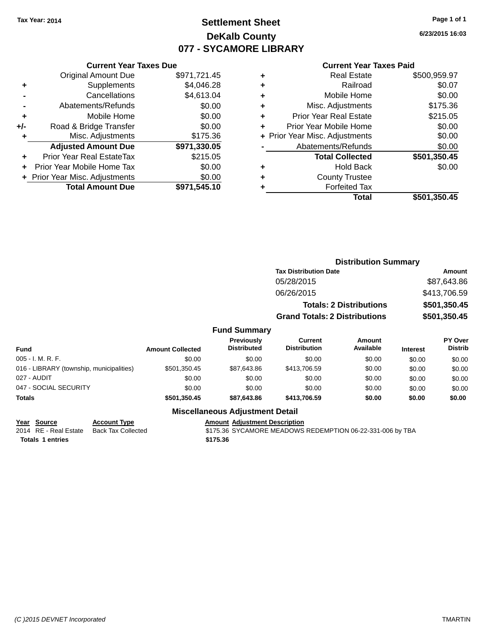# **Settlement Sheet Tax Year: 2014 Page 1 of 1 DeKalb County 077 - SYCAMORE LIBRARY**

**6/23/2015 16:03**

#### **Current Year Taxes Paid**

|       | <b>Current Year Taxes Due</b>  |              |  |  |  |  |  |
|-------|--------------------------------|--------------|--|--|--|--|--|
|       | <b>Original Amount Due</b>     | \$971,721.45 |  |  |  |  |  |
| ٠     | Supplements                    | \$4,046.28   |  |  |  |  |  |
|       | Cancellations                  | \$4,613.04   |  |  |  |  |  |
|       | Abatements/Refunds             | \$0.00       |  |  |  |  |  |
| ٠     | Mobile Home                    | \$0.00       |  |  |  |  |  |
| $+/-$ | Road & Bridge Transfer         | \$0.00       |  |  |  |  |  |
| ÷     | Misc. Adjustments              | \$175.36     |  |  |  |  |  |
|       | <b>Adjusted Amount Due</b>     | \$971,330.05 |  |  |  |  |  |
| ٠     | Prior Year Real EstateTax      | \$215.05     |  |  |  |  |  |
|       | Prior Year Mobile Home Tax     | \$0.00       |  |  |  |  |  |
|       | + Prior Year Misc. Adjustments | \$0.00       |  |  |  |  |  |
|       | <b>Total Amount Due</b>        | \$971.545.10 |  |  |  |  |  |
|       |                                |              |  |  |  |  |  |

|   | <b>Real Estate</b>             | \$500,959.97 |
|---|--------------------------------|--------------|
| ÷ | Railroad                       | \$0.07       |
| ٠ | Mobile Home                    | \$0.00       |
| ٠ | Misc. Adjustments              | \$175.36     |
| ٠ | <b>Prior Year Real Estate</b>  | \$215.05     |
| ٠ | Prior Year Mobile Home         | \$0.00       |
|   | + Prior Year Misc. Adjustments | \$0.00       |
|   | Abatements/Refunds             | \$0.00       |
|   | <b>Total Collected</b>         | \$501,350.45 |
| ٠ | <b>Hold Back</b>               | \$0.00       |
| ٠ | <b>County Trustee</b>          |              |
| ٠ | <b>Forfeited Tax</b>           |              |
|   | Total                          | \$501,350.45 |
|   |                                |              |

|     |                     | <b>Distribution Summary</b>          |                                |                 |                |
|-----|---------------------|--------------------------------------|--------------------------------|-----------------|----------------|
|     |                     | <b>Tax Distribution Date</b>         |                                |                 | <b>Amount</b>  |
|     |                     | 05/28/2015                           |                                |                 | \$87,643.86    |
|     |                     | 06/26/2015                           |                                |                 | \$413,706.59   |
|     |                     |                                      | <b>Totals: 2 Distributions</b> |                 | \$501,350.45   |
|     |                     | <b>Grand Totals: 2 Distributions</b> |                                |                 | \$501,350.45   |
|     | <b>Fund Summary</b> |                                      |                                |                 |                |
|     | <b>Previously</b>   | <b>Current</b>                       | <b>Amount</b>                  |                 | <b>PY Over</b> |
| ted | <b>Distributed</b>  | <b>Distribution</b>                  | Available                      | <b>Interest</b> | <b>Distrib</b> |
|     |                     |                                      |                                |                 |                |

| <b>Fund</b>                              | <b>Amount Collected</b> | <b>Previousiv</b><br><b>Distributed</b> | ∪urrent<br><b>Distribution</b> | Amount<br>Available | <b>Interest</b> | <b>PT OVER</b><br><b>Distrib</b> |
|------------------------------------------|-------------------------|-----------------------------------------|--------------------------------|---------------------|-----------------|----------------------------------|
| $005 - I. M. R. F.$                      | \$0.00                  | \$0.00                                  | \$0.00                         | \$0.00              | \$0.00          | \$0.00                           |
| 016 - LIBRARY (township, municipalities) | \$501,350.45            | \$87,643.86                             | \$413,706.59                   | \$0.00              | \$0.00          | \$0.00                           |
| 027 - AUDIT                              | \$0.00                  | \$0.00                                  | \$0.00                         | \$0.00              | \$0.00          | \$0.00                           |
| 047 - SOCIAL SECURITY                    | \$0.00                  | \$0.00                                  | \$0.00                         | \$0.00              | \$0.00          | \$0.00                           |
| <b>Totals</b>                            | \$501.350.45            | \$87,643.86                             | \$413,706.59                   | \$0.00              | \$0.00          | \$0.00                           |

### **Miscellaneous Adjustment Detail**

**<u>Year Source</u> Account Type<br>
2014 RE - Real Estate Back Tax Collected Totals \$175.36 1 entries**

Amount Adjustment Description<br>\$175.36 SYCAMORE MEADOWS REDEMPTION 06-22-331-006 by TBA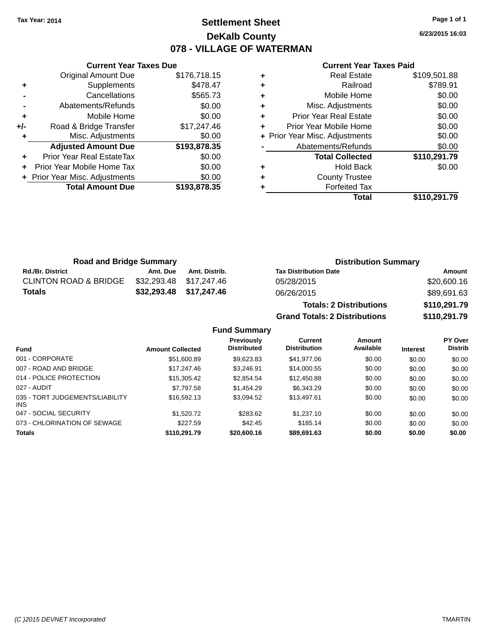# **Settlement Sheet Tax Year: 2014 Page 1 of 1 DeKalb County 078 - VILLAGE OF WATERMAN**

**6/23/2015 16:03**

#### **Current Year Taxes Paid**

| <b>Current Year Taxes Due</b> |                                |              |  |  |  |  |
|-------------------------------|--------------------------------|--------------|--|--|--|--|
|                               | <b>Original Amount Due</b>     | \$176,718.15 |  |  |  |  |
| ٠                             | Supplements                    | \$478.47     |  |  |  |  |
|                               | Cancellations                  | \$565.73     |  |  |  |  |
|                               | Abatements/Refunds             | \$0.00       |  |  |  |  |
| ÷                             | Mobile Home                    | \$0.00       |  |  |  |  |
| +/-                           | Road & Bridge Transfer         | \$17,247.46  |  |  |  |  |
|                               | Misc. Adjustments              | \$0.00       |  |  |  |  |
|                               | <b>Adjusted Amount Due</b>     | \$193,878.35 |  |  |  |  |
| ٠                             | Prior Year Real EstateTax      | \$0.00       |  |  |  |  |
|                               | Prior Year Mobile Home Tax     | \$0.00       |  |  |  |  |
|                               | + Prior Year Misc. Adjustments | \$0.00       |  |  |  |  |
|                               | <b>Total Amount Due</b>        | \$193.878.35 |  |  |  |  |
|                               |                                |              |  |  |  |  |

| <b>Real Estate</b>             | \$109,501.88 |
|--------------------------------|--------------|
| Railroad                       | \$789.91     |
| Mobile Home                    | \$0.00       |
| Misc. Adjustments              | \$0.00       |
| <b>Prior Year Real Estate</b>  | \$0.00       |
| Prior Year Mobile Home         | \$0.00       |
| + Prior Year Misc. Adjustments | \$0.00       |
| Abatements/Refunds             | \$0.00       |
| <b>Total Collected</b>         | \$110,291.79 |
| <b>Hold Back</b>               | \$0.00       |
| <b>County Trustee</b>          |              |
| <b>Forfeited Tax</b>           |              |
| Total                          | \$110,291.79 |
|                                |              |

| <b>Road and Bridge Summary</b>   |          |                         | <b>Distribution Summary</b>    |              |
|----------------------------------|----------|-------------------------|--------------------------------|--------------|
| <b>Rd./Br. District</b>          | Amt. Due | Amt. Distrib.           | <b>Tax Distribution Date</b>   | Amount       |
| <b>CLINTON ROAD &amp; BRIDGE</b> |          | \$32,293.48 \$17,247.46 | 05/28/2015                     | \$20,600.16  |
| Totals                           |          | \$32,293.48 \$17,247.46 | 06/26/2015                     | \$89,691.63  |
|                                  |          |                         | <b>Totals: 2 Distributions</b> | \$110,291.79 |

**Grand Totals: 2 Distributions \$110,291.79**

|                                               |                         | Previously         | Current             | Amount    |                 | <b>PY Over</b> |
|-----------------------------------------------|-------------------------|--------------------|---------------------|-----------|-----------------|----------------|
| <b>Fund</b>                                   | <b>Amount Collected</b> | <b>Distributed</b> | <b>Distribution</b> | Available | <b>Interest</b> | <b>Distrib</b> |
| 001 - CORPORATE                               | \$51,600.89             | \$9.623.83         | \$41,977.06         | \$0.00    | \$0.00          | \$0.00         |
| 007 - ROAD AND BRIDGE                         | \$17,247,46             | \$3.246.91         | \$14,000.55         | \$0.00    | \$0.00          | \$0.00         |
| 014 - POLICE PROTECTION                       | \$15,305.42             | \$2,854.54         | \$12,450.88         | \$0.00    | \$0.00          | \$0.00         |
| 027 - AUDIT                                   | \$7,797.58              | \$1,454.29         | \$6,343.29          | \$0.00    | \$0.00          | \$0.00         |
| 035 - TORT JUDGEMENTS/LIABILITY<br><b>INS</b> | \$16,592.13             | \$3,094.52         | \$13,497.61         | \$0.00    | \$0.00          | \$0.00         |
| 047 - SOCIAL SECURITY                         | \$1,520.72              | \$283.62           | \$1,237.10          | \$0.00    | \$0.00          | \$0.00         |
| 073 - CHLORINATION OF SEWAGE                  | \$227.59                | \$42.45            | \$185.14            | \$0.00    | \$0.00          | \$0.00         |
| <b>Totals</b>                                 | \$110.291.79            | \$20,600.16        | \$89,691,63         | \$0.00    | \$0.00          | \$0.00         |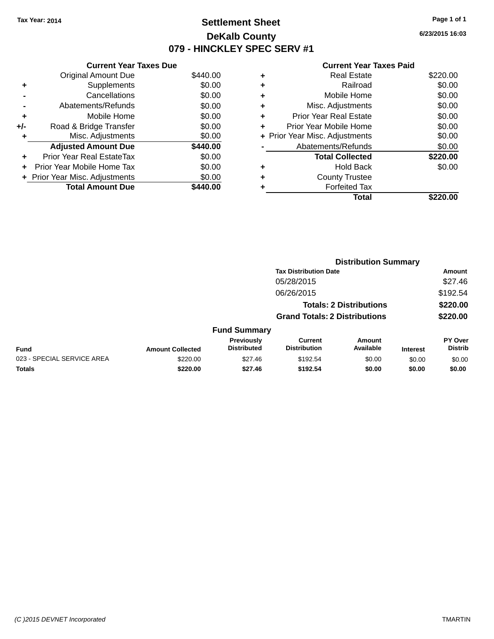# **Settlement Sheet Tax Year: 2014 Page 1 of 1 DeKalb County 079 - HINCKLEY SPEC SERV #1**

**6/23/2015 16:03**

#### **Current Year Taxes Paid**

|     | <b>Current Year Taxes Due</b>  |          |  |  |  |  |  |
|-----|--------------------------------|----------|--|--|--|--|--|
|     | <b>Original Amount Due</b>     | \$440.00 |  |  |  |  |  |
| ٠   | Supplements                    | \$0.00   |  |  |  |  |  |
|     | Cancellations                  | \$0.00   |  |  |  |  |  |
|     | Abatements/Refunds             | \$0.00   |  |  |  |  |  |
| ٠   | Mobile Home                    | \$0.00   |  |  |  |  |  |
| +/- | Road & Bridge Transfer         | \$0.00   |  |  |  |  |  |
|     | Misc. Adjustments              | \$0.00   |  |  |  |  |  |
|     | <b>Adjusted Amount Due</b>     | \$440.00 |  |  |  |  |  |
| ٠   | Prior Year Real EstateTax      | \$0.00   |  |  |  |  |  |
|     | Prior Year Mobile Home Tax     | \$0.00   |  |  |  |  |  |
|     | + Prior Year Misc. Adjustments | \$0.00   |  |  |  |  |  |
|     | <b>Total Amount Due</b>        | 140.00   |  |  |  |  |  |

|   | Real Estate                    | \$220.00 |
|---|--------------------------------|----------|
| ٠ | Railroad                       | \$0.00   |
| ٠ | Mobile Home                    | \$0.00   |
| ٠ | Misc. Adjustments              | \$0.00   |
| ٠ | <b>Prior Year Real Estate</b>  | \$0.00   |
|   | Prior Year Mobile Home         | \$0.00   |
|   | + Prior Year Misc. Adjustments | \$0.00   |
|   | Abatements/Refunds             | \$0.00   |
|   | <b>Total Collected</b>         | \$220.00 |
| ٠ | <b>Hold Back</b>               | \$0.00   |
|   | <b>County Trustee</b>          |          |
|   | <b>Forfeited Tax</b>           |          |
|   | Total                          | \$220.00 |
|   |                                |          |

|                            |                         |                                  | <b>Distribution Summary</b>           |                                |                 |                                  |  |
|----------------------------|-------------------------|----------------------------------|---------------------------------------|--------------------------------|-----------------|----------------------------------|--|
|                            |                         |                                  | <b>Tax Distribution Date</b>          |                                |                 | Amount                           |  |
|                            |                         |                                  | 05/28/2015                            |                                |                 | \$27.46                          |  |
|                            |                         |                                  | 06/26/2015                            |                                |                 | \$192.54                         |  |
|                            |                         |                                  |                                       | <b>Totals: 2 Distributions</b> |                 | \$220.00                         |  |
|                            |                         |                                  | <b>Grand Totals: 2 Distributions</b>  |                                |                 | \$220.00                         |  |
|                            |                         | <b>Fund Summary</b>              |                                       |                                |                 |                                  |  |
| Fund                       | <b>Amount Collected</b> | Previously<br><b>Distributed</b> | <b>Current</b><br><b>Distribution</b> | Amount<br>Available            | <b>Interest</b> | <b>PY Over</b><br><b>Distrib</b> |  |
| 023 - SPECIAL SERVICE AREA | \$220.00                | \$27.46                          | \$192.54                              | \$0.00                         | \$0.00          | \$0.00                           |  |
| <b>Totals</b>              | \$220.00                | \$27.46                          | \$192.54                              | \$0.00                         | \$0.00          | \$0.00                           |  |
|                            |                         |                                  |                                       |                                |                 |                                  |  |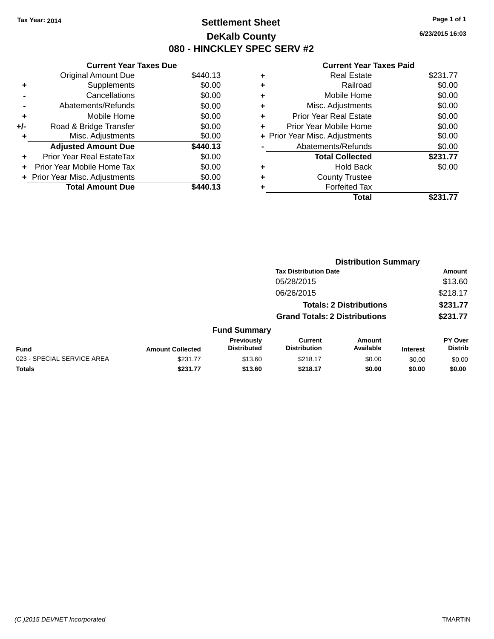# **Settlement Sheet Tax Year: 2014 Page 1 of 1 DeKalb County 080 - HINCKLEY SPEC SERV #2**

**6/23/2015 16:03**

#### **Current Year Taxes Paid**

|     | <b>Current Year Taxes Due</b>     |          |
|-----|-----------------------------------|----------|
|     | <b>Original Amount Due</b>        | \$440.13 |
| ٠   | Supplements                       | \$0.00   |
|     | Cancellations                     | \$0.00   |
|     | Abatements/Refunds                | \$0.00   |
| ٠   | Mobile Home                       | \$0.00   |
| +/- | Road & Bridge Transfer            | \$0.00   |
| ٠   | Misc. Adjustments                 | \$0.00   |
|     | <b>Adjusted Amount Due</b>        | \$440.13 |
| ÷   | <b>Prior Year Real EstateTax</b>  | \$0.00   |
| ÷   | <b>Prior Year Mobile Home Tax</b> | \$0.00   |
|     | + Prior Year Misc. Adjustments    | \$0.00   |
|     | <b>Total Amount Due</b>           | \$440.13 |

| ٠ | <b>Real Estate</b>             | \$231.77 |
|---|--------------------------------|----------|
| ٠ | Railroad                       | \$0.00   |
| ٠ | Mobile Home                    | \$0.00   |
| ٠ | Misc. Adjustments              | \$0.00   |
| ÷ | <b>Prior Year Real Estate</b>  | \$0.00   |
| ٠ | Prior Year Mobile Home         | \$0.00   |
|   | + Prior Year Misc. Adjustments | \$0.00   |
|   | Abatements/Refunds             | \$0.00   |
|   | <b>Total Collected</b>         | \$231.77 |
| ٠ | <b>Hold Back</b>               | \$0.00   |
|   | <b>County Trustee</b>          |          |
| ٠ | <b>Forfeited Tax</b>           |          |
|   | <b>Total</b>                   | \$231.77 |
|   |                                |          |

|                            |                         |                                  | <b>Distribution Summary</b>           |                                |                 |                                  |  |
|----------------------------|-------------------------|----------------------------------|---------------------------------------|--------------------------------|-----------------|----------------------------------|--|
|                            |                         |                                  | <b>Tax Distribution Date</b>          |                                |                 | Amount                           |  |
|                            |                         |                                  | 05/28/2015                            |                                |                 | \$13.60                          |  |
|                            |                         |                                  | 06/26/2015                            |                                |                 | \$218.17                         |  |
|                            |                         |                                  |                                       | <b>Totals: 2 Distributions</b> |                 | \$231.77                         |  |
|                            |                         |                                  | <b>Grand Totals: 2 Distributions</b>  |                                |                 | \$231.77                         |  |
|                            |                         | <b>Fund Summary</b>              |                                       |                                |                 |                                  |  |
| <b>Fund</b>                | <b>Amount Collected</b> | Previously<br><b>Distributed</b> | <b>Current</b><br><b>Distribution</b> | Amount<br>Available            | <b>Interest</b> | <b>PY Over</b><br><b>Distrib</b> |  |
| 023 - SPECIAL SERVICE AREA | \$231.77                | \$13.60                          | \$218.17                              | \$0.00                         | \$0.00          | \$0.00                           |  |
| Totals                     | \$231.77                | \$13.60                          | \$218.17                              | \$0.00                         | \$0.00          | \$0.00                           |  |
|                            |                         |                                  |                                       |                                |                 |                                  |  |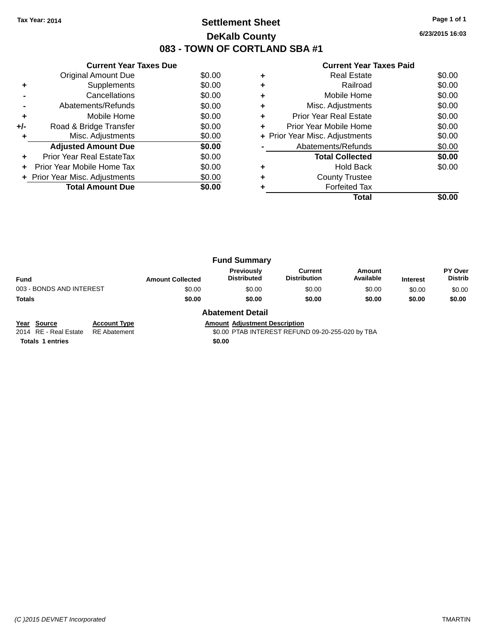# **Settlement Sheet Tax Year: 2014 Page 1 of 1 DeKalb County 083 - TOWN OF CORTLAND SBA #1**

**6/23/2015 16:03**

|     | <b>Current Year Taxes Due</b>  |        |
|-----|--------------------------------|--------|
|     | Original Amount Due            | \$0.00 |
| ٠   | Supplements                    | \$0.00 |
|     | Cancellations                  | \$0.00 |
|     | Abatements/Refunds             | \$0.00 |
| ÷   | Mobile Home                    | \$0.00 |
| +/- | Road & Bridge Transfer         | \$0.00 |
|     | Misc. Adjustments              | \$0.00 |
|     | <b>Adjusted Amount Due</b>     | \$0.00 |
|     | Prior Year Real EstateTax      | \$0.00 |
|     | Prior Year Mobile Home Tax     | \$0.00 |
|     | + Prior Year Misc. Adjustments | \$0.00 |
|     | <b>Total Amount Due</b>        | \$0.00 |
|     |                                |        |

#### **Current Year Taxes Paid**

|   | Real Estate                    | \$0.00 |
|---|--------------------------------|--------|
| ٠ | Railroad                       | \$0.00 |
| ٠ | Mobile Home                    | \$0.00 |
| ٠ | Misc. Adjustments              | \$0.00 |
| ٠ | <b>Prior Year Real Estate</b>  | \$0.00 |
| ٠ | Prior Year Mobile Home         | \$0.00 |
|   | + Prior Year Misc. Adjustments | \$0.00 |
|   | Abatements/Refunds             | \$0.00 |
|   | <b>Total Collected</b>         | \$0.00 |
| ٠ | Hold Back                      | \$0.00 |
| ٠ | <b>County Trustee</b>          |        |
|   | <b>Forfeited Tax</b>           |        |
|   | Total                          |        |

| <b>Fund Summary</b>      |                         |                                  |                                |                     |                 |                                  |
|--------------------------|-------------------------|----------------------------------|--------------------------------|---------------------|-----------------|----------------------------------|
| <b>Fund</b>              | <b>Amount Collected</b> | Previously<br><b>Distributed</b> | Current<br><b>Distribution</b> | Amount<br>Available | <b>Interest</b> | <b>PY Over</b><br><b>Distrib</b> |
| 003 - BONDS AND INTEREST | \$0.00                  | \$0.00                           | \$0.00                         | \$0.00              | \$0.00          | \$0.00                           |
| Totals                   | \$0.00                  | \$0.00                           | \$0.00                         | \$0.00              | \$0.00          | \$0.00                           |
|                          | .                       | - -                              |                                |                     |                 |                                  |

**Year Source Account Type Amount Adjustment Description**<br>2014 RE - Real Estate RE Abatement \$0.00 PTAB INTEREST REFUN

#### **Abatement Detail**

\$0.00 PTAB INTEREST REFUND 09-20-255-020 by TBA

**Totals 1 entries** \$0.00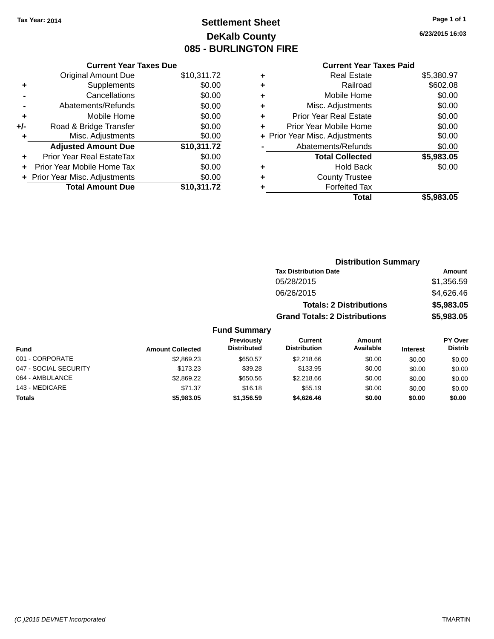# **Settlement Sheet Tax Year: 2014 Page 1 of 1 DeKalb County 085 - BURLINGTON FIRE**

**6/23/2015 16:03**

#### **Current Year Taxes Paid**

|       | <b>Current Year Taxes Due</b>    |             |
|-------|----------------------------------|-------------|
|       | <b>Original Amount Due</b>       | \$10,311.72 |
| ٠     | Supplements                      | \$0.00      |
|       | Cancellations                    | \$0.00      |
|       | Abatements/Refunds               | \$0.00      |
| ٠     | Mobile Home                      | \$0.00      |
| $+/-$ | Road & Bridge Transfer           | \$0.00      |
|       | Misc. Adjustments                | \$0.00      |
|       | <b>Adjusted Amount Due</b>       | \$10,311.72 |
| ÷     | <b>Prior Year Real EstateTax</b> | \$0.00      |
| ÷     | Prior Year Mobile Home Tax       | \$0.00      |
|       | + Prior Year Misc. Adjustments   | \$0.00      |
|       | <b>Total Amount Due</b>          | \$10,311.72 |

| ٠ | <b>Real Estate</b>             | \$5,380.97 |
|---|--------------------------------|------------|
| ٠ | Railroad                       | \$602.08   |
| ٠ | Mobile Home                    | \$0.00     |
| ٠ | Misc. Adjustments              | \$0.00     |
| ٠ | <b>Prior Year Real Estate</b>  | \$0.00     |
| ÷ | Prior Year Mobile Home         | \$0.00     |
|   | + Prior Year Misc. Adjustments | \$0.00     |
|   | Abatements/Refunds             | \$0.00     |
|   | <b>Total Collected</b>         | \$5,983.05 |
| ٠ | Hold Back                      | \$0.00     |
| ٠ | <b>County Trustee</b>          |            |
| ٠ | <b>Forfeited Tax</b>           |            |
|   | Total                          | \$5,983.05 |
|   |                                |            |

|                     |                                      | <b>Distribution Summary</b>    |                 |                |
|---------------------|--------------------------------------|--------------------------------|-----------------|----------------|
|                     | <b>Tax Distribution Date</b>         |                                |                 | Amount         |
|                     | 05/28/2015                           |                                |                 | \$1,356.59     |
|                     | 06/26/2015                           |                                |                 | \$4,626.46     |
|                     |                                      | <b>Totals: 2 Distributions</b> |                 | \$5,983.05     |
|                     | <b>Grand Totals: 2 Distributions</b> |                                |                 | \$5,983.05     |
| <b>Fund Summary</b> |                                      |                                |                 |                |
| <b>Previously</b>   | <b>Current</b>                       | <b>Amount</b>                  |                 | <b>PY Over</b> |
| <b>Distributed</b>  | <b>Distribution</b>                  | Available                      | <b>Interest</b> | <b>Distrib</b> |

| <b>Fund</b>           | <b>Amount Collected</b> | <b>Previously</b><br><b>Distributed</b> | Current<br><b>Distribution</b> | Amount<br>Available | <b>Interest</b> | <b>PY Over</b><br><b>Distrib</b> |
|-----------------------|-------------------------|-----------------------------------------|--------------------------------|---------------------|-----------------|----------------------------------|
| 001 - CORPORATE       | \$2,869.23              | \$650.57                                | \$2,218.66                     | \$0.00              | \$0.00          | \$0.00                           |
| 047 - SOCIAL SECURITY | \$173.23                | \$39.28                                 | \$133.95                       | \$0.00              | \$0.00          | \$0.00                           |
| 064 - AMBULANCE       | \$2,869.22              | \$650.56                                | \$2,218.66                     | \$0.00              | \$0.00          | \$0.00                           |
| 143 - MEDICARE        | \$71.37                 | \$16.18                                 | \$55.19                        | \$0.00              | \$0.00          | \$0.00                           |
| <b>Totals</b>         | \$5,983.05              | \$1,356.59                              | \$4,626,46                     | \$0.00              | \$0.00          | \$0.00                           |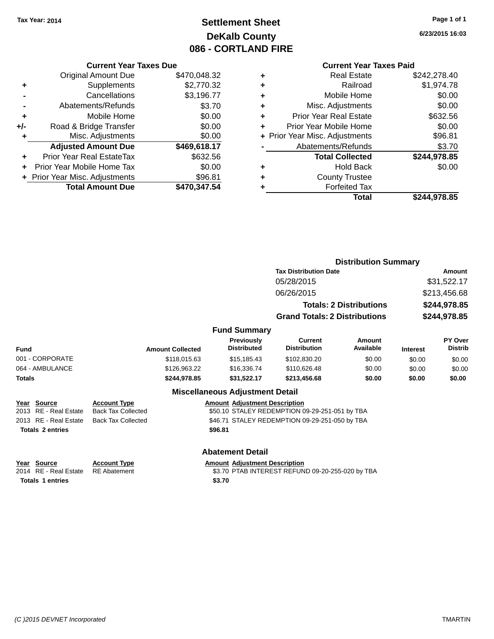# **Settlement Sheet Tax Year: 2014 Page 1 of 1 DeKalb County 086 - CORTLAND FIRE**

**6/23/2015 16:03**

#### **Current Year Taxes Paid**

|       | <b>Current Year Taxes Due</b>  |              |
|-------|--------------------------------|--------------|
|       | <b>Original Amount Due</b>     | \$470,048.32 |
| ٠     | Supplements                    | \$2,770.32   |
|       | Cancellations                  | \$3,196.77   |
|       | Abatements/Refunds             | \$3.70       |
| ٠     | Mobile Home                    | \$0.00       |
| $+/-$ | Road & Bridge Transfer         | \$0.00       |
| ٠     | Misc. Adjustments              | \$0.00       |
|       | <b>Adjusted Amount Due</b>     | \$469,618.17 |
| ٠     | Prior Year Real EstateTax      | \$632.56     |
|       | Prior Year Mobile Home Tax     | \$0.00       |
|       | + Prior Year Misc. Adjustments | \$96.81      |
|       | <b>Total Amount Due</b>        | \$470,347.54 |
|       |                                |              |

| <b>Real Estate</b>             | \$242,278.40 |
|--------------------------------|--------------|
| Railroad                       | \$1,974.78   |
| Mobile Home                    | \$0.00       |
| Misc. Adjustments              | \$0.00       |
| <b>Prior Year Real Estate</b>  | \$632.56     |
| Prior Year Mobile Home         | \$0.00       |
| + Prior Year Misc. Adjustments | \$96.81      |
| Abatements/Refunds             | \$3.70       |
| <b>Total Collected</b>         | \$244,978.85 |
| <b>Hold Back</b>               | \$0.00       |
| <b>County Trustee</b>          |              |
| <b>Forfeited Tax</b>           |              |
| Total                          | \$244,978.85 |
|                                |              |

|                                                                                                          |                                                                               |                                                 | <b>Distribution Summary</b>                                                                      |                                |                 |                                  |
|----------------------------------------------------------------------------------------------------------|-------------------------------------------------------------------------------|-------------------------------------------------|--------------------------------------------------------------------------------------------------|--------------------------------|-----------------|----------------------------------|
|                                                                                                          |                                                                               |                                                 | <b>Tax Distribution Date</b>                                                                     |                                | Amount          |                                  |
|                                                                                                          |                                                                               |                                                 | 05/28/2015                                                                                       |                                |                 | \$31,522.17                      |
|                                                                                                          |                                                                               |                                                 | 06/26/2015                                                                                       |                                |                 | \$213,456.68                     |
|                                                                                                          |                                                                               |                                                 |                                                                                                  | <b>Totals: 2 Distributions</b> |                 | \$244,978.85                     |
|                                                                                                          |                                                                               |                                                 | <b>Grand Totals: 2 Distributions</b>                                                             |                                |                 | \$244,978.85                     |
|                                                                                                          |                                                                               | <b>Fund Summary</b>                             |                                                                                                  |                                |                 |                                  |
| <b>Fund</b>                                                                                              | <b>Amount Collected</b>                                                       | <b>Previously</b><br><b>Distributed</b>         | <b>Current</b><br><b>Distribution</b>                                                            | <b>Amount</b><br>Available     | <b>Interest</b> | <b>PY Over</b><br><b>Distrib</b> |
| 001 - CORPORATE                                                                                          | \$118,015.63                                                                  | \$15,185.43                                     | \$102,830.20                                                                                     | \$0.00                         | \$0.00          | \$0.00                           |
| 064 - AMBULANCE                                                                                          | \$126,963.22                                                                  | \$16,336.74                                     | \$110,626.48                                                                                     | \$0.00                         | \$0.00          | \$0.00                           |
| <b>Totals</b>                                                                                            | \$244,978.85                                                                  | \$31,522.17                                     | \$213,456.68                                                                                     | \$0.00                         | \$0.00          | \$0.00                           |
|                                                                                                          |                                                                               | <b>Miscellaneous Adjustment Detail</b>          |                                                                                                  |                                |                 |                                  |
| <b>Source</b><br>Year<br>RE - Real Estate<br>2013<br>RE - Real Estate<br>2013<br><b>Totals 2 entries</b> | <b>Account Type</b><br><b>Back Tax Collected</b><br><b>Back Tax Collected</b> | <b>Amount Adjustment Description</b><br>\$96.81 | \$50.10 STALEY REDEMPTION 09-29-251-051 by TBA<br>\$46.71 STALEY REDEMPTION 09-29-251-050 by TBA |                                |                 |                                  |
|                                                                                                          |                                                                               | <b>Abatement Detail</b>                         |                                                                                                  |                                |                 |                                  |

**Totals 1 entries** \$3.70

**Year Source Account Type Account Adjustment Description** 

2014 RE - Real Estate RE Abatement \$3.70 PTAB INTEREST REFUND 09-20-255-020 by TBA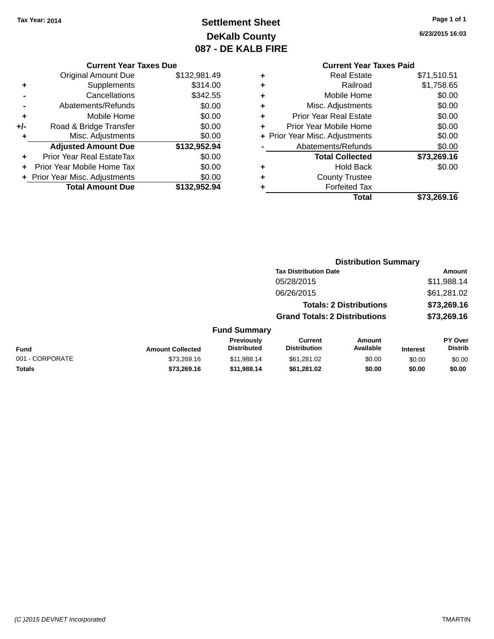# **Settlement Sheet Tax Year: 2014 Page 1 of 1 DeKalb County 087 - DE KALB FIRE**

**6/23/2015 16:03**

|     | <b>Current Year Taxes Due</b>  |              |
|-----|--------------------------------|--------------|
|     | <b>Original Amount Due</b>     | \$132,981.49 |
| ٠   | Supplements                    | \$314.00     |
|     | Cancellations                  | \$342.55     |
|     | Abatements/Refunds             | \$0.00       |
| ٠   | Mobile Home                    | \$0.00       |
| +/- | Road & Bridge Transfer         | \$0.00       |
| ٠   | Misc. Adjustments              | \$0.00       |
|     | <b>Adjusted Amount Due</b>     | \$132,952.94 |
| ٠   | Prior Year Real EstateTax      | \$0.00       |
| ÷   | Prior Year Mobile Home Tax     | \$0.00       |
|     | + Prior Year Misc. Adjustments | \$0.00       |
|     | <b>Total Amount Due</b>        | \$132,952.94 |
|     |                                |              |

### **Current Year Taxes Paid +** Real Estate \$71,510.51 **+** Railroad \$1,758.65 **+** Mobile Home \$0.00 **+** Misc. Adjustments \$0.00 **+** Prior Year Real Estate \$0.00 **+** Prior Year Mobile Home \$0.00 **+ Prior Year Misc. Adjustments**  $$0.00$ **-** Abatements/Refunds \$0.00 **Total Collected \$73,269.16 +** Hold Back \$0.00 **+** County Trustee **+** Forfeited Tax **Total \$73,269.16**

|                         |                                  |                                       |                     |                                                                                                        | Amount                           |
|-------------------------|----------------------------------|---------------------------------------|---------------------|--------------------------------------------------------------------------------------------------------|----------------------------------|
|                         |                                  | 05/28/2015                            |                     |                                                                                                        | \$11,988.14                      |
|                         |                                  | 06/26/2015                            |                     |                                                                                                        | \$61,281.02                      |
|                         |                                  |                                       |                     |                                                                                                        | \$73,269.16                      |
|                         |                                  |                                       |                     |                                                                                                        | \$73,269.16                      |
|                         |                                  |                                       |                     |                                                                                                        |                                  |
| <b>Amount Collected</b> | Previously<br><b>Distributed</b> | <b>Current</b><br><b>Distribution</b> | Amount<br>Available | <b>Interest</b>                                                                                        | <b>PY Over</b><br><b>Distrib</b> |
| \$73,269.16             | \$11,988.14                      | \$61,281.02                           | \$0.00              | \$0.00                                                                                                 | \$0.00                           |
| \$73,269.16             | \$11,988.14                      | \$61,281.02                           | \$0.00              | \$0.00                                                                                                 | \$0.00                           |
|                         |                                  |                                       | <b>Fund Summary</b> | <b>Tax Distribution Date</b><br><b>Totals: 2 Distributions</b><br><b>Grand Totals: 2 Distributions</b> | <b>Distribution Summary</b>      |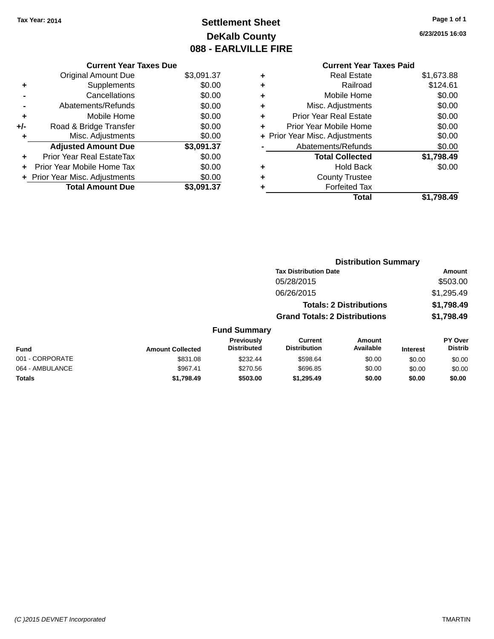# **Settlement Sheet Tax Year: 2014 Page 1 of 1 DeKalb County 088 - EARLVILLE FIRE**

**6/23/2015 16:03**

# **Current Year Taxes Paid**

|     | <b>Current Year Taxes Due</b>  |            |
|-----|--------------------------------|------------|
|     | <b>Original Amount Due</b>     | \$3,091.37 |
| ٠   | Supplements                    | \$0.00     |
|     | Cancellations                  | \$0.00     |
|     | Abatements/Refunds             | \$0.00     |
| ٠   | Mobile Home                    | \$0.00     |
| +/- | Road & Bridge Transfer         | \$0.00     |
| ٠   | Misc. Adjustments              | \$0.00     |
|     | <b>Adjusted Amount Due</b>     | \$3,091.37 |
| ٠   | Prior Year Real EstateTax      | \$0.00     |
| ÷   | Prior Year Mobile Home Tax     | \$0.00     |
|     | + Prior Year Misc. Adjustments | \$0.00     |
|     | <b>Total Amount Due</b>        | \$3,091.37 |
|     |                                |            |

| ٠ | Real Estate                    | \$1,673.88 |
|---|--------------------------------|------------|
| ٠ | Railroad                       | \$124.61   |
| ٠ | Mobile Home                    | \$0.00     |
| ٠ | Misc. Adjustments              | \$0.00     |
| ٠ | <b>Prior Year Real Estate</b>  | \$0.00     |
| ٠ | Prior Year Mobile Home         | \$0.00     |
|   | + Prior Year Misc. Adjustments | \$0.00     |
|   | Abatements/Refunds             | \$0.00     |
|   | <b>Total Collected</b>         | \$1,798.49 |
| ٠ | Hold Back                      | \$0.00     |
| ٠ | <b>County Trustee</b>          |            |
| ٠ | <b>Forfeited Tax</b>           |            |
|   | Total                          | \$1,798.49 |
|   |                                |            |

|                 |                         |                                  |                                       | <b>Distribution Summary</b>    |                 |                           |
|-----------------|-------------------------|----------------------------------|---------------------------------------|--------------------------------|-----------------|---------------------------|
|                 |                         |                                  | <b>Tax Distribution Date</b>          |                                |                 | <b>Amount</b>             |
|                 |                         |                                  | 05/28/2015                            |                                |                 | \$503.00                  |
|                 |                         |                                  | 06/26/2015                            |                                |                 | \$1,295.49                |
|                 |                         |                                  |                                       | <b>Totals: 2 Distributions</b> |                 | \$1,798.49                |
|                 |                         |                                  | <b>Grand Totals: 2 Distributions</b>  |                                |                 | \$1,798.49                |
|                 |                         | <b>Fund Summary</b>              |                                       |                                |                 |                           |
| <b>Fund</b>     | <b>Amount Collected</b> | Previously<br><b>Distributed</b> | <b>Current</b><br><b>Distribution</b> | Amount<br>Available            | <b>Interest</b> | PY Over<br><b>Distrib</b> |
| 001 - CORPORATE | \$831.08                | \$232.44                         | \$598.64                              | \$0.00                         | \$0.00          | \$0.00                    |
| 064 - AMBULANCE | \$967.41                | \$270.56                         | \$696.85                              | \$0.00                         | \$0.00          | \$0.00                    |
| <b>Totals</b>   | \$1,798.49              | \$503.00                         | \$1,295.49                            | \$0.00                         | \$0.00          | \$0.00                    |
|                 |                         |                                  |                                       |                                |                 |                           |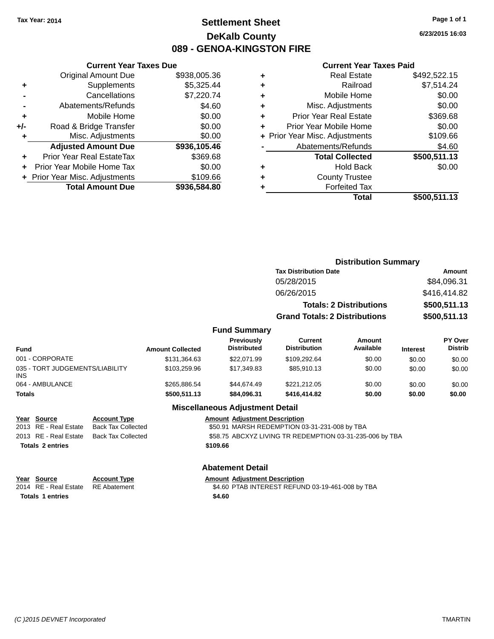# **Settlement Sheet Tax Year: 2014 Page 1 of 1 DeKalb County 089 - GENOA-KINGSTON FIRE**

**6/23/2015 16:03**

#### **Current Year Taxes Paid**

|     | <b>Current Year Taxes Due</b>    |              |   |              |
|-----|----------------------------------|--------------|---|--------------|
|     | <b>Original Amount Due</b>       | \$938,005.36 | ٠ |              |
|     | <b>Supplements</b>               | \$5,325.44   | ٠ |              |
|     | Cancellations                    | \$7,220.74   | ٠ |              |
|     | Abatements/Refunds               | \$4.60       | ٠ |              |
|     | Mobile Home                      | \$0.00       |   | Prio         |
| +/- | Road & Bridge Transfer           | \$0.00       |   | Prior        |
|     | Misc. Adjustments                | \$0.00       |   | + Prior Year |
|     | <b>Adjusted Amount Due</b>       | \$936,105.46 |   | Ab           |
|     | <b>Prior Year Real EstateTax</b> | \$369.68     |   |              |
|     | Prior Year Mobile Home Tax       | \$0.00       |   |              |
|     | + Prior Year Misc. Adjustments   | \$109.66     | ٠ |              |
|     | <b>Total Amount Due</b>          | \$936,584.80 |   |              |
|     |                                  |              |   |              |

|   | Total                          | \$500,511.13 |
|---|--------------------------------|--------------|
|   | <b>Forfeited Tax</b>           |              |
| ٠ | <b>County Trustee</b>          |              |
|   | <b>Hold Back</b>               | \$0.00       |
|   | <b>Total Collected</b>         | \$500,511.13 |
|   | Abatements/Refunds             | \$4.60       |
|   | + Prior Year Misc. Adjustments | \$109.66     |
| ٠ | Prior Year Mobile Home         | \$0.00       |
| ٠ | <b>Prior Year Real Estate</b>  | \$369.68     |
| ٠ | Misc. Adjustments              | \$0.00       |
| ٠ | Mobile Home                    | \$0.00       |
| ÷ | Railroad                       | \$7,514.24   |
|   | <b>Real Estate</b>             | \$492,522.15 |

|                                     |                         |                                  |                                       | <b>Distribution Summary</b>    |                 |                                  |
|-------------------------------------|-------------------------|----------------------------------|---------------------------------------|--------------------------------|-----------------|----------------------------------|
|                                     |                         |                                  | <b>Tax Distribution Date</b>          |                                |                 | <b>Amount</b>                    |
|                                     |                         |                                  | 05/28/2015                            |                                |                 | \$84,096.31                      |
|                                     |                         |                                  | 06/26/2015                            |                                |                 | \$416,414.82                     |
|                                     |                         |                                  |                                       | <b>Totals: 2 Distributions</b> |                 | \$500,511.13                     |
|                                     |                         |                                  | <b>Grand Totals: 2 Distributions</b>  |                                |                 | \$500,511.13                     |
|                                     |                         | <b>Fund Summary</b>              |                                       |                                |                 |                                  |
| Fund                                | <b>Amount Collected</b> | Previously<br><b>Distributed</b> | <b>Current</b><br><b>Distribution</b> | <b>Amount</b><br>Available     | <b>Interest</b> | <b>PY Over</b><br><b>Distrib</b> |
| 001 - CORPORATE                     | \$131,364.63            | \$22,071.99                      | \$109,292.64                          | \$0.00                         | \$0.00          | \$0.00                           |
| 035 - TORT II IDGEMENTS/I IARII ITV | 40325006                | 41734083                         | <b>CR5 010 13</b>                     | en nn                          | 0000            | 0000                             |

| 064 - AMBULANCE<br>Totals              | \$265.886.54<br>\$500.511.13 | \$44,674.49<br>\$84,096,31 | \$221.212.05<br>\$416,414.82 | \$0.00<br>\$0.00 | \$0.00<br>\$0.00 | \$0.00<br>\$0.00 |
|----------------------------------------|------------------------------|----------------------------|------------------------------|------------------|------------------|------------------|
| 035 - TORT JUDGEMENTS/LIABILITY<br>INS | \$103.259.96                 | \$17.349.83                | \$85.910.13                  | \$0.00           | \$0.00           | \$0.00           |
|                                        |                              |                            |                              |                  |                  |                  |

#### **Miscellaneous Adjustment Detail**

| <u>Year Source</u>      | <b>Account Type</b> | <b>Amount Adjustment Description</b>                     |
|-------------------------|---------------------|----------------------------------------------------------|
| 2013 RE - Real Estate   | Back Tax Collected  | \$50.91 MARSH REDEMPTION 03-31-231-008 by TBA            |
| 2013 RE - Real Estate   | Back Tax Collected  | \$58.75 ABCXYZ LIVING TR REDEMPTION 03-31-235-006 by TBA |
| <b>Totals 2 entries</b> |                     | \$109.66                                                 |
|                         |                     |                                                          |

### **Abatement Detail**

| Year Source                        | <b>Account Type</b> | <b>Amount Adiustment Description</b>             |
|------------------------------------|---------------------|--------------------------------------------------|
| 2014 RE - Real Estate RE Abatement |                     | \$4.60 PTAB INTEREST REFUND 03-19-461-008 by TBA |
| <b>Totals 1 entries</b>            |                     | \$4.60                                           |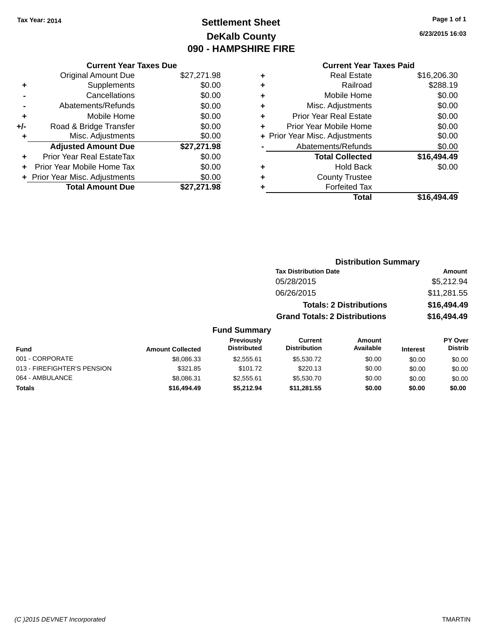# **Settlement Sheet Tax Year: 2014 Page 1 of 1 DeKalb County 090 - HAMPSHIRE FIRE**

**6/23/2015 16:03**

# **Current Year Taxes Paid**

|       | <b>Current Year Taxes Due</b>  |             |  |  |  |
|-------|--------------------------------|-------------|--|--|--|
|       | <b>Original Amount Due</b>     | \$27,271.98 |  |  |  |
| ٠     | Supplements                    | \$0.00      |  |  |  |
|       | Cancellations                  | \$0.00      |  |  |  |
|       | Abatements/Refunds             | \$0.00      |  |  |  |
| ÷     | Mobile Home                    | \$0.00      |  |  |  |
| $+/-$ | Road & Bridge Transfer         | \$0.00      |  |  |  |
| ÷     | Misc. Adjustments              | \$0.00      |  |  |  |
|       | <b>Adjusted Amount Due</b>     | \$27,271.98 |  |  |  |
| ÷     | Prior Year Real EstateTax      | \$0.00      |  |  |  |
|       | Prior Year Mobile Home Tax     | \$0.00      |  |  |  |
|       | + Prior Year Misc. Adjustments | \$0.00      |  |  |  |
|       | <b>Total Amount Due</b>        | \$27.271.98 |  |  |  |
|       |                                |             |  |  |  |

| ٠ | <b>Real Estate</b>             | \$16,206.30 |
|---|--------------------------------|-------------|
| ٠ | Railroad                       | \$288.19    |
| ٠ | Mobile Home                    | \$0.00      |
| ٠ | Misc. Adjustments              | \$0.00      |
| ٠ | <b>Prior Year Real Estate</b>  | \$0.00      |
| ٠ | Prior Year Mobile Home         | \$0.00      |
|   | + Prior Year Misc. Adjustments | \$0.00      |
|   | Abatements/Refunds             | \$0.00      |
|   | <b>Total Collected</b>         | \$16,494.49 |
| ٠ | <b>Hold Back</b>               | \$0.00      |
|   | <b>County Trustee</b>          |             |
| ٠ | <b>Forfeited Tax</b>           |             |
|   | Total                          | \$16.494.49 |
|   |                                |             |

|                     | <b>Distribution Summary</b>          |             |
|---------------------|--------------------------------------|-------------|
|                     | <b>Tax Distribution Date</b>         | Amount      |
|                     | 05/28/2015                           | \$5,212.94  |
|                     | 06/26/2015                           | \$11,281.55 |
|                     | <b>Totals: 2 Distributions</b>       | \$16,494.49 |
|                     | <b>Grand Totals: 2 Distributions</b> | \$16,494.49 |
| <b>Fund Summary</b> |                                      |             |

| Fund                        | <b>Amount Collected</b> | <b>Previously</b><br><b>Distributed</b> | Current<br><b>Distribution</b> | Amount<br>Available | <b>Interest</b> | <b>PY Over</b><br><b>Distrib</b> |
|-----------------------------|-------------------------|-----------------------------------------|--------------------------------|---------------------|-----------------|----------------------------------|
| 001 - CORPORATE             | \$8,086,33              | \$2,555.61                              | \$5,530.72                     | \$0.00              | \$0.00          | \$0.00                           |
| 013 - FIREFIGHTER'S PENSION | \$321.85                | \$101.72                                | \$220.13                       | \$0.00              | \$0.00          | \$0.00                           |
| 064 - AMBULANCE             | \$8.086.31              | \$2,555.61                              | \$5,530.70                     | \$0.00              | \$0.00          | \$0.00                           |
| <b>Totals</b>               | \$16,494.49             | \$5.212.94                              | \$11.281.55                    | \$0.00              | \$0.00          | \$0.00                           |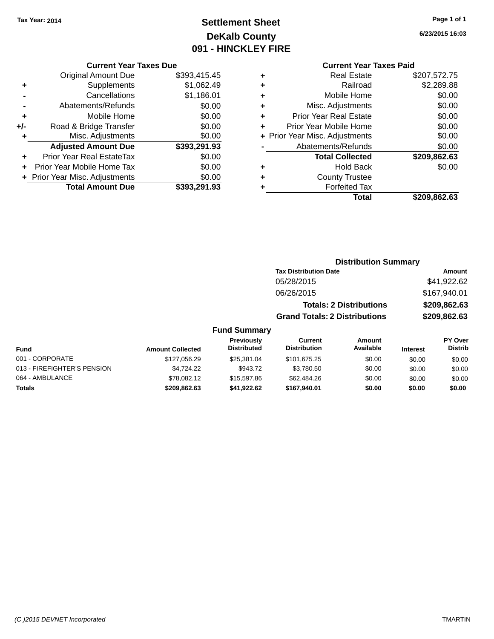# **Settlement Sheet Tax Year: 2014 Page 1 of 1 DeKalb County 091 - HINCKLEY FIRE**

**6/23/2015 16:03**

| <b>Current Year Taxes Due</b> |  |  |
|-------------------------------|--|--|
|                               |  |  |

|     | <b>Original Amount Due</b>       | \$393,415.45 |
|-----|----------------------------------|--------------|
| ٠   | Supplements                      | \$1,062.49   |
|     | Cancellations                    | \$1,186.01   |
|     | Abatements/Refunds               | \$0.00       |
| ٠   | Mobile Home                      | \$0.00       |
| +/- | Road & Bridge Transfer           | \$0.00       |
| ٠   | Misc. Adjustments                | \$0.00       |
|     | <b>Adjusted Amount Due</b>       | \$393,291.93 |
| ÷   | <b>Prior Year Real EstateTax</b> | \$0.00       |
|     | Prior Year Mobile Home Tax       | \$0.00       |
|     | + Prior Year Misc. Adjustments   | \$0.00       |
|     | <b>Total Amount Due</b>          | \$393,291.93 |

### **Current Year Taxes Paid**

|   | <b>Real Estate</b>             | \$207,572.75 |
|---|--------------------------------|--------------|
| ٠ | Railroad                       | \$2,289.88   |
| ٠ | Mobile Home                    | \$0.00       |
| ٠ | Misc. Adjustments              | \$0.00       |
| ٠ | <b>Prior Year Real Estate</b>  | \$0.00       |
| ٠ | Prior Year Mobile Home         | \$0.00       |
|   | + Prior Year Misc. Adjustments | \$0.00       |
|   | Abatements/Refunds             | \$0.00       |
|   | <b>Total Collected</b>         | \$209,862.63 |
| ٠ | Hold Back                      | \$0.00       |
| ٠ | <b>County Trustee</b>          |              |
|   | <b>Forfeited Tax</b>           |              |
|   | Total                          | \$209,862.63 |
|   |                                |              |

### **Distribution Summary Tax Distribution Date Amount** 05/28/2015 \$41,922.62 06/26/2015 \$167,940.01 **Totals: 2 Distributions \$209,862.63 Grand Totals: 2 Distributions \$209,862.63**

| <b>Fund</b>                 | <b>Amount Collected</b> | <b>Previously</b><br><b>Distributed</b> | Current<br><b>Distribution</b> | Amount<br>Available | <b>Interest</b> | <b>PY Over</b><br><b>Distrib</b> |
|-----------------------------|-------------------------|-----------------------------------------|--------------------------------|---------------------|-----------------|----------------------------------|
| 001 - CORPORATE             | \$127,056.29            | \$25,381,04                             | \$101.675.25                   | \$0.00              | \$0.00          | \$0.00                           |
| 013 - FIREFIGHTER'S PENSION | \$4.724.22              | \$943.72                                | \$3,780.50                     | \$0.00              | \$0.00          | \$0.00                           |
| 064 - AMBULANCE             | \$78.082.12             | \$15,597.86                             | \$62,484.26                    | \$0.00              | \$0.00          | \$0.00                           |
| <b>Totals</b>               | \$209,862.63            | \$41,922.62                             | \$167.940.01                   | \$0.00              | \$0.00          | \$0.00                           |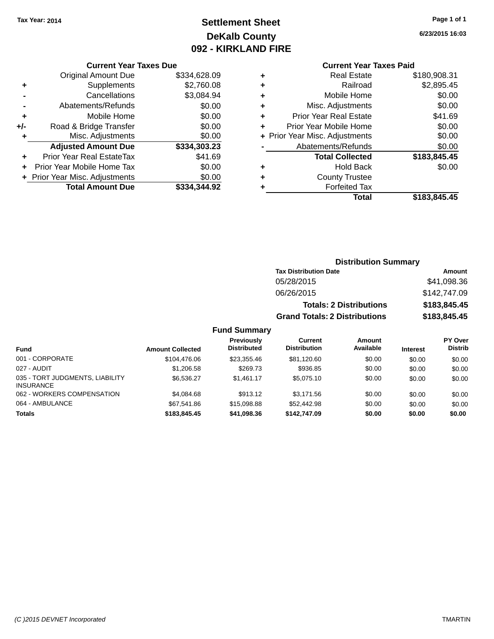# **Settlement Sheet Tax Year: 2014 Page 1 of 1 DeKalb County 092 - KIRKLAND FIRE**

**6/23/2015 16:03**

#### **Current Year Taxes Due**

|     | <b>Original Amount Due</b>       | \$334,628.09 |
|-----|----------------------------------|--------------|
| ٠   | Supplements                      | \$2,760.08   |
|     | Cancellations                    | \$3,084.94   |
|     | Abatements/Refunds               | \$0.00       |
| ٠   | Mobile Home                      | \$0.00       |
| +/- | Road & Bridge Transfer           | \$0.00       |
| ٠   | Misc. Adjustments                | \$0.00       |
|     | <b>Adjusted Amount Due</b>       | \$334,303.23 |
| ÷   | <b>Prior Year Real EstateTax</b> | \$41.69      |
|     | Prior Year Mobile Home Tax       | \$0.00       |
|     | + Prior Year Misc. Adjustments   | \$0.00       |
|     | <b>Total Amount Due</b>          | \$334.344.92 |

### **Current Year Taxes Paid**

| ٠ | <b>Real Estate</b>             | \$180,908.31 |
|---|--------------------------------|--------------|
| ٠ | Railroad                       | \$2,895.45   |
| ÷ | Mobile Home                    | \$0.00       |
| ٠ | Misc. Adjustments              | \$0.00       |
| ٠ | <b>Prior Year Real Estate</b>  | \$41.69      |
| ٠ | Prior Year Mobile Home         | \$0.00       |
|   | + Prior Year Misc. Adjustments | \$0.00       |
|   | Abatements/Refunds             | \$0.00       |
|   | <b>Total Collected</b>         | \$183,845.45 |
| ٠ | <b>Hold Back</b>               | \$0.00       |
| ٠ | <b>County Trustee</b>          |              |
| ٠ | <b>Forfeited Tax</b>           |              |
|   | Total                          | \$183,845.45 |
|   |                                |              |

### **Distribution Summary Tax Distribution Date Amount** 05/28/2015 \$41,098.36 06/26/2015 \$142,747.09 **Totals: 2 Distributions \$183,845.45 Grand Totals: 2 Distributions \$183,845.45**

| <b>Fund</b>                                         | <b>Amount Collected</b> | Previously<br><b>Distributed</b> | Current<br><b>Distribution</b> | Amount<br>Available | <b>Interest</b> | <b>PY Over</b><br><b>Distrib</b> |
|-----------------------------------------------------|-------------------------|----------------------------------|--------------------------------|---------------------|-----------------|----------------------------------|
| 001 - CORPORATE                                     | \$104,476.06            | \$23,355.46                      | \$81,120.60                    | \$0.00              | \$0.00          | \$0.00                           |
| 027 - AUDIT                                         | \$1,206.58              | \$269.73                         | \$936.85                       | \$0.00              | \$0.00          | \$0.00                           |
| 035 - TORT JUDGMENTS, LIABILITY<br><b>INSURANCE</b> | \$6.536.27              | \$1.461.17                       | \$5,075.10                     | \$0.00              | \$0.00          | \$0.00                           |
| 062 - WORKERS COMPENSATION                          | \$4.084.68              | \$913.12                         | \$3.171.56                     | \$0.00              | \$0.00          | \$0.00                           |
| 064 - AMBULANCE                                     | \$67.541.86             | \$15,098.88                      | \$52,442.98                    | \$0.00              | \$0.00          | \$0.00                           |
| <b>Totals</b>                                       | \$183,845,45            | \$41,098.36                      | \$142,747.09                   | \$0.00              | \$0.00          | \$0.00                           |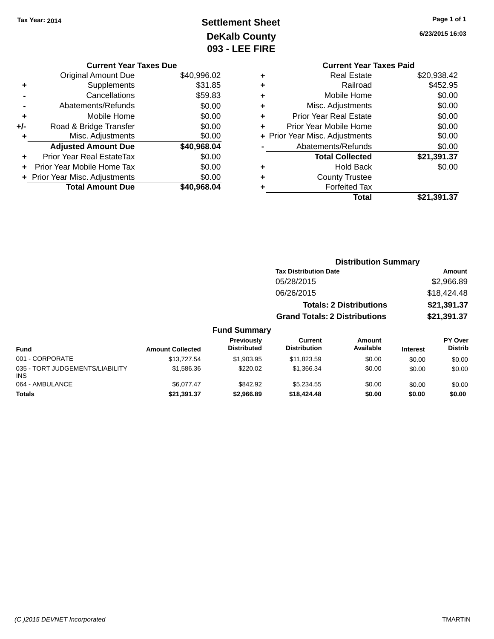# **Settlement Sheet Tax Year: 2014 Page 1 of 1 DeKalb County 093 - LEE FIRE**

**6/23/2015 16:03**

|       | <b>Current Year Taxes Due</b>  |             |
|-------|--------------------------------|-------------|
|       | <b>Original Amount Due</b>     | \$40,996.02 |
| ٠     | Supplements                    | \$31.85     |
|       | Cancellations                  | \$59.83     |
|       | Abatements/Refunds             | \$0.00      |
| ÷     | Mobile Home                    | \$0.00      |
| $+/-$ | Road & Bridge Transfer         | \$0.00      |
|       | Misc. Adjustments              | \$0.00      |
|       | <b>Adjusted Amount Due</b>     | \$40,968.04 |
|       | Prior Year Real EstateTax      | \$0.00      |
|       | Prior Year Mobile Home Tax     | \$0.00      |
|       | + Prior Year Misc. Adjustments | \$0.00      |
|       | <b>Total Amount Due</b>        | \$40,968,04 |
|       |                                |             |

|   | <b>Current Year Taxes Paid</b> |             |
|---|--------------------------------|-------------|
| ٠ | <b>Real Estate</b>             | \$20,938.42 |
|   | Railroad                       | \$452.95    |
| ٠ | Mobile Home                    | \$0.00      |
|   | Misc. Adjustments              | \$0.00      |
| ٠ | <b>Prior Year Real Estate</b>  | \$0.00      |
| ÷ | Prior Year Mobile Home         | \$0.00      |
|   | + Prior Year Misc. Adjustments | \$0.00      |
|   | Abatements/Refunds             | \$0.00      |
|   | <b>Total Collected</b>         | \$21,391.37 |
|   | Hold Back                      | \$0.00      |
|   | <b>County Trustee</b>          |             |
|   | <b>Forfeited Tax</b>           |             |
|   | Total                          | \$21,391.37 |
|   |                                |             |

|               |                                  |                                      | <b>Distribution Summary</b>    |                 |                                  |
|---------------|----------------------------------|--------------------------------------|--------------------------------|-----------------|----------------------------------|
|               |                                  | <b>Tax Distribution Date</b>         |                                |                 | Amount                           |
|               |                                  | 05/28/2015                           |                                |                 | \$2,966.89                       |
|               |                                  | 06/26/2015                           |                                |                 | \$18,424.48                      |
|               |                                  |                                      | <b>Totals: 2 Distributions</b> |                 | \$21,391.37                      |
|               |                                  | <b>Grand Totals: 2 Distributions</b> |                                |                 | \$21,391.37                      |
|               | <b>Fund Summary</b>              |                                      |                                |                 |                                  |
| nt Collected  | Previously<br><b>Distributed</b> | Current<br><b>Distribution</b>       | Amount<br>Available            | <b>Interest</b> | <b>PY Over</b><br><b>Distrib</b> |
| $Q$ 12 707 51 | 0.100205                         | <b>C<sub>11</sub></b> 002 50         | en on                          | 0000            | 0000                             |

| <b>Fund</b>                                   | <b>Amount Collected</b> | .<br><b>Distributed</b> | ------<br><b>Distribution</b> | ________<br>Available | <b>Interest</b> | .<br><b>Distrib</b> |
|-----------------------------------------------|-------------------------|-------------------------|-------------------------------|-----------------------|-----------------|---------------------|
| 001 - CORPORATE                               | \$13,727.54             | \$1,903.95              | \$11,823.59                   | \$0.00                | \$0.00          | \$0.00              |
| 035 - TORT JUDGEMENTS/LIABILITY<br><b>INS</b> | \$1.586.36              | \$220.02                | \$1,366,34                    | \$0.00                | \$0.00          | \$0.00              |
| 064 - AMBULANCE                               | \$6.077.47              | \$842.92                | \$5.234.55                    | \$0.00                | \$0.00          | \$0.00              |
| <b>Totals</b>                                 | \$21,391.37             | \$2,966.89              | \$18,424,48                   | \$0.00                | \$0.00          | \$0.00              |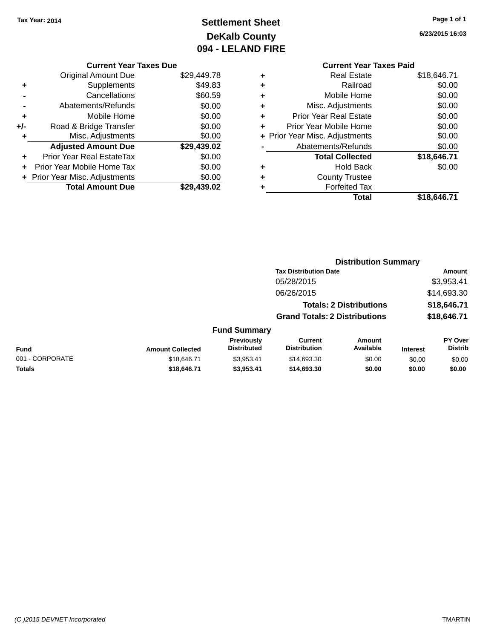# **Settlement Sheet Tax Year: 2014 Page 1 of 1 DeKalb County 094 - LELAND FIRE**

**6/23/2015 16:03**

### **Current Year Taxes Due**

|       | <b>Original Amount Due</b>       | \$29,449.78 |
|-------|----------------------------------|-------------|
| ÷     | Supplements                      | \$49.83     |
|       | Cancellations                    | \$60.59     |
|       | Abatements/Refunds               | \$0.00      |
| ٠     | Mobile Home                      | \$0.00      |
| $+/-$ | Road & Bridge Transfer           | \$0.00      |
|       | Misc. Adjustments                | \$0.00      |
|       | <b>Adjusted Amount Due</b>       | \$29,439.02 |
|       | <b>Prior Year Real EstateTax</b> | \$0.00      |
|       | Prior Year Mobile Home Tax       | \$0.00      |
|       | + Prior Year Misc. Adjustments   | \$0.00      |
|       | <b>Total Amount Due</b>          | \$29.439.02 |

|   | <b>Current Year Taxes Paid</b> |             |
|---|--------------------------------|-------------|
| ٠ | <b>Real Estate</b>             | \$18,646.71 |
| ٠ | Railroad                       | \$0.00      |
| ٠ | Mobile Home                    | \$0.00      |
| ٠ | Misc. Adjustments              | \$0.00      |
| ٠ | <b>Prior Year Real Estate</b>  | \$0.00      |
| ÷ | Prior Year Mobile Home         | \$0.00      |
|   | + Prior Year Misc. Adjustments | \$0.00      |
|   | Abatements/Refunds             | \$0.00      |
|   | <b>Total Collected</b>         | \$18,646.71 |
| ٠ | <b>Hold Back</b>               | \$0.00      |
| ٠ | <b>County Trustee</b>          |             |
|   | <b>Forfeited Tax</b>           |             |
|   | Total                          | \$18,646.71 |
|   |                                |             |

|                 |                         |                                         | <b>Distribution Summary</b>           |                                |                 |                           |
|-----------------|-------------------------|-----------------------------------------|---------------------------------------|--------------------------------|-----------------|---------------------------|
|                 |                         |                                         | <b>Tax Distribution Date</b>          |                                |                 | <b>Amount</b>             |
|                 |                         |                                         | 05/28/2015                            |                                |                 | \$3,953.41                |
|                 |                         |                                         | 06/26/2015                            |                                |                 | \$14,693.30               |
|                 |                         |                                         |                                       | <b>Totals: 2 Distributions</b> |                 | \$18,646.71               |
|                 |                         |                                         | <b>Grand Totals: 2 Distributions</b>  |                                |                 | \$18,646.71               |
|                 |                         | <b>Fund Summary</b>                     |                                       |                                |                 |                           |
| <b>Fund</b>     | <b>Amount Collected</b> | <b>Previously</b><br><b>Distributed</b> | <b>Current</b><br><b>Distribution</b> | Amount<br>Available            | <b>Interest</b> | PY Over<br><b>Distrib</b> |
| 001 - CORPORATE | \$18,646.71             | \$3,953.41                              | \$14,693.30                           | \$0.00                         | \$0.00          | \$0.00                    |
| <b>Totals</b>   | \$18,646.71             | \$3,953.41                              | \$14,693.30                           | \$0.00                         | \$0.00          | \$0.00                    |
|                 |                         |                                         |                                       |                                |                 |                           |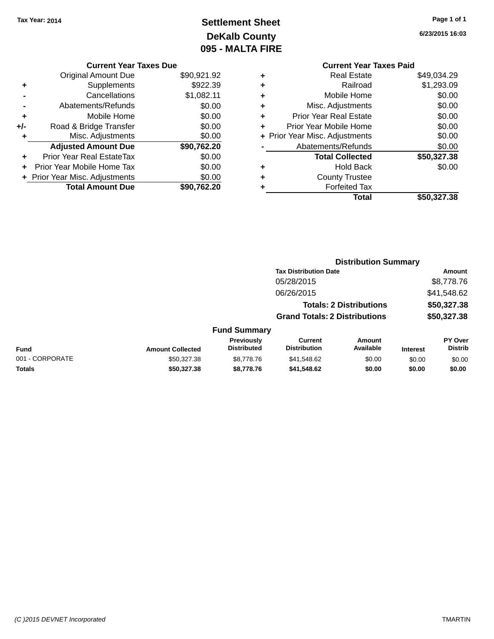# **Settlement Sheet Tax Year: 2014 Page 1 of 1 DeKalb County 095 - MALTA FIRE**

**6/23/2015 16:03**

|   | <b>Current Year Taxes Paid</b> |             |
|---|--------------------------------|-------------|
| ٠ | <b>Real Estate</b>             | \$49,034.29 |
| ٠ | Railroad                       | \$1,293.09  |
| ٠ | Mobile Home                    | \$0.00      |
| ٠ | Misc. Adjustments              | \$0.00      |
| ٠ | <b>Prior Year Real Estate</b>  | \$0.00      |
| ÷ | Prior Year Mobile Home         | \$0.00      |
|   | + Prior Year Misc. Adjustments | \$0.00      |
|   | Abatements/Refunds             | \$0.00      |
|   | <b>Total Collected</b>         | \$50,327.38 |
| ٠ | Hold Back                      | \$0.00      |
|   | <b>County Trustee</b>          |             |
| ٠ | <b>Forfeited Tax</b>           |             |
|   | Total                          | \$50.327.38 |
|   |                                |             |

|     | <b>Current Year Taxes Due</b>  |             |
|-----|--------------------------------|-------------|
|     | <b>Original Amount Due</b>     | \$90,921.92 |
| ٠   | Supplements                    | \$922.39    |
|     | Cancellations                  | \$1,082.11  |
|     | Abatements/Refunds             | \$0.00      |
| ٠   | Mobile Home                    | \$0.00      |
| +/- | Road & Bridge Transfer         | \$0.00      |
| ٠   | Misc. Adjustments              | \$0.00      |
|     | <b>Adjusted Amount Due</b>     | \$90,762.20 |
|     | Prior Year Real EstateTax      | \$0.00      |
|     | Prior Year Mobile Home Tax     | \$0.00      |
|     | + Prior Year Misc. Adjustments | \$0.00      |
|     | <b>Total Amount Due</b>        | \$90.762.20 |

|                 |                         |                                  | <b>Distribution Summary</b>           |                            |                 |                           |  |  |
|-----------------|-------------------------|----------------------------------|---------------------------------------|----------------------------|-----------------|---------------------------|--|--|
|                 |                         |                                  | <b>Tax Distribution Date</b>          |                            |                 | Amount                    |  |  |
|                 |                         |                                  | 05/28/2015                            |                            |                 | \$8,778.76                |  |  |
|                 |                         |                                  | 06/26/2015                            |                            |                 | \$41,548.62               |  |  |
|                 |                         |                                  | <b>Totals: 2 Distributions</b>        |                            | \$50,327.38     |                           |  |  |
|                 |                         |                                  | <b>Grand Totals: 2 Distributions</b>  |                            |                 | \$50,327.38               |  |  |
|                 |                         | <b>Fund Summary</b>              |                                       |                            |                 |                           |  |  |
| Fund            | <b>Amount Collected</b> | Previously<br><b>Distributed</b> | <b>Current</b><br><b>Distribution</b> | <b>Amount</b><br>Available | <b>Interest</b> | PY Over<br><b>Distrib</b> |  |  |
| 001 - CORPORATE | \$50.327.38             | \$8,778,76                       | \$41,548.62                           | \$0.00                     | \$0.00          | \$0.00                    |  |  |
| <b>Totals</b>   | \$50,327.38             | \$8,778.76                       | \$41,548.62                           | \$0.00                     | \$0.00          | \$0.00                    |  |  |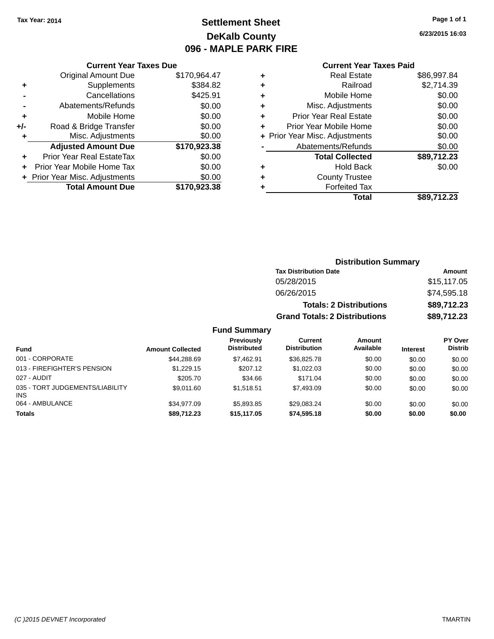# **Settlement Sheet Tax Year: 2014 Page 1 of 1 DeKalb County 096 - MAPLE PARK FIRE**

**6/23/2015 16:03**

#### **Current Year Taxes Paid**

| <b>Current Year Taxes Due</b>  |              |
|--------------------------------|--------------|
| <b>Original Amount Due</b>     | \$170,964.47 |
| Supplements                    | \$384.82     |
| Cancellations                  | \$425.91     |
| Abatements/Refunds             | \$0.00       |
| Mobile Home                    | \$0.00       |
| Road & Bridge Transfer         | \$0.00       |
| Misc. Adjustments              | \$0.00       |
| <b>Adjusted Amount Due</b>     | \$170,923.38 |
| Prior Year Real EstateTax      | \$0.00       |
| Prior Year Mobile Home Tax     | \$0.00       |
| + Prior Year Misc. Adjustments | \$0.00       |
| <b>Total Amount Due</b>        | \$170,923,38 |
|                                |              |

| ٠ | <b>Real Estate</b>             | \$86,997.84 |
|---|--------------------------------|-------------|
| ٠ | Railroad                       | \$2,714.39  |
| ٠ | Mobile Home                    | \$0.00      |
| ٠ | Misc. Adjustments              | \$0.00      |
| ٠ | <b>Prior Year Real Estate</b>  | \$0.00      |
| ٠ | Prior Year Mobile Home         | \$0.00      |
|   | + Prior Year Misc. Adjustments | \$0.00      |
|   | Abatements/Refunds             | \$0.00      |
|   | <b>Total Collected</b>         | \$89,712.23 |
| ٠ | Hold Back                      | \$0.00      |
| ٠ | <b>County Trustee</b>          |             |
|   | <b>Forfeited Tax</b>           |             |
|   | Total                          | \$89.712.23 |
|   |                                |             |

### **Distribution Summary Tax Distribution Date Amount** 05/28/2015 \$15,117.05 06/26/2015 \$74,595.18 **Totals: 2 Distributions \$89,712.23 Grand Totals: 2 Distributions \$89,712.23**

| <b>Fund</b>                             | <b>Amount Collected</b> | Previously<br><b>Distributed</b> | Current<br><b>Distribution</b> | Amount<br>Available | <b>Interest</b> | <b>PY Over</b><br><b>Distrib</b> |
|-----------------------------------------|-------------------------|----------------------------------|--------------------------------|---------------------|-----------------|----------------------------------|
| 001 - CORPORATE                         | \$44.288.69             | \$7.462.91                       | \$36,825.78                    | \$0.00              | \$0.00          | \$0.00                           |
| 013 - FIREFIGHTER'S PENSION             | \$1.229.15              | \$207.12                         | \$1,022,03                     | \$0.00              | \$0.00          | \$0.00                           |
| 027 - AUDIT                             | \$205.70                | \$34.66                          | \$171.04                       | \$0.00              | \$0.00          | \$0.00                           |
| 035 - TORT JUDGEMENTS/LIABILITY<br>INS. | \$9.011.60              | \$1.518.51                       | \$7,493.09                     | \$0.00              | \$0.00          | \$0.00                           |
| 064 - AMBULANCE                         | \$34.977.09             | \$5.893.85                       | \$29.083.24                    | \$0.00              | \$0.00          | \$0.00                           |
| <b>Totals</b>                           | \$89.712.23             | \$15,117.05                      | \$74.595.18                    | \$0.00              | \$0.00          | \$0.00                           |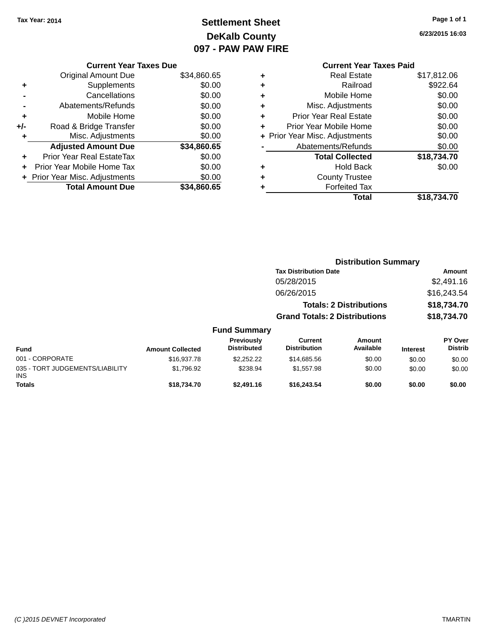# **Settlement Sheet Tax Year: 2014 Page 1 of 1 DeKalb County 097 - PAW PAW FIRE**

**6/23/2015 16:03**

|     | <b>Current Year Taxes Due</b>  |             |
|-----|--------------------------------|-------------|
|     | <b>Original Amount Due</b>     | \$34,860.65 |
| ٠   | Supplements                    | \$0.00      |
|     | Cancellations                  | \$0.00      |
|     | Abatements/Refunds             | \$0.00      |
| ٠   | Mobile Home                    | \$0.00      |
| +/- | Road & Bridge Transfer         | \$0.00      |
|     | Misc. Adjustments              | \$0.00      |
|     | <b>Adjusted Amount Due</b>     | \$34,860.65 |
| ÷   | Prior Year Real EstateTax      | \$0.00      |
| ٠   | Prior Year Mobile Home Tax     | \$0.00      |
|     | + Prior Year Misc. Adjustments | \$0.00      |
|     | <b>Total Amount Due</b>        | \$34,860.65 |
|     |                                |             |

|   | <b>Current Year Taxes Paid</b> |             |
|---|--------------------------------|-------------|
| ٠ | Real Estate                    | \$17,812.06 |
| ٠ | Railroad                       | \$922.64    |
| ٠ | Mobile Home                    | \$0.00      |
| ٠ | Misc. Adjustments              | \$0.00      |
| ٠ | <b>Prior Year Real Estate</b>  | \$0.00      |
| ÷ | Prior Year Mobile Home         | \$0.00      |
|   | + Prior Year Misc. Adjustments | \$0.00      |
|   | Abatements/Refunds             | \$0.00      |
|   | <b>Total Collected</b>         | \$18,734.70 |
| ٠ | <b>Hold Back</b>               | \$0.00      |
| ٠ | <b>County Trustee</b>          |             |
|   | <b>Forfeited Tax</b>           |             |
|   | <b>Total</b>                   | \$18,734.70 |

|                                               |                         |                                  | <b>Distribution Summary</b>          |                                |                 |                                  |
|-----------------------------------------------|-------------------------|----------------------------------|--------------------------------------|--------------------------------|-----------------|----------------------------------|
|                                               |                         |                                  | <b>Tax Distribution Date</b>         |                                |                 | <b>Amount</b>                    |
|                                               |                         |                                  | 05/28/2015                           |                                |                 | \$2,491.16                       |
|                                               |                         |                                  | 06/26/2015                           |                                |                 | \$16,243.54                      |
|                                               |                         |                                  |                                      | <b>Totals: 2 Distributions</b> |                 | \$18,734.70                      |
|                                               |                         |                                  | <b>Grand Totals: 2 Distributions</b> |                                |                 | \$18,734.70                      |
|                                               |                         | <b>Fund Summary</b>              |                                      |                                |                 |                                  |
| <b>Fund</b>                                   | <b>Amount Collected</b> | Previously<br><b>Distributed</b> | Current<br><b>Distribution</b>       | <b>Amount</b><br>Available     | <b>Interest</b> | <b>PY Over</b><br><b>Distrib</b> |
| 001 - CORPORATE                               | \$16,937.78             | \$2,252.22                       | \$14,685.56                          | \$0.00                         | \$0.00          | \$0.00                           |
| 035 - TORT JUDGEMENTS/LIABILITY<br><b>INS</b> | \$1,796.92              | \$238.94                         | \$1,557.98                           | \$0.00                         | \$0.00          | \$0.00                           |
| <b>Totals</b>                                 | \$18,734.70             | \$2,491.16                       | \$16,243.54                          | \$0.00                         | \$0.00          | \$0.00                           |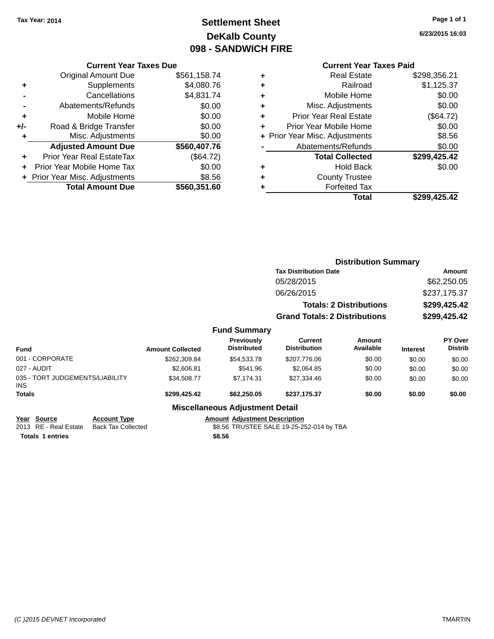# **Settlement Sheet Tax Year: 2014 Page 1 of 1 DeKalb County 098 - SANDWICH FIRE**

**6/23/2015 16:03**

### **Current Year Taxes Due**

|       | <b>Original Amount Due</b>     | \$561,158.74 |
|-------|--------------------------------|--------------|
| ٠     | Supplements                    | \$4,080.76   |
|       | Cancellations                  | \$4,831.74   |
|       | Abatements/Refunds             | \$0.00       |
| ٠     | Mobile Home                    | \$0.00       |
| $+/-$ | Road & Bridge Transfer         | \$0.00       |
|       | Misc. Adjustments              | \$0.00       |
|       | <b>Adjusted Amount Due</b>     | \$560,407.76 |
|       | Prior Year Real EstateTax      | (\$64.72)    |
|       | Prior Year Mobile Home Tax     | \$0.00       |
|       | + Prior Year Misc. Adjustments | \$8.56       |
|       | <b>Total Amount Due</b>        | \$560,351.60 |
|       |                                |              |

### **Current Year Taxes Paid**

| ٠ | <b>Real Estate</b>             | \$298,356.21 |
|---|--------------------------------|--------------|
| ٠ | Railroad                       | \$1,125.37   |
| ٠ | Mobile Home                    | \$0.00       |
| ٠ | Misc. Adjustments              | \$0.00       |
| ٠ | <b>Prior Year Real Estate</b>  | (\$64.72)    |
| ٠ | Prior Year Mobile Home         | \$0.00       |
|   | + Prior Year Misc. Adjustments | \$8.56       |
|   | Abatements/Refunds             | \$0.00       |
|   | <b>Total Collected</b>         | \$299,425.42 |
| ٠ | <b>Hold Back</b>               | \$0.00       |
| ٠ | <b>County Trustee</b>          |              |
| ٠ | <b>Forfeited Tax</b>           |              |
|   | Total                          | \$299,425.42 |
|   |                                |              |

|                                         |              |                         |                                        |                                       | <b>Distribution Summary</b>    |                 |                           |
|-----------------------------------------|--------------|-------------------------|----------------------------------------|---------------------------------------|--------------------------------|-----------------|---------------------------|
|                                         |              |                         |                                        | <b>Tax Distribution Date</b>          |                                |                 | Amount                    |
|                                         |              |                         |                                        | 05/28/2015                            |                                |                 | \$62,250.05               |
|                                         |              |                         |                                        | 06/26/2015                            |                                |                 | \$237,175.37              |
|                                         |              |                         |                                        |                                       | <b>Totals: 2 Distributions</b> | \$299,425.42    |                           |
|                                         |              |                         |                                        | <b>Grand Totals: 2 Distributions</b>  |                                |                 | \$299,425.42              |
|                                         |              |                         | <b>Fund Summary</b>                    |                                       |                                |                 |                           |
| <b>Fund</b>                             |              | <b>Amount Collected</b> | Previously<br><b>Distributed</b>       | <b>Current</b><br><b>Distribution</b> | <b>Amount</b><br>Available     | <b>Interest</b> | PY Over<br><b>Distrib</b> |
| 001 - CORPORATE                         |              | \$262,309.84            | \$54,533.78                            | \$207,776.06                          | \$0.00                         | \$0.00          | \$0.00                    |
| 027 - AUDIT                             |              | \$2,606.81              | \$541.96                               | \$2,064.85                            | \$0.00                         | \$0.00          | \$0.00                    |
| 035 - TORT JUDGEMENTS/LIABILITY<br>INS. |              | \$34,508.77             | \$7,174.31                             | \$27,334.46                           | \$0.00                         | \$0.00          | \$0.00                    |
| <b>Totals</b>                           |              | \$299,425.42            | \$62,250.05                            | \$237,175.37                          | \$0.00                         | \$0.00          | \$0.00                    |
|                                         |              |                         | <b>Miscellaneous Adjustment Detail</b> |                                       |                                |                 |                           |
| Voor Course                             | Account Tung |                         | Amount, Adjustment Description         |                                       |                                |                 |                           |

| Year Source           | <b>Account Type</b> |        | <b>Amount Adjustment Description</b>     |
|-----------------------|---------------------|--------|------------------------------------------|
| 2013 RE - Real Estate | Back Tax Collected  |        | \$8.56 TRUSTEE SALE 19-25-252-014 by TBA |
| Totals 1 entries      |                     | \$8.56 |                                          |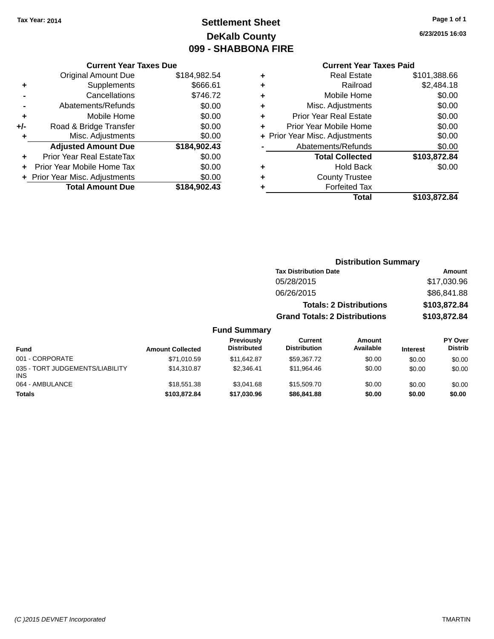# **Settlement Sheet Tax Year: 2014 Page 1 of 1 DeKalb County 099 - SHABBONA FIRE**

**6/23/2015 16:03**

#### **Current Year Taxes Due**

|     | <b>Original Amount Due</b>       | \$184,982.54 |
|-----|----------------------------------|--------------|
| ٠   | Supplements                      | \$666.61     |
|     | Cancellations                    | \$746.72     |
|     | Abatements/Refunds               | \$0.00       |
| ٠   | Mobile Home                      | \$0.00       |
| +/- | Road & Bridge Transfer           | \$0.00       |
| ٠   | Misc. Adjustments                | \$0.00       |
|     | <b>Adjusted Amount Due</b>       | \$184,902.43 |
|     | <b>Prior Year Real EstateTax</b> | \$0.00       |
|     | Prior Year Mobile Home Tax       | \$0.00       |
|     | + Prior Year Misc. Adjustments   | \$0.00       |
|     | <b>Total Amount Due</b>          | \$184.902.43 |

### **Current Year Taxes Paid**

| ٠ | <b>Real Estate</b>             | \$101,388.66 |
|---|--------------------------------|--------------|
| ٠ | Railroad                       | \$2,484.18   |
| ٠ | Mobile Home                    | \$0.00       |
| ٠ | Misc. Adjustments              | \$0.00       |
| ٠ | <b>Prior Year Real Estate</b>  | \$0.00       |
| ٠ | Prior Year Mobile Home         | \$0.00       |
|   | + Prior Year Misc. Adjustments | \$0.00       |
|   | Abatements/Refunds             | \$0.00       |
|   | <b>Total Collected</b>         | \$103,872.84 |
| ٠ | <b>Hold Back</b>               | \$0.00       |
| ٠ | <b>County Trustee</b>          |              |
| ٠ | <b>Forfeited Tax</b>           |              |
|   | Total                          | \$103,872.84 |
|   |                                |              |

### **Distribution Summary Tax Distribution Date Amount** 05/28/2015 \$17,030.96 06/26/2015 \$86,841.88 **Totals: 2 Distributions \$103,872.84 Grand Totals: 2 Distributions \$103,872.84**

| <b>Fund</b>                                   | <b>Amount Collected</b> | <b>Previously</b><br><b>Distributed</b> | Current<br><b>Distribution</b> | Amount<br>Available | <b>Interest</b> | PY Over<br><b>Distrib</b> |
|-----------------------------------------------|-------------------------|-----------------------------------------|--------------------------------|---------------------|-----------------|---------------------------|
| 001 - CORPORATE                               | \$71.010.59             | \$11.642.87                             | \$59.367.72                    | \$0.00              | \$0.00          | \$0.00                    |
| 035 - TORT JUDGEMENTS/LIABILITY<br><b>INS</b> | \$14,310.87             | \$2.346.41                              | \$11.964.46                    | \$0.00              | \$0.00          | \$0.00                    |
| 064 - AMBULANCE                               | \$18,551.38             | \$3.041.68                              | \$15,509.70                    | \$0.00              | \$0.00          | \$0.00                    |
| <b>Totals</b>                                 | \$103,872,84            | \$17,030.96                             | \$86,841,88                    | \$0.00              | \$0.00          | \$0.00                    |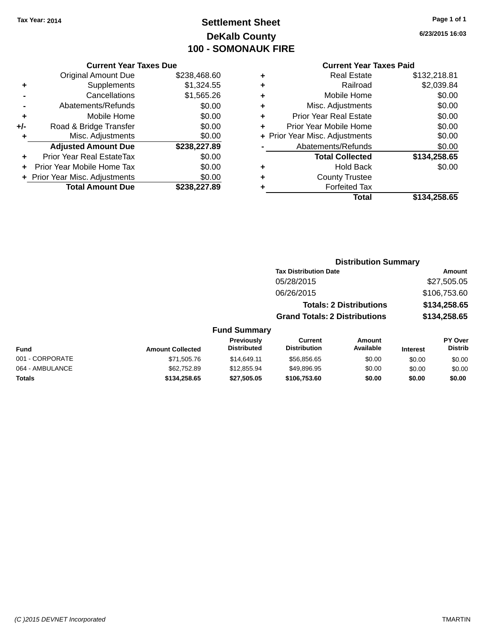# **Settlement Sheet Tax Year: 2014 Page 1 of 1 DeKalb County 100 - SOMONAUK FIRE**

**6/23/2015 16:03**

#### **Current Year Taxes Paid**

|     | <b>Current Year Taxes Due</b>  |              |
|-----|--------------------------------|--------------|
|     | <b>Original Amount Due</b>     | \$238,468.60 |
| ٠   | Supplements                    | \$1,324.55   |
|     | Cancellations                  | \$1,565.26   |
|     | Abatements/Refunds             | \$0.00       |
| ٠   | Mobile Home                    | \$0.00       |
| +/- | Road & Bridge Transfer         | \$0.00       |
| ٠   | Misc. Adjustments              | \$0.00       |
|     | <b>Adjusted Amount Due</b>     | \$238,227.89 |
| ÷   | Prior Year Real EstateTax      | \$0.00       |
|     | Prior Year Mobile Home Tax     | \$0.00       |
|     | + Prior Year Misc. Adjustments | \$0.00       |
|     | <b>Total Amount Due</b>        | \$238.227.89 |

| ٠ | <b>Real Estate</b>             | \$132,218.81 |
|---|--------------------------------|--------------|
| ٠ | Railroad                       | \$2,039.84   |
| ٠ | Mobile Home                    | \$0.00       |
| ٠ | Misc. Adjustments              | \$0.00       |
| ٠ | <b>Prior Year Real Estate</b>  | \$0.00       |
| ٠ | Prior Year Mobile Home         | \$0.00       |
|   | + Prior Year Misc. Adjustments | \$0.00       |
|   | Abatements/Refunds             | \$0.00       |
|   | <b>Total Collected</b>         | \$134,258.65 |
| ٠ | Hold Back                      | \$0.00       |
| ٠ | <b>County Trustee</b>          |              |
| ٠ | <b>Forfeited Tax</b>           |              |
|   | Total                          | \$134.258.65 |
|   |                                |              |

### **Distribution Summary Tax Distribution Date Amount** 05/28/2015 \$27,505.05 06/26/2015 \$106,753.60 **Totals: 2 Distributions \$134,258.65 Grand Totals: 2 Distributions \$134,258.65 Fund Summary**

#### **Fund Interest Amount Collected Distributed PY Over Distrib Amount Available Current Distribution Previously** 001 - CORPORATE \$71,505.76 \$14,649.11 \$56,856.65 \$0.00 \$0.00 \$0.00 064 - AMBULANCE 6 (\$62,752.89 \$12,855.94 \$49,896.95 \$0.00 \$0.00 \$0.00 \$0.00 **Totals \$134,258.65 \$27,505.05 \$106,753.60 \$0.00 \$0.00 \$0.00**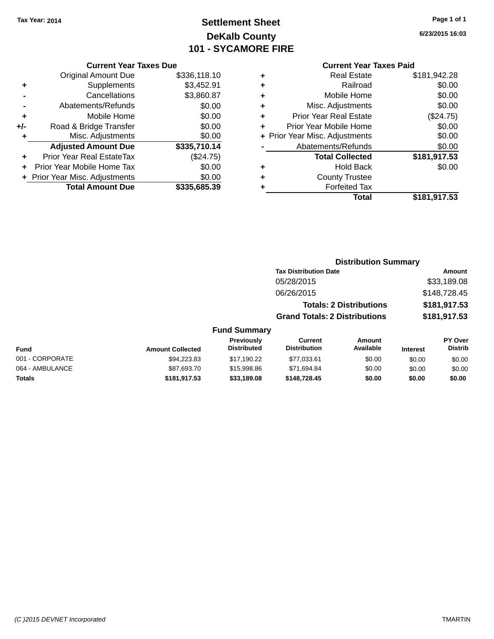# **Settlement Sheet Tax Year: 2014 Page 1 of 1 DeKalb County 101 - SYCAMORE FIRE**

**6/23/2015 16:03**

#### **Current Year Taxes Due**

|     | <b>Original Amount Due</b>     | \$336,118.10 |
|-----|--------------------------------|--------------|
| ٠   | Supplements                    | \$3,452.91   |
|     | Cancellations                  | \$3,860.87   |
|     | Abatements/Refunds             | \$0.00       |
| ٠   | Mobile Home                    | \$0.00       |
| +/- | Road & Bridge Transfer         | \$0.00       |
| ٠   | Misc. Adjustments              | \$0.00       |
|     | <b>Adjusted Amount Due</b>     | \$335,710.14 |
| ÷   | Prior Year Real EstateTax      | (\$24.75)    |
|     | Prior Year Mobile Home Tax     | \$0.00       |
|     | + Prior Year Misc. Adjustments | \$0.00       |
|     | <b>Total Amount Due</b>        | \$335,685.39 |

#### **Current Year Taxes Paid**

|   | Real Estate                    | \$181,942.28 |
|---|--------------------------------|--------------|
| ÷ | Railroad                       | \$0.00       |
| ٠ | Mobile Home                    | \$0.00       |
| ٠ | Misc. Adjustments              | \$0.00       |
| ٠ | <b>Prior Year Real Estate</b>  | (\$24.75)    |
| ٠ | Prior Year Mobile Home         | \$0.00       |
|   | + Prior Year Misc. Adjustments | \$0.00       |
|   | Abatements/Refunds             | \$0.00       |
|   | <b>Total Collected</b>         | \$181,917.53 |
| ٠ | <b>Hold Back</b>               | \$0.00       |
| ٠ | <b>County Trustee</b>          |              |
| ٠ | <b>Forfeited Tax</b>           |              |
|   | Total                          | \$181,917.53 |
|   |                                |              |

### **Distribution Summary Tax Distribution Date Amount** 05/28/2015 \$33,189.08 06/26/2015 \$148,728.45 **Totals: 2 Distributions \$181,917.53 Grand Totals: 2 Distributions \$181,917.53 Fund Summary**

| <b>Fund</b>     | <b>Amount Collected</b> | <b>Previously</b><br><b>Distributed</b> | Current<br><b>Distribution</b> | Amount<br>Available | <b>Interest</b> | <b>PY Over</b><br><b>Distrib</b> |
|-----------------|-------------------------|-----------------------------------------|--------------------------------|---------------------|-----------------|----------------------------------|
| 001 - CORPORATE | \$94,223.83             | \$17.190.22                             | \$77.033.61                    | \$0.00              | \$0.00          | \$0.00                           |
| 064 - AMBULANCE | \$87,693.70             | \$15,998.86                             | \$71.694.84                    | \$0.00              | \$0.00          | \$0.00                           |
| Totals          | \$181.917.53            | \$33,189,08                             | \$148,728.45                   | \$0.00              | \$0.00          | \$0.00                           |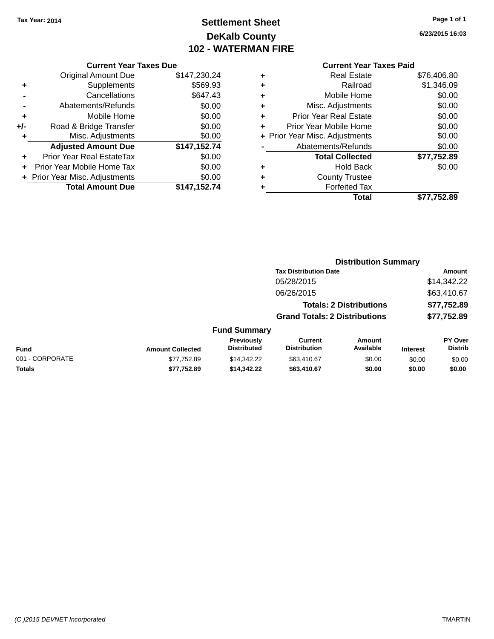# **Settlement Sheet Tax Year: 2014 Page 1 of 1 DeKalb County 102 - WATERMAN FIRE**

**6/23/2015 16:03**

| <b>Current Year Taxes Due</b> |  |  |
|-------------------------------|--|--|
|                               |  |  |

|     | <b>Original Amount Due</b>       | \$147,230.24 |
|-----|----------------------------------|--------------|
| ٠   | Supplements                      | \$569.93     |
|     | Cancellations                    | \$647.43     |
|     | Abatements/Refunds               | \$0.00       |
| ٠   | Mobile Home                      | \$0.00       |
| +/- | Road & Bridge Transfer           | \$0.00       |
| ٠   | Misc. Adjustments                | \$0.00       |
|     | <b>Adjusted Amount Due</b>       | \$147,152.74 |
| ÷   | <b>Prior Year Real EstateTax</b> | \$0.00       |
|     | Prior Year Mobile Home Tax       | \$0.00       |
|     | + Prior Year Misc. Adjustments   | \$0.00       |
|     | <b>Total Amount Due</b>          | \$147,152.74 |

# **Current Year Taxes Paid**

| ٠ | <b>Real Estate</b>             | \$76,406.80 |
|---|--------------------------------|-------------|
| ٠ | Railroad                       | \$1,346.09  |
| ٠ | Mobile Home                    | \$0.00      |
| ٠ | Misc. Adjustments              | \$0.00      |
| ٠ | <b>Prior Year Real Estate</b>  | \$0.00      |
| ٠ | Prior Year Mobile Home         | \$0.00      |
|   | + Prior Year Misc. Adjustments | \$0.00      |
|   | Abatements/Refunds             | \$0.00      |
|   | <b>Total Collected</b>         | \$77,752.89 |
| ٠ | <b>Hold Back</b>               | \$0.00      |
| ٠ | <b>County Trustee</b>          |             |
|   | <b>Forfeited Tax</b>           |             |
|   | Total                          | \$77,752.89 |
|   |                                |             |

|                 |                         | <b>Distribution Summary</b>      |                                      |                                |                 |                                  |
|-----------------|-------------------------|----------------------------------|--------------------------------------|--------------------------------|-----------------|----------------------------------|
|                 |                         |                                  | <b>Tax Distribution Date</b>         |                                |                 | Amount                           |
|                 |                         |                                  | 05/28/2015                           |                                |                 | \$14,342.22                      |
|                 |                         |                                  | 06/26/2015                           |                                |                 | \$63,410.67                      |
|                 |                         |                                  |                                      | <b>Totals: 2 Distributions</b> |                 | \$77,752.89                      |
|                 |                         |                                  | <b>Grand Totals: 2 Distributions</b> |                                |                 | \$77,752.89                      |
|                 |                         | <b>Fund Summary</b>              |                                      |                                |                 |                                  |
| <b>Fund</b>     | <b>Amount Collected</b> | Previously<br><b>Distributed</b> | Current<br><b>Distribution</b>       | Amount<br>Available            | <b>Interest</b> | <b>PY Over</b><br><b>Distrib</b> |
| 001 - CORPORATE | \$77,752.89             | \$14,342.22                      | \$63,410.67                          | \$0.00                         | \$0.00          | \$0.00                           |
| <b>Totals</b>   | \$77.752.89             | \$14,342,22                      | \$63,410.67                          | \$0.00                         | \$0.00          | \$0.00                           |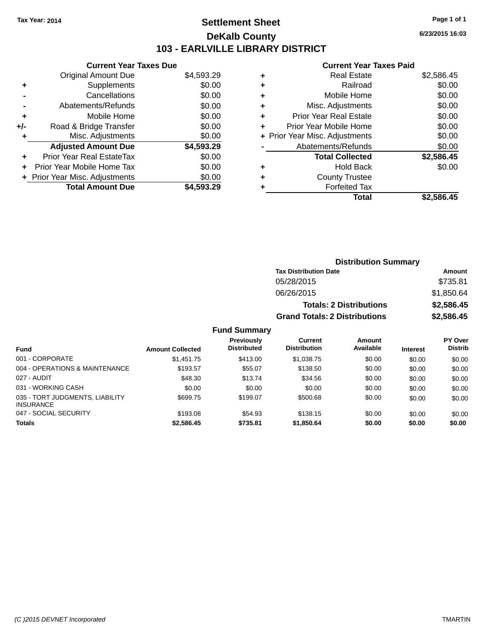# **Settlement Sheet Tax Year: 2014 Page 1 of 1 DeKalb County 103 - EARLVILLE LIBRARY DISTRICT**

**6/23/2015 16:03**

# **Current Year Taxes Paid**

| <b>Current Year Taxes Due</b>  |            |  |  |  |  |
|--------------------------------|------------|--|--|--|--|
| <b>Original Amount Due</b>     | \$4,593.29 |  |  |  |  |
| Supplements                    | \$0.00     |  |  |  |  |
| Cancellations                  | \$0.00     |  |  |  |  |
| Abatements/Refunds             | \$0.00     |  |  |  |  |
| Mobile Home                    | \$0.00     |  |  |  |  |
| Road & Bridge Transfer         | \$0.00     |  |  |  |  |
| Misc. Adjustments              | \$0.00     |  |  |  |  |
| <b>Adjusted Amount Due</b>     | \$4,593.29 |  |  |  |  |
| Prior Year Real EstateTax      | \$0.00     |  |  |  |  |
| Prior Year Mobile Home Tax     | \$0.00     |  |  |  |  |
| + Prior Year Misc. Adjustments | \$0.00     |  |  |  |  |
| <b>Total Amount Due</b>        | \$4.593.29 |  |  |  |  |
|                                |            |  |  |  |  |

| ٠ | <b>Real Estate</b>             | \$2,586.45 |
|---|--------------------------------|------------|
| ٠ | Railroad                       | \$0.00     |
| ٠ | Mobile Home                    | \$0.00     |
| ٠ | Misc. Adjustments              | \$0.00     |
| ٠ | <b>Prior Year Real Estate</b>  | \$0.00     |
| ٠ | Prior Year Mobile Home         | \$0.00     |
|   | + Prior Year Misc. Adjustments | \$0.00     |
|   | Abatements/Refunds             | \$0.00     |
|   | <b>Total Collected</b>         | \$2,586.45 |
| ٠ | <b>Hold Back</b>               | \$0.00     |
| ٠ | <b>County Trustee</b>          |            |
| ٠ | <b>Forfeited Tax</b>           |            |
|   | Total                          | \$2.586.45 |

| <b>Distribution Summary</b>          |            |  |  |
|--------------------------------------|------------|--|--|
| <b>Tax Distribution Date</b>         | Amount     |  |  |
| 05/28/2015                           | \$735.81   |  |  |
| 06/26/2015                           | \$1,850.64 |  |  |
| <b>Totals: 2 Distributions</b>       | \$2,586.45 |  |  |
| <b>Grand Totals: 2 Distributions</b> | \$2,586.45 |  |  |

| <b>Fund</b>                                         | <b>Amount Collected</b> | <b>Previously</b><br><b>Distributed</b> | Current<br><b>Distribution</b> | Amount<br>Available | <b>Interest</b> | <b>PY Over</b><br><b>Distrib</b> |
|-----------------------------------------------------|-------------------------|-----------------------------------------|--------------------------------|---------------------|-----------------|----------------------------------|
| 001 - CORPORATE                                     | \$1,451.75              | \$413.00                                | \$1,038.75                     | \$0.00              | \$0.00          | \$0.00                           |
| 004 - OPERATIONS & MAINTENANCE                      | \$193.57                | \$55.07                                 | \$138.50                       | \$0.00              | \$0.00          | \$0.00                           |
| 027 - AUDIT                                         | \$48.30                 | \$13.74                                 | \$34.56                        | \$0.00              | \$0.00          | \$0.00                           |
| 031 - WORKING CASH                                  | \$0.00                  | \$0.00                                  | \$0.00                         | \$0.00              | \$0.00          | \$0.00                           |
| 035 - TORT JUDGMENTS, LIABILITY<br><b>INSURANCE</b> | \$699.75                | \$199.07                                | \$500.68                       | \$0.00              | \$0.00          | \$0.00                           |
| 047 - SOCIAL SECURITY                               | \$193.08                | \$54.93                                 | \$138.15                       | \$0.00              | \$0.00          | \$0.00                           |
| <b>Totals</b>                                       | \$2,586.45              | \$735.81                                | \$1,850.64                     | \$0.00              | \$0.00          | \$0.00                           |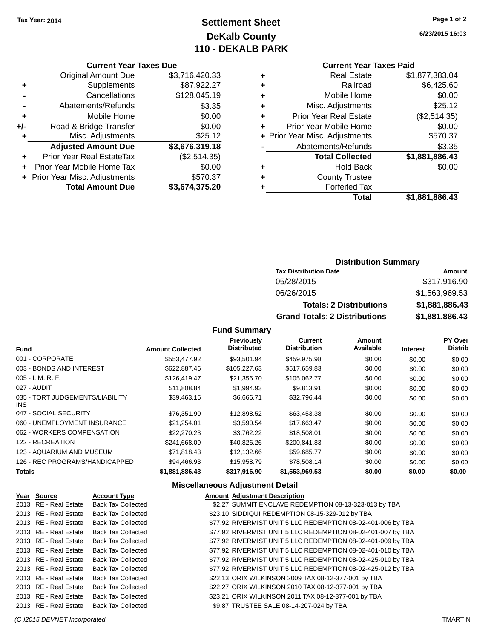# **Settlement Sheet Tax Year: 2014 Page 1 of 2 DeKalb County 110 - DEKALB PARK**

**6/23/2015 16:03**

|  | <b>Current Year Taxes Due</b> |  |  |  |
|--|-------------------------------|--|--|--|
|--|-------------------------------|--|--|--|

|     | <b>Original Amount Due</b>     | \$3,716,420.33 |
|-----|--------------------------------|----------------|
| ٠   | Supplements                    | \$87,922.27    |
|     | Cancellations                  | \$128,045.19   |
|     | Abatements/Refunds             | \$3.35         |
| ٠   | Mobile Home                    | \$0.00         |
| +/- | Road & Bridge Transfer         | \$0.00         |
| ٠   | Misc. Adjustments              | \$25.12        |
|     | <b>Adjusted Amount Due</b>     | \$3,676,319.18 |
| ÷   | Prior Year Real EstateTax      | (\$2,514.35)   |
|     | Prior Year Mobile Home Tax     | \$0.00         |
|     | + Prior Year Misc. Adjustments | \$570.37       |
|     | <b>Total Amount Due</b>        | \$3,674,375.20 |

### **Current Year Taxes Paid**

| ٠ | <b>Real Estate</b>             | \$1,877,383.04 |
|---|--------------------------------|----------------|
| ٠ | Railroad                       | \$6,425.60     |
| ٠ | Mobile Home                    | \$0.00         |
| ÷ | Misc. Adjustments              | \$25.12        |
| ٠ | <b>Prior Year Real Estate</b>  | (\$2,514.35)   |
| ÷ | Prior Year Mobile Home         | \$0.00         |
|   | + Prior Year Misc. Adjustments | \$570.37       |
|   | Abatements/Refunds             | \$3.35         |
|   | <b>Total Collected</b>         | \$1,881,886.43 |
| ٠ | <b>Hold Back</b>               | \$0.00         |
| ٠ | <b>County Trustee</b>          |                |
| ٠ | <b>Forfeited Tax</b>           |                |
|   | Total                          | \$1,881,886.43 |
|   |                                |                |

#### **Distribution Summary Tax Distribution Date Amount**

| Tax Distribution Date                | Amount         |
|--------------------------------------|----------------|
| 05/28/2015                           | \$317,916.90   |
| 06/26/2015                           | \$1,563,969.53 |
| <b>Totals: 2 Distributions</b>       | \$1,881,886.43 |
| <b>Grand Totals: 2 Distributions</b> | \$1,881,886.43 |

### **Fund Summary**

| <b>Fund</b>                             | <b>Amount Collected</b> | Previously<br><b>Distributed</b> | Current<br><b>Distribution</b> | Amount<br>Available | <b>Interest</b> | PY Over<br><b>Distrib</b> |
|-----------------------------------------|-------------------------|----------------------------------|--------------------------------|---------------------|-----------------|---------------------------|
| 001 - CORPORATE                         | \$553,477.92            | \$93.501.94                      | \$459,975.98                   | \$0.00              | \$0.00          | \$0.00                    |
| 003 - BONDS AND INTEREST                | \$622,887.46            | \$105,227.63                     | \$517,659.83                   | \$0.00              | \$0.00          | \$0.00                    |
| $005 - I. M. R. F.$                     | \$126,419,47            | \$21,356,70                      | \$105,062.77                   | \$0.00              | \$0.00          | \$0.00                    |
| 027 - AUDIT                             | \$11,808.84             | \$1,994.93                       | \$9.813.91                     | \$0.00              | \$0.00          | \$0.00                    |
| 035 - TORT JUDGEMENTS/LIABILITY<br>INS. | \$39,463.15             | \$6.666.71                       | \$32.796.44                    | \$0.00              | \$0.00          | \$0.00                    |
| 047 - SOCIAL SECURITY                   | \$76,351.90             | \$12,898.52                      | \$63,453.38                    | \$0.00              | \$0.00          | \$0.00                    |
| 060 - UNEMPLOYMENT INSURANCE            | \$21,254.01             | \$3,590.54                       | \$17,663.47                    | \$0.00              | \$0.00          | \$0.00                    |
| 062 - WORKERS COMPENSATION              | \$22,270.23             | \$3,762.22                       | \$18,508.01                    | \$0.00              | \$0.00          | \$0.00                    |
| 122 - RECREATION                        | \$241,668.09            | \$40,826.26                      | \$200,841.83                   | \$0.00              | \$0.00          | \$0.00                    |
| 123 - AQUARIUM AND MUSEUM               | \$71,818.43             | \$12,132.66                      | \$59,685.77                    | \$0.00              | \$0.00          | \$0.00                    |
| 126 - REC PROGRAMS/HANDICAPPED          | \$94,466.93             | \$15,958.79                      | \$78,508.14                    | \$0.00              | \$0.00          | \$0.00                    |
| <b>Totals</b>                           | \$1,881,886.43          | \$317,916.90                     | \$1,563,969.53                 | \$0.00              | \$0.00          | \$0.00                    |

### **Miscellaneous Adjustment Detail**

| Year Source           | <b>Account Type</b>       | <b>Amount Adjustment Description</b>                         |
|-----------------------|---------------------------|--------------------------------------------------------------|
| 2013 RE - Real Estate | <b>Back Tax Collected</b> | \$2.27 SUMMIT ENCLAVE REDEMPTION 08-13-323-013 by TBA        |
| 2013 RE - Real Estate | <b>Back Tax Collected</b> | \$23.10 SIDDIQUI REDEMPTION 08-15-329-012 by TBA             |
| 2013 RE - Real Estate | <b>Back Tax Collected</b> | \$77.92 RIVERMIST UNIT 5 LLC REDEMPTION 08-02-401-006 by TBA |
| 2013 RE - Real Estate | <b>Back Tax Collected</b> | \$77.92 RIVERMIST UNIT 5 LLC REDEMPTION 08-02-401-007 by TBA |
| 2013 RE - Real Estate | <b>Back Tax Collected</b> | \$77.92 RIVERMIST UNIT 5 LLC REDEMPTION 08-02-401-009 by TBA |
| 2013 RE - Real Estate | <b>Back Tax Collected</b> | \$77.92 RIVERMIST UNIT 5 LLC REDEMPTION 08-02-401-010 by TBA |
| 2013 RE - Real Estate | <b>Back Tax Collected</b> | \$77.92 RIVERMIST UNIT 5 LLC REDEMPTION 08-02-425-010 by TBA |
| 2013 RE - Real Estate | <b>Back Tax Collected</b> | \$77.92 RIVERMIST UNIT 5 LLC REDEMPTION 08-02-425-012 by TBA |
| 2013 RE - Real Estate | <b>Back Tax Collected</b> | \$22.13 ORIX WILKINSON 2009 TAX 08-12-377-001 by TBA         |
| 2013 RE - Real Estate | <b>Back Tax Collected</b> | \$22.27 ORIX WILKINSON 2010 TAX 08-12-377-001 by TBA         |
| 2013 RE - Real Estate | <b>Back Tax Collected</b> | \$23.21 ORIX WILKINSON 2011 TAX 08-12-377-001 by TBA         |
| 2013 RE - Real Estate | <b>Back Tax Collected</b> | \$9.87 TRUSTEE SALE 08-14-207-024 by TBA                     |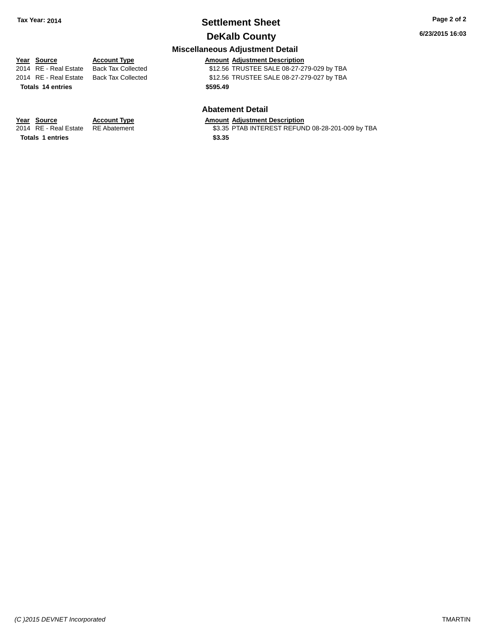# **Settlement Sheet Tax Year: 2014 Page 2 of 2**

**DeKalb County**

#### **Miscellaneous Adjustment Detail**

| Year Source         |
|---------------------|
| 2014 DE Dool Ectoto |

**Totals \$595.49 14 entries**

**Year Source Account Type Account Type Amount Adjustment Description**<br>2014 RE - Real Estate Back Tax Collected \$12.56 TRUSTEE SALE 08-27-27 \$12.56 TRUSTEE SALE 08-27-279-029 by TBA 2014 RE - Real Estate Back Tax Collected \$12.56 TRUSTEE SALE 08-27-279-027 by TBA

#### **Abatement Detail**

\$3.35 PTAB INTEREST REFUND 08-28-201-009 by TBA

**Year Source Account Type Amount Adjustment Description**<br>2014 RE - Real Estate RE Abatement \$3.35 PTAB INTEREST REFUN

**Totals 1 entries** \$3.35

*(C )2015 DEVNET Incorporated* TMARTIN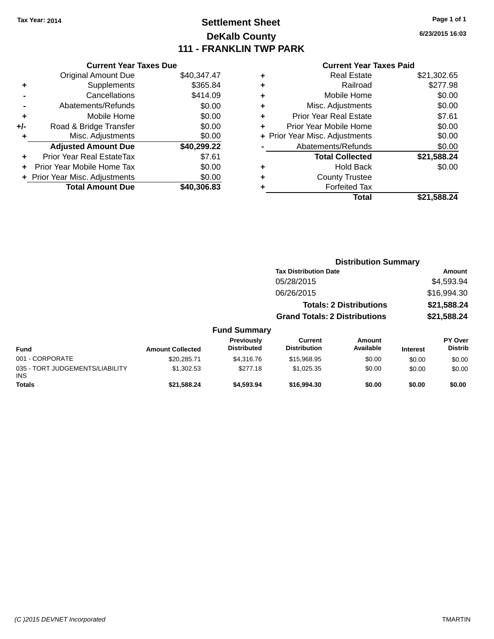# **Settlement Sheet Tax Year: 2014 Page 1 of 1 DeKalb County 111 - FRANKLIN TWP PARK**

**6/23/2015 16:03**

#### **Current Year Taxes Paid**

| <b>Current Year Taxes Due</b> |                                           |             |  |  |  |  |
|-------------------------------|-------------------------------------------|-------------|--|--|--|--|
|                               | <b>Original Amount Due</b><br>\$40,347.47 |             |  |  |  |  |
| ٠                             | Supplements                               | \$365.84    |  |  |  |  |
|                               | Cancellations                             | \$414.09    |  |  |  |  |
|                               | Abatements/Refunds                        | \$0.00      |  |  |  |  |
| ٠                             | Mobile Home                               | \$0.00      |  |  |  |  |
| +/-                           | Road & Bridge Transfer                    | \$0.00      |  |  |  |  |
| ٠                             | Misc. Adjustments                         | \$0.00      |  |  |  |  |
|                               | <b>Adjusted Amount Due</b>                | \$40,299.22 |  |  |  |  |
| ÷                             | Prior Year Real EstateTax                 | \$7.61      |  |  |  |  |
|                               | Prior Year Mobile Home Tax                | \$0.00      |  |  |  |  |
|                               | + Prior Year Misc. Adjustments            | \$0.00      |  |  |  |  |
|                               | <b>Total Amount Due</b>                   | \$40.306.83 |  |  |  |  |
|                               |                                           |             |  |  |  |  |

| ٠ | <b>Real Estate</b>             | \$21,302.65 |
|---|--------------------------------|-------------|
| ٠ | Railroad                       | \$277.98    |
| ٠ | Mobile Home                    | \$0.00      |
| ٠ | Misc. Adjustments              | \$0.00      |
| ٠ | <b>Prior Year Real Estate</b>  | \$7.61      |
|   | Prior Year Mobile Home         | \$0.00      |
|   | + Prior Year Misc. Adjustments | \$0.00      |
|   | Abatements/Refunds             | \$0.00      |
|   | <b>Total Collected</b>         | \$21,588.24 |
| ٠ | Hold Back                      | \$0.00      |
| ٠ | <b>County Trustee</b>          |             |
| ٠ | <b>Forfeited Tax</b>           |             |
|   | Total                          | \$21,588.24 |
|   |                                |             |

|                                 |                         |                                  | <b>Distribution Summary</b>           |                                |                 |                           |  |
|---------------------------------|-------------------------|----------------------------------|---------------------------------------|--------------------------------|-----------------|---------------------------|--|
|                                 |                         |                                  | <b>Tax Distribution Date</b>          |                                | Amount          |                           |  |
|                                 |                         |                                  | 05/28/2015                            |                                |                 | \$4,593.94                |  |
|                                 |                         |                                  | 06/26/2015                            |                                |                 | \$16,994.30               |  |
|                                 |                         |                                  |                                       | <b>Totals: 2 Distributions</b> |                 | \$21,588.24               |  |
|                                 |                         |                                  | <b>Grand Totals: 2 Distributions</b>  |                                |                 | \$21,588.24               |  |
|                                 |                         | <b>Fund Summary</b>              |                                       |                                |                 |                           |  |
| <b>Fund</b>                     | <b>Amount Collected</b> | Previously<br><b>Distributed</b> | <b>Current</b><br><b>Distribution</b> | Amount<br>Available            | <b>Interest</b> | PY Over<br><b>Distrib</b> |  |
| 001 - CORPORATE                 | \$20,285.71             | \$4,316,76                       | \$15,968.95                           | \$0.00                         | \$0.00          | \$0.00                    |  |
| 035 - TORT JUDGEMENTS/LIABILITY | \$1,302.53              | \$277.18                         | \$1,025.35                            | \$0.00                         | \$0.00          | \$0.00                    |  |

**Totals \$21,588.24 \$4,593.94 \$16,994.30 \$0.00 \$0.00 \$0.00**

INS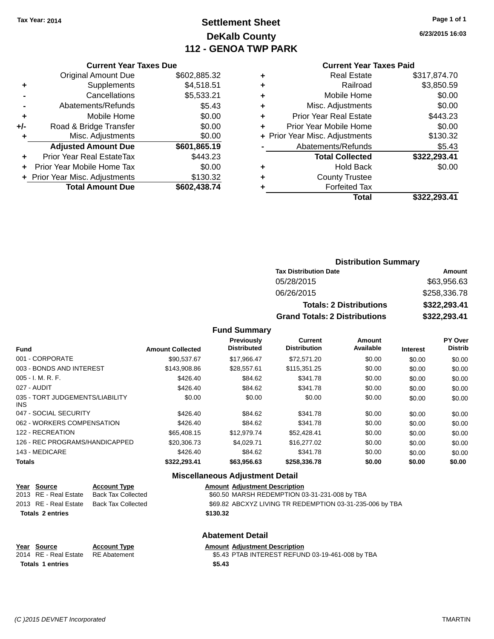# **Settlement Sheet Tax Year: 2014 Page 1 of 1 DeKalb County 112 - GENOA TWP PARK**

**6/23/2015 16:03**

#### **Current Year Taxes Paid**

|     | <b>Original Amount Due</b>       | \$602,885.32 |
|-----|----------------------------------|--------------|
|     | Supplements                      | \$4,518.51   |
|     | Cancellations                    | \$5,533.21   |
|     | Abatements/Refunds               | \$5.43       |
| ÷   | Mobile Home                      | \$0.00       |
| +/- | Road & Bridge Transfer           | \$0.00       |
|     | Misc. Adjustments                | \$0.00       |
|     | <b>Adjusted Amount Due</b>       | \$601,865.19 |
|     | <b>Prior Year Real EstateTax</b> | \$443.23     |
|     | Prior Year Mobile Home Tax       | \$0.00       |
|     | + Prior Year Misc. Adjustments   | \$130.32     |
|     | <b>Total Amount Due</b>          | \$602,438.74 |
|     |                                  |              |

**Current Year Taxes Due**

| <b>Real Estate</b>             | \$317,874.70 |
|--------------------------------|--------------|
| Railroad                       | \$3,850.59   |
| Mobile Home                    | \$0.00       |
| Misc. Adjustments              | \$0.00       |
| <b>Prior Year Real Estate</b>  | \$443.23     |
| Prior Year Mobile Home         | \$0.00       |
| + Prior Year Misc. Adjustments | \$130.32     |
| Abatements/Refunds             | \$5.43       |
| <b>Total Collected</b>         | \$322,293.41 |
| Hold Back                      | \$0.00       |
| <b>County Trustee</b>          |              |
| <b>Forfeited Tax</b>           |              |
| Total                          | \$322.293.41 |
|                                |              |

### **Distribution Summary Tax Distribution Date Amount** 05/28/2015 \$63,956.63 06/26/2015 \$258,336.78 **Totals: 2 Distributions \$322,293.41 Grand Totals: 2 Distributions \$322,293.41**

#### **Fund Summary**

| Fund                                          | <b>Amount Collected</b> | Previously<br><b>Distributed</b> | Current<br><b>Distribution</b> | Amount<br>Available | <b>Interest</b> | PY Over<br><b>Distrib</b> |
|-----------------------------------------------|-------------------------|----------------------------------|--------------------------------|---------------------|-----------------|---------------------------|
| 001 - CORPORATE                               | \$90,537.67             | \$17,966.47                      | \$72,571.20                    | \$0.00              | \$0.00          | \$0.00                    |
| 003 - BONDS AND INTEREST                      | \$143,908.86            | \$28,557.61                      | \$115,351.25                   | \$0.00              | \$0.00          | \$0.00                    |
| $005 - I. M. R. F.$                           | \$426.40                | \$84.62                          | \$341.78                       | \$0.00              | \$0.00          | \$0.00                    |
| 027 - AUDIT                                   | \$426.40                | \$84.62                          | \$341.78                       | \$0.00              | \$0.00          | \$0.00                    |
| 035 - TORT JUDGEMENTS/LIABILITY<br><b>INS</b> | \$0.00                  | \$0.00                           | \$0.00                         | \$0.00              | \$0.00          | \$0.00                    |
| 047 - SOCIAL SECURITY                         | \$426.40                | \$84.62                          | \$341.78                       | \$0.00              | \$0.00          | \$0.00                    |
| 062 - WORKERS COMPENSATION                    | \$426.40                | \$84.62                          | \$341.78                       | \$0.00              | \$0.00          | \$0.00                    |
| 122 - RECREATION                              | \$65,408.15             | \$12,979.74                      | \$52,428.41                    | \$0.00              | \$0.00          | \$0.00                    |
| 126 - REC PROGRAMS/HANDICAPPED                | \$20,306.73             | \$4.029.71                       | \$16,277.02                    | \$0.00              | \$0.00          | \$0.00                    |
| 143 - MEDICARE                                | \$426.40                | \$84.62                          | \$341.78                       | \$0.00              | \$0.00          | \$0.00                    |
| <b>Totals</b>                                 | \$322,293.41            | \$63,956.63                      | \$258,336.78                   | \$0.00              | \$0.00          | \$0.00                    |

#### **Miscellaneous Adjustment Detail**

|                         | Year Source           | <b>Account Type</b>       | <b>Amount Adjustment Description</b>                     |
|-------------------------|-----------------------|---------------------------|----------------------------------------------------------|
|                         | 2013 RE - Real Estate | <b>Back Tax Collected</b> | \$60.50 MARSH REDEMPTION 03-31-231-008 by TBA            |
|                         | 2013 RE - Real Estate | Back Tax Collected        | \$69.82 ABCXYZ LIVING TR REDEMPTION 03-31-235-006 by TBA |
| <b>Totals 2 entries</b> |                       |                           | \$130.32                                                 |
|                         |                       |                           | Ahotamant Datail                                         |

### **Abatement Detail**

# **Year Source Account Type Amount Adjustment Description**<br>2014 RE - Real Estate RE Abatement **Amount Adjustment Description**

2014 RE - Real Estate RE Abatement **1988 STAB INTEREST REFUND 03-19-461-008 by TBA Totals \$5.43 1 entries**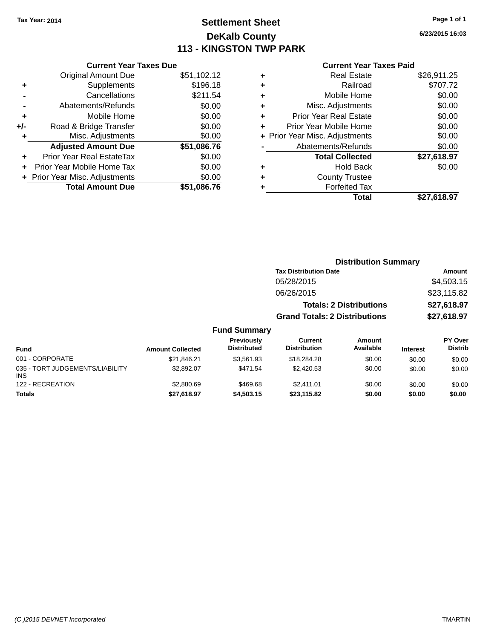# **Settlement Sheet Tax Year: 2014 Page 1 of 1 DeKalb County 113 - KINGSTON TWP PARK**

**6/23/2015 16:03**

#### **Current Year Taxes Paid**

|     | <b>Current Year Taxes Due</b>  |             |
|-----|--------------------------------|-------------|
|     | <b>Original Amount Due</b>     | \$51,102.12 |
| ٠   | Supplements                    | \$196.18    |
|     | Cancellations                  | \$211.54    |
|     | Abatements/Refunds             | \$0.00      |
| ٠   | Mobile Home                    | \$0.00      |
| +/- | Road & Bridge Transfer         | \$0.00      |
| ٠   | Misc. Adjustments              | \$0.00      |
|     | <b>Adjusted Amount Due</b>     | \$51,086.76 |
| ÷   | Prior Year Real EstateTax      | \$0.00      |
|     | Prior Year Mobile Home Tax     | \$0.00      |
|     | + Prior Year Misc. Adjustments | \$0.00      |
|     | <b>Total Amount Due</b>        | \$51,086.76 |
|     |                                |             |

| ٠ | <b>Real Estate</b>             | \$26,911.25 |
|---|--------------------------------|-------------|
| ٠ | Railroad                       | \$707.72    |
| ٠ | Mobile Home                    | \$0.00      |
| ٠ | Misc. Adjustments              | \$0.00      |
| ٠ | <b>Prior Year Real Estate</b>  | \$0.00      |
| ٠ | Prior Year Mobile Home         | \$0.00      |
|   | + Prior Year Misc. Adjustments | \$0.00      |
|   | Abatements/Refunds             | \$0.00      |
|   | <b>Total Collected</b>         | \$27,618.97 |
| ٠ | <b>Hold Back</b>               | \$0.00      |
| ٠ | <b>County Trustee</b>          |             |
| ٠ | <b>Forfeited Tax</b>           |             |
|   | Total                          | \$27,618.97 |
|   |                                |             |

|                     | <b>Distribution Summary</b>          |             |
|---------------------|--------------------------------------|-------------|
|                     | <b>Tax Distribution Date</b>         | Amount      |
|                     | 05/28/2015                           | \$4,503.15  |
|                     | 06/26/2015                           | \$23,115.82 |
|                     | <b>Totals: 2 Distributions</b>       | \$27,618.97 |
|                     | <b>Grand Totals: 2 Distributions</b> | \$27,618.97 |
| <b>Fund Summary</b> |                                      |             |

#### **Fund Interest Amount Collected Distributed PY Over Distrib Amount Available Current Distribution Previously** 001 - CORPORATE \$21,846.21 \$3,561.93 \$18,284.28 \$0.00 \$0.00 \$0.00 035 - TORT JUDGEMENTS/LIABILITY INS \$2,892.07 \$471.54 \$2,420.53 \$0.00 \$0.00 \$0.00 122 - RECREATION 62,880.69 \$2,880.69 \$469.68 \$2,411.01 \$0.00 \$0.00 \$0.00 \$0.00 **Totals \$27,618.97 \$4,503.15 \$23,115.82 \$0.00 \$0.00 \$0.00**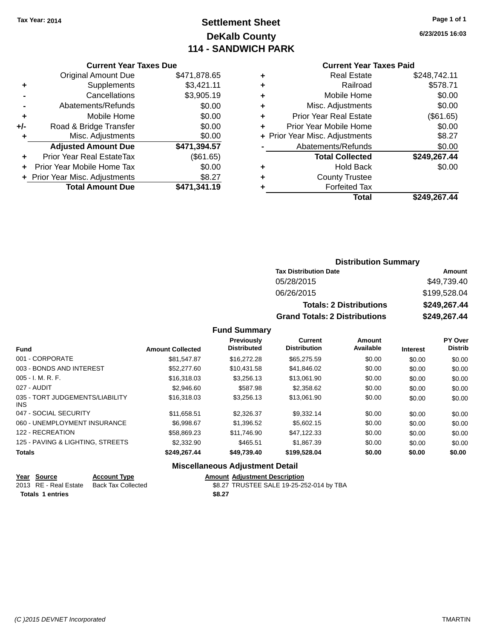# **Settlement Sheet Tax Year: 2014 Page 1 of 1 DeKalb County 114 - SANDWICH PARK**

**6/23/2015 16:03**

#### **Current Year Taxes Paid**

|     | <b>Current Year Taxes Due</b>  |              |
|-----|--------------------------------|--------------|
|     | <b>Original Amount Due</b>     | \$471,878.65 |
| ٠   | Supplements                    | \$3,421.11   |
|     | Cancellations                  | \$3,905.19   |
|     | Abatements/Refunds             | \$0.00       |
| ٠   | Mobile Home                    | \$0.00       |
| +/- | Road & Bridge Transfer         | \$0.00       |
| ٠   | Misc. Adjustments              | \$0.00       |
|     | <b>Adjusted Amount Due</b>     | \$471,394.57 |
| ٠   | Prior Year Real EstateTax      | (\$61.65)    |
| ÷   | Prior Year Mobile Home Tax     | \$0.00       |
|     | + Prior Year Misc. Adjustments | \$8.27       |
|     | <b>Total Amount Due</b>        | \$471,341.19 |

| ٠ | <b>Real Estate</b>             | \$248,742.11 |
|---|--------------------------------|--------------|
| ٠ | Railroad                       | \$578.71     |
| ٠ | Mobile Home                    | \$0.00       |
| ٠ | Misc. Adjustments              | \$0.00       |
| ٠ | <b>Prior Year Real Estate</b>  | (\$61.65)    |
| ٠ | Prior Year Mobile Home         | \$0.00       |
|   | + Prior Year Misc. Adjustments | \$8.27       |
|   | Abatements/Refunds             | \$0.00       |
|   | <b>Total Collected</b>         | \$249,267.44 |
| ٠ | Hold Back                      | \$0.00       |
| ٠ | <b>County Trustee</b>          |              |
|   | <b>Forfeited Tax</b>           |              |
|   | Total                          | \$249.267.44 |
|   |                                |              |

### **Distribution Summary Tax Distribution Date Amount** 05/28/2015 \$49,739.40 06/26/2015 \$199,528.04 **Totals: 2 Distributions \$249,267.44 Grand Totals: 2 Distributions \$249,267.44**

#### **Fund Summary**

| <b>Fund</b>                             | <b>Amount Collected</b> | Previously<br><b>Distributed</b> | Current<br><b>Distribution</b> | Amount<br>Available | <b>Interest</b> | PY Over<br><b>Distrib</b> |
|-----------------------------------------|-------------------------|----------------------------------|--------------------------------|---------------------|-----------------|---------------------------|
| 001 - CORPORATE                         | \$81.547.87             | \$16,272.28                      | \$65,275.59                    | \$0.00              | \$0.00          | \$0.00                    |
| 003 - BONDS AND INTEREST                | \$52,277.60             | \$10.431.58                      | \$41.846.02                    | \$0.00              | \$0.00          | \$0.00                    |
| $005 - I. M. R. F.$                     | \$16,318.03             | \$3,256.13                       | \$13,061.90                    | \$0.00              | \$0.00          | \$0.00                    |
| 027 - AUDIT                             | \$2.946.60              | \$587.98                         | \$2,358.62                     | \$0.00              | \$0.00          | \$0.00                    |
| 035 - TORT JUDGEMENTS/LIABILITY<br>INS. | \$16,318.03             | \$3,256.13                       | \$13.061.90                    | \$0.00              | \$0.00          | \$0.00                    |
| 047 - SOCIAL SECURITY                   | \$11.658.51             | \$2.326.37                       | \$9.332.14                     | \$0.00              | \$0.00          | \$0.00                    |
| 060 - UNEMPLOYMENT INSURANCE            | \$6.998.67              | \$1,396.52                       | \$5,602.15                     | \$0.00              | \$0.00          | \$0.00                    |
| 122 - RECREATION                        | \$58.869.23             | \$11.746.90                      | \$47.122.33                    | \$0.00              | \$0.00          | \$0.00                    |
| 125 - PAVING & LIGHTING, STREETS        | \$2,332.90              | \$465.51                         | \$1,867.39                     | \$0.00              | \$0.00          | \$0.00                    |
| <b>Totals</b>                           | \$249,267.44            | \$49,739.40                      | \$199,528.04                   | \$0.00              | \$0.00          | \$0.00                    |

#### **Miscellaneous Adjustment Detail**

| Year Source           | <b>Account Type</b>       | <b>Amount Adiustment Description</b>     |
|-----------------------|---------------------------|------------------------------------------|
| 2013 RE - Real Estate | <b>Back Tax Collected</b> | \$8.27 TRUSTEE SALE 19-25-252-014 by TBA |
| Totals 1 entries      |                           | \$8.27                                   |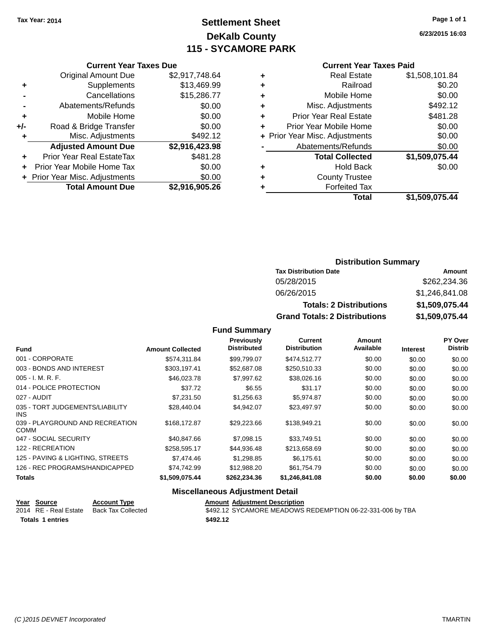# **Settlement Sheet Tax Year: 2014 Page 1 of 1 DeKalb County 115 - SYCAMORE PARK**

**6/23/2015 16:03**

|     | <b>Current Year Taxes Due</b>  |                |
|-----|--------------------------------|----------------|
|     | <b>Original Amount Due</b>     | \$2,917,748.64 |
| ٠   | Supplements                    | \$13,469.99    |
|     | Cancellations                  | \$15,286.77    |
|     | Abatements/Refunds             | \$0.00         |
| ٠   | Mobile Home                    | \$0.00         |
| +/- | Road & Bridge Transfer         | \$0.00         |
| ٠   | Misc. Adjustments              | \$492.12       |
|     | <b>Adjusted Amount Due</b>     | \$2,916,423.98 |
| ٠   | Prior Year Real EstateTax      | \$481.28       |
| ÷   | Prior Year Mobile Home Tax     | \$0.00         |
|     | + Prior Year Misc. Adjustments | \$0.00         |
|     | <b>Total Amount Due</b>        | \$2,916,905.26 |

| ٠ | <b>Real Estate</b>             | \$1,508,101.84 |
|---|--------------------------------|----------------|
| ٠ | Railroad                       | \$0.20         |
| ٠ | Mobile Home                    | \$0.00         |
| ٠ | Misc. Adjustments              | \$492.12       |
| ٠ | <b>Prior Year Real Estate</b>  | \$481.28       |
| ٠ | Prior Year Mobile Home         | \$0.00         |
|   | + Prior Year Misc. Adjustments | \$0.00         |
|   | Abatements/Refunds             | \$0.00         |
|   | <b>Total Collected</b>         | \$1,509,075.44 |
| ٠ | <b>Hold Back</b>               | \$0.00         |
| ٠ | <b>County Trustee</b>          |                |
| ٠ | <b>Forfeited Tax</b>           |                |
|   | <b>Total</b>                   | \$1,509,075.44 |
|   |                                |                |

| <b>Distribution Summary</b>            |                |  |  |
|----------------------------------------|----------------|--|--|
| <b>Tax Distribution Date</b><br>Amount |                |  |  |
| 05/28/2015                             | \$262,234.36   |  |  |
| 06/26/2015                             | \$1,246,841.08 |  |  |
| <b>Totals: 2 Distributions</b>         | \$1,509,075.44 |  |  |
| <b>Grand Totals: 2 Distributions</b>   | \$1,509,075.44 |  |  |

#### **Fund Summary**

| <b>Fund</b>                                    | <b>Amount Collected</b> | <b>Previously</b><br><b>Distributed</b> | Current<br><b>Distribution</b> | Amount<br>Available | <b>Interest</b> | PY Over<br><b>Distrib</b> |
|------------------------------------------------|-------------------------|-----------------------------------------|--------------------------------|---------------------|-----------------|---------------------------|
| 001 - CORPORATE                                | \$574,311.84            | \$99,799.07                             | \$474,512.77                   | \$0.00              | \$0.00          | \$0.00                    |
| 003 - BONDS AND INTEREST                       | \$303,197.41            | \$52,687.08                             | \$250,510.33                   | \$0.00              | \$0.00          | \$0.00                    |
| $005 - I. M. R. F.$                            | \$46,023.78             | \$7,997.62                              | \$38,026.16                    | \$0.00              | \$0.00          | \$0.00                    |
| 014 - POLICE PROTECTION                        | \$37.72                 | \$6.55                                  | \$31.17                        | \$0.00              | \$0.00          | \$0.00                    |
| 027 - AUDIT                                    | \$7,231.50              | \$1,256.63                              | \$5,974.87                     | \$0.00              | \$0.00          | \$0.00                    |
| 035 - TORT JUDGEMENTS/LIABILITY<br><b>INS</b>  | \$28.440.04             | \$4.942.07                              | \$23,497.97                    | \$0.00              | \$0.00          | \$0.00                    |
| 039 - PLAYGROUND AND RECREATION<br><b>COMM</b> | \$168,172.87            | \$29,223.66                             | \$138,949.21                   | \$0.00              | \$0.00          | \$0.00                    |
| 047 - SOCIAL SECURITY                          | \$40,847.66             | \$7,098.15                              | \$33,749.51                    | \$0.00              | \$0.00          | \$0.00                    |
| 122 - RECREATION                               | \$258,595.17            | \$44,936.48                             | \$213,658.69                   | \$0.00              | \$0.00          | \$0.00                    |
| 125 - PAVING & LIGHTING, STREETS               | \$7,474.46              | \$1,298.85                              | \$6,175.61                     | \$0.00              | \$0.00          | \$0.00                    |
| 126 - REC PROGRAMS/HANDICAPPED                 | \$74.742.99             | \$12,988.20                             | \$61,754.79                    | \$0.00              | \$0.00          | \$0.00                    |
| <b>Totals</b>                                  | \$1,509,075.44          | \$262,234.36                            | \$1,246,841.08                 | \$0.00              | \$0.00          | \$0.00                    |
|                                                |                         |                                         |                                |                     |                 |                           |

#### **Miscellaneous Adjustment Detail**

| Year Source             | <b>Account Type</b> | <b>Amount Adiustment Description</b>                      |
|-------------------------|---------------------|-----------------------------------------------------------|
| 2014 RE - Real Estate   | Back Tax Collected  | \$492.12 SYCAMORE MEADOWS REDEMPTION 06-22-331-006 by TBA |
| <b>Totals 1 entries</b> |                     | \$492.12                                                  |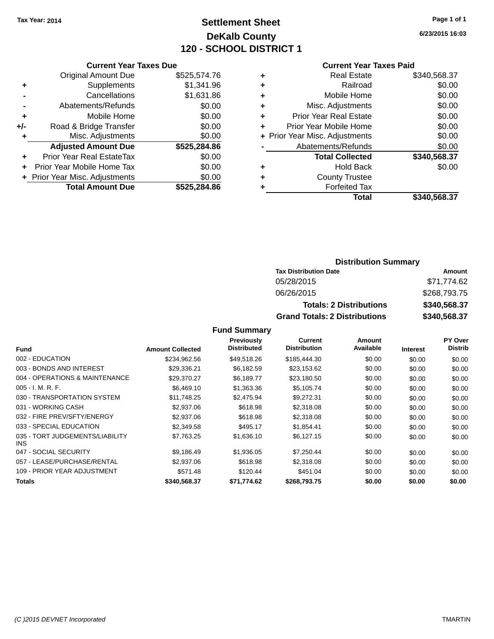# **Settlement Sheet Tax Year: 2014 Page 1 of 1 DeKalb County 120 - SCHOOL DISTRICT 1**

**6/23/2015 16:03**

#### **Current Year Taxes Paid**

|     | <b>Current Year Taxes Due</b>  |              |
|-----|--------------------------------|--------------|
|     | <b>Original Amount Due</b>     | \$525,574.76 |
| ٠   | Supplements                    | \$1,341.96   |
|     | Cancellations                  | \$1,631.86   |
|     | Abatements/Refunds             | \$0.00       |
| ٠   | Mobile Home                    | \$0.00       |
| +/- | Road & Bridge Transfer         | \$0.00       |
| ٠   | Misc. Adjustments              | \$0.00       |
|     | <b>Adjusted Amount Due</b>     | \$525,284.86 |
| ٠   | Prior Year Real EstateTax      | \$0.00       |
|     | Prior Year Mobile Home Tax     | \$0.00       |
|     | + Prior Year Misc. Adjustments | \$0.00       |
|     | <b>Total Amount Due</b>        | \$525.284.86 |
|     |                                |              |

| ٠ | <b>Real Estate</b>             | \$340,568.37 |
|---|--------------------------------|--------------|
| ٠ | Railroad                       | \$0.00       |
| ٠ | Mobile Home                    | \$0.00       |
| ٠ | Misc. Adjustments              | \$0.00       |
| ٠ | <b>Prior Year Real Estate</b>  | \$0.00       |
| ٠ | Prior Year Mobile Home         | \$0.00       |
|   | + Prior Year Misc. Adjustments | \$0.00       |
|   | Abatements/Refunds             | \$0.00       |
|   | <b>Total Collected</b>         | \$340,568.37 |
| ٠ | Hold Back                      | \$0.00       |
| ٠ | <b>County Trustee</b>          |              |
|   | <b>Forfeited Tax</b>           |              |
|   | Total                          | \$340,568.37 |
|   |                                |              |

### **Distribution Summary Tax Distribution Date Amount** 05/28/2015 \$71,774.62 06/26/2015 \$268,793.75 **Totals: 2 Distributions \$340,568.37 Grand Totals: 2 Distributions \$340,568.37**

|                                         |                         | Previously         | Current             | Amount    |                 | <b>PY Over</b> |
|-----------------------------------------|-------------------------|--------------------|---------------------|-----------|-----------------|----------------|
| <b>Fund</b>                             | <b>Amount Collected</b> | <b>Distributed</b> | <b>Distribution</b> | Available | <b>Interest</b> | <b>Distrib</b> |
| 002 - EDUCATION                         | \$234.962.56            | \$49,518.26        | \$185,444,30        | \$0.00    | \$0.00          | \$0.00         |
| 003 - BONDS AND INTEREST                | \$29,336.21             | \$6,182.59         | \$23,153.62         | \$0.00    | \$0.00          | \$0.00         |
| 004 - OPERATIONS & MAINTENANCE          | \$29,370.27             | \$6,189.77         | \$23,180.50         | \$0.00    | \$0.00          | \$0.00         |
| $005 - I. M. R. F.$                     | \$6,469.10              | \$1,363.36         | \$5,105.74          | \$0.00    | \$0.00          | \$0.00         |
| 030 - TRANSPORTATION SYSTEM             | \$11,748.25             | \$2,475.94         | \$9,272.31          | \$0.00    | \$0.00          | \$0.00         |
| 031 - WORKING CASH                      | \$2,937.06              | \$618.98           | \$2,318.08          | \$0.00    | \$0.00          | \$0.00         |
| 032 - FIRE PREV/SFTY/ENERGY             | \$2,937.06              | \$618.98           | \$2,318,08          | \$0.00    | \$0.00          | \$0.00         |
| 033 - SPECIAL EDUCATION                 | \$2,349.58              | \$495.17           | \$1,854.41          | \$0.00    | \$0.00          | \$0.00         |
| 035 - TORT JUDGEMENTS/LIABILITY<br>INS. | \$7.763.25              | \$1,636.10         | \$6,127.15          | \$0.00    | \$0.00          | \$0.00         |
| 047 - SOCIAL SECURITY                   | \$9,186.49              | \$1,936.05         | \$7,250.44          | \$0.00    | \$0.00          | \$0.00         |
| 057 - LEASE/PURCHASE/RENTAL             | \$2,937.06              | \$618.98           | \$2,318.08          | \$0.00    | \$0.00          | \$0.00         |
| 109 - PRIOR YEAR ADJUSTMENT             | \$571.48                | \$120.44           | \$451.04            | \$0.00    | \$0.00          | \$0.00         |
| <b>Totals</b>                           | \$340,568.37            | \$71,774.62        | \$268.793.75        | \$0.00    | \$0.00          | \$0.00         |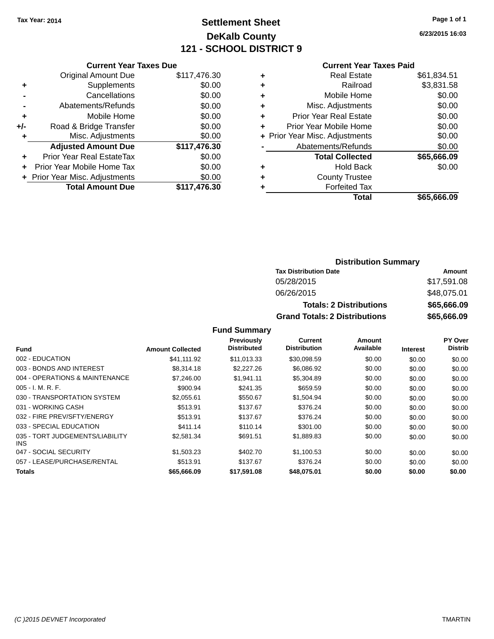# **Settlement Sheet Tax Year: 2014 Page 1 of 1 DeKalb County 121 - SCHOOL DISTRICT 9**

**6/23/2015 16:03**

#### **Current Year Taxes Paid**

|       | <b>Current Year Taxes Due</b>  |              |
|-------|--------------------------------|--------------|
|       | <b>Original Amount Due</b>     | \$117,476.30 |
| ٠     | Supplements                    | \$0.00       |
|       | Cancellations                  | \$0.00       |
|       | Abatements/Refunds             | \$0.00       |
| ٠     | Mobile Home                    | \$0.00       |
| $+/-$ | Road & Bridge Transfer         | \$0.00       |
| ٠     | Misc. Adjustments              | \$0.00       |
|       | <b>Adjusted Amount Due</b>     | \$117,476.30 |
| ٠     | Prior Year Real EstateTax      | \$0.00       |
| ÷     | Prior Year Mobile Home Tax     | \$0.00       |
|       | + Prior Year Misc. Adjustments | \$0.00       |
|       | <b>Total Amount Due</b>        | \$117,476.30 |
|       |                                |              |

|   | <b>Real Estate</b>             | \$61,834.51 |
|---|--------------------------------|-------------|
| ٠ | Railroad                       | \$3,831.58  |
| ٠ | Mobile Home                    | \$0.00      |
| ٠ | Misc. Adjustments              | \$0.00      |
| ٠ | <b>Prior Year Real Estate</b>  | \$0.00      |
| ÷ | Prior Year Mobile Home         | \$0.00      |
|   | + Prior Year Misc. Adjustments | \$0.00      |
|   | Abatements/Refunds             | \$0.00      |
|   | <b>Total Collected</b>         | \$65,666.09 |
| ٠ | Hold Back                      | \$0.00      |
| ٠ | <b>County Trustee</b>          |             |
| ٠ | <b>Forfeited Tax</b>           |             |
|   | Total                          | \$65,666.09 |
|   |                                |             |

### **Distribution Summary Tax Distribution Date Amount** 05/28/2015 \$17,591.08 06/26/2015 \$48,075.01 **Totals: 2 Distributions \$65,666.09 Grand Totals: 2 Distributions \$65,666.09**

|                                               |                         | <b>Previously</b>  | Current             | Amount    |                 | PY Over        |
|-----------------------------------------------|-------------------------|--------------------|---------------------|-----------|-----------------|----------------|
| Fund                                          | <b>Amount Collected</b> | <b>Distributed</b> | <b>Distribution</b> | Available | <b>Interest</b> | <b>Distrib</b> |
| 002 - EDUCATION                               | \$41.111.92             | \$11.013.33        | \$30.098.59         | \$0.00    | \$0.00          | \$0.00         |
| 003 - BONDS AND INTEREST                      | \$8,314.18              | \$2,227.26         | \$6,086.92          | \$0.00    | \$0.00          | \$0.00         |
| 004 - OPERATIONS & MAINTENANCE                | \$7,246.00              | \$1,941.11         | \$5,304.89          | \$0.00    | \$0.00          | \$0.00         |
| 005 - I. M. R. F.                             | \$900.94                | \$241.35           | \$659.59            | \$0.00    | \$0.00          | \$0.00         |
| 030 - TRANSPORTATION SYSTEM                   | \$2,055.61              | \$550.67           | \$1,504.94          | \$0.00    | \$0.00          | \$0.00         |
| 031 - WORKING CASH                            | \$513.91                | \$137.67           | \$376.24            | \$0.00    | \$0.00          | \$0.00         |
| 032 - FIRE PREV/SFTY/ENERGY                   | \$513.91                | \$137.67           | \$376.24            | \$0.00    | \$0.00          | \$0.00         |
| 033 - SPECIAL EDUCATION                       | \$411.14                | \$110.14           | \$301.00            | \$0.00    | \$0.00          | \$0.00         |
| 035 - TORT JUDGEMENTS/LIABILITY<br><b>INS</b> | \$2,581.34              | \$691.51           | \$1,889.83          | \$0.00    | \$0.00          | \$0.00         |
| 047 - SOCIAL SECURITY                         | \$1,503.23              | \$402.70           | \$1,100.53          | \$0.00    | \$0.00          | \$0.00         |
| 057 - LEASE/PURCHASE/RENTAL                   | \$513.91                | \$137.67           | \$376.24            | \$0.00    | \$0.00          | \$0.00         |
| Totals                                        | \$65,666.09             | \$17,591.08        | \$48,075.01         | \$0.00    | \$0.00          | \$0.00         |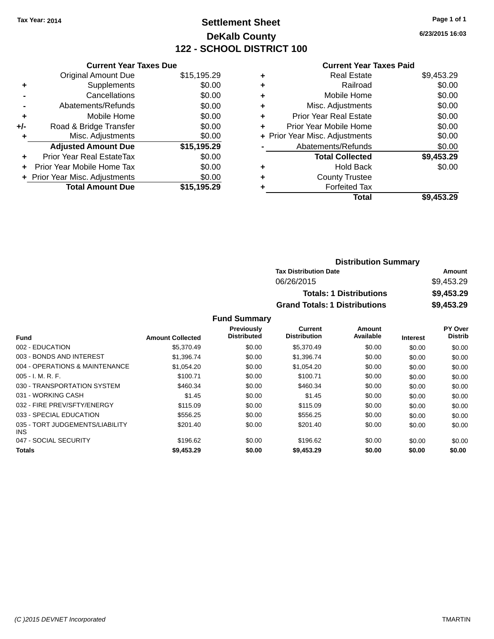# **Settlement Sheet Tax Year: 2014 Page 1 of 1 DeKalb County 122 - SCHOOL DISTRICT 100**

**6/23/2015 16:03**

| <b>Current Year Taxes Paid</b> |  |  |
|--------------------------------|--|--|
|                                |  |  |

|       | <b>Current Year Taxes Due</b>  |             |
|-------|--------------------------------|-------------|
|       | <b>Original Amount Due</b>     | \$15,195.29 |
| ٠     | Supplements                    | \$0.00      |
|       | Cancellations                  | \$0.00      |
|       | Abatements/Refunds             | \$0.00      |
| ÷     | Mobile Home                    | \$0.00      |
| $+/-$ | Road & Bridge Transfer         | \$0.00      |
|       | Misc. Adjustments              | \$0.00      |
|       | <b>Adjusted Amount Due</b>     | \$15,195.29 |
| ÷     | Prior Year Real EstateTax      | \$0.00      |
|       | Prior Year Mobile Home Tax     | \$0.00      |
|       | + Prior Year Misc. Adjustments | \$0.00      |
|       | <b>Total Amount Due</b>        | \$15.195.29 |
|       |                                |             |

| ٠ | <b>Real Estate</b>             | \$9,453.29 |
|---|--------------------------------|------------|
| ٠ | Railroad                       | \$0.00     |
| ٠ | Mobile Home                    | \$0.00     |
| ٠ | Misc. Adjustments              | \$0.00     |
| ٠ | <b>Prior Year Real Estate</b>  | \$0.00     |
| ٠ | Prior Year Mobile Home         | \$0.00     |
|   | + Prior Year Misc. Adjustments | \$0.00     |
|   | Abatements/Refunds             | \$0.00     |
|   | <b>Total Collected</b>         | \$9,453.29 |
| ٠ | Hold Back                      | \$0.00     |
| ٠ | <b>County Trustee</b>          |            |
| ٠ | <b>Forfeited Tax</b>           |            |
|   | <b>Total</b>                   | \$9,453.29 |
|   |                                |            |

| <b>Distribution Summary</b>          |            |
|--------------------------------------|------------|
| <b>Tax Distribution Date</b>         | Amount     |
| 06/26/2015                           | \$9.453.29 |
| <b>Totals: 1 Distributions</b>       | \$9,453.29 |
| <b>Grand Totals: 1 Distributions</b> | \$9,453.29 |

|                                         |                         | <b>Previously</b>  | Current             | Amount    |                 | PY Over        |
|-----------------------------------------|-------------------------|--------------------|---------------------|-----------|-----------------|----------------|
| <b>Fund</b>                             | <b>Amount Collected</b> | <b>Distributed</b> | <b>Distribution</b> | Available | <b>Interest</b> | <b>Distrib</b> |
| 002 - EDUCATION                         | \$5,370.49              | \$0.00             | \$5,370.49          | \$0.00    | \$0.00          | \$0.00         |
| 003 - BONDS AND INTEREST                | \$1,396,74              | \$0.00             | \$1,396.74          | \$0.00    | \$0.00          | \$0.00         |
| 004 - OPERATIONS & MAINTENANCE          | \$1.054.20              | \$0.00             | \$1.054.20          | \$0.00    | \$0.00          | \$0.00         |
| $005 - I. M. R. F.$                     | \$100.71                | \$0.00             | \$100.71            | \$0.00    | \$0.00          | \$0.00         |
| 030 - TRANSPORTATION SYSTEM             | \$460.34                | \$0.00             | \$460.34            | \$0.00    | \$0.00          | \$0.00         |
| 031 - WORKING CASH                      | \$1.45                  | \$0.00             | \$1.45              | \$0.00    | \$0.00          | \$0.00         |
| 032 - FIRE PREV/SFTY/ENERGY             | \$115.09                | \$0.00             | \$115.09            | \$0.00    | \$0.00          | \$0.00         |
| 033 - SPECIAL EDUCATION                 | \$556.25                | \$0.00             | \$556.25            | \$0.00    | \$0.00          | \$0.00         |
| 035 - TORT JUDGEMENTS/LIABILITY<br>INS. | \$201.40                | \$0.00             | \$201.40            | \$0.00    | \$0.00          | \$0.00         |
| 047 - SOCIAL SECURITY                   | \$196.62                | \$0.00             | \$196.62            | \$0.00    | \$0.00          | \$0.00         |
| <b>Totals</b>                           | \$9,453.29              | \$0.00             | \$9,453.29          | \$0.00    | \$0.00          | \$0.00         |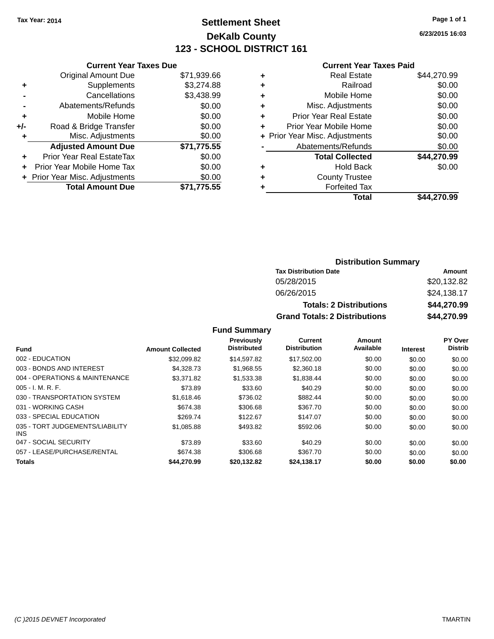# **Settlement Sheet Tax Year: 2014 Page 1 of 1 DeKalb County 123 - SCHOOL DISTRICT 161**

**6/23/2015 16:03**

#### **Current Year Taxes Paid**

|     | <b>Current Year Taxes Due</b> |             |  |  |  |  |
|-----|-------------------------------|-------------|--|--|--|--|
|     | <b>Original Amount Due</b>    | \$71,939.66 |  |  |  |  |
| ٠   | Supplements                   | \$3,274.88  |  |  |  |  |
|     | Cancellations                 | \$3,438.99  |  |  |  |  |
|     | Abatements/Refunds            | \$0.00      |  |  |  |  |
| ٠   | Mobile Home                   | \$0.00      |  |  |  |  |
| +/- | Road & Bridge Transfer        | \$0.00      |  |  |  |  |
| ٠   | Misc. Adjustments             | \$0.00      |  |  |  |  |
|     | <b>Adjusted Amount Due</b>    | \$71,775.55 |  |  |  |  |
| ÷   | Prior Year Real EstateTax     | \$0.00      |  |  |  |  |
| ÷   | Prior Year Mobile Home Tax    | \$0.00      |  |  |  |  |
|     | Prior Year Misc. Adjustments  | \$0.00      |  |  |  |  |
|     | <b>Total Amount Due</b>       | \$71.775.55 |  |  |  |  |

| ٠ | Real Estate                    | \$44,270.99 |
|---|--------------------------------|-------------|
| ٠ | Railroad                       | \$0.00      |
| ٠ | Mobile Home                    | \$0.00      |
| ٠ | Misc. Adjustments              | \$0.00      |
| ٠ | <b>Prior Year Real Estate</b>  | \$0.00      |
| ٠ | Prior Year Mobile Home         | \$0.00      |
|   | + Prior Year Misc. Adjustments | \$0.00      |
|   | Abatements/Refunds             | \$0.00      |
|   | <b>Total Collected</b>         | \$44,270.99 |
| ٠ | Hold Back                      | \$0.00      |
| ٠ | <b>County Trustee</b>          |             |
| ٠ | <b>Forfeited Tax</b>           |             |
|   | Total                          | \$44,270.99 |
|   |                                |             |

### **Distribution Summary Tax Distribution Date Amount** 05/28/2015 \$20,132.82 06/26/2015 \$24,138.17 **Totals: 2 Distributions \$44,270.99 Grand Totals: 2 Distributions \$44,270.99**

|                                         |                         | Previously<br><b>Distributed</b> | <b>Current</b><br><b>Distribution</b> | Amount<br>Available |                 | <b>PY Over</b><br><b>Distrib</b> |
|-----------------------------------------|-------------------------|----------------------------------|---------------------------------------|---------------------|-----------------|----------------------------------|
| <b>Fund</b>                             | <b>Amount Collected</b> |                                  |                                       |                     | <b>Interest</b> |                                  |
| 002 - EDUCATION                         | \$32,099.82             | \$14,597.82                      | \$17,502.00                           | \$0.00              | \$0.00          | \$0.00                           |
| 003 - BONDS AND INTEREST                | \$4,328,73              | \$1,968.55                       | \$2,360.18                            | \$0.00              | \$0.00          | \$0.00                           |
| 004 - OPERATIONS & MAINTENANCE          | \$3,371.82              | \$1,533.38                       | \$1,838.44                            | \$0.00              | \$0.00          | \$0.00                           |
| $005 - I. M. R. F.$                     | \$73.89                 | \$33.60                          | \$40.29                               | \$0.00              | \$0.00          | \$0.00                           |
| 030 - TRANSPORTATION SYSTEM             | \$1,618.46              | \$736.02                         | \$882.44                              | \$0.00              | \$0.00          | \$0.00                           |
| 031 - WORKING CASH                      | \$674.38                | \$306.68                         | \$367.70                              | \$0.00              | \$0.00          | \$0.00                           |
| 033 - SPECIAL EDUCATION                 | \$269.74                | \$122.67                         | \$147.07                              | \$0.00              | \$0.00          | \$0.00                           |
| 035 - TORT JUDGEMENTS/LIABILITY<br>INS. | \$1,085.88              | \$493.82                         | \$592.06                              | \$0.00              | \$0.00          | \$0.00                           |
| 047 - SOCIAL SECURITY                   | \$73.89                 | \$33.60                          | \$40.29                               | \$0.00              | \$0.00          | \$0.00                           |
| 057 - LEASE/PURCHASE/RENTAL             | \$674.38                | \$306.68                         | \$367.70                              | \$0.00              | \$0.00          | \$0.00                           |
| <b>Totals</b>                           | \$44,270.99             | \$20,132.82                      | \$24,138.17                           | \$0.00              | \$0.00          | \$0.00                           |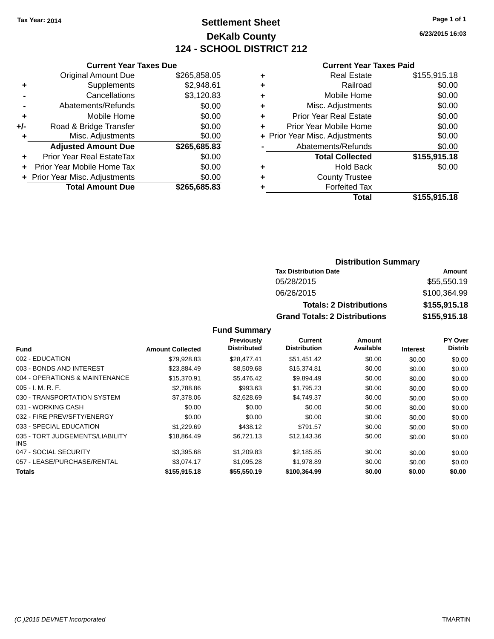## **Settlement Sheet Tax Year: 2014 Page 1 of 1 DeKalb County 124 - SCHOOL DISTRICT 212**

**6/23/2015 16:03**

#### **Current Year Taxes Paid**

|     | <b>Current Year Taxes Due</b> |              |  |  |  |  |
|-----|-------------------------------|--------------|--|--|--|--|
|     | <b>Original Amount Due</b>    | \$265,858.05 |  |  |  |  |
| ٠   | Supplements                   | \$2,948.61   |  |  |  |  |
|     | Cancellations                 | \$3,120.83   |  |  |  |  |
|     | Abatements/Refunds            | \$0.00       |  |  |  |  |
| ٠   | Mobile Home                   | \$0.00       |  |  |  |  |
| +/- | Road & Bridge Transfer        | \$0.00       |  |  |  |  |
| ٠   | Misc. Adjustments             | \$0.00       |  |  |  |  |
|     | <b>Adjusted Amount Due</b>    | \$265,685.83 |  |  |  |  |
| ٠   | Prior Year Real EstateTax     | \$0.00       |  |  |  |  |
| ÷   | Prior Year Mobile Home Tax    | \$0.00       |  |  |  |  |
|     | Prior Year Misc. Adjustments  | \$0.00       |  |  |  |  |
|     | <b>Total Amount Due</b>       | \$265,685.83 |  |  |  |  |
|     |                               |              |  |  |  |  |

|   | <b>Real Estate</b>             | \$155,915.18 |
|---|--------------------------------|--------------|
| ٠ | Railroad                       | \$0.00       |
| ٠ | Mobile Home                    | \$0.00       |
| ٠ | Misc. Adjustments              | \$0.00       |
| ٠ | <b>Prior Year Real Estate</b>  | \$0.00       |
| ٠ | Prior Year Mobile Home         | \$0.00       |
|   | + Prior Year Misc. Adjustments | \$0.00       |
|   | Abatements/Refunds             | \$0.00       |
|   | <b>Total Collected</b>         | \$155,915.18 |
| ٠ | Hold Back                      | \$0.00       |
| ٠ | <b>County Trustee</b>          |              |
| ٠ | <b>Forfeited Tax</b>           |              |
|   | Total                          | \$155,915.18 |
|   |                                |              |

### **Distribution Summary Tax Distribution Date Amount** 05/28/2015 \$55,550.19 06/26/2015 \$100,364.99 **Totals: 2 Distributions \$155,915.18 Grand Totals: 2 Distributions \$155,915.18**

|                                               |                         | Previously         | <b>Current</b>      | Amount    |                 | PY Over        |
|-----------------------------------------------|-------------------------|--------------------|---------------------|-----------|-----------------|----------------|
| <b>Fund</b>                                   | <b>Amount Collected</b> | <b>Distributed</b> | <b>Distribution</b> | Available | <b>Interest</b> | <b>Distrib</b> |
| 002 - EDUCATION                               | \$79,928.83             | \$28,477.41        | \$51,451.42         | \$0.00    | \$0.00          | \$0.00         |
| 003 - BONDS AND INTEREST                      | \$23,884.49             | \$8,509.68         | \$15,374.81         | \$0.00    | \$0.00          | \$0.00         |
| 004 - OPERATIONS & MAINTENANCE                | \$15,370.91             | \$5,476.42         | \$9,894.49          | \$0.00    | \$0.00          | \$0.00         |
| $005 - I. M. R. F.$                           | \$2,788.86              | \$993.63           | \$1,795.23          | \$0.00    | \$0.00          | \$0.00         |
| 030 - TRANSPORTATION SYSTEM                   | \$7,378.06              | \$2,628.69         | \$4,749.37          | \$0.00    | \$0.00          | \$0.00         |
| 031 - WORKING CASH                            | \$0.00                  | \$0.00             | \$0.00              | \$0.00    | \$0.00          | \$0.00         |
| 032 - FIRE PREV/SFTY/ENERGY                   | \$0.00                  | \$0.00             | \$0.00              | \$0.00    | \$0.00          | \$0.00         |
| 033 - SPECIAL EDUCATION                       | \$1,229.69              | \$438.12           | \$791.57            | \$0.00    | \$0.00          | \$0.00         |
| 035 - TORT JUDGEMENTS/LIABILITY<br><b>INS</b> | \$18.864.49             | \$6.721.13         | \$12,143.36         | \$0.00    | \$0.00          | \$0.00         |
| 047 - SOCIAL SECURITY                         | \$3.395.68              | \$1,209.83         | \$2,185.85          | \$0.00    | \$0.00          | \$0.00         |
| 057 - LEASE/PURCHASE/RENTAL                   | \$3.074.17              | \$1,095.28         | \$1,978.89          | \$0.00    | \$0.00          | \$0.00         |
| <b>Totals</b>                                 | \$155,915.18            | \$55.550.19        | \$100.364.99        | \$0.00    | \$0.00          | \$0.00         |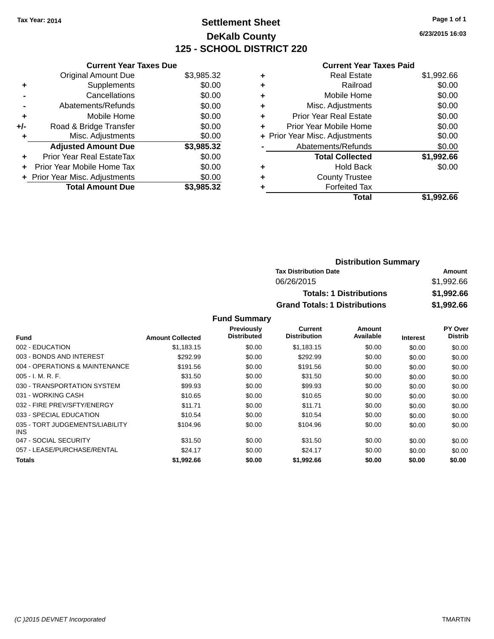## **Settlement Sheet Tax Year: 2014 Page 1 of 1 DeKalb County 125 - SCHOOL DISTRICT 220**

**6/23/2015 16:03**

#### **Current Year Taxes Paid**

|     | <b>Current Year Taxes Due</b>  |            |
|-----|--------------------------------|------------|
|     | <b>Original Amount Due</b>     | \$3,985.32 |
| ٠   | Supplements                    | \$0.00     |
|     | Cancellations                  | \$0.00     |
|     | Abatements/Refunds             | \$0.00     |
| ٠   | Mobile Home                    | \$0.00     |
| +/- | Road & Bridge Transfer         | \$0.00     |
| ٠   | Misc. Adjustments              | \$0.00     |
|     | <b>Adjusted Amount Due</b>     | \$3,985.32 |
| ٠   | Prior Year Real EstateTax      | \$0.00     |
| ÷   | Prior Year Mobile Home Tax     | \$0.00     |
|     | + Prior Year Misc. Adjustments | \$0.00     |
|     | <b>Total Amount Due</b>        | \$3.985.32 |

|   | <b>Real Estate</b>             | \$1,992.66 |
|---|--------------------------------|------------|
| ٠ | Railroad                       | \$0.00     |
| ٠ | Mobile Home                    | \$0.00     |
| ٠ | Misc. Adjustments              | \$0.00     |
| ٠ | <b>Prior Year Real Estate</b>  | \$0.00     |
| ٠ | Prior Year Mobile Home         | \$0.00     |
|   | + Prior Year Misc. Adjustments | \$0.00     |
|   | Abatements/Refunds             | \$0.00     |
|   | <b>Total Collected</b>         | \$1,992.66 |
| ٠ | <b>Hold Back</b>               | \$0.00     |
| ٠ | <b>County Trustee</b>          |            |
| ٠ | <b>Forfeited Tax</b>           |            |
|   | Total                          | \$1,992.66 |
|   |                                |            |

| <b>Distribution Summary</b>          |            |
|--------------------------------------|------------|
| <b>Tax Distribution Date</b>         | Amount     |
| 06/26/2015                           | \$1,992.66 |
| <b>Totals: 1 Distributions</b>       | \$1,992.66 |
| <b>Grand Totals: 1 Distributions</b> | \$1,992.66 |

| <b>Fund</b>                             | <b>Amount Collected</b> | Previously<br><b>Distributed</b> | Current<br><b>Distribution</b> | Amount<br>Available | Interest | PY Over<br><b>Distrib</b> |
|-----------------------------------------|-------------------------|----------------------------------|--------------------------------|---------------------|----------|---------------------------|
| 002 - EDUCATION                         | \$1,183.15              | \$0.00                           | \$1,183.15                     | \$0.00              | \$0.00   | \$0.00                    |
|                                         |                         |                                  |                                |                     |          |                           |
| 003 - BONDS AND INTEREST                | \$292.99                | \$0.00                           | \$292.99                       | \$0.00              | \$0.00   | \$0.00                    |
| 004 - OPERATIONS & MAINTENANCE          | \$191.56                | \$0.00                           | \$191.56                       | \$0.00              | \$0.00   | \$0.00                    |
| $005 - I. M. R. F.$                     | \$31.50                 | \$0.00                           | \$31.50                        | \$0.00              | \$0.00   | \$0.00                    |
| 030 - TRANSPORTATION SYSTEM             | \$99.93                 | \$0.00                           | \$99.93                        | \$0.00              | \$0.00   | \$0.00                    |
| 031 - WORKING CASH                      | \$10.65                 | \$0.00                           | \$10.65                        | \$0.00              | \$0.00   | \$0.00                    |
| 032 - FIRE PREV/SFTY/ENERGY             | \$11.71                 | \$0.00                           | \$11.71                        | \$0.00              | \$0.00   | \$0.00                    |
| 033 - SPECIAL EDUCATION                 | \$10.54                 | \$0.00                           | \$10.54                        | \$0.00              | \$0.00   | \$0.00                    |
| 035 - TORT JUDGEMENTS/LIABILITY<br>INS. | \$104.96                | \$0.00                           | \$104.96                       | \$0.00              | \$0.00   | \$0.00                    |
| 047 - SOCIAL SECURITY                   | \$31.50                 | \$0.00                           | \$31.50                        | \$0.00              | \$0.00   | \$0.00                    |
| 057 - LEASE/PURCHASE/RENTAL             | \$24.17                 | \$0.00                           | \$24.17                        | \$0.00              | \$0.00   | \$0.00                    |
| Totals                                  | \$1,992.66              | \$0.00                           | \$1,992.66                     | \$0.00              | \$0.00   | \$0.00                    |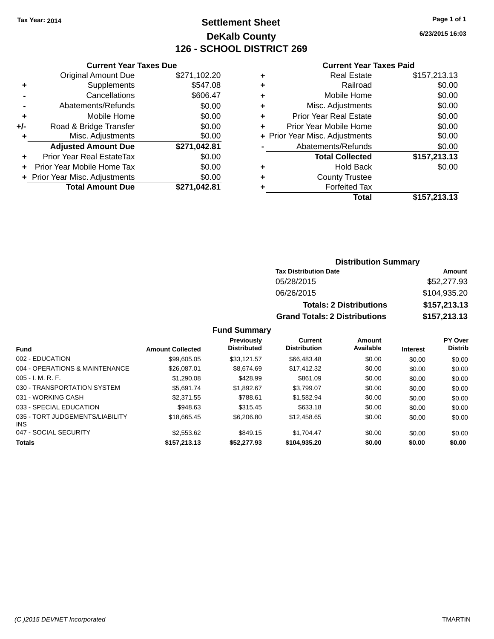## **Settlement Sheet Tax Year: 2014 Page 1 of 1 DeKalb County 126 - SCHOOL DISTRICT 269**

**6/23/2015 16:03**

#### **Current Year Taxes Paid**

|       | <b>Current Year Taxes Due</b>  |              |
|-------|--------------------------------|--------------|
|       | <b>Original Amount Due</b>     | \$271,102.20 |
| ٠     | Supplements                    | \$547.08     |
|       | Cancellations                  | \$606.47     |
|       | Abatements/Refunds             | \$0.00       |
| ٠     | Mobile Home                    | \$0.00       |
| $+/-$ | Road & Bridge Transfer         | \$0.00       |
|       | Misc. Adjustments              | \$0.00       |
|       | <b>Adjusted Amount Due</b>     | \$271,042.81 |
| ٠     | Prior Year Real EstateTax      | \$0.00       |
|       | Prior Year Mobile Home Tax     | \$0.00       |
|       | + Prior Year Misc. Adjustments | \$0.00       |
|       | <b>Total Amount Due</b>        | \$271.042.81 |
|       |                                |              |

|   | <b>Real Estate</b>             | \$157,213.13 |
|---|--------------------------------|--------------|
| ٠ | Railroad                       | \$0.00       |
| ٠ | Mobile Home                    | \$0.00       |
| ٠ | Misc. Adjustments              | \$0.00       |
| ٠ | <b>Prior Year Real Estate</b>  | \$0.00       |
| ÷ | Prior Year Mobile Home         | \$0.00       |
|   | + Prior Year Misc. Adjustments | \$0.00       |
|   | Abatements/Refunds             | \$0.00       |
|   | <b>Total Collected</b>         | \$157,213.13 |
| ٠ | <b>Hold Back</b>               | \$0.00       |
|   | <b>County Trustee</b>          |              |
| ٠ | <b>Forfeited Tax</b>           |              |
|   | Total                          | \$157,213.13 |
|   |                                |              |

## **Distribution Summary Tax Distribution Date Amount** 05/28/2015 \$52,277.93 06/26/2015 \$104,935.20 **Totals: 2 Distributions \$157,213.13 Grand Totals: 2 Distributions \$157,213.13**

#### **Fund Summary**

| <b>Fund</b>                             | <b>Amount Collected</b> | Previously<br><b>Distributed</b> | Current<br><b>Distribution</b> | Amount<br>Available | <b>Interest</b> | <b>PY Over</b><br><b>Distrib</b> |
|-----------------------------------------|-------------------------|----------------------------------|--------------------------------|---------------------|-----------------|----------------------------------|
| 002 - EDUCATION                         | \$99,605.05             | \$33.121.57                      | \$66,483,48                    | \$0.00              | \$0.00          | \$0.00                           |
| 004 - OPERATIONS & MAINTENANCE          | \$26,087.01             | \$8.674.69                       | \$17,412.32                    | \$0.00              | \$0.00          | \$0.00                           |
| $005 - I. M. R. F.$                     | \$1,290.08              | \$428.99                         | \$861.09                       | \$0.00              | \$0.00          | \$0.00                           |
| 030 - TRANSPORTATION SYSTEM             | \$5.691.74              | \$1.892.67                       | \$3.799.07                     | \$0.00              | \$0.00          | \$0.00                           |
| 031 - WORKING CASH                      | \$2,371.55              | \$788.61                         | \$1.582.94                     | \$0.00              | \$0.00          | \$0.00                           |
| 033 - SPECIAL EDUCATION                 | \$948.63                | \$315.45                         | \$633.18                       | \$0.00              | \$0.00          | \$0.00                           |
| 035 - TORT JUDGEMENTS/LIABILITY<br>INS. | \$18.665.45             | \$6,206.80                       | \$12,458.65                    | \$0.00              | \$0.00          | \$0.00                           |
| 047 - SOCIAL SECURITY                   | \$2,553.62              | \$849.15                         | \$1.704.47                     | \$0.00              | \$0.00          | \$0.00                           |
| <b>Totals</b>                           | \$157,213.13            | \$52,277.93                      | \$104,935.20                   | \$0.00              | \$0.00          | \$0.00                           |

*(C )2015 DEVNET Incorporated* TMARTIN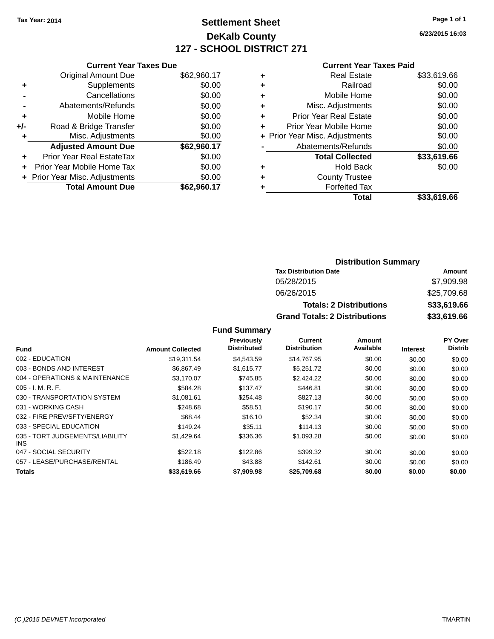## **Settlement Sheet Tax Year: 2014 Page 1 of 1 DeKalb County 127 - SCHOOL DISTRICT 271**

**6/23/2015 16:03**

#### **Current Year Taxes Paid**

|     | <b>Current Year Taxes Due</b>  |             |
|-----|--------------------------------|-------------|
|     | <b>Original Amount Due</b>     | \$62,960.17 |
| ٠   | Supplements                    | \$0.00      |
|     | Cancellations                  | \$0.00      |
|     | Abatements/Refunds             | \$0.00      |
| ٠   | Mobile Home                    | \$0.00      |
| +/- | Road & Bridge Transfer         | \$0.00      |
| ٠   | Misc. Adjustments              | \$0.00      |
|     | <b>Adjusted Amount Due</b>     | \$62,960.17 |
| ÷   | Prior Year Real EstateTax      | \$0.00      |
|     | Prior Year Mobile Home Tax     | \$0.00      |
|     | + Prior Year Misc. Adjustments | \$0.00      |
|     | <b>Total Amount Due</b>        | \$62.960.17 |

| ٠ | <b>Real Estate</b>             | \$33,619.66 |
|---|--------------------------------|-------------|
| ٠ | Railroad                       | \$0.00      |
| ٠ | Mobile Home                    | \$0.00      |
| ٠ | Misc. Adjustments              | \$0.00      |
| ٠ | <b>Prior Year Real Estate</b>  | \$0.00      |
| ÷ | Prior Year Mobile Home         | \$0.00      |
|   | + Prior Year Misc. Adjustments | \$0.00      |
|   | Abatements/Refunds             | \$0.00      |
|   | <b>Total Collected</b>         | \$33,619.66 |
| ٠ | <b>Hold Back</b>               | \$0.00      |
| ٠ | <b>County Trustee</b>          |             |
| ٠ | <b>Forfeited Tax</b>           |             |
|   | Total                          | \$33,619.66 |
|   |                                |             |

## **Distribution Summary Tax Distribution Date Amount** 05/28/2015 \$7,909.98 06/26/2015 \$25,709.68 **Totals: 2 Distributions \$33,619.66 Grand Totals: 2 Distributions \$33,619.66**

|                                               |                         | Previously         | Current             | Amount    |                 | PY Over        |
|-----------------------------------------------|-------------------------|--------------------|---------------------|-----------|-----------------|----------------|
| <b>Fund</b>                                   | <b>Amount Collected</b> | <b>Distributed</b> | <b>Distribution</b> | Available | <b>Interest</b> | <b>Distrib</b> |
| 002 - EDUCATION                               | \$19,311.54             | \$4.543.59         | \$14.767.95         | \$0.00    | \$0.00          | \$0.00         |
| 003 - BONDS AND INTEREST                      | \$6,867.49              | \$1,615.77         | \$5,251.72          | \$0.00    | \$0.00          | \$0.00         |
| 004 - OPERATIONS & MAINTENANCE                | \$3,170.07              | \$745.85           | \$2,424.22          | \$0.00    | \$0.00          | \$0.00         |
| $005 - I. M. R. F.$                           | \$584.28                | \$137.47           | \$446.81            | \$0.00    | \$0.00          | \$0.00         |
| 030 - TRANSPORTATION SYSTEM                   | \$1.081.61              | \$254.48           | \$827.13            | \$0.00    | \$0.00          | \$0.00         |
| 031 - WORKING CASH                            | \$248.68                | \$58.51            | \$190.17            | \$0.00    | \$0.00          | \$0.00         |
| 032 - FIRE PREV/SFTY/ENERGY                   | \$68.44                 | \$16.10            | \$52.34             | \$0.00    | \$0.00          | \$0.00         |
| 033 - SPECIAL EDUCATION                       | \$149.24                | \$35.11            | \$114.13            | \$0.00    | \$0.00          | \$0.00         |
| 035 - TORT JUDGEMENTS/LIABILITY<br><b>INS</b> | \$1,429.64              | \$336.36           | \$1,093.28          | \$0.00    | \$0.00          | \$0.00         |
| 047 - SOCIAL SECURITY                         | \$522.18                | \$122.86           | \$399.32            | \$0.00    | \$0.00          | \$0.00         |
| 057 - LEASE/PURCHASE/RENTAL                   | \$186.49                | \$43.88            | \$142.61            | \$0.00    | \$0.00          | \$0.00         |
| <b>Totals</b>                                 | \$33,619.66             | \$7,909.98         | \$25,709.68         | \$0.00    | \$0.00          | \$0.00         |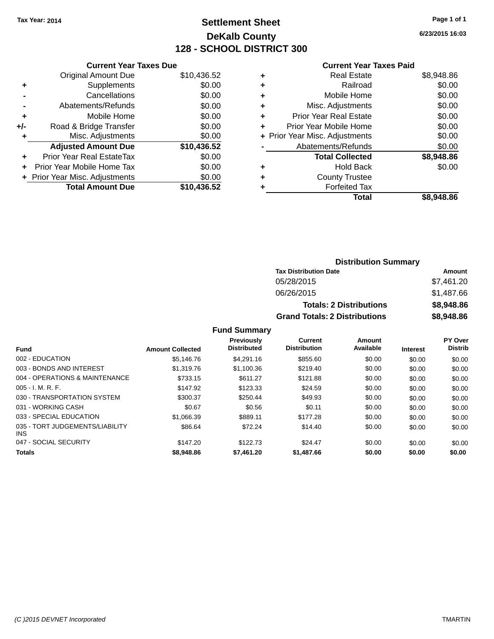## **Settlement Sheet Tax Year: 2014 Page 1 of 1 DeKalb County 128 - SCHOOL DISTRICT 300**

**6/23/2015 16:03**

| <b>Original Amount Due</b>     | \$10,436.52                   |
|--------------------------------|-------------------------------|
| Supplements                    | \$0.00                        |
| Cancellations                  | \$0.00                        |
| Abatements/Refunds             | \$0.00                        |
| Mobile Home                    | \$0.00                        |
| Road & Bridge Transfer         | \$0.00                        |
| Misc. Adjustments              | \$0.00                        |
| <b>Adjusted Amount Due</b>     | \$10,436.52                   |
| Prior Year Real EstateTax      | \$0.00                        |
| Prior Year Mobile Home Tax     | \$0.00                        |
|                                |                               |
| + Prior Year Misc. Adjustments | \$0.00                        |
|                                | <b>Current Year Taxes Due</b> |

#### **Current Year Taxes Paid**

| <b>Real Estate</b>             | \$8,948.86 |
|--------------------------------|------------|
| Railroad                       | \$0.00     |
| Mobile Home                    | \$0.00     |
| Misc. Adjustments              | \$0.00     |
| <b>Prior Year Real Estate</b>  | \$0.00     |
| Prior Year Mobile Home         | \$0.00     |
| + Prior Year Misc. Adjustments | \$0.00     |
| Abatements/Refunds             | \$0.00     |
| <b>Total Collected</b>         | \$8,948.86 |
| <b>Hold Back</b>               | \$0.00     |
| <b>County Trustee</b>          |            |
| <b>Forfeited Tax</b>           |            |
| Total                          | \$8.948.86 |
|                                |            |

### **Distribution Summary Tax Distribution Date Amount** 05/28/2015 \$7,461.20 06/26/2015 \$1,487.66 **Totals: 2 Distributions \$8,948.86 Grand Totals: 2 Distributions \$8,948.86**

| Fund                                          | <b>Amount Collected</b> | Previously<br><b>Distributed</b> | Current<br><b>Distribution</b> | Amount<br>Available | <b>Interest</b> | PY Over<br><b>Distrib</b> |
|-----------------------------------------------|-------------------------|----------------------------------|--------------------------------|---------------------|-----------------|---------------------------|
|                                               |                         |                                  |                                |                     |                 |                           |
| 002 - EDUCATION                               | \$5.146.76              | \$4,291.16                       | \$855.60                       | \$0.00              | \$0.00          | \$0.00                    |
| 003 - BONDS AND INTEREST                      | \$1,319.76              | \$1,100.36                       | \$219.40                       | \$0.00              | \$0.00          | \$0.00                    |
| 004 - OPERATIONS & MAINTENANCE                | \$733.15                | \$611.27                         | \$121.88                       | \$0.00              | \$0.00          | \$0.00                    |
| $005 - I. M. R. F.$                           | \$147.92                | \$123.33                         | \$24.59                        | \$0.00              | \$0.00          | \$0.00                    |
| 030 - TRANSPORTATION SYSTEM                   | \$300.37                | \$250.44                         | \$49.93                        | \$0.00              | \$0.00          | \$0.00                    |
| 031 - WORKING CASH                            | \$0.67                  | \$0.56                           | \$0.11                         | \$0.00              | \$0.00          | \$0.00                    |
| 033 - SPECIAL EDUCATION                       | \$1.066.39              | \$889.11                         | \$177.28                       | \$0.00              | \$0.00          | \$0.00                    |
| 035 - TORT JUDGEMENTS/LIABILITY<br><b>INS</b> | \$86.64                 | \$72.24                          | \$14.40                        | \$0.00              | \$0.00          | \$0.00                    |
| 047 - SOCIAL SECURITY                         | \$147.20                | \$122.73                         | \$24.47                        | \$0.00              | \$0.00          | \$0.00                    |
| <b>Totals</b>                                 | \$8,948.86              | \$7,461.20                       | \$1,487.66                     | \$0.00              | \$0.00          | \$0.00                    |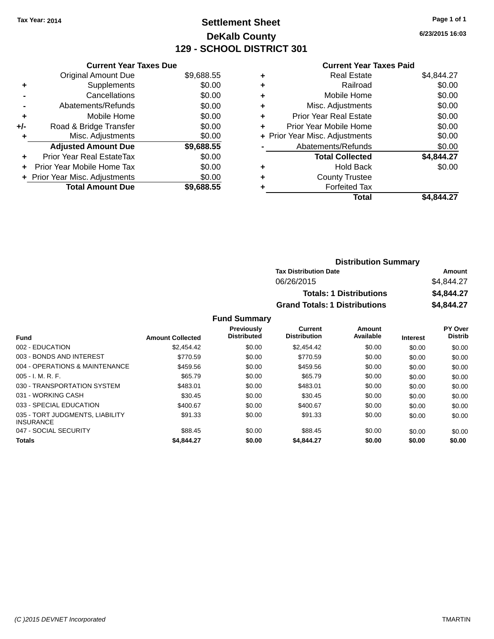## **Settlement Sheet Tax Year: 2014 Page 1 of 1 DeKalb County 129 - SCHOOL DISTRICT 301**

**6/23/2015 16:03**

#### **Current Year Taxes Paid**

|     | <b>Current Year Taxes Due</b>    |            |
|-----|----------------------------------|------------|
|     | <b>Original Amount Due</b>       | \$9,688.55 |
| ٠   | Supplements                      | \$0.00     |
|     | Cancellations                    | \$0.00     |
|     | Abatements/Refunds               | \$0.00     |
| ٠   | Mobile Home                      | \$0.00     |
| +/- | Road & Bridge Transfer           | \$0.00     |
| ٠   | Misc. Adjustments                | \$0.00     |
|     | <b>Adjusted Amount Due</b>       | \$9,688.55 |
| ÷   | <b>Prior Year Real EstateTax</b> | \$0.00     |
| ÷   | Prior Year Mobile Home Tax       | \$0.00     |
|     | + Prior Year Misc. Adjustments   | \$0.00     |
|     | <b>Total Amount Due</b>          | \$9,688.55 |

| ٠ | <b>Real Estate</b>             | \$4,844.27 |
|---|--------------------------------|------------|
| ٠ | Railroad                       | \$0.00     |
| ٠ | Mobile Home                    | \$0.00     |
| ٠ | Misc. Adjustments              | \$0.00     |
| ٠ | <b>Prior Year Real Estate</b>  | \$0.00     |
| ٠ | Prior Year Mobile Home         | \$0.00     |
|   | + Prior Year Misc. Adjustments | \$0.00     |
|   | Abatements/Refunds             | \$0.00     |
|   | <b>Total Collected</b>         | \$4,844.27 |
| ٠ | <b>Hold Back</b>               | \$0.00     |
| ٠ | <b>County Trustee</b>          |            |
| ٠ | <b>Forfeited Tax</b>           |            |
|   | Total                          | \$4.844.27 |
|   |                                |            |

| <b>Distribution Summary</b>          |            |
|--------------------------------------|------------|
| <b>Tax Distribution Date</b>         | Amount     |
| 06/26/2015                           | \$4.844.27 |
| <b>Totals: 1 Distributions</b>       | \$4,844.27 |
| <b>Grand Totals: 1 Distributions</b> | \$4,844.27 |

|                                                     |                         | <b>Previously</b><br><b>Distributed</b> | Current<br><b>Distribution</b> | Amount<br>Available |                 | <b>PY Over</b><br><b>Distrib</b> |
|-----------------------------------------------------|-------------------------|-----------------------------------------|--------------------------------|---------------------|-----------------|----------------------------------|
| <b>Fund</b>                                         | <b>Amount Collected</b> |                                         |                                |                     | <b>Interest</b> |                                  |
| 002 - EDUCATION                                     | \$2.454.42              | \$0.00                                  | \$2,454.42                     | \$0.00              | \$0.00          | \$0.00                           |
| 003 - BONDS AND INTEREST                            | \$770.59                | \$0.00                                  | \$770.59                       | \$0.00              | \$0.00          | \$0.00                           |
| 004 - OPERATIONS & MAINTENANCE                      | \$459.56                | \$0.00                                  | \$459.56                       | \$0.00              | \$0.00          | \$0.00                           |
| $005 - I. M. R. F.$                                 | \$65.79                 | \$0.00                                  | \$65.79                        | \$0.00              | \$0.00          | \$0.00                           |
| 030 - TRANSPORTATION SYSTEM                         | \$483.01                | \$0.00                                  | \$483.01                       | \$0.00              | \$0.00          | \$0.00                           |
| 031 - WORKING CASH                                  | \$30.45                 | \$0.00                                  | \$30.45                        | \$0.00              | \$0.00          | \$0.00                           |
| 033 - SPECIAL EDUCATION                             | \$400.67                | \$0.00                                  | \$400.67                       | \$0.00              | \$0.00          | \$0.00                           |
| 035 - TORT JUDGMENTS, LIABILITY<br><b>INSURANCE</b> | \$91.33                 | \$0.00                                  | \$91.33                        | \$0.00              | \$0.00          | \$0.00                           |
| 047 - SOCIAL SECURITY                               | \$88.45                 | \$0.00                                  | \$88.45                        | \$0.00              | \$0.00          | \$0.00                           |
| <b>Totals</b>                                       | \$4,844.27              | \$0.00                                  | \$4,844.27                     | \$0.00              | \$0.00          | \$0.00                           |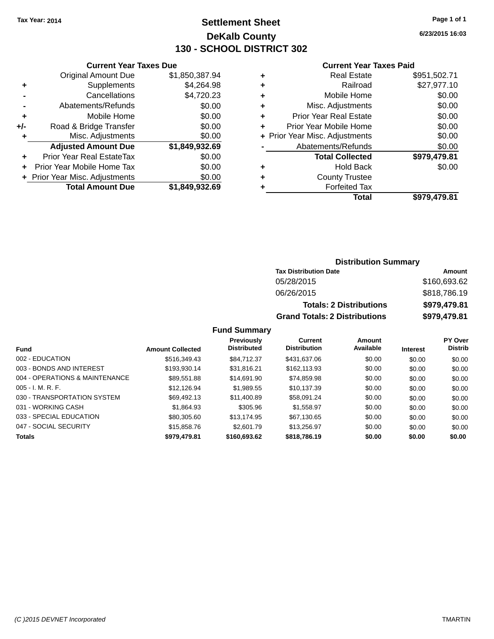## **Settlement Sheet Tax Year: 2014 Page 1 of 1 DeKalb County 130 - SCHOOL DISTRICT 302**

**6/23/2015 16:03**

#### **Current Year Taxes Paid**

|       | <b>Current Year Taxes Due</b>  |                |
|-------|--------------------------------|----------------|
|       | <b>Original Amount Due</b>     | \$1,850,387.94 |
| ٠     | Supplements                    | \$4,264.98     |
|       | Cancellations                  | \$4,720.23     |
|       | Abatements/Refunds             | \$0.00         |
| ٠     | Mobile Home                    | \$0.00         |
| $+/-$ | Road & Bridge Transfer         | \$0.00         |
| ٠     | Misc. Adjustments              | \$0.00         |
|       | <b>Adjusted Amount Due</b>     | \$1,849,932.69 |
| ٠     | Prior Year Real EstateTax      | \$0.00         |
|       | Prior Year Mobile Home Tax     | \$0.00         |
|       | + Prior Year Misc. Adjustments | \$0.00         |
|       | <b>Total Amount Due</b>        | \$1,849,932.69 |
|       |                                |                |

|   | <b>Real Estate</b>             | \$951,502.71 |
|---|--------------------------------|--------------|
| ٠ | Railroad                       | \$27,977.10  |
| ٠ | Mobile Home                    | \$0.00       |
| ٠ | Misc. Adjustments              | \$0.00       |
| ٠ | <b>Prior Year Real Estate</b>  | \$0.00       |
| ٠ | Prior Year Mobile Home         | \$0.00       |
|   | + Prior Year Misc. Adjustments | \$0.00       |
|   | Abatements/Refunds             | \$0.00       |
|   | <b>Total Collected</b>         | \$979,479.81 |
| ٠ | Hold Back                      | \$0.00       |
| ٠ | <b>County Trustee</b>          |              |
| ٠ | <b>Forfeited Tax</b>           |              |
|   | Total                          | \$979,479.81 |
|   |                                |              |

### **Distribution Summary Tax Distribution Date Amount** 05/28/2015 \$160,693.62 06/26/2015 \$818,786.19 **Totals: 2 Distributions \$979,479.81 Grand Totals: 2 Distributions \$979,479.81**

| <b>Fund</b>                    | <b>Amount Collected</b> | <b>Previously</b><br><b>Distributed</b> | Current<br><b>Distribution</b> | Amount<br>Available | <b>Interest</b> | <b>PY Over</b><br><b>Distrib</b> |
|--------------------------------|-------------------------|-----------------------------------------|--------------------------------|---------------------|-----------------|----------------------------------|
| 002 - EDUCATION                | \$516,349.43            | \$84,712,37                             | \$431,637,06                   | \$0.00              | \$0.00          | \$0.00                           |
| 003 - BONDS AND INTEREST       | \$193,930.14            | \$31.816.21                             | \$162,113.93                   | \$0.00              | \$0.00          | \$0.00                           |
| 004 - OPERATIONS & MAINTENANCE | \$89,551.88             | \$14,691.90                             | \$74,859.98                    | \$0.00              | \$0.00          | \$0.00                           |
| $005 - I. M. R. F.$            | \$12,126.94             | \$1,989.55                              | \$10,137.39                    | \$0.00              | \$0.00          | \$0.00                           |
| 030 - TRANSPORTATION SYSTEM    | \$69,492.13             | \$11,400.89                             | \$58,091.24                    | \$0.00              | \$0.00          | \$0.00                           |
| 031 - WORKING CASH             | \$1,864.93              | \$305.96                                | \$1,558.97                     | \$0.00              | \$0.00          | \$0.00                           |
| 033 - SPECIAL EDUCATION        | \$80,305.60             | \$13.174.95                             | \$67.130.65                    | \$0.00              | \$0.00          | \$0.00                           |
| 047 - SOCIAL SECURITY          | \$15,858,76             | \$2,601.79                              | \$13,256.97                    | \$0.00              | \$0.00          | \$0.00                           |
| <b>Totals</b>                  | \$979,479.81            | \$160,693,62                            | \$818,786.19                   | \$0.00              | \$0.00          | \$0.00                           |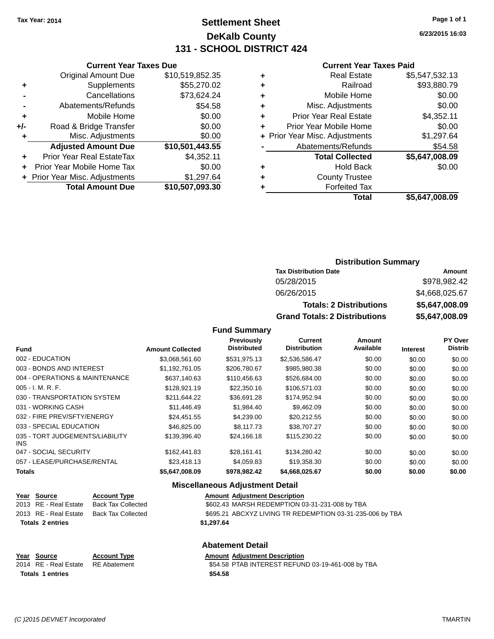## **Settlement Sheet Tax Year: 2014 Page 1 of 1 DeKalb County 131 - SCHOOL DISTRICT 424**

**6/23/2015 16:03**

#### **Current Year Taxes Paid**

|     | <b>Total Amount Due</b>          | \$10,507,093.30 |
|-----|----------------------------------|-----------------|
|     | + Prior Year Misc. Adjustments   | \$1,297.64      |
| ÷   | Prior Year Mobile Home Tax       | \$0.00          |
| ٠   | <b>Prior Year Real EstateTax</b> | \$4,352.11      |
|     | <b>Adjusted Amount Due</b>       | \$10,501,443.55 |
| ٠   | Misc. Adjustments                | \$0.00          |
| +/- | Road & Bridge Transfer           | \$0.00          |
| ÷   | Mobile Home                      | \$0.00          |
|     | Abatements/Refunds               | \$54.58         |
|     | Cancellations                    | \$73,624.24     |
| ٠   | Supplements                      | \$55,270.02     |
|     | <b>Original Amount Due</b>       | \$10,519,852.35 |
|     |                                  |                 |

**Current Year Taxes Due**

| ٠ | <b>Real Estate</b>             | \$5,547,532.13 |
|---|--------------------------------|----------------|
| ٠ | Railroad                       | \$93,880.79    |
| ٠ | Mobile Home                    | \$0.00         |
| ٠ | Misc. Adjustments              | \$0.00         |
| ٠ | <b>Prior Year Real Estate</b>  | \$4,352.11     |
| ÷ | Prior Year Mobile Home         | \$0.00         |
|   | + Prior Year Misc. Adjustments | \$1,297.64     |
|   | Abatements/Refunds             | \$54.58        |
|   | <b>Total Collected</b>         | \$5,647,008.09 |
| ٠ | <b>Hold Back</b>               | \$0.00         |
| ٠ | <b>County Trustee</b>          |                |
| ٠ | <b>Forfeited Tax</b>           |                |
|   | Total                          | \$5,647,008.09 |
|   |                                |                |

#### **Distribution Summary Tax Distribution Date Amount** 05/28/2015 \$978,982.42 06/26/2015 \$4,668,025.67 **Totals: 2 Distributions \$5,647,008.09 Grand Totals: 2 Distributions \$5,647,008.09**

#### **Fund Summary**

| <b>Fund</b>                             | <b>Amount Collected</b> | Previously<br><b>Distributed</b> | <b>Current</b><br><b>Distribution</b> | Amount<br>Available | <b>Interest</b> | PY Over<br><b>Distrib</b> |
|-----------------------------------------|-------------------------|----------------------------------|---------------------------------------|---------------------|-----------------|---------------------------|
| 002 - EDUCATION                         | \$3,068,561.60          | \$531,975.13                     | \$2,536,586.47                        | \$0.00              | \$0.00          | \$0.00                    |
| 003 - BONDS AND INTEREST                | \$1,192,761.05          | \$206,780.67                     | \$985,980.38                          | \$0.00              | \$0.00          | \$0.00                    |
| 004 - OPERATIONS & MAINTENANCE          | \$637.140.63            | \$110,456.63                     | \$526,684.00                          | \$0.00              | \$0.00          | \$0.00                    |
| $005 - I. M. R. F.$                     | \$128,921.19            | \$22,350.16                      | \$106,571.03                          | \$0.00              | \$0.00          | \$0.00                    |
| 030 - TRANSPORTATION SYSTEM             | \$211,644.22            | \$36,691.28                      | \$174,952.94                          | \$0.00              | \$0.00          | \$0.00                    |
| 031 - WORKING CASH                      | \$11.446.49             | \$1,984.40                       | \$9,462.09                            | \$0.00              | \$0.00          | \$0.00                    |
| 032 - FIRE PREV/SFTY/ENERGY             | \$24,451.55             | \$4,239.00                       | \$20,212.55                           | \$0.00              | \$0.00          | \$0.00                    |
| 033 - SPECIAL EDUCATION                 | \$46,825,00             | \$8,117,73                       | \$38,707.27                           | \$0.00              | \$0.00          | \$0.00                    |
| 035 - TORT JUDGEMENTS/LIABILITY<br>INS. | \$139,396.40            | \$24,166.18                      | \$115,230.22                          | \$0.00              | \$0.00          | \$0.00                    |
| 047 - SOCIAL SECURITY                   | \$162,441.83            | \$28,161.41                      | \$134,280.42                          | \$0.00              | \$0.00          | \$0.00                    |
| 057 - LEASE/PURCHASE/RENTAL             | \$23,418.13             | \$4.059.83                       | \$19,358.30                           | \$0.00              | \$0.00          | \$0.00                    |
| <b>Totals</b>                           | \$5,647,008.09          | \$978,982.42                     | \$4,668,025.67                        | \$0.00              | \$0.00          | \$0.00                    |

#### **Miscellaneous Adjustment Detail**

| Year Source             | <b>Account Type</b> | <b>Amount Adjustment Description</b>                      |
|-------------------------|---------------------|-----------------------------------------------------------|
| 2013 RE - Real Estate   | Back Tax Collected  | \$602.43 MARSH REDEMPTION 03-31-231-008 by TBA            |
| 2013 RE - Real Estate   | Back Tax Collected  | \$695.21 ABCXYZ LIVING TR REDEMPTION 03-31-235-006 by TBA |
| <b>Totals 2 entries</b> |                     | \$1,297.64                                                |
|                         |                     |                                                           |

#### **Abatement Detail Year** Source **Account Type Account Adjustment Description** 2014 RE - Real Estate RE Abatement \$54.58 PTAB INTEREST REFUND 03-19-461-008 by TBA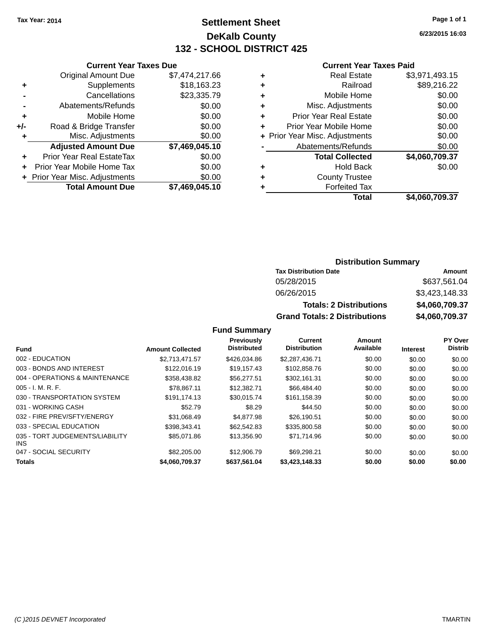## **Settlement Sheet Tax Year: 2014 Page 1 of 1 DeKalb County 132 - SCHOOL DISTRICT 425**

**6/23/2015 16:03**

#### **Current Year Taxes Paid**

|       | <b>Current Year Taxes Due</b>  |                |  |
|-------|--------------------------------|----------------|--|
|       | <b>Original Amount Due</b>     | \$7,474,217.66 |  |
| ٠     | Supplements                    | \$18,163.23    |  |
|       | Cancellations                  | \$23,335.79    |  |
|       | Abatements/Refunds             | \$0.00         |  |
| ٠     | Mobile Home                    | \$0.00         |  |
| $+/-$ | Road & Bridge Transfer         | \$0.00         |  |
| ۰     | Misc. Adjustments              | \$0.00         |  |
|       | <b>Adjusted Amount Due</b>     | \$7,469,045.10 |  |
| ÷     | Prior Year Real EstateTax      | \$0.00         |  |
|       | Prior Year Mobile Home Tax     | \$0.00         |  |
|       | + Prior Year Misc. Adjustments | \$0.00         |  |
|       | <b>Total Amount Due</b>        | \$7,469,045.10 |  |

| ٠ | <b>Real Estate</b>             | \$3,971,493.15 |
|---|--------------------------------|----------------|
| ٠ | Railroad                       | \$89,216.22    |
| ٠ | Mobile Home                    | \$0.00         |
| ٠ | Misc. Adjustments              | \$0.00         |
| ٠ | <b>Prior Year Real Estate</b>  | \$0.00         |
| ÷ | Prior Year Mobile Home         | \$0.00         |
|   | + Prior Year Misc. Adjustments | \$0.00         |
|   | Abatements/Refunds             | \$0.00         |
|   | <b>Total Collected</b>         | \$4,060,709.37 |
| ٠ | <b>Hold Back</b>               | \$0.00         |
| ٠ | <b>County Trustee</b>          |                |
| ٠ | <b>Forfeited Tax</b>           |                |
|   | Total                          | \$4,060,709.37 |
|   |                                |                |

## **Distribution Summary Tax Distribution Date Amount** 05/28/2015 \$637,561.04 06/26/2015 \$3,423,148.33

**Totals: 2 Distributions \$4,060,709.37 Grand Totals: 2 Distributions \$4,060,709.37**

| <b>Fund</b>                             | <b>Amount Collected</b> | Previously<br><b>Distributed</b> | Current<br><b>Distribution</b> | <b>Amount</b><br>Available |                 | PY Over<br><b>Distrib</b> |
|-----------------------------------------|-------------------------|----------------------------------|--------------------------------|----------------------------|-----------------|---------------------------|
|                                         |                         |                                  |                                |                            | <b>Interest</b> |                           |
| 002 - EDUCATION                         | \$2.713.471.57          | \$426,034.86                     | \$2,287,436.71                 | \$0.00                     | \$0.00          | \$0.00                    |
| 003 - BONDS AND INTEREST                | \$122.016.19            | \$19.157.43                      | \$102,858.76                   | \$0.00                     | \$0.00          | \$0.00                    |
| 004 - OPERATIONS & MAINTENANCE          | \$358.438.82            | \$56,277.51                      | \$302.161.31                   | \$0.00                     | \$0.00          | \$0.00                    |
| $005 - I. M. R. F.$                     | \$78.867.11             | \$12,382.71                      | \$66,484,40                    | \$0.00                     | \$0.00          | \$0.00                    |
| 030 - TRANSPORTATION SYSTEM             | \$191.174.13            | \$30.015.74                      | \$161,158.39                   | \$0.00                     | \$0.00          | \$0.00                    |
| 031 - WORKING CASH                      | \$52.79                 | \$8.29                           | \$44.50                        | \$0.00                     | \$0.00          | \$0.00                    |
| 032 - FIRE PREV/SFTY/ENERGY             | \$31.068.49             | \$4,877.98                       | \$26,190.51                    | \$0.00                     | \$0.00          | \$0.00                    |
| 033 - SPECIAL EDUCATION                 | \$398,343.41            | \$62,542.83                      | \$335,800.58                   | \$0.00                     | \$0.00          | \$0.00                    |
| 035 - TORT JUDGEMENTS/LIABILITY<br>INS. | \$85,071.86             | \$13,356.90                      | \$71.714.96                    | \$0.00                     | \$0.00          | \$0.00                    |
| 047 - SOCIAL SECURITY                   | \$82,205,00             | \$12,906.79                      | \$69.298.21                    | \$0.00                     | \$0.00          | \$0.00                    |
| <b>Totals</b>                           | \$4,060,709,37          | \$637.561.04                     | \$3,423,148,33                 | \$0.00                     | \$0.00          | \$0.00                    |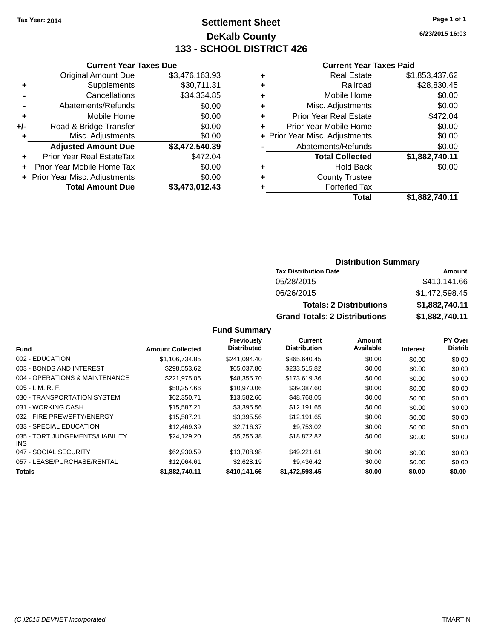## **Settlement Sheet Tax Year: 2014 Page 1 of 1 DeKalb County 133 - SCHOOL DISTRICT 426**

**6/23/2015 16:03**

#### **Current Year Taxes Paid**

|     | <b>Total Amount Due</b>          | \$3,473,012.43 |
|-----|----------------------------------|----------------|
|     | + Prior Year Misc. Adjustments   | \$0.00         |
| ٠   | Prior Year Mobile Home Tax       | \$0.00         |
|     | <b>Prior Year Real EstateTax</b> | \$472.04       |
|     | <b>Adjusted Amount Due</b>       | \$3,472,540.39 |
| ٠   | Misc. Adjustments                | \$0.00         |
| +/- | Road & Bridge Transfer           | \$0.00         |
| ٠   | Mobile Home                      | \$0.00         |
|     | Abatements/Refunds               | \$0.00         |
|     | Cancellations                    | \$34,334.85    |
| ٠   | Supplements                      | \$30,711.31    |
|     | <b>Original Amount Due</b>       | \$3,476,163.93 |
|     |                                  |                |

**Current Year Taxes Due**

| ٠ | <b>Real Estate</b>             | \$1,853,437.62 |
|---|--------------------------------|----------------|
| ٠ | Railroad                       | \$28,830.45    |
| ٠ | Mobile Home                    | \$0.00         |
| ٠ | Misc. Adjustments              | \$0.00         |
| ٠ | <b>Prior Year Real Estate</b>  | \$472.04       |
| ٠ | Prior Year Mobile Home         | \$0.00         |
|   | + Prior Year Misc. Adjustments | \$0.00         |
|   | Abatements/Refunds             | \$0.00         |
|   | <b>Total Collected</b>         | \$1,882,740.11 |
| ٠ | <b>Hold Back</b>               | \$0.00         |
| ٠ | <b>County Trustee</b>          |                |
| ٠ | <b>Forfeited Tax</b>           |                |
|   | Total                          | \$1,882,740.11 |
|   |                                |                |

#### **Distribution Summary Tax Distribution Date Amount** 05/28/2015 \$410,141.66 06/26/2015 \$1,472,598.45 **Totals: 2 Distributions \$1,882,740.11**

**Grand Totals: 2 Distributions \$1,882,740.11**

|                                         |                         | <b>Previously</b>  | Current             | Amount    |                 | <b>PY Over</b> |
|-----------------------------------------|-------------------------|--------------------|---------------------|-----------|-----------------|----------------|
| <b>Fund</b>                             | <b>Amount Collected</b> | <b>Distributed</b> | <b>Distribution</b> | Available | <b>Interest</b> | <b>Distrib</b> |
| 002 - EDUCATION                         | \$1.106.734.85          | \$241.094.40       | \$865,640.45        | \$0.00    | \$0.00          | \$0.00         |
| 003 - BONDS AND INTEREST                | \$298,553.62            | \$65,037.80        | \$233,515.82        | \$0.00    | \$0.00          | \$0.00         |
| 004 - OPERATIONS & MAINTENANCE          | \$221.975.06            | \$48,355,70        | \$173,619.36        | \$0.00    | \$0.00          | \$0.00         |
| $005 - I. M. R. F.$                     | \$50,357.66             | \$10,970.06        | \$39,387.60         | \$0.00    | \$0.00          | \$0.00         |
| 030 - TRANSPORTATION SYSTEM             | \$62,350.71             | \$13,582.66        | \$48,768.05         | \$0.00    | \$0.00          | \$0.00         |
| 031 - WORKING CASH                      | \$15.587.21             | \$3,395.56         | \$12,191.65         | \$0.00    | \$0.00          | \$0.00         |
| 032 - FIRE PREV/SFTY/ENERGY             | \$15.587.21             | \$3,395.56         | \$12.191.65         | \$0.00    | \$0.00          | \$0.00         |
| 033 - SPECIAL EDUCATION                 | \$12,469.39             | \$2.716.37         | \$9.753.02          | \$0.00    | \$0.00          | \$0.00         |
| 035 - TORT JUDGEMENTS/LIABILITY<br>INS. | \$24,129.20             | \$5,256.38         | \$18,872.82         | \$0.00    | \$0.00          | \$0.00         |
| 047 - SOCIAL SECURITY                   | \$62,930.59             | \$13,708.98        | \$49.221.61         | \$0.00    | \$0.00          | \$0.00         |
| 057 - LEASE/PURCHASE/RENTAL             | \$12.064.61             | \$2,628.19         | \$9,436.42          | \$0.00    | \$0.00          | \$0.00         |
| <b>Totals</b>                           | \$1.882.740.11          | \$410,141.66       | \$1,472,598,45      | \$0.00    | \$0.00          | \$0.00         |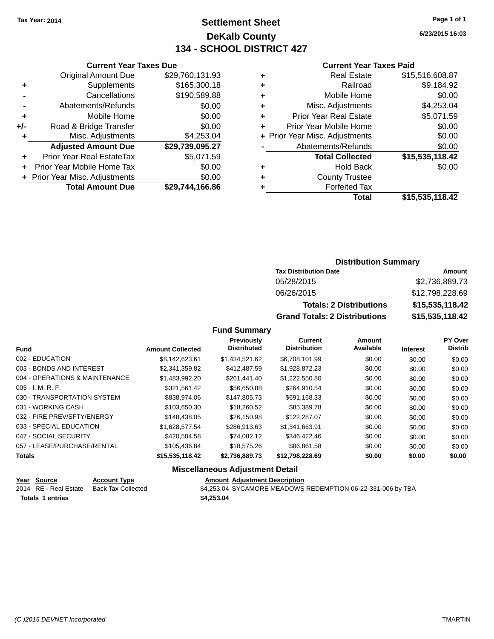## **Settlement Sheet Tax Year: 2014 Page 1 of 1 DeKalb County 134 - SCHOOL DISTRICT 427**

**6/23/2015 16:03**

#### **Current Year Taxes Paid**

|     | <b>Current Year Taxes Due</b> |                 |  |  |
|-----|-------------------------------|-----------------|--|--|
|     | <b>Original Amount Due</b>    | \$29,760,131.93 |  |  |
| ٠   | Supplements                   | \$165,300.18    |  |  |
|     | Cancellations                 | \$190,589.88    |  |  |
|     | Abatements/Refunds            | \$0.00          |  |  |
| ٠   | Mobile Home                   | \$0.00          |  |  |
| +/- | Road & Bridge Transfer        | \$0.00          |  |  |
| ٠   | Misc. Adjustments             | \$4,253.04      |  |  |
|     | <b>Adjusted Amount Due</b>    | \$29,739,095.27 |  |  |
| ٠   | Prior Year Real EstateTax     | \$5,071.59      |  |  |
| ÷   | Prior Year Mobile Home Tax    | \$0.00          |  |  |
|     | Prior Year Misc. Adjustments  | \$0.00          |  |  |
|     | <b>Total Amount Due</b>       | \$29,744,166.86 |  |  |
|     |                               |                 |  |  |

| ٠ | <b>Real Estate</b>             | \$15,516,608.87 |
|---|--------------------------------|-----------------|
| ٠ | Railroad                       | \$9,184.92      |
| ٠ | Mobile Home                    | \$0.00          |
| ٠ | Misc. Adjustments              | \$4,253.04      |
| ٠ | <b>Prior Year Real Estate</b>  | \$5,071.59      |
| ٠ | Prior Year Mobile Home         | \$0.00          |
|   | + Prior Year Misc. Adjustments | \$0.00          |
|   | Abatements/Refunds             | \$0.00          |
|   | <b>Total Collected</b>         | \$15,535,118.42 |
| ٠ | <b>Hold Back</b>               | \$0.00          |
| ٠ | <b>County Trustee</b>          |                 |
| ٠ | <b>Forfeited Tax</b>           |                 |
|   | Total                          | \$15,535,118.42 |
|   |                                |                 |

## **Distribution Summary**

| <b>Tax Distribution Date</b>         | Amount          |
|--------------------------------------|-----------------|
| 05/28/2015                           | \$2,736,889.73  |
| 06/26/2015                           | \$12,798,228.69 |
| <b>Totals: 2 Distributions</b>       | \$15,535,118.42 |
| <b>Grand Totals: 2 Distributions</b> | \$15,535,118.42 |

### **Fund Summary**

| <b>Fund</b>                    | <b>Amount Collected</b> | Previously<br><b>Distributed</b> | <b>Current</b><br><b>Distribution</b> | Amount<br>Available | <b>Interest</b> | <b>PY Over</b><br><b>Distrib</b> |
|--------------------------------|-------------------------|----------------------------------|---------------------------------------|---------------------|-----------------|----------------------------------|
| 002 - EDUCATION                | \$8,142,623.61          | \$1,434,521.62                   | \$6,708,101.99                        | \$0.00              | \$0.00          | \$0.00                           |
| 003 - BONDS AND INTEREST       | \$2,341,359.82          | \$412,487.59                     | \$1,928,872.23                        | \$0.00              | \$0.00          | \$0.00                           |
| 004 - OPERATIONS & MAINTENANCE | \$1,483,992.20          | \$261.441.40                     | \$1,222,550.80                        | \$0.00              | \$0.00          | \$0.00                           |
| $005 - I. M. R. F.$            | \$321,561.42            | \$56,650.88                      | \$264,910.54                          | \$0.00              | \$0.00          | \$0.00                           |
| 030 - TRANSPORTATION SYSTEM    | \$838,974.06            | \$147,805,73                     | \$691.168.33                          | \$0.00              | \$0.00          | \$0.00                           |
| 031 - WORKING CASH             | \$103,650.30            | \$18,260.52                      | \$85,389.78                           | \$0.00              | \$0.00          | \$0.00                           |
| 032 - FIRE PREV/SFTY/ENERGY    | \$148,438.05            | \$26,150.98                      | \$122,287.07                          | \$0.00              | \$0.00          | \$0.00                           |
| 033 - SPECIAL EDUCATION        | \$1.628.577.54          | \$286.913.63                     | \$1.341.663.91                        | \$0.00              | \$0.00          | \$0.00                           |
| 047 - SOCIAL SECURITY          | \$420,504.58            | \$74,082.12                      | \$346,422,46                          | \$0.00              | \$0.00          | \$0.00                           |
| 057 - LEASE/PURCHASE/RENTAL    | \$105,436.84            | \$18,575,26                      | \$86.861.58                           | \$0.00              | \$0.00          | \$0.00                           |
| <b>Totals</b>                  | \$15,535,118.42         | \$2,736,889.73                   | \$12,798,228.69                       | \$0.00              | \$0.00          | \$0.00                           |

#### **Miscellaneous Adjustment Detail**

| Year Source             | <b>Account Type</b> |            | <b>Amount Adjustment Description</b>                        |
|-------------------------|---------------------|------------|-------------------------------------------------------------|
| 2014 RE - Real Estate   | Back Tax Collected  |            | \$4,253.04 SYCAMORE MEADOWS REDEMPTION 06-22-331-006 by TBA |
| <b>Totals 1 entries</b> |                     | \$4,253.04 |                                                             |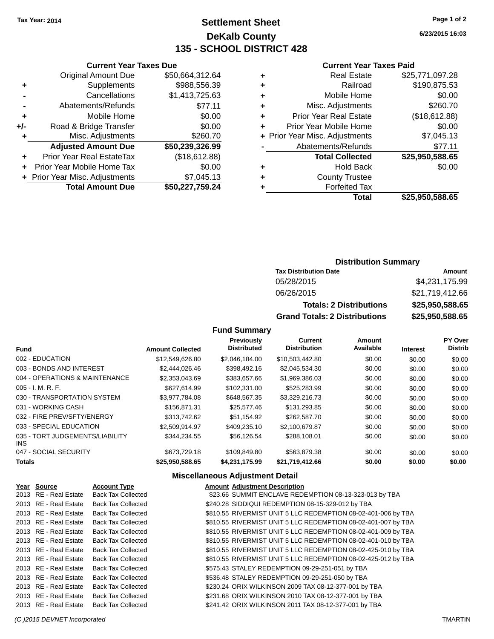**Current Year Taxes Due** Original Amount Due \$50,664,312.64

**Adjusted Amount Due \$50,239,326.99**

**Total Amount Due \$50,227,759.24**

**+** Supplements \$988,556.39 **-** Cancellations \$1,413,725.63 **-** Abatements/Refunds \$77.11 **+** Mobile Home \$0.00 **+/-** Road & Bridge Transfer \$0.00 **+** Misc. Adjustments \$260.70

**+** Prior Year Real EstateTax (\$18,612.88) **+** Prior Year Mobile Home Tax \$0.00 **+** Prior Year Misc. Adjustments \$7,045.13

## **Settlement Sheet Tax Year: 2014 Page 1 of 2 DeKalb County 135 - SCHOOL DISTRICT 428**

**6/23/2015 16:03**

#### **Current Year Taxes Paid**

| ٠ | <b>Real Estate</b>             | \$25,771,097.28 |
|---|--------------------------------|-----------------|
| ٠ | Railroad                       | \$190,875.53    |
| ٠ | Mobile Home                    | \$0.00          |
| ٠ | Misc. Adjustments              | \$260.70        |
| ٠ | <b>Prior Year Real Estate</b>  | (\$18,612.88)   |
| ÷ | Prior Year Mobile Home         | \$0.00          |
|   | + Prior Year Misc. Adjustments | \$7,045.13      |
|   | Abatements/Refunds             | \$77.11         |
|   | <b>Total Collected</b>         | \$25,950,588.65 |
| ٠ | <b>Hold Back</b>               | \$0.00          |
| ÷ | <b>County Trustee</b>          |                 |
| ٠ | <b>Forfeited Tax</b>           |                 |
|   | Total                          | \$25,950,588.65 |

| <b>Distribution Summary</b>  |                |
|------------------------------|----------------|
| <b>Tax Distribution Date</b> | Amount         |
| 05/28/2015                   | \$4 231 175 99 |

| 06/26/2015                           | \$21,719,412.66 |
|--------------------------------------|-----------------|
| <b>Totals: 2 Distributions</b>       | \$25,950,588.65 |
| <b>Grand Totals: 2 Distributions</b> | \$25,950,588.65 |

#### **Fund Summary**

|                                               |                         | Previously         | <b>Current</b>      | Amount    |                 | PY Over        |
|-----------------------------------------------|-------------------------|--------------------|---------------------|-----------|-----------------|----------------|
| <b>Fund</b>                                   | <b>Amount Collected</b> | <b>Distributed</b> | <b>Distribution</b> | Available | <b>Interest</b> | <b>Distrib</b> |
| 002 - EDUCATION                               | \$12,549,626.80         | \$2,046,184.00     | \$10,503,442.80     | \$0.00    | \$0.00          | \$0.00         |
| 003 - BONDS AND INTEREST                      | \$2,444,026,46          | \$398,492.16       | \$2,045,534.30      | \$0.00    | \$0.00          | \$0.00         |
| 004 - OPERATIONS & MAINTENANCE                | \$2,353,043.69          | \$383,657.66       | \$1,969,386.03      | \$0.00    | \$0.00          | \$0.00         |
| $005 - I. M. R. F.$                           | \$627.614.99            | \$102,331.00       | \$525,283.99        | \$0.00    | \$0.00          | \$0.00         |
| 030 - TRANSPORTATION SYSTEM                   | \$3,977,784.08          | \$648,567.35       | \$3,329,216.73      | \$0.00    | \$0.00          | \$0.00         |
| 031 - WORKING CASH                            | \$156,871,31            | \$25,577,46        | \$131,293.85        | \$0.00    | \$0.00          | \$0.00         |
| 032 - FIRE PREV/SFTY/ENERGY                   | \$313,742.62            | \$51.154.92        | \$262,587.70        | \$0.00    | \$0.00          | \$0.00         |
| 033 - SPECIAL EDUCATION                       | \$2.509.914.97          | \$409.235.10       | \$2,100,679.87      | \$0.00    | \$0.00          | \$0.00         |
| 035 - TORT JUDGEMENTS/LIABILITY<br><b>INS</b> | \$344.234.55            | \$56.126.54        | \$288.108.01        | \$0.00    | \$0.00          | \$0.00         |
| 047 - SOCIAL SECURITY                         | \$673,729.18            | \$109,849.80       | \$563.879.38        | \$0.00    | \$0.00          | \$0.00         |
| <b>Totals</b>                                 | \$25,950,588.65         | \$4,231,175.99     | \$21,719,412.66     | \$0.00    | \$0.00          | \$0.00         |

#### **Miscellaneous Adjustment Detail**

| Year Source           | <b>Account Type</b>       | <b>Amount Adjustment Description</b>                          |
|-----------------------|---------------------------|---------------------------------------------------------------|
| 2013 RE - Real Estate | <b>Back Tax Collected</b> | \$23.66 SUMMIT ENCLAVE REDEMPTION 08-13-323-013 by TBA        |
| 2013 RE - Real Estate | <b>Back Tax Collected</b> | \$240.28 SIDDIQUI REDEMPTION 08-15-329-012 by TBA             |
| 2013 RE - Real Estate | <b>Back Tax Collected</b> | \$810.55 RIVERMIST UNIT 5 LLC REDEMPTION 08-02-401-006 by TBA |
| 2013 RE - Real Estate | <b>Back Tax Collected</b> | \$810.55 RIVERMIST UNIT 5 LLC REDEMPTION 08-02-401-007 by TBA |
| 2013 RE - Real Estate | <b>Back Tax Collected</b> | \$810.55 RIVERMIST UNIT 5 LLC REDEMPTION 08-02-401-009 by TBA |
| 2013 RE - Real Estate | <b>Back Tax Collected</b> | \$810.55 RIVERMIST UNIT 5 LLC REDEMPTION 08-02-401-010 by TBA |
| 2013 RE - Real Estate | <b>Back Tax Collected</b> | \$810.55 RIVERMIST UNIT 5 LLC REDEMPTION 08-02-425-010 by TBA |
| 2013 RE - Real Estate | Back Tax Collected        | \$810.55 RIVERMIST UNIT 5 LLC REDEMPTION 08-02-425-012 by TBA |
| 2013 RE - Real Estate | <b>Back Tax Collected</b> | \$575.43 STALEY REDEMPTION 09-29-251-051 by TBA               |
| 2013 RE - Real Estate | <b>Back Tax Collected</b> | \$536.48 STALEY REDEMPTION 09-29-251-050 by TBA               |
| 2013 RE - Real Estate | <b>Back Tax Collected</b> | \$230.24 ORIX WILKINSON 2009 TAX 08-12-377-001 by TBA         |
| 2013 RE - Real Estate | <b>Back Tax Collected</b> | \$231.68 ORIX WILKINSON 2010 TAX 08-12-377-001 by TBA         |
| 2013 RE - Real Estate | <b>Back Tax Collected</b> | \$241.42 ORIX WILKINSON 2011 TAX 08-12-377-001 by TBA         |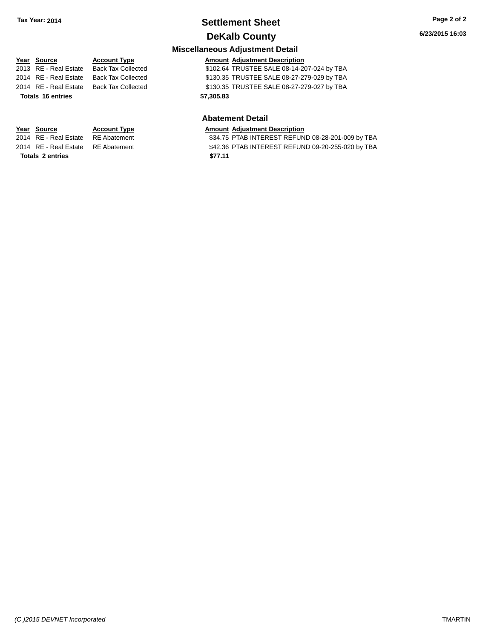# **Settlement Sheet Tax Year: 2014 Page 2 of 2**

**6/23/2015 16:03**

## **DeKalb County Miscellaneous Adjustment Detail**

#### **Year** Source **Account Type Account Adjustment Description** 2013 RE - Real Estate Back Tax Collected \$102.64 TRUSTEE SALE 08-14-207-024 by TBA 2014 RE - Real Estate Back Tax Collected \$130.35 TRUSTEE SALE 08-27-279-029 by TBA 2014 RE - Real Estate Back Tax Collected \$130.35 TRUSTEE SALE 08-27-279-027 by TBA

#### **Abatement Detail**

# **Year Source Account Type Amount Adjustment Description**<br>2014 RE - Real Estate RE Abatement **Amount 1988** S34.75 PTAB INTEREST REFUN

\$34.75 PTAB INTEREST REFUND 08-28-201-009 by TBA 2014 RE - Real Estate RE Abatement \$42.36 PTAB INTEREST REFUND 09-20-255-020 by TBA **Totals \$77.11 2 entries**

# **Totals \$7,305.83 16 entries**

*(C )2015 DEVNET Incorporated* TMARTIN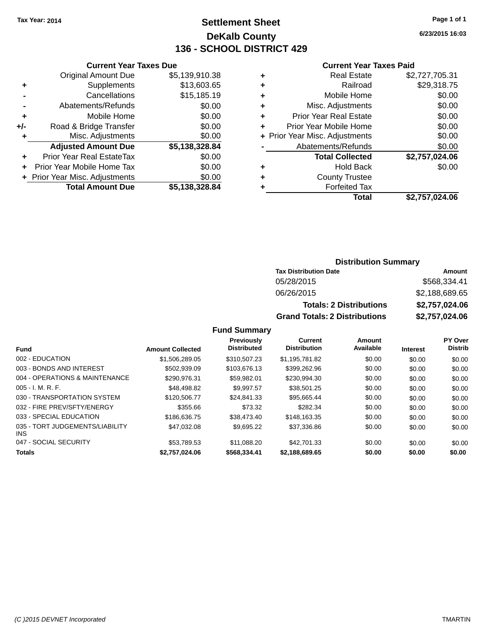## **Settlement Sheet Tax Year: 2014 Page 1 of 1 DeKalb County 136 - SCHOOL DISTRICT 429**

**6/23/2015 16:03**

#### **Current Year Taxes Paid**

| <b>Current Year Taxes Due</b> |                |
|-------------------------------|----------------|
| <b>Original Amount Due</b>    | \$5,139,910.38 |
| Supplements                   | \$13,603.65    |
| Cancellations                 | \$15,185.19    |
| Abatements/Refunds            | \$0.00         |
| Mobile Home                   | \$0.00         |
| Road & Bridge Transfer        | \$0.00         |
| Misc. Adjustments             | \$0.00         |
| <b>Adjusted Amount Due</b>    | \$5,138,328.84 |
| Prior Year Real EstateTax     | \$0.00         |
| Prior Year Mobile Home Tax    | \$0.00         |
| Prior Year Misc. Adjustments  | \$0.00         |
| <b>Total Amount Due</b>       | \$5.138.328.84 |
|                               |                |

|   | <b>Real Estate</b>             | \$2,727,705.31 |
|---|--------------------------------|----------------|
| ٠ | Railroad                       | \$29,318.75    |
| ٠ | Mobile Home                    | \$0.00         |
| ٠ | Misc. Adjustments              | \$0.00         |
| ٠ | <b>Prior Year Real Estate</b>  | \$0.00         |
|   | Prior Year Mobile Home         | \$0.00         |
|   | + Prior Year Misc. Adjustments | \$0.00         |
|   | Abatements/Refunds             | \$0.00         |
|   | <b>Total Collected</b>         | \$2,757,024.06 |
| ٠ | <b>Hold Back</b>               | \$0.00         |
| ٠ | <b>County Trustee</b>          |                |
| ٠ | <b>Forfeited Tax</b>           |                |
|   | Total                          | \$2,757,024.06 |
|   |                                |                |

#### **Distribution Summary Tax Distribution Date Amount** 05/28/2015 \$568,334.41 06/26/2015 \$2,188,689.65 **Totals: 2 Distributions \$2,757,024.06 Grand Totals: 2 Distributions \$2,757,024.06**

|                                               |                         | Previously<br><b>Distributed</b> | Current<br><b>Distribution</b> | Amount<br>Available |                 | PY Over<br><b>Distrib</b> |
|-----------------------------------------------|-------------------------|----------------------------------|--------------------------------|---------------------|-----------------|---------------------------|
| <b>Fund</b>                                   | <b>Amount Collected</b> |                                  |                                |                     | <b>Interest</b> |                           |
| 002 - EDUCATION                               | \$1,506,289.05          | \$310,507.23                     | \$1,195,781.82                 | \$0.00              | \$0.00          | \$0.00                    |
| 003 - BONDS AND INTEREST                      | \$502.939.09            | \$103.676.13                     | \$399,262.96                   | \$0.00              | \$0.00          | \$0.00                    |
| 004 - OPERATIONS & MAINTENANCE                | \$290.976.31            | \$59.982.01                      | \$230.994.30                   | \$0.00              | \$0.00          | \$0.00                    |
| $005 - I. M. R. F.$                           | \$48.498.82             | \$9.997.57                       | \$38,501.25                    | \$0.00              | \$0.00          | \$0.00                    |
| 030 - TRANSPORTATION SYSTEM                   | \$120,506.77            | \$24.841.33                      | \$95.665.44                    | \$0.00              | \$0.00          | \$0.00                    |
| 032 - FIRE PREV/SFTY/ENERGY                   | \$355.66                | \$73.32                          | \$282.34                       | \$0.00              | \$0.00          | \$0.00                    |
| 033 - SPECIAL EDUCATION                       | \$186,636,75            | \$38,473,40                      | \$148.163.35                   | \$0.00              | \$0.00          | \$0.00                    |
| 035 - TORT JUDGEMENTS/LIABILITY<br><b>INS</b> | \$47.032.08             | \$9,695.22                       | \$37,336.86                    | \$0.00              | \$0.00          | \$0.00                    |
| 047 - SOCIAL SECURITY                         | \$53.789.53             | \$11.088.20                      | \$42,701.33                    | \$0.00              | \$0.00          | \$0.00                    |
| <b>Totals</b>                                 | \$2,757,024.06          | \$568,334,41                     | \$2.188.689.65                 | \$0.00              | \$0.00          | \$0.00                    |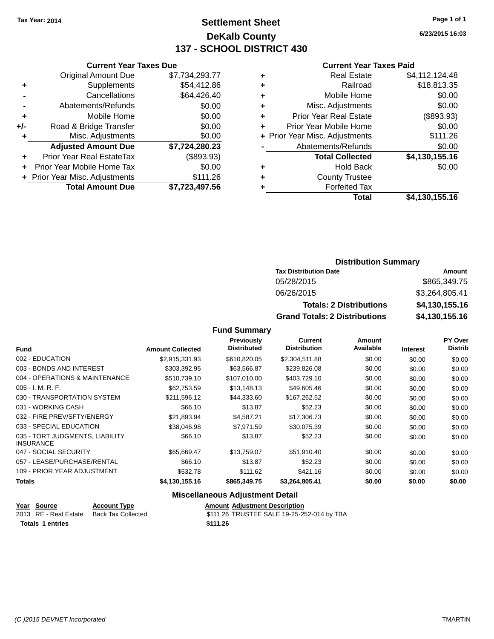## **Settlement Sheet Tax Year: 2014 Page 1 of 1 DeKalb County 137 - SCHOOL DISTRICT 430**

**6/23/2015 16:03**

#### **Current Year Taxes Paid**

|     | <b>Current Year Taxes Due</b> |                |  |
|-----|-------------------------------|----------------|--|
|     | <b>Original Amount Due</b>    | \$7,734,293.77 |  |
| ٠   | Supplements                   | \$54,412.86    |  |
|     | Cancellations                 | \$64,426.40    |  |
|     | Abatements/Refunds            | \$0.00         |  |
| ٠   | Mobile Home                   | \$0.00         |  |
| +/- | Road & Bridge Transfer        | \$0.00         |  |
| ٠   | Misc. Adjustments             | \$0.00         |  |
|     | <b>Adjusted Amount Due</b>    | \$7,724,280.23 |  |
| ٠   | Prior Year Real EstateTax     | (\$893.93)     |  |
| ÷   | Prior Year Mobile Home Tax    | \$0.00         |  |
|     | Prior Year Misc. Adjustments  | \$111.26       |  |
|     | <b>Total Amount Due</b>       | \$7,723,497.56 |  |

| \$18,813.35    |
|----------------|
|                |
| \$0.00         |
| \$0.00         |
| (\$893.93)     |
| \$0.00         |
| \$111.26       |
| \$0.00         |
| \$4,130,155.16 |
| \$0.00         |
|                |
|                |
| \$4,130,155.16 |
|                |

# **Distribution Summary**

| <b>Tax Distribution Date</b>         | Amount         |  |  |
|--------------------------------------|----------------|--|--|
| 05/28/2015                           | \$865,349.75   |  |  |
| 06/26/2015                           | \$3,264,805.41 |  |  |
| <b>Totals: 2 Distributions</b>       | \$4,130,155.16 |  |  |
| <b>Grand Totals: 2 Distributions</b> | \$4,130,155.16 |  |  |

### **Fund Summary**

|                                                     |                         | <b>Previously</b><br><b>Distributed</b> | Current<br><b>Distribution</b> | Amount<br>Available |                 | <b>PY Over</b><br><b>Distrib</b> |
|-----------------------------------------------------|-------------------------|-----------------------------------------|--------------------------------|---------------------|-----------------|----------------------------------|
| <b>Fund</b>                                         | <b>Amount Collected</b> |                                         |                                |                     | <b>Interest</b> |                                  |
| 002 - EDUCATION                                     | \$2,915,331.93          | \$610,820.05                            | \$2,304,511.88                 | \$0.00              | \$0.00          | \$0.00                           |
| 003 - BONDS AND INTEREST                            | \$303.392.95            | \$63,566.87                             | \$239,826.08                   | \$0.00              | \$0.00          | \$0.00                           |
| 004 - OPERATIONS & MAINTENANCE                      | \$510,739.10            | \$107,010.00                            | \$403,729.10                   | \$0.00              | \$0.00          | \$0.00                           |
| $005 - I. M. R. F.$                                 | \$62,753.59             | \$13,148.13                             | \$49,605.46                    | \$0.00              | \$0.00          | \$0.00                           |
| 030 - TRANSPORTATION SYSTEM                         | \$211,596.12            | \$44,333.60                             | \$167,262.52                   | \$0.00              | \$0.00          | \$0.00                           |
| 031 - WORKING CASH                                  | \$66.10                 | \$13.87                                 | \$52.23                        | \$0.00              | \$0.00          | \$0.00                           |
| 032 - FIRE PREV/SFTY/ENERGY                         | \$21,893.94             | \$4,587.21                              | \$17,306.73                    | \$0.00              | \$0.00          | \$0.00                           |
| 033 - SPECIAL EDUCATION                             | \$38,046.98             | \$7.971.59                              | \$30.075.39                    | \$0.00              | \$0.00          | \$0.00                           |
| 035 - TORT JUDGMENTS, LIABILITY<br><b>INSURANCE</b> | \$66.10                 | \$13.87                                 | \$52.23                        | \$0.00              | \$0.00          | \$0.00                           |
| 047 - SOCIAL SECURITY                               | \$65,669.47             | \$13,759.07                             | \$51,910.40                    | \$0.00              | \$0.00          | \$0.00                           |
| 057 - LEASE/PURCHASE/RENTAL                         | \$66.10                 | \$13.87                                 | \$52.23                        | \$0.00              | \$0.00          | \$0.00                           |
| 109 - PRIOR YEAR ADJUSTMENT                         | \$532.78                | \$111.62                                | \$421.16                       | \$0.00              | \$0.00          | \$0.00                           |
| <b>Totals</b>                                       | \$4,130,155.16          | \$865,349.75                            | \$3,264,805.41                 | \$0.00              | \$0.00          | \$0.00                           |

### **Miscellaneous Adjustment Detail**

| Year Source           | <b>Account Type</b> | <b>Amount Adiustment Description</b>       |
|-----------------------|---------------------|--------------------------------------------|
| 2013 RE - Real Estate | Back Tax Collected  | \$111.26 TRUSTEE SALE 19-25-252-014 by TBA |
| Totals 1 entries      |                     | \$111.26                                   |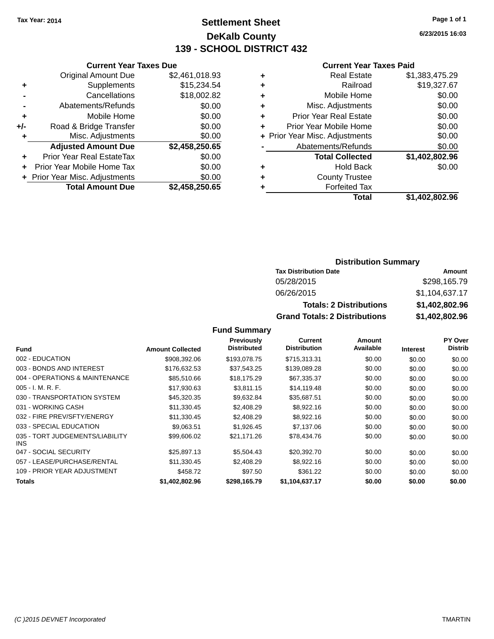## **Settlement Sheet Tax Year: 2014 Page 1 of 1 DeKalb County 139 - SCHOOL DISTRICT 432**

**6/23/2015 16:03**

#### **Current Year Taxes Paid**

| <b>Current Year Taxes Due</b>  |                |
|--------------------------------|----------------|
| <b>Original Amount Due</b>     | \$2,461,018.93 |
| Supplements                    | \$15,234.54    |
| Cancellations                  | \$18,002.82    |
| Abatements/Refunds             | \$0.00         |
| Mobile Home                    | \$0.00         |
| Road & Bridge Transfer         | \$0.00         |
| Misc. Adjustments              | \$0.00         |
| <b>Adjusted Amount Due</b>     | \$2,458,250.65 |
| Prior Year Real EstateTax      | \$0.00         |
| Prior Year Mobile Home Tax     | \$0.00         |
| + Prior Year Misc. Adjustments | \$0.00         |
| <b>Total Amount Due</b>        | \$2,458,250.65 |
|                                |                |

| ٠ | <b>Real Estate</b>             | \$1,383,475.29 |
|---|--------------------------------|----------------|
| ٠ | Railroad                       | \$19,327.67    |
| ٠ | Mobile Home                    | \$0.00         |
| ٠ | Misc. Adjustments              | \$0.00         |
| ٠ | <b>Prior Year Real Estate</b>  | \$0.00         |
| ÷ | Prior Year Mobile Home         | \$0.00         |
|   | + Prior Year Misc. Adjustments | \$0.00         |
|   | Abatements/Refunds             | \$0.00         |
|   | <b>Total Collected</b>         | \$1,402,802.96 |
| ٠ | <b>Hold Back</b>               | \$0.00         |
| ٠ | <b>County Trustee</b>          |                |
|   | <b>Forfeited Tax</b>           |                |
|   | <b>Total</b>                   | \$1,402,802.96 |
|   |                                |                |

## **Distribution Summary**

| <b>Tax Distribution Date</b>         | Amount         |
|--------------------------------------|----------------|
| 05/28/2015                           | \$298.165.79   |
| 06/26/2015                           | \$1,104,637.17 |
| <b>Totals: 2 Distributions</b>       | \$1,402,802.96 |
| <b>Grand Totals: 2 Distributions</b> | \$1,402,802.96 |

|                                         |                         | Previously         | Current             | Amount    |                 | <b>PY Over</b> |
|-----------------------------------------|-------------------------|--------------------|---------------------|-----------|-----------------|----------------|
| <b>Fund</b>                             | <b>Amount Collected</b> | <b>Distributed</b> | <b>Distribution</b> | Available | <b>Interest</b> | <b>Distrib</b> |
| 002 - EDUCATION                         | \$908,392.06            | \$193,078.75       | \$715.313.31        | \$0.00    | \$0.00          | \$0.00         |
| 003 - BONDS AND INTEREST                | \$176,632.53            | \$37,543.25        | \$139,089.28        | \$0.00    | \$0.00          | \$0.00         |
| 004 - OPERATIONS & MAINTENANCE          | \$85,510.66             | \$18,175.29        | \$67,335.37         | \$0.00    | \$0.00          | \$0.00         |
| $005 - I. M. R. F.$                     | \$17,930.63             | \$3.811.15         | \$14,119,48         | \$0.00    | \$0.00          | \$0.00         |
| 030 - TRANSPORTATION SYSTEM             | \$45,320.35             | \$9,632.84         | \$35,687.51         | \$0.00    | \$0.00          | \$0.00         |
| 031 - WORKING CASH                      | \$11,330.45             | \$2,408.29         | \$8,922.16          | \$0.00    | \$0.00          | \$0.00         |
| 032 - FIRE PREV/SFTY/ENERGY             | \$11.330.45             | \$2,408.29         | \$8,922.16          | \$0.00    | \$0.00          | \$0.00         |
| 033 - SPECIAL EDUCATION                 | \$9,063.51              | \$1,926.45         | \$7,137.06          | \$0.00    | \$0.00          | \$0.00         |
| 035 - TORT JUDGEMENTS/LIABILITY<br>INS. | \$99,606.02             | \$21.171.26        | \$78,434.76         | \$0.00    | \$0.00          | \$0.00         |
| 047 - SOCIAL SECURITY                   | \$25,897.13             | \$5,504.43         | \$20,392.70         | \$0.00    | \$0.00          | \$0.00         |
| 057 - LEASE/PURCHASE/RENTAL             | \$11,330.45             | \$2,408.29         | \$8,922.16          | \$0.00    | \$0.00          | \$0.00         |
| 109 - PRIOR YEAR ADJUSTMENT             | \$458.72                | \$97.50            | \$361.22            | \$0.00    | \$0.00          | \$0.00         |
| <b>Totals</b>                           | \$1,402,802.96          | \$298,165.79       | \$1,104,637.17      | \$0.00    | \$0.00          | \$0.00         |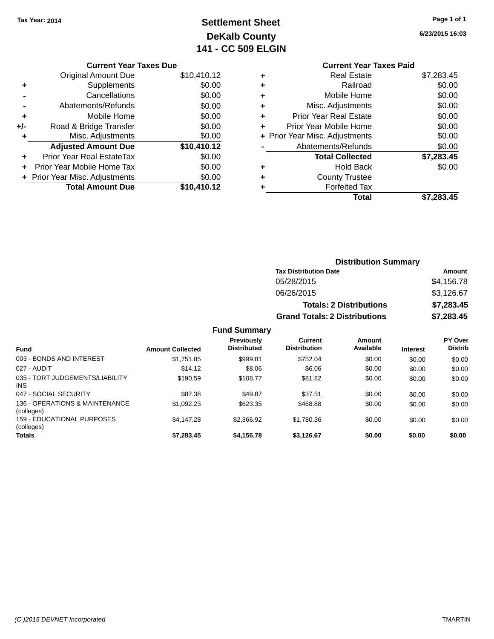## **Settlement Sheet Tax Year: 2014 Page 1 of 1 DeKalb County 141 - CC 509 ELGIN**

|  | uyv | $\cdot$ . |  |
|--|-----|-----------|--|
|  |     |           |  |
|  |     |           |  |

**6/23/2015 16:03**

|     | <b>Current Year Taxes Due</b>  |             |
|-----|--------------------------------|-------------|
|     | <b>Original Amount Due</b>     | \$10,410.12 |
| ٠   | Supplements                    | \$0.00      |
|     | Cancellations                  | \$0.00      |
|     | Abatements/Refunds             | \$0.00      |
| ٠   | Mobile Home                    | \$0.00      |
| +/- | Road & Bridge Transfer         | \$0.00      |
|     | Misc. Adjustments              | \$0.00      |
|     | <b>Adjusted Amount Due</b>     | \$10,410.12 |
| ٠   | Prior Year Real EstateTax      | \$0.00      |
|     | Prior Year Mobile Home Tax     | \$0.00      |
|     | + Prior Year Misc. Adjustments | \$0.00      |
|     | <b>Total Amount Due</b>        | \$10,410.12 |
|     |                                |             |

## **Current Year Taxes Paid +** Real Estate \$7,283.45 **+** Railroad \$0.00 **+** Mobile Home \$0.00 **+** Misc. Adjustments \$0.00 **+** Prior Year Real Estate \$0.00 **+** Prior Year Mobile Home \$0.00<br> **+** Prior Year Misc. Adjustments \$0.00 **+ Prior Year Misc. Adjustments**

|                | Total                  | \$7,283.45 |
|----------------|------------------------|------------|
| ٠              | <b>Forfeited Tax</b>   |            |
| ٠              | <b>County Trustee</b>  |            |
| ٠              | Hold Back              | \$0.00     |
|                | <b>Total Collected</b> | \$7,283.45 |
| $\blacksquare$ | Abatements/Refunds     | \$0.00     |

#### **Distribution Summary Tax Distribution Date Amount** 05/28/2015 \$4,156.78 06/26/2015 \$3,126.67 **Totals: 2 Distributions \$7,283.45 Grand Totals: 2 Distributions \$7,283.45**

| <b>Fund</b>                                  | <b>Amount Collected</b> | <b>Previously</b><br><b>Distributed</b> | Current<br><b>Distribution</b> | Amount<br>Available | <b>Interest</b> | <b>PY Over</b><br><b>Distrib</b> |
|----------------------------------------------|-------------------------|-----------------------------------------|--------------------------------|---------------------|-----------------|----------------------------------|
| 003 - BONDS AND INTEREST                     | \$1,751.85              | \$999.81                                | \$752.04                       | \$0.00              | \$0.00          | \$0.00                           |
| 027 - AUDIT                                  | \$14.12                 | \$8.06                                  | \$6.06                         | \$0.00              | \$0.00          | \$0.00                           |
| 035 - TORT JUDGEMENTS/LIABILITY<br>INS.      | \$190.59                | \$108.77                                | \$81.82                        | \$0.00              | \$0.00          | \$0.00                           |
| 047 - SOCIAL SECURITY                        | \$87.38                 | \$49.87                                 | \$37.51                        | \$0.00              | \$0.00          | \$0.00                           |
| 136 - OPERATIONS & MAINTENANCE<br>(colleges) | \$1,092.23              | \$623.35                                | \$468.88                       | \$0.00              | \$0.00          | \$0.00                           |
| 159 - EDUCATIONAL PURPOSES<br>(colleges)     | \$4.147.28              | \$2,366.92                              | \$1,780.36                     | \$0.00              | \$0.00          | \$0.00                           |
| <b>Totals</b>                                | \$7,283.45              | \$4,156.78                              | \$3,126.67                     | \$0.00              | \$0.00          | \$0.00                           |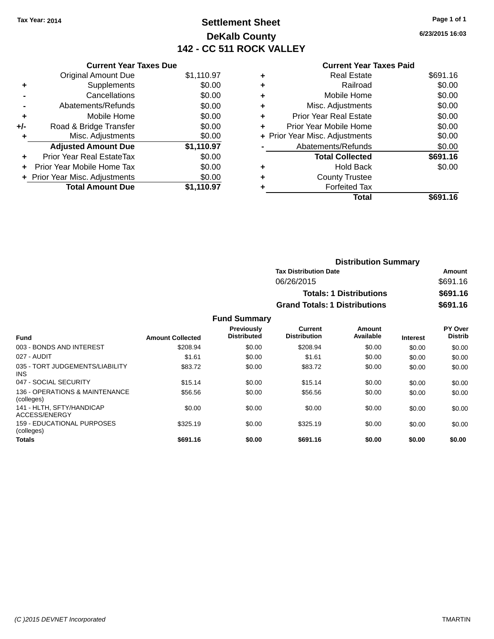## **Settlement Sheet Tax Year: 2014 Page 1 of 1 DeKalb County 142 - CC 511 ROCK VALLEY**

**6/23/2015 16:03**

|   | <b>Current Year Taxes Paid</b> |          |
|---|--------------------------------|----------|
| ÷ | <b>Real Estate</b>             | \$691.16 |
| ٠ | Railroad                       | \$0.00   |
| ÷ | Mobile Home                    | \$0.00   |
| ٠ | Misc. Adjustments              | \$0.00   |
| ÷ | <b>Prior Year Real Estate</b>  | \$0.00   |
|   | Prior Year Mobile Home         | \$0.00   |
|   | + Prior Year Misc. Adjustments | \$0.00   |
|   | Abatements/Refunds             | \$0.00   |
|   | <b>Total Collected</b>         | \$691.16 |
| ٠ | <b>Hold Back</b>               | \$0.00   |
| ÷ | <b>County Trustee</b>          |          |
|   | <b>Forfeited Tax</b>           |          |
|   | Total                          | \$691.16 |
|   |                                |          |

| <b>Current Year Taxes Due</b>  |            |
|--------------------------------|------------|
| <b>Original Amount Due</b>     | \$1,110.97 |
| Supplements                    | \$0.00     |
| Cancellations                  | \$0.00     |
| Abatements/Refunds             | \$0.00     |
| Mobile Home                    | \$0.00     |
| Road & Bridge Transfer         | \$0.00     |
| Misc. Adjustments              | \$0.00     |
| <b>Adjusted Amount Due</b>     | \$1,110.97 |
| Prior Year Real EstateTax      | \$0.00     |
| Prior Year Mobile Home Tax     | \$0.00     |
| + Prior Year Misc. Adjustments | \$0.00     |
| <b>Total Amount Due</b>        | \$1.110.97 |
|                                |            |

| <b>Distribution Summary</b> |  |  |  |  |
|-----------------------------|--|--|--|--|
| Amount                      |  |  |  |  |
| \$691.16                    |  |  |  |  |
| \$691.16                    |  |  |  |  |
| \$691.16                    |  |  |  |  |
|                             |  |  |  |  |

| <b>Fund</b>                                   | <b>Amount Collected</b> | Previously<br><b>Distributed</b> | <b>Current</b><br><b>Distribution</b> | Amount<br>Available | <b>Interest</b> | PY Over<br><b>Distrib</b> |
|-----------------------------------------------|-------------------------|----------------------------------|---------------------------------------|---------------------|-----------------|---------------------------|
| 003 - BONDS AND INTEREST                      | \$208.94                | \$0.00                           | \$208.94                              | \$0.00              | \$0.00          | \$0.00                    |
| 027 - AUDIT                                   | \$1.61                  | \$0.00                           | \$1.61                                | \$0.00              | \$0.00          | \$0.00                    |
| 035 - TORT JUDGEMENTS/LIABILITY<br><b>INS</b> | \$83.72                 | \$0.00                           | \$83.72                               | \$0.00              | \$0.00          | \$0.00                    |
| 047 - SOCIAL SECURITY                         | \$15.14                 | \$0.00                           | \$15.14                               | \$0.00              | \$0.00          | \$0.00                    |
| 136 - OPERATIONS & MAINTENANCE<br>(colleges)  | \$56.56                 | \$0.00                           | \$56.56                               | \$0.00              | \$0.00          | \$0.00                    |
| 141 - HLTH, SFTY/HANDICAP<br>ACCESS/ENERGY    | \$0.00                  | \$0.00                           | \$0.00                                | \$0.00              | \$0.00          | \$0.00                    |
| 159 - EDUCATIONAL PURPOSES<br>(colleges)      | \$325.19                | \$0.00                           | \$325.19                              | \$0.00              | \$0.00          | \$0.00                    |
| <b>Totals</b>                                 | \$691.16                | \$0.00                           | \$691.16                              | \$0.00              | \$0.00          | \$0.00                    |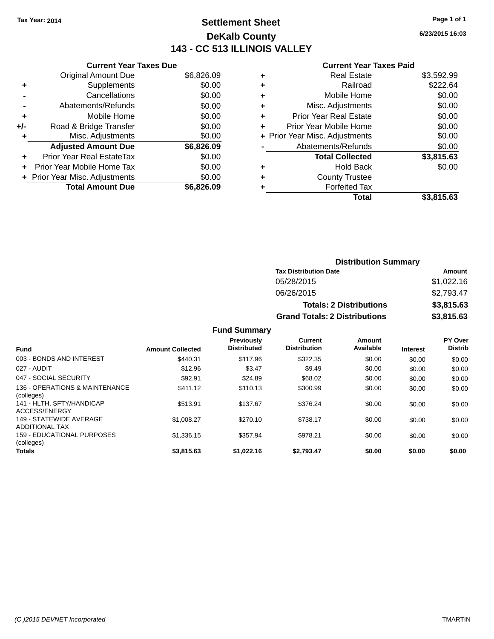## **Settlement Sheet Tax Year: 2014 Page 1 of 1 DeKalb County 143 - CC 513 ILLINOIS VALLEY**

**6/23/2015 16:03**

#### **Current Year Taxes Paid**

| <b>Current Year Taxes Due</b> |                                |
|-------------------------------|--------------------------------|
| <b>Original Amount Due</b>    | \$6,826.09                     |
| Supplements                   | \$0.00                         |
| Cancellations                 | \$0.00                         |
| Abatements/Refunds            | \$0.00                         |
| Mobile Home                   | \$0.00                         |
| Road & Bridge Transfer        | \$0.00                         |
| Misc. Adjustments             | \$0.00                         |
| <b>Adjusted Amount Due</b>    | \$6,826.09                     |
| Prior Year Real EstateTax     | \$0.00                         |
| Prior Year Mobile Home Tax    | \$0.00                         |
|                               | \$0.00                         |
| <b>Total Amount Due</b>       | \$6.826.09                     |
|                               | + Prior Year Misc. Adjustments |

|   | <b>Real Estate</b>             | \$3,592.99 |
|---|--------------------------------|------------|
| ٠ | Railroad                       | \$222.64   |
| ٠ | Mobile Home                    | \$0.00     |
| ٠ | Misc. Adjustments              | \$0.00     |
| ٠ | <b>Prior Year Real Estate</b>  | \$0.00     |
| ÷ | Prior Year Mobile Home         | \$0.00     |
|   | + Prior Year Misc. Adjustments | \$0.00     |
|   | Abatements/Refunds             | \$0.00     |
|   | <b>Total Collected</b>         | \$3,815.63 |
| ٠ | <b>Hold Back</b>               | \$0.00     |
| ٠ | <b>County Trustee</b>          |            |
| ٠ | <b>Forfeited Tax</b>           |            |
|   | Total                          | \$3,815.63 |
|   |                                |            |

| <b>Distribution Summary</b>          |            |  |  |  |
|--------------------------------------|------------|--|--|--|
| <b>Tax Distribution Date</b>         | Amount     |  |  |  |
| 05/28/2015                           | \$1,022.16 |  |  |  |
| 06/26/2015                           | \$2,793.47 |  |  |  |
| <b>Totals: 2 Distributions</b>       | \$3,815.63 |  |  |  |
| <b>Grand Totals: 2 Distributions</b> | \$3,815.63 |  |  |  |

| <b>Fund</b>                                      | <b>Amount Collected</b> | <b>Previously</b><br><b>Distributed</b> | <b>Current</b><br><b>Distribution</b> | Amount<br>Available | <b>Interest</b> | <b>PY Over</b><br><b>Distrib</b> |
|--------------------------------------------------|-------------------------|-----------------------------------------|---------------------------------------|---------------------|-----------------|----------------------------------|
| 003 - BONDS AND INTEREST                         | \$440.31                | \$117.96                                | \$322.35                              | \$0.00              | \$0.00          | \$0.00                           |
| 027 - AUDIT                                      | \$12.96                 | \$3.47                                  | \$9.49                                | \$0.00              | \$0.00          | \$0.00                           |
| 047 - SOCIAL SECURITY                            | \$92.91                 | \$24.89                                 | \$68.02                               | \$0.00              | \$0.00          | \$0.00                           |
| 136 - OPERATIONS & MAINTENANCE<br>(colleges)     | \$411.12                | \$110.13                                | \$300.99                              | \$0.00              | \$0.00          | \$0.00                           |
| 141 - HLTH, SFTY/HANDICAP<br>ACCESS/ENERGY       | \$513.91                | \$137.67                                | \$376.24                              | \$0.00              | \$0.00          | \$0.00                           |
| 149 - STATEWIDE AVERAGE<br><b>ADDITIONAL TAX</b> | \$1,008.27              | \$270.10                                | \$738.17                              | \$0.00              | \$0.00          | \$0.00                           |
| <b>159 - EDUCATIONAL PURPOSES</b><br>(colleges)  | \$1,336.15              | \$357.94                                | \$978.21                              | \$0.00              | \$0.00          | \$0.00                           |
| <b>Totals</b>                                    | \$3,815.63              | \$1,022.16                              | \$2,793.47                            | \$0.00              | \$0.00          | \$0.00                           |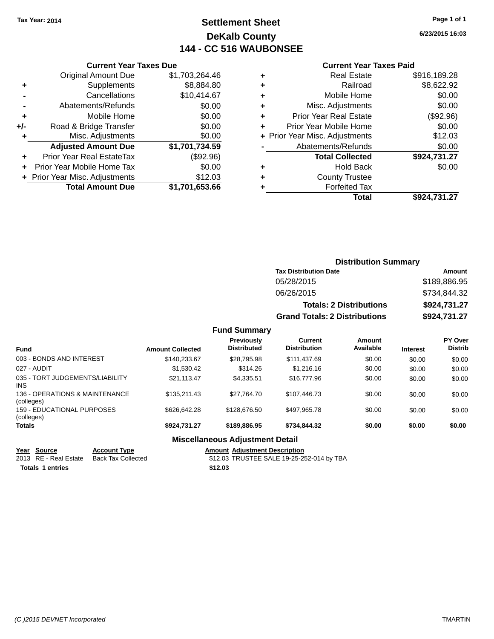## **Settlement Sheet Tax Year: 2014 Page 1 of 1 DeKalb County 144 - CC 516 WAUBONSEE**

**6/23/2015 16:03**

#### **Current Year Taxes Paid**

|     | <b>Current Year Taxes Due</b>  |                |  |  |  |  |
|-----|--------------------------------|----------------|--|--|--|--|
|     | <b>Original Amount Due</b>     | \$1,703,264.46 |  |  |  |  |
| ٠   | Supplements                    | \$8,884.80     |  |  |  |  |
|     | Cancellations                  | \$10,414.67    |  |  |  |  |
|     | Abatements/Refunds             | \$0.00         |  |  |  |  |
| ٠   | Mobile Home                    | \$0.00         |  |  |  |  |
| +/- | Road & Bridge Transfer         | \$0.00         |  |  |  |  |
| ٠   | Misc. Adjustments              | \$0.00         |  |  |  |  |
|     | <b>Adjusted Amount Due</b>     | \$1,701,734.59 |  |  |  |  |
|     | Prior Year Real EstateTax      | (\$92.96)      |  |  |  |  |
| ÷   | Prior Year Mobile Home Tax     | \$0.00         |  |  |  |  |
|     | + Prior Year Misc. Adjustments | \$12.03        |  |  |  |  |
|     | <b>Total Amount Due</b>        | \$1,701,653.66 |  |  |  |  |

| ٠ | <b>Real Estate</b>             | \$916,189.28 |
|---|--------------------------------|--------------|
| ٠ | Railroad                       | \$8,622.92   |
| ٠ | Mobile Home                    | \$0.00       |
| ٠ | Misc. Adjustments              | \$0.00       |
| ٠ | <b>Prior Year Real Estate</b>  | (\$92.96)    |
| ٠ | Prior Year Mobile Home         | \$0.00       |
|   | + Prior Year Misc. Adjustments | \$12.03      |
|   | Abatements/Refunds             | \$0.00       |
|   | <b>Total Collected</b>         | \$924,731.27 |
| ٠ | <b>Hold Back</b>               | \$0.00       |
| ٠ | <b>County Trustee</b>          |              |
| ٠ | <b>Forfeited Tax</b>           |              |
|   | Total                          | \$924,731.27 |
|   |                                |              |

| <b>Distribution Summary</b>          |              |  |  |  |
|--------------------------------------|--------------|--|--|--|
| <b>Tax Distribution Date</b>         | Amount       |  |  |  |
| 05/28/2015                           | \$189,886.95 |  |  |  |
| 06/26/2015                           | \$734,844.32 |  |  |  |
| <b>Totals: 2 Distributions</b>       | \$924,731.27 |  |  |  |
| <b>Grand Totals: 2 Distributions</b> | \$924,731.27 |  |  |  |

### **Fund Summary**

| <b>Fund</b>                                   | <b>Amount Collected</b> | <b>Previously</b><br><b>Distributed</b> | Current<br><b>Distribution</b> | Amount<br>Available | <b>Interest</b> | PY Over<br><b>Distrib</b> |
|-----------------------------------------------|-------------------------|-----------------------------------------|--------------------------------|---------------------|-----------------|---------------------------|
| 003 - BONDS AND INTEREST                      | \$140.233.67            | \$28,795.98                             | \$111,437.69                   | \$0.00              | \$0.00          | \$0.00                    |
| 027 - AUDIT                                   | \$1.530.42              | \$314.26                                | \$1,216.16                     | \$0.00              | \$0.00          | \$0.00                    |
| 035 - TORT JUDGEMENTS/LIABILITY<br><b>INS</b> | \$21.113.47             | \$4.335.51                              | \$16,777.96                    | \$0.00              | \$0.00          | \$0.00                    |
| 136 - OPERATIONS & MAINTENANCE<br>(colleges)  | \$135,211,43            | \$27.764.70                             | \$107.446.73                   | \$0.00              | \$0.00          | \$0.00                    |
| 159 - EDUCATIONAL PURPOSES<br>(colleges)      | \$626,642.28            | \$128,676.50                            | \$497.965.78                   | \$0.00              | \$0.00          | \$0.00                    |
| <b>Totals</b>                                 | \$924.731.27            | \$189,886,95                            | \$734,844,32                   | \$0.00              | \$0.00          | \$0.00                    |
|                                               | ---<br>.                | .                                       |                                |                     |                 |                           |

#### **Miscellaneous Adjustment Detail**

| Year Source             | <b>Account Type</b> |         | <b>Amount Adiustment Description</b>      |
|-------------------------|---------------------|---------|-------------------------------------------|
| 2013 RE - Real Estate   | Back Tax Collected  |         | \$12.03 TRUSTEE SALE 19-25-252-014 by TBA |
| <b>Totals 1 entries</b> |                     | \$12.03 |                                           |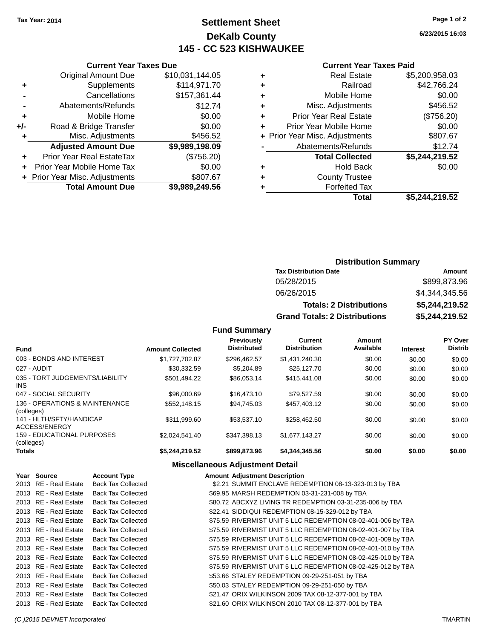## **Settlement Sheet Tax Year: 2014 Page 1 of 2 DeKalb County 145 - CC 523 KISHWAUKEE**

**6/23/2015 16:03**

| <b>Current Year Taxes Paid</b> |  |  |  |
|--------------------------------|--|--|--|
|--------------------------------|--|--|--|

|     | <b>Current Year Taxes Due</b>              |                 |  |  |  |
|-----|--------------------------------------------|-----------------|--|--|--|
|     | <b>Original Amount Due</b>                 | \$10,031,144.05 |  |  |  |
| ٠   | Supplements                                | \$114,971.70    |  |  |  |
|     | Cancellations                              | \$157,361.44    |  |  |  |
|     | Abatements/Refunds                         | \$12.74         |  |  |  |
| ٠   | Mobile Home                                | \$0.00          |  |  |  |
| +/- | Road & Bridge Transfer                     | \$0.00          |  |  |  |
| ٠   | Misc. Adjustments                          | \$456.52        |  |  |  |
|     | <b>Adjusted Amount Due</b>                 | \$9,989,198.09  |  |  |  |
| ٠   | Prior Year Real EstateTax                  | (\$756.20)      |  |  |  |
| ÷   | Prior Year Mobile Home Tax                 | \$0.00          |  |  |  |
|     | \$807.67<br>+ Prior Year Misc. Adjustments |                 |  |  |  |
|     | <b>Total Amount Due</b>                    | \$9,989,249.56  |  |  |  |

|   | <b>Real Estate</b>             | \$5,200,958.03 |
|---|--------------------------------|----------------|
| ٠ | Railroad                       | \$42,766.24    |
| ٠ | Mobile Home                    | \$0.00         |
| ٠ | Misc. Adjustments              | \$456.52       |
| ٠ | <b>Prior Year Real Estate</b>  | (\$756.20)     |
|   | Prior Year Mobile Home         | \$0.00         |
|   | + Prior Year Misc. Adjustments | \$807.67       |
|   | Abatements/Refunds             | \$12.74        |
|   | <b>Total Collected</b>         | \$5,244,219.52 |
|   | <b>Hold Back</b>               | \$0.00         |
|   | <b>County Trustee</b>          |                |
|   | <b>Forfeited Tax</b>           |                |
|   | <b>Total</b>                   | \$5,244,219.52 |
|   |                                |                |

| <b>Distribution Summary</b>          |                |  |  |  |
|--------------------------------------|----------------|--|--|--|
| <b>Tax Distribution Date</b>         | Amount         |  |  |  |
| 05/28/2015                           | \$899,873.96   |  |  |  |
| 06/26/2015                           | \$4,344,345.56 |  |  |  |
| <b>Totals: 2 Distributions</b>       | \$5,244,219.52 |  |  |  |
| <b>Grand Totals: 2 Distributions</b> | \$5,244,219.52 |  |  |  |

| <b>Fund</b>                                  | <b>Amount Collected</b> | <b>Previously</b><br><b>Distributed</b> | Current<br><b>Distribution</b> | Amount<br>Available | <b>Interest</b> | PY Over<br><b>Distrib</b> |
|----------------------------------------------|-------------------------|-----------------------------------------|--------------------------------|---------------------|-----------------|---------------------------|
| 003 - BONDS AND INTEREST                     | \$1,727,702.87          | \$296.462.57                            | \$1,431,240.30                 | \$0.00              | \$0.00          | \$0.00                    |
| 027 - AUDIT                                  | \$30,332.59             | \$5,204.89                              | \$25,127.70                    | \$0.00              | \$0.00          | \$0.00                    |
| 035 - TORT JUDGEMENTS/LIABILITY<br>INS.      | \$501.494.22            | \$86.053.14                             | \$415,441,08                   | \$0.00              | \$0.00          | \$0.00                    |
| 047 - SOCIAL SECURITY                        | \$96,000.69             | \$16,473.10                             | \$79.527.59                    | \$0.00              | \$0.00          | \$0.00                    |
| 136 - OPERATIONS & MAINTENANCE<br>(colleges) | \$552,148.15            | \$94.745.03                             | \$457.403.12                   | \$0.00              | \$0.00          | \$0.00                    |
| 141 - HLTH/SFTY/HANDICAP<br>ACCESS/ENERGY    | \$311.999.60            | \$53.537.10                             | \$258.462.50                   | \$0.00              | \$0.00          | \$0.00                    |
| 159 - EDUCATIONAL PURPOSES<br>(colleges)     | \$2.024.541.40          | \$347.398.13                            | \$1.677.143.27                 | \$0.00              | \$0.00          | \$0.00                    |
| Totals                                       | \$5,244,219.52          | \$899,873,96                            | \$4,344,345.56                 | \$0.00              | \$0.00          | \$0.00                    |
|                                              |                         | Miscellaneous Adiustment Detail         |                                |                     |                 |                           |

|  |                       |                           | <b>MISCONDICOUS AUJUSTINGIIL DOLUI</b> I                     |
|--|-----------------------|---------------------------|--------------------------------------------------------------|
|  | Year Source           | <b>Account Type</b>       | <b>Amount Adjustment Description</b>                         |
|  | 2013 RE - Real Estate | <b>Back Tax Collected</b> | \$2.21 SUMMIT ENCLAVE REDEMPTION 08-13-323-013 by TBA        |
|  | 2013 RE - Real Estate | <b>Back Tax Collected</b> | \$69.95 MARSH REDEMPTION 03-31-231-008 by TBA                |
|  | 2013 RE - Real Estate | <b>Back Tax Collected</b> | \$80.72 ABCXYZ LIVING TR REDEMPTION 03-31-235-006 by TBA     |
|  | 2013 RE - Real Estate | <b>Back Tax Collected</b> | \$22.41 SIDDIQUI REDEMPTION 08-15-329-012 by TBA             |
|  | 2013 RE - Real Estate | <b>Back Tax Collected</b> | \$75.59 RIVERMIST UNIT 5 LLC REDEMPTION 08-02-401-006 by TBA |
|  | 2013 RE - Real Estate | <b>Back Tax Collected</b> | \$75.59 RIVERMIST UNIT 5 LLC REDEMPTION 08-02-401-007 by TBA |
|  | 2013 RE - Real Estate | <b>Back Tax Collected</b> | \$75.59 RIVERMIST UNIT 5 LLC REDEMPTION 08-02-401-009 by TBA |
|  | 2013 RE - Real Estate | <b>Back Tax Collected</b> | \$75.59 RIVERMIST UNIT 5 LLC REDEMPTION 08-02-401-010 by TBA |
|  | 2013 RE - Real Estate | <b>Back Tax Collected</b> | \$75.59 RIVERMIST UNIT 5 LLC REDEMPTION 08-02-425-010 by TBA |
|  | 2013 RE - Real Estate | <b>Back Tax Collected</b> | \$75.59 RIVERMIST UNIT 5 LLC REDEMPTION 08-02-425-012 by TBA |
|  | 2013 RE - Real Estate | <b>Back Tax Collected</b> | \$53.66 STALEY REDEMPTION 09-29-251-051 by TBA               |
|  | 2013 RE - Real Estate | <b>Back Tax Collected</b> | \$50.03 STALEY REDEMPTION 09-29-251-050 by TBA               |
|  | 2013 RE - Real Estate | <b>Back Tax Collected</b> | \$21.47 ORIX WILKINSON 2009 TAX 08-12-377-001 by TBA         |
|  | 2013 RE - Real Estate | <b>Back Tax Collected</b> | \$21.60 ORIX WILKINSON 2010 TAX 08-12-377-001 by TBA         |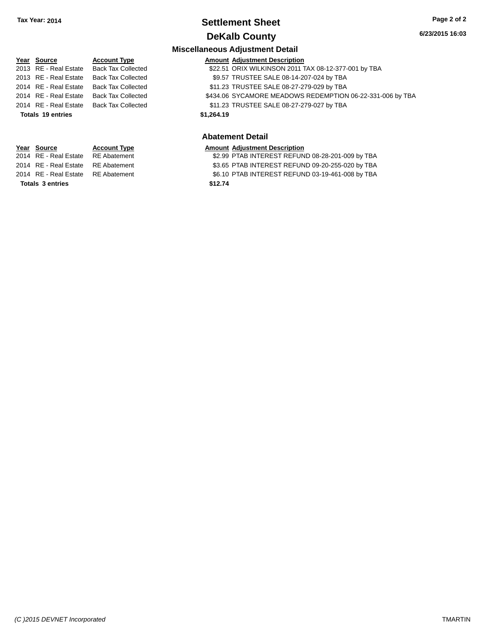## **Settlement Sheet Tax Year: 2014 Page 2 of 2 DeKalb County**

#### **6/23/2015 16:03**

#### **Miscellaneous Adjustment Detail**

| Year Source           | <b>Account Type</b>       |            | <b>Amount Adjustment Description</b>                      |
|-----------------------|---------------------------|------------|-----------------------------------------------------------|
| 2013 RE - Real Estate | <b>Back Tax Collected</b> |            | \$22.51 ORIX WILKINSON 2011 TAX 08-12-377-001 by TBA      |
| 2013 RE - Real Estate | <b>Back Tax Collected</b> |            | \$9.57 TRUSTEE SALE 08-14-207-024 by TBA                  |
| 2014 RE - Real Estate | <b>Back Tax Collected</b> |            | \$11.23 TRUSTEE SALE 08-27-279-029 by TBA                 |
| 2014 RE - Real Estate | <b>Back Tax Collected</b> |            | \$434.06 SYCAMORE MEADOWS REDEMPTION 06-22-331-006 by TBA |
| 2014 RE - Real Estate | <b>Back Tax Collected</b> |            | \$11.23 TRUSTEE SALE 08-27-279-027 by TBA                 |
| Totals 19 entries     |                           | \$1.264.19 |                                                           |
|                       |                           |            |                                                           |
|                       |                           |            |                                                           |

#### **Abatement Detail**

|  | Year Source | <b>Account Type</b> |  | <b>Amount Adiustment Description</b> |
|--|-------------|---------------------|--|--------------------------------------|
|--|-------------|---------------------|--|--------------------------------------|

- 2014 RE Real Estate RE Abatement **12.99 PTAB INTEREST REFUND 08-28-201-009 by TBA**
- 2014 RE Real Estate RE Abatement \$3.65 PTAB INTEREST REFUND 09-20-255-020 by TBA
- 2014 RE Real Estate RE Abatement \$6.10 PTAB INTEREST REFUND 03-19-461-008 by TBA

**Totals \$12.74 3 entries**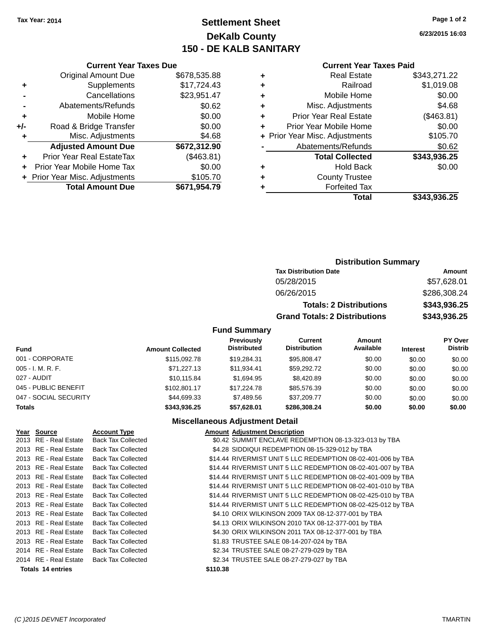## **Settlement Sheet Tax Year: 2014 Page 1 of 2 DeKalb County 150 - DE KALB SANITARY**

**6/23/2015 16:03**

|       | <b>Current Year Taxes Due</b>              |              |  |  |  |  |
|-------|--------------------------------------------|--------------|--|--|--|--|
|       | <b>Original Amount Due</b>                 | \$678,535.88 |  |  |  |  |
| ٠     | \$17,724.43<br>Supplements                 |              |  |  |  |  |
|       | Cancellations                              | \$23,951.47  |  |  |  |  |
|       | Abatements/Refunds                         | \$0.62       |  |  |  |  |
| ٠     | \$0.00<br>Mobile Home                      |              |  |  |  |  |
| $+/-$ | \$0.00<br>Road & Bridge Transfer           |              |  |  |  |  |
| ٠     | Misc. Adjustments<br>\$4.68                |              |  |  |  |  |
|       | <b>Adjusted Amount Due</b>                 | \$672,312.90 |  |  |  |  |
| ÷     | <b>Prior Year Real EstateTax</b>           | (\$463.81)   |  |  |  |  |
|       | Prior Year Mobile Home Tax                 | \$0.00       |  |  |  |  |
|       | \$105.70<br>+ Prior Year Misc. Adjustments |              |  |  |  |  |
|       | <b>Total Amount Due</b>                    | \$671,954.79 |  |  |  |  |
|       |                                            |              |  |  |  |  |

#### **Current Year Taxes Paid**

| ٠ | <b>Real Estate</b>             | \$343,271.22 |
|---|--------------------------------|--------------|
| ٠ | Railroad                       | \$1,019.08   |
| ٠ | Mobile Home                    | \$0.00       |
| ٠ | Misc. Adjustments              | \$4.68       |
| ٠ | <b>Prior Year Real Estate</b>  | (\$463.81)   |
| ÷ | Prior Year Mobile Home         | \$0.00       |
|   | + Prior Year Misc. Adjustments | \$105.70     |
|   | Abatements/Refunds             | \$0.62       |
|   | <b>Total Collected</b>         | \$343,936.25 |
| ٠ | <b>Hold Back</b>               | \$0.00       |
| ٠ | <b>County Trustee</b>          |              |
| ٠ | <b>Forfeited Tax</b>           |              |
|   | Total                          | \$343,936.25 |
|   |                                |              |

## **Distribution Summary Tax Distribution Date Amount** 05/28/2015 \$57,628.01 06/26/2015 \$286,308.24 **Totals: 2 Distributions \$343,936.25 Grand Totals: 2 Distributions \$343,936.25**

#### **Fund Summary**

| <b>Fund</b>           | <b>Amount Collected</b> | Previously<br><b>Distributed</b> | Current<br><b>Distribution</b> | Amount<br>Available | <b>Interest</b> | PY Over<br><b>Distrib</b> |
|-----------------------|-------------------------|----------------------------------|--------------------------------|---------------------|-----------------|---------------------------|
| 001 - CORPORATE       | \$115,092.78            | \$19,284.31                      | \$95.808.47                    | \$0.00              | \$0.00          | \$0.00                    |
| $005 - I. M. R. F.$   | \$71,227.13             | \$11.934.41                      | \$59,292.72                    | \$0.00              | \$0.00          | \$0.00                    |
| 027 - AUDIT           | \$10,115,84             | \$1.694.95                       | \$8,420.89                     | \$0.00              | \$0.00          | \$0.00                    |
| 045 - PUBLIC BENEFIT  | \$102.801.17            | \$17,224.78                      | \$85,576.39                    | \$0.00              | \$0.00          | \$0.00                    |
| 047 - SOCIAL SECURITY | \$44,699.33             | \$7.489.56                       | \$37,209.77                    | \$0.00              | \$0.00          | \$0.00                    |
| <b>Totals</b>         | \$343.936.25            | \$57.628.01                      | \$286,308.24                   | \$0.00              | \$0.00          | \$0.00                    |

#### **Miscellaneous Adjustment Detail**

| Year Source           | <b>Account Type</b>       | <b>Amount Adjustment Description</b>                         |
|-----------------------|---------------------------|--------------------------------------------------------------|
| 2013 RE - Real Estate | <b>Back Tax Collected</b> | \$0.42 SUMMIT ENCLAVE REDEMPTION 08-13-323-013 by TBA        |
| 2013 RE - Real Estate | <b>Back Tax Collected</b> | \$4.28 SIDDIQUI REDEMPTION 08-15-329-012 by TBA              |
| 2013 RE - Real Estate | <b>Back Tax Collected</b> | \$14.44 RIVERMIST UNIT 5 LLC REDEMPTION 08-02-401-006 by TBA |
| 2013 RE - Real Estate | <b>Back Tax Collected</b> | \$14.44 RIVERMIST UNIT 5 LLC REDEMPTION 08-02-401-007 by TBA |
| 2013 RE - Real Estate | <b>Back Tax Collected</b> | \$14.44 RIVERMIST UNIT 5 LLC REDEMPTION 08-02-401-009 by TBA |
| 2013 RE - Real Estate | <b>Back Tax Collected</b> | \$14.44 RIVERMIST UNIT 5 LLC REDEMPTION 08-02-401-010 by TBA |
| 2013 RE - Real Estate | <b>Back Tax Collected</b> | \$14.44 RIVERMIST UNIT 5 LLC REDEMPTION 08-02-425-010 by TBA |
| 2013 RE - Real Estate | <b>Back Tax Collected</b> | \$14.44 RIVERMIST UNIT 5 LLC REDEMPTION 08-02-425-012 by TBA |
| 2013 RE - Real Estate | <b>Back Tax Collected</b> | \$4.10 ORIX WILKINSON 2009 TAX 08-12-377-001 by TBA          |
| 2013 RE - Real Estate | <b>Back Tax Collected</b> | \$4.13 ORIX WILKINSON 2010 TAX 08-12-377-001 by TBA          |
| 2013 RE - Real Estate | <b>Back Tax Collected</b> | \$4.30 ORIX WILKINSON 2011 TAX 08-12-377-001 by TBA          |
| 2013 RE - Real Estate | <b>Back Tax Collected</b> | \$1.83 TRUSTEE SALE 08-14-207-024 by TBA                     |
| 2014 RE - Real Estate | <b>Back Tax Collected</b> | \$2.34 TRUSTEE SALE 08-27-279-029 by TBA                     |
| 2014 RE - Real Estate | <b>Back Tax Collected</b> | \$2.34 TRUSTEE SALE 08-27-279-027 by TBA                     |
| Totals 14 entries     |                           | \$110.38                                                     |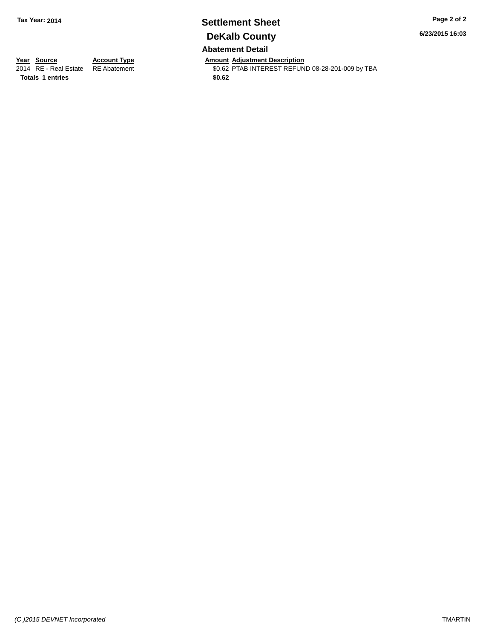# **Settlement Sheet Tax Year: 2014 Page 2 of 2 DeKalb County**

**6/23/2015 16:03**

**Abatement Detail**

**Totals 1 entries** \$0.62

**Year Source Account Type Account Type Amount Adjustment Description**<br>2014 RE - Real Estate RE Abatement **Account 1998 AMOUNTEREST REFUN** \$0.62 PTAB INTEREST REFUND 08-28-201-009 by TBA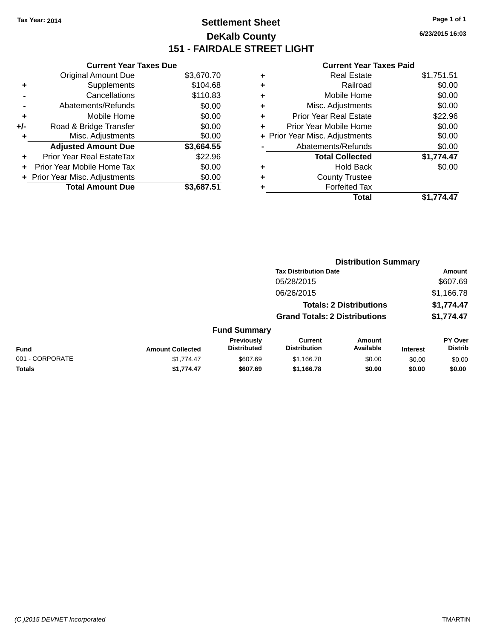## **Settlement Sheet Tax Year: 2014 Page 1 of 1 DeKalb County 151 - FAIRDALE STREET LIGHT**

**6/23/2015 16:03**

| <b>Current Year Taxes Due</b>  |            |  |  |  |
|--------------------------------|------------|--|--|--|
| <b>Original Amount Due</b>     | \$3,670.70 |  |  |  |
| Supplements                    | \$104.68   |  |  |  |
| Cancellations                  | \$110.83   |  |  |  |
| Abatements/Refunds             | \$0.00     |  |  |  |
| Mobile Home                    | \$0.00     |  |  |  |
| Road & Bridge Transfer         | \$0.00     |  |  |  |
| Misc. Adjustments              | \$0.00     |  |  |  |
| <b>Adjusted Amount Due</b>     | \$3,664.55 |  |  |  |
| Prior Year Real EstateTax      | \$22.96    |  |  |  |
| Prior Year Mobile Home Tax     | \$0.00     |  |  |  |
| + Prior Year Misc. Adjustments | \$0.00     |  |  |  |
| <b>Total Amount Due</b>        | \$3.687.51 |  |  |  |
|                                |            |  |  |  |

|   | <b>Real Estate</b>             | \$1,751.51 |
|---|--------------------------------|------------|
| ٠ | Railroad                       | \$0.00     |
| ٠ | Mobile Home                    | \$0.00     |
| ٠ | Misc. Adjustments              | \$0.00     |
| ٠ | <b>Prior Year Real Estate</b>  | \$22.96    |
| ٠ | Prior Year Mobile Home         | \$0.00     |
|   | + Prior Year Misc. Adjustments | \$0.00     |
|   | Abatements/Refunds             | \$0.00     |
|   | <b>Total Collected</b>         | \$1,774.47 |
| ٠ | Hold Back                      | \$0.00     |
| ٠ | <b>County Trustee</b>          |            |
| ٠ | <b>Forfeited Tax</b>           |            |
|   | Total                          | \$1,774.47 |
|   |                                |            |

|                 |                         |                                  |                                       | <b>Distribution Summary</b>    |                 |                           |
|-----------------|-------------------------|----------------------------------|---------------------------------------|--------------------------------|-----------------|---------------------------|
|                 |                         |                                  | <b>Tax Distribution Date</b>          |                                |                 | Amount                    |
|                 |                         |                                  | 05/28/2015                            |                                |                 | \$607.69                  |
|                 |                         |                                  | 06/26/2015                            |                                |                 | \$1,166.78                |
|                 |                         |                                  |                                       | <b>Totals: 2 Distributions</b> |                 | \$1,774.47                |
|                 |                         |                                  | <b>Grand Totals: 2 Distributions</b>  |                                |                 | \$1,774.47                |
|                 |                         | <b>Fund Summary</b>              |                                       |                                |                 |                           |
| <b>Fund</b>     | <b>Amount Collected</b> | Previously<br><b>Distributed</b> | <b>Current</b><br><b>Distribution</b> | Amount<br>Available            | <b>Interest</b> | PY Over<br><b>Distrib</b> |
| 001 - CORPORATE | \$1.774.47              | \$607.69                         | \$1,166.78                            | \$0.00                         | \$0.00          | \$0.00                    |
| <b>Totals</b>   | \$1,774.47              | \$607.69                         | \$1,166.78                            | \$0.00                         | \$0.00          | \$0.00                    |
|                 |                         |                                  |                                       |                                |                 |                           |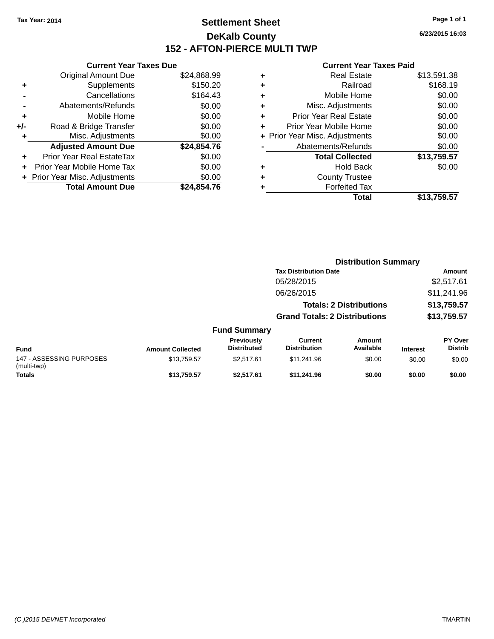## **Settlement Sheet Tax Year: 2014 Page 1 of 1 DeKalb County 152 - AFTON-PIERCE MULTI TWP**

**6/23/2015 16:03**

| \$24,868.99 |
|-------------|
|             |
| \$150.20    |
| \$164.43    |
| \$0.00      |
| \$0.00      |
| \$0.00      |
| \$0.00      |
| \$24,854.76 |
| \$0.00      |
| \$0.00      |
| \$0.00      |
| \$24.854.76 |
|             |

| ٠ | <b>Real Estate</b>             | \$13,591.38 |
|---|--------------------------------|-------------|
| ٠ | Railroad                       | \$168.19    |
| ٠ | Mobile Home                    | \$0.00      |
| ٠ | Misc. Adjustments              | \$0.00      |
| ٠ | <b>Prior Year Real Estate</b>  | \$0.00      |
|   | Prior Year Mobile Home         | \$0.00      |
|   | + Prior Year Misc. Adjustments | \$0.00      |
|   | Abatements/Refunds             | \$0.00      |
|   | <b>Total Collected</b>         | \$13,759.57 |
| ٠ | <b>Hold Back</b>               | \$0.00      |
|   | <b>County Trustee</b>          |             |
| ٠ | <b>Forfeited Tax</b>           |             |
|   | Total                          | \$13,759.57 |
|   |                                |             |

|                                         |                         |                                  | <b>Distribution Summary</b>           |                                |                 |                           |
|-----------------------------------------|-------------------------|----------------------------------|---------------------------------------|--------------------------------|-----------------|---------------------------|
|                                         |                         |                                  | <b>Tax Distribution Date</b>          |                                |                 | Amount                    |
|                                         |                         |                                  | 05/28/2015                            |                                |                 | \$2,517.61                |
|                                         |                         |                                  | 06/26/2015                            |                                |                 | \$11,241.96               |
|                                         |                         |                                  |                                       | <b>Totals: 2 Distributions</b> |                 | \$13,759.57               |
|                                         |                         |                                  | <b>Grand Totals: 2 Distributions</b>  |                                |                 | \$13,759.57               |
|                                         |                         | <b>Fund Summary</b>              |                                       |                                |                 |                           |
| <b>Fund</b>                             | <b>Amount Collected</b> | Previously<br><b>Distributed</b> | <b>Current</b><br><b>Distribution</b> | Amount<br>Available            | <b>Interest</b> | PY Over<br><b>Distrib</b> |
| 147 - ASSESSING PURPOSES<br>(multi-twp) | \$13,759.57             | \$2.517.61                       | \$11.241.96                           | \$0.00                         | \$0.00          | \$0.00                    |
| <b>Totals</b>                           | \$13,759.57             | \$2,517.61                       | \$11,241.96                           | \$0.00                         | \$0.00          | \$0.00                    |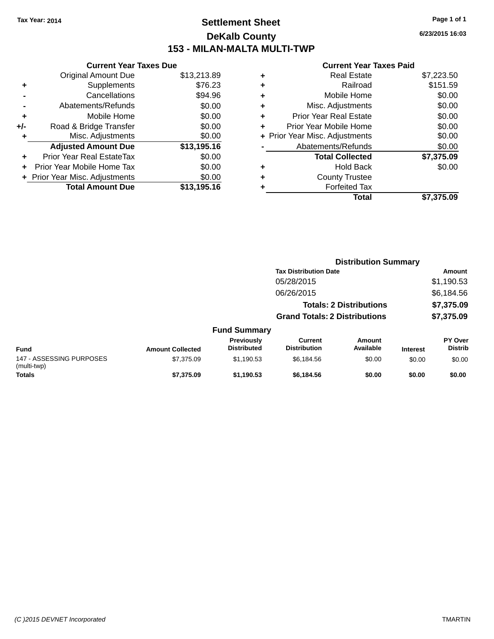## **Settlement Sheet Tax Year: 2014 Page 1 of 1 DeKalb County 153 - MILAN-MALTA MULTI-TWP**

**6/23/2015 16:03**

|       | <b>Current Year Taxes Due</b>  |             |  |  |  |
|-------|--------------------------------|-------------|--|--|--|
|       | <b>Original Amount Due</b>     | \$13,213.89 |  |  |  |
| ٠     | Supplements                    | \$76.23     |  |  |  |
|       | Cancellations                  | \$94.96     |  |  |  |
|       | Abatements/Refunds             | \$0.00      |  |  |  |
| ٠     | Mobile Home                    | \$0.00      |  |  |  |
| $+/-$ | Road & Bridge Transfer         | \$0.00      |  |  |  |
| ٠     | Misc. Adjustments              | \$0.00      |  |  |  |
|       | <b>Adjusted Amount Due</b>     | \$13,195.16 |  |  |  |
| ٠     | Prior Year Real EstateTax      | \$0.00      |  |  |  |
|       | Prior Year Mobile Home Tax     | \$0.00      |  |  |  |
|       | + Prior Year Misc. Adjustments | \$0.00      |  |  |  |
|       | <b>Total Amount Due</b>        | \$13,195.16 |  |  |  |
|       |                                |             |  |  |  |

| ٠ | <b>Real Estate</b>             | \$7,223.50 |
|---|--------------------------------|------------|
| ٠ | Railroad                       | \$151.59   |
| ٠ | Mobile Home                    | \$0.00     |
| ٠ | Misc. Adjustments              | \$0.00     |
| ٠ | <b>Prior Year Real Estate</b>  | \$0.00     |
| ÷ | Prior Year Mobile Home         | \$0.00     |
|   | + Prior Year Misc. Adjustments | \$0.00     |
|   | Abatements/Refunds             | \$0.00     |
|   | <b>Total Collected</b>         | \$7,375.09 |
| ٠ | <b>Hold Back</b>               | \$0.00     |
| ٠ | <b>County Trustee</b>          |            |
| ٠ | <b>Forfeited Tax</b>           |            |
|   | Total                          | \$7,375.09 |
|   |                                |            |

|                                         |                         |                                  | <b>Distribution Summary</b>           |                                |                 |                           |
|-----------------------------------------|-------------------------|----------------------------------|---------------------------------------|--------------------------------|-----------------|---------------------------|
|                                         |                         |                                  | <b>Tax Distribution Date</b>          |                                |                 | Amount                    |
|                                         |                         |                                  | 05/28/2015                            |                                |                 | \$1,190.53                |
|                                         |                         |                                  | 06/26/2015                            |                                |                 | \$6,184.56                |
|                                         |                         |                                  |                                       | <b>Totals: 2 Distributions</b> |                 | \$7,375.09                |
|                                         |                         |                                  | <b>Grand Totals: 2 Distributions</b>  |                                |                 | \$7,375.09                |
|                                         |                         | <b>Fund Summary</b>              |                                       |                                |                 |                           |
| <b>Fund</b>                             | <b>Amount Collected</b> | Previously<br><b>Distributed</b> | <b>Current</b><br><b>Distribution</b> | <b>Amount</b><br>Available     | <b>Interest</b> | PY Over<br><b>Distrib</b> |
| 147 - ASSESSING PURPOSES<br>(multi-twp) | \$7,375.09              | \$1,190.53                       | \$6,184.56                            | \$0.00                         | \$0.00          | \$0.00                    |
| <b>Totals</b>                           | \$7,375.09              | \$1,190.53                       | \$6,184.56                            | \$0.00                         | \$0.00          | \$0.00                    |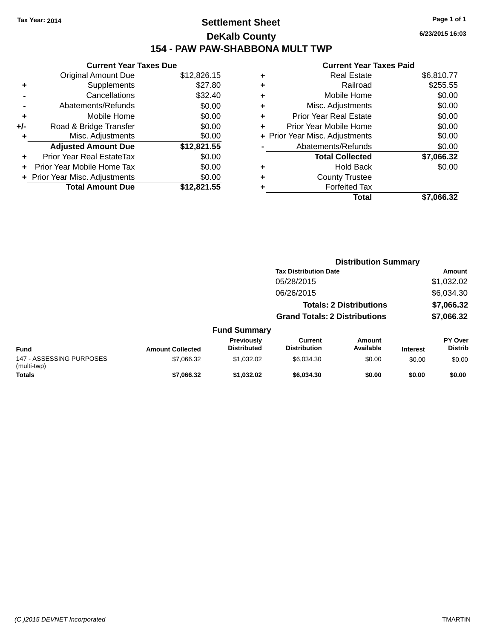## **Settlement Sheet Tax Year: 2014 Page 1 of 1 DeKalb County 154 - PAW PAW-SHABBONA MULT TWP**

|       | <b>Current Year Taxes Due</b>  |             |  |  |  |  |
|-------|--------------------------------|-------------|--|--|--|--|
|       | <b>Original Amount Due</b>     | \$12,826.15 |  |  |  |  |
| ٠     | Supplements                    | \$27.80     |  |  |  |  |
|       | Cancellations                  | \$32.40     |  |  |  |  |
|       | Abatements/Refunds             | \$0.00      |  |  |  |  |
| ٠     | Mobile Home                    | \$0.00      |  |  |  |  |
| $+/-$ | Road & Bridge Transfer         | \$0.00      |  |  |  |  |
| ٠     | Misc. Adjustments              | \$0.00      |  |  |  |  |
|       | <b>Adjusted Amount Due</b>     | \$12,821.55 |  |  |  |  |
| ٠     | Prior Year Real EstateTax      | \$0.00      |  |  |  |  |
| ÷     | Prior Year Mobile Home Tax     | \$0.00      |  |  |  |  |
|       | + Prior Year Misc. Adjustments | \$0.00      |  |  |  |  |
|       | <b>Total Amount Due</b>        | \$12,821.55 |  |  |  |  |

|   | <b>Real Estate</b>             | \$6,810.77 |
|---|--------------------------------|------------|
| ٠ | Railroad                       | \$255.55   |
| ٠ | Mobile Home                    | \$0.00     |
| ٠ | Misc. Adjustments              | \$0.00     |
| ٠ | <b>Prior Year Real Estate</b>  | \$0.00     |
| ٠ | Prior Year Mobile Home         | \$0.00     |
|   | + Prior Year Misc. Adjustments | \$0.00     |
|   | Abatements/Refunds             | \$0.00     |
|   | <b>Total Collected</b>         | \$7,066.32 |
| ٠ | <b>Hold Back</b>               | \$0.00     |
| ٠ | <b>County Trustee</b>          |            |
| ٠ | <b>Forfeited Tax</b>           |            |
|   | Total                          | \$7,066.32 |
|   |                                |            |

|                                         |                         |                                  |                                       | <b>Distribution Summary</b>    |                 |                                  |
|-----------------------------------------|-------------------------|----------------------------------|---------------------------------------|--------------------------------|-----------------|----------------------------------|
|                                         |                         |                                  | <b>Tax Distribution Date</b>          |                                |                 | Amount                           |
|                                         |                         |                                  | 05/28/2015                            |                                |                 | \$1,032.02                       |
|                                         |                         |                                  | 06/26/2015                            |                                |                 | \$6,034.30                       |
|                                         |                         |                                  |                                       | <b>Totals: 2 Distributions</b> |                 | \$7,066.32                       |
|                                         |                         |                                  | <b>Grand Totals: 2 Distributions</b>  |                                |                 | \$7,066.32                       |
|                                         |                         | <b>Fund Summary</b>              |                                       |                                |                 |                                  |
| <b>Fund</b>                             | <b>Amount Collected</b> | Previously<br><b>Distributed</b> | <b>Current</b><br><b>Distribution</b> | <b>Amount</b><br>Available     | <b>Interest</b> | <b>PY Over</b><br><b>Distrib</b> |
| 147 - ASSESSING PURPOSES<br>(multi-twp) | \$7,066.32              | \$1,032.02                       | \$6,034,30                            | \$0.00                         | \$0.00          | \$0.00                           |
| <b>Totals</b>                           | \$7,066.32              | \$1,032.02                       | \$6,034.30                            | \$0.00                         | \$0.00          | \$0.00                           |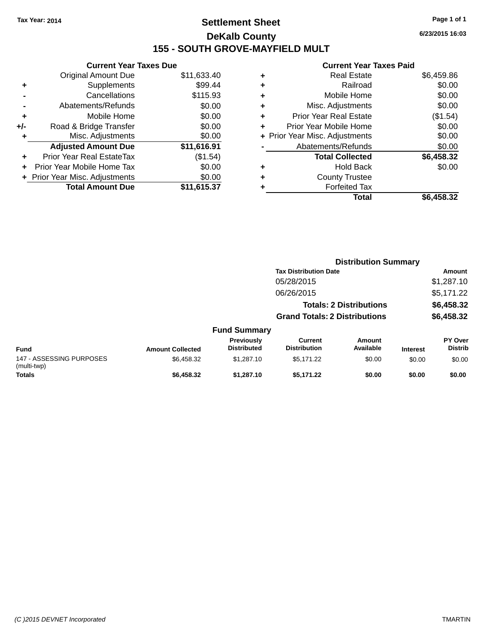## **Settlement Sheet Tax Year: 2014 Page 1 of 1 DeKalb County 155 - SOUTH GROVE-MAYFIELD MULT**

**6/23/2015 16:03**

|     | <b>Current Year Taxes Due</b>  |             |
|-----|--------------------------------|-------------|
|     | <b>Original Amount Due</b>     | \$11,633.40 |
| ٠   | Supplements                    | \$99.44     |
|     | Cancellations                  | \$115.93    |
|     | Abatements/Refunds             | \$0.00      |
| ٠   | Mobile Home                    | \$0.00      |
| +/- | Road & Bridge Transfer         | \$0.00      |
|     | Misc. Adjustments              | \$0.00      |
|     | <b>Adjusted Amount Due</b>     | \$11,616.91 |
| ÷   | Prior Year Real EstateTax      | (\$1.54)    |
|     | Prior Year Mobile Home Tax     | \$0.00      |
|     | + Prior Year Misc. Adjustments | \$0.00      |
|     | <b>Total Amount Due</b>        | \$11,615.37 |
|     |                                |             |

|   | Total                          | \$6,458.32 |
|---|--------------------------------|------------|
| ٠ | <b>Forfeited Tax</b>           |            |
| ٠ | <b>County Trustee</b>          |            |
| ٠ | <b>Hold Back</b>               | \$0.00     |
|   | <b>Total Collected</b>         | \$6,458.32 |
|   | Abatements/Refunds             | \$0.00     |
|   | + Prior Year Misc. Adjustments | \$0.00     |
| ٠ | Prior Year Mobile Home         | \$0.00     |
| ÷ | <b>Prior Year Real Estate</b>  | (\$1.54)   |
| ٠ | Misc. Adjustments              | \$0.00     |
| ÷ | Mobile Home                    | \$0.00     |
| ٠ | Railroad                       | \$0.00     |
| ٠ | <b>Real Estate</b>             | \$6,459.86 |
|   |                                |            |

|                                         |                         |                                  |                                       | <b>Distribution Summary</b>    |                 |                           |
|-----------------------------------------|-------------------------|----------------------------------|---------------------------------------|--------------------------------|-----------------|---------------------------|
|                                         |                         |                                  | <b>Tax Distribution Date</b>          |                                |                 | Amount                    |
|                                         |                         |                                  | 05/28/2015                            |                                |                 | \$1,287.10                |
|                                         |                         |                                  | 06/26/2015                            |                                |                 | \$5,171.22                |
|                                         |                         |                                  |                                       | <b>Totals: 2 Distributions</b> |                 | \$6,458.32                |
|                                         |                         |                                  | <b>Grand Totals: 2 Distributions</b>  |                                |                 | \$6,458.32                |
|                                         |                         | <b>Fund Summary</b>              |                                       |                                |                 |                           |
| <b>Fund</b>                             | <b>Amount Collected</b> | Previously<br><b>Distributed</b> | <b>Current</b><br><b>Distribution</b> | Amount<br>Available            | <b>Interest</b> | PY Over<br><b>Distrib</b> |
| 147 - ASSESSING PURPOSES<br>(multi-twp) | \$6,458.32              | \$1,287.10                       | \$5,171.22                            | \$0.00                         | \$0.00          | \$0.00                    |
| <b>Totals</b>                           | \$6,458.32              | \$1,287.10                       | \$5,171.22                            | \$0.00                         | \$0.00          | \$0.00                    |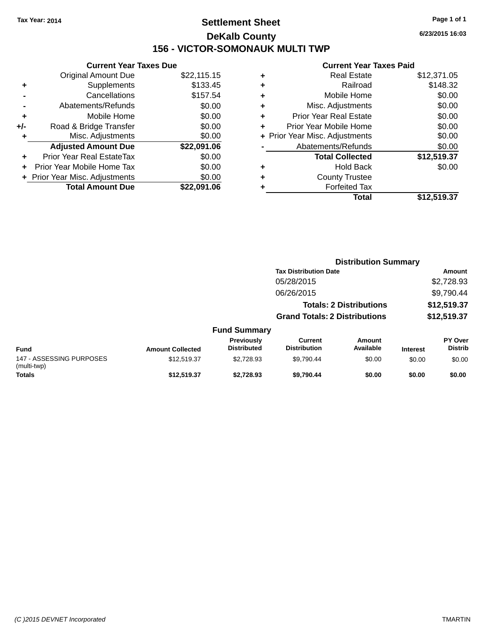## **Settlement Sheet Tax Year: 2014 Page 1 of 1 DeKalb County 156 - VICTOR-SOMONAUK MULTI TWP**

**6/23/2015 16:03**

|     | <b>Current Year Taxes Due</b>  |             |
|-----|--------------------------------|-------------|
|     | Original Amount Due            | \$22,115.15 |
| ٠   | Supplements                    | \$133.45    |
|     | Cancellations                  | \$157.54    |
|     | Abatements/Refunds             | \$0.00      |
| ٠   | Mobile Home                    | \$0.00      |
| +/- | Road & Bridge Transfer         | \$0.00      |
|     | Misc. Adjustments              | \$0.00      |
|     | <b>Adjusted Amount Due</b>     | \$22,091.06 |
| ٠   | Prior Year Real EstateTax      | \$0.00      |
|     | Prior Year Mobile Home Tax     | \$0.00      |
|     | + Prior Year Misc. Adjustments | \$0.00      |
|     | <b>Total Amount Due</b>        | \$22,091.06 |
|     |                                |             |

| ٠ | <b>Real Estate</b>             | \$12,371.05 |
|---|--------------------------------|-------------|
| ٠ | Railroad                       | \$148.32    |
| ٠ | Mobile Home                    | \$0.00      |
| ٠ | Misc. Adjustments              | \$0.00      |
| ٠ | <b>Prior Year Real Estate</b>  | \$0.00      |
| ٠ | Prior Year Mobile Home         | \$0.00      |
|   | + Prior Year Misc. Adjustments | \$0.00      |
|   | Abatements/Refunds             | \$0.00      |
|   | <b>Total Collected</b>         | \$12,519.37 |
| ٠ | <b>Hold Back</b>               | \$0.00      |
| ٠ | <b>County Trustee</b>          |             |
| ٠ | <b>Forfeited Tax</b>           |             |
|   | Total                          | \$12,519.37 |
|   |                                |             |

|                                         |                         |                                  |                                       | <b>Distribution Summary</b>    |                 |                           |
|-----------------------------------------|-------------------------|----------------------------------|---------------------------------------|--------------------------------|-----------------|---------------------------|
|                                         |                         |                                  | <b>Tax Distribution Date</b>          |                                |                 | Amount                    |
|                                         |                         |                                  | 05/28/2015                            |                                |                 | \$2,728.93                |
|                                         |                         |                                  | 06/26/2015                            |                                |                 | \$9,790.44                |
|                                         |                         |                                  |                                       | <b>Totals: 2 Distributions</b> |                 | \$12,519.37               |
|                                         |                         |                                  | <b>Grand Totals: 2 Distributions</b>  |                                |                 | \$12,519.37               |
|                                         |                         | <b>Fund Summary</b>              |                                       |                                |                 |                           |
| <b>Fund</b>                             | <b>Amount Collected</b> | Previously<br><b>Distributed</b> | <b>Current</b><br><b>Distribution</b> | Amount<br>Available            | <b>Interest</b> | PY Over<br><b>Distrib</b> |
| 147 - ASSESSING PURPOSES<br>(multi-twp) | \$12,519.37             | \$2,728.93                       | \$9,790.44                            | \$0.00                         | \$0.00          | \$0.00                    |
| <b>Totals</b>                           | \$12,519.37             | \$2,728.93                       | \$9,790.44                            | \$0.00                         | \$0.00          | \$0.00                    |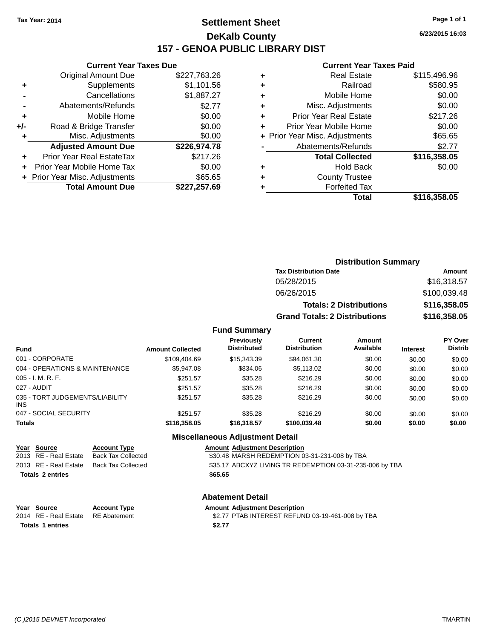## **Settlement Sheet Tax Year: 2014 Page 1 of 1 DeKalb County 157 - GENOA PUBLIC LIBRARY DIST**

**6/23/2015 16:03**

## **Current Year Taxes Paid**

|       | <b>Current Year Taxes Due</b>  |              |
|-------|--------------------------------|--------------|
|       | Original Amount Due            | \$227,763.26 |
| ٠     | Supplements                    | \$1,101.56   |
|       | Cancellations                  | \$1,887.27   |
|       | Abatements/Refunds             | \$2.77       |
| ٠     | Mobile Home                    | \$0.00       |
| $+/-$ | Road & Bridge Transfer         | \$0.00       |
|       | Misc. Adjustments              | \$0.00       |
|       | <b>Adjusted Amount Due</b>     | \$226,974.78 |
| ٠     | Prior Year Real EstateTax      | \$217.26     |
|       | Prior Year Mobile Home Tax     | \$0.00       |
|       | + Prior Year Misc. Adjustments | \$65.65      |
|       | <b>Total Amount Due</b>        | \$227,257.69 |
|       |                                |              |

| ٠ | <b>Real Estate</b>             | \$115,496.96 |
|---|--------------------------------|--------------|
| ٠ | Railroad                       | \$580.95     |
| ٠ | Mobile Home                    | \$0.00       |
| ٠ | Misc. Adjustments              | \$0.00       |
| ٠ | <b>Prior Year Real Estate</b>  | \$217.26     |
| ٠ | Prior Year Mobile Home         | \$0.00       |
|   | + Prior Year Misc. Adjustments | \$65.65      |
|   | Abatements/Refunds             | \$2.77       |
|   | <b>Total Collected</b>         | \$116,358.05 |
| ٠ | <b>Hold Back</b>               | \$0.00       |
| ٠ | <b>County Trustee</b>          |              |
|   | <b>Forfeited Tax</b>           |              |
|   | Total                          | \$116,358.05 |
|   |                                |              |

| <b>Distribution Summary</b>          |              |
|--------------------------------------|--------------|
| <b>Tax Distribution Date</b>         | Amount       |
| 05/28/2015                           | \$16,318.57  |
| 06/26/2015                           | \$100,039.48 |
| <b>Totals: 2 Distributions</b>       | \$116,358.05 |
| <b>Grand Totals: 2 Distributions</b> | \$116,358.05 |

### **Fund Summary**

| Fund                                          | <b>Amount Collected</b> | <b>Previously</b><br><b>Distributed</b> | Current<br><b>Distribution</b> | Amount<br>Available | <b>Interest</b> | <b>PY Over</b><br><b>Distrib</b> |
|-----------------------------------------------|-------------------------|-----------------------------------------|--------------------------------|---------------------|-----------------|----------------------------------|
| 001 - CORPORATE                               | \$109.404.69            | \$15,343.39                             | \$94.061.30                    | \$0.00              | \$0.00          | \$0.00                           |
| 004 - OPERATIONS & MAINTENANCE                | \$5,947.08              | \$834.06                                | \$5,113.02                     | \$0.00              | \$0.00          | \$0.00                           |
| $005 - I. M. R. F.$                           | \$251.57                | \$35.28                                 | \$216.29                       | \$0.00              | \$0.00          | \$0.00                           |
| 027 - AUDIT                                   | \$251.57                | \$35.28                                 | \$216.29                       | \$0.00              | \$0.00          | \$0.00                           |
| 035 - TORT JUDGEMENTS/LIABILITY<br><b>INS</b> | \$251.57                | \$35.28                                 | \$216.29                       | \$0.00              | \$0.00          | \$0.00                           |
| 047 - SOCIAL SECURITY                         | \$251.57                | \$35.28                                 | \$216.29                       | \$0.00              | \$0.00          | \$0.00                           |
| <b>Totals</b>                                 | \$116,358.05            | \$16,318,57                             | \$100,039.48                   | \$0.00              | \$0.00          | \$0.00                           |

#### **Miscellaneous Adjustment Detail**

| <b>Amount Adjustment Description</b>                     |
|----------------------------------------------------------|
| \$30.48 MARSH REDEMPTION 03-31-231-008 by TBA            |
| \$35.17 ABCXYZ LIVING TR REDEMPTION 03-31-235-006 by TBA |
|                                                          |
|                                                          |

#### **Abatement Detail**

| Year Source             | <b>Account Type</b> | <b>Amount Adiustment Description</b>             |
|-------------------------|---------------------|--------------------------------------------------|
| 2014 RE - Real Estate   | RE Abatement        | \$2.77 PTAB INTEREST REFUND 03-19-461-008 by TBA |
| <b>Totals 1 entries</b> |                     | \$2.77                                           |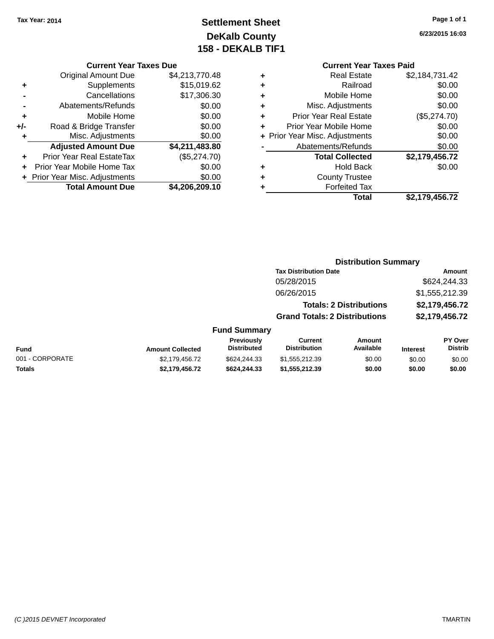## **Settlement Sheet Tax Year: 2014 Page 1 of 1 DeKalb County 158 - DEKALB TIF1**

**6/23/2015 16:03**

#### **Current Year Taxes Due**

|     | <b>Original Amount Due</b>     | \$4,213,770.48 |
|-----|--------------------------------|----------------|
| ٠   | Supplements                    | \$15,019.62    |
|     | Cancellations                  | \$17,306.30    |
|     | Abatements/Refunds             | \$0.00         |
| ÷   | Mobile Home                    | \$0.00         |
| +/- | Road & Bridge Transfer         | \$0.00         |
| ٠   | Misc. Adjustments              | \$0.00         |
|     | <b>Adjusted Amount Due</b>     | \$4,211,483.80 |
|     | Prior Year Real EstateTax      | (\$5,274.70)   |
|     | Prior Year Mobile Home Tax     | \$0.00         |
|     | + Prior Year Misc. Adjustments | \$0.00         |
|     | <b>Total Amount Due</b>        | \$4,206,209.10 |

## **Current Year Taxes Paid**

|   | <b>Total</b>                   | \$2,179,456.72 |
|---|--------------------------------|----------------|
| ٠ | <b>Forfeited Tax</b>           |                |
| ٠ | <b>County Trustee</b>          |                |
| ٠ | <b>Hold Back</b>               | \$0.00         |
|   | <b>Total Collected</b>         | \$2,179,456.72 |
|   | Abatements/Refunds             | \$0.00         |
|   | + Prior Year Misc. Adjustments | \$0.00         |
| ٠ | Prior Year Mobile Home         | \$0.00         |
| ٠ | <b>Prior Year Real Estate</b>  | (\$5,274.70)   |
| ٠ | Misc. Adjustments              | \$0.00         |
| ٠ | Mobile Home                    | \$0.00         |
| ٠ | Railroad                       | \$0.00         |
| ٠ | <b>Real Estate</b>             | \$2,184,731.42 |

#### **Distribution Summary Tax Distribution Date Amount** 05/28/2015 \$624,244.33 06/26/2015 \$1,555,212.39 **Totals: 2 Distributions \$2,179,456.72 Grand Totals: 2 Distributions \$2,179,456.72**

|                 |                         | <b>Previously</b><br><b>Distributed</b> | Current<br><b>Distribution</b> | Amount<br>Available |          | <b>PY Over</b><br><b>Distrib</b> |
|-----------------|-------------------------|-----------------------------------------|--------------------------------|---------------------|----------|----------------------------------|
| Fund            | <b>Amount Collected</b> |                                         |                                |                     | Interest |                                  |
| 001 - CORPORATE | \$2.179.456.72          | \$624.244.33                            | \$1,555,212,39                 | \$0.00              | \$0.00   | \$0.00                           |
| <b>Totals</b>   | \$2.179.456.72          | \$624,244,33                            | \$1,555,212,39                 | \$0.00              | \$0.00   | \$0.00                           |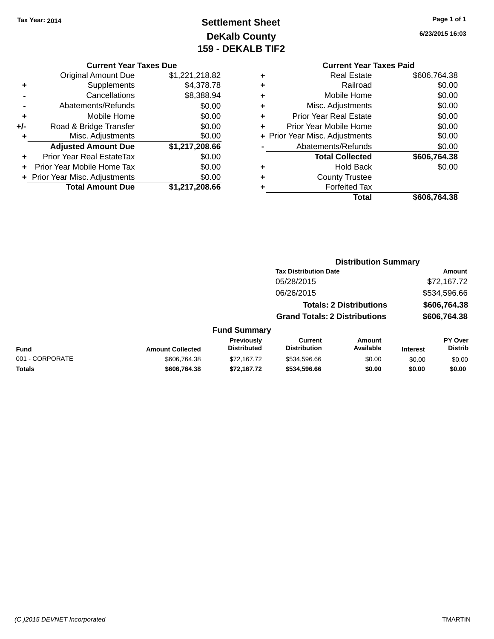## **Settlement Sheet Tax Year: 2014 Page 1 of 1 DeKalb County 159 - DEKALB TIF2**

**6/23/2015 16:03**

#### **Current Year Taxes Due**

| <b>Original Amount Due</b> | \$1,221,218.82                 |
|----------------------------|--------------------------------|
| Supplements                | \$4,378.78                     |
| Cancellations              | \$8,388.94                     |
| Abatements/Refunds         | \$0.00                         |
| Mobile Home                | \$0.00                         |
| Road & Bridge Transfer     | \$0.00                         |
| Misc. Adjustments          | \$0.00                         |
| <b>Adjusted Amount Due</b> | \$1,217,208.66                 |
| Prior Year Real EstateTax  | \$0.00                         |
| Prior Year Mobile Home Tax | \$0.00                         |
|                            | \$0.00                         |
| <b>Total Amount Due</b>    | \$1,217,208.66                 |
|                            | + Prior Year Misc. Adjustments |

## **Current Year Taxes Paid**

|   | Total                          | \$606,764.38 |
|---|--------------------------------|--------------|
|   | <b>Forfeited Tax</b>           |              |
| ٠ | <b>County Trustee</b>          |              |
| ٠ | Hold Back                      | \$0.00       |
|   | <b>Total Collected</b>         | \$606,764.38 |
|   | Abatements/Refunds             | \$0.00       |
|   | + Prior Year Misc. Adjustments | \$0.00       |
| ٠ | Prior Year Mobile Home         | \$0.00       |
| ÷ | <b>Prior Year Real Estate</b>  | \$0.00       |
| ٠ | Misc. Adjustments              | \$0.00       |
| ٠ | Mobile Home                    | \$0.00       |
| ٠ | Railroad                       | \$0.00       |
|   | <b>Real Estate</b>             | \$606,764.38 |

#### **Distribution Summary Tax Distribution Date Amount** 05/28/2015 \$72,167.72 06/26/2015 \$534,596.66 **Totals: 2 Distributions \$606,764.38 Grand Totals: 2 Distributions \$606,764.38 Fund Summary PY Over Distrib Amount Available Current Distribution Previously Amount Collected Distributed**

| Fund            | <b>Amount Collected</b> | <b>Previously</b><br><b>Distributed</b> | Current<br><b>Distribution</b> | Amount<br>Available | <b>Interest</b> | <b>PY Over</b><br><b>Distrib</b> |
|-----------------|-------------------------|-----------------------------------------|--------------------------------|---------------------|-----------------|----------------------------------|
| 001 - CORPORATE | \$606,764,38            | \$72,167.72                             | \$534.596.66                   | \$0.00              | \$0.00          | \$0.00                           |
| Totals          | \$606.764.38            | \$72.167.72                             | \$534,596.66                   | \$0.00              | \$0.00          | \$0.00                           |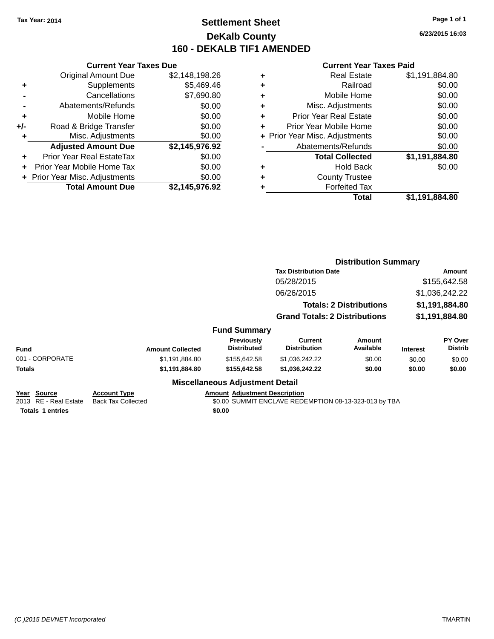## **Settlement Sheet Tax Year: 2014 Page 1 of 1 DeKalb County 160 - DEKALB TIF1 AMENDED**

**6/23/2015 16:03**

|     | <b>Current Year Taxes Due</b>    |                |  |  |  |
|-----|----------------------------------|----------------|--|--|--|
|     | <b>Original Amount Due</b>       | \$2,148,198.26 |  |  |  |
| ÷   | Supplements                      | \$5,469.46     |  |  |  |
|     | Cancellations                    | \$7,690.80     |  |  |  |
|     | Abatements/Refunds               | \$0.00         |  |  |  |
| ٠   | Mobile Home                      | \$0.00         |  |  |  |
| +/- | Road & Bridge Transfer           | \$0.00         |  |  |  |
| ٠   | Misc. Adjustments                | \$0.00         |  |  |  |
|     | <b>Adjusted Amount Due</b>       | \$2,145,976.92 |  |  |  |
| ÷   | <b>Prior Year Real EstateTax</b> | \$0.00         |  |  |  |
| ÷   | Prior Year Mobile Home Tax       | \$0.00         |  |  |  |
|     | + Prior Year Misc. Adjustments   | \$0.00         |  |  |  |
|     | <b>Total Amount Due</b>          | \$2.145.976.92 |  |  |  |

| ٠ | <b>Real Estate</b>             | \$1,191,884.80 |
|---|--------------------------------|----------------|
| ٠ | Railroad                       | \$0.00         |
| ٠ | Mobile Home                    | \$0.00         |
| ٠ | Misc. Adjustments              | \$0.00         |
| ٠ | <b>Prior Year Real Estate</b>  | \$0.00         |
| ٠ | Prior Year Mobile Home         | \$0.00         |
|   | + Prior Year Misc. Adjustments | \$0.00         |
|   | Abatements/Refunds             | \$0.00         |
|   | <b>Total Collected</b>         | \$1,191,884.80 |
| ٠ | <b>Hold Back</b>               | \$0.00         |
| ٠ | <b>County Trustee</b>          |                |
| ٠ | <b>Forfeited Tax</b>           |                |
|   | Total                          | \$1,191,884.80 |
|   |                                |                |

|                                                                    |                                                  |                                                | <b>Distribution Summary</b>                           |                                |                                |                                  |
|--------------------------------------------------------------------|--------------------------------------------------|------------------------------------------------|-------------------------------------------------------|--------------------------------|--------------------------------|----------------------------------|
|                                                                    |                                                  |                                                | <b>Tax Distribution Date</b>                          |                                | Amount                         |                                  |
|                                                                    |                                                  |                                                | 05/28/2015<br>06/26/2015                              |                                | \$155,642.58<br>\$1,036,242.22 |                                  |
|                                                                    |                                                  |                                                |                                                       |                                |                                |                                  |
|                                                                    |                                                  |                                                |                                                       | <b>Totals: 2 Distributions</b> | \$1,191,884.80                 |                                  |
|                                                                    |                                                  |                                                | <b>Grand Totals: 2 Distributions</b>                  |                                | \$1,191,884.80                 |                                  |
|                                                                    |                                                  | <b>Fund Summary</b>                            |                                                       |                                |                                |                                  |
| <b>Fund</b>                                                        | <b>Amount Collected</b>                          | Previously<br><b>Distributed</b>               | <b>Current</b><br><b>Distribution</b>                 | Amount<br>Available            | <b>Interest</b>                | <b>PY Over</b><br><b>Distrib</b> |
| 001 - CORPORATE                                                    | \$1,191,884.80                                   | \$155,642.58                                   | \$1,036,242.22                                        | \$0.00                         | \$0.00                         | \$0.00                           |
| Totals                                                             | \$1,191,884.80                                   | \$155,642.58                                   | \$1,036,242.22                                        | \$0.00                         | \$0.00                         | \$0.00                           |
|                                                                    |                                                  | <b>Miscellaneous Adjustment Detail</b>         |                                                       |                                |                                |                                  |
| Year<br>Source<br>2013 RE - Real Estate<br><b>Totals 1 entries</b> | <b>Account Type</b><br><b>Back Tax Collected</b> | <b>Amount Adjustment Description</b><br>\$0.00 | \$0.00 SUMMIT ENCLAVE REDEMPTION 08-13-323-013 by TBA |                                |                                |                                  |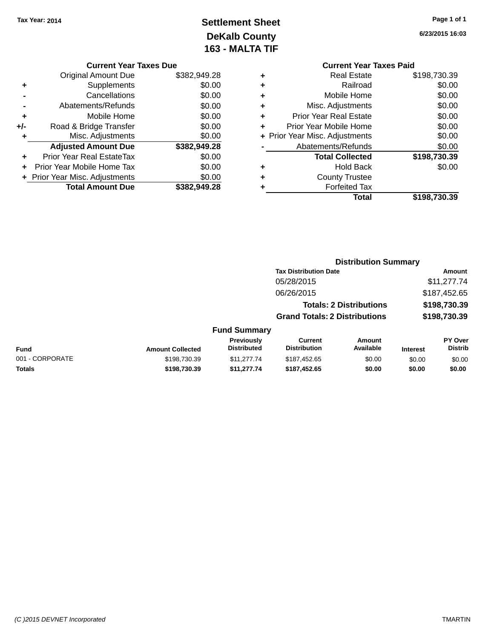# **Settlement Sheet Tax Year: 2014 Page 1 of 1 DeKalb County 163 - MALTA TIF**

**6/23/2015 16:03**

|   | <b>Current Year Taxes Paid</b> |              |
|---|--------------------------------|--------------|
| ٠ | Real Estate                    | \$198,730.39 |
| ٠ | Railroad                       | \$0.00       |
| ٠ | Mobile Home                    | \$0.00       |
| ٠ | Misc. Adjustments              | \$0.00       |
| ٠ | <b>Prior Year Real Estate</b>  | \$0.00       |
| ÷ | Prior Year Mobile Home         | \$0.00       |
|   | + Prior Year Misc. Adjustments | \$0.00       |
|   | Abatements/Refunds             | \$0.00       |
|   | <b>Total Collected</b>         | \$198,730.39 |
| ٠ | Hold Back                      | \$0.00       |
|   | <b>County Trustee</b>          |              |
|   | <b>Forfeited Tax</b>           |              |
|   | Total                          | \$198.730.39 |

**Distribution Summary**

|     | <b>Current Year Taxes Due</b>    |              |  |  |  |
|-----|----------------------------------|--------------|--|--|--|
|     | Original Amount Due              | \$382,949.28 |  |  |  |
| ٠   | Supplements                      | \$0.00       |  |  |  |
|     | Cancellations                    | \$0.00       |  |  |  |
|     | \$0.00<br>Abatements/Refunds     |              |  |  |  |
| ٠   | Mobile Home                      | \$0.00       |  |  |  |
| +/- | Road & Bridge Transfer           | \$0.00       |  |  |  |
| ٠   | Misc. Adjustments                | \$0.00       |  |  |  |
|     | <b>Adjusted Amount Due</b>       | \$382,949.28 |  |  |  |
|     | <b>Prior Year Real EstateTax</b> | \$0.00       |  |  |  |
| ÷   | Prior Year Mobile Home Tax       | \$0.00       |  |  |  |
|     | + Prior Year Misc. Adjustments   | \$0.00       |  |  |  |
|     | <b>Total Amount Due</b>          | \$382,949.28 |  |  |  |

|                 |                         |                                  | <b>Tax Distribution Date</b>          |                                |                 | Amount                    |
|-----------------|-------------------------|----------------------------------|---------------------------------------|--------------------------------|-----------------|---------------------------|
|                 |                         |                                  | 05/28/2015                            |                                |                 | \$11,277.74               |
|                 |                         |                                  | 06/26/2015                            |                                |                 | \$187,452.65              |
|                 |                         |                                  |                                       | <b>Totals: 2 Distributions</b> |                 | \$198,730.39              |
|                 |                         |                                  | <b>Grand Totals: 2 Distributions</b>  |                                | \$198,730.39    |                           |
|                 |                         | <b>Fund Summary</b>              |                                       |                                |                 |                           |
| <b>Fund</b>     | <b>Amount Collected</b> | Previously<br><b>Distributed</b> | <b>Current</b><br><b>Distribution</b> | Amount<br>Available            | <b>Interest</b> | PY Over<br><b>Distrib</b> |
| 001 - CORPORATE | \$198,730.39            | \$11,277,74                      | \$187,452.65                          | \$0.00                         | \$0.00          | \$0.00                    |
| Totals          | \$198,730.39            | \$11,277.74                      | \$187,452.65                          | \$0.00                         | \$0.00          | \$0.00                    |
|                 |                         |                                  |                                       |                                |                 |                           |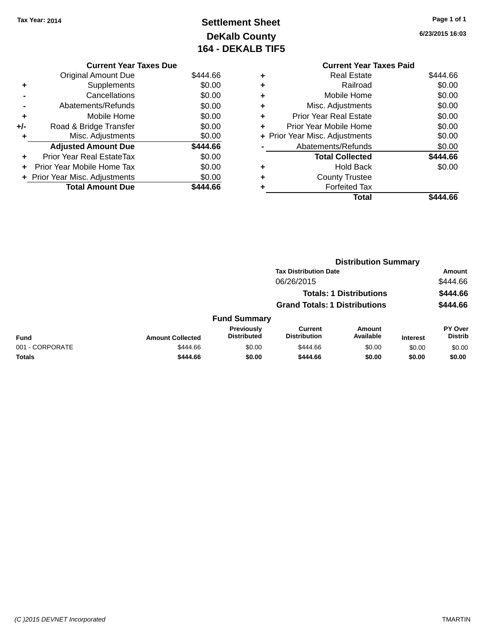# **Settlement Sheet Tax Year: 2014 Page 1 of 1 DeKalb County 164 - DEKALB TIF5**

**6/23/2015 16:03**

|     | <b>Current Year Taxes Due</b>    |          |
|-----|----------------------------------|----------|
|     | <b>Original Amount Due</b>       | \$444.66 |
| ٠   | Supplements                      | \$0.00   |
|     | Cancellations                    | \$0.00   |
|     | Abatements/Refunds               | \$0.00   |
| ٠   | Mobile Home                      | \$0.00   |
| +/- | Road & Bridge Transfer           | \$0.00   |
| ٠   | Misc. Adjustments                | \$0.00   |
|     | <b>Adjusted Amount Due</b>       | \$444.66 |
| ٠   | <b>Prior Year Real EstateTax</b> | \$0.00   |
| ÷   | Prior Year Mobile Home Tax       | \$0.00   |
|     | + Prior Year Misc. Adjustments   | \$0.00   |
|     | <b>Total Amount Due</b>          | \$444.66 |

|   | <b>Current Year Taxes Paid</b> |          |  |  |
|---|--------------------------------|----------|--|--|
| ٠ | Real Estate                    | \$444.66 |  |  |
| ٠ | Railroad                       | \$0.00   |  |  |
| ٠ | Mobile Home                    | \$0.00   |  |  |
| ٠ | Misc. Adjustments              | \$0.00   |  |  |
| ٠ | Prior Year Real Estate         | \$0.00   |  |  |
| ٠ | Prior Year Mobile Home         | \$0.00   |  |  |
|   | + Prior Year Misc. Adjustments | \$0.00   |  |  |
|   | Abatements/Refunds             | \$0.00   |  |  |
|   | <b>Total Collected</b>         | \$444.66 |  |  |
| ٠ | <b>Hold Back</b>               | \$0.00   |  |  |
|   | <b>County Trustee</b>          |          |  |  |
|   | <b>Forfeited Tax</b>           |          |  |  |
|   | Total                          | \$444.66 |  |  |
|   |                                |          |  |  |

|                 |                                            |                                  | <b>Distribution Summary</b>    |                            |                    |                                  |
|-----------------|--------------------------------------------|----------------------------------|--------------------------------|----------------------------|--------------------|----------------------------------|
|                 | <b>Tax Distribution Date</b><br>06/26/2015 |                                  |                                |                            | Amount<br>\$444.66 |                                  |
|                 |                                            |                                  |                                |                            |                    |                                  |
|                 |                                            | <b>Totals: 1 Distributions</b>   |                                |                            |                    | \$444.66                         |
|                 | <b>Grand Totals: 1 Distributions</b>       |                                  |                                | \$444.66                   |                    |                                  |
|                 |                                            | <b>Fund Summary</b>              |                                |                            |                    |                                  |
| <b>Fund</b>     | <b>Amount Collected</b>                    | Previously<br><b>Distributed</b> | Current<br><b>Distribution</b> | <b>Amount</b><br>Available | <b>Interest</b>    | <b>PY Over</b><br><b>Distrib</b> |
| 001 - CORPORATE | \$444.66                                   | \$0.00                           | \$444.66                       | \$0.00                     | \$0.00             | \$0.00                           |
| <b>Totals</b>   | \$444.66                                   | \$0.00                           | \$444.66                       | \$0.00                     | \$0.00             | \$0.00                           |
|                 |                                            |                                  |                                |                            |                    |                                  |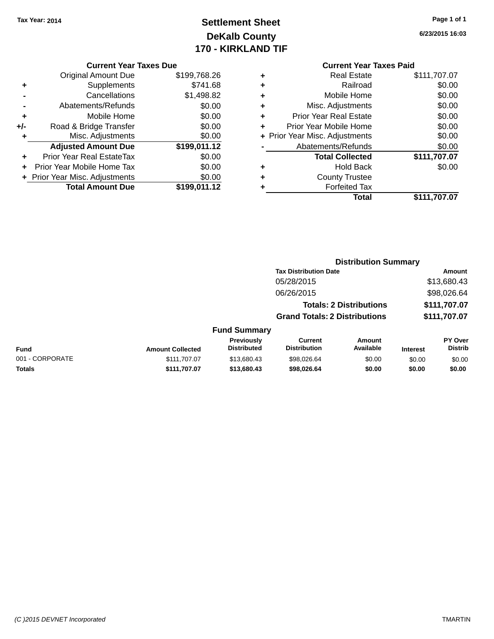### **Settlement Sheet Tax Year: 2014 Page 1 of 1 DeKalb County 170 - KIRKLAND TIF**

**6/23/2015 16:03**

|  | <b>Current Year Taxes Due</b> |  |
|--|-------------------------------|--|
|  |                               |  |

|     | <b>Original Amount Due</b>       | \$199,768.26 |
|-----|----------------------------------|--------------|
| ٠   | Supplements                      | \$741.68     |
|     | Cancellations                    | \$1,498.82   |
|     | Abatements/Refunds               | \$0.00       |
| ٠   | Mobile Home                      | \$0.00       |
| +/- | Road & Bridge Transfer           | \$0.00       |
| ٠   | Misc. Adjustments                | \$0.00       |
|     | <b>Adjusted Amount Due</b>       | \$199,011.12 |
| ÷   | <b>Prior Year Real EstateTax</b> | \$0.00       |
|     | Prior Year Mobile Home Tax       | \$0.00       |
|     | + Prior Year Misc. Adjustments   | \$0.00       |
|     | <b>Total Amount Due</b>          | \$199,011.12 |

|   | <b>Real Estate</b>             | \$111,707.07 |
|---|--------------------------------|--------------|
| ٠ | Railroad                       | \$0.00       |
| ٠ | Mobile Home                    | \$0.00       |
| ٠ | Misc. Adjustments              | \$0.00       |
| ٠ | <b>Prior Year Real Estate</b>  | \$0.00       |
| ٠ | Prior Year Mobile Home         | \$0.00       |
|   | + Prior Year Misc. Adjustments | \$0.00       |
|   | Abatements/Refunds             | \$0.00       |
|   | <b>Total Collected</b>         | \$111,707.07 |
| ٠ | Hold Back                      | \$0.00       |
| ٠ | <b>County Trustee</b>          |              |
|   | <b>Forfeited Tax</b>           |              |
|   | Total                          | \$111,707.07 |
|   |                                |              |

|                 |                         |                                  | <b>Distribution Summary</b>           |                                |                 |                                  |
|-----------------|-------------------------|----------------------------------|---------------------------------------|--------------------------------|-----------------|----------------------------------|
|                 |                         |                                  | <b>Tax Distribution Date</b>          |                                |                 | Amount                           |
|                 |                         |                                  | 05/28/2015                            |                                |                 | \$13,680.43                      |
|                 |                         |                                  | 06/26/2015                            |                                |                 | \$98,026.64                      |
|                 |                         |                                  |                                       | <b>Totals: 2 Distributions</b> |                 | \$111,707.07                     |
|                 |                         |                                  | <b>Grand Totals: 2 Distributions</b>  |                                |                 | \$111,707.07                     |
|                 |                         | <b>Fund Summary</b>              |                                       |                                |                 |                                  |
| <b>Fund</b>     | <b>Amount Collected</b> | Previously<br><b>Distributed</b> | <b>Current</b><br><b>Distribution</b> | Amount<br>Available            | <b>Interest</b> | <b>PY Over</b><br><b>Distrib</b> |
| 001 - CORPORATE | \$111.707.07            | \$13,680.43                      | \$98,026.64                           | \$0.00                         | \$0.00          | \$0.00                           |
| <b>Totals</b>   | \$111.707.07            | \$13,680.43                      | \$98,026.64                           | \$0.00                         | \$0.00          | \$0.00                           |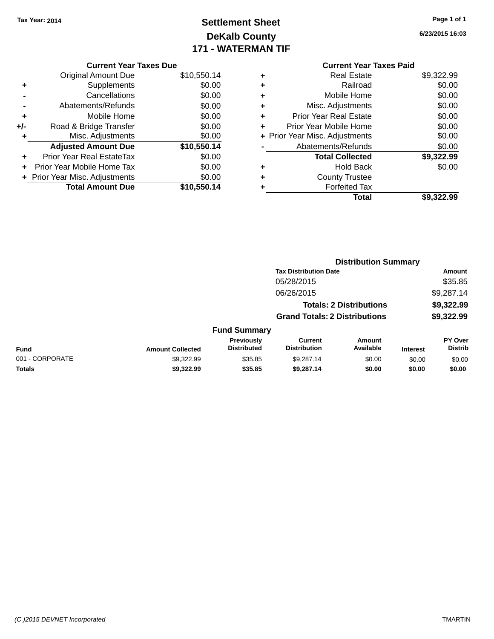### **Settlement Sheet Tax Year: 2014 Page 1 of 1 DeKalb County 171 - WATERMAN TIF**

**6/23/2015 16:03**

|     | <b>Current Year Taxes Due</b>  |             |  |
|-----|--------------------------------|-------------|--|
|     | <b>Original Amount Due</b>     | \$10,550.14 |  |
| ٠   | Supplements                    | \$0.00      |  |
|     | Cancellations                  | \$0.00      |  |
|     | Abatements/Refunds             | \$0.00      |  |
| ٠   | Mobile Home                    | \$0.00      |  |
| +/- | Road & Bridge Transfer         | \$0.00      |  |
| ٠   | Misc. Adjustments              | \$0.00      |  |
|     | <b>Adjusted Amount Due</b>     | \$10,550.14 |  |
| ÷   | Prior Year Real EstateTax      | \$0.00      |  |
| ٠   | Prior Year Mobile Home Tax     | \$0.00      |  |
|     | + Prior Year Misc. Adjustments | \$0.00      |  |
|     | <b>Total Amount Due</b>        | \$10,550.14 |  |
|     |                                |             |  |

| ٠ | <b>Real Estate</b>             | \$9,322.99 |
|---|--------------------------------|------------|
| ٠ | Railroad                       | \$0.00     |
| ٠ | Mobile Home                    | \$0.00     |
| ٠ | Misc. Adjustments              | \$0.00     |
| ٠ | <b>Prior Year Real Estate</b>  | \$0.00     |
| ٠ | Prior Year Mobile Home         | \$0.00     |
|   | + Prior Year Misc. Adjustments | \$0.00     |
|   | Abatements/Refunds             | \$0.00     |
|   | <b>Total Collected</b>         | \$9,322.99 |
| ٠ | <b>Hold Back</b>               | \$0.00     |
| ٠ | <b>County Trustee</b>          |            |
|   | <b>Forfeited Tax</b>           |            |
|   | Total                          | \$9,322.99 |
|   |                                |            |

|                 |                         |                                  |                                       | <b>Distribution Summary</b>    |                 |                           |
|-----------------|-------------------------|----------------------------------|---------------------------------------|--------------------------------|-----------------|---------------------------|
|                 |                         |                                  | <b>Tax Distribution Date</b>          |                                |                 | Amount                    |
|                 |                         |                                  | 05/28/2015                            |                                |                 | \$35.85                   |
|                 |                         |                                  | 06/26/2015                            |                                |                 | \$9,287.14                |
|                 |                         |                                  |                                       | <b>Totals: 2 Distributions</b> |                 | \$9,322.99                |
|                 |                         |                                  | <b>Grand Totals: 2 Distributions</b>  |                                |                 | \$9,322.99                |
|                 |                         | <b>Fund Summary</b>              |                                       |                                |                 |                           |
| <b>Fund</b>     | <b>Amount Collected</b> | Previously<br><b>Distributed</b> | <b>Current</b><br><b>Distribution</b> | Amount<br>Available            | <b>Interest</b> | PY Over<br><b>Distrib</b> |
| 001 - CORPORATE | \$9.322.99              | \$35.85                          | \$9,287.14                            | \$0.00                         | \$0.00          | \$0.00                    |
| <b>Totals</b>   | \$9,322.99              | \$35.85                          | \$9,287.14                            | \$0.00                         | \$0.00          | \$0.00                    |
|                 |                         |                                  |                                       |                                |                 |                           |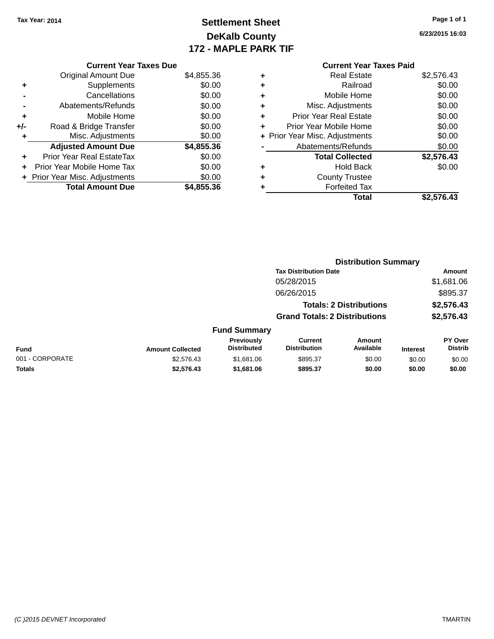### **Settlement Sheet Tax Year: 2014 Page 1 of 1 DeKalb County 172 - MAPLE PARK TIF**

**6/23/2015 16:03**

|       | <b>Current Year Taxes Due</b>  |            |  |  |  |
|-------|--------------------------------|------------|--|--|--|
|       | <b>Original Amount Due</b>     | \$4,855.36 |  |  |  |
| ٠     | Supplements                    | \$0.00     |  |  |  |
|       | \$0.00<br>Cancellations        |            |  |  |  |
|       | Abatements/Refunds             | \$0.00     |  |  |  |
| ٠     | Mobile Home                    | \$0.00     |  |  |  |
| $+/-$ | Road & Bridge Transfer         | \$0.00     |  |  |  |
| ٠     | Misc. Adjustments              | \$0.00     |  |  |  |
|       | <b>Adjusted Amount Due</b>     | \$4,855.36 |  |  |  |
| ٠     | Prior Year Real EstateTax      | \$0.00     |  |  |  |
| ÷     | Prior Year Mobile Home Tax     | \$0.00     |  |  |  |
|       | + Prior Year Misc. Adjustments | \$0.00     |  |  |  |
|       | <b>Total Amount Due</b>        | \$4,855.36 |  |  |  |

| ٠ | <b>Real Estate</b>             | \$2,576.43 |
|---|--------------------------------|------------|
| ٠ | Railroad                       | \$0.00     |
| ٠ | Mobile Home                    | \$0.00     |
| ٠ | Misc. Adjustments              | \$0.00     |
| ٠ | <b>Prior Year Real Estate</b>  | \$0.00     |
| ٠ | Prior Year Mobile Home         | \$0.00     |
|   | + Prior Year Misc. Adjustments | \$0.00     |
|   | Abatements/Refunds             | \$0.00     |
|   | <b>Total Collected</b>         | \$2,576.43 |
| ٠ | <b>Hold Back</b>               | \$0.00     |
| ٠ | <b>County Trustee</b>          |            |
| ٠ | <b>Forfeited Tax</b>           |            |
|   | Total                          | \$2,576.43 |
|   |                                |            |

|                 |                         |                                         |                                       | <b>Distribution Summary</b>    |                 |                                  |
|-----------------|-------------------------|-----------------------------------------|---------------------------------------|--------------------------------|-----------------|----------------------------------|
|                 |                         |                                         | <b>Tax Distribution Date</b>          |                                |                 | Amount                           |
|                 |                         |                                         | 05/28/2015                            |                                |                 | \$1,681.06                       |
|                 |                         |                                         | 06/26/2015                            |                                |                 | \$895.37                         |
|                 |                         |                                         |                                       | <b>Totals: 2 Distributions</b> |                 | \$2,576.43                       |
|                 |                         |                                         | <b>Grand Totals: 2 Distributions</b>  |                                |                 | \$2,576.43                       |
|                 |                         | <b>Fund Summary</b>                     |                                       |                                |                 |                                  |
| <b>Fund</b>     | <b>Amount Collected</b> | <b>Previously</b><br><b>Distributed</b> | <b>Current</b><br><b>Distribution</b> | Amount<br>Available            | <b>Interest</b> | <b>PY Over</b><br><b>Distrib</b> |
| 001 - CORPORATE | \$2,576.43              | \$1,681.06                              | \$895.37                              | \$0.00                         | \$0.00          | \$0.00                           |
| <b>Totals</b>   | \$2,576.43              | \$1,681.06                              | \$895.37                              | \$0.00                         | \$0.00          | \$0.00                           |
|                 |                         |                                         |                                       |                                |                 |                                  |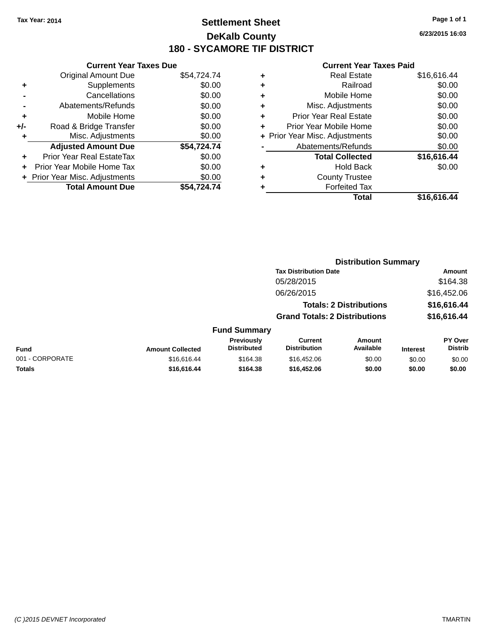### **Settlement Sheet Tax Year: 2014 Page 1 of 1 DeKalb County 180 - SYCAMORE TIF DISTRICT**

**6/23/2015 16:03**

|       | <b>Current Year Taxes Due</b>  |             |  |  |  |  |  |
|-------|--------------------------------|-------------|--|--|--|--|--|
|       | <b>Original Amount Due</b>     | \$54,724.74 |  |  |  |  |  |
| ٠     | Supplements                    | \$0.00      |  |  |  |  |  |
|       | Cancellations                  | \$0.00      |  |  |  |  |  |
|       | Abatements/Refunds             | \$0.00      |  |  |  |  |  |
| ÷     | Mobile Home                    | \$0.00      |  |  |  |  |  |
| $+/-$ | Road & Bridge Transfer         | \$0.00      |  |  |  |  |  |
|       | Misc. Adjustments              | \$0.00      |  |  |  |  |  |
|       | <b>Adjusted Amount Due</b>     | \$54,724.74 |  |  |  |  |  |
| ٠     | Prior Year Real EstateTax      | \$0.00      |  |  |  |  |  |
|       | Prior Year Mobile Home Tax     | \$0.00      |  |  |  |  |  |
|       | + Prior Year Misc. Adjustments | \$0.00      |  |  |  |  |  |
|       | <b>Total Amount Due</b>        | \$54.724.74 |  |  |  |  |  |
|       |                                |             |  |  |  |  |  |

|   | <b>Real Estate</b>             | \$16,616.44 |
|---|--------------------------------|-------------|
| ٠ | Railroad                       | \$0.00      |
| ٠ | Mobile Home                    | \$0.00      |
| ٠ | Misc. Adjustments              | \$0.00      |
| ٠ | <b>Prior Year Real Estate</b>  | \$0.00      |
| ÷ | Prior Year Mobile Home         | \$0.00      |
|   | + Prior Year Misc. Adjustments | \$0.00      |
|   | Abatements/Refunds             | \$0.00      |
|   | <b>Total Collected</b>         | \$16,616.44 |
| ٠ | Hold Back                      | \$0.00      |
| ٠ | <b>County Trustee</b>          |             |
| ٠ | <b>Forfeited Tax</b>           |             |
|   | Total                          | \$16,616.44 |
|   |                                |             |

|                 |                         |                                         |                                       | <b>Distribution Summary</b>    |                 |                           |
|-----------------|-------------------------|-----------------------------------------|---------------------------------------|--------------------------------|-----------------|---------------------------|
|                 |                         |                                         | <b>Tax Distribution Date</b>          |                                |                 | Amount                    |
|                 |                         |                                         | 05/28/2015                            |                                |                 | \$164.38                  |
|                 |                         |                                         | 06/26/2015                            |                                |                 | \$16,452.06               |
|                 |                         |                                         |                                       | <b>Totals: 2 Distributions</b> |                 | \$16,616.44               |
|                 |                         |                                         | <b>Grand Totals: 2 Distributions</b>  |                                |                 | \$16,616.44               |
|                 |                         | <b>Fund Summary</b>                     |                                       |                                |                 |                           |
| <b>Fund</b>     | <b>Amount Collected</b> | <b>Previously</b><br><b>Distributed</b> | <b>Current</b><br><b>Distribution</b> | Amount<br>Available            | <b>Interest</b> | PY Over<br><b>Distrib</b> |
| 001 - CORPORATE | \$16,616.44             | \$164.38                                | \$16,452.06                           | \$0.00                         | \$0.00          | \$0.00                    |
| <b>Totals</b>   | \$16,616.44             | \$164.38                                | \$16,452.06                           | \$0.00                         | \$0.00          | \$0.00                    |
|                 |                         |                                         |                                       |                                |                 |                           |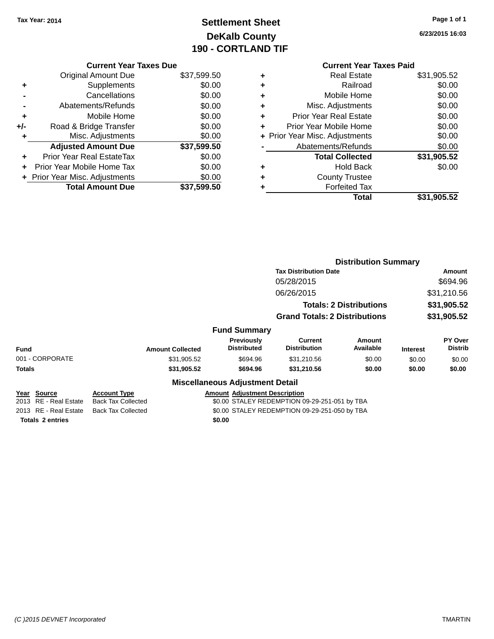### **Settlement Sheet Tax Year: 2014 Page 1 of 1 DeKalb County 190 - CORTLAND TIF**

**6/23/2015 16:03**

|       | <b>Current Year Taxes Due</b>    |             |
|-------|----------------------------------|-------------|
|       | <b>Original Amount Due</b>       | \$37,599.50 |
| ٠     | Supplements                      | \$0.00      |
|       | Cancellations                    | \$0.00      |
|       | Abatements/Refunds               | \$0.00      |
| ٠     | Mobile Home                      | \$0.00      |
| $+/-$ | Road & Bridge Transfer           | \$0.00      |
| ٠     | Misc. Adjustments                | \$0.00      |
|       | <b>Adjusted Amount Due</b>       | \$37,599.50 |
|       | <b>Prior Year Real EstateTax</b> | \$0.00      |
|       | Prior Year Mobile Home Tax       | \$0.00      |
|       | + Prior Year Misc. Adjustments   | \$0.00      |
|       | <b>Total Amount Due</b>          | \$37,599.50 |
|       |                                  |             |

|   | Total                          | \$31,905.52 |
|---|--------------------------------|-------------|
|   | <b>Forfeited Tax</b>           |             |
| ٠ | <b>County Trustee</b>          |             |
| ٠ | <b>Hold Back</b>               | \$0.00      |
|   | <b>Total Collected</b>         | \$31,905.52 |
|   | Abatements/Refunds             | \$0.00      |
|   | + Prior Year Misc. Adjustments | \$0.00      |
| ٠ | Prior Year Mobile Home         | \$0.00      |
| ٠ | <b>Prior Year Real Estate</b>  | \$0.00      |
| ٠ | Misc. Adjustments              | \$0.00      |
| ٠ | Mobile Home                    | \$0.00      |
| ٠ | Railroad                       | \$0.00      |
| ٠ | <b>Real Estate</b>             | \$31,905.52 |

|                         |                           |                                               |                                      | <b>Distribution Summary</b>          |                                |                 |                           |
|-------------------------|---------------------------|-----------------------------------------------|--------------------------------------|--------------------------------------|--------------------------------|-----------------|---------------------------|
|                         |                           |                                               |                                      | <b>Tax Distribution Date</b>         |                                |                 | <b>Amount</b>             |
|                         |                           |                                               |                                      | 05/28/2015                           |                                |                 | \$694.96                  |
|                         |                           |                                               |                                      | 06/26/2015                           |                                |                 | \$31,210.56               |
|                         |                           |                                               |                                      |                                      | <b>Totals: 2 Distributions</b> | \$31,905.52     |                           |
|                         |                           |                                               |                                      | <b>Grand Totals: 2 Distributions</b> |                                |                 | \$31,905.52               |
|                         |                           |                                               | <b>Fund Summary</b>                  |                                      |                                |                 |                           |
| <b>Fund</b>             | <b>Amount Collected</b>   |                                               | Previously<br><b>Distributed</b>     | Current<br><b>Distribution</b>       | <b>Amount</b><br>Available     | <b>Interest</b> | PY Over<br><b>Distrib</b> |
| 001 - CORPORATE         |                           | \$31,905.52                                   | \$694.96                             | \$31,210.56                          | \$0.00                         | \$0.00          | \$0.00                    |
| <b>Totals</b>           |                           | \$31,905.52                                   | \$694.96                             | \$31,210.56                          | \$0.00                         | \$0.00          | \$0.00                    |
|                         |                           | <b>Miscellaneous Adjustment Detail</b>        |                                      |                                      |                                |                 |                           |
| Year Source             | Account Type              |                                               | <b>Amount Adjustment Description</b> |                                      |                                |                 |                           |
| 2013 RE - Real Estate   | <b>Back Tax Collected</b> | \$0.00 STALEY REDEMPTION 09-29-251-051 by TBA |                                      |                                      |                                |                 |                           |
| 2013 RE - Real Estate   | <b>Back Tax Collected</b> | \$0.00 STALEY REDEMPTION 09-29-251-050 by TBA |                                      |                                      |                                |                 |                           |
| <b>Totals 2 entries</b> |                           | \$0.00                                        |                                      |                                      |                                |                 |                           |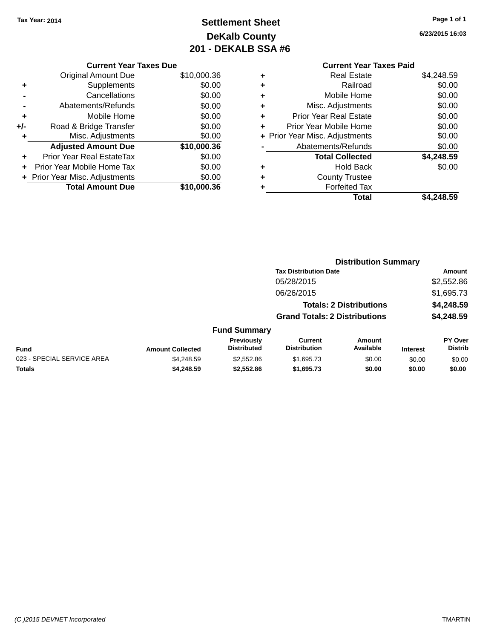### **Settlement Sheet Tax Year: 2014 Page 1 of 1 DeKalb County 201 - DEKALB SSA #6**

|     | <b>Current Year Taxes Due</b>  |             |
|-----|--------------------------------|-------------|
|     | <b>Original Amount Due</b>     | \$10,000.36 |
| ٠   | Supplements                    | \$0.00      |
|     | Cancellations                  | \$0.00      |
|     | Abatements/Refunds             | \$0.00      |
| ٠   | Mobile Home                    | \$0.00      |
| +/- | Road & Bridge Transfer         | \$0.00      |
| ٠   | Misc. Adjustments              | \$0.00      |
|     | <b>Adjusted Amount Due</b>     | \$10,000.36 |
| ÷   | Prior Year Real EstateTax      | \$0.00      |
|     | Prior Year Mobile Home Tax     | \$0.00      |
|     | + Prior Year Misc. Adjustments | \$0.00      |
|     | <b>Total Amount Due</b>        | \$10,000.36 |

**6/23/2015 16:03**

| ٠ | <b>Real Estate</b>             | \$4,248.59 |
|---|--------------------------------|------------|
| ÷ | Railroad                       | \$0.00     |
| ٠ | Mobile Home                    | \$0.00     |
| ٠ | Misc. Adjustments              | \$0.00     |
| ٠ | <b>Prior Year Real Estate</b>  | \$0.00     |
| ٠ | Prior Year Mobile Home         | \$0.00     |
|   | + Prior Year Misc. Adjustments | \$0.00     |
|   | Abatements/Refunds             | \$0.00     |
|   | <b>Total Collected</b>         | \$4,248.59 |
| ٠ | <b>Hold Back</b>               | \$0.00     |
| ٠ | <b>County Trustee</b>          |            |
|   | <b>Forfeited Tax</b>           |            |
|   | Total                          | \$4,248.59 |
|   |                                |            |

|                            |                         | <b>Distribution Summary</b>      |                                       |                                |                 |                                  |  |
|----------------------------|-------------------------|----------------------------------|---------------------------------------|--------------------------------|-----------------|----------------------------------|--|
|                            |                         |                                  | <b>Tax Distribution Date</b>          |                                |                 | Amount                           |  |
|                            |                         |                                  | 05/28/2015                            |                                |                 | \$2,552.86                       |  |
|                            |                         |                                  | 06/26/2015                            |                                |                 | \$1,695.73                       |  |
|                            |                         |                                  |                                       | <b>Totals: 2 Distributions</b> |                 | \$4,248.59                       |  |
|                            |                         |                                  | <b>Grand Totals: 2 Distributions</b>  |                                |                 | \$4,248.59                       |  |
|                            |                         | <b>Fund Summary</b>              |                                       |                                |                 |                                  |  |
| Fund                       | <b>Amount Collected</b> | Previously<br><b>Distributed</b> | <b>Current</b><br><b>Distribution</b> | <b>Amount</b><br>Available     | <b>Interest</b> | <b>PY Over</b><br><b>Distrib</b> |  |
| 023 - SPECIAL SERVICE AREA | \$4,248.59              | \$2,552.86                       | \$1,695.73                            | \$0.00                         | \$0.00          | \$0.00                           |  |
| <b>Totals</b>              | \$4,248.59              | \$2,552.86                       | \$1,695.73                            | \$0.00                         | \$0.00          | \$0.00                           |  |
|                            |                         |                                  |                                       |                                |                 |                                  |  |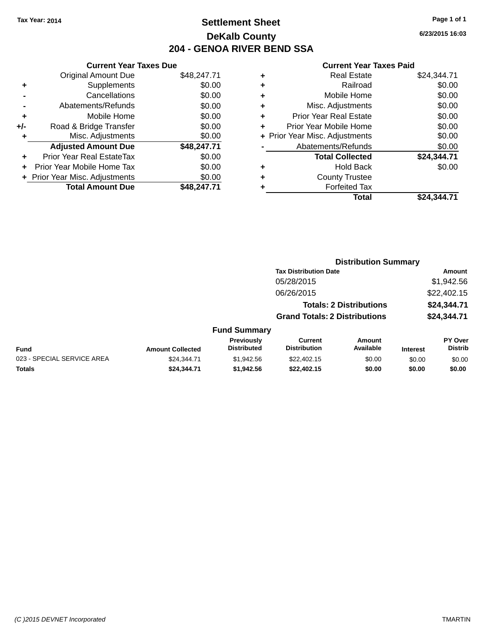### **Settlement Sheet Tax Year: 2014 Page 1 of 1 DeKalb County 204 - GENOA RIVER BEND SSA**

**6/23/2015 16:03**

| \$48,247.71 |
|-------------|
| \$0.00      |
| \$0.00      |
| \$0.00      |
| \$0.00      |
| \$0.00      |
| \$0.00      |
| \$48,247.71 |
| \$0.00      |
| \$0.00      |
| \$0.00      |
| \$48.247.71 |
|             |

| ٠ | <b>Real Estate</b>             | \$24,344.71 |
|---|--------------------------------|-------------|
| ٠ | Railroad                       | \$0.00      |
| ٠ | Mobile Home                    | \$0.00      |
| ٠ | Misc. Adjustments              | \$0.00      |
| ٠ | <b>Prior Year Real Estate</b>  | \$0.00      |
| ÷ | Prior Year Mobile Home         | \$0.00      |
|   | + Prior Year Misc. Adjustments | \$0.00      |
|   | Abatements/Refunds             | \$0.00      |
|   | <b>Total Collected</b>         | \$24,344.71 |
| ٠ | Hold Back                      | \$0.00      |
| ٠ | <b>County Trustee</b>          |             |
| ٠ | <b>Forfeited Tax</b>           |             |
|   | Total                          | \$24,344.71 |
|   |                                |             |

|                            |                         |                                  |                                       | <b>Distribution Summary</b>    |                 |                           |
|----------------------------|-------------------------|----------------------------------|---------------------------------------|--------------------------------|-----------------|---------------------------|
|                            |                         |                                  | <b>Tax Distribution Date</b>          |                                |                 | <b>Amount</b>             |
|                            |                         |                                  | 05/28/2015                            |                                |                 | \$1,942.56                |
|                            |                         |                                  | 06/26/2015                            |                                |                 | \$22,402.15               |
|                            |                         |                                  |                                       | <b>Totals: 2 Distributions</b> |                 | \$24,344.71               |
|                            |                         |                                  | <b>Grand Totals: 2 Distributions</b>  |                                |                 | \$24,344.71               |
|                            |                         | <b>Fund Summary</b>              |                                       |                                |                 |                           |
| <b>Fund</b>                | <b>Amount Collected</b> | Previously<br><b>Distributed</b> | <b>Current</b><br><b>Distribution</b> | Amount<br>Available            | <b>Interest</b> | PY Over<br><b>Distrib</b> |
| 023 - SPECIAL SERVICE AREA | \$24.344.71             | \$1.942.56                       | \$22,402.15                           | \$0.00                         | \$0.00          | \$0.00                    |
| <b>Totals</b>              | \$24,344.71             | \$1,942.56                       | \$22,402.15                           | \$0.00                         | \$0.00          | \$0.00                    |
|                            |                         |                                  |                                       |                                |                 |                           |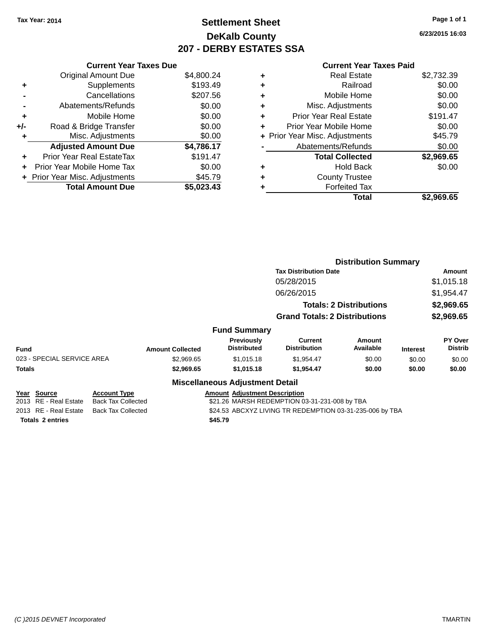### **Settlement Sheet Tax Year: 2014 Page 1 of 1 DeKalb County 207 - DERBY ESTATES SSA**

**6/23/2015 16:03**

|     | <b>Current Year Taxes Due</b>  |            |
|-----|--------------------------------|------------|
|     | <b>Original Amount Due</b>     | \$4,800.24 |
| ٠   | Supplements                    | \$193.49   |
|     | Cancellations                  | \$207.56   |
|     | Abatements/Refunds             | \$0.00     |
| ٠   | Mobile Home                    | \$0.00     |
| +/- | Road & Bridge Transfer         | \$0.00     |
| ٠   | Misc. Adjustments              | \$0.00     |
|     | <b>Adjusted Amount Due</b>     | \$4,786.17 |
|     | Prior Year Real EstateTax      | \$191.47   |
| ÷   | Prior Year Mobile Home Tax     | \$0.00     |
|     | + Prior Year Misc. Adjustments | \$45.79    |
|     | <b>Total Amount Due</b>        | \$5,023.43 |
|     |                                |            |

| ٠ | <b>Real Estate</b>             | \$2,732.39 |
|---|--------------------------------|------------|
| ÷ | Railroad                       | \$0.00     |
| ٠ | Mobile Home                    | \$0.00     |
| ٠ | Misc. Adjustments              | \$0.00     |
| ٠ | <b>Prior Year Real Estate</b>  | \$191.47   |
| ٠ | Prior Year Mobile Home         | \$0.00     |
|   | + Prior Year Misc. Adjustments | \$45.79    |
|   | Abatements/Refunds             | \$0.00     |
|   | <b>Total Collected</b>         | \$2,969.65 |
| ٠ | <b>Hold Back</b>               | \$0.00     |
| ٠ | <b>County Trustee</b>          |            |
|   | <b>Forfeited Tax</b>           |            |
|   | Total                          | \$2,969.65 |
|   |                                |            |

|                                                    |                                                                                       |                         |                                               | <b>Distribution Summary</b>          |                                |                 |                           |
|----------------------------------------------------|---------------------------------------------------------------------------------------|-------------------------|-----------------------------------------------|--------------------------------------|--------------------------------|-----------------|---------------------------|
|                                                    |                                                                                       |                         |                                               | <b>Tax Distribution Date</b>         |                                |                 | Amount                    |
|                                                    |                                                                                       |                         |                                               | 05/28/2015                           |                                |                 | \$1,015.18                |
|                                                    |                                                                                       |                         |                                               | 06/26/2015                           |                                |                 | \$1,954.47                |
|                                                    |                                                                                       |                         |                                               |                                      | <b>Totals: 2 Distributions</b> |                 | \$2,969.65                |
|                                                    |                                                                                       |                         |                                               | <b>Grand Totals: 2 Distributions</b> |                                |                 | \$2,969.65                |
|                                                    |                                                                                       |                         | <b>Fund Summary</b>                           |                                      |                                |                 |                           |
| <b>Fund</b>                                        |                                                                                       | <b>Amount Collected</b> | Previously<br><b>Distributed</b>              | Current<br><b>Distribution</b>       | Amount<br>Available            | <b>Interest</b> | PY Over<br><b>Distrib</b> |
| 023 - SPECIAL SERVICE AREA                         |                                                                                       | \$2,969.65              | \$1,015.18                                    | \$1,954.47                           | \$0.00                         | \$0.00          | \$0.00                    |
| <b>Totals</b>                                      |                                                                                       | \$2,969.65              | \$1,015.18                                    | \$1,954.47                           | \$0.00                         | \$0.00          | \$0.00                    |
|                                                    |                                                                                       |                         | <b>Miscellaneous Adjustment Detail</b>        |                                      |                                |                 |                           |
| Year Source                                        | <b>Account Type</b>                                                                   |                         | <b>Amount Adjustment Description</b>          |                                      |                                |                 |                           |
| 2013 RE - Real Estate<br><b>Back Tax Collected</b> |                                                                                       |                         | \$21.26 MARSH REDEMPTION 03-31-231-008 by TBA |                                      |                                |                 |                           |
| 2013 RE - Real Estate                              | <b>Back Tax Collected</b><br>\$24.53 ABCXYZ LIVING TR REDEMPTION 03-31-235-006 by TBA |                         |                                               |                                      |                                |                 |                           |
| <b>Totals 2 entries</b>                            |                                                                                       |                         | \$45.79                                       |                                      |                                |                 |                           |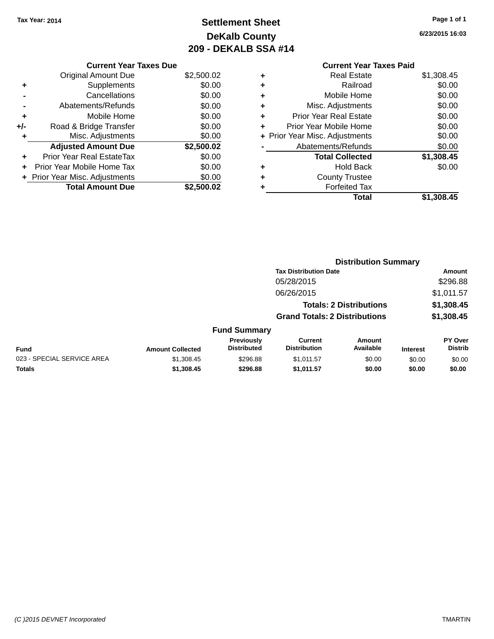### **Settlement Sheet Tax Year: 2014 Page 1 of 1 DeKalb County 209 - DEKALB SSA #14**

**6/23/2015 16:03**

|     | <b>Current Year Taxes Due</b>  |            |
|-----|--------------------------------|------------|
|     | <b>Original Amount Due</b>     | \$2,500.02 |
| ٠   | Supplements                    | \$0.00     |
|     | Cancellations                  | \$0.00     |
|     | Abatements/Refunds             | \$0.00     |
| ٠   | Mobile Home                    | \$0.00     |
| +/- | Road & Bridge Transfer         | \$0.00     |
|     | Misc. Adjustments              | \$0.00     |
|     | <b>Adjusted Amount Due</b>     | \$2,500.02 |
| ÷   | Prior Year Real EstateTax      | \$0.00     |
| ÷   | Prior Year Mobile Home Tax     | \$0.00     |
|     | + Prior Year Misc. Adjustments | \$0.00     |
|     | <b>Total Amount Due</b>        | \$2,500.02 |

| <b>Forfeited Tax</b><br>Total  | \$1,308.45 |
|--------------------------------|------------|
| <b>County Trustee</b>          |            |
| Hold Back                      | \$0.00     |
| <b>Total Collected</b>         | \$1,308.45 |
| Abatements/Refunds             | \$0.00     |
| + Prior Year Misc. Adjustments | \$0.00     |
| Prior Year Mobile Home         | \$0.00     |
| <b>Prior Year Real Estate</b>  | \$0.00     |
| Misc. Adjustments              | \$0.00     |
| Mobile Home                    | \$0.00     |
| Railroad                       | \$0.00     |
| <b>Real Estate</b>             | \$1,308.45 |
|                                |            |

|                            |                         |                                  |                                       | <b>Distribution Summary</b>    |                 |                           |
|----------------------------|-------------------------|----------------------------------|---------------------------------------|--------------------------------|-----------------|---------------------------|
|                            |                         |                                  | <b>Tax Distribution Date</b>          |                                |                 | <b>Amount</b>             |
|                            |                         |                                  | 05/28/2015                            |                                |                 | \$296.88                  |
|                            |                         |                                  | 06/26/2015                            |                                |                 | \$1,011.57                |
|                            |                         |                                  |                                       | <b>Totals: 2 Distributions</b> |                 | \$1,308.45                |
|                            |                         |                                  | <b>Grand Totals: 2 Distributions</b>  |                                |                 | \$1,308.45                |
|                            |                         | <b>Fund Summary</b>              |                                       |                                |                 |                           |
| <b>Fund</b>                | <b>Amount Collected</b> | Previously<br><b>Distributed</b> | <b>Current</b><br><b>Distribution</b> | <b>Amount</b><br>Available     | <b>Interest</b> | PY Over<br><b>Distrib</b> |
| 023 - SPECIAL SERVICE AREA | \$1,308.45              | \$296.88                         | \$1,011.57                            | \$0.00                         | \$0.00          | \$0.00                    |
| <b>Totals</b>              | \$1,308.45              | \$296.88                         | \$1,011.57                            | \$0.00                         | \$0.00          | \$0.00                    |
|                            |                         |                                  |                                       |                                |                 |                           |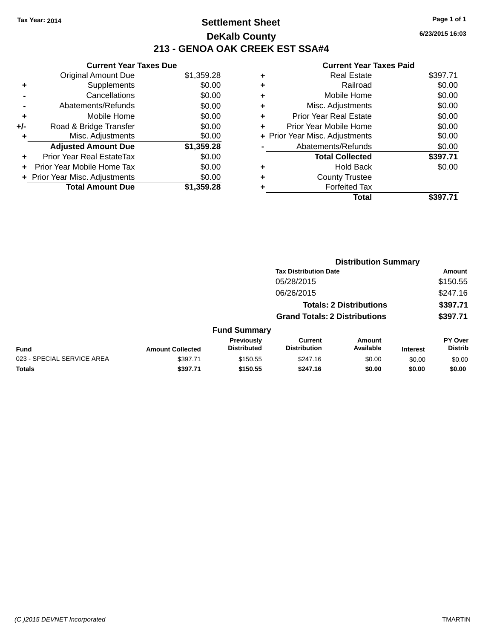### **Settlement Sheet Tax Year: 2014 Page 1 of 1 DeKalb County 213 - GENOA OAK CREEK EST SSA#4**

|       | <b>Current Year Taxes Due</b>  |            |
|-------|--------------------------------|------------|
|       | <b>Original Amount Due</b>     | \$1,359.28 |
| ٠     | Supplements                    | \$0.00     |
|       | Cancellations                  | \$0.00     |
|       | Abatements/Refunds             | \$0.00     |
| ٠     | Mobile Home                    | \$0.00     |
| $+/-$ | Road & Bridge Transfer         | \$0.00     |
| ٠     | Misc. Adjustments              | \$0.00     |
|       | <b>Adjusted Amount Due</b>     | \$1,359.28 |
| ÷     | Prior Year Real EstateTax      | \$0.00     |
|       | Prior Year Mobile Home Tax     | \$0.00     |
|       | + Prior Year Misc. Adjustments | \$0.00     |
|       | <b>Total Amount Due</b>        | \$1,359.28 |

|   | <b>Real Estate</b>             | \$397.71 |
|---|--------------------------------|----------|
| ٠ | Railroad                       | \$0.00   |
| ٠ | Mobile Home                    | \$0.00   |
| ٠ | Misc. Adjustments              | \$0.00   |
| ٠ | <b>Prior Year Real Estate</b>  | \$0.00   |
| ÷ | Prior Year Mobile Home         | \$0.00   |
|   | + Prior Year Misc. Adjustments | \$0.00   |
|   | Abatements/Refunds             | \$0.00   |
|   | <b>Total Collected</b>         | \$397.71 |
| ٠ | <b>Hold Back</b>               | \$0.00   |
| ٠ | <b>County Trustee</b>          |          |
| ٠ | <b>Forfeited Tax</b>           |          |
|   | <b>Total</b>                   | \$397.71 |
|   |                                |          |

|                            |                         |                                  |                                       | <b>Distribution Summary</b>    |                 |                                  |
|----------------------------|-------------------------|----------------------------------|---------------------------------------|--------------------------------|-----------------|----------------------------------|
|                            |                         |                                  | <b>Tax Distribution Date</b>          |                                |                 | Amount                           |
|                            |                         |                                  | 05/28/2015                            |                                |                 | \$150.55                         |
|                            |                         |                                  | 06/26/2015                            |                                |                 | \$247.16                         |
|                            |                         |                                  |                                       | <b>Totals: 2 Distributions</b> |                 | \$397.71                         |
|                            |                         |                                  | <b>Grand Totals: 2 Distributions</b>  |                                |                 | \$397.71                         |
|                            |                         | <b>Fund Summary</b>              |                                       |                                |                 |                                  |
| <b>Fund</b>                | <b>Amount Collected</b> | Previously<br><b>Distributed</b> | <b>Current</b><br><b>Distribution</b> | Amount<br>Available            | <b>Interest</b> | <b>PY Over</b><br><b>Distrib</b> |
| 023 - SPECIAL SERVICE AREA | \$397.71                | \$150.55                         | \$247.16                              | \$0.00                         | \$0.00          | \$0.00                           |
| Totals                     | \$397.71                | \$150.55                         | \$247.16                              | \$0.00                         | \$0.00          | \$0.00                           |
|                            |                         |                                  |                                       |                                |                 |                                  |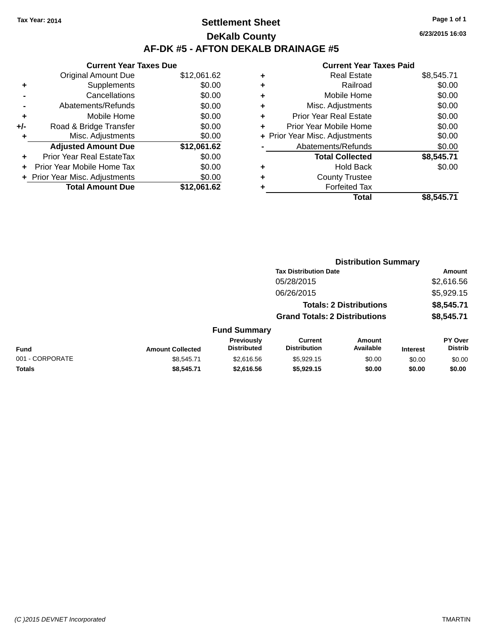### **Settlement Sheet Tax Year: 2014 Page 1 of 1 DeKalb County AF-DK #5 - AFTON DEKALB DRAINAGE #5**

|       | <b>Current Year Taxes Due</b>  |             |
|-------|--------------------------------|-------------|
|       | <b>Original Amount Due</b>     | \$12,061.62 |
|       | Supplements                    | \$0.00      |
|       | Cancellations                  | \$0.00      |
|       | Abatements/Refunds             | \$0.00      |
| ٠     | Mobile Home                    | \$0.00      |
| $+/-$ | Road & Bridge Transfer         | \$0.00      |
| ٠     | Misc. Adjustments              | \$0.00      |
|       | <b>Adjusted Amount Due</b>     | \$12,061.62 |
| ÷     | Prior Year Real EstateTax      | \$0.00      |
|       | Prior Year Mobile Home Tax     | \$0.00      |
|       | + Prior Year Misc. Adjustments | \$0.00      |
|       | <b>Total Amount Due</b>        | \$12,061.62 |
|       |                                |             |

| ٠ | <b>Real Estate</b>             | \$8,545.71 |
|---|--------------------------------|------------|
| ٠ | Railroad                       | \$0.00     |
| ٠ | Mobile Home                    | \$0.00     |
| ٠ | Misc. Adjustments              | \$0.00     |
| ٠ | <b>Prior Year Real Estate</b>  | \$0.00     |
| ٠ | Prior Year Mobile Home         | \$0.00     |
|   | + Prior Year Misc. Adjustments | \$0.00     |
|   | Abatements/Refunds             | \$0.00     |
|   | <b>Total Collected</b>         | \$8,545.71 |
| ٠ | <b>Hold Back</b>               | \$0.00     |
| ٠ | <b>County Trustee</b>          |            |
| ٠ | <b>Forfeited Tax</b>           |            |
|   | Total                          | \$8,545.71 |
|   |                                |            |

|                 |                         |                                  |                                       | <b>Distribution Summary</b>    |                 |                           |
|-----------------|-------------------------|----------------------------------|---------------------------------------|--------------------------------|-----------------|---------------------------|
|                 |                         |                                  | <b>Tax Distribution Date</b>          |                                |                 | Amount                    |
|                 |                         |                                  | 05/28/2015                            |                                |                 | \$2,616.56                |
|                 |                         |                                  | 06/26/2015                            |                                |                 | \$5,929.15                |
|                 |                         |                                  |                                       | <b>Totals: 2 Distributions</b> |                 | \$8,545.71                |
|                 |                         |                                  | <b>Grand Totals: 2 Distributions</b>  |                                |                 | \$8,545.71                |
|                 |                         | <b>Fund Summary</b>              |                                       |                                |                 |                           |
| Fund            | <b>Amount Collected</b> | Previously<br><b>Distributed</b> | <b>Current</b><br><b>Distribution</b> | <b>Amount</b><br>Available     | <b>Interest</b> | PY Over<br><b>Distrib</b> |
| 001 - CORPORATE | \$8,545.71              | \$2,616.56                       | \$5,929.15                            | \$0.00                         | \$0.00          | \$0.00                    |
| <b>Totals</b>   | \$8,545.71              | \$2,616.56                       | \$5,929.15                            | \$0.00                         | \$0.00          | \$0.00                    |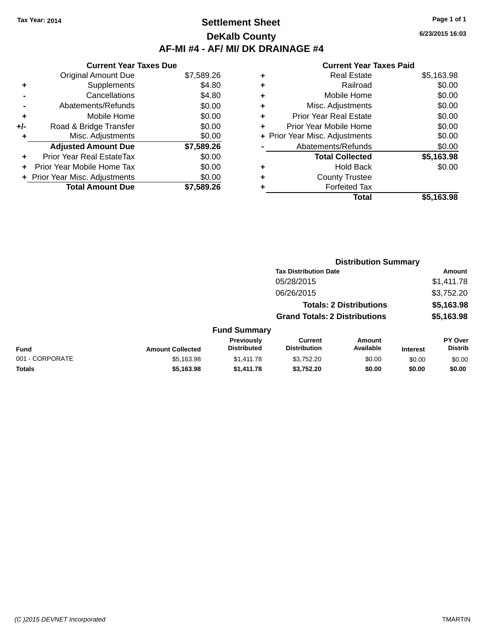### **Settlement Sheet Tax Year: 2014 Page 1 of 1 DeKalb County AF-MI #4 - AF/ MI/ DK DRAINAGE #4**

**6/23/2015 16:03**

|     | <b>Current Year Taxes Due</b>  |            |
|-----|--------------------------------|------------|
|     | <b>Original Amount Due</b>     | \$7,589.26 |
| ٠   | Supplements                    | \$4.80     |
|     | Cancellations                  | \$4.80     |
|     | Abatements/Refunds             | \$0.00     |
| ٠   | Mobile Home                    | \$0.00     |
| +/- | Road & Bridge Transfer         | \$0.00     |
| ٠   | Misc. Adjustments              | \$0.00     |
|     | <b>Adjusted Amount Due</b>     | \$7,589.26 |
| ÷   | Prior Year Real EstateTax      | \$0.00     |
| ÷   | Prior Year Mobile Home Tax     | \$0.00     |
|     | + Prior Year Misc. Adjustments | \$0.00     |
|     | <b>Total Amount Due</b>        | \$7.589.26 |

|   | <b>Real Estate</b>             | \$5,163.98 |
|---|--------------------------------|------------|
| ÷ | Railroad                       | \$0.00     |
| ٠ | Mobile Home                    | \$0.00     |
| ٠ | Misc. Adjustments              | \$0.00     |
| ٠ | <b>Prior Year Real Estate</b>  | \$0.00     |
| ٠ | Prior Year Mobile Home         | \$0.00     |
|   | + Prior Year Misc. Adjustments | \$0.00     |
|   | Abatements/Refunds             | \$0.00     |
|   | <b>Total Collected</b>         | \$5,163.98 |
| ٠ | <b>Hold Back</b>               | \$0.00     |
| ٠ | <b>County Trustee</b>          |            |
| ٠ | <b>Forfeited Tax</b>           |            |
|   | Total                          | \$5,163.98 |
|   |                                |            |

|                 |                         |                                  |                                       | <b>Distribution Summary</b>    |                 |                                  |
|-----------------|-------------------------|----------------------------------|---------------------------------------|--------------------------------|-----------------|----------------------------------|
|                 |                         |                                  | <b>Tax Distribution Date</b>          |                                |                 | Amount                           |
|                 |                         |                                  | 05/28/2015                            |                                |                 | \$1,411.78                       |
|                 |                         |                                  | 06/26/2015                            |                                |                 | \$3,752.20                       |
|                 |                         |                                  |                                       | <b>Totals: 2 Distributions</b> |                 | \$5,163.98                       |
|                 |                         |                                  | <b>Grand Totals: 2 Distributions</b>  |                                |                 | \$5,163.98                       |
|                 |                         | <b>Fund Summary</b>              |                                       |                                |                 |                                  |
| <b>Fund</b>     | <b>Amount Collected</b> | Previously<br><b>Distributed</b> | <b>Current</b><br><b>Distribution</b> | Amount<br>Available            | <b>Interest</b> | <b>PY Over</b><br><b>Distrib</b> |
| 001 - CORPORATE | \$5,163.98              | \$1,411.78                       | \$3,752.20                            | \$0.00                         | \$0.00          | \$0.00                           |
| <b>Totals</b>   | \$5,163.98              | \$1,411.78                       | \$3,752.20                            | \$0.00                         | \$0.00          | \$0.00                           |
|                 |                         |                                  |                                       |                                |                 |                                  |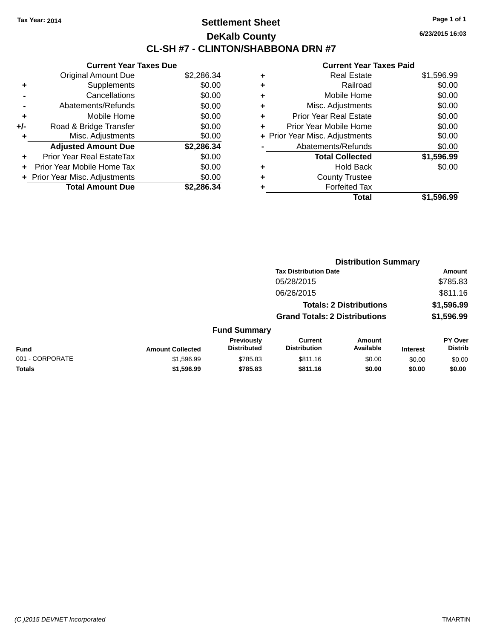### **Settlement Sheet Tax Year: 2014 Page 1 of 1 DeKalb County CL-SH #7 - CLINTON/SHABBONA DRN #7**

**6/23/2015 16:03**

|     | <b>Current Year Taxes Due</b>  |            |
|-----|--------------------------------|------------|
|     | <b>Original Amount Due</b>     | \$2,286.34 |
| ٠   | Supplements                    | \$0.00     |
|     | Cancellations                  | \$0.00     |
|     | Abatements/Refunds             | \$0.00     |
| ٠   | Mobile Home                    | \$0.00     |
| +/- | Road & Bridge Transfer         | \$0.00     |
| ٠   | Misc. Adjustments              | \$0.00     |
|     | <b>Adjusted Amount Due</b>     | \$2,286.34 |
| ÷   | Prior Year Real EstateTax      | \$0.00     |
| ÷   | Prior Year Mobile Home Tax     | \$0.00     |
|     | + Prior Year Misc. Adjustments | \$0.00     |
|     | <b>Total Amount Due</b>        | \$2,286.34 |

| ٠ | <b>Real Estate</b>             | \$1,596.99 |
|---|--------------------------------|------------|
| ٠ | Railroad                       | \$0.00     |
| ٠ | Mobile Home                    | \$0.00     |
| ٠ | Misc. Adjustments              | \$0.00     |
| ٠ | <b>Prior Year Real Estate</b>  | \$0.00     |
| ٠ | Prior Year Mobile Home         | \$0.00     |
|   | + Prior Year Misc. Adjustments | \$0.00     |
|   | Abatements/Refunds             | \$0.00     |
|   | <b>Total Collected</b>         | \$1,596.99 |
| ٠ | Hold Back                      | \$0.00     |
|   | <b>County Trustee</b>          |            |
| ٠ | <b>Forfeited Tax</b>           |            |
|   | Total                          | \$1,596.99 |
|   |                                |            |

|                 |                         | <b>Distribution Summary</b>      |                                       |                                |                 |                                  |
|-----------------|-------------------------|----------------------------------|---------------------------------------|--------------------------------|-----------------|----------------------------------|
|                 |                         |                                  | <b>Tax Distribution Date</b>          |                                |                 | Amount                           |
|                 |                         |                                  | 05/28/2015                            |                                |                 | \$785.83                         |
|                 |                         |                                  | 06/26/2015                            |                                |                 | \$811.16                         |
|                 |                         |                                  |                                       | <b>Totals: 2 Distributions</b> |                 | \$1,596.99                       |
|                 |                         |                                  | <b>Grand Totals: 2 Distributions</b>  |                                |                 | \$1,596.99                       |
|                 |                         | <b>Fund Summary</b>              |                                       |                                |                 |                                  |
| Fund            | <b>Amount Collected</b> | Previously<br><b>Distributed</b> | <b>Current</b><br><b>Distribution</b> | <b>Amount</b><br>Available     | <b>Interest</b> | <b>PY Over</b><br><b>Distrib</b> |
| 001 - CORPORATE | \$1,596.99              | \$785.83                         | \$811.16                              | \$0.00                         | \$0.00          | \$0.00                           |
| Totals          | \$1,596.99              | \$785.83                         | \$811.16                              | \$0.00                         | \$0.00          | \$0.00                           |
|                 |                         |                                  |                                       |                                |                 |                                  |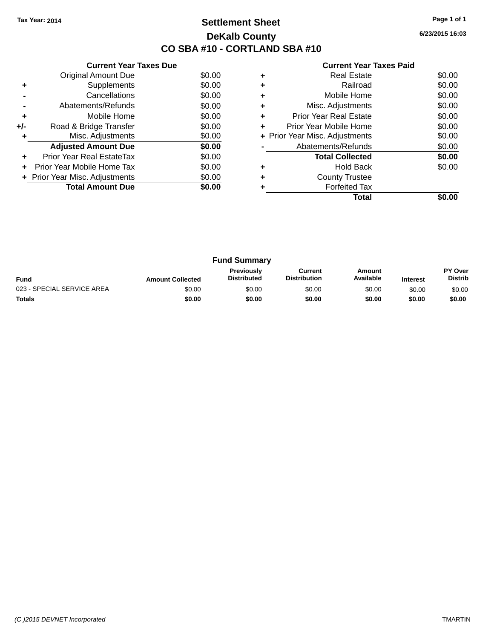### **Settlement Sheet Tax Year: 2014 Page 1 of 1 DeKalb County CO SBA #10 - CORTLAND SBA #10**

**6/23/2015 16:03**

|     | <b>Current Year Taxes Due</b>  |        |
|-----|--------------------------------|--------|
|     | <b>Original Amount Due</b>     | \$0.00 |
| ٠   | Supplements                    | \$0.00 |
|     | Cancellations                  | \$0.00 |
|     | Abatements/Refunds             | \$0.00 |
| ٠   | Mobile Home                    | \$0.00 |
| +/- | Road & Bridge Transfer         | \$0.00 |
| ٠   | Misc. Adjustments              | \$0.00 |
|     | <b>Adjusted Amount Due</b>     | \$0.00 |
| ٠   | Prior Year Real EstateTax      | \$0.00 |
| ÷   | Prior Year Mobile Home Tax     | \$0.00 |
|     | + Prior Year Misc. Adjustments | \$0.00 |
|     | <b>Total Amount Due</b>        | \$0.00 |
|     |                                |        |

|   | <b>Real Estate</b>             | \$0.00 |
|---|--------------------------------|--------|
|   | Railroad                       | \$0.00 |
| ٠ | Mobile Home                    | \$0.00 |
| ٠ | Misc. Adjustments              | \$0.00 |
| ٠ | Prior Year Real Estate         | \$0.00 |
| ٠ | Prior Year Mobile Home         | \$0.00 |
|   | + Prior Year Misc. Adjustments | \$0.00 |
|   | Abatements/Refunds             | \$0.00 |
|   | <b>Total Collected</b>         | \$0.00 |
|   | Hold Back                      | \$0.00 |
|   | <b>County Trustee</b>          |        |
|   | <b>Forfeited Tax</b>           |        |
|   | Total                          |        |

|                            |                         | <b>Fund Summary</b>                     |                                |                     |                 |                           |
|----------------------------|-------------------------|-----------------------------------------|--------------------------------|---------------------|-----------------|---------------------------|
| <b>Fund</b>                | <b>Amount Collected</b> | <b>Previously</b><br><b>Distributed</b> | Current<br><b>Distribution</b> | Amount<br>Available | <b>Interest</b> | PY Over<br><b>Distrib</b> |
| 023 - SPECIAL SERVICE AREA | \$0.00                  | \$0.00                                  | \$0.00                         | \$0.00              | \$0.00          | \$0.00                    |
| <b>Totals</b>              | \$0.00                  | \$0.00                                  | \$0.00                         | \$0.00              | \$0.00          | \$0.00                    |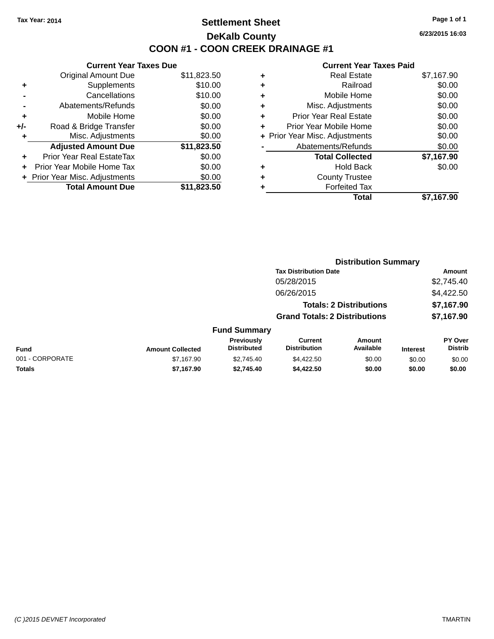### **Settlement Sheet Tax Year: 2014 Page 1 of 1 DeKalb County COON #1 - COON CREEK DRAINAGE #1**

**6/23/2015 16:03**

| \$11,823.50<br>\$10.00 |
|------------------------|
|                        |
|                        |
| \$10.00                |
| \$0.00                 |
| \$0.00                 |
| \$0.00                 |
| \$0.00                 |
| \$11,823.50            |
| \$0.00                 |
| \$0.00                 |
| \$0.00                 |
| \$11,823.50            |
|                        |

|   | <b>Real Estate</b>             | \$7,167.90 |
|---|--------------------------------|------------|
| ٠ | Railroad                       | \$0.00     |
| ٠ | Mobile Home                    | \$0.00     |
| ٠ | Misc. Adjustments              | \$0.00     |
| ٠ | <b>Prior Year Real Estate</b>  | \$0.00     |
|   | Prior Year Mobile Home         | \$0.00     |
|   | + Prior Year Misc. Adjustments | \$0.00     |
|   | Abatements/Refunds             | \$0.00     |
|   | <b>Total Collected</b>         | \$7,167.90 |
| ٠ | <b>Hold Back</b>               | \$0.00     |
| ٠ | <b>County Trustee</b>          |            |
| ٠ | <b>Forfeited Tax</b>           |            |
|   | Total                          | \$7,167.90 |
|   |                                |            |

|                 |                         |                                  |                                       | <b>Distribution Summary</b>    |                 |                           |
|-----------------|-------------------------|----------------------------------|---------------------------------------|--------------------------------|-----------------|---------------------------|
|                 |                         |                                  | <b>Tax Distribution Date</b>          |                                |                 | Amount                    |
|                 |                         |                                  | 05/28/2015                            |                                |                 | \$2,745.40                |
|                 |                         |                                  | 06/26/2015                            |                                |                 | \$4,422.50                |
|                 |                         |                                  |                                       | <b>Totals: 2 Distributions</b> |                 | \$7,167.90                |
|                 |                         |                                  | <b>Grand Totals: 2 Distributions</b>  |                                |                 | \$7,167.90                |
|                 |                         | <b>Fund Summary</b>              |                                       |                                |                 |                           |
| Fund            | <b>Amount Collected</b> | Previously<br><b>Distributed</b> | <b>Current</b><br><b>Distribution</b> | Amount<br>Available            | <b>Interest</b> | PY Over<br><b>Distrib</b> |
| 001 - CORPORATE | \$7,167.90              | \$2.745.40                       | \$4,422.50                            | \$0.00                         | \$0.00          | \$0.00                    |
| <b>Totals</b>   | \$7,167.90              | \$2,745.40                       | \$4,422.50                            | \$0.00                         | \$0.00          | \$0.00                    |
|                 |                         |                                  |                                       |                                |                 |                           |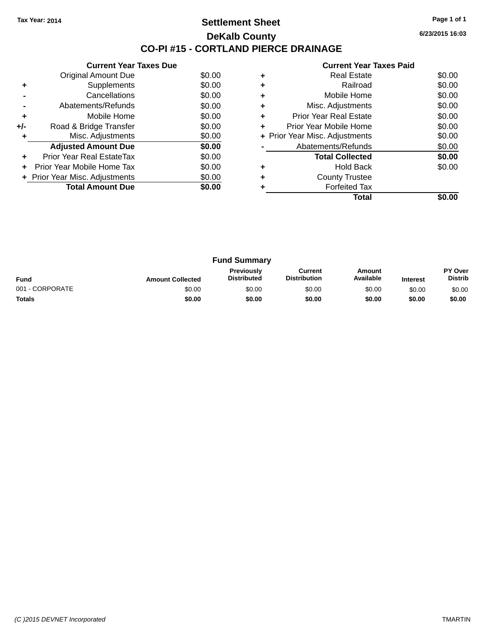### **Settlement Sheet Tax Year: 2014 Page 1 of 1 DeKalb County CO-PI #15 - CORTLAND PIERCE DRAINAGE**

**6/23/2015 16:03**

|     | <b>Current Year Taxes Due</b>  |        |
|-----|--------------------------------|--------|
|     | Original Amount Due            | \$0.00 |
| ٠   | Supplements                    | \$0.00 |
|     | Cancellations                  | \$0.00 |
|     | Abatements/Refunds             | \$0.00 |
| ٠   | Mobile Home                    | \$0.00 |
| +/- | Road & Bridge Transfer         | \$0.00 |
| ٠   | Misc. Adjustments              | \$0.00 |
|     | <b>Adjusted Amount Due</b>     | \$0.00 |
| ٠   | Prior Year Real EstateTax      | \$0.00 |
| ÷   | Prior Year Mobile Home Tax     | \$0.00 |
|     | + Prior Year Misc. Adjustments | \$0.00 |
|     | <b>Total Amount Due</b>        | \$0.00 |
|     |                                |        |

|   | <b>Real Estate</b>             | \$0.00 |
|---|--------------------------------|--------|
|   | Railroad                       | \$0.00 |
| ٠ | Mobile Home                    | \$0.00 |
| ٠ | Misc. Adjustments              | \$0.00 |
| ٠ | Prior Year Real Estate         | \$0.00 |
| ٠ | Prior Year Mobile Home         | \$0.00 |
|   | + Prior Year Misc. Adjustments | \$0.00 |
|   | Abatements/Refunds             | \$0.00 |
|   | <b>Total Collected</b>         | \$0.00 |
|   | Hold Back                      | \$0.00 |
|   | <b>County Trustee</b>          |        |
|   | <b>Forfeited Tax</b>           |        |
|   | Total                          |        |

| <b>Fund Summary</b> |                         |                                         |                                |                     |                 |                           |
|---------------------|-------------------------|-----------------------------------------|--------------------------------|---------------------|-----------------|---------------------------|
| <b>Fund</b>         | <b>Amount Collected</b> | <b>Previously</b><br><b>Distributed</b> | Current<br><b>Distribution</b> | Amount<br>Available | <b>Interest</b> | PY Over<br><b>Distrib</b> |
| 001 - CORPORATE     | \$0.00                  | \$0.00                                  | \$0.00                         | \$0.00              | \$0.00          | \$0.00                    |
| <b>Totals</b>       | \$0.00                  | \$0.00                                  | \$0.00                         | \$0.00              | \$0.00          | \$0.00                    |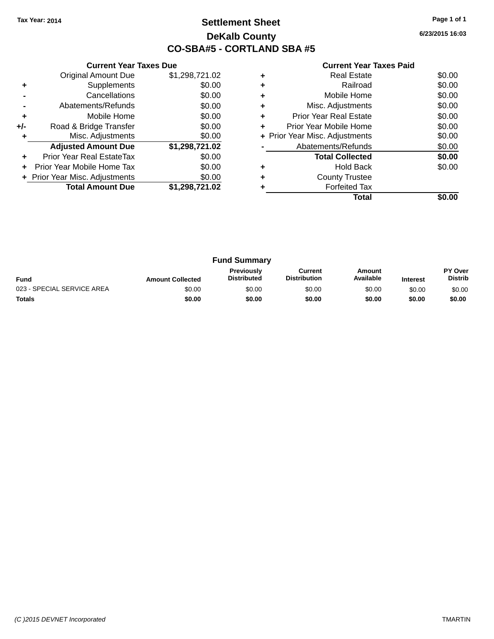### **Settlement Sheet Tax Year: 2014 Page 1 of 1 DeKalb County CO-SBA#5 - CORTLAND SBA #5**

**6/23/2015 16:03**

| <b>Current Year Taxes Paid</b> |  |  |
|--------------------------------|--|--|
|                                |  |  |

|     | <b>Current Year Taxes Due</b>  |                |
|-----|--------------------------------|----------------|
|     | <b>Original Amount Due</b>     | \$1,298,721.02 |
| ٠   | Supplements                    | \$0.00         |
|     | Cancellations                  | \$0.00         |
|     | Abatements/Refunds             | \$0.00         |
| ٠   | Mobile Home                    | \$0.00         |
| +/- | Road & Bridge Transfer         | \$0.00         |
|     | Misc. Adjustments              | \$0.00         |
|     | <b>Adjusted Amount Due</b>     | \$1,298,721.02 |
| ٠   | Prior Year Real EstateTax      | \$0.00         |
| ÷   | Prior Year Mobile Home Tax     | \$0.00         |
|     | + Prior Year Misc. Adjustments | \$0.00         |
|     | <b>Total Amount Due</b>        | \$1,298,721.02 |
|     |                                |                |

|   | Real Estate                    | \$0.00 |
|---|--------------------------------|--------|
| ٠ | Railroad                       | \$0.00 |
| ٠ | Mobile Home                    | \$0.00 |
| ٠ | Misc. Adjustments              | \$0.00 |
| ٠ | <b>Prior Year Real Estate</b>  | \$0.00 |
| ٠ | Prior Year Mobile Home         | \$0.00 |
|   | + Prior Year Misc. Adjustments | \$0.00 |
|   | Abatements/Refunds             | \$0.00 |
|   | <b>Total Collected</b>         | \$0.00 |
|   | Hold Back                      | \$0.00 |
| ٠ | <b>County Trustee</b>          |        |
|   | <b>Forfeited Tax</b>           |        |
|   | Total                          |        |

| <b>Fund Summary</b>        |                         |                                         |                                |                     |                 |                           |
|----------------------------|-------------------------|-----------------------------------------|--------------------------------|---------------------|-----------------|---------------------------|
| <b>Fund</b>                | <b>Amount Collected</b> | <b>Previously</b><br><b>Distributed</b> | Current<br><b>Distribution</b> | Amount<br>Available | <b>Interest</b> | PY Over<br><b>Distrib</b> |
| 023 - SPECIAL SERVICE AREA | \$0.00                  | \$0.00                                  | \$0.00                         | \$0.00              | \$0.00          | \$0.00                    |
| <b>Totals</b>              | \$0.00                  | \$0.00                                  | \$0.00                         | \$0.00              | \$0.00          | \$0.00                    |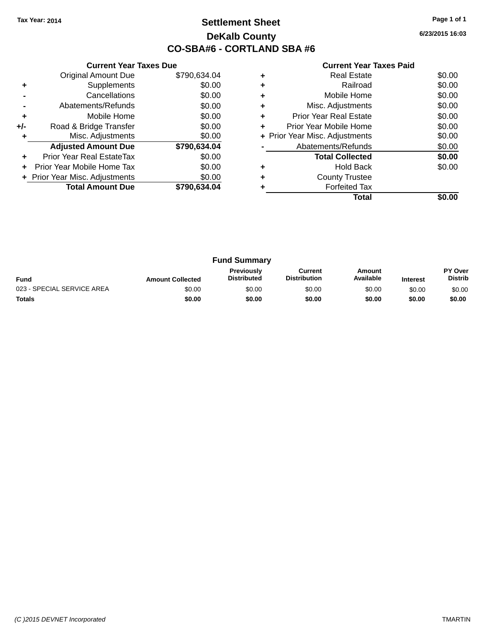### **Settlement Sheet Tax Year: 2014 Page 1 of 1 DeKalb County CO-SBA#6 - CORTLAND SBA #6**

**6/23/2015 16:03**

|     | <b>Current Year Taxes Due</b>  |              |
|-----|--------------------------------|--------------|
|     | <b>Original Amount Due</b>     | \$790,634.04 |
| ٠   | Supplements                    | \$0.00       |
|     | Cancellations                  | \$0.00       |
|     | Abatements/Refunds             | \$0.00       |
| ٠   | Mobile Home                    | \$0.00       |
| +/- | Road & Bridge Transfer         | \$0.00       |
| ٠   | Misc. Adjustments              | \$0.00       |
|     | <b>Adjusted Amount Due</b>     | \$790,634.04 |
| ٠   | Prior Year Real EstateTax      | \$0.00       |
| ÷   | Prior Year Mobile Home Tax     | \$0.00       |
|     | + Prior Year Misc. Adjustments | \$0.00       |
|     | <b>Total Amount Due</b>        | \$790.634.04 |
|     |                                |              |

|   | Real Estate                    | \$0.00 |
|---|--------------------------------|--------|
| ٠ | Railroad                       | \$0.00 |
| ٠ | Mobile Home                    | \$0.00 |
| ٠ | Misc. Adjustments              | \$0.00 |
| ٠ | <b>Prior Year Real Estate</b>  | \$0.00 |
| ٠ | Prior Year Mobile Home         | \$0.00 |
|   | + Prior Year Misc. Adjustments | \$0.00 |
|   | Abatements/Refunds             | \$0.00 |
|   | <b>Total Collected</b>         | \$0.00 |
|   | Hold Back                      | \$0.00 |
| ٠ | <b>County Trustee</b>          |        |
|   | <b>Forfeited Tax</b>           |        |
|   | Total                          |        |

| <b>Fund Summary</b>        |                         |                                         |                                |                     |                 |                           |
|----------------------------|-------------------------|-----------------------------------------|--------------------------------|---------------------|-----------------|---------------------------|
| <b>Fund</b>                | <b>Amount Collected</b> | <b>Previously</b><br><b>Distributed</b> | Current<br><b>Distribution</b> | Amount<br>Available | <b>Interest</b> | PY Over<br><b>Distrib</b> |
| 023 - SPECIAL SERVICE AREA | \$0.00                  | \$0.00                                  | \$0.00                         | \$0.00              | \$0.00          | \$0.00                    |
| <b>Totals</b>              | \$0.00                  | \$0.00                                  | \$0.00                         | \$0.00              | \$0.00          | \$0.00                    |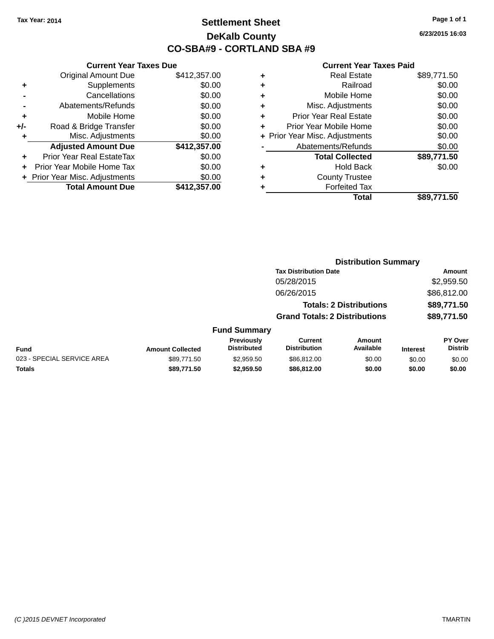### **Settlement Sheet Tax Year: 2014 Page 1 of 1 DeKalb County CO-SBA#9 - CORTLAND SBA #9**

**6/23/2015 16:03**

|       | <b>Current Year Taxes Due</b>  |              |
|-------|--------------------------------|--------------|
|       | <b>Original Amount Due</b>     | \$412,357.00 |
| ٠     | Supplements                    | \$0.00       |
|       | Cancellations                  | \$0.00       |
|       | Abatements/Refunds             | \$0.00       |
| ٠     | Mobile Home                    | \$0.00       |
| $+/-$ | Road & Bridge Transfer         | \$0.00       |
| ۰     | Misc. Adjustments              | \$0.00       |
|       | <b>Adjusted Amount Due</b>     | \$412,357.00 |
| ٠     | Prior Year Real EstateTax      | \$0.00       |
|       | Prior Year Mobile Home Tax     | \$0.00       |
|       | + Prior Year Misc. Adjustments | \$0.00       |
|       | <b>Total Amount Due</b>        | \$412,357.00 |
|       |                                |              |

| ٠ | <b>Real Estate</b>             | \$89,771.50 |
|---|--------------------------------|-------------|
| ٠ | Railroad                       | \$0.00      |
| ٠ | Mobile Home                    | \$0.00      |
| ٠ | Misc. Adjustments              | \$0.00      |
| ٠ | <b>Prior Year Real Estate</b>  | \$0.00      |
| ٠ | Prior Year Mobile Home         | \$0.00      |
|   | + Prior Year Misc. Adjustments | \$0.00      |
|   | Abatements/Refunds             | \$0.00      |
|   | <b>Total Collected</b>         | \$89,771.50 |
| ٠ | <b>Hold Back</b>               | \$0.00      |
| ٠ | <b>County Trustee</b>          |             |
| ٠ | <b>Forfeited Tax</b>           |             |
|   | Total                          | \$89,771.50 |
|   |                                |             |

|                            |                         |                                         |                                       | <b>Distribution Summary</b>    |                 |                                  |
|----------------------------|-------------------------|-----------------------------------------|---------------------------------------|--------------------------------|-----------------|----------------------------------|
|                            |                         |                                         | <b>Tax Distribution Date</b>          |                                |                 | <b>Amount</b>                    |
|                            |                         |                                         | 05/28/2015                            |                                |                 | \$2,959.50                       |
|                            |                         |                                         | 06/26/2015                            |                                |                 | \$86,812.00                      |
|                            |                         |                                         |                                       | <b>Totals: 2 Distributions</b> |                 | \$89,771.50                      |
|                            |                         |                                         | <b>Grand Totals: 2 Distributions</b>  |                                |                 | \$89,771.50                      |
|                            |                         | <b>Fund Summary</b>                     |                                       |                                |                 |                                  |
| <b>Fund</b>                | <b>Amount Collected</b> | <b>Previously</b><br><b>Distributed</b> | <b>Current</b><br><b>Distribution</b> | Amount<br>Available            | <b>Interest</b> | <b>PY Over</b><br><b>Distrib</b> |
| 023 - SPECIAL SERVICE AREA | \$89.771.50             | \$2,959.50                              | \$86,812,00                           | \$0.00                         | \$0.00          | \$0.00                           |
| <b>Totals</b>              | \$89,771.50             | \$2,959.50                              | \$86,812.00                           | \$0.00                         | \$0.00          | \$0.00                           |
|                            |                         |                                         |                                       |                                |                 |                                  |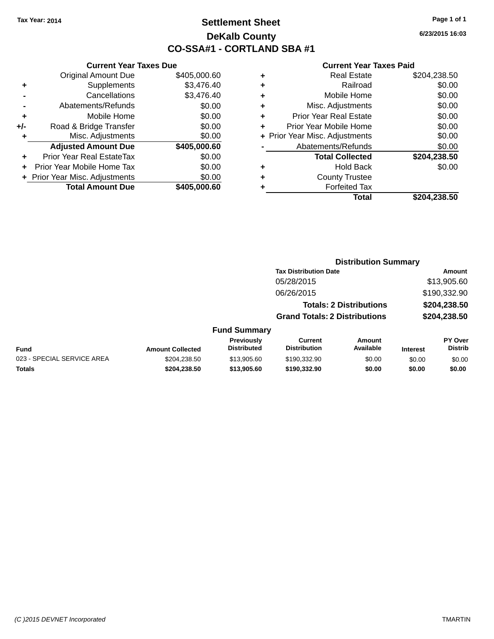### **Settlement Sheet Tax Year: 2014 Page 1 of 1 DeKalb County CO-SSA#1 - CORTLAND SBA #1**

**6/23/2015 16:03**

#### **Current Year Taxes Paid**

**Distribution Summary**

|     | <b>Current Year Taxes Due</b>  |              |
|-----|--------------------------------|--------------|
|     | <b>Original Amount Due</b>     | \$405,000.60 |
| ٠   | Supplements                    | \$3,476.40   |
|     | Cancellations                  | \$3,476.40   |
|     | Abatements/Refunds             | \$0.00       |
| ٠   | Mobile Home                    | \$0.00       |
| +/- | Road & Bridge Transfer         | \$0.00       |
|     | Misc. Adjustments              | \$0.00       |
|     | <b>Adjusted Amount Due</b>     | \$405,000.60 |
| ٠   | Prior Year Real EstateTax      | \$0.00       |
|     | Prior Year Mobile Home Tax     | \$0.00       |
|     | + Prior Year Misc. Adjustments | \$0.00       |
|     | <b>Total Amount Due</b>        | \$405,000.60 |

|                            |                         |                                  | <b>Tax Distribution Date</b>         |                                |                 | Amount                    |
|----------------------------|-------------------------|----------------------------------|--------------------------------------|--------------------------------|-----------------|---------------------------|
|                            |                         |                                  | 05/28/2015                           |                                |                 | \$13,905.60               |
|                            |                         |                                  | 06/26/2015                           |                                |                 | \$190,332.90              |
|                            |                         |                                  |                                      | <b>Totals: 2 Distributions</b> |                 | \$204,238.50              |
|                            |                         |                                  | <b>Grand Totals: 2 Distributions</b> |                                |                 | \$204,238.50              |
|                            |                         | <b>Fund Summary</b>              |                                      |                                |                 |                           |
| Fund                       | <b>Amount Collected</b> | Previously<br><b>Distributed</b> | Current<br><b>Distribution</b>       | Amount<br>Available            | <b>Interest</b> | PY Over<br><b>Distrib</b> |
| 023 - SPECIAL SERVICE AREA | \$204,238.50            | \$13,905.60                      | \$190,332.90                         | \$0.00                         | \$0.00          | \$0.00                    |

**Totals \$204,238.50 \$13,905.60 \$190,332.90 \$0.00 \$0.00 \$0.00**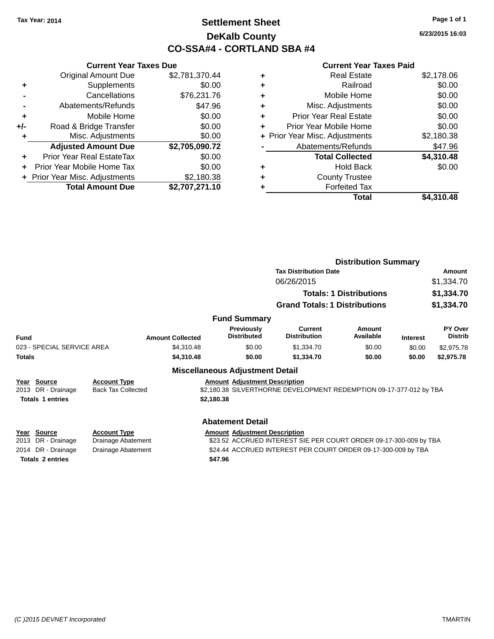### **Settlement Sheet Tax Year: 2014 Page 1 of 1 DeKalb County CO-SSA#4 - CORTLAND SBA #4**

**6/23/2015 16:03**

|     | <b>Current Year Taxes Due</b>    |                |
|-----|----------------------------------|----------------|
|     | <b>Original Amount Due</b>       | \$2,781,370.44 |
| ٠   | Supplements                      | \$0.00         |
|     | Cancellations                    | \$76,231.76    |
|     | Abatements/Refunds               | \$47.96        |
| ٠   | Mobile Home                      | \$0.00         |
| +/- | Road & Bridge Transfer           | \$0.00         |
| ٠   | Misc. Adjustments                | \$0.00         |
|     | <b>Adjusted Amount Due</b>       | \$2,705,090.72 |
| ÷   | <b>Prior Year Real EstateTax</b> | \$0.00         |
| ÷   | Prior Year Mobile Home Tax       | \$0.00         |
|     | + Prior Year Misc. Adjustments   | \$2,180.38     |
|     | <b>Total Amount Due</b>          | \$2,707,271.10 |

|   | <b>Real Estate</b>             | \$2,178.06 |
|---|--------------------------------|------------|
| ٠ | Railroad                       | \$0.00     |
| ٠ | Mobile Home                    | \$0.00     |
| ٠ | Misc. Adjustments              | \$0.00     |
| ٠ | <b>Prior Year Real Estate</b>  | \$0.00     |
| ÷ | Prior Year Mobile Home         | \$0.00     |
|   | + Prior Year Misc. Adjustments | \$2,180.38 |
|   | Abatements/Refunds             | \$47.96    |
|   | <b>Total Collected</b>         | \$4,310.48 |
| ٠ | Hold Back                      | \$0.00     |
| ٠ | <b>County Trustee</b>          |            |
| ٠ | <b>Forfeited Tax</b>           |            |
|   | Total                          | \$4.310.48 |
|   |                                |            |

|               |                                                                                                             |                                                  |                                        |                                         | <b>Distribution Summary</b>                                         |                                |                 |                           |
|---------------|-------------------------------------------------------------------------------------------------------------|--------------------------------------------------|----------------------------------------|-----------------------------------------|---------------------------------------------------------------------|--------------------------------|-----------------|---------------------------|
|               |                                                                                                             |                                                  |                                        |                                         | <b>Tax Distribution Date</b>                                        |                                |                 | Amount                    |
|               |                                                                                                             |                                                  |                                        |                                         | 06/26/2015                                                          |                                | \$1,334.70      |                           |
|               |                                                                                                             |                                                  |                                        |                                         |                                                                     | <b>Totals: 1 Distributions</b> |                 | \$1,334.70                |
|               |                                                                                                             |                                                  |                                        |                                         | <b>Grand Totals: 1 Distributions</b>                                |                                | \$1,334.70      |                           |
|               |                                                                                                             |                                                  |                                        | <b>Fund Summary</b>                     |                                                                     |                                |                 |                           |
| <b>Fund</b>   |                                                                                                             | <b>Amount Collected</b>                          |                                        | <b>Previously</b><br><b>Distributed</b> | Current<br><b>Distribution</b>                                      | Amount<br>Available            | <b>Interest</b> | PY Over<br><b>Distrib</b> |
|               | 023 - SPECIAL SERVICE AREA                                                                                  | \$4,310.48                                       |                                        | \$0.00                                  | \$1,334.70                                                          | \$0.00                         | \$0.00          | \$2,975.78                |
| <b>Totals</b> |                                                                                                             | \$4,310.48                                       |                                        | \$0.00                                  | \$1,334.70                                                          | \$0.00                         | \$0.00          | \$2,975.78                |
|               |                                                                                                             |                                                  | <b>Miscellaneous Adjustment Detail</b> |                                         |                                                                     |                                |                 |                           |
| Year<br>2013  | Source<br>DR - Drainage                                                                                     | <b>Account Type</b><br><b>Back Tax Collected</b> |                                        | <b>Amount Adjustment Description</b>    | \$2,180.38 SILVERTHORNE DEVELOPMENT REDEMPTION 09-17-377-012 by TBA |                                |                 |                           |
|               | <b>Totals 1 entries</b>                                                                                     |                                                  | \$2,180.38                             |                                         |                                                                     |                                |                 |                           |
|               |                                                                                                             |                                                  |                                        | <b>Abatement Detail</b>                 |                                                                     |                                |                 |                           |
| Year<br>2013  | <b>Source</b><br>DR - Drainage                                                                              | <b>Account Type</b><br>Drainage Abatement        |                                        | <b>Amount Adjustment Description</b>    | \$23.52 ACCRUED INTEREST SIE PER COURT ORDER 09-17-300-009 by TBA   |                                |                 |                           |
| 2014          | DR - Drainage<br><b>Drainage Abatement</b><br>\$24.44 ACCRUED INTEREST PER COURT ORDER 09-17-300-009 by TBA |                                                  |                                        |                                         |                                                                     |                                |                 |                           |
|               | <b>Totals 2 entries</b><br>\$47.96                                                                          |                                                  |                                        |                                         |                                                                     |                                |                 |                           |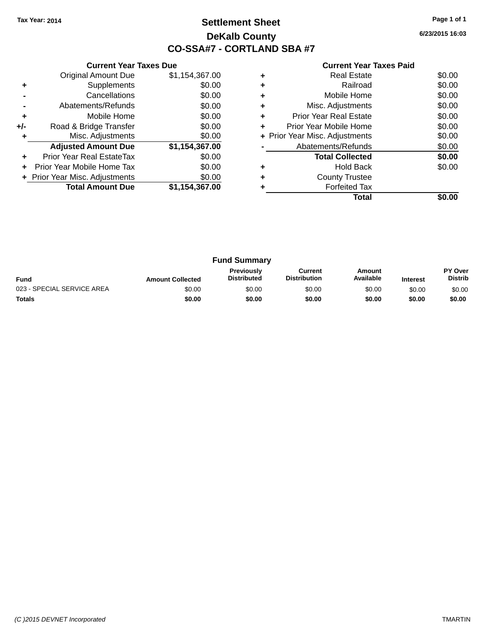### **Settlement Sheet Tax Year: 2014 Page 1 of 1 DeKalb County CO-SSA#7 - CORTLAND SBA #7**

**6/23/2015 16:03**

|     | <b>Current Year Taxes Due</b>  |                |
|-----|--------------------------------|----------------|
|     | <b>Original Amount Due</b>     | \$1,154,367.00 |
| ٠   | Supplements                    | \$0.00         |
|     | Cancellations                  | \$0.00         |
|     | Abatements/Refunds             | \$0.00         |
| ÷   | Mobile Home                    | \$0.00         |
| +/- | Road & Bridge Transfer         | \$0.00         |
| ٠   | Misc. Adjustments              | \$0.00         |
|     | <b>Adjusted Amount Due</b>     | \$1,154,367.00 |
| ٠   | Prior Year Real EstateTax      | \$0.00         |
| ÷   | Prior Year Mobile Home Tax     | \$0.00         |
|     | + Prior Year Misc. Adjustments | \$0.00         |
|     | <b>Total Amount Due</b>        | \$1,154,367.00 |
|     |                                |                |

|   | <b>Real Estate</b>             | \$0.00 |
|---|--------------------------------|--------|
|   | Railroad                       | \$0.00 |
|   | Mobile Home                    | \$0.00 |
|   | Misc. Adjustments              | \$0.00 |
|   | <b>Prior Year Real Estate</b>  | \$0.00 |
| ÷ | Prior Year Mobile Home         | \$0.00 |
|   | + Prior Year Misc. Adjustments | \$0.00 |
|   | Abatements/Refunds             | \$0.00 |
|   | <b>Total Collected</b>         | \$0.00 |
|   | <b>Hold Back</b>               | \$0.00 |
|   | <b>County Trustee</b>          |        |
|   | <b>Forfeited Tax</b>           |        |
|   | Total                          |        |

| <b>Fund Summary</b>        |                         |                                         |                                |                     |                 |                           |
|----------------------------|-------------------------|-----------------------------------------|--------------------------------|---------------------|-----------------|---------------------------|
| <b>Fund</b>                | <b>Amount Collected</b> | <b>Previously</b><br><b>Distributed</b> | Current<br><b>Distribution</b> | Amount<br>Available | <b>Interest</b> | PY Over<br><b>Distrib</b> |
| 023 - SPECIAL SERVICE AREA | \$0.00                  | \$0.00                                  | \$0.00                         | \$0.00              | \$0.00          | \$0.00                    |
| <b>Totals</b>              | \$0.00                  | \$0.00                                  | \$0.00                         | \$0.00              | \$0.00          | \$0.00                    |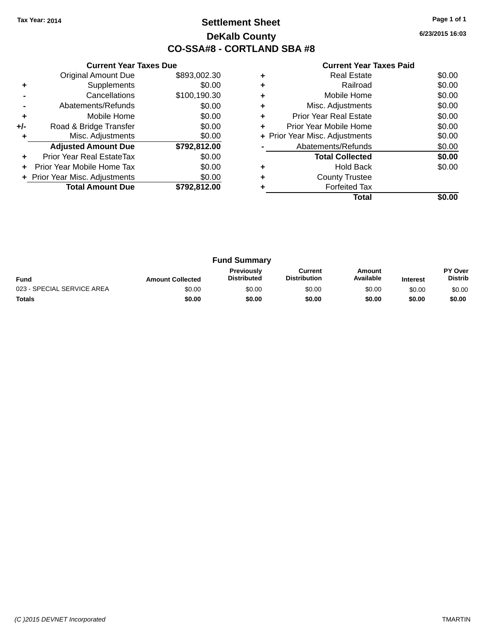### **Settlement Sheet Tax Year: 2014 Page 1 of 1 DeKalb County CO-SSA#8 - CORTLAND SBA #8**

**6/23/2015 16:03**

|     | <b>Current Year Taxes Due</b>  |              |  |  |  |  |  |
|-----|--------------------------------|--------------|--|--|--|--|--|
|     | <b>Original Amount Due</b>     | \$893,002.30 |  |  |  |  |  |
| ٠   | Supplements                    | \$0.00       |  |  |  |  |  |
|     | Cancellations                  | \$100,190.30 |  |  |  |  |  |
|     | Abatements/Refunds             | \$0.00       |  |  |  |  |  |
| ٠   | Mobile Home                    | \$0.00       |  |  |  |  |  |
| +/- | Road & Bridge Transfer         | \$0.00       |  |  |  |  |  |
| ٠   | Misc. Adjustments              | \$0.00       |  |  |  |  |  |
|     | <b>Adjusted Amount Due</b>     | \$792,812.00 |  |  |  |  |  |
|     | Prior Year Real EstateTax      | \$0.00       |  |  |  |  |  |
| ÷   | Prior Year Mobile Home Tax     | \$0.00       |  |  |  |  |  |
|     | + Prior Year Misc. Adjustments | \$0.00       |  |  |  |  |  |
|     | <b>Total Amount Due</b>        | \$792,812.00 |  |  |  |  |  |
|     |                                |              |  |  |  |  |  |

|   | <b>Real Estate</b>             | \$0.00 |
|---|--------------------------------|--------|
| ٠ | Railroad                       | \$0.00 |
| ٠ | Mobile Home                    | \$0.00 |
| ٠ | Misc. Adjustments              | \$0.00 |
|   | <b>Prior Year Real Estate</b>  | \$0.00 |
|   | Prior Year Mobile Home         | \$0.00 |
|   | + Prior Year Misc. Adjustments | \$0.00 |
|   | Abatements/Refunds             | \$0.00 |
|   | <b>Total Collected</b>         | \$0.00 |
| ÷ | <b>Hold Back</b>               | \$0.00 |
| ٠ | <b>County Trustee</b>          |        |
|   | <b>Forfeited Tax</b>           |        |
|   | Total                          |        |

| <b>Fund Summary</b>        |                         |                                         |                                |                     |                 |                                  |
|----------------------------|-------------------------|-----------------------------------------|--------------------------------|---------------------|-----------------|----------------------------------|
| <b>Fund</b>                | <b>Amount Collected</b> | <b>Previously</b><br><b>Distributed</b> | Current<br><b>Distribution</b> | Amount<br>Available | <b>Interest</b> | <b>PY Over</b><br><b>Distrib</b> |
| 023 - SPECIAL SERVICE AREA | \$0.00                  | \$0.00                                  | \$0.00                         | \$0.00              | \$0.00          | \$0.00                           |
| <b>Totals</b>              | \$0.00                  | \$0.00                                  | \$0.00                         | \$0.00              | \$0.00          | \$0.00                           |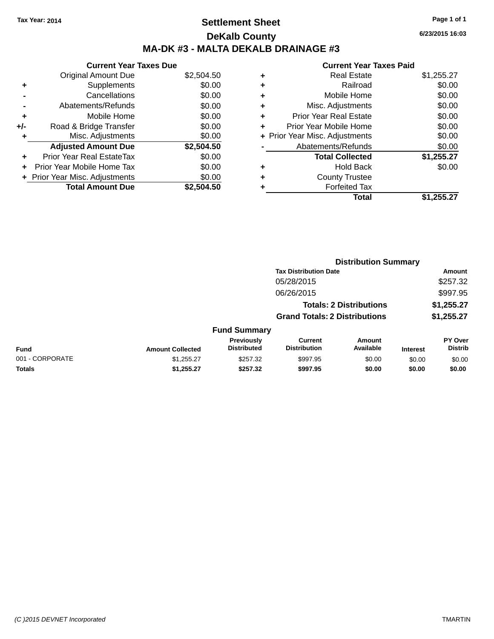### **Settlement Sheet Tax Year: 2014 Page 1 of 1 DeKalb County MA-DK #3 - MALTA DEKALB DRAINAGE #3**

|       | <b>Current Year Taxes Due</b>  |            |
|-------|--------------------------------|------------|
|       | <b>Original Amount Due</b>     | \$2,504.50 |
| ٠     | Supplements                    | \$0.00     |
|       | Cancellations                  | \$0.00     |
|       | Abatements/Refunds             | \$0.00     |
| ٠     | Mobile Home                    | \$0.00     |
| $+/-$ | Road & Bridge Transfer         | \$0.00     |
| ٠     | Misc. Adjustments              | \$0.00     |
|       | <b>Adjusted Amount Due</b>     | \$2,504.50 |
| ÷     | Prior Year Real EstateTax      | \$0.00     |
|       | Prior Year Mobile Home Tax     | \$0.00     |
|       | + Prior Year Misc. Adjustments | \$0.00     |
|       | <b>Total Amount Due</b>        | \$2.504.50 |

|   | Total                          | \$1,255.27 |
|---|--------------------------------|------------|
| ٠ | <b>Forfeited Tax</b>           |            |
| ٠ | <b>County Trustee</b>          |            |
| ٠ | Hold Back                      | \$0.00     |
|   | <b>Total Collected</b>         | \$1,255.27 |
|   | Abatements/Refunds             | \$0.00     |
|   | + Prior Year Misc. Adjustments | \$0.00     |
| ٠ | Prior Year Mobile Home         | \$0.00     |
| ٠ | <b>Prior Year Real Estate</b>  | \$0.00     |
| ٠ | Misc. Adjustments              | \$0.00     |
| ٠ | Mobile Home                    | \$0.00     |
| ٠ | Railroad                       | \$0.00     |
|   | <b>Real Estate</b>             | \$1,255.27 |

| <b>Distribution Summary</b>  |           |
|------------------------------|-----------|
| <b>Toy Dictribution Dota</b> | $A$ mount |

|                 |                         |                                         | lax Distribution Date                 |                                |                 | Amount                           |
|-----------------|-------------------------|-----------------------------------------|---------------------------------------|--------------------------------|-----------------|----------------------------------|
|                 |                         |                                         | 05/28/2015                            |                                |                 | \$257.32                         |
|                 |                         |                                         | 06/26/2015                            |                                |                 | \$997.95                         |
|                 |                         |                                         |                                       | <b>Totals: 2 Distributions</b> |                 | \$1,255.27                       |
|                 |                         |                                         | <b>Grand Totals: 2 Distributions</b>  |                                |                 | \$1,255.27                       |
|                 |                         | <b>Fund Summary</b>                     |                                       |                                |                 |                                  |
| <b>Fund</b>     | <b>Amount Collected</b> | <b>Previously</b><br><b>Distributed</b> | <b>Current</b><br><b>Distribution</b> | <b>Amount</b><br>Available     | <b>Interest</b> | <b>PY Over</b><br><b>Distrib</b> |
| 001 - CORPORATE | \$1,255.27              | \$257.32                                | \$997.95                              | \$0.00                         | \$0.00          | \$0.00                           |
| <b>Totals</b>   | \$1,255.27              | \$257.32                                | \$997.95                              | \$0.00                         | \$0.00          | \$0.00                           |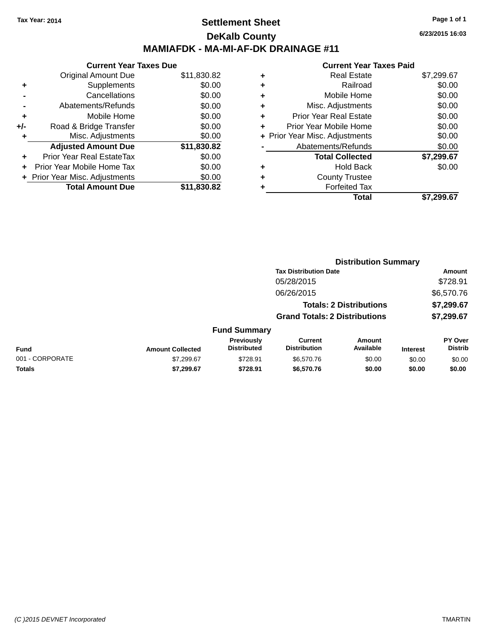### **Settlement Sheet Tax Year: 2014 Page 1 of 1 DeKalb County MAMIAFDK - MA-MI-AF-DK DRAINAGE #11**

|       | <b>Current Year Taxes Due</b>  |             |
|-------|--------------------------------|-------------|
|       | <b>Original Amount Due</b>     | \$11,830.82 |
| ٠     | Supplements                    | \$0.00      |
|       | Cancellations                  | \$0.00      |
|       | Abatements/Refunds             | \$0.00      |
| ÷     | Mobile Home                    | \$0.00      |
| $+/-$ | Road & Bridge Transfer         | \$0.00      |
| ٠     | Misc. Adjustments              | \$0.00      |
|       | <b>Adjusted Amount Due</b>     | \$11,830.82 |
| ÷     | Prior Year Real EstateTax      | \$0.00      |
|       | Prior Year Mobile Home Tax     | \$0.00      |
|       | + Prior Year Misc. Adjustments | \$0.00      |
|       | <b>Total Amount Due</b>        | \$11,830.82 |

| ٠ | <b>Real Estate</b>             | \$7,299.67 |
|---|--------------------------------|------------|
| ٠ | Railroad                       | \$0.00     |
| ٠ | Mobile Home                    | \$0.00     |
| ٠ | Misc. Adjustments              | \$0.00     |
| ٠ | <b>Prior Year Real Estate</b>  | \$0.00     |
| ٠ | Prior Year Mobile Home         | \$0.00     |
|   | + Prior Year Misc. Adjustments | \$0.00     |
|   | Abatements/Refunds             | \$0.00     |
|   | <b>Total Collected</b>         | \$7,299.67 |
| ٠ | Hold Back                      | \$0.00     |
| ٠ | <b>County Trustee</b>          |            |
|   | <b>Forfeited Tax</b>           |            |
|   | Total                          | \$7,299.67 |
|   |                                |            |

| <b>Tax Distribution Date</b><br>05/28/2015<br>06/26/2015<br><b>Totals: 2 Distributions</b><br><b>Grand Totals: 2 Distributions</b><br><b>Fund Summary</b><br>Previously<br><b>Current</b><br>Amount<br><b>Distributed</b><br><b>Distribution</b><br>Available<br><b>Fund</b><br><b>Amount Collected</b><br><b>Interest</b><br>001 - CORPORATE<br>\$728.91<br>\$7,299.67<br>\$6,570.76<br>\$0.00<br>\$0.00<br><b>Totals</b><br>\$7,299.67<br>\$728.91<br>\$6,570.76<br>\$0.00<br>\$0.00 |  | <b>Distribution Summary</b> |  |  |                           |
|----------------------------------------------------------------------------------------------------------------------------------------------------------------------------------------------------------------------------------------------------------------------------------------------------------------------------------------------------------------------------------------------------------------------------------------------------------------------------------------|--|-----------------------------|--|--|---------------------------|
|                                                                                                                                                                                                                                                                                                                                                                                                                                                                                        |  |                             |  |  | Amount                    |
|                                                                                                                                                                                                                                                                                                                                                                                                                                                                                        |  |                             |  |  | \$728.91                  |
|                                                                                                                                                                                                                                                                                                                                                                                                                                                                                        |  |                             |  |  | \$6,570.76                |
|                                                                                                                                                                                                                                                                                                                                                                                                                                                                                        |  |                             |  |  | \$7,299.67                |
|                                                                                                                                                                                                                                                                                                                                                                                                                                                                                        |  |                             |  |  | \$7,299.67                |
|                                                                                                                                                                                                                                                                                                                                                                                                                                                                                        |  |                             |  |  |                           |
|                                                                                                                                                                                                                                                                                                                                                                                                                                                                                        |  |                             |  |  | PY Over<br><b>Distrib</b> |
|                                                                                                                                                                                                                                                                                                                                                                                                                                                                                        |  |                             |  |  | \$0.00                    |
|                                                                                                                                                                                                                                                                                                                                                                                                                                                                                        |  |                             |  |  | \$0.00                    |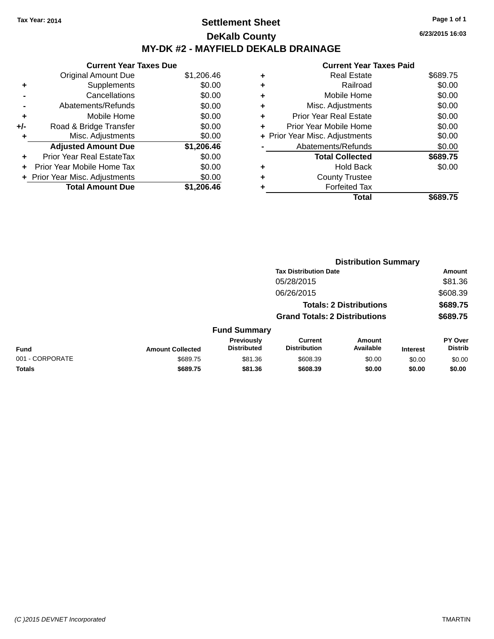### **Settlement Sheet Tax Year: 2014 Page 1 of 1 DeKalb County MY-DK #2 - MAYFIELD DEKALB DRAINAGE**

**Current Year Taxes Due** Original Amount Due \$1,206.46 **+** Supplements \$0.00 **-** Cancellations \$0.00 **-** Abatements/Refunds \$0.00 **+** Mobile Home \$0.00 **+/-** Road & Bridge Transfer \$0.00 **+** Misc. Adjustments \$0.00 **Adjusted Amount Due \$1,206.46 +** Prior Year Real EstateTax \$0.00 **+** Prior Year Mobile Home Tax \$0.00 **+** Prior Year Misc. Adjustments  $$0.00$ **Total Amount Due \$1,206.46**

#### **Current Year Taxes Paid +** Real Estate \$689.75 **+** Railroad \$0.00 **+** Mobile Home \$0.00 **+** Misc. Adjustments \$0.00 **+** Prior Year Real Estate \$0.00 **+** Prior Year Mobile Home \$0.00 **+** Prior Year Misc. Adjustments  $$0.00$ Abatements/Refunds \$0.00 **Total Collected \$689.75 +** Hold Back \$0.00 **+** County Trustee **+** Forfeited Tax **Total \$689.75**

**Distribution Summary**

|                 |                         |                                  | <b>Tax Distribution Date</b>          |                                |                 | Amount                           |
|-----------------|-------------------------|----------------------------------|---------------------------------------|--------------------------------|-----------------|----------------------------------|
|                 |                         |                                  | 05/28/2015                            |                                |                 | \$81.36                          |
|                 |                         |                                  | 06/26/2015                            |                                |                 | \$608.39                         |
|                 |                         |                                  |                                       | <b>Totals: 2 Distributions</b> |                 | \$689.75                         |
|                 |                         |                                  | <b>Grand Totals: 2 Distributions</b>  |                                |                 | \$689.75                         |
|                 |                         | <b>Fund Summary</b>              |                                       |                                |                 |                                  |
| <b>Fund</b>     | <b>Amount Collected</b> | Previously<br><b>Distributed</b> | <b>Current</b><br><b>Distribution</b> | Amount<br>Available            | <b>Interest</b> | <b>PY Over</b><br><b>Distrib</b> |
| 001 - CORPORATE | \$689.75                | \$81.36                          | \$608.39                              | \$0.00                         | \$0.00          | \$0.00                           |
| Totals          | \$689.75                | \$81.36                          | \$608.39                              | \$0.00                         | \$0.00          | \$0.00                           |
|                 |                         |                                  |                                       |                                |                 |                                  |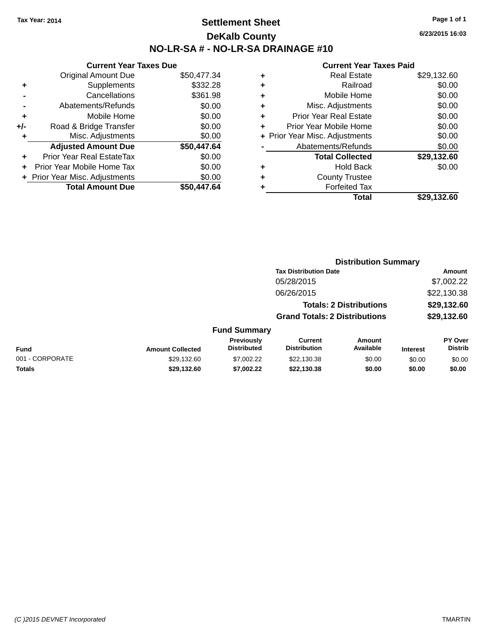### **Settlement Sheet Tax Year: 2014 Page 1 of 1 DeKalb County NO-LR-SA # - NO-LR-SA DRAINAGE #10**

**6/23/2015 16:03**

|     | <b>Current Year Taxes Due</b>    |             |
|-----|----------------------------------|-------------|
|     | <b>Original Amount Due</b>       | \$50,477.34 |
| ٠   | Supplements                      | \$332.28    |
|     | Cancellations                    | \$361.98    |
|     | Abatements/Refunds               | \$0.00      |
| ٠   | Mobile Home                      | \$0.00      |
| +/- | Road & Bridge Transfer           | \$0.00      |
| ٠   | Misc. Adjustments                | \$0.00      |
|     | <b>Adjusted Amount Due</b>       | \$50,447.64 |
| ÷   | <b>Prior Year Real EstateTax</b> | \$0.00      |
|     | Prior Year Mobile Home Tax       | \$0.00      |
|     | + Prior Year Misc. Adjustments   | \$0.00      |
|     | <b>Total Amount Due</b>          | \$50.447.64 |

| ٠ | <b>Real Estate</b>             | \$29,132.60 |
|---|--------------------------------|-------------|
| ٠ | Railroad                       | \$0.00      |
| ٠ | Mobile Home                    | \$0.00      |
| ٠ | Misc. Adjustments              | \$0.00      |
| ٠ | <b>Prior Year Real Estate</b>  | \$0.00      |
| ٠ | Prior Year Mobile Home         | \$0.00      |
|   | + Prior Year Misc. Adjustments | \$0.00      |
|   | Abatements/Refunds             | \$0.00      |
|   | <b>Total Collected</b>         | \$29,132.60 |
| ٠ | Hold Back                      | \$0.00      |
| ٠ | <b>County Trustee</b>          |             |
| ٠ | <b>Forfeited Tax</b>           |             |
|   | Total                          | \$29,132.60 |
|   |                                |             |

|                 |                         |                                  | <b>Distribution Summary</b>           |                                |                 |                                  |
|-----------------|-------------------------|----------------------------------|---------------------------------------|--------------------------------|-----------------|----------------------------------|
|                 |                         |                                  | <b>Tax Distribution Date</b>          |                                |                 | <b>Amount</b>                    |
|                 |                         |                                  | 05/28/2015                            |                                |                 | \$7,002.22                       |
|                 |                         |                                  | 06/26/2015                            |                                |                 | \$22,130.38                      |
|                 |                         |                                  |                                       | <b>Totals: 2 Distributions</b> |                 | \$29,132.60                      |
|                 |                         |                                  | <b>Grand Totals: 2 Distributions</b>  |                                |                 | \$29,132.60                      |
|                 |                         | <b>Fund Summary</b>              |                                       |                                |                 |                                  |
| <b>Fund</b>     | <b>Amount Collected</b> | Previously<br><b>Distributed</b> | <b>Current</b><br><b>Distribution</b> | Amount<br>Available            | <b>Interest</b> | <b>PY Over</b><br><b>Distrib</b> |
| 001 - CORPORATE | \$29,132.60             | \$7,002.22                       | \$22,130.38                           | \$0.00                         | \$0.00          | \$0.00                           |
| <b>Totals</b>   | \$29,132.60             | \$7,002.22                       | \$22,130.38                           | \$0.00                         | \$0.00          | \$0.00                           |
|                 |                         |                                  |                                       |                                |                 |                                  |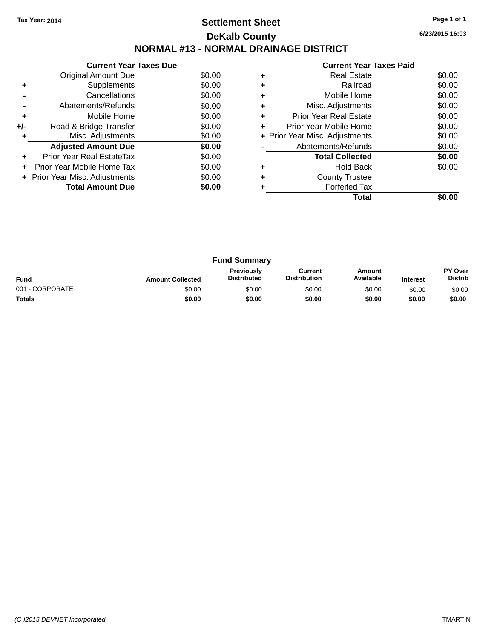### **Settlement Sheet Tax Year: 2014 Page 1 of 1 DeKalb County NORMAL #13 - NORMAL DRAINAGE DISTRICT**

**6/23/2015 16:03**

|     | <b>Current Year Taxes Due</b>  |        |
|-----|--------------------------------|--------|
|     | <b>Original Amount Due</b>     | \$0.00 |
|     | Supplements                    | \$0.00 |
|     | Cancellations                  | \$0.00 |
|     | Abatements/Refunds             | \$0.00 |
| ٠   | Mobile Home                    | \$0.00 |
| +/- | Road & Bridge Transfer         | \$0.00 |
|     | Misc. Adjustments              | \$0.00 |
|     | <b>Adjusted Amount Due</b>     | \$0.00 |
|     | Prior Year Real EstateTax      | \$0.00 |
|     | Prior Year Mobile Home Tax     | \$0.00 |
|     | + Prior Year Misc. Adjustments | \$0.00 |
|     | <b>Total Amount Due</b>        | \$0.00 |
|     |                                |        |

|   | Real Estate                    | \$0.00 |
|---|--------------------------------|--------|
| ٠ | Railroad                       | \$0.00 |
|   | Mobile Home                    | \$0.00 |
| ٠ | Misc. Adjustments              | \$0.00 |
| ٠ | <b>Prior Year Real Estate</b>  | \$0.00 |
| ٠ | Prior Year Mobile Home         | \$0.00 |
|   | + Prior Year Misc. Adjustments | \$0.00 |
|   | Abatements/Refunds             | \$0.00 |
|   | <b>Total Collected</b>         | \$0.00 |
|   | Hold Back                      | \$0.00 |
| ٠ | <b>County Trustee</b>          |        |
|   | <b>Forfeited Tax</b>           |        |
|   | Total                          |        |
|   |                                |        |

| <b>Fund Summary</b> |                         |                                         |                                |                     |                 |                           |
|---------------------|-------------------------|-----------------------------------------|--------------------------------|---------------------|-----------------|---------------------------|
| <b>Fund</b>         | <b>Amount Collected</b> | <b>Previously</b><br><b>Distributed</b> | Current<br><b>Distribution</b> | Amount<br>Available | <b>Interest</b> | PY Over<br><b>Distrib</b> |
| 001 - CORPORATE     | \$0.00                  | \$0.00                                  | \$0.00                         | \$0.00              | \$0.00          | \$0.00                    |
| <b>Totals</b>       | \$0.00                  | \$0.00                                  | \$0.00                         | \$0.00              | \$0.00          | \$0.00                    |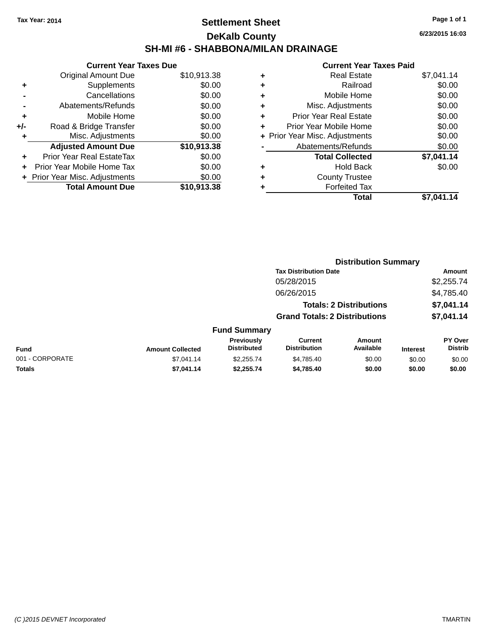### **Settlement Sheet Tax Year: 2014 Page 1 of 1 DeKalb County SH-MI #6 - SHABBONA/MILAN DRAINAGE**

**6/23/2015 16:03**

| <b>Current Year Taxes Due</b> |                                |
|-------------------------------|--------------------------------|
| <b>Original Amount Due</b>    | \$10,913.38                    |
| Supplements                   | \$0.00                         |
| Cancellations                 | \$0.00                         |
| Abatements/Refunds            | \$0.00                         |
| Mobile Home                   | \$0.00                         |
| Road & Bridge Transfer        | \$0.00                         |
| Misc. Adjustments             | \$0.00                         |
| <b>Adjusted Amount Due</b>    | \$10,913.38                    |
| Prior Year Real EstateTax     | \$0.00                         |
| Prior Year Mobile Home Tax    | \$0.00                         |
|                               | \$0.00                         |
| <b>Total Amount Due</b>       | \$10,913.38                    |
|                               | + Prior Year Misc. Adjustments |

| ٠ | <b>Real Estate</b>             | \$7,041.14 |
|---|--------------------------------|------------|
| ٠ | Railroad                       | \$0.00     |
| ٠ | Mobile Home                    | \$0.00     |
| ٠ | Misc. Adjustments              | \$0.00     |
| ٠ | <b>Prior Year Real Estate</b>  | \$0.00     |
| ٠ | Prior Year Mobile Home         | \$0.00     |
|   | + Prior Year Misc. Adjustments | \$0.00     |
|   | Abatements/Refunds             | \$0.00     |
|   | <b>Total Collected</b>         | \$7,041.14 |
| ٠ | Hold Back                      | \$0.00     |
| ٠ | <b>County Trustee</b>          |            |
| ٠ | <b>Forfeited Tax</b>           |            |
|   | Total                          | \$7.041.14 |
|   |                                |            |

|                 |                         |                                  |                                       | <b>Distribution Summary</b>    |                 |                           |
|-----------------|-------------------------|----------------------------------|---------------------------------------|--------------------------------|-----------------|---------------------------|
|                 |                         |                                  | <b>Tax Distribution Date</b>          |                                |                 | Amount                    |
|                 |                         |                                  | 05/28/2015                            |                                |                 | \$2,255.74                |
|                 |                         |                                  | 06/26/2015                            |                                |                 | \$4,785.40                |
|                 |                         |                                  |                                       | <b>Totals: 2 Distributions</b> |                 | \$7,041.14                |
|                 |                         |                                  | <b>Grand Totals: 2 Distributions</b>  |                                |                 | \$7,041.14                |
|                 |                         | <b>Fund Summary</b>              |                                       |                                |                 |                           |
| <b>Fund</b>     | <b>Amount Collected</b> | Previously<br><b>Distributed</b> | <b>Current</b><br><b>Distribution</b> | Amount<br>Available            | <b>Interest</b> | PY Over<br><b>Distrib</b> |
| 001 - CORPORATE | \$7.041.14              | \$2.255.74                       | \$4,785.40                            | \$0.00                         | \$0.00          | \$0.00                    |
| <b>Totals</b>   | \$7,041.14              | \$2,255.74                       | \$4,785.40                            | \$0.00                         | \$0.00          | \$0.00                    |
|                 |                         |                                  |                                       |                                |                 |                           |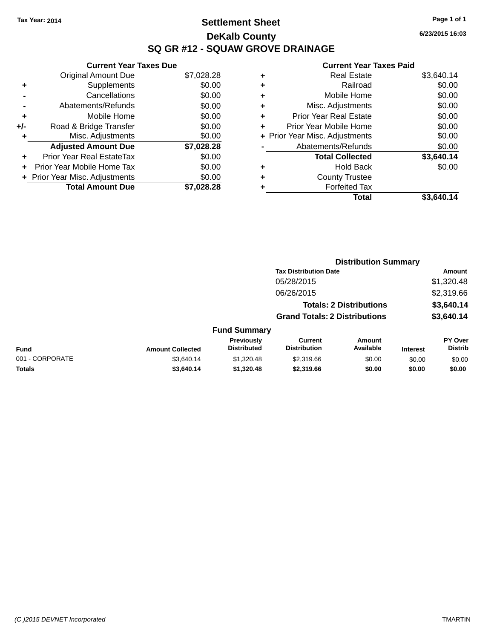### **Settlement Sheet Tax Year: 2014 Page 1 of 1 DeKalb County SQ GR #12 - SQUAW GROVE DRAINAGE**

**6/23/2015 16:03**

|     | <b>Current Year Taxes Due</b>     |            |
|-----|-----------------------------------|------------|
|     | <b>Original Amount Due</b>        | \$7,028.28 |
| ٠   | Supplements                       | \$0.00     |
|     | Cancellations                     | \$0.00     |
|     | Abatements/Refunds                | \$0.00     |
| ٠   | Mobile Home                       | \$0.00     |
| +/- | Road & Bridge Transfer            | \$0.00     |
| ٠   | Misc. Adjustments                 | \$0.00     |
|     | <b>Adjusted Amount Due</b>        | \$7,028.28 |
| ÷   | Prior Year Real EstateTax         | \$0.00     |
|     | <b>Prior Year Mobile Home Tax</b> | \$0.00     |
|     | + Prior Year Misc. Adjustments    | \$0.00     |
|     | <b>Total Amount Due</b>           | \$7,028.28 |

| ٠ | <b>Real Estate</b>             | \$3,640.14 |
|---|--------------------------------|------------|
| ٠ | Railroad                       | \$0.00     |
| ٠ | Mobile Home                    | \$0.00     |
| ٠ | Misc. Adjustments              | \$0.00     |
| ٠ | <b>Prior Year Real Estate</b>  | \$0.00     |
| ٠ | Prior Year Mobile Home         | \$0.00     |
|   | + Prior Year Misc. Adjustments | \$0.00     |
|   | Abatements/Refunds             | \$0.00     |
|   | <b>Total Collected</b>         | \$3,640.14 |
| ٠ | <b>Hold Back</b>               | \$0.00     |
| ٠ | <b>County Trustee</b>          |            |
|   | <b>Forfeited Tax</b>           |            |
|   | Total                          | \$3.640.14 |
|   |                                |            |

|                         |                                         |                                       | <b>Distribution Summary</b> |                                                                                                        |                           |
|-------------------------|-----------------------------------------|---------------------------------------|-----------------------------|--------------------------------------------------------------------------------------------------------|---------------------------|
|                         |                                         |                                       |                             |                                                                                                        | Amount                    |
|                         |                                         | 05/28/2015                            |                             |                                                                                                        | \$1,320.48                |
|                         |                                         | 06/26/2015                            |                             |                                                                                                        | \$2,319.66                |
|                         |                                         |                                       |                             |                                                                                                        | \$3,640.14                |
|                         |                                         |                                       |                             |                                                                                                        | \$3,640.14                |
|                         |                                         |                                       |                             |                                                                                                        |                           |
| <b>Amount Collected</b> | <b>Previously</b><br><b>Distributed</b> | <b>Current</b><br><b>Distribution</b> | Amount<br>Available         | <b>Interest</b>                                                                                        | PY Over<br><b>Distrib</b> |
| \$3.640.14              | \$1,320.48                              | \$2,319.66                            | \$0.00                      | \$0.00                                                                                                 | \$0.00                    |
| \$3,640.14              | \$1,320.48                              | \$2,319.66                            | \$0.00                      | \$0.00                                                                                                 | \$0.00                    |
|                         |                                         |                                       | <b>Fund Summary</b>         | <b>Tax Distribution Date</b><br><b>Totals: 2 Distributions</b><br><b>Grand Totals: 2 Distributions</b> |                           |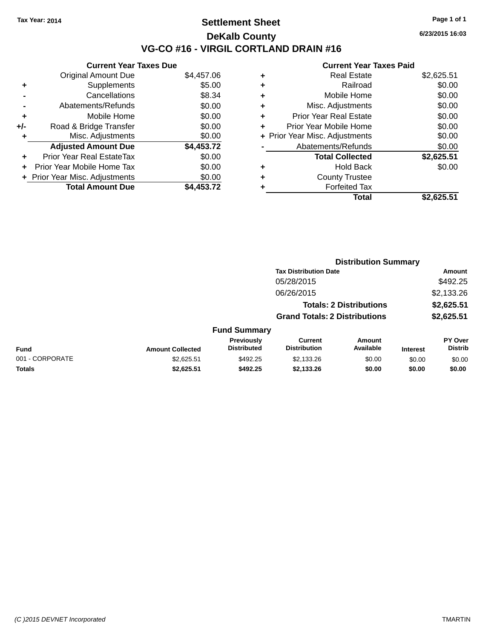### **Settlement Sheet Tax Year: 2014 Page 1 of 1 DeKalb County VG-CO #16 - VIRGIL CORTLAND DRAIN #16**

**6/23/2015 16:03**

|       | <b>Current Year Taxes Due</b>  |            |  |  |  |  |
|-------|--------------------------------|------------|--|--|--|--|
|       | <b>Original Amount Due</b>     | \$4,457.06 |  |  |  |  |
|       | Supplements                    | \$5.00     |  |  |  |  |
|       | Cancellations                  | \$8.34     |  |  |  |  |
|       | Abatements/Refunds             | \$0.00     |  |  |  |  |
| ٠     | Mobile Home                    | \$0.00     |  |  |  |  |
| $+/-$ | Road & Bridge Transfer         | \$0.00     |  |  |  |  |
| ٠     | Misc. Adjustments              | \$0.00     |  |  |  |  |
|       | <b>Adjusted Amount Due</b>     | \$4,453.72 |  |  |  |  |
| ÷     | Prior Year Real EstateTax      | \$0.00     |  |  |  |  |
| ÷     | Prior Year Mobile Home Tax     | \$0.00     |  |  |  |  |
|       | + Prior Year Misc. Adjustments | \$0.00     |  |  |  |  |
|       | <b>Total Amount Due</b>        | \$4.453.72 |  |  |  |  |
|       |                                |            |  |  |  |  |

| ٠ | Railroad                       | \$0.00     |
|---|--------------------------------|------------|
| ٠ | Mobile Home                    | \$0.00     |
| ٠ | Misc. Adjustments              | \$0.00     |
| ÷ | <b>Prior Year Real Estate</b>  | \$0.00     |
| ٠ | Prior Year Mobile Home         | \$0.00     |
|   | + Prior Year Misc. Adjustments | \$0.00     |
|   | Abatements/Refunds             | \$0.00     |
|   | <b>Total Collected</b>         | \$2,625.51 |
| ٠ | <b>Hold Back</b>               | \$0.00     |
| ٠ | <b>County Trustee</b>          |            |
| ٠ | <b>Forfeited Tax</b>           |            |
|   | <b>Total</b>                   | \$2,625.51 |
|   |                                |            |

|                 |                         |                                  |                                       | <b>Distribution Summary</b>    |                 |                           |
|-----------------|-------------------------|----------------------------------|---------------------------------------|--------------------------------|-----------------|---------------------------|
|                 |                         |                                  | <b>Tax Distribution Date</b>          |                                |                 | Amount                    |
|                 |                         |                                  | 05/28/2015                            |                                |                 | \$492.25                  |
|                 |                         |                                  | 06/26/2015                            |                                |                 | \$2,133.26                |
|                 |                         |                                  |                                       | <b>Totals: 2 Distributions</b> |                 | \$2,625.51                |
|                 |                         |                                  | <b>Grand Totals: 2 Distributions</b>  |                                |                 | \$2,625.51                |
|                 |                         | <b>Fund Summary</b>              |                                       |                                |                 |                           |
| <b>Fund</b>     | <b>Amount Collected</b> | Previously<br><b>Distributed</b> | <b>Current</b><br><b>Distribution</b> | Amount<br>Available            | <b>Interest</b> | PY Over<br><b>Distrib</b> |
| 001 - CORPORATE | \$2,625.51              | \$492.25                         | \$2,133.26                            | \$0.00                         | \$0.00          | \$0.00                    |
| <b>Totals</b>   | \$2,625.51              | \$492.25                         | \$2,133.26                            | \$0.00                         | \$0.00          | \$0.00                    |
|                 |                         |                                  |                                       |                                |                 |                           |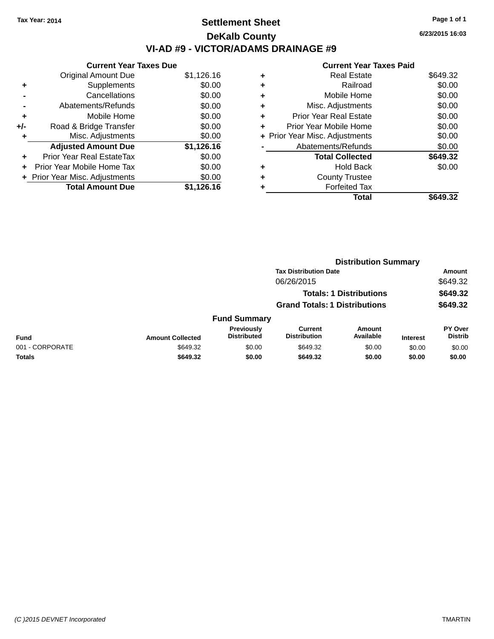### **Settlement Sheet Tax Year: 2014 Page 1 of 1 DeKalb County VI-AD #9 - VICTOR/ADAMS DRAINAGE #9**

**Current Year Taxes Due** Original Amount Due \$1,126.16 **+** Supplements \$0.00 **-** Cancellations \$0.00 **-** Abatements/Refunds \$0.00 **+** Mobile Home \$0.00 **+/-** Road & Bridge Transfer \$0.00 **+** Misc. Adjustments \$0.00 **Adjusted Amount Due \$1,126.16 +** Prior Year Real EstateTax \$0.00 **+** Prior Year Mobile Home Tax \$0.00 **+ Prior Year Misc. Adjustments**  $$0.00$ **Total Amount Due \$1,126.16**

|   | <b>Current Year Taxes Paid</b> |          |
|---|--------------------------------|----------|
| ٠ | <b>Real Estate</b>             | \$649.32 |
|   | Railroad                       | \$0.00   |
| ٠ | Mobile Home                    | \$0.00   |
| ٠ | Misc. Adjustments              | \$0.00   |
|   | Prior Year Real Estate         | \$0.00   |
| ٠ | Prior Year Mobile Home         | \$0.00   |
|   | + Prior Year Misc. Adjustments | \$0.00   |
|   | Abatements/Refunds             | \$0.00   |
|   | <b>Total Collected</b>         | \$649.32 |
| ٠ | Hold Back                      | \$0.00   |
|   | <b>County Trustee</b>          |          |
|   | <b>Forfeited Tax</b>           |          |
|   | Total                          | \$649.32 |

|                 |                         |                                  |                                       | <b>Distribution Summary</b>    |                 |                                  |
|-----------------|-------------------------|----------------------------------|---------------------------------------|--------------------------------|-----------------|----------------------------------|
|                 |                         |                                  | <b>Tax Distribution Date</b>          |                                |                 | Amount                           |
|                 |                         |                                  | 06/26/2015                            |                                |                 | \$649.32                         |
|                 |                         |                                  |                                       | <b>Totals: 1 Distributions</b> |                 | \$649.32                         |
|                 |                         |                                  | <b>Grand Totals: 1 Distributions</b>  |                                |                 | \$649.32                         |
|                 |                         | <b>Fund Summary</b>              |                                       |                                |                 |                                  |
| <b>Fund</b>     | <b>Amount Collected</b> | Previously<br><b>Distributed</b> | <b>Current</b><br><b>Distribution</b> | <b>Amount</b><br>Available     | <b>Interest</b> | <b>PY Over</b><br><b>Distrib</b> |
| 001 - CORPORATE | \$649.32                | \$0.00                           | \$649.32                              | \$0.00                         | \$0.00          | \$0.00                           |
| <b>Totals</b>   | \$649.32                | \$0.00                           | \$649.32                              | \$0.00                         | \$0.00          | \$0.00                           |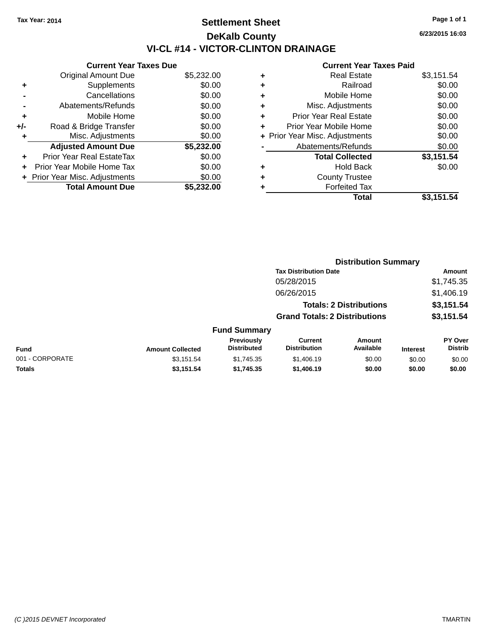### **Settlement Sheet Tax Year: 2014 Page 1 of 1 DeKalb County VI-CL #14 - VICTOR-CLINTON DRAINAGE**

|     | <b>Current Year Taxes Due</b>  |            |  |  |  |
|-----|--------------------------------|------------|--|--|--|
|     | <b>Original Amount Due</b>     | \$5,232.00 |  |  |  |
| ٠   | Supplements                    | \$0.00     |  |  |  |
|     | Cancellations                  | \$0.00     |  |  |  |
|     | Abatements/Refunds             | \$0.00     |  |  |  |
| ٠   | Mobile Home                    | \$0.00     |  |  |  |
| +/- | Road & Bridge Transfer         | \$0.00     |  |  |  |
| ٠   | Misc. Adjustments              | \$0.00     |  |  |  |
|     | <b>Adjusted Amount Due</b>     | \$5,232.00 |  |  |  |
| ٠   | Prior Year Real EstateTax      | \$0.00     |  |  |  |
|     | Prior Year Mobile Home Tax     | \$0.00     |  |  |  |
|     | + Prior Year Misc. Adjustments | \$0.00     |  |  |  |
|     | <b>Total Amount Due</b>        | \$5,232.00 |  |  |  |

#### **Current Year Taxes Paid**

|   | <b>Real Estate</b>             | \$3,151.54 |
|---|--------------------------------|------------|
| ÷ | Railroad                       | \$0.00     |
| ÷ | Mobile Home                    | \$0.00     |
| ٠ | Misc. Adjustments              | \$0.00     |
| ٠ | <b>Prior Year Real Estate</b>  | \$0.00     |
|   | Prior Year Mobile Home         | \$0.00     |
|   | + Prior Year Misc. Adjustments | \$0.00     |
|   | Abatements/Refunds             | \$0.00     |
|   | <b>Total Collected</b>         | \$3,151.54 |
| ٠ | <b>Hold Back</b>               | \$0.00     |
|   | <b>County Trustee</b>          |            |
|   | <b>Forfeited Tax</b>           |            |
|   | Total                          | \$3,151.54 |
|   |                                |            |

|                  |                                         | <b>Distribution Summary</b>          |                                |          |                                  |
|------------------|-----------------------------------------|--------------------------------------|--------------------------------|----------|----------------------------------|
|                  |                                         | <b>Tax Distribution Date</b>         |                                |          | Amount                           |
|                  |                                         | 05/28/2015                           |                                |          | \$1,745.35                       |
|                  |                                         | 06/26/2015                           |                                |          | \$1,406.19                       |
|                  |                                         |                                      | <b>Totals: 2 Distributions</b> |          | \$3,151.54                       |
|                  |                                         | <b>Grand Totals: 2 Distributions</b> |                                |          | \$3,151.54                       |
|                  | <b>Fund Summary</b>                     |                                      |                                |          |                                  |
| Amount Collected | <b>Previously</b><br><b>Distributed</b> | Current<br><b>Distribution</b>       | Amount<br><b>Available</b>     | Interest | <b>PY Over</b><br><b>Distrib</b> |

| Fund            | <b>Amount Collected</b> | <b>Previousiv</b><br><b>Distributed</b> | ∪urrent<br><b>Distribution</b> | Amount<br>Available | <b>Interest</b> | <b>PT OVER</b><br>Distrib |
|-----------------|-------------------------|-----------------------------------------|--------------------------------|---------------------|-----------------|---------------------------|
| 001 - CORPORATE | \$3.151.54              | \$1.745.35                              | \$1,406.19                     | \$0.00              | \$0.00          | \$0.00                    |
| <b>Totals</b>   | \$3.151.54              | \$1.745.35                              | \$1,406.19                     | \$0.00              | \$0.00          | \$0.00                    |

**6/23/2015 16:03**